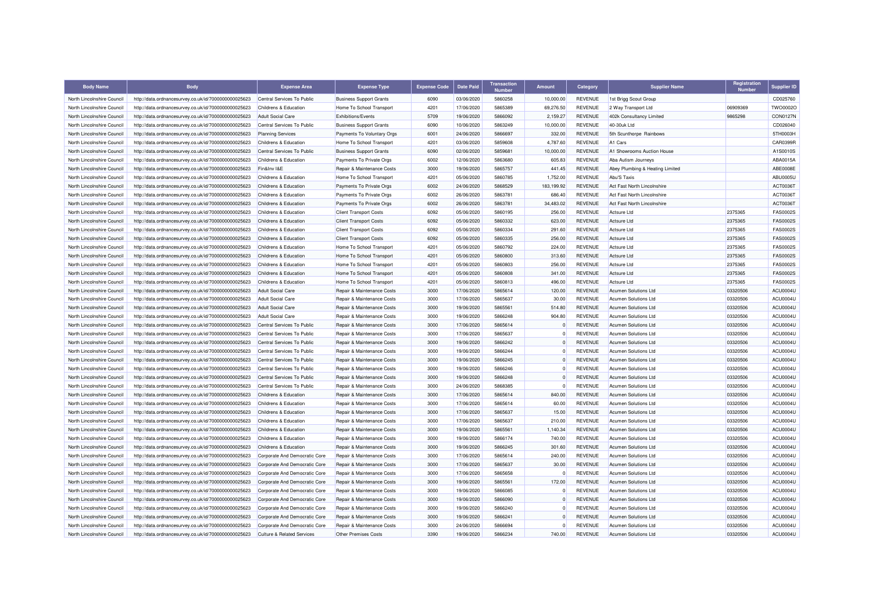| <b>Body Name</b>           | <b>Body</b>                                          | <b>Expense Area</b>                   | <b>Expense Type</b>            | <b>Expense Code</b> | <b>Date Paid</b>         | <b>Transaction</b> | Amount           | Category                         | <b>Supplier Name</b>               | Registration<br><b>Number</b> | Supplier ID          |
|----------------------------|------------------------------------------------------|---------------------------------------|--------------------------------|---------------------|--------------------------|--------------------|------------------|----------------------------------|------------------------------------|-------------------------------|----------------------|
| North Lincolnshire Council | http://data.ordnancesurvey.co.uk/id/7000000000025623 | Central Services To Public            | <b>Business Support Grants</b> | 6090                | 03/06/2020               | 5860258            | 10,000.00        | REVENUE                          | 1st Brigg Scout Group              |                               | CD025760             |
| North Lincolnshire Council | http://data.ordnancesurvey.co.uk/id/7000000000025623 | Childrens & Education                 | Home To School Transport       | 4201                | 17/06/2020               | 5865389            | 69,276.50        | <b>REVENUE</b>                   | 2 Way Transport Ltd                | 06909369                      | TWO0002O             |
| North Lincolnshire Council | http://data.ordnancesurvey.co.uk/id/7000000000025623 | <b>Adult Social Care</b>              | <b>Exhibitions/Events</b>      | 5709                | 19/06/2020               | 5866092            | 2,159.27         | <b>REVENUE</b>                   | 402k Consultancy Limited           | 9865298                       | <b>CON0127N</b>      |
| North Lincolnshire Council | http://data.ordnancesurvey.co.uk/id/7000000000025623 | Central Services To Public            | <b>Business Support Grants</b> | 6090                | 10/06/2020               | 5863249            | 10,000.00        | <b>REVENUE</b>                   | 40-30uk Ltd                        |                               | CD026040             |
| North Lincolnshire Council | http://data.ordnancesurvey.co.uk/id/7000000000025623 | <b>Planning Services</b>              | Payments To Voluntary Orgs     | 6001                | 24/06/2020               | 5866697            | 332.00           | <b>REVENUE</b>                   | 5th Scunthorpe Rainbows            |                               | 5TH0003H             |
| North Lincolnshire Council | http://data.ordnancesurvey.co.uk/id/7000000000025623 | Childrens & Education                 | Home To School Transport       | 4201                | 03/06/2020               | 5859608            | 4,787.60         | <b>REVENUE</b>                   | A1 Cars                            |                               | CAR0399F             |
| North Lincolnshire Council | http://data.ordnancesurvey.co.uk/id/7000000000025623 | Central Services To Public            | <b>Business Support Grants</b> | 6090                | 02/06/2020               | 5859681            | 10,000.00        | <b>REVENUE</b>                   | A1 Showrooms Auction House         |                               | A1S0010S             |
| North Lincolnshire Council | http://data.ordnancesurvey.co.uk/id/7000000000025623 | Childrens & Education                 | Payments To Private Orgs       | 6002                | 12/06/2020               | 5863680            | 605.83           | <b>REVENUE</b>                   | Aba Autism Journeys                |                               | ABA0015A             |
| North Lincolnshire Council | http://data.ordnancesurvey.co.uk/id/7000000000025623 | Fin&Inv I&E                           | Repair & Maintenance Costs     | 3000                | 19/06/2020               | 5865757            | 441.45           | <b>REVENUE</b>                   | Abey Plumbing & Heating Limited    |                               | ABE0008E             |
| North Lincolnshire Council | http://data.ordnancesurvey.co.uk/id/7000000000025623 | Childrens & Education                 | Home To School Transport       | 4201                | 05/06/2020               | 5860785            | 1,752.00         | <b>REVENUE</b>                   | Abu'S Taxis                        |                               | <b>ABU0005U</b>      |
| North Lincolnshire Council | http://data.ordnancesurvey.co.uk/id/7000000000025623 | Childrens & Education                 | Payments To Private Orgs       | 6002                | 24/06/2020               | 5868529            | 183,199.92       | <b>REVENUE</b>                   | Act Fast North Lincolnshire        |                               | ACT0036T             |
| North Lincolnshire Council | http://data.ordnancesurvey.co.uk/id/7000000000025623 | Childrens & Education                 | Payments To Private Orgs       | 6002                | 26/06/2020               | 5863781            | 686.40           | <b>REVENUE</b>                   | <b>Act Fast North Lincolnshire</b> |                               | ACT0036T             |
| North Lincolnshire Council | http://data.ordnancesurvey.co.uk/id/7000000000025623 | Childrens & Education                 | Payments To Private Orgs       | 6002                | 26/06/2020               | 5863781            | 34,483.02        | <b>REVENUE</b>                   | Act Fast North Lincolnshire        |                               | ACT0036T             |
| North Lincolnshire Council | http://data.ordnancesurvey.co.uk/id/7000000000025623 | Childrens & Education                 | <b>Client Transport Costs</b>  | 6092                | 05/06/2020               | 5860195            | 256.00           | <b>REVENUE</b>                   | <b>Actsure Ltd</b>                 | 2375365                       | <b>FAS0002S</b>      |
| North Lincolnshire Council | http://data.ordnancesurvey.co.uk/id/7000000000025623 | Childrens & Education                 | <b>Client Transport Costs</b>  | 6092                | 05/06/2020               | 5860332            | 623.00           | <b>REVENUE</b>                   | <b>Actsure Ltd</b>                 | 2375365                       | <b>FAS0002S</b>      |
| North Lincolnshire Council | http://data.ordnancesurvey.co.uk/id/7000000000025623 | Childrens & Education                 | <b>Client Transport Costs</b>  | 6092                | 05/06/2020               | 5860334            | 291.60           | <b>REVENUE</b>                   | Actsure Ltd                        | 2375365                       | <b>FAS0002S</b>      |
| North Lincolnshire Council | http://data.ordnancesurvey.co.uk/id/7000000000025623 | Childrens & Education                 | <b>Client Transport Costs</b>  | 6092                | 05/06/2020               | 5860335            | 256.00           | <b>REVENUE</b>                   | <b>Actsure Ltd</b>                 | 2375365                       | <b>FAS0002S</b>      |
| North Lincolnshire Council | http://data.ordnancesurvey.co.uk/id/7000000000025623 | Childrens & Education                 | Home To School Transport       | 4201                | 05/06/2020               | 5860792            | 224.00           | <b>REVENUE</b>                   | <b>Actsure Ltd</b>                 | 2375365                       | <b>FAS0002S</b>      |
| North Lincolnshire Council | http://data.ordnancesurvey.co.uk/id/7000000000025623 | Childrens & Education                 | Home To School Transport       | 4201                | 05/06/2020               | 5860800            | 313.60           | <b>REVENUE</b>                   | Actsure Ltd                        | 2375365                       | <b>FAS0002S</b>      |
| North Lincolnshire Council | http://data.ordnancesurvey.co.uk/id/7000000000025623 | Childrens & Education                 | Home To School Transport       | 4201                | 05/06/2020               | 5860803            | 256.00           | <b>REVENUE</b>                   | <b>Actsure Ltd</b>                 | 2375365                       | <b>FAS0002S</b>      |
| North Lincolnshire Council | http://data.ordnancesurvey.co.uk/id/7000000000025623 | Childrens & Education                 | Home To School Transport       | 4201                | 05/06/2020               | 5860808            | 341.00           | <b>REVENUE</b>                   | <b>Actsure Ltd</b>                 | 2375365                       | <b>FAS0002S</b>      |
| North Lincolnshire Council | http://data.ordnancesurvey.co.uk/id/7000000000025623 | Childrens & Education                 | Home To School Transport       | 4201                | 05/06/2020               | 5860813            | 496.00           | <b>REVENUE</b>                   | Actsure Ltd                        | 2375365                       | <b>FAS0002S</b>      |
| North Lincolnshire Council | http://data.ordnancesurvey.co.uk/id/7000000000025623 | <b>Adult Social Care</b>              | Repair & Maintenance Costs     | 3000                | 17/06/2020               | 5865614            | 120.00           | <b>REVENUE</b>                   | Acumen Solutions Ltd               | 03320506                      | ACU0004U             |
| North Lincolnshire Council | http://data.ordnancesurvey.co.uk/id/7000000000025623 | <b>Adult Social Care</b>              | Repair & Maintenance Costs     | 3000                | 17/06/2020               | 5865637            | 30.00            | <b>REVENUE</b>                   | Acumen Solutions Ltd               | 03320506                      | ACU0004U             |
| North Lincolnshire Council | http://data.ordnancesurvey.co.uk/id/7000000000025623 | <b>Adult Social Care</b>              | Repair & Maintenance Costs     | 3000                | 19/06/2020               | 5865561            | 514.80           | <b>REVENUE</b>                   | <b>Acumen Solutions Ltd</b>        | 03320506                      | ACU0004U             |
| North Lincolnshire Council | http://data.ordnancesurvey.co.uk/id/7000000000025623 | <b>Adult Social Care</b>              | Repair & Maintenance Costs     | 3000                | 19/06/2020               | 5866248            | 904.80           | <b>REVENUE</b>                   | <b>Acumen Solutions Ltd</b>        | 03320506                      | ACU0004U             |
| North Lincolnshire Council | http://data.ordnancesurvey.co.uk/id/7000000000025623 | Central Services To Public            | Repair & Maintenance Costs     | 3000                | 17/06/2020               | 5865614            |                  | <b>REVENUE</b>                   | Acumen Solutions Ltd               | 03320506                      | ACU0004U             |
| North Lincolnshire Council | http://data.ordnancesurvey.co.uk/id/7000000000025623 | Central Services To Public            | Repair & Maintenance Costs     | 3000                | 17/06/2020               | 5865637            | $\Omega$         | <b>REVENUE</b>                   | <b>Acumen Solutions Ltd</b>        | 03320506                      | ACU0004U             |
| North Lincolnshire Council | http://data.ordnancesurvey.co.uk/id/7000000000025623 | Central Services To Public            | Repair & Maintenance Costs     | 3000                | 19/06/2020               | 5866242            | $\Omega$         | <b>REVENUE</b>                   | Acumen Solutions Ltd               | 03320506                      | ACU0004U             |
| North Lincolnshire Council | http://data.ordnancesurvey.co.uk/id/7000000000025623 | Central Services To Public            | Repair & Maintenance Costs     | 3000                | 19/06/2020               | 5866244            | $\Omega$         | <b>REVENUE</b>                   | <b>Acumen Solutions Ltd</b>        | 03320506                      | ACU0004U             |
| North Lincolnshire Council | http://data.ordnancesurvey.co.uk/id/7000000000025623 | Central Services To Public            | Repair & Maintenance Costs     | 3000                | 19/06/2020               | 5866245            | $\Omega$         | <b>REVENUE</b>                   | <b>Acumen Solutions Ltd</b>        | 03320506                      | ACU0004U             |
| North Lincolnshire Council | http://data.ordnancesurvey.co.uk/id/7000000000025623 | Central Services To Public            | Repair & Maintenance Costs     | 3000                | 19/06/2020               | 5866246            | $\Omega$         | <b>REVENUE</b>                   | <b>Acumen Solutions Ltd</b>        | 03320506                      | ACU0004U             |
| North Lincolnshire Council | http://data.ordnancesurvey.co.uk/id/7000000000025623 | Central Services To Public            | Repair & Maintenance Costs     | 3000                | 19/06/2020               | 5866248            |                  | <b>REVENUE</b>                   | <b>Acumen Solutions Ltd</b>        | 03320506                      | ACU0004U             |
| North Lincolnshire Council | http://data.ordnancesurvey.co.uk/id/7000000000025623 | Central Services To Public            | Repair & Maintenance Costs     | 3000                | 24/06/2020               | 5868385            | $\Omega$         | <b>REVENUE</b>                   | Acumen Solutions Ltd               | 03320506                      | ACU0004U             |
| North Lincolnshire Council | http://data.ordnancesurvey.co.uk/id/7000000000025623 | <b>Childrens &amp; Education</b>      | Repair & Maintenance Costs     | 3000                | 17/06/2020               | 5865614            | 840.00           | <b>REVENUE</b>                   | Acumen Solutions Ltd               | 03320506                      | ACU0004U             |
| North Lincolnshire Council |                                                      | Childrens & Education                 |                                | 3000                | 17/06/2020               | 5865614            | 60.00            | <b>REVENUE</b>                   | <b>Acumen Solutions Ltd</b>        | 03320506                      | ACU0004U             |
| North Lincolnshire Council | http://data.ordnancesurvey.co.uk/id/7000000000025623 | Childrens & Education                 | Repair & Maintenance Costs     | 3000                | 17/06/2020               | 5865637            | 15.00            | <b>REVENUE</b>                   | <b>Acumen Solutions Ltd</b>        | 03320506                      | ACU0004U             |
|                            | http://data.ordnancesurvey.co.uk/id/7000000000025623 |                                       | Repair & Maintenance Costs     | 3000                | 17/06/2020               | 5865637            |                  | <b>REVENUE</b>                   |                                    | 03320506                      | ACU0004U             |
| North Lincolnshire Council | http://data.ordnancesurvey.co.uk/id/7000000000025623 | Childrens & Education                 | Repair & Maintenance Costs     |                     |                          |                    | 210.00           |                                  | Acumen Solutions Ltd               |                               |                      |
| North Lincolnshire Council | http://data.ordnancesurvey.co.uk/id/7000000000025623 | Childrens & Education                 | Repair & Maintenance Costs     | 3000<br>3000        | 19/06/2020<br>19/06/2020 | 5865561<br>5866174 | 1,140.34         | <b>REVENUE</b><br><b>REVENUE</b> | Acumen Solutions Ltd               | 03320506<br>03320506          | ACU0004U<br>ACU0004U |
| North Lincolnshire Council | http://data.ordnancesurvey.co.uk/id/7000000000025623 | Childrens & Education                 | Repair & Maintenance Costs     | 3000                | 19/06/2020               | 5866245            | 740.00<br>301.60 | <b>REVENUE</b>                   | <b>Acumen Solutions Ltd</b>        | 03320506                      | ACU0004U             |
| North Lincolnshire Council | http://data.ordnancesurvey.co.uk/id/7000000000025623 | Childrens & Education                 | Repair & Maintenance Costs     |                     |                          |                    |                  |                                  | Acumen Solutions Ltd               |                               |                      |
| North Lincolnshire Council | http://data.ordnancesurvey.co.uk/id/7000000000025623 | Corporate And Democratic Core         | Repair & Maintenance Costs     | 3000                | 17/06/2020               | 5865614<br>5865637 | 240.00           | <b>REVENUE</b>                   | Acumen Solutions Ltd               | 03320506                      | ACU0004U             |
| North Lincolnshire Council | http://data.ordnancesurvey.co.uk/id/7000000000025623 | Corporate And Democratic Core         | Repair & Maintenance Costs     | 3000                | 17/06/2020               |                    | 30.00            | <b>REVENUE</b>                   | Acumen Solutions Ltd               | 03320506                      | <b>ACU0004U</b>      |
| North Lincolnshire Council | http://data.ordnancesurvey.co.uk/id/7000000000025623 | Corporate And Democratic Core         | Repair & Maintenance Costs     | 3000                | 17/06/2020               | 5865658            |                  | <b>REVENUE</b>                   | <b>Acumen Solutions Ltd</b>        | 03320506                      | ACU0004U             |
| North Lincolnshire Council | http://data.ordnancesurvey.co.uk/id/7000000000025623 | Corporate And Democratic Core         | Repair & Maintenance Costs     | 3000                | 19/06/2020               | 5865561            | 172.00           | <b>REVENUE</b>                   | <b>Acumen Solutions Ltd</b>        | 03320506                      | ACU0004U             |
| North Lincolnshire Council | http://data.ordnancesurvey.co.uk/id/7000000000025623 | Corporate And Democratic Core         | Repair & Maintenance Costs     | 3000                | 19/06/2020               | 5866085            | $\Omega$         | <b>REVENUE</b>                   | Acumen Solutions Ltd               | 03320506                      | ACU0004U             |
| North Lincolnshire Council | http://data.ordnancesurvey.co.uk/id/7000000000025623 | Corporate And Democratic Core         | Repair & Maintenance Costs     | 3000                | 19/06/2020               | 5866090            | $\Omega$         | <b>REVENUE</b>                   | <b>Acumen Solutions Ltd</b>        | 03320506                      | ACU0004U             |
| North Lincolnshire Council | http://data.ordnancesurvey.co.uk/id/7000000000025623 | Corporate And Democratic Core         | Repair & Maintenance Costs     | 3000                | 19/06/2020               | 5866240            | $^{\circ}$       | <b>REVENUE</b>                   | Acumen Solutions Ltd               | 03320506                      | ACU0004U             |
| North Lincolnshire Council | http://data.ordnancesurvey.co.uk/id/7000000000025623 | Corporate And Democratic Core         | Repair & Maintenance Costs     | 3000                | 19/06/2020               | 5866241            |                  | <b>REVENUE</b>                   | <b>Acumen Solutions Ltd</b>        | 03320506                      | ACU0004U             |
| North Lincolnshire Council | http://data.ordnancesurvey.co.uk/id/7000000000025623 | Corporate And Democratic Core         | Repair & Maintenance Costs     | 3000                | 24/06/2020               | 5866694            | $\Omega$         | <b>REVENUE</b>                   | Acumen Solutions Ltd               | 03320506                      | ACU0004U             |
| North Lincolnshire Council | http://data.ordnancesurvey.co.uk/id/7000000000025623 | <b>Culture &amp; Related Services</b> | <b>Other Premises Costs</b>    | 3390                | 19/06/2020               | 5866234            | 740.00           | <b>REVENUE</b>                   | <b>Acumen Solutions Ltd</b>        | 03320506                      | <b>ACU0004U</b>      |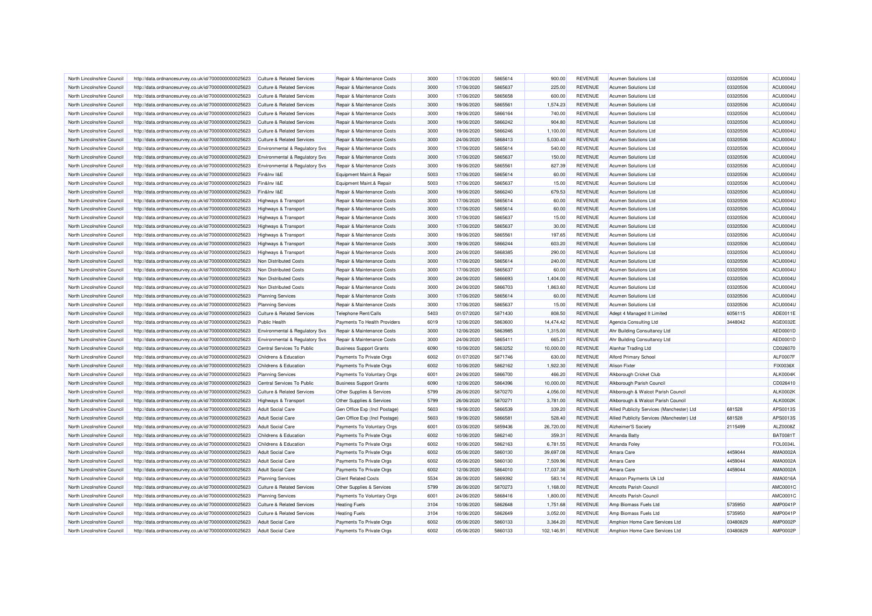| North Lincolnshire Council | http://data.ordnancesurvey.co.uk/id/7000000000025623                                                         | Culture & Related Services                           | Repair & Maintenance Costs     | 3000 | 17/06/2020 | 5865614 | 900.00     | <b>REVENUE</b> | <b>Acumen Solutions Ltd</b>                | 03320506 | ACU0004U        |
|----------------------------|--------------------------------------------------------------------------------------------------------------|------------------------------------------------------|--------------------------------|------|------------|---------|------------|----------------|--------------------------------------------|----------|-----------------|
| North Lincolnshire Council | http://data.ordnancesurvey.co.uk/id/7000000000025623                                                         | <b>Culture &amp; Related Services</b>                | Repair & Maintenance Costs     | 3000 | 17/06/2020 | 5865637 | 225.00     | <b>REVENUE</b> | <b>Acumen Solutions Ltd</b>                | 03320506 | ACU0004U        |
| North Lincolnshire Council | http://data.ordnancesurvey.co.uk/id/7000000000025623                                                         | <b>Culture &amp; Related Services</b>                | Repair & Maintenance Costs     | 3000 | 17/06/2020 | 5865658 | 600.00     | <b>REVENUE</b> | <b>Acumen Solutions Ltd</b>                | 03320506 | <b>ACU0004U</b> |
| North Lincolnshire Council | http://data.ordnancesurvey.co.uk/id/7000000000025623                                                         | <b>Culture &amp; Related Services</b>                | Repair & Maintenance Costs     | 3000 | 19/06/2020 | 5865561 | 1,574.23   | <b>REVENUE</b> | <b>Acumen Solutions Ltd</b>                | 03320506 | ACU0004U        |
| North Lincolnshire Council | http://data.ordnancesurvey.co.uk/id/7000000000025623                                                         | <b>Culture &amp; Related Services</b>                | Repair & Maintenance Costs     | 3000 | 19/06/2020 | 5866164 | 740.00     | <b>REVENUE</b> | Acumen Solutions Ltd                       | 03320506 | ACU0004U        |
| North Lincolnshire Council | http://data.ordnancesurvey.co.uk/id/7000000000025623                                                         | <b>Culture &amp; Related Services</b>                | Repair & Maintenance Costs     | 3000 | 19/06/2020 | 5866242 | 904.80     | <b>REVENUE</b> | Acumen Solutions Ltd                       | 03320506 | ACU0004U        |
| North Lincolnshire Council | http://data.ordnancesurvey.co.uk/id/7000000000025623                                                         | Culture & Related Services                           | Repair & Maintenance Costs     | 3000 | 19/06/2020 | 5866246 | 1.100.00   | <b>REVENUE</b> | <b>Acumen Solutions Ltd</b>                | 03320506 | ACU0004U        |
| North Lincolnshire Council | http://data.ordnancesurvey.co.uk/id/7000000000025623                                                         | <b>Culture &amp; Related Services</b>                | Repair & Maintenance Costs     | 3000 | 24/06/2020 | 5868413 | 5,030.40   | <b>REVENUE</b> | Acumen Solutions Ltd                       | 03320506 | ACU0004U        |
| North Lincolnshire Council | http://data.ordnancesurvey.co.uk/id/7000000000025623                                                         | Environmental & Regulatory Svs                       | Repair & Maintenance Costs     | 3000 | 17/06/2020 | 5865614 | 540.00     | <b>REVENUE</b> | Acumen Solutions Ltd                       | 03320506 | ACU0004U        |
| North Lincolnshire Council | http://data.ordnancesurvey.co.uk/id/7000000000025623                                                         | Environmental & Regulatory Svs                       | Repair & Maintenance Costs     | 3000 | 17/06/2020 | 5865637 | 150.00     | <b>REVENUE</b> | <b>Acumen Solutions Ltd</b>                | 03320506 | ACU0004U        |
| North Lincolnshire Council | http://data.ordnancesurvey.co.uk/id/7000000000025623                                                         | Environmental & Regulatory Svs                       | Repair & Maintenance Costs     | 3000 | 19/06/2020 | 5865561 | 827.39     | <b>REVENUE</b> | Acumen Solutions Ltd                       | 03320506 | ACU0004U        |
| North Lincolnshire Council | http://data.ordnancesurvey.co.uk/id/7000000000025623                                                         | Fin&Inv I&E                                          | Equipment Maint.& Repair       | 5003 | 17/06/2020 | 5865614 | 60.00      | <b>REVENUE</b> | <b>Acumen Solutions Ltd</b>                | 03320506 | ACU0004U        |
| North Lincolnshire Council | http://data.ordnancesurvey.co.uk/id/7000000000025623                                                         | Fin&Inv I&E                                          | Equipment Maint.& Repair       | 5003 | 17/06/2020 | 5865637 | 15.00      | <b>REVENUE</b> | Acumen Solutions Ltd                       | 03320506 | ACU0004U        |
| North Lincolnshire Council | http://data.ordnancesurvey.co.uk/id/7000000000025623                                                         | Fin&Inv I&E                                          | Repair & Maintenance Costs     | 3000 | 19/06/2020 | 5866240 | 679.53     | <b>REVENUE</b> | Acumen Solutions Ltd                       | 03320506 | ACU0004U        |
| North Lincolnshire Council | http://data.ordnancesurvey.co.uk/id/7000000000025623                                                         | Highways & Transport                                 | Repair & Maintenance Costs     | 3000 | 17/06/2020 | 5865614 | 60.00      | <b>REVENUE</b> | <b>Acumen Solutions Ltd</b>                | 03320506 | ACU0004U        |
| North Lincolnshire Council | http://data.ordnancesurvey.co.uk/id/7000000000025623                                                         | <b>Highways &amp; Transport</b>                      | Repair & Maintenance Costs     | 3000 | 17/06/2020 | 5865614 | 60.00      | <b>REVENUE</b> | Acumen Solutions Ltd                       | 03320506 | ACU0004U        |
| North Lincolnshire Council | http://data.ordnancesurvey.co.uk/id/7000000000025623                                                         | <b>Highways &amp; Transport</b>                      | Repair & Maintenance Costs     | 3000 | 17/06/2020 | 5865637 | 15.00      | <b>REVENUE</b> | Acumen Solutions Ltd                       | 03320506 | ACU0004U        |
| North Lincolnshire Council | http://data.ordnancesurvey.co.uk/id/7000000000025623                                                         | <b>Highways &amp; Transport</b>                      | Repair & Maintenance Costs     | 3000 | 17/06/2020 | 5865637 | 30.00      | <b>REVENUE</b> | Acumen Solutions Ltd                       | 03320506 | ACU0004U        |
| North Lincolnshire Council | http://data.ordnancesurvey.co.uk/id/7000000000025623                                                         | <b>Highways &amp; Transport</b>                      | Repair & Maintenance Costs     | 3000 | 19/06/2020 | 5865561 | 197.65     | <b>REVENUE</b> | Acumen Solutions Ltd                       | 03320506 | ACU0004U        |
| North Lincolnshire Council | http://data.ordnancesurvey.co.uk/id/7000000000025623                                                         | Highways & Transport                                 | Repair & Maintenance Costs     | 3000 | 19/06/2020 | 5866244 | 603.20     | <b>REVENUE</b> | <b>Acumen Solutions Ltd</b>                | 03320506 | ACU0004U        |
| North Lincolnshire Council | http://data.ordnancesurvey.co.uk/id/7000000000025623                                                         | <b>Highways &amp; Transport</b>                      | Repair & Maintenance Costs     | 3000 | 24/06/2020 | 5868385 | 290.00     | <b>REVENUE</b> | <b>Acumen Solutions Ltd</b>                | 03320506 | ACU0004U        |
| North Lincolnshire Council | http://data.ordnancesurvey.co.uk/id/7000000000025623                                                         | Non Distributed Costs                                | Repair & Maintenance Costs     | 3000 | 17/06/2020 | 5865614 | 240.00     | <b>REVENUE</b> | Acumen Solutions Ltd                       | 03320506 | ACU0004U        |
| North Lincolnshire Council | http://data.ordnancesurvey.co.uk/id/7000000000025623                                                         | Non Distributed Costs                                | Repair & Maintenance Costs     | 3000 | 17/06/2020 | 5865637 | 60.00      | <b>REVENUE</b> | <b>Acumen Solutions Ltd</b>                | 03320506 | ACU0004U        |
| North Lincolnshire Council | http://data.ordnancesurvey.co.uk/id/7000000000025623                                                         | Non Distributed Costs                                | Repair & Maintenance Costs     | 3000 | 24/06/2020 | 5866693 | 1,404.00   | <b>REVENUE</b> | <b>Acumen Solutions Ltd</b>                | 03320506 | ACU0004U        |
| North Lincolnshire Council | http://data.ordnancesurvey.co.uk/id/7000000000025623                                                         | Non Distributed Costs                                | Repair & Maintenance Costs     | 3000 | 24/06/2020 | 5866703 | 1,863.60   | <b>REVENUE</b> | <b>Acumen Solutions Ltd</b>                | 03320506 | ACU0004U        |
| North Lincolnshire Council |                                                                                                              |                                                      | Repair & Maintenance Costs     | 3000 | 17/06/2020 | 5865614 | 60.00      | <b>REVENUE</b> | Acumen Solutions Ltd                       | 03320506 | ACU0004U        |
| North Lincolnshire Council | http://data.ordnancesurvey.co.uk/id/7000000000025623<br>http://data.ordnancesurvey.co.uk/id/7000000000025623 | <b>Planning Services</b><br><b>Planning Services</b> | Repair & Maintenance Costs     | 3000 | 17/06/2020 | 5865637 | 15.00      | <b>REVENUE</b> | <b>Acumen Solutions Ltd</b>                | 03320506 | ACU0004U        |
| North Lincolnshire Council |                                                                                                              | <b>Culture &amp; Related Services</b>                | Telephone Rent/Calls           | 5403 | 01/07/2020 | 5871430 | 808.50     | <b>REVENUE</b> |                                            | 6056115  | ADE0011E        |
| North Lincolnshire Council | http://data.ordnancesurvey.co.uk/id/7000000000025623                                                         | <b>Public Health</b>                                 |                                | 6019 |            | 5863600 | 14.474.42  | <b>REVENUE</b> | Adept 4 Managed It Limited                 |          |                 |
|                            | http://data.ordnancesurvey.co.uk/id/7000000000025623                                                         |                                                      | Payments To Health Providers   |      | 12/06/2020 |         |            |                | Agencia Consulting Ltd                     | 3448042  | AGE0032E        |
| North Lincolnshire Council | http://data.ordnancesurvey.co.uk/id/7000000000025623                                                         | Environmental & Regulatory Svs                       | Repair & Maintenance Costs     | 3000 | 12/06/2020 | 5863985 | 1,315.00   | <b>REVENUE</b> | Ahr Building Consultancy Ltd               |          | AED0001D        |
| North Lincolnshire Council | http://data.ordnancesurvey.co.uk/id/7000000000025623                                                         | Environmental & Regulatory Svs                       | Repair & Maintenance Costs     | 3000 | 24/06/2020 | 5865411 | 665.21     | <b>REVENUE</b> | Ahr Building Consultancy Ltd               |          | AED0001D        |
| North Lincolnshire Council | http://data.ordnancesurvey.co.uk/id/7000000000025623                                                         | Central Services To Public                           | <b>Business Support Grants</b> | 6090 | 10/06/2020 | 5863252 | 10,000.00  | <b>REVENUE</b> | Alanhar Trading Ltd                        |          | CD026070        |
| North Lincolnshire Council | http://data.ordnancesurvey.co.uk/id/7000000000025623                                                         | Childrens & Education                                | Payments To Private Orgs       | 6002 | 01/07/2020 | 5871746 | 630.00     | <b>REVENUE</b> | <b>Alford Primary School</b>               |          | ALF0007F        |
| North Lincolnshire Council | http://data.ordnancesurvey.co.uk/id/7000000000025623                                                         | Childrens & Education                                | Payments To Private Orgs       | 6002 | 10/06/2020 | 5862162 | 1.922.30   | <b>REVENUE</b> | <b>Alison Fixter</b>                       |          | FIX0036X        |
| North Lincolnshire Council | http://data.ordnancesurvey.co.uk/id/7000000000025623                                                         | <b>Planning Services</b>                             | Payments To Voluntary Orgs     | 6001 | 24/06/2020 | 5866700 | 466.20     | <b>REVENUE</b> | Alkborough Cricket Club                    |          | ALK0004K        |
| North Lincolnshire Council | http://data.ordnancesurvey.co.uk/id/7000000000025623                                                         | Central Services To Public                           | <b>Business Support Grants</b> | 6090 | 12/06/2020 | 5864396 | 10,000.00  | <b>REVENUE</b> | Alkborough Parish Council                  |          | CD026410        |
| North Lincolnshire Council | http://data.ordnancesurvey.co.uk/id/7000000000025623                                                         | <b>Culture &amp; Related Services</b>                | Other Supplies & Services      | 5799 | 26/06/2020 | 5870270 | 4.056.00   | <b>REVENUE</b> | Alkborough & Walcot Parish Council         |          | ALK0002K        |
| North Lincolnshire Council | http://data.ordnancesurvey.co.uk/id/7000000000025623                                                         | <b>Highways &amp; Transport</b>                      | Other Supplies & Services      | 5799 | 26/06/2020 | 5870271 | 3,781.00   | <b>REVENUE</b> | Alkborough & Walcot Parish Council         |          | ALK0002K        |
| North Lincolnshire Council | http://data.ordnancesurvey.co.uk/id/7000000000025623                                                         | <b>Adult Social Care</b>                             | Gen Office Exp (Incl Postage)  | 5603 | 19/06/2020 | 5866539 | 339.20     | <b>REVENUE</b> | Allied Publicity Services (Manchester) Ltd | 681528   | APS0013S        |
| North Lincolnshire Council | http://data.ordnancesurvey.co.uk/id/7000000000025623                                                         | Adult Social Care                                    | Gen Office Exp (Incl Postage)  | 5603 | 19/06/2020 | 5866581 | 528.40     | <b>REVENUE</b> | Allied Publicity Services (Manchester) Ltd | 681528   | APS0013S        |
| North Lincolnshire Council | http://data.ordnancesurvey.co.uk/id/7000000000025623                                                         | <b>Adult Social Care</b>                             | Payments To Voluntary Orgs     | 6001 | 03/06/2020 | 5859436 | 26,720.00  | <b>REVENUE</b> | Alzheimer'S Society                        | 2115499  | ALZ0008Z        |
| North Lincolnshire Council | http://data.ordnancesurvey.co.uk/id/7000000000025623                                                         | Childrens & Education                                | Payments To Private Orgs       | 6002 | 10/06/2020 | 5862140 | 359.31     | <b>REVENUE</b> | Amanda Batty                               |          | <b>BAT0081T</b> |
| North Lincolnshire Council | http://data.ordnancesurvey.co.uk/id/7000000000025623                                                         | Childrens & Education                                | Payments To Private Orgs       | 6002 | 10/06/2020 | 5862163 | 6,781.55   | <b>REVENUE</b> | Amanda Foley                               |          | FOL0034L        |
| North Lincolnshire Council | http://data.ordnancesurvey.co.uk/id/7000000000025623                                                         | <b>Adult Social Care</b>                             | Payments To Private Orgs       | 6002 | 05/06/2020 | 5860130 | 39,697.08  | <b>REVENUE</b> | Amara Care                                 | 4459044  | AMA0002A        |
| North Lincolnshire Council | http://data.ordnancesurvey.co.uk/id/7000000000025623                                                         | <b>Adult Social Care</b>                             | Payments To Private Orgs       | 6002 | 05/06/2020 | 5860130 | 7,509.96   | <b>REVENUE</b> | Amara Care                                 | 4459044  | AMA0002A        |
| North Lincolnshire Council | http://data.ordnancesurvey.co.uk/id/7000000000025623                                                         | <b>Adult Social Care</b>                             | Payments To Private Orgs       | 6002 | 12/06/2020 | 5864010 | 17,037.36  | <b>REVENUE</b> | Amara Care                                 | 4459044  | AMA0002A        |
| North Lincolnshire Council | http://data.ordnancesurvey.co.uk/id/7000000000025623                                                         | <b>Planning Services</b>                             | <b>Client Related Costs</b>    | 5534 | 26/06/2020 | 5869392 | 583.14     | <b>REVENUE</b> | Amazon Payments Uk Ltd                     |          | AMA0016A        |
| North Lincolnshire Council | http://data.ordnancesurvey.co.uk/id/7000000000025623                                                         | <b>Culture &amp; Related Services</b>                | Other Supplies & Services      | 5799 | 26/06/2020 | 5870273 | 1,168.00   | <b>REVENUE</b> | Amcotts Parish Council                     |          | AMC0001C        |
| North Lincolnshire Council | http://data.ordnancesurvey.co.uk/id/7000000000025623                                                         | <b>Planning Services</b>                             | Payments To Voluntary Orgs     | 6001 | 24/06/2020 | 5868416 | 1,800.00   | <b>REVENUE</b> | <b>Amcotts Parish Council</b>              |          | AMC0001C        |
| North Lincolnshire Council | http://data.ordnancesurvey.co.uk/id/7000000000025623                                                         | <b>Culture &amp; Related Services</b>                | <b>Heating Fuels</b>           | 3104 | 10/06/2020 | 5862648 | 1,751.68   | <b>REVENUE</b> | Amp Biomass Fuels Ltd                      | 5735950  | <b>AMP0041P</b> |
| North Lincolnshire Council | http://data.ordnancesurvey.co.uk/id/7000000000025623                                                         | <b>Culture &amp; Related Services</b>                | <b>Heating Fuels</b>           | 3104 | 10/06/2020 | 5862649 | 3,052.00   | <b>REVENUE</b> | Amp Biomass Fuels Ltd                      | 5735950  | AMP0041P        |
| North Lincolnshire Council | http://data.ordnancesurvey.co.uk/id/7000000000025623                                                         | <b>Adult Social Care</b>                             | Payments To Private Orgs       | 6002 | 05/06/2020 | 5860133 | 3,364.20   | <b>REVENUE</b> | Amphion Home Care Services Ltd             | 03480829 | AMP0002P        |
| North Lincolnshire Council | http://data.ordnancesurvey.co.uk/id/7000000000025623                                                         | <b>Adult Social Care</b>                             | Payments To Private Orgs       | 6002 | 05/06/2020 | 5860133 | 102.146.91 | <b>REVENUE</b> | Amphion Home Care Services Ltd             | 03480829 | AMP0002P        |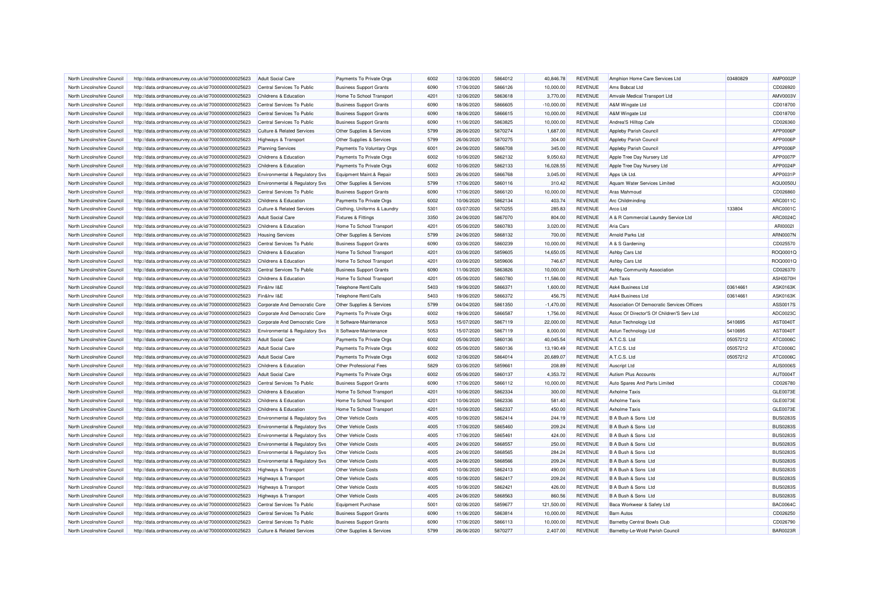| North Lincolnshire Council                               | http://data.ordnancesurvey.co.uk/id/7000000000025623                                                         | <b>Adult Social Care</b>                                | Payments To Private Orgs                   | 6002 | 12/06/2020               | 5864012 | 40.846.78        | <b>REVENUE</b> | Amphion Home Care Services Ltd              | 03480829 | <b>AMP0002F</b>                    |
|----------------------------------------------------------|--------------------------------------------------------------------------------------------------------------|---------------------------------------------------------|--------------------------------------------|------|--------------------------|---------|------------------|----------------|---------------------------------------------|----------|------------------------------------|
| North Lincolnshire Council                               | http://data.ordnancesurvey.co.uk/id/7000000000025623                                                         | Central Services To Public                              | <b>Business Support Grants</b>             | 6090 | 17/06/2020               | 5866126 | 10,000.00        | <b>REVENUE</b> | Ams Bobcat Ltd                              |          | CD026920                           |
| North Lincolnshire Council                               | http://data.ordnancesurvey.co.uk/id/7000000000025623                                                         | Childrens & Education                                   | Home To School Transport                   | 4201 | 12/06/2020               | 5863618 | 3,770.00         | <b>REVENUE</b> | Amvale Medical Transport Ltd                |          | AMV0003\                           |
|                                                          |                                                                                                              |                                                         |                                            |      |                          |         |                  |                |                                             |          |                                    |
| North Lincolnshire Council                               | http://data.ordnancesurvey.co.uk/id/7000000000025623                                                         | Central Services To Public                              | <b>Business Support Grants</b>             | 6090 | 18/06/2020               | 5866605 | $-10,000.00$     | <b>REVENUE</b> | A&M Wingate Ltd                             |          | CD018700                           |
| North Lincolnshire Council                               | http://data.ordnancesurvey.co.uk/id/7000000000025623                                                         | Central Services To Public                              | <b>Business Support Grants</b>             | 6090 | 18/06/2020               | 5866615 | 10,000.00        | <b>REVENUE</b> | A&M Wingate Ltd                             |          | CD018700                           |
| North Lincolnshire Council                               | http://data.ordnancesurvey.co.uk/id/7000000000025623                                                         | Central Services To Public                              | <b>Business Support Grants</b>             | 6090 | 11/06/2020               | 5863825 | 10.000.00        | <b>REVENUE</b> | Andrea'S Hilltop Cafe                       |          | CD026360                           |
| North Lincolnshire Council                               | http://data.ordnancesurvey.co.uk/id/7000000000025623                                                         | <b>Culture &amp; Related Services</b>                   | Other Supplies & Services                  | 5799 | 26/06/2020               | 5870274 | 1,687.00         | <b>REVENUE</b> | Appleby Parish Council                      |          | APP0006F                           |
| North Lincolnshire Council                               | http://data.ordnancesurvey.co.uk/id/7000000000025623                                                         | <b>Highways &amp; Transport</b>                         | Other Supplies & Services                  | 5799 | 26/06/2020               | 5870275 | 304.00           | <b>REVENUE</b> | Appleby Parish Council                      |          | APP0006F                           |
| North Lincolnshire Council                               | http://data.ordnancesurvey.co.uk/id/7000000000025623                                                         | <b>Planning Services</b>                                | Payments To Voluntary Orgs                 | 6001 | 24/06/2020               | 5866708 | 345.00           | <b>REVENUE</b> | Appleby Parish Council                      |          | APP0006F                           |
| North Lincolnshire Council                               | http://data.ordnancesurvey.co.uk/id/7000000000025623                                                         | Childrens & Education                                   | Payments To Private Orgs                   | 6002 | 10/06/2020               | 5862132 | 9,050.63         | <b>REVENUE</b> | Apple Tree Day Nursery Ltd                  |          | APP0007F                           |
| North Lincolnshire Council                               | http://data.ordnancesurvey.co.uk/id/7000000000025623                                                         | Childrens & Education                                   | Payments To Private Orgs                   | 6002 | 10/06/2020               | 5862133 | 16,028.55        | <b>REVENUE</b> | Apple Tree Day Nursery Ltd                  |          | APP0024F                           |
| North Lincolnshire Council                               | http://data.ordnancesurvey.co.uk/id/7000000000025623                                                         | Environmental & Regulatory Svs                          | Equipment Maint.& Repair                   | 5003 | 26/06/2020               | 5866768 | 3.045.00         | <b>REVENUE</b> | Apps Uk Ltd.                                |          | APP0031P                           |
| North Lincolnshire Council                               | http://data.ordnancesurvey.co.uk/id/7000000000025623                                                         | Environmental & Regulatory Svs                          | Other Supplies & Services                  | 5799 | 17/06/2020               | 5860116 | 310.42           | <b>REVENUE</b> | Aquam Water Services Limited                |          | <b>AQU0050L</b>                    |
| North Lincolnshire Council                               | http://data.ordnancesurvey.co.uk/id/7000000000025623                                                         | Central Services To Public                              | <b>Business Support Grants</b>             | 6090 | 17/06/2020               | 5866120 | 10,000.00        | <b>REVENUE</b> | Aras Mahmoud                                |          | CD026860                           |
| North Lincolnshire Council                               | http://data.ordnancesurvey.co.uk/id/7000000000025623                                                         | Childrens & Education                                   | Payments To Private Orgs                   | 6002 | 10/06/2020               | 5862134 | 403.74           | <b>REVENUE</b> | Arc Childminding                            |          | ARC0011C                           |
| North Lincolnshire Council                               | http://data.ordnancesurvey.co.uk/id/7000000000025623                                                         | <b>Culture &amp; Related Services</b>                   | Clothing, Uniforms & Laundry               | 5301 | 03/07/2020               | 5870255 | 285.83           | <b>REVENUE</b> | Arco Ltd                                    | 133804   | ARC0001C                           |
| North Lincolnshire Council                               | http://data.ordnancesurvey.co.uk/id/7000000000025623                                                         | <b>Adult Social Care</b>                                | <b>Fixtures &amp; Fittings</b>             | 3350 | 24/06/2020               | 5867070 | 804.00           | <b>REVENUE</b> | A & R Commercial Laundry Service Ltd        |          | ARC0024C                           |
| North Lincolnshire Council                               | http://data.ordnancesurvey.co.uk/id/7000000000025623                                                         | Childrens & Education                                   | Home To School Transport                   | 4201 | 05/06/2020               | 5860783 | 3,020.00         | <b>REVENUE</b> | Aria Cars                                   |          | ARI00021                           |
| North Lincolnshire Council                               | http://data.ordnancesurvey.co.uk/id/7000000000025623                                                         | <b>Housing Services</b>                                 | Other Supplies & Services                  | 5799 | 24/06/2020               | 5868132 | 700.00           | <b>REVENUE</b> | Arnold Parks Ltd                            |          | ARN0007N                           |
| North Lincolnshire Council                               | http://data.ordnancesurvey.co.uk/id/7000000000025623                                                         | Central Services To Public                              | <b>Business Support Grants</b>             | 6090 | 03/06/2020               | 5860239 | 10,000.00        | <b>REVENUE</b> | A & S Gardening                             |          | CD025570                           |
| North Lincolnshire Council                               | http://data.ordnancesurvey.co.uk/id/7000000000025623                                                         | Childrens & Education                                   | Home To School Transport                   | 4201 | 03/06/2020               | 5859605 | 14,650.05        | <b>REVENUE</b> | Ashby Cars Ltd                              |          | ROQ0001Q                           |
| North Lincolnshire Council                               | http://data.ordnancesurvey.co.uk/id/7000000000025623                                                         | Childrens & Education                                   | Home To School Transport                   | 4201 | 03/06/2020               | 5859606 | 746.67           | <b>REVENUE</b> | Ashby Cars Ltd                              |          | ROQ0001Q                           |
| North Lincolnshire Council                               | http://data.ordnancesurvey.co.uk/id/7000000000025623                                                         | Central Services To Public                              | <b>Business Support Grants</b>             | 6090 | 11/06/2020               | 5863826 | 10,000.00        | <b>REVENUE</b> | Ashby Community Association                 |          | CD026370                           |
|                                                          |                                                                                                              |                                                         |                                            |      |                          |         |                  |                |                                             |          |                                    |
| North Lincolnshire Council                               | http://data.ordnancesurvey.co.uk/id/7000000000025623                                                         | Childrens & Education                                   | Home To School Transport                   | 4201 | 05/06/2020               | 5860780 | 11,586.00        | <b>REVENUE</b> | Ash Taxis                                   |          | ASH0070H                           |
| North Lincolnshire Council                               | http://data.ordnancesurvey.co.uk/id/7000000000025623                                                         | Fin&Inv I&E                                             | Telephone Rent/Calls                       | 5403 | 19/06/2020               | 5866371 | 1,600.00         | <b>REVENUE</b> | Ask4 Business Ltd                           | 03614661 | ASK0163K                           |
| North Lincolnshire Council                               | http://data.ordnancesurvey.co.uk/id/7000000000025623                                                         | Fin&Inv I&E                                             | Telephone Rent/Calls                       | 5403 | 19/06/2020               | 5866372 | 456.75           | <b>REVENUE</b> | Ask4 Business Ltd                           | 03614661 | <b>ASK0163K</b>                    |
| North Lincolnshire Council                               | http://data.ordnancesurvey.co.uk/id/7000000000025623                                                         | Corporate And Democratic Core                           | Other Supplies & Services                  | 5799 | 04/04/2020               | 5861350 | $-1,470.00$      | <b>REVENUE</b> | Association Of Democratic Services Officers |          | ASS0017S                           |
| North Lincolnshire Council                               | http://data.ordnancesurvey.co.uk/id/7000000000025623                                                         | Corporate And Democratic Core                           | Payments To Private Orgs                   | 6002 | 19/06/2020               | 5866587 | 1,756.00         | <b>REVENUE</b> | Assoc Of Director'S Of Children'S Serv Ltd  |          | ADC0023C                           |
| North Lincolnshire Council                               | http://data.ordnancesurvey.co.uk/id/7000000000025623                                                         | Corporate And Democratic Core                           | It Software-Maintenance                    | 5053 | 15/07/2020               | 5867119 | 22,000.00        | <b>REVENUE</b> | Astun Technology Ltd                        | 5410695  | AST0040T                           |
| North Lincolnshire Council                               | http://data.ordnancesurvey.co.uk/id/7000000000025623                                                         | Environmental & Regulatory Svs                          | It Software-Maintenance                    | 5053 | 15/07/2020               | 5867119 | 8,000.00         | <b>REVENUE</b> | Astun Technology Ltd                        | 5410695  | AST00407                           |
| North Lincolnshire Council                               | http://data.ordnancesurvey.co.uk/id/7000000000025623                                                         | <b>Adult Social Care</b>                                | Payments To Private Orgs                   | 6002 | 05/06/2020               | 5860136 | 40,045.54        | <b>REVENUE</b> | A.T.C.S. Ltd                                | 05057212 | ATC0006C                           |
| North Lincolnshire Council                               | http://data.ordnancesurvey.co.uk/id/7000000000025623                                                         | <b>Adult Social Care</b>                                | Payments To Private Orgs                   | 6002 | 05/06/2020               | 5860136 | 13,190.49        | <b>REVENUE</b> | A.T.C.S. Ltd                                | 05057212 | ATC00060                           |
| North Lincolnshire Council                               | http://data.ordnancesurvey.co.uk/id/7000000000025623                                                         | <b>Adult Social Care</b>                                | Payments To Private Orgs                   | 6002 | 12/06/2020               | 5864014 | 20,689.07        | <b>REVENUE</b> | A.T.C.S. Ltd                                | 05057212 | ATC0006C                           |
| North Lincolnshire Council                               | http://data.ordnancesurvey.co.uk/id/7000000000025623                                                         | Childrens & Education                                   | Other Professional Fees                    | 5829 | 03/06/2020               | 5859661 | 208.89           | <b>REVENUE</b> | Auscript Ltd                                |          | <b>AUS0006S</b>                    |
| North Lincolnshire Council                               | http://data.ordnancesurvey.co.uk/id/7000000000025623                                                         | <b>Adult Social Care</b>                                | Payments To Private Orgs                   | 6002 | 05/06/2020               | 5860137 | 4,353.72         | <b>REVENUE</b> | Autism Plus Accounts                        |          | AUT00041                           |
| North Lincolnshire Council                               | http://data.ordnancesurvey.co.uk/id/7000000000025623                                                         | Central Services To Public                              | <b>Business Support Grants</b>             | 6090 | 17/06/2020               | 5866112 | 10,000.00        | <b>REVENUE</b> | Auto Spares And Parts Limited               |          | CD026780                           |
| North Lincolnshire Council                               | http://data.ordnancesurvey.co.uk/id/7000000000025623                                                         | Childrens & Education                                   | Home To School Transport                   | 4201 | 10/06/2020               | 5862334 | 300.00           | <b>REVENUE</b> | <b>Axholme Taxis</b>                        |          | GLE0073E                           |
| North Lincolnshire Council                               | http://data.ordnancesurvey.co.uk/id/7000000000025623                                                         | Childrens & Education                                   | Home To School Transport                   | 4201 | 10/06/2020               | 5862336 | 581.40           | <b>REVENUE</b> | <b>Axholme Taxis</b>                        |          | GLE0073E                           |
| North Lincolnshire Council                               | http://data.ordnancesurvey.co.uk/id/7000000000025623                                                         | Childrens & Education                                   | Home To School Transport                   | 4201 | 10/06/2020               | 5862337 | 450.00           | <b>REVENUE</b> | <b>Axholme Taxis</b>                        |          | GLE0073E                           |
| North Lincolnshire Council                               | http://data.ordnancesurvey.co.uk/id/7000000000025623                                                         | Environmental & Regulatory Svs                          | <b>Other Vehicle Costs</b>                 | 4005 | 10/06/2020               | 5862414 | 244.19           | <b>REVENUE</b> | B A Bush & Sons Ltd                         |          | <b>BUS0283S</b>                    |
| North Lincolnshire Council                               | http://data.ordnancesurvey.co.uk/id/7000000000025623                                                         | Environmental & Regulatory Svs                          | <b>Other Vehicle Costs</b>                 | 4005 | 17/06/2020               | 5865460 | 209.24           | <b>REVENUE</b> | B A Bush & Sons Ltd                         |          | <b>BUS0283S</b>                    |
| North Lincolnshire Council                               | http://data.ordnancesurvey.co.uk/id/7000000000025623                                                         | Environmental & Regulatory Svs                          | Other Vehicle Costs                        | 4005 | 17/06/2020               | 5865461 | 424.00           | <b>REVENUE</b> | B A Bush & Sons Ltd                         |          | <b>BUS02839</b>                    |
| North Lincolnshire Council                               | http://data.ordnancesurvey.co.uk/id/7000000000025623                                                         | <b>Environmental &amp; Regulatory Svs</b>               | Other Vehicle Costs                        | 4005 | 24/06/2020               | 5868557 | 250.00           | <b>REVENUE</b> | B A Bush & Sons Ltd                         |          | <b>BUS0283S</b>                    |
| North Lincolnshire Council                               | http://data.ordnancesurvey.co.uk/id/7000000000025623                                                         | Environmental & Regulatory Svs                          | <b>Other Vehicle Costs</b>                 | 4005 | 24/06/2020               | 5868565 | 284.24           | <b>REVENUE</b> | B A Bush & Sons Ltd                         |          | <b>BUS02835</b>                    |
| North Lincolnshire Council                               | http://data.ordnancesurvey.co.uk/id/7000000000025623                                                         | Environmental & Regulatory Svs                          | Other Vehicle Costs                        | 4005 | 24/06/2020               | 5868566 | 209.24           | <b>REVENUE</b> | B A Bush & Sons Ltd                         |          | <b>BUS0283S</b>                    |
| North Lincolnshire Council                               | http://data.ordnancesurvey.co.uk/id/7000000000025623                                                         | <b>Highways &amp; Transport</b>                         | <b>Other Vehicle Costs</b>                 | 4005 | 10/06/2020               | 5862413 | 490.00           | <b>REVENUE</b> | B A Bush & Sons Ltd                         |          | <b>BUS0283S</b>                    |
|                                                          |                                                                                                              |                                                         |                                            | 4005 |                          | 5862417 |                  | <b>REVENUE</b> |                                             |          |                                    |
| North Lincolnshire Council<br>North Lincolnshire Council | http://data.ordnancesurvey.co.uk/id/7000000000025623<br>http://data.ordnancesurvey.co.uk/id/7000000000025623 | Highways & Transport<br><b>Highways &amp; Transport</b> | Other Vehicle Costs<br>Other Vehicle Costs | 4005 | 10/06/2020<br>10/06/2020 | 5862421 | 209.24<br>426.00 | <b>REVENUE</b> | B A Bush & Sons Ltd<br>B A Bush & Sons Ltd  |          | <b>BUS0283S</b><br><b>BUS0283S</b> |
|                                                          |                                                                                                              |                                                         |                                            |      |                          |         |                  |                |                                             |          |                                    |
| North Lincolnshire Council                               | http://data.ordnancesurvey.co.uk/id/7000000000025623                                                         | <b>Highways &amp; Transport</b>                         | Other Vehicle Costs                        | 4005 | 24/06/2020               | 5868563 | 860.56           | <b>REVENUE</b> | B A Bush & Sons Ltd                         |          | <b>BUS0283S</b>                    |
| North Lincolnshire Council                               | http://data.ordnancesurvey.co.uk/id/7000000000025623                                                         | Central Services To Public                              | Equipment Purchase                         | 5001 | 02/06/2020               | 5859677 | 121,500.00       | <b>REVENUE</b> | Baca Workwear & Safety Ltd                  |          | <b>BAC0064C</b>                    |
| North Lincolnshire Council                               | http://data.ordnancesurvey.co.uk/id/7000000000025623                                                         | Central Services To Public                              | <b>Business Support Grants</b>             | 6090 | 11/06/2020               | 5863814 | 10,000.00        | <b>REVENUE</b> | <b>Barn Autos</b>                           |          | CD026250                           |
| North Lincolnshire Council                               | http://data.ordnancesurvey.co.uk/id/7000000000025623                                                         | Central Services To Public                              | <b>Business Support Grants</b>             | 6090 | 17/06/2020               | 5866113 | 10,000.00        | <b>REVENUE</b> | Barnetby Central Bowls Club                 |          | CD026790                           |
| North Lincolnshire Council                               | http://data.ordnancesurvey.co.uk/id/7000000000025623                                                         | <b>Culture &amp; Related Services</b>                   | Other Supplies & Services                  | 5799 | 26/06/2020               | 5870277 | 2.407.00         | <b>REVENUE</b> | Barnetby-Le-Wold Parish Council             |          | <b>BAR0023R</b>                    |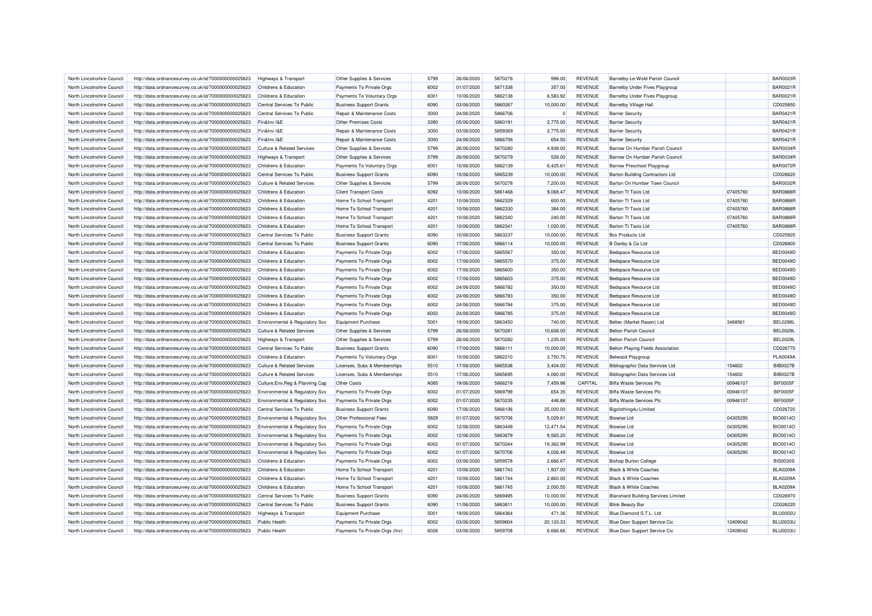| North Lincolnshire Council | http://data.ordnancesurvey.co.uk/id/7000000000025623 | Highways & Transport                      | Other Supplies & Services      | 5799 | 26/06/2020 | 5870276 | 998.00    | <b>REVENUE</b> | Barnetby-Le-Wold Parish Council            |          | <b>BAR0023R</b> |
|----------------------------|------------------------------------------------------|-------------------------------------------|--------------------------------|------|------------|---------|-----------|----------------|--------------------------------------------|----------|-----------------|
| North Lincolnshire Council | http://data.ordnancesurvey.co.uk/id/7000000000025623 | Childrens & Education                     | Payments To Private Orgs       | 6002 | 01/07/2020 | 5871338 | 357.00    | <b>REVENUE</b> | <b>Barnetby Under Fives Playgroup</b>      |          | <b>BAR0021F</b> |
| North Lincolnshire Council | http://data.ordnancesurvey.co.uk/id/7000000000025623 | Childrens & Education                     | Payments To Voluntary Orgs     | 6001 | 10/06/2020 | 5862138 | 6,583.92  | <b>REVENUE</b> | Barnetby Under Fives Playgroup             |          | <b>BAR0021R</b> |
| North Lincolnshire Council | http://data.ordnancesurvey.co.uk/id/7000000000025623 | Central Services To Public                | <b>Business Support Grants</b> | 6090 | 03/06/2020 | 5860267 | 10,000.00 | <b>REVENUE</b> | <b>Barnetby Village Hall</b>               |          | CD025850        |
| North Lincolnshire Council | http://data.ordnancesurvey.co.uk/id/7000000000025623 | Central Services To Public                | Repair & Maintenance Costs     | 3000 | 24/06/2020 | 5866706 |           | <b>REVENUE</b> | <b>Barrier Security</b>                    |          | <b>BAR0421R</b> |
| North Lincolnshire Council | http://data.ordnancesurvey.co.uk/id/7000000000025623 | Fin&Inv I&E                               | <b>Other Premises Costs</b>    | 3390 | 05/06/2020 | 5860191 | 2,775.00  | <b>REVENUE</b> | <b>Barrier Security</b>                    |          | <b>BAR0421R</b> |
| North Lincolnshire Council | http://data.ordnancesurvey.co.uk/id/7000000000025623 | Fin&Inv I&E                               | Repair & Maintenance Costs     | 3000 | 03/06/2020 | 5859369 | 2,775.00  | <b>REVENUE</b> | <b>Barrier Security</b>                    |          | <b>BAR0421R</b> |
| North Lincolnshire Council | http://data.ordnancesurvey.co.uk/id/7000000000025623 | Fin&Inv I&E                               | Repair & Maintenance Costs     | 3000 | 24/06/2020 | 5866706 | 654.50    | <b>REVENUE</b> | <b>Barrier Security</b>                    |          | <b>BAR0421F</b> |
| North Lincolnshire Council | http://data.ordnancesurvey.co.uk/id/7000000000025623 | <b>Culture &amp; Related Services</b>     | Other Supplies & Services      | 5799 | 26/06/2020 | 5870280 | 4,938.00  | <b>REVENUE</b> | Barrow On Humber Parish Council            |          | <b>BAR0034R</b> |
| North Lincolnshire Council | http://data.ordnancesurvey.co.uk/id/7000000000025623 | <b>Highways &amp; Transport</b>           | Other Supplies & Services      | 5799 | 26/06/2020 | 5870279 | 528.00    | <b>REVENUE</b> | Barrow On Humber Parish Council            |          | <b>BAR0034R</b> |
| North Lincolnshire Council | http://data.ordnancesurvey.co.uk/id/7000000000025623 | Childrens & Education                     | Payments To Voluntary Orgs     | 6001 | 10/06/2020 | 5862139 | 6,425.61  | <b>REVENUE</b> | <b>Barrow Preschool Playgroup</b>          |          | <b>BAR0072R</b> |
| North Lincolnshire Council | http://data.ordnancesurvey.co.uk/id/7000000000025623 | Central Services To Public                | <b>Business Support Grants</b> | 6090 | 15/06/2020 | 5865239 | 10,000.00 | <b>REVENUE</b> | <b>Barton Building Contractors Ltd</b>     |          | CD026620        |
| North Lincolnshire Council | http://data.ordnancesurvey.co.uk/id/7000000000025623 | <b>Culture &amp; Related Services</b>     | Other Supplies & Services      | 5799 | 26/06/2020 | 5870278 | 7,200.00  | <b>REVENUE</b> | Barton On Humber Town Council              |          | <b>BAR0032R</b> |
| North Lincolnshire Council | http://data.ordnancesurvey.co.uk/id/7000000000025623 | Childrens & Education                     | <b>Client Transport Costs</b>  | 6092 | 10/06/2020 | 5861468 | 9,068.47  | <b>REVENUE</b> | <b>Barton Tt Taxis Ltd</b>                 | 07405760 | <b>BAR0888R</b> |
| North Lincolnshire Council | http://data.ordnancesurvey.co.uk/id/7000000000025623 | Childrens & Education                     | Home To School Transport       | 4201 | 10/06/2020 | 5862329 | 600.00    | <b>REVENUE</b> | <b>Barton Tt Taxis Ltd</b>                 | 07405760 | <b>BAR0888R</b> |
| North Lincolnshire Council | http://data.ordnancesurvey.co.uk/id/7000000000025623 | Childrens & Education                     | Home To School Transport       | 4201 | 10/06/2020 | 5862330 | 384.00    | <b>REVENUE</b> | <b>Barton Tt Taxis Ltd</b>                 | 07405760 | <b>BAR0888R</b> |
| North Lincolnshire Council | http://data.ordnancesurvey.co.uk/id/7000000000025623 | Childrens & Education                     | Home To School Transport       | 4201 | 10/06/2020 | 5862340 | 240.00    | <b>REVENUE</b> | <b>Barton Tt Taxis Ltd</b>                 | 07405760 | <b>BAR0888R</b> |
| North Lincolnshire Council | http://data.ordnancesurvey.co.uk/id/7000000000025623 | Childrens & Education                     | Home To School Transport       | 4201 | 10/06/2020 | 5862341 | 1,020.00  | <b>REVENUE</b> | <b>Barton Tt Taxis Ltd</b>                 | 07405760 | <b>BAR0888R</b> |
|                            |                                                      |                                           |                                |      |            |         |           |                |                                            |          |                 |
| North Lincolnshire Council | http://data.ordnancesurvey.co.uk/id/7000000000025623 | Central Services To Public                | <b>Business Support Grants</b> | 6090 | 10/06/2020 | 5863237 | 10,000.00 | <b>REVENUE</b> | <b>Bcs Products Ltd</b>                    |          | CD025920        |
| North Lincolnshire Council | http://data.ordnancesurvey.co.uk/id/7000000000025623 | Central Services To Public                | <b>Business Support Grants</b> | 6090 | 17/06/2020 | 5866114 | 10,000.00 | <b>REVENUE</b> | B Danby & Co Ltd                           |          | CD026800        |
| North Lincolnshire Council | http://data.ordnancesurvey.co.uk/id/7000000000025623 | Childrens & Education                     | Payments To Private Orgs       | 6002 | 17/06/2020 | 5865567 | 350.00    | <b>REVENUE</b> | Bedspace Resource Ltd                      |          | <b>BED0049D</b> |
| North Lincolnshire Council | http://data.ordnancesurvey.co.uk/id/7000000000025623 | Childrens & Education                     | Payments To Private Orgs       | 6002 | 17/06/2020 | 5865570 | 375.00    | <b>REVENUE</b> | Bedspace Resource Ltd                      |          | <b>BED0049D</b> |
| North Lincolnshire Council | http://data.ordnancesurvey.co.uk/id/7000000000025623 | Childrens & Education                     | Payments To Private Orgs       | 6002 | 17/06/2020 | 5865600 | 350.00    | <b>REVENUE</b> | Bedspace Resource Ltd                      |          | <b>BED0049D</b> |
| North Lincolnshire Council | http://data.ordnancesurvey.co.uk/id/7000000000025623 | Childrens & Education                     | Payments To Private Orgs       | 6002 | 17/06/2020 | 5865603 | 375.00    | <b>REVENUE</b> | <b>Bedspace Resource Ltd</b>               |          | BED0049D        |
| North Lincolnshire Council | http://data.ordnancesurvey.co.uk/id/7000000000025623 | Childrens & Education                     | Payments To Private Orgs       | 6002 | 24/06/2020 | 5866782 | 350.00    | <b>REVENUE</b> | Bedspace Resource Ltd                      |          | <b>BED0049D</b> |
| North Lincolnshire Council | http://data.ordnancesurvey.co.uk/id/7000000000025623 | Childrens & Education                     | Payments To Private Orgs       | 6002 | 24/06/2020 | 5866783 | 350.00    | <b>REVENUE</b> | Bedspace Resource Ltd                      |          | <b>BED0049D</b> |
| North Lincolnshire Council | http://data.ordnancesurvey.co.uk/id/7000000000025623 | Childrens & Education                     | Payments To Private Orgs       | 6002 | 24/06/2020 | 5866784 | 375.00    | <b>REVENUE</b> | Bedspace Resource Ltd                      |          | <b>BED0049D</b> |
| North Lincolnshire Council | http://data.ordnancesurvey.co.uk/id/7000000000025623 | Childrens & Education                     | Payments To Private Orgs       | 6002 | 24/06/2020 | 5866785 | 375.00    | <b>REVENUE</b> | Bedspace Resource Ltd                      |          | <b>BED0049D</b> |
| North Lincolnshire Council | http://data.ordnancesurvey.co.uk/id/7000000000025623 | Environmental & Regulatory Svs            | <b>Equipment Purchase</b>      | 5001 | 19/06/2020 | 5863450 | 740.00    | <b>REVENUE</b> | Beltec (Market Rasen) Ltd                  | 3468561  | <b>BEL0298L</b> |
| North Lincolnshire Council | http://data.ordnancesurvey.co.uk/id/7000000000025623 | <b>Culture &amp; Related Services</b>     | Other Supplies & Services      | 5799 | 26/06/2020 | 5870281 | 10,608.00 | <b>REVENUE</b> | <b>Belton Parish Council</b>               |          | <b>BEL0029L</b> |
| North Lincolnshire Council | http://data.ordnancesurvey.co.uk/id/7000000000025623 | <b>Highways &amp; Transport</b>           | Other Supplies & Services      | 5799 | 26/06/2020 | 5870282 | 1,235.00  | <b>REVENUE</b> | <b>Belton Parish Council</b>               |          | <b>BEL0029L</b> |
| North Lincolnshire Council | http://data.ordnancesurvey.co.uk/id/7000000000025623 | Central Services To Public                | <b>Business Support Grants</b> | 6090 | 17/06/2020 | 5866111 | 10,000.00 | <b>REVENUE</b> | Belton Playing Fields Association          |          | CD026770        |
| North Lincolnshire Council | http://data.ordnancesurvey.co.uk/id/7000000000025623 | Childrens & Education                     | Payments To Voluntary Orgs     | 6001 | 10/06/2020 | 5862210 | 3,750.75  | <b>REVENUE</b> | <b>Belwood Playgroup</b>                   |          | <b>PLA0049A</b> |
| North Lincolnshire Council | http://data.ordnancesurvey.co.uk/id/7000000000025623 | <b>Culture &amp; Related Services</b>     | Licenses, Subs & Memberships   | 5510 | 17/06/2020 | 5865538 | 3.404.00  | <b>REVENUE</b> | <b>Bibliographic Data Services Ltd</b>     | 154602   | <b>BIB0027B</b> |
| North Lincolnshire Council | http://data.ordnancesurvey.co.uk/id/7000000000025623 | <b>Culture &amp; Related Services</b>     | Licenses, Subs & Memberships   | 5510 | 17/06/2020 | 5865695 | 4,060.00  | <b>REVENUE</b> | Bibliographic Data Services Ltd            | 154602   | <b>BIB0027B</b> |
| North Lincolnshire Council | http://data.ordnancesurvey.co.uk/id/7000000000025623 | Culture, Env, Reg & Planning Cap          | Other Costs                    | A085 | 19/06/2020 | 5866219 | 7,459.98  | CAPITAL        | <b>Biffa Waste Services Plc</b>            | 00946107 | BIF0005F        |
| North Lincolnshire Council | http://data.ordnancesurvey.co.uk/id/7000000000025623 | Environmental & Regulatory Svs            | Payments To Private Orgs       | 6002 | 01/07/2020 | 5869799 | 654.35    | <b>REVENUE</b> | <b>Biffa Waste Services Plc</b>            | 00946107 | BIF0005F        |
| North Lincolnshire Council | http://data.ordnancesurvey.co.uk/id/7000000000025623 | Environmental & Regulatory Svs            | Payments To Private Orgs       | 6002 | 01/07/2020 | 5870235 | 446.88    | <b>REVENUE</b> | <b>Biffa Waste Services Plc</b>            | 00946107 | BIF0005F        |
| North Lincolnshire Council | http://data.ordnancesurvey.co.uk/id/7000000000025623 | Central Services To Public                | <b>Business Support Grants</b> | 6090 | 17/06/2020 | 5866106 | 25,000.00 | <b>REVENUE</b> | Bigclothing4u Limited                      |          | CD026720        |
| North Lincolnshire Council | http://data.ordnancesurvey.co.uk/id/7000000000025623 | <b>Environmental &amp; Regulatory Svs</b> | Other Professional Fees        | 5829 | 01/07/2020 | 5870706 | 5.029.81  | <b>REVENUE</b> | <b>Biowise Ltd</b>                         | 04305295 | <b>BIO0014O</b> |
| North Lincolnshire Council | http://data.ordnancesurvey.co.uk/id/7000000000025623 | Environmental & Regulatory Svs            | Payments To Private Orgs       | 6002 | 12/06/2020 | 5863449 | 12,471.54 | <b>REVENUE</b> | <b>Biowise Ltd</b>                         | 04305295 | <b>BIO0014O</b> |
| North Lincolnshire Council | http://data.ordnancesurvey.co.uk/id/7000000000025623 | Environmental & Regulatory Svs            | Payments To Private Orgs       | 6002 | 12/06/2020 | 5863679 | 9,565.20  | <b>REVENUE</b> | <b>Biowise Ltd</b>                         | 04305295 | <b>BIO0014O</b> |
| North Lincolnshire Council | http://data.ordnancesurvey.co.uk/id/7000000000025623 | Environmental & Regulatory Svs            | Payments To Private Orgs       | 6002 | 01/07/2020 | 5870244 | 19,362.99 | <b>REVENUE</b> | <b>Biowise Ltd</b>                         | 04305295 | <b>BIO0014O</b> |
| North Lincolnshire Council | http://data.ordnancesurvey.co.uk/id/7000000000025623 | Environmental & Regulatory Svs            | Payments To Private Orgs       | 6002 | 01/07/2020 | 5870706 | 4,026.49  | REVENUE        | <b>Biowise Ltd</b>                         | 04305295 | <b>BIO0014O</b> |
| North Lincolnshire Council | http://data.ordnancesurvey.co.uk/id/7000000000025623 | Childrens & Education                     | Payments To Private Orgs       | 6002 | 03/06/2020 | 5859578 | 2,666.67  | <b>REVENUE</b> | <b>Bishop Burton College</b>               |          | <b>BIS0030S</b> |
| North Lincolnshire Council | http://data.ordnancesurvey.co.uk/id/7000000000025623 | <b>Childrens &amp; Education</b>          | Home To School Transport       | 4201 | 10/06/2020 | 5861743 | 1,937.00  | <b>REVENUE</b> | <b>Black &amp; White Coaches</b>           |          | <b>BLA0209A</b> |
| North Lincolnshire Council | http://data.ordnancesurvey.co.uk/id/7000000000025623 | Childrens & Education                     | Home To School Transport       | 4201 | 10/06/2020 | 5861744 | 2,860.00  | <b>REVENUE</b> | <b>Black &amp; White Coaches</b>           |          | <b>BLA0209A</b> |
| North Lincolnshire Council | http://data.ordnancesurvey.co.uk/id/7000000000025623 | <b>Childrens &amp; Education</b>          | Home To School Transport       | 4201 | 10/06/2020 | 5861745 | 2,000.55  | <b>REVENUE</b> | <b>Black &amp; White Coaches</b>           |          | <b>BLA0209A</b> |
| North Lincolnshire Council | http://data.ordnancesurvey.co.uk/id/7000000000025623 | Central Services To Public                | <b>Business Support Grants</b> | 6090 | 24/06/2020 | 5869495 | 10,000.00 | <b>REVENUE</b> | <b>Blanshard Building Services Limited</b> |          | CD026970        |
| North Lincolnshire Council | http://data.ordnancesurvey.co.uk/id/7000000000025623 | Central Services To Public                | <b>Business Support Grants</b> | 6090 | 11/06/2020 | 5863811 | 10,000.00 | <b>REVENUE</b> | <b>Blink Beauty Bar</b>                    |          | CD026220        |
| North Lincolnshire Council | http://data.ordnancesurvey.co.uk/id/7000000000025623 | Highways & Transport                      | <b>Equipment Purchase</b>      | 5001 | 19/06/2020 | 5864364 | 471.36    | <b>REVENUE</b> | Blue Diamond S.T.L. Ltd                    |          | <b>BLU0002U</b> |
| North Lincolnshire Council | http://data.ordnancesurvey.co.uk/id/7000000000025623 | <b>Public Health</b>                      | Payments To Private Orgs       | 6002 | 03/06/2020 | 5859604 | 20,133.33 | <b>REVENUE</b> | Blue Door Support Service Cic              | 12409042 | BLU0033U        |
| North Lincolnshire Council | http://data.ordnancesurvey.co.uk/id/7000000000025623 | <b>Public Health</b>                      | Payments To Private Orgs (Inv) | 6026 | 03/06/2020 | 5859708 | 6,666.66  | <b>REVENUE</b> | Blue Door Support Service Cic              | 12409042 | BLU0033U        |
|                            |                                                      |                                           |                                |      |            |         |           |                |                                            |          |                 |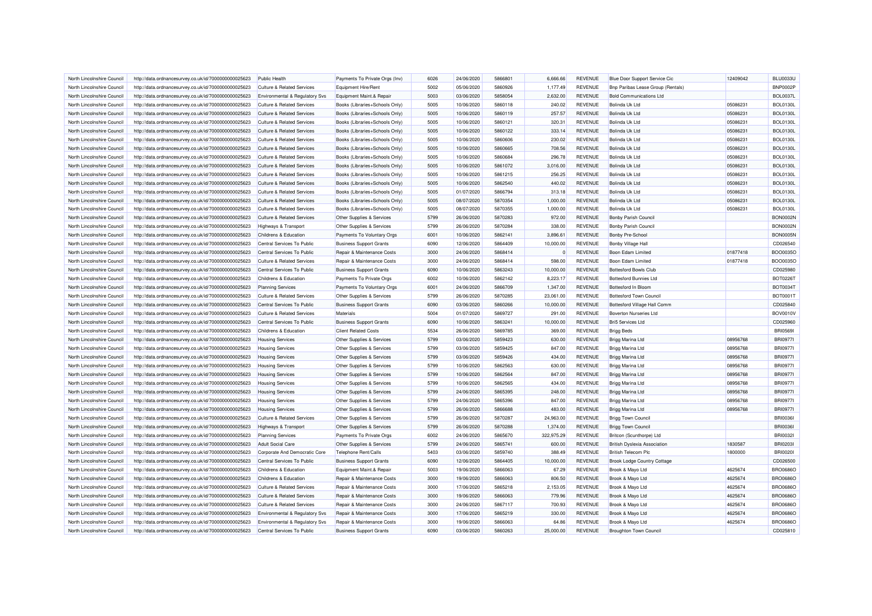| North Lincolnshire Council | http://data.ordnancesurvey.co.uk/id/7000000000025623 | <b>Public Health</b>                      | Payments To Private Orgs (Inv) | 6026 | 24/06/2020 | 5866801 | 6,666.66   | <b>REVENUE</b> | Blue Door Support Service Cic       | 12409042 | <b>BLU0033U</b> |
|----------------------------|------------------------------------------------------|-------------------------------------------|--------------------------------|------|------------|---------|------------|----------------|-------------------------------------|----------|-----------------|
| North Lincolnshire Council | http://data.ordnancesurvey.co.uk/id/7000000000025623 | <b>Culture &amp; Related Services</b>     | Equipment Hire/Rent            | 5002 | 05/06/2020 | 5860926 | 1,177.49   | <b>REVENUE</b> | Bnp Paribas Lease Group (Rentals)   |          | <b>BNP0002P</b> |
| North Lincolnshire Council | http://data.ordnancesurvey.co.uk/id/7000000000025623 | Environmental & Regulatory Svs            | Equipment Maint.& Repair       | 5003 | 03/06/2020 | 5858054 | 2,632.00   | <b>REVENUE</b> | <b>Bold Communications Ltd</b>      |          | <b>BOL0037L</b> |
| North Lincolnshire Council | http://data.ordnancesurvey.co.uk/id/7000000000025623 | <b>Culture &amp; Related Services</b>     | Books (Libraries+Schools Only) | 5005 | 10/06/2020 | 5860118 | 240.02     | <b>REVENUE</b> | <b>Bolinda Uk Ltd</b>               | 05086231 | <b>BOL0130L</b> |
| North Lincolnshire Council | http://data.ordnancesurvey.co.uk/id/7000000000025623 | Culture & Related Services                | Books (Libraries+Schools Only) | 5005 | 10/06/2020 | 5860119 | 257.57     | <b>REVENUE</b> | Bolinda Uk Ltd                      | 05086231 | <b>BOL0130L</b> |
| North Lincolnshire Council | http://data.ordnancesurvey.co.uk/id/7000000000025623 | <b>Culture &amp; Related Services</b>     | Books (Libraries+Schools Only) | 5005 | 10/06/2020 | 5860121 | 320.31     | <b>REVENUE</b> | Bolinda Uk Ltd                      | 05086231 | <b>BOL0130L</b> |
| North Lincolnshire Council | http://data.ordnancesurvey.co.uk/id/7000000000025623 | <b>Culture &amp; Related Services</b>     | Books (Libraries+Schools Only) | 5005 | 10/06/2020 | 5860122 | 333.14     | <b>REVENUE</b> | <b>Bolinda Uk Ltd</b>               | 05086231 | <b>BOL0130L</b> |
| North Lincolnshire Council | http://data.ordnancesurvey.co.uk/id/7000000000025623 | <b>Culture &amp; Related Services</b>     | Books (Libraries+Schools Only) | 5005 | 10/06/2020 | 5860606 | 230.02     | <b>REVENUE</b> | <b>Bolinda Uk Ltd</b>               | 05086231 | <b>BOL0130L</b> |
| North Lincolnshire Council | http://data.ordnancesurvey.co.uk/id/7000000000025623 | <b>Culture &amp; Related Services</b>     | Books (Libraries+Schools Only) | 5005 | 10/06/2020 | 5860665 | 708.56     | <b>REVENUE</b> | Bolinda Uk Ltd                      | 05086231 | <b>BOL0130L</b> |
| North Lincolnshire Council | http://data.ordnancesurvey.co.uk/id/7000000000025623 | <b>Culture &amp; Related Services</b>     | Books (Libraries+Schools Only) | 5005 | 10/06/2020 | 5860684 | 296.78     | <b>REVENUE</b> | Bolinda Uk Ltd                      | 05086231 | <b>BOL0130L</b> |
| North Lincolnshire Council |                                                      | <b>Culture &amp; Related Services</b>     |                                | 5005 | 10/06/2020 | 5861072 | 3,016.00   | <b>REVENUE</b> | Bolinda Uk Ltd                      | 05086231 | <b>BOL0130L</b> |
|                            | http://data.ordnancesurvey.co.uk/id/7000000000025623 |                                           | Books (Libraries+Schools Only) |      |            |         |            |                |                                     |          |                 |
| North Lincolnshire Council | http://data.ordnancesurvey.co.uk/id/7000000000025623 | <b>Culture &amp; Related Services</b>     | Books (Libraries+Schools Only) | 5005 | 10/06/2020 | 5861215 | 256.25     | <b>REVENUE</b> | <b>Bolinda Uk Ltd</b>               | 05086231 | <b>BOL0130L</b> |
| North Lincolnshire Council | http://data.ordnancesurvey.co.uk/id/7000000000025623 | Culture & Related Services                | Books (Libraries+Schools Only) | 5005 | 10/06/2020 | 5862540 | 440.02     | <b>REVENUE</b> | Bolinda Uk Ltd                      | 05086231 | <b>BOL0130L</b> |
| North Lincolnshire Council | http://data.ordnancesurvey.co.uk/id/7000000000025623 | <b>Culture &amp; Related Services</b>     | Books (Libraries+Schools Only) | 5005 | 01/07/2020 | 5866794 | 313.18     | <b>REVENUE</b> | Bolinda Uk Ltd                      | 05086231 | <b>BOL0130L</b> |
| North Lincolnshire Council | http://data.ordnancesurvey.co.uk/id/7000000000025623 | <b>Culture &amp; Related Services</b>     | Books (Libraries+Schools Only) | 5005 | 08/07/2020 | 5870354 | 1,000.00   | <b>REVENUE</b> | <b>Bolinda Uk Ltd</b>               | 05086231 | <b>BOL0130L</b> |
| North Lincolnshire Council | http://data.ordnancesurvey.co.uk/id/7000000000025623 | <b>Culture &amp; Related Services</b>     | Books (Libraries+Schools Only) | 5005 | 08/07/2020 | 5870355 | 1,000.00   | <b>REVENUE</b> | Bolinda Uk Ltd                      | 05086231 | <b>BOL0130L</b> |
| North Lincolnshire Council | http://data.ordnancesurvey.co.uk/id/7000000000025623 | <b>Culture &amp; Related Services</b>     | Other Supplies & Services      | 5799 | 26/06/2020 | 5870283 | 972.00     | <b>REVENUE</b> | <b>Bonby Parish Council</b>         |          | <b>BON0002N</b> |
| North Lincolnshire Council | http://data.ordnancesurvey.co.uk/id/7000000000025623 | <b>Highways &amp; Transport</b>           | Other Supplies & Services      | 5799 | 26/06/2020 | 5870284 | 338.00     | <b>REVENUE</b> | <b>Bonby Parish Counci</b>          |          | <b>BON0002N</b> |
| North Lincolnshire Council | http://data.ordnancesurvey.co.uk/id/7000000000025623 | Childrens & Education                     | Payments To Voluntary Orgs     | 6001 | 10/06/2020 | 5862141 | 3,896.61   | <b>REVENUE</b> | <b>Bonby Pre-School</b>             |          | <b>BON0005N</b> |
| North Lincolnshire Council | http://data.ordnancesurvey.co.uk/id/7000000000025623 | Central Services To Public                | <b>Business Support Grants</b> | 6090 | 12/06/2020 | 5864409 | 10.000.00  | <b>REVENUE</b> | <b>Bonby Village Hall</b>           |          | CD026540        |
| North Lincolnshire Council | http://data.ordnancesurvey.co.uk/id/7000000000025623 | Central Services To Public                | Repair & Maintenance Costs     | 3000 | 24/06/2020 | 5868414 | $^{\circ}$ | <b>REVENUE</b> | Boon Edam Limited                   | 01877418 | BOO0035C        |
| North Lincolnshire Council | http://data.ordnancesurvey.co.uk/id/7000000000025623 | Culture & Related Services                | Repair & Maintenance Costs     | 3000 | 24/06/2020 | 5868414 | 598.00     | <b>REVENUE</b> | Boon Edam Limited                   | 01877418 | BOO0035O        |
| North Lincolnshire Council | http://data.ordnancesurvey.co.uk/id/7000000000025623 | Central Services To Public                | <b>Business Support Grants</b> | 6090 | 10/06/2020 | 5863243 | 10.000.00  | <b>REVENUE</b> | <b>Bottesford Bowls Club</b>        |          | CD025980        |
| North Lincolnshire Council | http://data.ordnancesurvey.co.uk/id/7000000000025623 | Childrens & Education                     | Payments To Private Orgs       | 6002 | 10/06/2020 | 5862142 | 8,223.17   | <b>REVENUE</b> | <b>Bottesford Bunnies Ltd</b>       |          | <b>BOT0226T</b> |
| North Lincolnshire Council | http://data.ordnancesurvey.co.uk/id/7000000000025623 | <b>Planning Services</b>                  | Payments To Voluntary Orgs     | 6001 | 24/06/2020 | 5866709 | 1,347.00   | <b>REVENUE</b> | Bottesford In Bloom                 |          | <b>BOT0034T</b> |
| North Lincolnshire Council | http://data.ordnancesurvey.co.uk/id/7000000000025623 | <b>Culture &amp; Related Services</b>     | Other Supplies & Services      | 5799 | 26/06/2020 | 5870285 | 23,061.00  | <b>REVENUE</b> | <b>Bottesford Town Council</b>      |          | BOT0001T        |
| North Lincolnshire Council | http://data.ordnancesurvey.co.uk/id/7000000000025623 | Central Services To Public                | <b>Business Support Grants</b> | 6090 | 03/06/2020 | 5860266 | 10,000.00  | <b>REVENUE</b> | Bottesford Village Hall Comm        |          | CD025840        |
| North Lincolnshire Council | http://data.ordnancesurvey.co.uk/id/7000000000025623 | <b>Culture &amp; Related Services</b>     | Materials                      | 5004 | 01/07/2020 | 5869727 | 291.00     | <b>REVENUE</b> | <b>Boverton Nurseries Ltd</b>       |          | <b>BOV0010V</b> |
| North Lincolnshire Council | http://data.ordnancesurvey.co.uk/id/7000000000025623 | Central Services To Public                | <b>Business Support Grants</b> | 6090 | 10/06/2020 | 5863241 | 10,000.00  | <b>REVENUE</b> | Bri5 5ervices Ltd                   |          | CD025960        |
| North Lincolnshire Council | http://data.ordnancesurvey.co.uk/id/7000000000025623 | Childrens & Education                     | <b>Client Related Costs</b>    | 5534 | 26/06/2020 | 5869785 | 369.00     | <b>REVENUE</b> | <b>Brigg Beds</b>                   |          | <b>BRI05691</b> |
| North Lincolnshire Council | http://data.ordnancesurvey.co.uk/id/7000000000025623 | <b>Housing Services</b>                   | Other Supplies & Services      | 5799 | 03/06/2020 | 5859423 | 630.00     | <b>REVENUE</b> | Brigg Marina Ltd                    | 08956768 | <b>BRI0977I</b> |
| North Lincolnshire Council | http://data.ordnancesurvey.co.uk/id/7000000000025623 | <b>Housing Services</b>                   | Other Supplies & Services      | 5799 | 03/06/2020 | 5859425 | 847.00     | <b>REVENUE</b> | Brigg Marina Ltd                    | 08956768 | <b>BRI0977</b>  |
| North Lincolnshire Council | http://data.ordnancesurvey.co.uk/id/7000000000025623 | <b>Housing Services</b>                   | Other Supplies & Services      | 5799 | 03/06/2020 | 5859426 | 434.00     | <b>REVENUE</b> | Brigg Marina Ltd                    | 08956768 | <b>BRI0977I</b> |
| North Lincolnshire Council | http://data.ordnancesurvey.co.uk/id/7000000000025623 | <b>Housing Services</b>                   | Other Supplies & Services      | 5799 | 10/06/2020 | 5862563 | 630.00     | <b>REVENUE</b> | Brigg Marina Ltd                    | 08956768 | <b>BRI09771</b> |
| North Lincolnshire Council | http://data.ordnancesurvey.co.uk/id/7000000000025623 | <b>Housing Services</b>                   | Other Supplies & Services      | 5799 | 10/06/2020 | 5862564 | 847.00     | <b>REVENUE</b> | Brigg Marina Ltd                    | 08956768 | <b>BRI0977I</b> |
| North Lincolnshire Council | http://data.ordnancesurvey.co.uk/id/7000000000025623 | <b>Housing Services</b>                   | Other Supplies & Services      | 5799 | 10/06/2020 | 5862565 | 434.00     | <b>REVENUE</b> | Brigg Marina Ltd                    | 08956768 | <b>BRI0977I</b> |
| North Lincolnshire Council | http://data.ordnancesurvey.co.uk/id/7000000000025623 | <b>Housing Services</b>                   | Other Supplies & Services      | 5799 | 24/06/2020 | 5865395 | 248.00     | <b>REVENUE</b> | Brigg Marina Ltd                    | 08956768 | <b>BRI0977I</b> |
| North Lincolnshire Council | http://data.ordnancesurvey.co.uk/id/7000000000025623 | <b>Housing Services</b>                   | Other Supplies & Services      | 5799 | 24/06/2020 | 5865396 | 847.00     | <b>REVENUE</b> | Brigg Marina Ltd                    | 08956768 | <b>BRI0977I</b> |
| North Lincolnshire Council | http://data.ordnancesurvey.co.uk/id/7000000000025623 | <b>Housing Services</b>                   | Other Supplies & Services      | 5799 | 26/06/2020 | 5866688 | 483.00     | <b>REVENUE</b> | Brigg Marina Ltd                    | 08956768 | <b>BRI09771</b> |
| North Lincolnshire Council | http://data.ordnancesurvey.co.uk/id/7000000000025623 | <b>Culture &amp; Related Services</b>     | Other Supplies & Services      | 5799 | 26/06/2020 | 5870287 | 24,963.00  | <b>REVENUE</b> | <b>Brigg Town Council</b>           |          | <b>BRI00361</b> |
| North Lincolnshire Council | http://data.ordnancesurvey.co.uk/id/7000000000025623 | Highways & Transport                      | Other Supplies & Services      | 5799 | 26/06/2020 | 5870288 | 1.374.00   | <b>REVENUE</b> | <b>Brigg Town Council</b>           |          | <b>BRI00361</b> |
| North Lincolnshire Council | http://data.ordnancesurvey.co.uk/id/7000000000025623 | <b>Planning Services</b>                  | Payments To Private Orgs       | 6002 | 24/06/2020 | 5865670 | 322,975.29 | <b>REVENUE</b> | Britcon (Scunthorpe) Ltd            |          | <b>BRI00321</b> |
| North Lincolnshire Council | http://data.ordnancesurvey.co.uk/id/7000000000025623 | <b>Adult Social Care</b>                  | Other Supplies & Services      | 5799 | 24/06/2020 | 5865741 | 600.00     | <b>REVENUE</b> | <b>British Dyslexia Association</b> | 1830587  | <b>BRI02031</b> |
|                            |                                                      |                                           |                                | 5403 | 03/06/2020 | 5859740 |            | <b>REVENUE</b> |                                     | 1800000  | <b>BRI00201</b> |
| North Lincolnshire Council | http://data.ordnancesurvey.co.uk/id/7000000000025623 | Corporate And Democratic Core             | Telephone Rent/Calls           |      |            |         | 388.49     |                | <b>British Telecom Plc</b>          |          |                 |
| North Lincolnshire Council | http://data.ordnancesurvey.co.uk/id/7000000000025623 | Central Services To Public                | <b>Business Support Grants</b> | 6090 | 12/06/2020 | 5864405 | 10,000.00  | <b>REVENUE</b> | <b>Brook Lodge Country Cottage</b>  |          | CD026500        |
| North Lincolnshire Council | http://data.ordnancesurvey.co.uk/id/7000000000025623 | Childrens & Education                     | Equipment Maint.& Repair       | 5003 | 19/06/2020 | 5866063 | 67.29      | <b>REVENUE</b> | Brook & Mayo Ltd                    | 4625674  | <b>BRO0686C</b> |
| North Lincolnshire Council | http://data.ordnancesurvey.co.uk/id/7000000000025623 | Childrens & Education                     | Repair & Maintenance Costs     | 3000 | 19/06/2020 | 5866063 | 806.50     | <b>REVENUE</b> | Brook & Mayo Ltd                    | 4625674  | <b>BRO0686O</b> |
| North Lincolnshire Council | http://data.ordnancesurvey.co.uk/id/7000000000025623 | Culture & Related Services                | Repair & Maintenance Costs     | 3000 | 17/06/2020 | 5865218 | 2,153.05   | <b>REVENUE</b> | Brook & Mayo Ltd                    | 4625674  | <b>BRO0686C</b> |
| North Lincolnshire Council | http://data.ordnancesurvey.co.uk/id/7000000000025623 | Culture & Related Services                | Repair & Maintenance Costs     | 3000 | 19/06/2020 | 5866063 | 779.96     | <b>REVENUE</b> | Brook & Mayo Ltd                    | 4625674  | <b>BRO0686C</b> |
| North Lincolnshire Council | http://data.ordnancesurvey.co.uk/id/7000000000025623 | <b>Culture &amp; Related Services</b>     | Repair & Maintenance Costs     | 3000 | 24/06/2020 | 5867117 | 700.93     | <b>REVENUE</b> | Brook & Mayo Ltd                    | 4625674  | <b>BRO0686C</b> |
| North Lincolnshire Council | http://data.ordnancesurvey.co.uk/id/7000000000025623 | <b>Environmental &amp; Regulatory Svs</b> | Repair & Maintenance Costs     | 3000 | 17/06/2020 | 5865219 | 330.00     | <b>REVENUE</b> | Brook & Mayo Ltd                    | 4625674  | <b>BRO0686C</b> |
| North Lincolnshire Council | http://data.ordnancesurvey.co.uk/id/7000000000025623 | Environmental & Regulatory Svs            | Repair & Maintenance Costs     | 3000 | 19/06/2020 | 5866063 | 64.86      | <b>REVENUE</b> | Brook & Mayo Ltd                    | 4625674  | <b>BRO0686O</b> |
| North Lincolnshire Council | http://data.ordnancesurvey.co.uk/id/7000000000025623 | Central Services To Public                | <b>Business Support Grants</b> | 6090 | 03/06/2020 | 5860263 | 25,000.00  | <b>REVENUE</b> | <b>Broughton Town Council</b>       |          | CD025810        |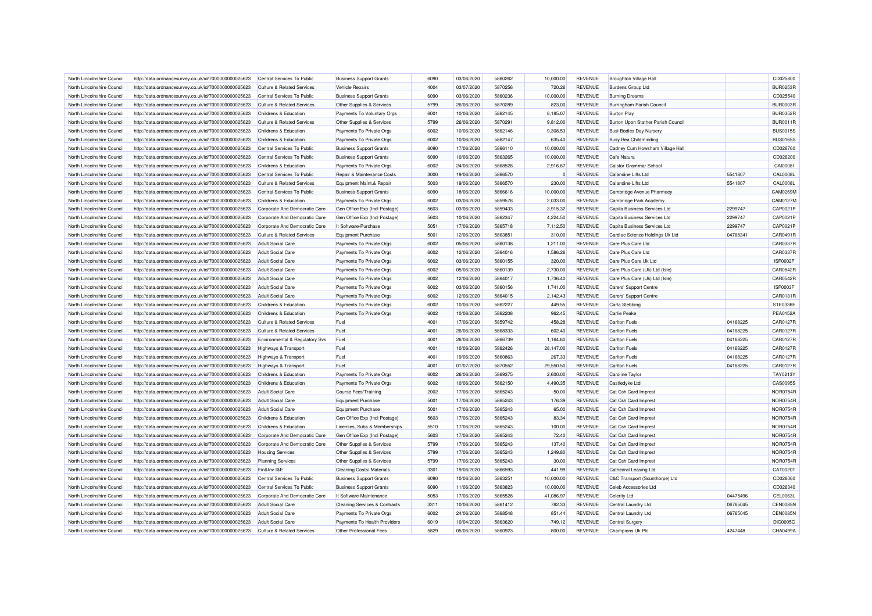| North Lincolnshire Council | http://data.ordnancesurvey.co.uk/id/7000000000025623 | Central Services To Public            | <b>Business Support Grants</b>           | 6090 | 03/06/2020 | 5860262 | 10,000.00 | <b>REVENUE</b> | Broughton Village Hall             |          | CD025800        |
|----------------------------|------------------------------------------------------|---------------------------------------|------------------------------------------|------|------------|---------|-----------|----------------|------------------------------------|----------|-----------------|
|                            |                                                      |                                       |                                          | 4004 | 03/07/2020 | 5870256 |           | <b>REVENUE</b> |                                    |          | <b>BUR0253F</b> |
| North Lincolnshire Council | http://data.ordnancesurvey.co.uk/id/7000000000025623 | <b>Culture &amp; Related Services</b> | <b>Vehicle Repairs</b>                   |      |            |         | 720.26    |                | <b>Burdens Group Ltd</b>           |          |                 |
| North Lincolnshire Council | http://data.ordnancesurvey.co.uk/id/7000000000025623 | Central Services To Public            | <b>Business Support Grants</b>           | 6090 | 03/06/2020 | 5860236 | 10,000.00 | <b>REVENUE</b> | <b>Burning Dreams</b>              |          | CD025540        |
| North Lincolnshire Council | http://data.ordnancesurvey.co.uk/id/7000000000025623 | <b>Culture &amp; Related Services</b> | Other Supplies & Services                | 5799 | 26/06/2020 | 5870289 | 823.00    | <b>REVENUE</b> | Burringham Parish Council          |          | <b>BUR0003F</b> |
| North Lincolnshire Council | http://data.ordnancesurvey.co.uk/id/7000000000025623 | Childrens & Education                 | Payments To Voluntary Orgs               | 6001 | 10/06/2020 | 5862145 | 8,185.07  | <b>REVENUE</b> | <b>Burton Play</b>                 |          | <b>BUR0352F</b> |
| North Lincolnshire Council | http://data.ordnancesurvey.co.uk/id/7000000000025623 | <b>Culture &amp; Related Services</b> | Other Supplies & Services                | 5799 | 26/06/2020 | 5870291 | 9,812.00  | <b>REVENUE</b> | Burton Upon Stather Parish Council |          | <b>BUR0011F</b> |
| North Lincolnshire Council | http://data.ordnancesurvey.co.uk/id/7000000000025623 | Childrens & Education                 | Payments To Private Orgs                 | 6002 | 10/06/2020 | 5862146 | 9.308.53  | <b>REVENUE</b> | <b>Busi Bodies Day Nursery</b>     |          | <b>BUS0015S</b> |
| North Lincolnshire Council | http://data.ordnancesurvey.co.uk/id/7000000000025623 | Childrens & Education                 | Payments To Private Orgs                 | 6002 | 10/06/2020 | 5862147 | 635.40    | <b>REVENUE</b> | <b>Busy Bea Childminding</b>       |          | <b>BUS0165S</b> |
| North Lincolnshire Council | http://data.ordnancesurvey.co.uk/id/7000000000025623 | Central Services To Public            | <b>Business Support Grants</b>           | 6090 | 17/06/2020 | 5866110 | 10,000.00 | <b>REVENUE</b> | Cadney Cum Howsham Village Hall    |          | CD026760        |
| North Lincolnshire Council | http://data.ordnancesurvey.co.uk/id/7000000000025623 | Central Services To Public            | <b>Business Support Grants</b>           | 6090 | 10/06/2020 | 5863265 | 10,000.00 | <b>REVENUE</b> | Cafe Natura                        |          | CD026200        |
| North Lincolnshire Council | http://data.ordnancesurvey.co.uk/id/7000000000025623 | Childrens & Education                 | Payments To Private Orgs                 | 6002 | 24/06/2020 | 5868528 | 2,916.67  | <b>REVENUE</b> | Caistor Grammar School             |          | CAI0008         |
| North Lincolnshire Council | http://data.ordnancesurvey.co.uk/id/7000000000025623 | Central Services To Public            | Repair & Maintenance Costs               | 3000 | 19/06/2020 | 5866570 |           | <b>REVENUE</b> | <b>Calandine Lifts Ltd</b>         | 5541807  | <b>CAL0008L</b> |
| North Lincolnshire Council | http://data.ordnancesurvey.co.uk/id/7000000000025623 | Culture & Related Services            | Equipment Maint.& Repair                 | 5003 | 19/06/2020 | 5866570 | 230.00    | <b>REVENUE</b> | Calandine Lifts Ltd                | 5541807  | <b>CAL0008L</b> |
| North Lincolnshire Council | http://data.ordnancesurvey.co.uk/id/7000000000025623 | Central Services To Public            | <b>Business Support Grants</b>           | 6090 | 18/06/2020 | 5866616 | 10,000.00 | <b>REVENUE</b> | Cambridge Avenue Pharmacy          |          | CAM0269N        |
| North Lincolnshire Council | http://data.ordnancesurvey.co.uk/id/7000000000025623 | Childrens & Education                 | Payments To Private Orgs                 | 6002 | 03/06/2020 | 5859576 | 2.033.00  | <b>REVENUE</b> | Cambridge Park Academy             |          | CAM0127M        |
| North Lincolnshire Council | http://data.ordnancesurvey.co.uk/id/7000000000025623 | Corporate And Democratic Core         | Gen Office Exp (Incl Postage)            | 5603 | 03/06/2020 | 5859433 | 3,915.32  | <b>REVENUE</b> | Capita Business Services Ltd       | 2299747  | CAP0021P        |
| North Lincolnshire Council |                                                      | Corporate And Democratic Core         | Gen Office Exp (Incl Postage)            | 5603 | 10/06/2020 | 5862347 | 4.224.50  | <b>REVENUE</b> | Capita Business Services Ltd       | 2299747  | CAP0021P        |
|                            | http://data.ordnancesurvey.co.uk/id/7000000000025623 |                                       |                                          | 5051 |            |         |           |                |                                    | 2299747  | CAP0021F        |
| North Lincolnshire Council | http://data.ordnancesurvey.co.uk/id/7000000000025623 | Corporate And Democratic Core         | It Software-Purchase                     |      | 17/06/2020 | 5865718 | 7,112.50  | <b>REVENUE</b> | Capita Business Services Ltd       |          |                 |
| North Lincolnshire Council | http://data.ordnancesurvey.co.uk/id/7000000000025623 | <b>Culture &amp; Related Services</b> | <b>Equipment Purchase</b>                | 5001 | 12/06/2020 | 5863851 | 310.00    | <b>REVENUE</b> | Cardiac Science Holdings Uk Ltd    | 04768341 | CAR0491F        |
| North Lincolnshire Council | http://data.ordnancesurvey.co.uk/id/7000000000025623 | <b>Adult Social Care</b>              | Payments To Private Orgs                 | 6002 | 05/06/2020 | 5860138 | 1,211.00  | <b>REVENUE</b> | Care Plus Care Ltd                 |          | CAR0337F        |
| North Lincolnshire Council | http://data.ordnancesurvey.co.uk/id/7000000000025623 | <b>Adult Social Care</b>              | Payments To Private Orgs                 | 6002 | 12/06/2020 | 5864016 | 1,586.26  | <b>REVENUE</b> | Care Plus Care Ltd                 |          | CAR0337F        |
| North Lincolnshire Council | http://data.ordnancesurvey.co.uk/id/7000000000025623 | <b>Adult Social Care</b>              | Payments To Private Orgs                 | 6002 | 03/06/2020 | 5860155 | 320.00    | <b>REVENUE</b> | Care Plus Care Uk Ltd              |          | <b>ISF0002F</b> |
| North Lincolnshire Council | http://data.ordnancesurvey.co.uk/id/7000000000025623 | <b>Adult Social Care</b>              | Payments To Private Orgs                 | 6002 | 05/06/2020 | 5860139 | 2,730.00  | <b>REVENUE</b> | Care Plus Care (Uk) Ltd (Isle)     |          | CAR0542F        |
| North Lincolnshire Council | http://data.ordnancesurvey.co.uk/id/7000000000025623 | <b>Adult Social Care</b>              | Payments To Private Orgs                 | 6002 | 12/06/2020 | 5864017 | 1,736.40  | <b>REVENUE</b> | Care Plus Care (Uk) Ltd (Isle)     |          | <b>CAR0542F</b> |
| North Lincolnshire Council | http://data.ordnancesurvey.co.uk/id/7000000000025623 | <b>Adult Social Care</b>              | Payments To Private Orgs                 | 6002 | 03/06/2020 | 5860156 | 1,741.00  | <b>REVENUE</b> | Carers' Support Centre             |          | ISF0003F        |
| North Lincolnshire Council | http://data.ordnancesurvey.co.uk/id/7000000000025623 | <b>Adult Social Care</b>              | Payments To Private Orgs                 | 6002 | 12/06/2020 | 5864015 | 2,142.43  | <b>REVENUE</b> | Carers' Support Centre             |          | CAR0131R        |
| North Lincolnshire Council | http://data.ordnancesurvey.co.uk/id/7000000000025623 | Childrens & Education                 | Payments To Private Orgs                 | 6002 | 10/06/2020 | 5862227 | 449.55    | <b>REVENUE</b> | Carla Stebbing                     |          | STE0336E        |
| North Lincolnshire Council | http://data.ordnancesurvey.co.uk/id/7000000000025623 | Childrens & Education                 | Payments To Private Orgs                 | 6002 | 10/06/2020 | 5862208 | 962.45    | <b>REVENUE</b> | Carlie Peake                       |          | <b>PEA0152A</b> |
| North Lincolnshire Council | http://data.ordnancesurvey.co.uk/id/7000000000025623 | <b>Culture &amp; Related Services</b> | Fuel                                     | 4001 | 17/06/2020 | 5859742 | 458.28    | <b>REVENUE</b> | Carlton Fuels                      | 04168225 | <b>CAR0127F</b> |
| North Lincolnshire Council | http://data.ordnancesurvey.co.uk/id/7000000000025623 | <b>Culture &amp; Related Services</b> | Fuel                                     | 4001 | 26/06/2020 | 5868333 | 602.40    | <b>REVENUE</b> | <b>Carlton Fuels</b>               | 04168225 | <b>CAR0127F</b> |
| North Lincolnshire Council | http://data.ordnancesurvey.co.uk/id/7000000000025623 | Environmental & Regulatory Svs        | Fuel                                     | 4001 | 26/06/2020 | 5866739 | 1,164.60  | <b>REVENUE</b> | <b>Carlton Fuels</b>               | 04168225 | CAR0127R        |
| North Lincolnshire Council | http://data.ordnancesurvey.co.uk/id/7000000000025623 | Highways & Transport                  | Fuel                                     | 4001 | 10/06/2020 | 5862426 | 28,147.00 | <b>REVENUE</b> | <b>Carlton Fuels</b>               | 04168225 | <b>CAR0127F</b> |
| North Lincolnshire Council |                                                      |                                       | Fuel                                     | 4001 | 19/06/2020 | 5860863 | 267.33    | <b>REVENUE</b> | <b>Carlton Fuels</b>               | 04168225 | <b>CAR0127F</b> |
|                            | http://data.ordnancesurvey.co.uk/id/7000000000025623 | Highways & Transport                  |                                          |      |            |         |           |                |                                    |          |                 |
| North Lincolnshire Council | http://data.ordnancesurvey.co.uk/id/7000000000025623 | Highways & Transport                  | Fuel                                     | 4001 | 01/07/2020 | 5870552 | 29.550.50 | <b>REVENUE</b> | <b>Carlton Fuels</b>               | 04168225 | <b>CAR0127F</b> |
| North Lincolnshire Council | http://data.ordnancesurvey.co.uk/id/7000000000025623 | Childrens & Education                 | Payments To Private Orgs                 | 6002 | 26/06/2020 | 5869375 | 2,600.00  | <b>REVENUE</b> | <b>Caroline Taylor</b>             |          | TAY0213Y        |
| North Lincolnshire Council | http://data.ordnancesurvey.co.uk/id/7000000000025623 | Childrens & Education                 | Payments To Private Orgs                 | 6002 | 10/06/2020 | 5862150 | 4,490.35  | <b>REVENUE</b> | Castledyke Ltd                     |          | CAS0095S        |
| North Lincolnshire Council | http://data.ordnancesurvey.co.uk/id/7000000000025623 | <b>Adult Social Care</b>              | <b>Course Fees/Training</b>              | 2002 | 17/06/2020 | 5865243 | $-50.00$  | <b>REVENUE</b> | Cat Csh Card Imprest               |          | NOR0754F        |
| North Lincolnshire Council | http://data.ordnancesurvey.co.uk/id/7000000000025623 | <b>Adult Social Care</b>              | <b>Equipment Purchase</b>                | 5001 | 17/06/2020 | 5865243 | 176.39    | <b>REVENUE</b> | Cat Csh Card Imprest               |          | NOR0754F        |
| North Lincolnshire Council | http://data.ordnancesurvey.co.uk/id/7000000000025623 | <b>Adult Social Care</b>              | <b>Equipment Purchase</b>                | 5001 | 17/06/2020 | 5865243 | 65.00     | <b>REVENUE</b> | Cat Csh Card Imprest               |          | NOR0754R        |
| North Lincolnshire Council | http://data.ordnancesurvey.co.uk/id/7000000000025623 | Childrens & Education                 | Gen Office Exp (Incl Postage)            | 5603 | 17/06/2020 | 5865243 | 83.34     | <b>REVENUE</b> | Cat Csh Card Imprest               |          | NOR0754F        |
| North Lincolnshire Council | http://data.ordnancesurvey.co.uk/id/7000000000025623 | Childrens & Education                 | Licenses, Subs & Memberships             | 5510 | 17/06/2020 | 5865243 | 100.00    | <b>REVENUE</b> | Cat Csh Card Imprest               |          | NOR0754F        |
| North Lincolnshire Council | http://data.ordnancesurvey.co.uk/id/7000000000025623 | Corporate And Democratic Core         | Gen Office Exp (Incl Postage)            | 5603 | 17/06/2020 | 5865243 | 72.40     | <b>REVENUE</b> | Cat Csh Card Imprest               |          | NOR0754F        |
| North Lincolnshire Council | http://data.ordnancesurvey.co.uk/id/7000000000025623 | Corporate And Democratic Core         | Other Supplies & Services                | 5799 | 17/06/2020 | 5865243 | 137.40    | <b>REVENUE</b> | Cat Csh Card Imprest               |          | NOR0754F        |
| North Lincolnshire Council | http://data.ordnancesurvey.co.uk/id/7000000000025623 | <b>Housing Services</b>               | Other Supplies & Services                | 5799 | 17/06/2020 | 5865243 | 1,249.80  | <b>REVENUE</b> | Cat Csh Card Imprest               |          | NOR0754F        |
| North Lincolnshire Council | http://data.ordnancesurvey.co.uk/id/7000000000025623 | <b>Planning Services</b>              | Other Supplies & Services                | 5799 | 17/06/2020 | 5865243 | 30.00     | <b>REVENUE</b> | Cat Csh Card Imprest               |          | NOR0754R        |
| North Lincolnshire Council | http://data.ordnancesurvey.co.uk/id/7000000000025623 | Fin&Inv I&E                           | Cleaning Costs/ Materials                | 3301 | 19/06/2020 | 5866593 | 441.99    | <b>REVENUE</b> | Cathedral Leasing Ltd              |          | CAT0020T        |
| North Lincolnshire Council | http://data.ordnancesurvey.co.uk/id/7000000000025623 | Central Services To Public            | <b>Business Support Grants</b>           | 6090 | 10/06/2020 | 5863251 | 10.000.00 | <b>REVENUE</b> | C&C Transport (Scunthorpe) Ltd     |          | CD026060        |
| North Lincolnshire Council | http://data.ordnancesurvey.co.uk/id/7000000000025623 | Central Services To Public            | <b>Business Support Grants</b>           | 6090 | 11/06/2020 | 5863823 | 10,000.00 | <b>REVENUE</b> | Celeb Accessories Ltd              |          | CD026340        |
| North Lincolnshire Council | http://data.ordnancesurvey.co.uk/id/7000000000025623 | Corporate And Democratic Core         | It Software-Maintenance                  | 5053 | 17/06/2020 | 5865528 | 41,086.97 | <b>REVENUE</b> | <b>Celerity Ltd</b>                | 04475496 | CEL0063L        |
| North Lincolnshire Council | http://data.ordnancesurvey.co.uk/id/7000000000025623 | <b>Adult Social Care</b>              | <b>Cleaning Services &amp; Contracts</b> | 3311 | 10/06/2020 | 5861412 | 782.33    | <b>REVENUE</b> | Central Laundry Ltd                | 06765045 | <b>CEN0085N</b> |
|                            |                                                      |                                       |                                          |      |            |         |           |                |                                    |          |                 |
| North Lincolnshire Council | http://data.ordnancesurvey.co.uk/id/7000000000025623 | <b>Adult Social Care</b>              | Payments To Private Orgs                 | 6002 | 24/06/2020 | 5868548 | 851.44    | <b>REVENUE</b> | Central Laundry Ltd                | 06765045 | <b>CEN0085N</b> |
| North Lincolnshire Council | http://data.ordnancesurvey.co.uk/id/7000000000025623 | <b>Adult Social Care</b>              | Payments To Health Providers             | 6019 | 10/04/2020 | 5863620 | $-749.12$ | <b>REVENUE</b> | Central Surgery                    |          | <b>DIC0005C</b> |
| North Lincolnshire Council | http://data.ordnancesurvey.co.uk/id/7000000000025623 | <b>Culture &amp; Related Services</b> | Other Professional Fees                  | 5829 | 05/06/2020 | 5860923 | 800.00    | <b>REVENUE</b> | Champions Uk Plc                   | 4247448  | CHA0499A        |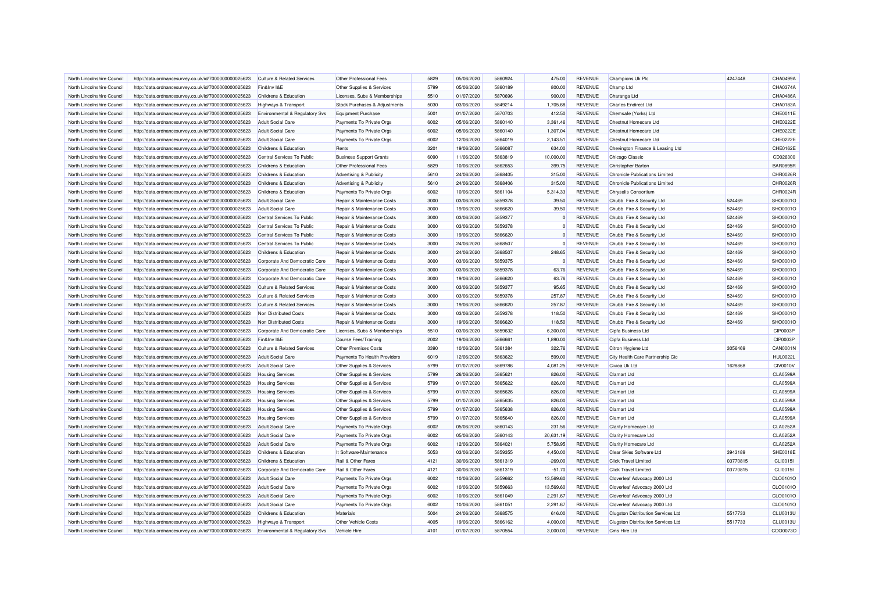| North Lincolnshire Council | http://data.ordnancesurvey.co.uk/id/7000000000025623 | <b>Culture &amp; Related Services</b>                  | Other Professional Fees        | 5829 | 05/06/2020 | 5860924 | 475.00    | <b>REVENUE</b> | Champions Uk Plc                          | 4247448  | CHA0499A        |
|----------------------------|------------------------------------------------------|--------------------------------------------------------|--------------------------------|------|------------|---------|-----------|----------------|-------------------------------------------|----------|-----------------|
| North Lincolnshire Council | http://data.ordnancesurvey.co.uk/id/7000000000025623 | Fin&Inv I&F                                            | Other Supplies & Services      | 5799 | 05/06/2020 | 5860189 | 800.00    | <b>REVENUE</b> | Champ Ltd                                 |          | CHA0374A        |
| North Lincolnshire Council | http://data.ordnancesurvey.co.uk/id/7000000000025623 | Childrens & Education                                  | Licenses, Subs & Memberships   | 5510 | 01/07/2020 | 5870696 | 900.00    | <b>REVENUE</b> | Charanga Ltd                              |          | CHA0486A        |
| North Lincolnshire Counci  | http://data.ordnancesurvey.co.uk/id/7000000000025623 | Highways & Transport                                   | Stock Purchases & Adjustments  | 5030 | 03/06/2020 | 5849214 | 1,705.68  | <b>REVENUE</b> | <b>Charles Endirect Ltd</b>               |          | CHA0183A        |
|                            |                                                      |                                                        |                                |      |            | 5870703 |           |                |                                           |          | CHE0011E        |
| North Lincolnshire Council | http://data.ordnancesurvey.co.uk/id/7000000000025623 | Environmental & Regulatory Svs                         | Equipment Purchase             | 5001 | 01/07/2020 |         | 412.50    | <b>REVENUE</b> | Chemsafe (Yorks) Ltd                      |          |                 |
| North Lincolnshire Council | http://data.ordnancesurvey.co.uk/id/7000000000025623 | <b>Adult Social Care</b>                               | Payments To Private Orgs       | 6002 | 05/06/2020 | 5860140 | 3,361.46  | <b>REVENUE</b> | Chestnut Homecare Ltd                     |          | CHE0222E        |
| North Lincolnshire Council | http://data.ordnancesurvey.co.uk/id/7000000000025623 | <b>Adult Social Care</b>                               | Payments To Private Orgs       | 6002 | 05/06/2020 | 5860140 | 1,307.04  | <b>REVENUE</b> | Chestnut Homecare Ltd                     |          | CHE0222E        |
| North Lincolnshire Council | http://data.ordnancesurvey.co.uk/id/7000000000025623 | <b>Adult Social Care</b>                               | Payments To Private Orgs       | 6002 | 12/06/2020 | 5864019 | 2,143.51  | <b>REVENUE</b> | Chestnut Homecare Ltd                     |          | CHE0222E        |
| North Lincolnshire Council | http://data.ordnancesurvey.co.uk/id/7000000000025623 | Childrens & Education                                  | Rents                          | 3201 | 19/06/2020 | 5866087 | 634.00    | <b>REVENUE</b> | Chevington Finance & Leasing Ltd          |          | CHE0162E        |
| North Lincolnshire Council | http://data.ordnancesurvey.co.uk/id/7000000000025623 | Central Services To Public                             | <b>Business Support Grants</b> | 6090 | 11/06/2020 | 5863819 | 10,000.00 | <b>REVENUE</b> | Chicago Classic                           |          | CD026300        |
| North Lincolnshire Council | http://data.ordnancesurvey.co.uk/id/7000000000025623 | Childrens & Education                                  | Other Professional Fees        | 5829 | 10/06/2020 | 5862653 | 399.75    | <b>REVENUE</b> | Christopher Barton                        |          | <b>BAR0895R</b> |
| North Lincolnshire Council | http://data.ordnancesurvey.co.uk/id/7000000000025623 | Childrens & Education                                  | Advertising & Publicity        | 5610 | 24/06/2020 | 5868405 | 315.00    | <b>REVENUE</b> | <b>Chronicle Publications Limited</b>     |          | CHR0026R        |
| North Lincolnshire Council | http://data.ordnancesurvey.co.uk/id/7000000000025623 | Childrens & Education                                  | Advertising & Publicity        | 5610 | 24/06/2020 | 5868406 | 315.00    | <b>REVENUE</b> | <b>Chronicle Publications Limited</b>     |          | CHR0026F        |
| North Lincolnshire Council | http://data.ordnancesurvey.co.uk/id/7000000000025623 | Childrens & Education                                  | Payments To Private Orgs       | 6002 | 10/06/2020 | 5861104 | 5,314.33  | <b>REVENUE</b> | Chrysalis Consortium                      |          | CHR0024R        |
| North Lincolnshire Counci  | http://data.ordnancesurvey.co.uk/id/7000000000025623 | <b>Adult Social Care</b>                               | Repair & Maintenance Costs     | 3000 | 03/06/2020 | 5859378 | 39.50     | <b>REVENUE</b> | Chubb Fire & Security Ltd                 | 524469   | SHO0001O        |
| North Lincolnshire Council | http://data.ordnancesurvey.co.uk/id/7000000000025623 | <b>Adult Social Care</b>                               | Repair & Maintenance Costs     | 3000 | 19/06/2020 | 5866620 | 39.50     | <b>REVENUE</b> | Chubb Fire & Security Ltd                 | 524469   | SHO0001O        |
| North Lincolnshire Council | http://data.ordnancesurvey.co.uk/id/7000000000025623 | Central Services To Public                             | Repair & Maintenance Costs     | 3000 | 03/06/2020 | 5859377 | $\Omega$  | <b>REVENUE</b> | Chubb Fire & Security Ltd                 | 524469   | SHO0001O        |
| North Lincolnshire Council | http://data.ordnancesurvey.co.uk/id/7000000000025623 | Central Services To Public                             | Repair & Maintenance Costs     | 3000 | 03/06/2020 | 5859378 | $\Omega$  | REVENUE        | Chubb Fire & Security Ltd                 | 524469   | SHO0001O        |
| North Lincolnshire Council | http://data.ordnancesurvey.co.uk/id/7000000000025623 | Central Services To Public                             | Repair & Maintenance Costs     | 3000 | 19/06/2020 | 5866620 | 0         | REVENUE        | Chubb Fire & Security Ltd                 | 524469   | SHO0001O        |
| North Lincolnshire Council | http://data.ordnancesurvey.co.uk/id/7000000000025623 | Central Services To Public                             | Repair & Maintenance Costs     | 3000 | 24/06/2020 | 5868507 | $\Omega$  | <b>REVENUE</b> | Chubb Fire & Security Ltd                 | 524469   | SHO0001O        |
| North Lincolnshire Council | http://data.ordnancesurvey.co.uk/id/7000000000025623 | Childrens & Education                                  | Repair & Maintenance Costs     | 3000 | 24/06/2020 | 5868507 | 248.65    | <b>REVENUE</b> | Chubb Fire & Security Ltd                 | 524469   | SHO0001O        |
| North Lincolnshire Council | http://data.ordnancesurvey.co.uk/id/7000000000025623 | Corporate And Democratic Core                          | Repair & Maintenance Costs     | 3000 | 03/06/2020 | 5859375 | $\Omega$  | <b>REVENUE</b> | Chubb Fire & Security Ltd                 | 524469   | SHO0001O        |
| North Lincolnshire Council | http://data.ordnancesurvey.co.uk/id/7000000000025623 | Corporate And Democratic Core                          | Repair & Maintenance Costs     | 3000 | 03/06/2020 | 5859378 | 63.76     | <b>REVENUE</b> | Chubb Fire & Security Ltd                 | 524469   | SHO0001O        |
| North Lincolnshire Council | http://data.ordnancesurvey.co.uk/id/7000000000025623 | Corporate And Democratic Core                          | Repair & Maintenance Costs     | 3000 | 19/06/2020 | 5866620 | 63.76     | <b>REVENUE</b> | Chubb Fire & Security Ltd                 | 524469   | SHO0001O        |
| North Lincolnshire Council | http://data.ordnancesurvey.co.uk/id/7000000000025623 | <b>Culture &amp; Related Services</b>                  | Repair & Maintenance Costs     | 3000 | 03/06/2020 | 5859377 | 95.65     | <b>REVENUE</b> | Chubb Fire & Security Ltd                 | 524469   | SHO0001O        |
| North Lincolnshire Council | http://data.ordnancesurvey.co.uk/id/7000000000025623 | <b>Culture &amp; Related Services</b>                  | Repair & Maintenance Costs     | 3000 | 03/06/2020 | 5859378 | 257.87    | <b>REVENUE</b> | Chubb Fire & Security Ltd                 | 524469   | SHO0001O        |
|                            |                                                      |                                                        |                                | 3000 |            | 5866620 |           |                |                                           | 524469   |                 |
| North Lincolnshire Council | http://data.ordnancesurvey.co.uk/id/7000000000025623 | <b>Culture &amp; Related Services</b>                  | Repair & Maintenance Costs     | 3000 | 19/06/2020 |         | 257.87    | <b>REVENUE</b> | Chubb Fire & Security Ltd                 |          | SHO0001O        |
| North Lincolnshire Council | http://data.ordnancesurvey.co.uk/id/7000000000025623 | Non Distributed Costs                                  | Repair & Maintenance Costs     |      | 03/06/2020 | 5859378 | 118.50    | <b>REVENUE</b> | Chubb Fire & Security Ltd                 | 524469   | SHO0001O        |
| North Lincolnshire Council | http://data.ordnancesurvey.co.uk/id/7000000000025623 | Non Distributed Costs                                  | Repair & Maintenance Costs     | 3000 | 19/06/2020 | 5866620 | 118.50    | <b>REVENUE</b> | Chubb Fire & Security Ltd                 | 524469   | SHO0001O        |
| North Lincolnshire Council | http://data.ordnancesurvey.co.uk/id/7000000000025623 | Corporate And Democratic Core                          | Licenses, Subs & Memberships   | 5510 | 03/06/2020 | 5859632 | 6,300.00  | <b>REVENUE</b> | Cipfa Business Ltd                        |          | CIP0003F        |
| North Lincolnshire Council | http://data.ordnancesurvey.co.uk/id/7000000000025623 | Fin&Inv I&E                                            | Course Fees/Training           | 2002 | 19/06/2020 | 5866661 | 1,890.00  | <b>REVENUE</b> | Cipfa Business Ltd                        |          | CIP0003P        |
| North Lincolnshire Council | http://data.ordnancesurvey.co.uk/id/7000000000025623 | <b>Culture &amp; Related Services</b>                  | Other Premises Costs           | 3390 | 10/06/2020 | 5861384 | 322.76    | <b>REVENUE</b> | Citron Hygiene Ltd                        | 3056469  | <b>CAN0001N</b> |
| North Lincolnshire Council | http://data.ordnancesurvey.co.uk/id/7000000000025623 | <b>Adult Social Care</b>                               | Payments To Health Providers   | 6019 | 12/06/2020 | 5863622 | 599.00    | <b>REVENUE</b> | City Health Care Partnership Cic          |          | <b>HUL0022L</b> |
| North Lincolnshire Council | http://data.ordnancesurvey.co.uk/id/7000000000025623 | Adult Social Care                                      | Other Supplies & Services      | 5799 | 01/07/2020 | 5869786 | 4.081.25  | <b>REVENUE</b> | Civica Uk Ltd                             | 1628868  | <b>CIV0010V</b> |
| North Lincolnshire Council | http://data.ordnancesurvey.co.uk/id/7000000000025623 | <b>Housing Services</b>                                | Other Supplies & Services      | 5799 | 26/06/2020 | 5865621 | 826.00    | <b>REVENUE</b> | <b>Clamart Ltd</b>                        |          | CLA0599/        |
| North Lincolnshire Council | http://data.ordnancesurvey.co.uk/id/7000000000025623 | <b>Housing Services</b>                                | Other Supplies & Services      | 5799 | 01/07/2020 | 5865622 | 826.00    | <b>REVENUE</b> | Clamart I td                              |          | <b>CLA0599A</b> |
| North Lincolnshire Counci  | http://data.ordnancesurvey.co.uk/id/7000000000025623 | <b>Housing Services</b>                                | Other Supplies & Services      | 5799 | 01/07/2020 | 5865626 | 826.00    | <b>REVENUE</b> | Clamart Ltd                               |          | CLA0599/        |
| North Lincolnshire Council | http://data.ordnancesurvey.co.uk/id/7000000000025623 | <b>Housing Services</b>                                | Other Supplies & Services      | 5799 | 01/07/2020 | 5865635 | 826.00    | <b>REVENUE</b> | <b>Clamart Ltd</b>                        |          | <b>CLA0599A</b> |
| North Lincolnshire Council | http://data.ordnancesurvey.co.uk/id/7000000000025623 | <b>Housing Services</b>                                | Other Supplies & Services      | 5799 | 01/07/2020 | 5865638 | 826.00    | <b>REVENUE</b> | <b>Clamart Ltd</b>                        |          | <b>CLA0599A</b> |
| North Lincolnshire Council | http://data.ordnancesurvey.co.uk/id/7000000000025623 | <b>Housing Services</b>                                | Other Supplies & Services      | 5799 | 01/07/2020 | 5865640 | 826.00    | <b>REVENUE</b> | Clamart Ltd                               |          | <b>CLA0599A</b> |
| North Lincolnshire Council | http://data.ordnancesurvey.co.uk/id/7000000000025623 | <b>Adult Social Care</b>                               | Payments To Private Orgs       | 6002 | 05/06/2020 | 5860143 | 231.56    | <b>REVENUE</b> | Clarity Homecare Ltd                      |          | CLA0252A        |
| North Lincolnshire Council | http://data.ordnancesurvey.co.uk/id/7000000000025623 | Adult Social Care                                      | Payments To Private Orgs       | 6002 | 05/06/2020 | 5860143 | 20,631.19 | <b>REVENUE</b> | Clarity Homecare Ltd                      |          | CLA0252A        |
| North Lincolnshire Council | http://data.ordnancesurvey.co.uk/id/7000000000025623 | <b>Adult Social Care</b>                               | Payments To Private Orgs       | 6002 | 12/06/2020 | 5864021 | 5,758.95  | <b>REVENUE</b> | <b>Clarity Homecare Ltd</b>               |          | CLA0252/        |
| North Lincolnshire Council | http://data.ordnancesurvey.co.uk/id/7000000000025623 | Childrens & Education                                  | It Software-Maintenance        | 5053 | 03/06/2020 | 5859355 | 4,450.00  | <b>REVENUE</b> | Clear Skies Software Ltd                  | 3943189  | SHE0018E        |
| North Lincolnshire Council | http://data.ordnancesurvey.co.uk/id/7000000000025623 | Childrens & Education                                  | Rail & Other Fares             | 4121 | 30/06/2020 | 5861319 | $-269.00$ | <b>REVENUE</b> | <b>Click Travel Limited</b>               | 03770815 | <b>CLI0015I</b> |
| North Lincolnshire Council | http://data.ordnancesurvey.co.uk/id/7000000000025623 | Corporate And Democratic Core                          | Rail & Other Fares             | 4121 | 30/06/2020 | 5861319 | $-51.70$  | <b>REVENUE</b> | <b>Click Travel Limited</b>               | 03770815 | <b>CLI0015I</b> |
| North Lincolnshire Council | http://data.ordnancesurvey.co.uk/id/7000000000025623 | <b>Adult Social Care</b>                               | Payments To Private Orgs       | 6002 | 10/06/2020 | 5859662 | 13.569.60 | <b>REVENUE</b> | Cloverleaf Advocacy 2000 Ltd              |          | CLO0101O        |
| North Lincolnshire Council | http://data.ordnancesurvey.co.uk/id/7000000000025623 | <b>Adult Social Care</b>                               | Payments To Private Orgs       | 6002 | 10/06/2020 | 5859663 | 13,569.60 | <b>REVENUE</b> | Cloverleaf Advocacy 2000 Ltd              |          | CLO0101O        |
| North Lincolnshire Council | http://data.ordnancesurvey.co.uk/id/7000000000025623 | <b>Adult Social Care</b>                               | Payments To Private Orgs       | 6002 | 10/06/2020 | 5861049 | 2,291.67  | <b>REVENUE</b> | Cloverleaf Advocacy 2000 Ltd              |          | CLO0101O        |
| North Lincolnshire Council | http://data.ordnancesurvey.co.uk/id/7000000000025623 | <b>Adult Social Care</b>                               | Payments To Private Orgs       | 6002 | 10/06/2020 | 5861051 | 2,291.67  | <b>REVENUE</b> | Cloverleaf Advocacy 2000 Ltd              |          | CLO0101O        |
| North Lincolnshire Council | http://data.ordnancesurvey.co.uk/id/7000000000025623 | Childrens & Education                                  | Materials                      | 5004 | 24/06/2020 | 5868575 | 616.00    | <b>REVENUE</b> | <b>Clugston Distribution Services Ltd</b> | 5517733  | <b>CLU0013L</b> |
| North Lincolnshire Council | http://data.ordnancesurvey.co.uk/id/7000000000025623 |                                                        | <b>Other Vehicle Costs</b>     | 4005 | 19/06/2020 | 5866162 | 4,000.00  | <b>REVENUE</b> | Clugston Distribution Services Ltd        | 5517733  | <b>CLU0013L</b> |
| North Lincolnshire Council | http://data.ordnancesurvey.co.uk/id/7000000000025623 | Highways & Transport<br>Environmental & Regulatory Svs | Vehicle Hire                   | 4101 | 01/07/2020 | 5870554 | 3,000.00  | <b>REVENUE</b> | Cms Hire Ltd                              |          | COO0073O        |
|                            |                                                      |                                                        |                                |      |            |         |           |                |                                           |          |                 |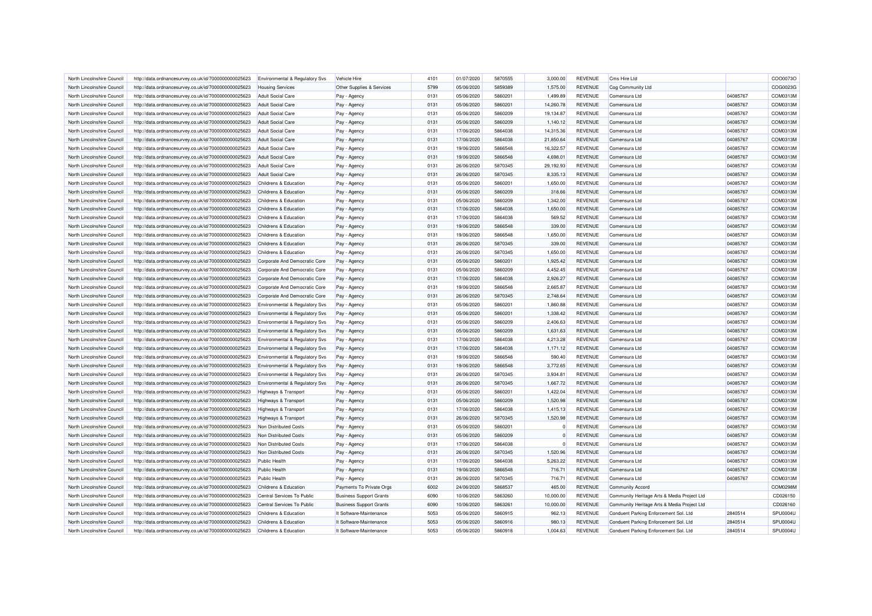| North Lincolnshire Council | http://data.ordnancesurvey.co.uk/id/7000000000025623 | <b>Environmental &amp; Regulatory Svs</b> | Vehicle Hire                   | 4101 | 01/07/2020 | 5870555 | 3,000.00  | <b>REVENUE</b> | Cms Hire Ltd                                |          | COO0073O |
|----------------------------|------------------------------------------------------|-------------------------------------------|--------------------------------|------|------------|---------|-----------|----------------|---------------------------------------------|----------|----------|
| North Lincolnshire Council | http://data.ordnancesurvey.co.uk/id/7000000000025623 | <b>Housing Services</b>                   | Other Supplies & Services      | 5799 | 05/06/2020 | 5859389 | 1,575.00  | <b>REVENUE</b> | Cog Community Ltd                           |          | COG0023G |
| North Lincolnshire Council | http://data.ordnancesurvey.co.uk/id/7000000000025623 | <b>Adult Social Care</b>                  | Pay - Agency                   | 0131 | 05/06/2020 | 5860201 | 1.499.89  | <b>REVENUE</b> | Comensura I td                              | 04085767 | COM0313M |
| North Lincolnshire Council | http://data.ordnancesurvey.co.uk/id/7000000000025623 | <b>Adult Social Care</b>                  | Pay - Agency                   | 0131 | 05/06/2020 | 5860201 | 14,260.78 | <b>REVENUE</b> | Comensura Ltd                               | 04085767 | COM0313M |
| North Lincolnshire Council | http://data.ordnancesurvey.co.uk/id/7000000000025623 | Adult Social Care                         |                                | 0131 | 05/06/2020 | 5860209 | 19,134.87 | <b>REVENUE</b> | Comensura Ltd                               | 04085767 | COM0313M |
| North Lincolnshire Council |                                                      | <b>Adult Social Care</b>                  | Pay - Agency                   | 0131 | 05/06/2020 | 5860209 | 1,140.12  | <b>REVENUE</b> | Comensura Ltd                               | 04085767 | COM0313M |
|                            | http://data.ordnancesurvey.co.uk/id/7000000000025623 |                                           | Pay - Agency                   |      |            |         |           |                |                                             |          |          |
| North Lincolnshire Council | http://data.ordnancesurvey.co.uk/id/7000000000025623 | <b>Adult Social Care</b>                  | Pay - Agency                   | 0131 | 17/06/2020 | 5864038 | 14.315.36 | <b>REVENUE</b> | Comensura Ltd                               | 04085767 | COM0313M |
| North Lincolnshire Council | http://data.ordnancesurvey.co.uk/id/7000000000025623 | <b>Adult Social Care</b>                  | Pay - Agency                   | 0131 | 17/06/2020 | 5864038 | 21.850.64 | <b>REVENUE</b> | Comensura I td                              | 04085767 | COM0313M |
| North Lincolnshire Council | http://data.ordnancesurvey.co.uk/id/7000000000025623 | Adult Social Care                         | Pay - Agency                   | 0131 | 19/06/2020 | 5866548 | 16.322.57 | <b>REVENUE</b> | Comensura I td                              | 04085767 | COM0313M |
| North Lincolnshire Council | http://data.ordnancesurvey.co.uk/id/7000000000025623 | <b>Adult Social Care</b>                  | Pay - Agency                   | 0131 | 19/06/2020 | 5866548 | 4,698.01  | <b>REVENUE</b> | Comensura Ltd                               | 04085767 | COM0313M |
| North Lincolnshire Council | http://data.ordnancesurvey.co.uk/id/7000000000025623 | <b>Adult Social Care</b>                  | Pay - Agency                   | 0131 | 26/06/2020 | 5870345 | 29,192.93 | <b>REVENUE</b> | Comensura I td                              | 04085767 | COM0313M |
| North Lincolnshire Council | http://data.ordnancesurvey.co.uk/id/7000000000025623 | <b>Adult Social Care</b>                  | Pay - Agency                   | 0131 | 26/06/2020 | 5870345 | 8,335.13  | <b>REVENUE</b> | Comensura Ltd                               | 04085767 | COM0313M |
| North Lincolnshire Council | http://data.ordnancesurvey.co.uk/id/7000000000025623 | Childrens & Education                     | Pay - Agency                   | 0131 | 05/06/2020 | 5860201 | 1,650.00  | <b>REVENUE</b> | Comensura Ltd                               | 04085767 | COM0313M |
| North Lincolnshire Council | http://data.ordnancesurvey.co.uk/id/7000000000025623 | Childrens & Education                     | Pay - Agency                   | 0131 | 05/06/2020 | 5860209 | 318.66    | <b>REVENUE</b> | Comensura I td                              | 04085767 | COM0313M |
| North Lincolnshire Council | http://data.ordnancesurvey.co.uk/id/7000000000025623 | Childrens & Education                     | Pay - Agency                   | 0131 | 05/06/2020 | 5860209 | 1,342.00  | <b>REVENUE</b> | Comensura Ltd                               | 04085767 | COM0313M |
| North Lincolnshire Council | http://data.ordnancesurvey.co.uk/id/7000000000025623 | Childrens & Education                     | Pay - Agency                   | 0131 | 17/06/2020 | 5864038 | 1,650.00  | <b>REVENUE</b> | Comensura Ltd                               | 04085767 | COM0313M |
| North Lincolnshire Council | http://data.ordnancesurvey.co.uk/id/7000000000025623 | Childrens & Education                     | Pay - Agency                   | 0131 | 17/06/2020 | 5864038 | 569.52    | <b>REVENUE</b> | Comensura I td                              | 04085767 | COM0313M |
| North Lincolnshire Council | http://data.ordnancesurvey.co.uk/id/7000000000025623 | Childrens & Education                     | Pay - Agency                   | 0131 | 19/06/2020 | 5866548 | 339.00    | <b>REVENUE</b> | Comensura Ltd                               | 04085767 | COM0313M |
| North Lincolnshire Council | http://data.ordnancesurvey.co.uk/id/7000000000025623 | Childrens & Education                     | Pay - Agency                   | 0131 | 19/06/2020 | 5866548 | 1,650.00  | <b>REVENUE</b> | Comensura Ltd                               | 04085767 | COM0313M |
| North Lincolnshire Council | http://data.ordnancesurvey.co.uk/id/7000000000025623 | Childrens & Education                     | Pay - Agency                   | 0131 | 26/06/2020 | 5870345 | 339.00    | <b>REVENUE</b> | Comensura Ltd                               | 04085767 | COM0313M |
| North Lincolnshire Council | http://data.ordnancesurvey.co.uk/id/7000000000025623 | Childrens & Education                     | Pay - Agency                   | 0131 | 26/06/2020 | 5870345 | 1,650.00  | <b>REVENUE</b> | Comensura Ltd                               | 04085767 | COM0313M |
| North Lincolnshire Council | http://data.ordnancesurvey.co.uk/id/7000000000025623 | Corporate And Democratic Core             | Pay - Agency                   | 0131 | 05/06/2020 | 5860201 | 1,925.42  | <b>REVENUE</b> | Comensura I td                              | 04085767 | COM0313M |
| North Lincolnshire Council | http://data.ordnancesurvey.co.uk/id/7000000000025623 | Corporate And Democratic Core             | Pay - Agency                   | 0131 | 05/06/2020 | 5860209 | 4,452.45  | <b>REVENUE</b> | Comensura Ltd                               | 04085767 | COM0313M |
| North Lincolnshire Council | http://data.ordnancesurvey.co.uk/id/7000000000025623 | Corporate And Democratic Core             | Pay - Agency                   | 0131 | 17/06/2020 | 5864038 | 2,926.27  | <b>REVENUE</b> | Comensura Ltd                               | 04085767 | COM0313M |
| North Lincolnshire Council |                                                      |                                           |                                | 0131 | 19/06/2020 | 5866548 | 2,665.87  | <b>REVENUE</b> |                                             | 04085767 | COM0313M |
|                            | http://data.ordnancesurvey.co.uk/id/7000000000025623 | Corporate And Democratic Core             | Pay - Agency                   |      |            |         |           |                | Comensura Ltd                               |          |          |
| North Lincolnshire Council | http://data.ordnancesurvey.co.uk/id/7000000000025623 | Corporate And Democratic Core             | Pay - Agency                   | 0131 | 26/06/2020 | 5870345 | 2,748.64  | <b>REVENUE</b> | Comensura Ltd                               | 04085767 | COM0313M |
| North Lincolnshire Council | http://data.ordnancesurvey.co.uk/id/7000000000025623 | <b>Environmental &amp; Regulatory Svs</b> | Pay - Agency                   | 0131 | 05/06/2020 | 5860201 | 1,860.88  | <b>REVENUE</b> | Comensura Ltd                               | 04085767 | COM0313M |
| North Lincolnshire Council | http://data.ordnancesurvey.co.uk/id/7000000000025623 | Environmental & Regulatory Svs            | Pay - Agency                   | 0131 | 05/06/2020 | 5860201 | 1.338.42  | <b>REVENUE</b> | Comensura I td                              | 04085767 | COM0313M |
| North Lincolnshire Council | http://data.ordnancesurvey.co.uk/id/7000000000025623 | Environmental & Regulatory Svs            | Pay - Agency                   | 0131 | 05/06/2020 | 5860209 | 2,406.63  | <b>REVENUE</b> | Comensura Ltd                               | 04085767 | COM0313M |
| North Lincolnshire Council | http://data.ordnancesurvey.co.uk/id/7000000000025623 | Environmental & Regulatory Svs            | Pay - Agency                   | 0131 | 05/06/2020 | 5860209 | 1,631.63  | <b>REVENUE</b> | Comensura Ltd                               | 04085767 | COM0313M |
| North Lincolnshire Council | http://data.ordnancesurvey.co.uk/id/7000000000025623 | Environmental & Regulatory Svs            | Pay - Agency                   | 0131 | 17/06/2020 | 5864038 | 4,213.28  | <b>REVENUE</b> | Comensura I td                              | 04085767 | COM0313M |
| North Lincolnshire Council | http://data.ordnancesurvey.co.uk/id/7000000000025623 | Environmental & Regulatory Svs            | Pay - Agency                   | 0131 | 17/06/2020 | 5864038 | 1,171.12  | <b>REVENUE</b> | Comensura Ltd                               | 04085767 | COM0313M |
| North Lincolnshire Council | http://data.ordnancesurvey.co.uk/id/7000000000025623 | Environmental & Regulatory Svs            | Pay - Agency                   | 0131 | 19/06/2020 | 5866548 | 590.40    | <b>REVENUE</b> | Comensura Ltd                               | 04085767 | COM0313M |
| North Lincolnshire Council | http://data.ordnancesurvey.co.uk/id/7000000000025623 | Environmental & Regulatory Svs            | Pay - Agency                   | 0131 | 19/06/2020 | 5866548 | 3.772.65  | <b>REVENUE</b> | Comensura Ltd                               | 04085767 | COM0313M |
| North Lincolnshire Council | http://data.ordnancesurvey.co.uk/id/7000000000025623 | Environmental & Regulatory Svs            | Pay - Agency                   | 0131 | 26/06/2020 | 5870345 | 3,934.81  | <b>REVENUE</b> | Comensura Ltd                               | 04085767 | COM0313M |
| North Lincolnshire Council | http://data.ordnancesurvey.co.uk/id/7000000000025623 | Environmental & Regulatory Svs            | Pay - Agency                   | 0131 | 26/06/2020 | 5870345 | 1,667.72  | <b>REVENUE</b> | Comensura Ltd                               | 04085767 | COM0313M |
| North Lincolnshire Council | http://data.ordnancesurvey.co.uk/id/7000000000025623 | Highways & Transport                      | Pay - Agency                   | 0131 | 05/06/2020 | 5860201 | 1,422.04  | <b>REVENUE</b> | Comensura Ltd                               | 04085767 | COM0313M |
| North Lincolnshire Council | http://data.ordnancesurvey.co.uk/id/7000000000025623 | Highways & Transport                      | Pay - Agency                   | 0131 | 05/06/2020 | 5860209 | 1,520.98  | <b>REVENUE</b> | Comensura Ltd                               | 04085767 | COM0313M |
| North Lincolnshire Council | http://data.ordnancesurvey.co.uk/id/7000000000025623 | Highways & Transport                      | Pay - Agency                   | 0131 | 17/06/2020 | 5864038 | 1,415.13  | <b>REVENUE</b> | Comensura Ltd                               | 04085767 | COM0313M |
| North Lincolnshire Council | http://data.ordnancesurvey.co.uk/id/7000000000025623 | <b>Highways &amp; Transport</b>           | Pay - Agency                   | 0131 | 26/06/2020 | 5870345 | 1.520.98  | <b>REVENUE</b> | Comensura Ltd                               | 04085767 | COM0313M |
| North Lincolnshire Council | http://data.ordnancesurvey.co.uk/id/7000000000025623 | Non Distributed Costs                     | Pay - Agency                   | 0131 | 05/06/2020 | 5860201 |           | <b>REVENUE</b> | Comensura Ltd                               | 04085767 | COM0313M |
| North Lincolnshire Council | http://data.ordnancesurvey.co.uk/id/7000000000025623 | Non Distributed Costs                     | Pay - Agency                   | 0131 | 05/06/2020 | 5860209 | $\Omega$  | <b>REVENUE</b> | Comensura I td                              | 04085767 | COM0313M |
| North Lincolnshire Council | http://data.ordnancesurvey.co.uk/id/7000000000025623 | Non Distributed Costs                     | Pay - Agency                   | 0131 | 17/06/2020 | 5864038 | $\Omega$  | <b>REVENUE</b> | Comensura Ltd                               | 04085767 | COM0313M |
| North Lincolnshire Council |                                                      | Non Distributed Costs                     |                                | 0131 | 26/06/2020 | 5870345 | 1,520.96  | <b>REVENUE</b> | Comensura Ltd                               | 04085767 | COM0313M |
|                            | http://data.ordnancesurvey.co.uk/id/7000000000025623 |                                           | Pay - Agency                   |      |            |         |           |                |                                             |          |          |
| North Lincolnshire Council | http://data.ordnancesurvey.co.uk/id/7000000000025623 | <b>Public Health</b>                      | Pay - Agency                   | 0131 | 17/06/2020 | 5864038 | 5,263.22  | <b>REVENUE</b> | Comensura Ltd                               | 04085767 | COM0313M |
| North Lincolnshire Council | http://data.ordnancesurvey.co.uk/id/7000000000025623 | <b>Public Health</b>                      | Pay - Agency                   | 0131 | 19/06/2020 | 5866548 | 716.71    | <b>REVENUE</b> | Comensura Ltd                               | 04085767 | COM0313M |
| North Lincolnshire Council | http://data.ordnancesurvey.co.uk/id/7000000000025623 | <b>Public Health</b>                      | Pay - Agency                   | 0131 | 26/06/2020 | 5870345 | 716.71    | <b>REVENUE</b> | Comensura Ltd                               | 04085767 | COM0313M |
| North Lincolnshire Council | http://data.ordnancesurvey.co.uk/id/7000000000025623 | Childrens & Education                     | Payments To Private Orgs       | 6002 | 24/06/2020 | 5868537 | 465.00    | <b>REVENUE</b> | <b>Community Accord</b>                     |          | COM0298M |
| North Lincolnshire Council | http://data.ordnancesurvey.co.uk/id/7000000000025623 | Central Services To Public                | <b>Business Support Grants</b> | 6090 | 10/06/2020 | 5863260 | 10,000.00 | <b>REVENUE</b> | Community Heritage Arts & Media Project Ltd |          | CD026150 |
| North Lincolnshire Council | http://data.ordnancesurvey.co.uk/id/7000000000025623 | Central Services To Public                | <b>Business Support Grants</b> | 6090 | 10/06/2020 | 5863261 | 10,000.00 | <b>REVENUE</b> | Community Heritage Arts & Media Project Ltd |          | CD026160 |
| North Lincolnshire Council | http://data.ordnancesurvey.co.uk/id/7000000000025623 | Childrens & Education                     | It Software-Maintenance        | 5053 | 05/06/2020 | 5860915 | 962.13    | <b>REVENUE</b> | Conduent Parking Enforcement Sol. Ltd       | 2840514  | SPU0004U |
| North Lincolnshire Council | http://data.ordnancesurvey.co.uk/id/7000000000025623 | Childrens & Education                     | It Software-Maintenance        | 5053 | 05/06/2020 | 5860916 | 980.13    | <b>REVENUE</b> | Conduent Parking Enforcement Sol. Ltd       | 2840514  | SPU0004U |
| North Lincolnshire Council | http://data.ordnancesurvey.co.uk/id/7000000000025623 | Childrens & Education                     | It Software-Maintenance        | 5053 | 05/06/2020 | 5860918 | 1.004.63  | <b>REVENUE</b> | Conduent Parking Enforcement Sol. Ltd       | 2840514  | SPU0004U |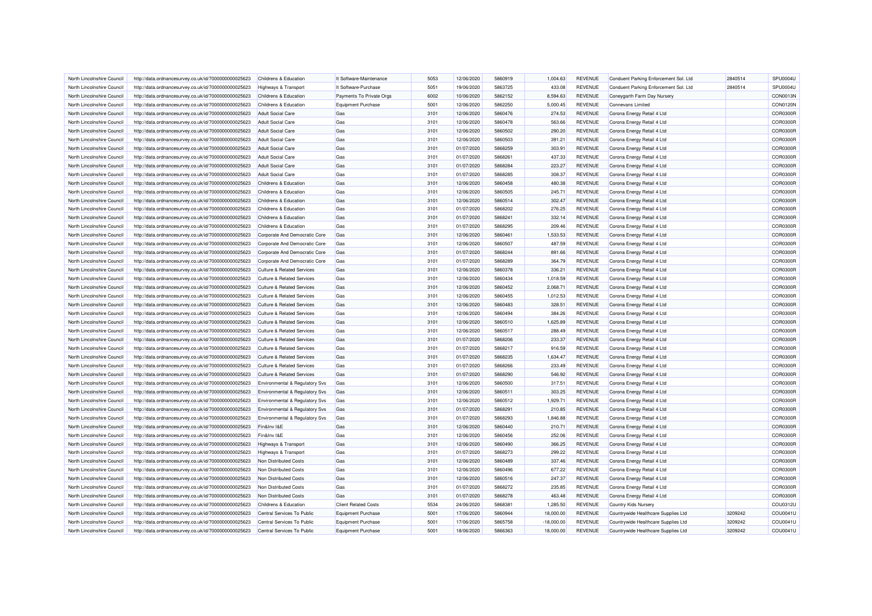| North Lincolnshire Council | http://data.ordnancesurvey.co.uk/id/7000000000025623 | Childrens & Education                 | It Software-Maintenance     | 5053 | 12/06/2020 | 5860919 | 1,004.63     | <b>REVENUE</b> | Conduent Parking Enforcement Sol. Ltd | 2840514 | SPU0004U        |
|----------------------------|------------------------------------------------------|---------------------------------------|-----------------------------|------|------------|---------|--------------|----------------|---------------------------------------|---------|-----------------|
| North Lincolnshire Council | http://data.ordnancesurvey.co.uk/id/7000000000025623 | <b>Highways &amp; Transport</b>       | It Software-Purchase        | 5051 | 19/06/2020 | 5863725 | 433.08       | <b>REVENUE</b> | Conduent Parking Enforcement Sol. Ltd | 2840514 | SPU0004U        |
| North Lincolnshire Council | http://data.ordnancesurvey.co.uk/id/7000000000025623 | Childrens & Education                 | Payments To Private Orgs    | 6002 | 10/06/2020 | 5862152 | 8,594.63     | <b>REVENUE</b> | Coneygarth Farm Day Nursery           |         | CON0013N        |
| North Lincolnshire Council | http://data.ordnancesurvey.co.uk/id/7000000000025623 | Childrens & Education                 | <b>Equipment Purchase</b>   | 5001 | 12/06/2020 | 5862250 | 5,000.45     | <b>REVENUE</b> | <b>Connevans Limited</b>              |         | <b>CON0120N</b> |
| North Lincolnshire Council | http://data.ordnancesurvey.co.uk/id/7000000000025623 | <b>Adult Social Care</b>              | Gas                         | 3101 | 12/06/2020 | 5860476 | 274.53       | <b>REVENUE</b> | Corona Energy Retail 4 Ltd            |         | COR0300R        |
| North Lincolnshire Council | http://data.ordnancesurvey.co.uk/id/7000000000025623 | <b>Adult Social Care</b>              | Gas                         | 3101 | 12/06/2020 | 5860478 | 563.66       | <b>REVENUE</b> | Corona Energy Retail 4 Ltd            |         | COR0300R        |
| North Lincolnshire Council | http://data.ordnancesurvey.co.uk/id/7000000000025623 | <b>Adult Social Care</b>              | Gas                         | 3101 | 12/06/2020 | 5860502 | 290.20       | <b>REVENUE</b> | Corona Energy Retail 4 Ltd            |         | COR0300F        |
| North Lincolnshire Council | http://data.ordnancesurvey.co.uk/id/7000000000025623 | <b>Adult Social Care</b>              | Gas                         | 3101 | 12/06/2020 | 5860503 | 391.21       | <b>REVENUE</b> | Corona Energy Retail 4 Ltd            |         | <b>COR0300F</b> |
| North Lincolnshire Council | http://data.ordnancesurvey.co.uk/id/7000000000025623 |                                       |                             | 3101 | 01/07/2020 | 5868259 | 303.91       | <b>REVENUE</b> | Corona Energy Retail 4 Ltd            |         | COR0300R        |
|                            |                                                      | <b>Adult Social Care</b>              | Gas                         |      |            |         |              |                |                                       |         |                 |
| North Lincolnshire Council | http://data.ordnancesurvey.co.uk/id/7000000000025623 | <b>Adult Social Care</b>              | Gas                         | 3101 | 01/07/2020 | 5868261 | 437.33       | <b>REVENUE</b> | Corona Energy Retail 4 Ltd            |         | <b>COR0300F</b> |
| North Lincolnshire Council | http://data.ordnancesurvey.co.uk/id/7000000000025623 | <b>Adult Social Care</b>              | Gas                         | 3101 | 01/07/2020 | 5868284 | 223.27       | <b>REVENUE</b> | Corona Energy Retail 4 Ltd            |         | COR0300R        |
| North Lincolnshire Council | http://data.ordnancesurvey.co.uk/id/7000000000025623 | <b>Adult Social Care</b>              | Gas                         | 3101 | 01/07/2020 | 5868285 | 308.37       | <b>REVENUE</b> | Corona Energy Retail 4 Ltd            |         | COR0300R        |
| North Lincolnshire Council | http://data.ordnancesurvey.co.uk/id/7000000000025623 | Childrens & Education                 | Gas                         | 3101 | 12/06/2020 | 5860458 | 480.38       | <b>REVENUE</b> | Corona Energy Retail 4 Ltd            |         | COR0300F        |
| North Lincolnshire Council | http://data.ordnancesurvey.co.uk/id/7000000000025623 | Childrens & Education                 | Gas                         | 3101 | 12/06/2020 | 5860505 | 245.71       | <b>REVENUE</b> | Corona Energy Retail 4 Ltd            |         | <b>COR0300F</b> |
| North Lincolnshire Council | http://data.ordnancesurvey.co.uk/id/7000000000025623 | Childrens & Education                 | Gas                         | 3101 | 12/06/2020 | 5860514 | 302.47       | <b>REVENUE</b> | Corona Energy Retail 4 Ltd            |         | <b>COR0300F</b> |
| North Lincolnshire Council | http://data.ordnancesurvey.co.uk/id/7000000000025623 | Childrens & Education                 | Gas                         | 3101 | 01/07/2020 | 5868202 | 276.25       | <b>REVENUE</b> | Corona Energy Retail 4 Ltd            |         | COR0300R        |
| North Lincolnshire Council | http://data.ordnancesurvey.co.uk/id/7000000000025623 | Childrens & Education                 | Gas                         | 3101 | 01/07/2020 | 5868241 | 332.14       | <b>REVENUE</b> | Corona Energy Retail 4 Ltd            |         | COR0300R        |
| North Lincolnshire Council | http://data.ordnancesurvey.co.uk/id/7000000000025623 | Childrens & Education                 | Gas                         | 3101 | 01/07/2020 | 5868295 | 209.46       | <b>REVENUE</b> | Corona Energy Retail 4 Ltd            |         | <b>COR0300F</b> |
| North Lincolnshire Council | http://data.ordnancesurvey.co.uk/id/7000000000025623 | Corporate And Democratic Core         | Gas                         | 3101 | 12/06/2020 | 5860461 | 1,533.53     | <b>REVENUE</b> | Corona Energy Retail 4 Ltd            |         | COR0300R        |
| North Lincolnshire Council | http://data.ordnancesurvey.co.uk/id/7000000000025623 | Corporate And Democratic Core         | Gas                         | 3101 | 12/06/2020 | 5860507 | 487.59       | <b>REVENUE</b> | Corona Energy Retail 4 Ltd            |         | COR0300R        |
| North Lincolnshire Council | http://data.ordnancesurvey.co.uk/id/7000000000025623 | Corporate And Democratic Core         | Gas                         | 3101 | 01/07/2020 | 5868244 | 891.66       | <b>REVENUE</b> | Corona Energy Retail 4 Ltd            |         | <b>COR0300F</b> |
| North Lincolnshire Council | http://data.ordnancesurvey.co.uk/id/7000000000025623 | Corporate And Democratic Core         | Gas                         | 3101 | 01/07/2020 | 5868289 | 364.79       | <b>REVENUE</b> | Corona Energy Retail 4 Ltd            |         | COR0300R        |
| North Lincolnshire Council | http://data.ordnancesurvey.co.uk/id/7000000000025623 | <b>Culture &amp; Related Services</b> | Gas                         | 3101 | 12/06/2020 | 5860378 | 336.21       | <b>REVENUE</b> | Corona Energy Retail 4 Ltd            |         | COR0300R        |
| North Lincolnshire Council | http://data.ordnancesurvey.co.uk/id/7000000000025623 | <b>Culture &amp; Related Services</b> | Gas                         | 3101 | 12/06/2020 | 5860434 | 1,018.59     | <b>REVENUE</b> | Corona Energy Retail 4 Ltd            |         | <b>COR0300F</b> |
| North Lincolnshire Council | http://data.ordnancesurvey.co.uk/id/7000000000025623 | <b>Culture &amp; Related Services</b> | Gas                         | 3101 | 12/06/2020 | 5860452 | 2,068.71     | <b>REVENUE</b> | Corona Energy Retail 4 Ltd            |         | <b>COR0300F</b> |
| North Lincolnshire Council | http://data.ordnancesurvey.co.uk/id/7000000000025623 | <b>Culture &amp; Related Services</b> | Gas                         | 3101 | 12/06/2020 | 5860455 | 1,012.53     | <b>REVENUE</b> | Corona Energy Retail 4 Ltd            |         | COR0300R        |
| North Lincolnshire Council | http://data.ordnancesurvey.co.uk/id/7000000000025623 | <b>Culture &amp; Related Services</b> | Gas                         | 3101 | 12/06/2020 | 5860483 | 328.51       | <b>REVENUE</b> | Corona Energy Retail 4 Ltd            |         | <b>COR0300F</b> |
| North Lincolnshire Council | http://data.ordnancesurvey.co.uk/id/7000000000025623 | <b>Culture &amp; Related Services</b> | Gas                         | 3101 | 12/06/2020 | 5860494 | 384.26       | <b>REVENUE</b> | Corona Energy Retail 4 Ltd            |         | COR0300R        |
| North Lincolnshire Council | http://data.ordnancesurvey.co.uk/id/7000000000025623 | <b>Culture &amp; Related Services</b> | Gas                         | 3101 | 12/06/2020 | 5860510 | 1,625.89     | <b>REVENUE</b> | Corona Energy Retail 4 Ltd            |         | COR0300R        |
| North Lincolnshire Council | http://data.ordnancesurvey.co.uk/id/7000000000025623 | Culture & Related Services            | Gas                         | 3101 | 12/06/2020 | 5860517 | 288.49       | <b>REVENUE</b> | Corona Energy Retail 4 Ltd            |         | <b>COR0300F</b> |
| North Lincolnshire Council | http://data.ordnancesurvey.co.uk/id/7000000000025623 | <b>Culture &amp; Related Services</b> | Gas                         | 3101 | 01/07/2020 | 5868206 | 233.37       | <b>REVENUE</b> | Corona Energy Retail 4 Ltd            |         | <b>COR0300R</b> |
| North Lincolnshire Council | http://data.ordnancesurvey.co.uk/id/7000000000025623 | <b>Culture &amp; Related Services</b> | Gas                         | 3101 | 01/07/2020 | 5868217 | 916.59       | <b>REVENUE</b> | Corona Energy Retail 4 Ltd            |         | <b>COR0300F</b> |
| North Lincolnshire Council |                                                      | <b>Culture &amp; Related Services</b> | Gas                         | 3101 |            | 5868235 | 1,634.47     | <b>REVENUE</b> |                                       |         | COR0300R        |
|                            | http://data.ordnancesurvey.co.uk/id/7000000000025623 |                                       |                             |      | 01/07/2020 |         |              |                | Corona Energy Retail 4 Ltd            |         |                 |
| North Lincolnshire Council | http://data.ordnancesurvey.co.uk/id/7000000000025623 | <b>Culture &amp; Related Services</b> | Gas                         | 3101 | 01/07/2020 | 5868266 | 233.49       | <b>REVENUE</b> | Corona Energy Retail 4 Ltd            |         | COR0300R        |
| North Lincolnshire Council | http://data.ordnancesurvey.co.uk/id/7000000000025623 | <b>Culture &amp; Related Services</b> | Gas                         | 3101 | 01/07/2020 | 5868290 | 546.92       | <b>REVENUE</b> | Corona Energy Retail 4 Ltd            |         | <b>COR0300F</b> |
| North Lincolnshire Council | http://data.ordnancesurvey.co.uk/id/7000000000025623 | Environmental & Regulatory Svs        | Gas                         | 3101 | 12/06/2020 | 5860500 | 317.51       | <b>REVENUE</b> | Corona Energy Retail 4 Ltd            |         | COR0300R        |
| North Lincolnshire Council | http://data.ordnancesurvey.co.uk/id/7000000000025623 | Environmental & Regulatory Svs        | Gas                         | 3101 | 12/06/2020 | 5860511 | 303.25       | <b>REVENUE</b> | Corona Energy Retail 4 Ltd            |         | COR0300F        |
| North Lincolnshire Council | http://data.ordnancesurvey.co.uk/id/7000000000025623 | Environmental & Regulatory Svs        | Gas                         | 3101 | 12/06/2020 | 5860512 | 1,929.71     | <b>REVENUE</b> | Corona Energy Retail 4 Ltd            |         | <b>COR0300F</b> |
| North Lincolnshire Council | http://data.ordnancesurvey.co.uk/id/7000000000025623 | Environmental & Regulatory Svs        | Gas                         | 3101 | 01/07/2020 | 5868291 | 210.85       | <b>REVENUE</b> | Corona Energy Retail 4 Ltd            |         | COR0300R        |
| North Lincolnshire Council | http://data.ordnancesurvey.co.uk/id/7000000000025623 | Environmental & Regulatory Svs        | Gas                         | 3101 | 01/07/2020 | 5868293 | 1,846.88     | <b>REVENUE</b> | Corona Energy Retail 4 Ltd            |         | COR0300R        |
| North Lincolnshire Council | http://data.ordnancesurvey.co.uk/id/7000000000025623 | Fin&Inv I&E                           | Gas                         | 3101 | 12/06/2020 | 5860440 | 210.71       | <b>REVENUE</b> | Corona Energy Retail 4 Ltd            |         | <b>COR0300F</b> |
| North Lincolnshire Council | http://data.ordnancesurvey.co.uk/id/7000000000025623 | Fin&Inv I&E                           | Gas                         | 3101 | 12/06/2020 | 5860456 | 252.06       | <b>REVENUE</b> | Corona Energy Retail 4 Ltd            |         | <b>COR0300F</b> |
| North Lincolnshire Council | http://data.ordnancesurvey.co.uk/id/7000000000025623 | <b>Highways &amp; Transport</b>       | Gas                         | 3101 | 12/06/2020 | 5860490 | 366.25       | <b>REVENUE</b> | Corona Energy Retail 4 Ltd            |         | <b>COR0300F</b> |
| North Lincolnshire Council | http://data.ordnancesurvey.co.uk/id/7000000000025623 | Highways & Transport                  | Gas                         | 3101 | 01/07/2020 | 5868273 | 299.22       | <b>REVENUE</b> | Corona Energy Retail 4 Ltd            |         | <b>COR0300F</b> |
| North Lincolnshire Council | http://data.ordnancesurvey.co.uk/id/7000000000025623 | Non Distributed Costs                 | Gas                         | 3101 | 12/06/2020 | 5860489 | 337.46       | <b>REVENUE</b> | Corona Energy Retail 4 Ltd            |         | COR0300R        |
| North Lincolnshire Council | http://data.ordnancesurvey.co.uk/id/7000000000025623 | Non Distributed Costs                 | Gas                         | 3101 | 12/06/2020 | 5860496 | 677.22       | <b>REVENUE</b> | Corona Energy Retail 4 Ltd            |         | COR0300R        |
| North Lincolnshire Council | http://data.ordnancesurvey.co.uk/id/7000000000025623 | Non Distributed Costs                 | Gas                         | 3101 | 12/06/2020 | 5860516 | 247.37       | <b>REVENUE</b> | Corona Energy Retail 4 Ltd            |         | <b>COR0300F</b> |
| North Lincolnshire Council | http://data.ordnancesurvey.co.uk/id/7000000000025623 | Non Distributed Costs                 | Gas                         | 3101 | 01/07/2020 | 5868272 | 235.85       | <b>REVENUE</b> | Corona Energy Retail 4 Ltd            |         | COR0300R        |
| North Lincolnshire Council | http://data.ordnancesurvey.co.uk/id/7000000000025623 | Non Distributed Costs                 | Gas                         | 3101 | 01/07/2020 | 5868278 | 463.48       | <b>REVENUE</b> | Corona Energy Retail 4 Ltd            |         | <b>COR0300F</b> |
| North Lincolnshire Council | http://data.ordnancesurvey.co.uk/id/7000000000025623 | Childrens & Education                 | <b>Client Related Costs</b> | 5534 | 24/06/2020 | 5868381 | 1,285.50     | <b>REVENUE</b> | Country Kids Nursery                  |         | COU0312L        |
| North Lincolnshire Council | http://data.ordnancesurvey.co.uk/id/7000000000025623 | Central Services To Public            | <b>Equipment Purchase</b>   | 5001 | 17/06/2020 | 5860944 | 18,000.00    | <b>REVENUE</b> | Countrywide Healthcare Supplies Ltd   | 3209242 | COU0041L        |
| North Lincolnshire Council | http://data.ordnancesurvey.co.uk/id/7000000000025623 | Central Services To Public            | <b>Equipment Purchase</b>   | 5001 | 17/06/2020 | 5865758 | $-18,000.00$ | <b>REVENUE</b> | Countrywide Healthcare Supplies Ltd   | 3209242 | COU0041L        |
| North Lincolnshire Council | http://data.ordnancesurvey.co.uk/id/7000000000025623 | Central Services To Public            | <b>Equipment Purchase</b>   | 5001 | 18/06/2020 | 5866363 | 18,000.00    | <b>REVENUE</b> | Countrywide Healthcare Supplies Ltd   | 3209242 | COU0041U        |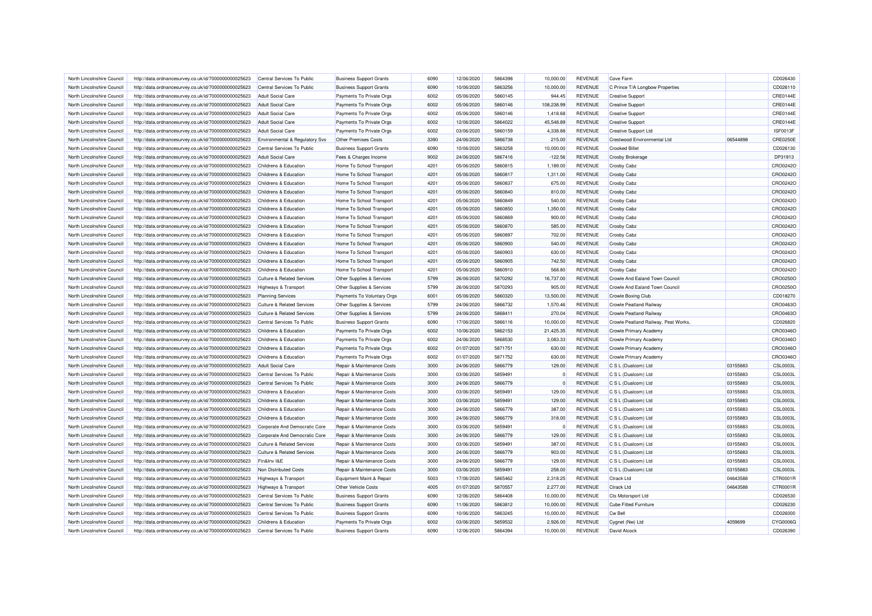| North Lincolnshire Council                               | http://data.ordnancesurvey.co.uk/id/7000000000025623 | Central Services To Public            | <b>Business Support Grants</b> | 6090 | 12/06/2020 | 5864398            | 10.000.00  | <b>REVENUE</b> | Cove Farm                            |          | CD026430        |
|----------------------------------------------------------|------------------------------------------------------|---------------------------------------|--------------------------------|------|------------|--------------------|------------|----------------|--------------------------------------|----------|-----------------|
| North Lincolnshire Council                               | http://data.ordnancesurvey.co.uk/id/7000000000025623 | Central Services To Public            | <b>Business Support Grants</b> | 6090 | 10/06/2020 | 5863256            | 10,000.00  | <b>REVENUE</b> | C Prince T/A Longbow Properties      |          | CD026110        |
| North Lincolnshire Council                               | http://data.ordnancesurvey.co.uk/id/7000000000025623 | <b>Adult Social Care</b>              | Payments To Private Orgs       | 6002 | 05/06/2020 | 5860145            | 944.45     | <b>REVENUE</b> | <b>Creative Support</b>              |          | CRE0144E        |
| North Lincolnshire Council                               | http://data.ordnancesurvey.co.uk/id/7000000000025623 | <b>Adult Social Care</b>              | Payments To Private Orgs       | 6002 | 05/06/2020 | 5860146            | 108,238.99 | <b>REVENUE</b> | <b>Creative Support</b>              |          | CRE0144E        |
| North Lincolnshire Council                               | http://data.ordnancesurvey.co.uk/id/7000000000025623 | <b>Adult Social Care</b>              | Payments To Private Orgs       | 6002 | 05/06/2020 | 5860146            | 1,418.68   | <b>REVENUE</b> | <b>Creative Support</b>              |          | CRE0144E        |
| North Lincolnshire Council                               | http://data.ordnancesurvey.co.uk/id/7000000000025623 | <b>Adult Social Care</b>              | Payments To Private Orgs       | 6002 | 12/06/2020 | 5864022            | 45,548.89  | <b>REVENUE</b> | <b>Creative Support</b>              |          | CRE0144E        |
| North Lincolnshire Council                               | http://data.ordnancesurvey.co.uk/id/7000000000025623 | <b>Adult Social Care</b>              | Payments To Private Orgs       | 6002 | 03/06/2020 | 5860159            | 4,338.88   | <b>REVENUE</b> | Creative Support Ltd                 |          | ISF0013F        |
| North Lincolnshire Council                               | http://data.ordnancesurvey.co.uk/id/7000000000025623 | Environmental & Regulatory Svs        | <b>Other Premises Costs</b>    | 3390 | 24/06/2020 | 5866738            | 215.00     | <b>REVENUE</b> | Crestwood Environmental Ltd          | 06544898 | <b>CRE0250E</b> |
| North Lincolnshire Council                               | http://data.ordnancesurvey.co.uk/id/7000000000025623 | Central Services To Public            | <b>Business Support Grants</b> | 6090 | 10/06/2020 | 5863258            | 10,000.00  | <b>REVENUE</b> | <b>Crooked Billet</b>                |          | CD026130        |
| North Lincolnshire Council                               | http://data.ordnancesurvey.co.uk/id/7000000000025623 | <b>Adult Social Care</b>              | Fees & Charges Income          | 9002 | 24/06/2020 | 5867416            | $-122.56$  | <b>REVENUE</b> | <b>Crosby Brokerage</b>              |          | DP31913         |
| North Lincolnshire Council                               | http://data.ordnancesurvey.co.uk/id/7000000000025623 | Childrens & Education                 | Home To School Transport       | 4201 | 05/06/2020 | 5860815            | 1,189.00   | <b>REVENUE</b> | <b>Crosby Cabz</b>                   |          | CRO0242O        |
| North Lincolnshire Council                               | http://data.ordnancesurvey.co.uk/id/7000000000025623 | Childrens & Education                 | Home To School Transport       | 4201 | 05/06/2020 | 5860817            | 1,311.00   | <b>REVENUE</b> | <b>Crosby Cabz</b>                   |          | CRO0242O        |
| North Lincolnshire Council                               | http://data.ordnancesurvey.co.uk/id/7000000000025623 | Childrens & Education                 | Home To School Transport       | 4201 | 05/06/2020 | 5860837            | 675.00     | <b>REVENUE</b> | <b>Crosby Cabz</b>                   |          | CRO0242C        |
| North Lincolnshire Council                               | http://data.ordnancesurvey.co.uk/id/7000000000025623 | Childrens & Education                 | Home To School Transport       | 4201 | 05/06/2020 | 5860840            | 810.00     | <b>REVENUE</b> | <b>Crosby Cabz</b>                   |          | CRO0242O        |
| North Lincolnshire Council                               | http://data.ordnancesurvey.co.uk/id/7000000000025623 | Childrens & Education                 | Home To School Transport       | 4201 | 05/06/2020 | 5860849            | 540.00     | <b>REVENUE</b> | <b>Crosby Cabz</b>                   |          | CRO0242C        |
| North Lincolnshire Council                               | http://data.ordnancesurvey.co.uk/id/7000000000025623 | Childrens & Education                 | Home To School Transport       | 4201 | 05/06/2020 | 5860850            | 1,350.00   | <b>REVENUE</b> | <b>Crosby Cabz</b>                   |          | CRO0242O        |
| North Lincolnshire Council                               | http://data.ordnancesurvey.co.uk/id/7000000000025623 | Childrens & Education                 | Home To School Transport       | 4201 | 05/06/2020 | 5860869            | 900.00     | <b>REVENUE</b> | Crosby Cabz                          |          | CRO0242C        |
| North Lincolnshire Council                               | http://data.ordnancesurvey.co.uk/id/7000000000025623 | Childrens & Education                 | Home To School Transport       | 4201 | 05/06/2020 | 5860870            | 585.00     | <b>REVENUE</b> | Crosby Cabz                          |          | CRO0242C        |
| North Lincolnshire Council                               | http://data.ordnancesurvey.co.uk/id/7000000000025623 | Childrens & Education                 | Home To School Transport       | 4201 | 05/06/2020 | 5860897            | 702.00     | <b>REVENUE</b> | Crosby Cabz                          |          | CRO0242O        |
| North Lincolnshire Council                               | http://data.ordnancesurvey.co.uk/id/7000000000025623 | Childrens & Education                 | Home To School Transport       | 4201 | 05/06/2020 | 5860900            | 540.00     | <b>REVENUE</b> | <b>Crosby Cabz</b>                   |          | CRO0242O        |
| North Lincolnshire Council                               | http://data.ordnancesurvey.co.uk/id/7000000000025623 | Childrens & Education                 | Home To School Transport       | 4201 | 05/06/2020 | 5860903            | 630.00     | <b>REVENUE</b> | Crosby Cabz                          |          | CRO0242C        |
| North Lincolnshire Council                               | http://data.ordnancesurvey.co.uk/id/7000000000025623 | Childrens & Education                 | Home To School Transport       | 4201 | 05/06/2020 | 5860905            | 742.50     | <b>REVENUE</b> | <b>Crosby Cabz</b>                   |          | CRO0242O        |
| North Lincolnshire Council                               | http://data.ordnancesurvey.co.uk/id/7000000000025623 | Childrens & Education                 | Home To School Transport       | 4201 | 05/06/2020 | 5860910            | 568.80     | <b>REVENUE</b> | <b>Crosby Cabz</b>                   |          | CRO0242O        |
| North Lincolnshire Council                               | http://data.ordnancesurvey.co.uk/id/7000000000025623 | <b>Culture &amp; Related Services</b> | Other Supplies & Services      | 5799 | 26/06/2020 | 5870292            | 16,737.00  | <b>REVENUE</b> | Crowle And Ealand Town Council       |          | CRO0250C        |
| North Lincolnshire Council                               | http://data.ordnancesurvey.co.uk/id/7000000000025623 | Highways & Transport                  | Other Supplies & Services      | 5799 | 26/06/2020 | 5870293            | 905.00     | <b>REVENUE</b> | Crowle And Ealand Town Council       |          | CRO0250O        |
| North Lincolnshire Council                               |                                                      |                                       |                                | 6001 |            | 5860320            | 13,500.00  | <b>REVENUE</b> |                                      |          |                 |
|                                                          | http://data.ordnancesurvey.co.uk/id/7000000000025623 | <b>Planning Services</b>              | Payments To Voluntary Orgs     |      | 05/06/2020 |                    |            |                | Crowle Boxing Club                   |          | CD018270        |
| North Lincolnshire Council<br>North Lincolnshire Council | http://data.ordnancesurvey.co.uk/id/7000000000025623 | <b>Culture &amp; Related Services</b> | Other Supplies & Services      | 5799 | 24/06/2020 | 5866732<br>5868411 | 1,570.46   | <b>REVENUE</b> | <b>Crowle Peatland Railway</b>       |          | CRO0463C        |
|                                                          | http://data.ordnancesurvey.co.uk/id/7000000000025623 | <b>Culture &amp; Related Services</b> | Other Supplies & Services      | 5799 | 24/06/2020 |                    | 270.04     | <b>REVENUE</b> | Crowle Peatland Railway              |          | CRO0463O        |
| North Lincolnshire Council                               | http://data.ordnancesurvey.co.uk/id/7000000000025623 | Central Services To Public            | <b>Business Support Grants</b> | 6090 | 17/06/2020 | 5866116            | 10,000.00  | <b>REVENUE</b> | Crowle Peatland Railway, Peat Works. |          | CD026820        |
| North Lincolnshire Council                               | http://data.ordnancesurvey.co.uk/id/7000000000025623 | Childrens & Education                 | Payments To Private Orgs       | 6002 | 10/06/2020 | 5862153            | 21,425.35  | <b>REVENUE</b> | Crowle Primary Academy               |          | CRO0346O        |
| North Lincolnshire Council                               | http://data.ordnancesurvey.co.uk/id/7000000000025623 | Childrens & Education                 | Payments To Private Orgs       | 6002 | 24/06/2020 | 5868530            | 3.083.33   | <b>REVENUE</b> | Crowle Primary Academy               |          | CRO0346O        |
| North Lincolnshire Council                               | http://data.ordnancesurvey.co.uk/id/7000000000025623 | <b>Childrens &amp; Education</b>      | Payments To Private Orgs       | 6002 | 01/07/2020 | 5871751            | 630.00     | <b>REVENUE</b> | Crowle Primary Academy               |          | CRO0346C        |
| North Lincolnshire Council                               | http://data.ordnancesurvey.co.uk/id/7000000000025623 | Childrens & Education                 | Payments To Private Orgs       | 6002 | 01/07/2020 | 5871752            | 630.00     | <b>REVENUE</b> | Crowle Primary Academy               |          | CRO0346O        |
| North Lincolnshire Council                               | http://data.ordnancesurvey.co.uk/id/7000000000025623 | <b>Adult Social Care</b>              | Repair & Maintenance Costs     | 3000 | 24/06/2020 | 5866779            | 129.00     | <b>REVENUE</b> | C S L (Dualcom) Ltd                  | 03155883 | <b>CSL0003L</b> |
| North Lincolnshire Council                               | http://data.ordnancesurvey.co.uk/id/7000000000025623 | Central Services To Public            | Repair & Maintenance Costs     | 3000 | 03/06/2020 | 5859491            |            | <b>REVENUE</b> | C S L (Dualcom) Ltd                  | 03155883 | <b>CSL0003L</b> |
| North Lincolnshire Council                               | http://data.ordnancesurvey.co.uk/id/7000000000025623 | Central Services To Public            | Repair & Maintenance Costs     | 3000 | 24/06/2020 | 5866779            |            | <b>REVENUE</b> | C S L (Dualcom) Ltd                  | 03155883 | <b>CSL0003L</b> |
| North Lincolnshire Council                               | http://data.ordnancesurvey.co.uk/id/7000000000025623 | Childrens & Education                 | Repair & Maintenance Costs     | 3000 | 03/06/2020 | 5859491            | 129.00     | <b>REVENUE</b> | C S L (Dualcom) Ltd                  | 03155883 | <b>CSL0003L</b> |
| North Lincolnshire Council                               | http://data.ordnancesurvey.co.uk/id/7000000000025623 | Childrens & Education                 | Repair & Maintenance Costs     | 3000 | 03/06/2020 | 5859491            | 129.00     | <b>REVENUE</b> | C S L (Dualcom) Ltd                  | 03155883 | <b>CSL0003L</b> |
| North Lincolnshire Council                               | http://data.ordnancesurvey.co.uk/id/7000000000025623 | Childrens & Education                 | Repair & Maintenance Costs     | 3000 | 24/06/2020 | 5866779            | 387.00     | <b>REVENUE</b> | C S L (Dualcom) Ltd                  | 03155883 | <b>CSL0003L</b> |
| North Lincolnshire Council                               | http://data.ordnancesurvey.co.uk/id/7000000000025623 | Childrens & Education                 | Repair & Maintenance Costs     | 3000 | 24/06/2020 | 5866779            | 318.00     | <b>REVENUE</b> | C S L (Dualcom) Ltd                  | 03155883 | <b>CSL0003L</b> |
| North Lincolnshire Council                               | http://data.ordnancesurvey.co.uk/id/7000000000025623 | Corporate And Democratic Core         | Repair & Maintenance Costs     | 3000 | 03/06/2020 | 5859491            |            | <b>REVENUE</b> | C S L (Dualcom) Ltd                  | 03155883 | <b>CSL0003L</b> |
| North Lincolnshire Council                               | http://data.ordnancesurvey.co.uk/id/7000000000025623 | Corporate And Democratic Core         | Repair & Maintenance Costs     | 3000 | 24/06/2020 | 5866779            | 129.00     | <b>REVENUE</b> | C S L (Dualcom) Ltd                  | 03155883 | <b>CSL0003L</b> |
| North Lincolnshire Council                               | http://data.ordnancesurvey.co.uk/id/7000000000025623 | <b>Culture &amp; Related Services</b> | Repair & Maintenance Costs     | 3000 | 03/06/2020 | 5859491            | 387.00     | <b>REVENUE</b> | C S L (Dualcom) Ltd                  | 03155883 | <b>CSL0003L</b> |
| North Lincolnshire Council                               | http://data.ordnancesurvey.co.uk/id/7000000000025623 | <b>Culture &amp; Related Services</b> | Repair & Maintenance Costs     | 3000 | 24/06/2020 | 5866779            | 903.00     | <b>REVENUE</b> | C S L (Dualcom) Ltd                  | 03155883 | <b>CSL0003L</b> |
| North Lincolnshire Council                               | http://data.ordnancesurvey.co.uk/id/7000000000025623 | Fin&Inv I&E                           | Repair & Maintenance Costs     | 3000 | 24/06/2020 | 5866779            | 129.00     | <b>REVENUE</b> | C S L (Dualcom) Ltd                  | 03155883 | <b>CSL0003L</b> |
| North Lincolnshire Council                               | http://data.ordnancesurvey.co.uk/id/7000000000025623 | Non Distributed Costs                 | Repair & Maintenance Costs     | 3000 | 03/06/2020 | 5859491            | 258.00     | <b>REVENUE</b> | C S L (Dualcom) Ltd                  | 03155883 | <b>CSL0003L</b> |
| North Lincolnshire Council                               | http://data.ordnancesurvey.co.uk/id/7000000000025623 | Highways & Transport                  | Equipment Maint.& Repair       | 5003 | 17/06/2020 | 5865462            | 2,318.25   | <b>REVENUE</b> | <b>Ctrack Ltd</b>                    | 04643588 | CTR0001R        |
| North Lincolnshire Council                               | http://data.ordnancesurvey.co.uk/id/7000000000025623 | <b>Highways &amp; Transport</b>       | <b>Other Vehicle Costs</b>     | 4005 | 01/07/2020 | 5870557            | 2,277.00   | <b>REVENUE</b> | <b>Ctrack Ltd</b>                    | 04643588 | CTR0001R        |
| North Lincolnshire Council                               | http://data.ordnancesurvey.co.uk/id/7000000000025623 | Central Services To Public            | <b>Business Support Grants</b> | 6090 | 12/06/2020 | 5864408            | 10,000.00  | <b>REVENUE</b> | <b>Cts Motorsport Ltd</b>            |          | CD026530        |
| North Lincolnshire Council                               | http://data.ordnancesurvey.co.uk/id/7000000000025623 | Central Services To Public            | <b>Business Support Grants</b> | 6090 | 11/06/2020 | 5863812            | 10,000.00  | <b>REVENUE</b> | <b>Cube Fitted Furniture</b>         |          | CD026230        |
| North Lincolnshire Council                               | http://data.ordnancesurvey.co.uk/id/7000000000025623 | Central Services To Public            | <b>Business Support Grants</b> | 6090 | 10/06/2020 | 5863245            | 10,000.00  | <b>REVENUE</b> | <b>Cw Bell</b>                       |          | CD026000        |
| North Lincolnshire Council                               | http://data.ordnancesurvey.co.uk/id/7000000000025623 | Childrens & Education                 | Payments To Private Orgs       | 6002 | 03/06/2020 | 5859532            | 2,926.00   | <b>REVENUE</b> | Cygnet (Nw) Ltd                      | 4059699  | CYG0006G        |
| North Lincolnshire Council                               | http://data.ordnancesurvey.co.uk/id/7000000000025623 | Central Services To Public            | <b>Business Support Grants</b> | 6090 | 12/06/2020 | 5864394            | 10,000.00  | <b>REVENUE</b> | David Alcock                         |          | CD026390        |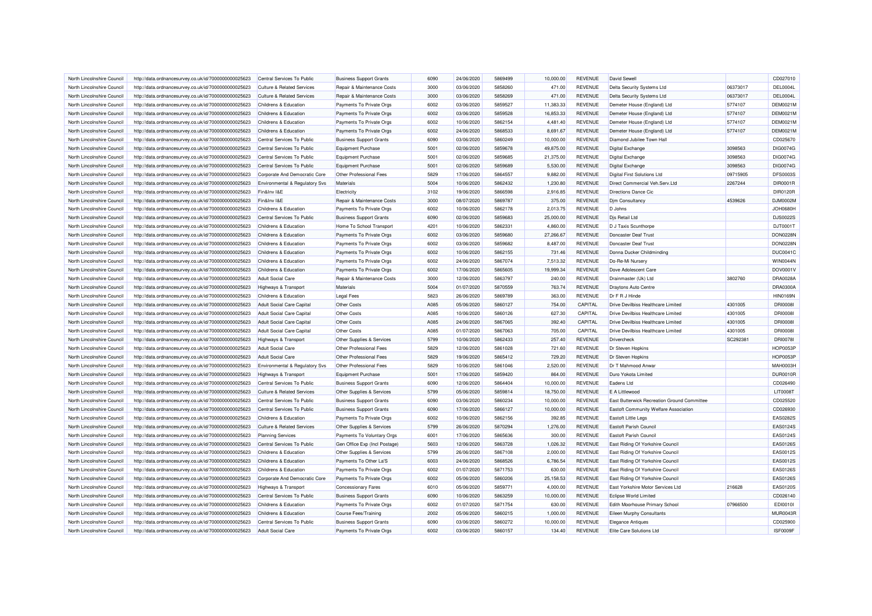| North Lincolnshire Council | http://data.ordnancesurvey.co.uk/id/7000000000025623 | Central Services To Public            | <b>Business Support Grants</b> | 6090         | 24/06/2020 | 5869499 | 10.000.00 | <b>REVENUE</b> | David Sewell                                |          | CD027010        |
|----------------------------|------------------------------------------------------|---------------------------------------|--------------------------------|--------------|------------|---------|-----------|----------------|---------------------------------------------|----------|-----------------|
| North Lincolnshire Council | http://data.ordnancesurvey.co.uk/id/7000000000025623 | <b>Culture &amp; Related Services</b> | Repair & Maintenance Costs     | 3000         | 03/06/2020 | 5858260 | 471.00    | <b>REVENUE</b> | Delta Security Systems Ltd                  | 06373017 | DEL0004L        |
| North Lincolnshire Council | http://data.ordnancesurvey.co.uk/id/7000000000025623 | <b>Culture &amp; Related Services</b> | Repair & Maintenance Costs     | 3000         | 03/06/2020 | 5858269 | 471.00    | <b>REVENUE</b> | Delta Security Systems Ltd                  | 06373017 | DEL0004L        |
| North Lincolnshire Council | http://data.ordnancesurvey.co.uk/id/7000000000025623 | Childrens & Education                 | Payments To Private Orgs       | 6002         | 03/06/2020 | 5859527 | 11,383.33 | <b>REVENUE</b> | Demeter House (England) Ltd                 | 5774107  | <b>DEM0021M</b> |
| North Lincolnshire Council | http://data.ordnancesurvey.co.uk/id/7000000000025623 | Childrens & Education                 | Payments To Private Orgs       | 6002         | 03/06/2020 | 5859528 | 16,853.33 | <b>REVENUE</b> | Demeter House (England) Ltd                 | 5774107  | DEM0021N        |
| North Lincolnshire Council | http://data.ordnancesurvey.co.uk/id/7000000000025623 | Childrens & Education                 | Payments To Private Orgs       | 6002         | 10/06/2020 | 5862154 | 4,481.40  | <b>REVENUE</b> | Demeter House (England) Ltd                 | 5774107  | DEM0021M        |
| North Lincolnshire Council | http://data.ordnancesurvey.co.uk/id/7000000000025623 | Childrens & Education                 | Payments To Private Orgs       | 6002         | 24/06/2020 | 5868533 | 8,691.67  | <b>REVENUE</b> | Demeter House (England) Ltd                 | 5774107  | <b>DEM0021M</b> |
| North Lincolnshire Council | http://data.ordnancesurvey.co.uk/id/7000000000025623 | Central Services To Public            | <b>Business Support Grants</b> | 6090         | 03/06/2020 | 5860249 | 10,000.00 | <b>REVENUE</b> | Diamond Jubilee Town Hall                   |          | CD025670        |
| North Lincolnshire Council | http://data.ordnancesurvey.co.uk/id/7000000000025623 | Central Services To Public            | <b>Equipment Purchase</b>      | 5001         | 02/06/2020 | 5859678 | 49,875.00 | <b>REVENUE</b> | <b>Digital Exchange</b>                     | 3098563  | DIG0074G        |
| North Lincolnshire Council | http://data.ordnancesurvey.co.uk/id/7000000000025623 | Central Services To Public            | <b>Equipment Purchase</b>      | 5001         | 02/06/2020 | 5859685 | 21,375.00 | <b>REVENUE</b> | Digital Exchange                            | 3098563  | DIG0074G        |
| North Lincolnshire Council | http://data.ordnancesurvey.co.uk/id/7000000000025623 | Central Services To Public            | <b>Equipment Purchase</b>      | 5001         | 02/06/2020 | 5859689 | 5,530.00  | <b>REVENUE</b> | Digital Exchange                            | 3098563  | DIG0074G        |
| North Lincolnshire Council | http://data.ordnancesurvey.co.uk/id/7000000000025623 | Corporate And Democratic Core         | Other Professional Fees        | 5829         | 17/06/2020 | 5864557 | 9.882.00  | <b>REVENUE</b> | <b>Digital First Solutions Ltd</b>          | 09715905 | <b>DFS0003S</b> |
| North Lincolnshire Council | http://data.ordnancesurvey.co.uk/id/7000000000025623 | Environmental & Regulatory Svs        | Materials                      | 5004         | 10/06/2020 | 5862432 | 1,230.80  | <b>REVENUE</b> | Direct Commercial Veh.Serv.Ltd              | 2267244  | DIR0001R        |
| North Lincolnshire Council | http://data.ordnancesurvey.co.uk/id/7000000000025623 | Fin&Inv I&E                           | Electricity                    | 3102         | 19/06/2020 | 5866598 | 2,916.85  | <b>REVENUE</b> | <b>Directions Dance Cic</b>                 |          | DIR0120R        |
| North Lincolnshire Council | http://data.ordnancesurvey.co.uk/id/7000000000025623 | Fin&Inv I&E                           | Repair & Maintenance Costs     | 3000         | 08/07/2020 | 5869787 | 375.00    | <b>REVENUE</b> | <b>Dim Consultancy</b>                      | 4539626  | DJM0002M        |
| North Lincolnshire Council | http://data.ordnancesurvey.co.uk/id/7000000000025623 | Childrens & Education                 | Payments To Private Orgs       | 6002         | 10/06/2020 | 5862178 | 2,013.75  | <b>REVENUE</b> | D Johns                                     |          | <b>JOH0680H</b> |
| North Lincolnshire Council | http://data.ordnancesurvey.co.uk/id/7000000000025623 | Central Services To Public            | <b>Business Support Grants</b> | 6090         | 02/06/2020 | 5859683 | 25,000.00 | <b>REVENUE</b> | Dis Retail Ltd                              |          | <b>DJS0022S</b> |
| North Lincolnshire Council | http://data.ordnancesurvey.co.uk/id/7000000000025623 | Childrens & Education                 | Home To School Transport       | 4201         | 10/06/2020 | 5862331 | 4,860.00  | <b>REVENUE</b> | D J Taxis Scunthorpe                        |          | DJT0001T        |
| North Lincolnshire Council | http://data.ordnancesurvey.co.uk/id/7000000000025623 | Childrens & Education                 | Payments To Private Orgs       | 6002         | 03/06/2020 | 5859680 | 27,266.67 | <b>REVENUE</b> | Doncaster Deaf Trust                        |          | DON0228N        |
| North Lincolnshire Council | http://data.ordnancesurvey.co.uk/id/7000000000025623 | Childrens & Education                 | Payments To Private Orgs       | 6002         | 03/06/2020 | 5859682 | 8,487.00  | <b>REVENUE</b> | Doncaster Deaf Trust                        |          | DON0228N        |
| North Lincolnshire Council | http://data.ordnancesurvey.co.uk/id/7000000000025623 | Childrens & Education                 | Payments To Private Orgs       | 6002         | 10/06/2020 | 5862155 | 731.46    | <b>REVENUE</b> | Donna Ducker Childminding                   |          | <b>DUC0041C</b> |
| North Lincolnshire Council | http://data.ordnancesurvey.co.uk/id/7000000000025623 | Childrens & Education                 | Payments To Private Orgs       | 6002         | 24/06/2020 | 5867074 | 7,513.32  | <b>REVENUE</b> | Do-Re-Mi Nursery                            |          | <b>WIN0044N</b> |
| North Lincolnshire Council | http://data.ordnancesurvey.co.uk/id/7000000000025623 | Childrens & Education                 | Payments To Private Orgs       | 6002         | 17/06/2020 | 5865605 | 19.999.34 | <b>REVENUE</b> | Dove Adolescent Care                        |          | DOV0001V        |
|                            |                                                      |                                       |                                |              |            |         |           |                |                                             |          |                 |
| North Lincolnshire Council | http://data.ordnancesurvey.co.uk/id/7000000000025623 | <b>Adult Social Care</b>              | Repair & Maintenance Costs     | 3000         | 12/06/2020 | 5863797 | 240.00    | <b>REVENUE</b> | Drainmaster (Uk) Ltd                        | 3802760  | DRA0028A        |
| North Lincolnshire Council | http://data.ordnancesurvey.co.uk/id/7000000000025623 | Highways & Transport                  | Materials                      | 5004         | 01/07/2020 | 5870559 | 763.74    | <b>REVENUE</b> | Draytons Auto Centre                        |          | <b>DRA0300A</b> |
| North Lincolnshire Council | http://data.ordnancesurvey.co.uk/id/7000000000025623 | Childrens & Education                 | <b>Legal Fees</b>              | 5823         | 26/06/2020 | 5869789 | 363.00    | <b>REVENUE</b> | Dr F R J Hinde                              |          | <b>HIN0169N</b> |
| North Lincolnshire Council | http://data.ordnancesurvey.co.uk/id/7000000000025623 | <b>Adult Social Care Capital</b>      | <b>Other Costs</b>             | A085         | 05/06/2020 | 5860127 | 754.00    | CAPITAL        | Drive Devilbiss Healthcare Limited          | 4301005  | <b>DRI0008</b>  |
| North Lincolnshire Council | http://data.ordnancesurvey.co.uk/id/7000000000025623 | Adult Social Care Capital             | <b>Other Costs</b>             | A085         | 10/06/2020 | 5860126 | 627.30    | CAPITAL        | Drive Devilbiss Healthcare Limited          | 4301005  | <b>DRI0008</b>  |
| North Lincolnshire Council | http://data.ordnancesurvey.co.uk/id/7000000000025623 | <b>Adult Social Care Capital</b>      | <b>Other Costs</b>             | A085         | 24/06/2020 | 5867065 | 392.40    | CAPITAL        | Drive Devilbiss Healthcare Limited          | 4301005  | <b>DRI0008</b>  |
| North Lincolnshire Council | http://data.ordnancesurvey.co.uk/id/7000000000025623 | Adult Social Care Capital             | Other Costs                    | A085         | 01/07/2020 | 5867063 | 705.00    | CAPITAL        | Drive Devilbiss Healthcare Limited          | 4301005  | <b>DRI0008I</b> |
| North Lincolnshire Council | http://data.ordnancesurvey.co.uk/id/7000000000025623 | Highways & Transport                  | Other Supplies & Services      | 5799         | 10/06/2020 | 5862433 | 257.40    | <b>REVENUE</b> | Drivercheck                                 | SC292381 | <b>DRI0078I</b> |
| North Lincolnshire Council | http://data.ordnancesurvey.co.uk/id/7000000000025623 | <b>Adult Social Care</b>              | Other Professional Fees        | 5829         | 12/06/2020 | 5861028 | 721.60    | <b>REVENUE</b> | Dr Steven Hopkins                           |          | <b>HOP0053F</b> |
| North Lincolnshire Council | http://data.ordnancesurvey.co.uk/id/7000000000025623 | Adult Social Care                     | Other Professional Fees        | 5829         | 19/06/2020 | 5865412 | 729.20    | <b>REVENUE</b> | Dr Steven Hopkins                           |          | <b>HOP0053F</b> |
| North Lincolnshire Council | http://data.ordnancesurvey.co.uk/id/7000000000025623 | Environmental & Regulatory Svs        | Other Professional Fees        | 5829         | 10/06/2020 | 5861046 | 2,520.00  | <b>REVENUE</b> | Dr T Mahmood Anwar                          |          | MAH0003H        |
| North Lincolnshire Council | http://data.ordnancesurvey.co.uk/id/7000000000025623 | Highways & Transport                  | <b>Equipment Purchase</b>      | 5001         | 17/06/2020 | 5859420 | 864.00    | <b>REVENUE</b> | Duro Yokota Limited                         |          | <b>DUR0010F</b> |
| North Lincolnshire Council | http://data.ordnancesurvey.co.uk/id/7000000000025623 | Central Services To Public            | <b>Business Support Grants</b> | 6090         | 12/06/2020 | 5864404 | 10,000.00 | <b>REVENUE</b> | Eadens Ltd                                  |          | CD026490        |
| North Lincolnshire Council | http://data.ordnancesurvey.co.uk/id/7000000000025623 | <b>Culture &amp; Related Services</b> | Other Supplies & Services      | 5799         | 05/06/2020 | 5859814 | 18,750.00 | <b>REVENUE</b> | E A Littlewood                              |          | <b>LIT0008T</b> |
| North Lincolnshire Council | http://data.ordnancesurvey.co.uk/id/7000000000025623 | Central Services To Public            | <b>Business Support Grants</b> | 6090         | 03/06/2020 | 5860234 | 10,000.00 | <b>REVENUE</b> | East Butterwick Recreation Ground Committee |          | CD025520        |
| North Lincolnshire Council | http://data.ordnancesurvey.co.uk/id/7000000000025623 | Central Services To Public            | <b>Business Support Grants</b> | 6090         | 17/06/2020 | 5866127 | 10,000.00 | <b>REVENUE</b> | Eastoft Community Welfare Association       |          | CD026930        |
| North Lincolnshire Council | http://data.ordnancesurvey.co.uk/id/7000000000025623 | Childrens & Education                 | Payments To Private Orgs       | 6002         | 10/06/2020 | 5862156 | 392.85    | <b>REVENUE</b> | Eastoft Little Legs                         |          | EAS0282S        |
| North Lincolnshire Council | http://data.ordnancesurvey.co.uk/id/7000000000025623 | <b>Culture &amp; Related Services</b> | Other Supplies & Services      | 5799         | 26/06/2020 | 5870294 | 1,276.00  | <b>REVENUE</b> | <b>Fastoft Parish Council</b>               |          | EAS0124S        |
| North Lincolnshire Council | http://data.ordnancesurvey.co.uk/id/7000000000025623 | <b>Planning Services</b>              | Payments To Voluntary Orgs     | 6001         | 17/06/2020 | 5865636 | 300.00    | <b>REVENUE</b> | Eastoft Parish Council                      |          | EAS0124S        |
| North Lincolnshire Council | http://data.ordnancesurvey.co.uk/id/7000000000025623 | Central Services To Public            | Gen Office Exp (Incl Postage)  | 5603         | 12/06/2020 | 5863728 | 1.026.32  | <b>REVENUE</b> | East Riding Of Yorkshire Council            |          | EAS0126S        |
| North Lincolnshire Council | http://data.ordnancesurvey.co.uk/id/7000000000025623 | Childrens & Education                 | Other Supplies & Services      | 5799         | 26/06/2020 | 5867108 | 2.000.00  | <b>REVENUE</b> | East Riding Of Yorkshire Council            |          | EAS0012S        |
| North Lincolnshire Council | http://data.ordnancesurvey.co.uk/id/7000000000025623 | Childrens & Education                 | Payments To Other La'S         | 6003         | 24/06/2020 | 5868526 | 6,786.54  | <b>REVENUE</b> | East Riding Of Yorkshire Council            |          | EAS0012S        |
| North Lincolnshire Council | http://data.ordnancesurvey.co.uk/id/7000000000025623 | Childrens & Education                 | Payments To Private Orgs       | 6002         | 01/07/2020 | 5871753 | 630.00    | <b>REVENUE</b> | East Riding Of Yorkshire Council            |          | EAS0126S        |
| North Lincolnshire Council | http://data.ordnancesurvey.co.uk/id/7000000000025623 | Corporate And Democratic Core         | Payments To Private Orgs       | 6002         | 05/06/2020 | 5860206 | 25,158.53 | <b>REVENUE</b> | East Riding Of Yorkshire Council            |          | EAS0126S        |
| North Lincolnshire Council | http://data.ordnancesurvey.co.uk/id/7000000000025623 | <b>Highways &amp; Transport</b>       | <b>Concessionary Fares</b>     | 6010         | 05/06/2020 | 5859771 | 4,000.00  | <b>REVENUE</b> | East Yorkshire Motor Services Ltd           | 216628   | EAS0120S        |
| North Lincolnshire Council | http://data.ordnancesurvey.co.uk/id/7000000000025623 | Central Services To Public            | <b>Business Support Grants</b> | 6090         | 10/06/2020 | 5863259 | 10,000.00 | <b>REVENUE</b> | <b>Eclipse World Limited</b>                |          | CD026140        |
| North Lincolnshire Council | http://data.ordnancesurvey.co.uk/id/7000000000025623 | <b>Childrens &amp; Education</b>      | Payments To Private Orgs       | 6002         | 01/07/2020 | 5871754 | 630.00    | <b>REVENUE</b> | Edith Moorhouse Primary School              | 07966500 | EDI0010I        |
|                            |                                                      |                                       |                                |              |            | 5860215 |           |                |                                             |          | <b>MUR0043R</b> |
| North Lincolnshire Council | http://data.ordnancesurvey.co.uk/id/7000000000025623 | Childrens & Education                 | Course Fees/Training           | 2002<br>6090 | 05/06/2020 |         | 1,000.00  | <b>REVENUE</b> | <b>Eileen Murphy Consultants</b>            |          |                 |
| North Lincolnshire Council | http://data.ordnancesurvey.co.uk/id/7000000000025623 | Central Services To Public            | <b>Business Support Grants</b> |              | 03/06/2020 | 5860272 | 10,000.00 | <b>REVENUE</b> | <b>Elegance Antiques</b>                    |          | CD025900        |
| North Lincolnshire Council | http://data.ordnancesurvey.co.uk/id/7000000000025623 | <b>Adult Social Care</b>              | Payments To Private Orgs       | 6002         | 03/06/2020 | 5860157 | 134.40    | <b>REVENUE</b> | Elite Care Solutions Ltd                    |          | ISF0009F        |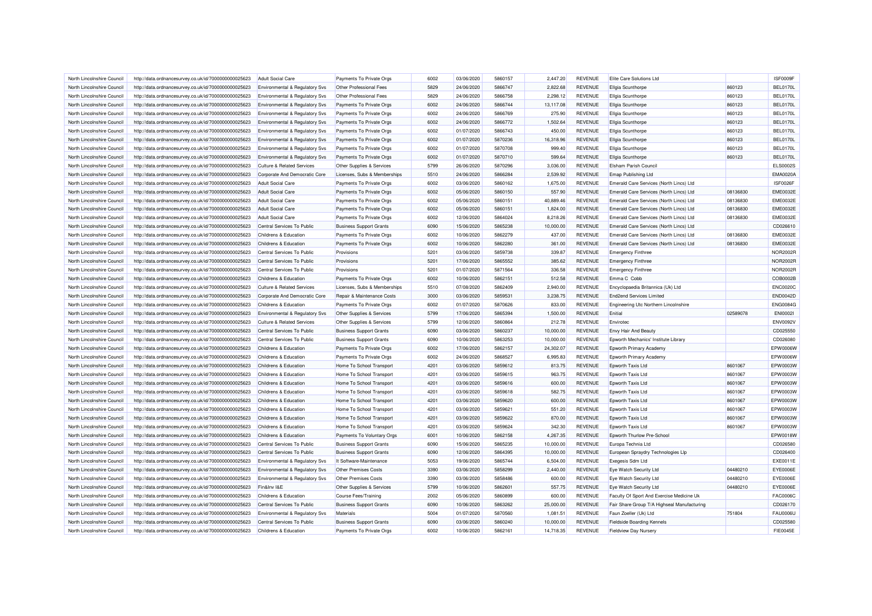| North Lincolnshire Council                               | http://data.ordnancesurvey.co.uk/id/7000000000025623 | Adult Social Care                         | Payments To Private Orgs       | 6002 | 03/06/2020 | 5860157 | 2,447.20  | <b>REVENUE</b> | Elite Care Solutions Ltd                    |          | ISF0009F        |
|----------------------------------------------------------|------------------------------------------------------|-------------------------------------------|--------------------------------|------|------------|---------|-----------|----------------|---------------------------------------------|----------|-----------------|
| North Lincolnshire Council                               | http://data.ordnancesurvey.co.uk/id/7000000000025623 | Environmental & Regulatory Svs            | Other Professional Fees        | 5829 | 24/06/2020 | 5866747 | 2,822.68  | <b>REVENUE</b> | <b>Ellgia Scunthorpe</b>                    | 860123   | <b>BEL0170L</b> |
| North Lincolnshire Council                               | http://data.ordnancesurvey.co.uk/id/7000000000025623 | Environmental & Regulatory Svs            | Other Professional Fees        | 5829 | 24/06/2020 | 5866758 | 2,298.12  | <b>REVENUE</b> | <b>Ellgia Scunthorpe</b>                    | 860123   | <b>BEL0170L</b> |
| North Lincolnshire Council                               | http://data.ordnancesurvey.co.uk/id/7000000000025623 | <b>Environmental &amp; Regulatory Svs</b> | Payments To Private Orgs       | 6002 | 24/06/2020 | 5866744 | 13,117.08 | <b>REVENUE</b> | Ellgia Scunthorpe                           | 860123   | <b>BEL0170L</b> |
| North Lincolnshire Council                               | http://data.ordnancesurvey.co.uk/id/7000000000025623 | Environmental & Regulatory Svs            | Payments To Private Orgs       | 6002 | 24/06/2020 | 5866769 | 275.90    | <b>REVENUE</b> | Ellgia Scunthorpe                           | 860123   | <b>BEL0170L</b> |
| North Lincolnshire Council                               | http://data.ordnancesurvey.co.uk/id/7000000000025623 | Environmental & Regulatory Svs            | Payments To Private Orgs       | 6002 | 24/06/2020 | 5866772 | 1,502.64  | REVENUE        | Ellgia Scunthorpe                           | 860123   | <b>BEL0170L</b> |
| North Lincolnshire Council                               | http://data.ordnancesurvey.co.uk/id/7000000000025623 | Environmental & Regulatory Svs            | Payments To Private Orgs       | 6002 | 01/07/2020 | 5866743 | 450.00    | <b>REVENUE</b> | Ellgia Scunthorpe                           | 860123   | BEL0170L        |
| North Lincolnshire Council                               | http://data.ordnancesurvey.co.uk/id/7000000000025623 | Environmental & Regulatory Svs            | Payments To Private Orgs       | 6002 | 01/07/2020 | 5870236 | 16,318.96 | <b>REVENUE</b> | Ellgia Scunthorpe                           | 860123   | <b>BEL0170L</b> |
| North Lincolnshire Council                               | http://data.ordnancesurvey.co.uk/id/7000000000025623 | <b>Environmental &amp; Regulatory Svs</b> | Payments To Private Orgs       | 6002 | 01/07/2020 | 5870708 | 999.40    | <b>REVENUE</b> | Ellgia Scunthorpe                           | 860123   | <b>BEL0170L</b> |
| North Lincolnshire Council                               | http://data.ordnancesurvey.co.uk/id/7000000000025623 | Environmental & Regulatory Svs            | Payments To Private Orgs       | 6002 | 01/07/2020 | 5870710 | 599.64    | <b>REVENUE</b> | <b>Ellgia Scunthorpe</b>                    | 860123   | <b>BEL0170L</b> |
| North Lincolnshire Council                               | http://data.ordnancesurvey.co.uk/id/7000000000025623 | <b>Culture &amp; Related Services</b>     | Other Supplies & Services      | 5799 | 26/06/2020 | 5870296 | 3,036.00  | <b>REVENUE</b> | Elsham Parish Council                       |          | <b>ELS0002S</b> |
| North Lincolnshire Council                               | http://data.ordnancesurvey.co.uk/id/7000000000025623 | Corporate And Democratic Core             | Licenses, Subs & Memberships   | 5510 | 24/06/2020 | 5866284 | 2,539.92  | <b>REVENUE</b> | Emap Publishing Ltd                         |          | <b>EMA0020A</b> |
| North Lincolnshire Council                               | http://data.ordnancesurvey.co.uk/id/7000000000025623 | <b>Adult Social Care</b>                  | Payments To Private Orgs       | 6002 | 03/06/2020 | 5860162 | 1,675.00  | <b>REVENUE</b> | Emerald Care Services (North Lincs) Ltd     |          | <b>ISF0026F</b> |
| North Lincolnshire Council                               | http://data.ordnancesurvey.co.uk/id/7000000000025623 | <b>Adult Social Care</b>                  | Payments To Private Orgs       | 6002 | 05/06/2020 | 5860150 | 557.90    | <b>REVENUE</b> | Emerald Care Services (North Lincs) Ltd     | 08136830 | <b>EME0032E</b> |
| North Lincolnshire Council                               | http://data.ordnancesurvey.co.uk/id/7000000000025623 | <b>Adult Social Care</b>                  | Payments To Private Orgs       | 6002 | 05/06/2020 | 5860151 | 40,889.46 | <b>REVENUE</b> | Emerald Care Services (North Lincs) Ltd     | 08136830 | <b>EME0032E</b> |
| North Lincolnshire Council                               | http://data.ordnancesurvey.co.uk/id/7000000000025623 | <b>Adult Social Care</b>                  | Payments To Private Orgs       | 6002 | 05/06/2020 | 5860151 | 1,824.00  | <b>REVENUE</b> | Emerald Care Services (North Lincs) Ltd     | 08136830 | <b>EME0032E</b> |
| North Lincolnshire Council                               | http://data.ordnancesurvey.co.uk/id/7000000000025623 | Adult Social Care                         | Payments To Private Orgs       | 6002 | 12/06/2020 | 5864024 | 8,218.26  | <b>REVENUE</b> | Emerald Care Services (North Lincs) Ltd     | 08136830 | <b>EME0032E</b> |
| North Lincolnshire Council                               | http://data.ordnancesurvey.co.uk/id/7000000000025623 | Central Services To Public                | <b>Business Support Grants</b> | 6090 | 15/06/2020 | 5865238 | 10,000.00 | <b>REVENUE</b> | Emerald Care Services (North Lincs) Ltd     |          | CD026610        |
|                                                          |                                                      |                                           |                                | 6002 |            | 5862279 |           |                |                                             |          |                 |
| North Lincolnshire Council                               | http://data.ordnancesurvey.co.uk/id/7000000000025623 | Childrens & Education                     | Payments To Private Orgs       |      | 10/06/2020 |         | 437.00    | <b>REVENUE</b> | Emerald Care Services (North Lincs) Ltd     | 08136830 | <b>EME0032E</b> |
| North Lincolnshire Council                               | http://data.ordnancesurvey.co.uk/id/7000000000025623 | Childrens & Education                     | Payments To Private Orgs       | 6002 | 10/06/2020 | 5862280 | 361.00    | <b>REVENUE</b> | Emerald Care Services (North Lincs) Ltd     | 08136830 | <b>EME0032E</b> |
| North Lincolnshire Council                               | http://data.ordnancesurvey.co.uk/id/7000000000025623 | Central Services To Public                | Provisions                     | 5201 | 03/06/2020 | 5859738 | 339.87    | REVENUE        | <b>Emergency Finthree</b>                   |          | <b>NOR2002R</b> |
| North Lincolnshire Council                               | http://data.ordnancesurvey.co.uk/id/7000000000025623 | Central Services To Public                | Provisions                     | 5201 | 17/06/2020 | 5865552 | 385.62    | <b>REVENUE</b> | <b>Emergency Finthree</b>                   |          | <b>NOR2002R</b> |
| North Lincolnshire Council                               | http://data.ordnancesurvey.co.uk/id/7000000000025623 | Central Services To Public                | Provisions                     | 5201 | 01/07/2020 | 5871564 | 336.58    | <b>REVENUE</b> | <b>Emergency Finthree</b>                   |          | <b>NOR2002R</b> |
| North Lincolnshire Council                               | http://data.ordnancesurvey.co.uk/id/7000000000025623 | Childrens & Education                     | Payments To Private Orgs       | 6002 | 10/06/2020 | 5862151 | 512.58    | <b>REVENUE</b> | Emma C Cobb                                 |          | COB0002B        |
| North Lincolnshire Council                               | http://data.ordnancesurvey.co.uk/id/7000000000025623 | <b>Culture &amp; Related Services</b>     | Licenses, Subs & Memberships   | 5510 | 07/08/2020 | 5862409 | 2,940.00  | <b>REVENUE</b> | Encyclopaedia Britannica (Uk) Ltd           |          | <b>ENC0020C</b> |
| North Lincolnshire Council                               | http://data.ordnancesurvey.co.uk/id/7000000000025623 | Corporate And Democratic Core             | Repair & Maintenance Costs     | 3000 | 03/06/2020 | 5859531 | 3,238.75  | <b>REVENUE</b> | <b>End2end Services Limited</b>             |          | <b>END0042D</b> |
| North Lincolnshire Council                               | http://data.ordnancesurvey.co.uk/id/7000000000025623 | Childrens & Education                     | Payments To Private Orgs       | 6002 | 01/07/2020 | 5870626 | 833.00    | <b>REVENUE</b> | Engineering Utc Northern Lincolnshire       |          | <b>ENG0084G</b> |
| North Lincolnshire Council                               | http://data.ordnancesurvey.co.uk/id/7000000000025623 | Environmental & Regulatory Svs            | Other Supplies & Services      | 5799 | 17/06/2020 | 5865394 | 1.500.00  | <b>REVENUE</b> | Enitial                                     | 02589078 | <b>ENI0002I</b> |
| North Lincolnshire Council                               | http://data.ordnancesurvey.co.uk/id/7000000000025623 | <b>Culture &amp; Related Services</b>     | Other Supplies & Services      | 5799 | 12/06/2020 | 5860864 | 212.78    | <b>REVENUE</b> | Enviroted                                   |          | <b>ENV0092V</b> |
| North Lincolnshire Council                               | http://data.ordnancesurvey.co.uk/id/7000000000025623 | Central Services To Public                | <b>Business Support Grants</b> | 6090 | 03/06/2020 | 5860237 | 10,000.00 | <b>REVENUE</b> | <b>Envy Hair And Beauty</b>                 |          | CD025550        |
| North Lincolnshire Council                               | http://data.ordnancesurvey.co.uk/id/7000000000025623 | Central Services To Public                | <b>Business Support Grants</b> | 6090 | 10/06/2020 | 5863253 | 10,000.00 | <b>REVENUE</b> | Epworth Mechanics' Institute Library        |          | CD026080        |
| North Lincolnshire Council                               | http://data.ordnancesurvey.co.uk/id/7000000000025623 | Childrens & Education                     | Payments To Private Orgs       | 6002 | 17/06/2020 | 5862157 | 24,302.07 | <b>REVENUE</b> | Epworth Primary Academy                     |          | EPW0006W        |
| North Lincolnshire Council                               | http://data.ordnancesurvey.co.uk/id/7000000000025623 | Childrens & Education                     | Payments To Private Orgs       | 6002 | 24/06/2020 | 5868527 | 6,995.83  | <b>REVENUE</b> | Epworth Primary Academy                     |          | EPW0006W        |
| North Lincolnshire Council                               | http://data.ordnancesurvey.co.uk/id/7000000000025623 | Childrens & Education                     | Home To School Transport       | 4201 | 03/06/2020 | 5859612 | 813.75    | <b>REVENUE</b> | Epworth Taxis Ltd                           | 8601067  | EPW0003W        |
| North Lincolnshire Council                               | http://data.ordnancesurvey.co.uk/id/7000000000025623 | Childrens & Education                     | Home To School Transport       | 4201 | 03/06/2020 | 5859615 | 963.75    | <b>REVENUE</b> | Epworth Taxis Ltd                           | 8601067  | EPW0003W        |
| North Lincolnshire Council                               | http://data.ordnancesurvey.co.uk/id/7000000000025623 | Childrens & Education                     | Home To School Transport       | 4201 | 03/06/2020 | 5859616 | 600.00    | <b>REVENUE</b> | Epworth Taxis Ltd                           | 8601067  | EPW0003W        |
| North Lincolnshire Council                               | http://data.ordnancesurvey.co.uk/id/7000000000025623 | Childrens & Education                     | Home To School Transport       | 4201 | 03/06/2020 | 5859618 | 582.75    | <b>REVENUE</b> | Epworth Taxis Ltd                           | 8601067  | EPW0003W        |
| North Lincolnshire Council                               | http://data.ordnancesurvey.co.uk/id/7000000000025623 | Childrens & Education                     | Home To School Transport       | 4201 | 03/06/2020 | 5859620 | 600.00    | <b>REVENUE</b> | Epworth Taxis Ltd                           | 8601067  | EPW0003W        |
| North Lincolnshire Council                               | http://data.ordnancesurvey.co.uk/id/7000000000025623 | Childrens & Education                     | Home To School Transport       | 4201 | 03/06/2020 | 5859621 | 551.20    | <b>REVENUE</b> | Epworth Taxis Ltd                           | 8601067  | EPW0003W        |
| North Lincolnshire Council                               | http://data.ordnancesurvey.co.uk/id/7000000000025623 | Childrens & Education                     | Home To School Transport       | 4201 | 03/06/2020 | 5859622 | 870.00    | <b>REVENUE</b> | <b>Epworth Taxis Ltd</b>                    | 8601067  | EPW0003W        |
|                                                          |                                                      | Childrens & Education                     |                                | 4201 | 03/06/2020 | 5859624 | 342.30    | <b>REVENUE</b> |                                             | 8601067  | EPW0003W        |
| North Lincolnshire Council<br>North Lincolnshire Council | http://data.ordnancesurvey.co.uk/id/7000000000025623 | Childrens & Education                     | Home To School Transport       | 6001 | 10/06/2020 | 5862158 | 4.267.35  | <b>REVENUE</b> | Epworth Taxis Ltd                           |          | EPW0018W        |
|                                                          | http://data.ordnancesurvey.co.uk/id/7000000000025623 |                                           | Payments To Voluntary Orgs     |      |            |         |           |                | Epworth Thurlow Pre-School                  |          |                 |
| North Lincolnshire Council                               | http://data.ordnancesurvey.co.uk/id/7000000000025623 | Central Services To Public                | <b>Business Support Grants</b> | 6090 | 15/06/2020 | 5865235 | 10,000.00 | <b>REVENUE</b> | Europa Technia Ltd                          |          | CD026580        |
| North Lincolnshire Council                               | http://data.ordnancesurvey.co.uk/id/7000000000025623 | Central Services To Public                | <b>Business Support Grants</b> | 6090 | 12/06/2020 | 5864395 | 10,000.00 | <b>REVENUE</b> | European Spraydry Technologies Llp          |          | CD026400        |
| North Lincolnshire Council                               | http://data.ordnancesurvey.co.uk/id/7000000000025623 | Environmental & Regulatory Svs            | It Software-Maintenance        | 5053 | 19/06/2020 | 5865744 | 6,504.00  | <b>REVENUE</b> | Exegesis Sdm Ltd                            |          | EXE0011E        |
| North Lincolnshire Council                               | http://data.ordnancesurvey.co.uk/id/7000000000025623 | Environmental & Regulatory Svs            | <b>Other Premises Costs</b>    | 3390 | 03/06/2020 | 5858299 | 2,440.00  | <b>REVENUE</b> | Eye Watch Security Ltd                      | 04480210 | <b>EYE0006E</b> |
| North Lincolnshire Council                               | http://data.ordnancesurvey.co.uk/id/7000000000025623 | Environmental & Regulatory Svs            | <b>Other Premises Costs</b>    | 3390 | 03/06/2020 | 5858486 | 600.00    | <b>REVENUE</b> | Eye Watch Security Ltd                      | 04480210 | EYE0006E        |
| North Lincolnshire Council                               | http://data.ordnancesurvey.co.uk/id/7000000000025623 | Fin&Inv I&E                               | Other Supplies & Services      | 5799 | 10/06/2020 | 5862601 | 557.75    | <b>REVENUE</b> | Eye Watch Security Ltd                      | 04480210 | EYE0006E        |
| North Lincolnshire Council                               | http://data.ordnancesurvey.co.uk/id/7000000000025623 | Childrens & Education                     | <b>Course Fees/Training</b>    | 2002 | 05/06/2020 | 5860899 | 600.00    | <b>REVENUE</b> | Faculty Of Sport And Exercise Medicine Uk   |          | <b>FAC0006C</b> |
| North Lincolnshire Council                               | http://data.ordnancesurvey.co.uk/id/7000000000025623 | Central Services To Public                | <b>Business Support Grants</b> | 6090 | 10/06/2020 | 5863262 | 25,000.00 | <b>REVENUE</b> | Fair Share Group T/A Highseal Manufacturing |          | CD026170        |
| North Lincolnshire Council                               | http://data.ordnancesurvey.co.uk/id/7000000000025623 | Environmental & Regulatory Svs            | Materials                      | 5004 | 01/07/2020 | 5870560 | 1,081.51  | <b>REVENUE</b> | Faun Zoeller (Uk) Ltd                       | 751804   | <b>FAU0006L</b> |
| North Lincolnshire Council                               | http://data.ordnancesurvey.co.uk/id/7000000000025623 | Central Services To Public                | <b>Business Support Grants</b> | 6090 | 03/06/2020 | 5860240 | 10,000.00 | <b>REVENUE</b> | <b>Fieldside Boarding Kennels</b>           |          | CD025580        |
| North Lincolnshire Council                               | http://data.ordnancesurvey.co.uk/id/7000000000025623 | Childrens & Education                     | Payments To Private Orgs       | 6002 | 10/06/2020 | 5862161 | 14,718.35 | <b>REVENUE</b> | <b>Fieldview Day Nursery</b>                |          | <b>FIE0045E</b> |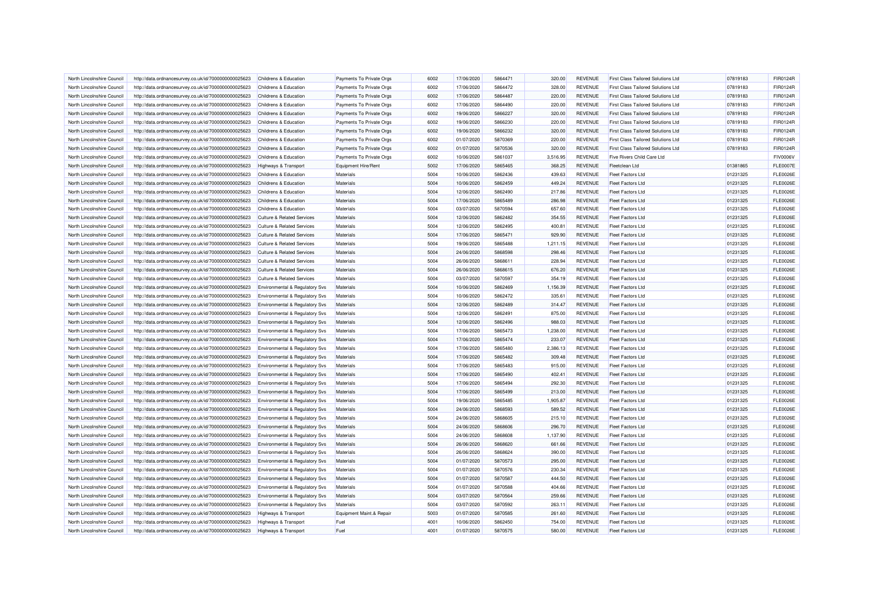| North Lincolnshire Council | http://data.ordnancesurvey.co.uk/id/7000000000025623 | Childrens & Education                     | Payments To Private Orgs | 6002 | 17/06/2020 | 5864471 | 320.00   | <b>REVENUE</b> | <b>First Class Tailored Solutions Ltd</b> | 07819183 | FIR0124R        |
|----------------------------|------------------------------------------------------|-------------------------------------------|--------------------------|------|------------|---------|----------|----------------|-------------------------------------------|----------|-----------------|
| North Lincolnshire Council | http://data.ordnancesurvey.co.uk/id/7000000000025623 | Childrens & Education                     | Payments To Private Orgs | 6002 | 17/06/2020 | 5864472 | 328.00   | <b>REVENUE</b> | <b>First Class Tailored Solutions Ltd</b> | 07819183 | FIR0124R        |
| North Lincolnshire Council | http://data.ordnancesurvey.co.uk/id/7000000000025623 | Childrens & Education                     | Payments To Private Orgs | 6002 | 17/06/2020 | 5864487 | 220.00   | <b>REVENUE</b> | First Class Tailored Solutions Ltd        | 07819183 | FIR0124R        |
| North Lincolnshire Council | http://data.ordnancesurvey.co.uk/id/7000000000025623 | Childrens & Education                     | Payments To Private Orgs | 6002 | 17/06/2020 | 5864490 | 220.00   | <b>REVENUE</b> | <b>First Class Tailored Solutions Ltd</b> | 07819183 | FIR0124R        |
| North Lincolnshire Council | http://data.ordnancesurvey.co.uk/id/7000000000025623 | Childrens & Education                     | Payments To Private Orgs | 6002 | 19/06/2020 | 5866227 | 320.00   | <b>REVENUE</b> | <b>First Class Tailored Solutions Ltd</b> | 07819183 | FIR0124R        |
| North Lincolnshire Council | http://data.ordnancesurvey.co.uk/id/7000000000025623 | Childrens & Education                     | Payments To Private Orgs | 6002 | 19/06/2020 | 5866230 | 220.00   | <b>REVENUE</b> | <b>First Class Tailored Solutions Ltd</b> | 07819183 | FIR0124R        |
| North Lincolnshire Council | http://data.ordnancesurvey.co.uk/id/7000000000025623 | Childrens & Education                     | Payments To Private Orgs | 6002 | 19/06/2020 | 5866232 | 320.00   | <b>REVENUE</b> | <b>First Class Tailored Solutions Ltd</b> | 07819183 | FIR0124R        |
| North Lincolnshire Council | http://data.ordnancesurvey.co.uk/id/7000000000025623 | Childrens & Education                     | Payments To Private Orgs | 6002 | 01/07/2020 | 5870369 | 220.00   | <b>REVENUE</b> | <b>First Class Tailored Solutions Ltd</b> | 07819183 | FIR0124R        |
| North Lincolnshire Council | http://data.ordnancesurvey.co.uk/id/7000000000025623 | Childrens & Education                     | Payments To Private Orgs | 6002 | 01/07/2020 | 5870536 | 320.00   | <b>REVENUE</b> | First Class Tailored Solutions Ltd        | 07819183 | FIR0124R        |
| North Lincolnshire Council | http://data.ordnancesurvey.co.uk/id/7000000000025623 | Childrens & Education                     | Payments To Private Orgs | 6002 | 10/06/2020 | 5861037 | 3,516.95 | <b>REVENUE</b> | Five Rivers Child Care Ltd                |          | <b>FIV0006V</b> |
| North Lincolnshire Council | http://data.ordnancesurvey.co.uk/id/7000000000025623 | Highways & Transport                      | Equipment Hire/Rent      | 5002 | 17/06/2020 | 5865465 | 368.25   | <b>REVENUE</b> | <b>Fleetclean Ltd</b>                     | 01381865 | <b>FLE0007E</b> |
| North Lincolnshire Council | http://data.ordnancesurvey.co.uk/id/7000000000025623 | Childrens & Education                     | Materials                | 5004 | 10/06/2020 | 5862436 | 439.63   | <b>REVENUE</b> | <b>Fleet Factors Ltd</b>                  | 01231325 | <b>FLE0026E</b> |
| North Lincolnshire Council | http://data.ordnancesurvey.co.uk/id/7000000000025623 | Childrens & Education                     | Materials                | 5004 | 10/06/2020 | 5862459 | 449.24   | <b>REVENUE</b> | <b>Fleet Factors Ltd</b>                  | 01231325 | <b>FLE0026E</b> |
| North Lincolnshire Council | http://data.ordnancesurvey.co.uk/id/7000000000025623 | Childrens & Education                     | Materials                | 5004 | 12/06/2020 | 5862490 | 217.86   | <b>REVENUE</b> | <b>Fleet Factors Ltd</b>                  | 01231325 | <b>FLE0026E</b> |
| North Lincolnshire Council | http://data.ordnancesurvey.co.uk/id/7000000000025623 | Childrens & Education                     | <b>Materials</b>         | 5004 | 17/06/2020 | 5865489 | 286.98   | <b>REVENUE</b> | <b>Fleet Factors Ltd</b>                  | 01231325 | <b>FLE0026E</b> |
| North Lincolnshire Council | http://data.ordnancesurvey.co.uk/id/7000000000025623 | Childrens & Education                     | Materials                | 5004 | 03/07/2020 | 5870594 | 657.60   | <b>REVENUE</b> | Fleet Factors I td                        | 01231325 | <b>FLE0026E</b> |
| North Lincolnshire Council | http://data.ordnancesurvey.co.uk/id/7000000000025623 | <b>Culture &amp; Related Services</b>     | <b>Materials</b>         | 5004 | 12/06/2020 | 5862482 | 354.55   | <b>REVENUE</b> | <b>Fleet Factors Ltd</b>                  | 01231325 | <b>FLE0026E</b> |
| North Lincolnshire Council | http://data.ordnancesurvey.co.uk/id/7000000000025623 | <b>Culture &amp; Related Services</b>     | Materials                | 5004 | 12/06/2020 | 5862495 | 400.81   | <b>REVENUE</b> | <b>Fleet Factors Ltd</b>                  | 01231325 | <b>FLE0026E</b> |
| North Lincolnshire Council | http://data.ordnancesurvey.co.uk/id/7000000000025623 | Culture & Related Services                | Materials                | 5004 | 17/06/2020 | 5865471 | 929.90   | <b>REVENUE</b> | <b>Fleet Factors Ltd</b>                  | 01231325 | <b>FLE0026E</b> |
| North Lincolnshire Council | http://data.ordnancesurvey.co.uk/id/7000000000025623 | <b>Culture &amp; Related Services</b>     | Materials                | 5004 | 19/06/2020 | 5865488 | 1.211.15 | <b>REVENUE</b> | <b>Fleet Factors Ltd</b>                  | 01231325 | <b>FLE0026E</b> |
| North Lincolnshire Council | http://data.ordnancesurvey.co.uk/id/7000000000025623 | <b>Culture &amp; Related Services</b>     | <b>Materials</b>         | 5004 | 24/06/2020 | 5868598 | 298.46   | <b>REVENUE</b> | Fleet Factors Ltd                         | 01231325 | <b>FLE0026E</b> |
| North Lincolnshire Council | http://data.ordnancesurvey.co.uk/id/7000000000025623 | <b>Culture &amp; Related Services</b>     | Materials                | 5004 | 26/06/2020 | 5868611 | 228.94   | <b>REVENUE</b> | Fleet Factors I td                        | 01231325 | <b>FLE0026E</b> |
| North Lincolnshire Council | http://data.ordnancesurvey.co.uk/id/7000000000025623 | <b>Culture &amp; Related Services</b>     | <b>Materials</b>         | 5004 | 26/06/2020 | 5868615 | 676.20   | <b>REVENUE</b> | <b>Fleet Factors Ltd</b>                  | 01231325 | <b>FLE0026E</b> |
| North Lincolnshire Council | http://data.ordnancesurvey.co.uk/id/7000000000025623 | <b>Culture &amp; Related Services</b>     | Materials                | 5004 | 03/07/2020 | 5870597 | 354.19   | <b>REVENUE</b> | <b>Fleet Factors Ltd</b>                  | 01231325 | <b>FLE0026E</b> |
| North Lincolnshire Council | http://data.ordnancesurvey.co.uk/id/7000000000025623 | Environmental & Regulatory Svs            | Materials                | 5004 | 10/06/2020 | 5862469 | 1.156.39 | <b>REVENUE</b> | <b>Fleet Factors Ltd</b>                  | 01231325 | <b>FLE0026E</b> |
| North Lincolnshire Council | http://data.ordnancesurvey.co.uk/id/7000000000025623 | <b>Environmental &amp; Requlatory Svs</b> | Materials                | 5004 | 10/06/2020 | 5862472 | 335.61   | <b>REVENUE</b> | Fleet Factors I td                        | 01231325 | <b>FLE0026E</b> |
| North Lincolnshire Council | http://data.ordnancesurvey.co.uk/id/7000000000025623 | Environmental & Regulatory Svs            | <b>Materials</b>         | 5004 | 12/06/2020 | 5862489 | 314.47   | <b>REVENUE</b> | <b>Fleet Factors Ltd</b>                  | 01231325 | <b>FLE0026E</b> |
| North Lincolnshire Council | http://data.ordnancesurvey.co.uk/id/7000000000025623 | Environmental & Regulatory Svs            | Materials                | 5004 | 12/06/2020 | 5862491 | 875.00   | <b>REVENUE</b> | <b>Fleet Factors Ltd</b>                  | 01231325 | <b>FLE0026E</b> |
| North Lincolnshire Council | http://data.ordnancesurvey.co.uk/id/7000000000025623 | Environmental & Regulatory Svs            | Materials                | 5004 | 12/06/2020 | 5862496 | 988.03   | <b>REVENUE</b> | <b>Fleet Factors Ltd</b>                  | 01231325 | <b>FLE0026E</b> |
| North Lincolnshire Council | http://data.ordnancesurvey.co.uk/id/7000000000025623 | <b>Environmental &amp; Regulatory Svs</b> | Materials                | 5004 | 17/06/2020 | 5865473 | 1,238.00 | <b>REVENUE</b> | <b>Fleet Factors Ltd</b>                  | 01231325 | <b>FLE0026E</b> |
| North Lincolnshire Council | http://data.ordnancesurvey.co.uk/id/7000000000025623 | Environmental & Regulatory Svs            | Materials                | 5004 | 17/06/2020 | 5865474 | 233.07   | <b>REVENUE</b> | <b>Fleet Factors Ltd</b>                  | 01231325 | <b>FLE0026E</b> |
| North Lincolnshire Council | http://data.ordnancesurvey.co.uk/id/7000000000025623 | Environmental & Regulatory Svs            | <b>Materials</b>         | 5004 | 17/06/2020 | 5865480 | 2,386.13 | <b>REVENUE</b> | <b>Fleet Factors Ltd</b>                  | 01231325 | <b>FLE0026E</b> |
| North Lincolnshire Council | http://data.ordnancesurvey.co.uk/id/7000000000025623 | Environmental & Regulatory Svs            | Materials                | 5004 | 17/06/2020 | 5865482 | 309.48   | <b>REVENUE</b> | <b>Fleet Factors I td</b>                 | 01231325 | <b>FLE0026E</b> |
| North Lincolnshire Council | http://data.ordnancesurvey.co.uk/id/7000000000025623 | Environmental & Regulatory Svs            | Materials                | 5004 | 17/06/2020 | 5865483 | 915.00   | <b>REVENUE</b> | <b>Fleet Factors Ltd</b>                  | 01231325 | <b>FLE0026E</b> |
| North Lincolnshire Council | http://data.ordnancesurvey.co.uk/id/7000000000025623 | Environmental & Regulatory Svs            | Materials                | 5004 | 17/06/2020 | 5865490 | 402.41   | <b>REVENUE</b> | <b>Fleet Factors Ltd</b>                  | 01231325 | <b>FLE0026E</b> |
| North Lincolnshire Council | http://data.ordnancesurvey.co.uk/id/7000000000025623 | Environmental & Regulatory Svs            | Materials                | 5004 | 17/06/2020 | 5865494 | 292.30   | <b>REVENUE</b> | <b>Fleet Factors I td</b>                 | 01231325 | <b>FLE0026E</b> |
| North Lincolnshire Council | http://data.ordnancesurvey.co.uk/id/7000000000025623 | <b>Environmental &amp; Regulatory Svs</b> | Materials                | 5004 | 17/06/2020 | 5865499 | 213.00   | <b>REVENUE</b> | <b>Fleet Factors Ltd</b>                  | 01231325 | <b>FLE0026E</b> |
| North Lincolnshire Council | http://data.ordnancesurvey.co.uk/id/7000000000025623 | Environmental & Regulatory Svs            | Materials                | 5004 | 19/06/2020 | 5865485 | 1,905.87 | <b>REVENUE</b> | <b>Fleet Factors Ltd</b>                  | 01231325 | <b>FLE0026E</b> |
| North Lincolnshire Council | http://data.ordnancesurvey.co.uk/id/7000000000025623 | Environmental & Regulatory Svs            | Materials                | 5004 | 24/06/2020 | 5868593 | 589.52   | <b>REVENUE</b> | <b>Fleet Factors Ltd</b>                  | 01231325 | <b>FLE0026E</b> |
| North Lincolnshire Council | http://data.ordnancesurvey.co.uk/id/7000000000025623 | Environmental & Regulatory Svs            | <b>Materials</b>         | 5004 | 24/06/2020 | 5868605 | 215.10   | <b>REVENUE</b> | <b>Fleet Factors Ltd</b>                  | 01231325 | <b>FLE0026E</b> |
| North Lincolnshire Council | http://data.ordnancesurvey.co.uk/id/7000000000025623 | Environmental & Regulatory Svs            | Materials                | 5004 | 24/06/2020 | 5868606 | 296.70   | <b>REVENUE</b> | <b>Fleet Factors Ltd</b>                  | 01231325 | <b>FLE0026E</b> |
| North Lincolnshire Council | http://data.ordnancesurvey.co.uk/id/7000000000025623 | Environmental & Regulatory Svs            | Materials                | 5004 | 24/06/2020 | 5868608 | 1.137.90 | <b>REVENUE</b> | <b>Fleet Factors Ltd</b>                  | 01231325 | <b>FLE0026E</b> |
| North Lincolnshire Council | http://data.ordnancesurvey.co.uk/id/7000000000025623 | Environmental & Regulatory Svs            | Materials                | 5004 | 26/06/2020 | 5868620 | 661.66   | <b>REVENUE</b> | <b>Fleet Factors Ltd</b>                  | 01231325 | <b>FLE0026E</b> |
| North Lincolnshire Council | http://data.ordnancesurvey.co.uk/id/7000000000025623 | Environmental & Regulatory Svs            | <b>Materials</b>         | 5004 | 26/06/2020 | 5868624 | 390.00   | <b>REVENUE</b> | <b>Fleet Factors I td</b>                 | 01231325 | <b>FLE0026E</b> |
| North Lincolnshire Council | http://data.ordnancesurvey.co.uk/id/7000000000025623 | Environmental & Regulatory Svs            | Materials                | 5004 | 01/07/2020 | 5870573 | 295.00   | <b>REVENUE</b> | <b>Fleet Factors Ltd</b>                  | 01231325 | <b>FLE0026E</b> |
| North Lincolnshire Council | http://data.ordnancesurvey.co.uk/id/7000000000025623 | Environmental & Regulatory Svs            | Materials                | 5004 | 01/07/2020 | 5870576 | 230.34   | <b>REVENUE</b> | <b>Fleet Factors Ltd</b>                  | 01231325 | <b>FLE0026E</b> |
| North Lincolnshire Council | http://data.ordnancesurvey.co.uk/id/7000000000025623 | <b>Environmental &amp; Regulatory Svs</b> | Materials                | 5004 | 01/07/2020 | 5870587 | 444.50   | <b>REVENUE</b> | <b>Fleet Factors Ltd</b>                  | 01231325 | <b>FLE0026E</b> |
| North Lincolnshire Council | http://data.ordnancesurvey.co.uk/id/7000000000025623 | <b>Environmental &amp; Regulatory Svs</b> | Materials                | 5004 | 01/07/2020 | 5870588 | 404.66   | <b>REVENUE</b> | <b>Fleet Factors Ltd</b>                  | 01231325 | <b>FLE0026E</b> |
| North Lincolnshire Council | http://data.ordnancesurvey.co.uk/id/7000000000025623 | Environmental & Regulatory Svs            | Materials                | 5004 | 03/07/2020 | 5870564 | 259.66   | <b>REVENUE</b> | <b>Fleet Factors Ltd</b>                  | 01231325 | <b>FLE0026E</b> |
| North Lincolnshire Council | http://data.ordnancesurvey.co.uk/id/7000000000025623 | Environmental & Regulatory Svs            | Materials                | 5004 | 03/07/2020 | 5870592 | 263.11   | <b>REVENUE</b> | <b>Fleet Factors I td</b>                 | 01231325 | <b>FLE0026E</b> |
| North Lincolnshire Council | http://data.ordnancesurvey.co.uk/id/7000000000025623 | Highways & Transport                      | Equipment Maint.& Repair | 5003 | 01/07/2020 | 5870585 | 261.60   | <b>REVENUE</b> | <b>Fleet Factors Ltd</b>                  | 01231325 | <b>FLE0026E</b> |
| North Lincolnshire Council | http://data.ordnancesurvey.co.uk/id/7000000000025623 | Highways & Transport                      | Fuel                     | 4001 | 10/06/2020 | 5862450 | 754.00   | <b>REVENUE</b> | <b>Fleet Factors Ltd</b>                  | 01231325 | <b>FLE0026E</b> |
| North Lincolnshire Council | http://data.ordnancesurvey.co.uk/id/7000000000025623 | <b>Highways &amp; Transport</b>           | Fuel                     | 4001 | 01/07/2020 | 5870575 | 580.00   | <b>REVENUE</b> | <b>Fleet Factors Ltd</b>                  | 01231325 | <b>FLE0026E</b> |
|                            |                                                      |                                           |                          |      |            |         |          |                |                                           |          |                 |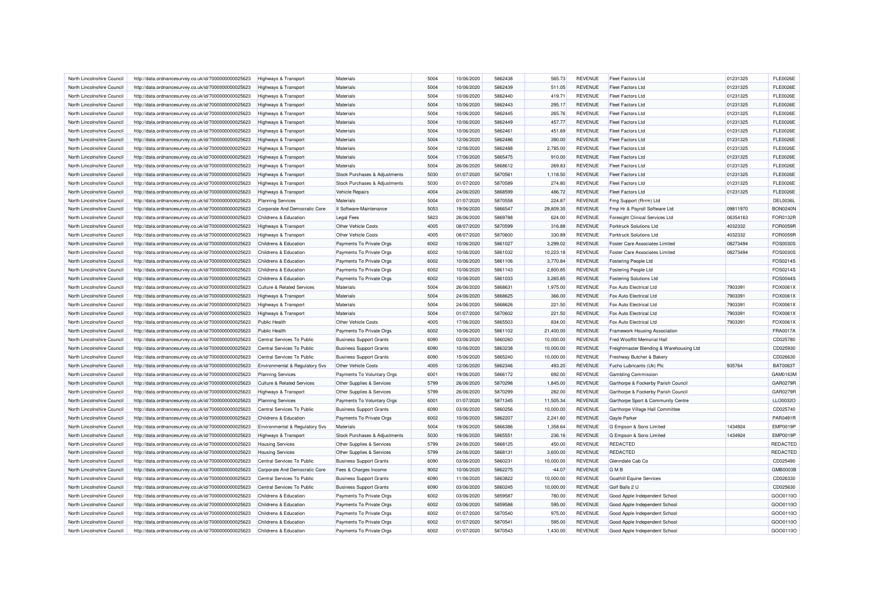| North Lincolnshire Council | http://data.ordnancesurvey.co.uk/id/7000000000025623 | Highways & Transport                  | Materials                      | 5004         | 10/06/2020 | 5862438            | 565.73    | <b>REVENUE</b>                   | <b>Fleet Factors Ltd</b>                 | 01231325 | <b>FLE0026E</b> |
|----------------------------|------------------------------------------------------|---------------------------------------|--------------------------------|--------------|------------|--------------------|-----------|----------------------------------|------------------------------------------|----------|-----------------|
| North Lincolnshire Council | http://data.ordnancesurvey.co.uk/id/7000000000025623 | Highways & Transport                  | Materials                      | 5004         | 10/06/2020 | 5862439            | 511.05    | <b>REVENUE</b>                   | <b>Fleet Factors Ltd</b>                 | 01231325 | <b>FLE0026E</b> |
| North Lincolnshire Council | http://data.ordnancesurvey.co.uk/id/7000000000025623 | Highways & Transport                  | Materials                      | 5004         | 10/06/2020 | 5862440            | 419.71    | <b>REVENUE</b>                   | <b>Fleet Factors Ltd</b>                 | 01231325 | <b>FLE0026E</b> |
| North Lincolnshire Council | http://data.ordnancesurvey.co.uk/id/7000000000025623 | <b>Highways &amp; Transport</b>       | Materials                      | 5004         | 10/06/2020 | 5862443            | 295.17    | <b>REVENUE</b>                   | <b>Fleet Factors Ltd</b>                 | 01231325 | <b>FLE0026E</b> |
| North Lincolnshire Council | http://data.ordnancesurvey.co.uk/id/7000000000025623 | Highways & Transport                  | <b>Materials</b>               | 5004         | 10/06/2020 | 5862445            | 265.76    | <b>REVENUE</b>                   | <b>Fleet Factors Ltd</b>                 | 01231325 | <b>FLE0026E</b> |
| North Lincolnshire Council | http://data.ordnancesurvey.co.uk/id/7000000000025623 | Highways & Transport                  | Materials                      | 5004         | 10/06/2020 | 5862449            | 457.77    | <b>REVENUE</b>                   | <b>Fleet Factors Ltd</b>                 | 01231325 | <b>FLE0026E</b> |
| North Lincolnshire Council | http://data.ordnancesurvey.co.uk/id/7000000000025623 | <b>Highways &amp; Transport</b>       | Materials                      | 5004         | 10/06/2020 | 5862461            | 451.69    | <b>REVENUE</b>                   | <b>Fleet Factors Ltd</b>                 | 01231325 | <b>FLE0026E</b> |
| North Lincolnshire Council | http://data.ordnancesurvey.co.uk/id/7000000000025623 | <b>Highways &amp; Transport</b>       | Materials                      | 5004         | 12/06/2020 | 5862486            | 390.00    | <b>REVENUE</b>                   | <b>Fleet Factors Ltd</b>                 | 01231325 | <b>FLE0026E</b> |
| North Lincolnshire Council | http://data.ordnancesurvey.co.uk/id/7000000000025623 | Highways & Transport                  | Materials                      | 5004         | 12/06/2020 | 5862488            | 2,785.00  | <b>REVENUE</b>                   | Fleet Factors I td                       | 01231325 | <b>FLE0026E</b> |
| North Lincolnshire Council | http://data.ordnancesurvey.co.uk/id/7000000000025623 | Highways & Transport                  | Materials                      | 5004         | 17/06/2020 | 5865475            | 910.00    | <b>REVENUE</b>                   | <b>Fleet Factors Ltd</b>                 | 01231325 | <b>FLE0026E</b> |
| North Lincolnshire Council | http://data.ordnancesurvey.co.uk/id/7000000000025623 | Highways & Transport                  | <b>Materials</b>               | 5004         | 26/06/2020 | 5868612            | 269.83    | <b>REVENUE</b>                   | <b>Fleet Factors Ltd</b>                 | 01231325 | <b>FLE0026E</b> |
| North Lincolnshire Council | http://data.ordnancesurvey.co.uk/id/7000000000025623 | Highways & Transport                  | Stock Purchases & Adjustments  | 5030         | 01/07/2020 | 5870561            | 1,118.50  | <b>REVENUE</b>                   | Fleet Factors Ltd                        | 01231325 | <b>FLE0026E</b> |
| North Lincolnshire Council | http://data.ordnancesurvey.co.uk/id/7000000000025623 | Highways & Transport                  | Stock Purchases & Adjustments  | 5030         | 01/07/2020 | 5870589            | 274.80    | <b>REVENUE</b>                   | <b>Fleet Factors Ltd</b>                 | 01231325 | <b>FLE0026E</b> |
| North Lincolnshire Council | http://data.ordnancesurvey.co.uk/id/7000000000025623 | <b>Highways &amp; Transport</b>       | Vehicle Repairs                | 4004         | 24/06/2020 | 5868599            | 486.72    | <b>REVENUE</b>                   | Fleet Factors I td                       | 01231325 | <b>FLE0026E</b> |
| North Lincolnshire Council | http://data.ordnancesurvey.co.uk/id/7000000000025623 | <b>Planning Services</b>              | Materials                      | 5004         | 01/07/2020 | 5870558            | 224.87    | <b>REVENUE</b>                   | Fmg Support (Rrrm) Ltd                   |          | DEL0036L        |
| North Lincolnshire Council | http://data.ordnancesurvey.co.uk/id/7000000000025623 | Corporate And Democratic Core         | It Software-Maintenance        | 5053         | 19/06/2020 | 5866547            | 29,809.35 | <b>REVENUE</b>                   | Fmp Hr & Payroll Software Ltd            | 09811970 | <b>BON0240N</b> |
| North Lincolnshire Council | http://data.ordnancesurvey.co.uk/id/7000000000025623 | Childrens & Education                 | <b>Legal Fees</b>              | 5823         | 26/06/2020 | 5869788            | 624.00    | <b>REVENUE</b>                   | Foresight Clinical Services Ltd          | 06354163 | FOR0132F        |
| North Lincolnshire Council | http://data.ordnancesurvey.co.uk/id/7000000000025623 | Highways & Transport                  | Other Vehicle Costs            | 4005         | 08/07/2020 | 5870599            | 316.88    | <b>REVENUE</b>                   | <b>Forktruck Solutions Ltd</b>           | 4032332  | <b>FOR0059F</b> |
|                            |                                                      |                                       |                                |              |            |                    |           |                                  |                                          |          | FOR0059R        |
| North Lincolnshire Council | http://data.ordnancesurvey.co.uk/id/7000000000025623 | Highways & Transport                  | Other Vehicle Costs            | 4005<br>6002 | 08/07/2020 | 5870600<br>5861027 | 330.89    | <b>REVENUE</b><br><b>REVENUE</b> | <b>Forktruck Solutions Ltd</b>           | 4032332  |                 |
| North Lincolnshire Council | http://data.ordnancesurvey.co.uk/id/7000000000025623 | Childrens & Education                 | Payments To Private Orgs       | 6002         | 10/06/2020 |                    | 3,299.02  |                                  | Foster Care Associates Limited           | 08273494 | FOS0030S        |
| North Lincolnshire Council | http://data.ordnancesurvey.co.uk/id/7000000000025623 | Childrens & Education                 | Payments To Private Orgs       |              | 10/06/2020 | 5861032            | 10,223.18 | <b>REVENUE</b>                   | Foster Care Associates Limited           | 08273494 | FOS0030S        |
| North Lincolnshire Council | http://data.ordnancesurvey.co.uk/id/7000000000025623 | Childrens & Education                 | Payments To Private Orgs       | 6002         | 10/06/2020 | 5861106            | 3,770.84  | <b>REVENUE</b>                   | <b>Fostering People Ltd</b>              |          | FOS0214S        |
| North Lincolnshire Council | http://data.ordnancesurvey.co.uk/id/7000000000025623 | Childrens & Education                 | Payments To Private Orgs       | 6002         | 10/06/2020 | 5861143            | 2,800.85  | <b>REVENUE</b>                   | <b>Fostering People Ltd</b>              |          | FOS0214S        |
| North Lincolnshire Council | http://data.ordnancesurvey.co.uk/id/7000000000025623 | Childrens & Education                 | Payments To Private Orgs       | 6002         | 10/06/2020 | 5861033            | 3,265.85  | <b>REVENUE</b>                   | <b>Fostering Solutions Ltd</b>           |          | FOS0044S        |
| North Lincolnshire Council | http://data.ordnancesurvey.co.uk/id/7000000000025623 | <b>Culture &amp; Related Services</b> | Materials                      | 5004         | 26/06/2020 | 5868631            | 1,975.00  | <b>REVENUE</b>                   | Fox Auto Electrical Ltd                  | 7903391  | FOX0061X        |
| North Lincolnshire Council | http://data.ordnancesurvey.co.uk/id/7000000000025623 | Highways & Transport                  | Materials                      | 5004         | 24/06/2020 | 5868625            | 366.00    | <b>REVENUE</b>                   | Fox Auto Electrical Ltd                  | 7903391  | FOX0061X        |
| North Lincolnshire Council | http://data.ordnancesurvey.co.uk/id/7000000000025623 | <b>Highways &amp; Transport</b>       | Materials                      | 5004         | 24/06/2020 | 5868626            | 221.50    | <b>REVENUE</b>                   | Fox Auto Electrical Ltd                  | 7903391  | FOX0061X        |
| North Lincolnshire Council | http://data.ordnancesurvey.co.uk/id/7000000000025623 | Highways & Transport                  | Materials                      | 5004         | 01/07/2020 | 5870602            | 221.50    | <b>REVENUE</b>                   | Fox Auto Flectrical Ltd                  | 7903391  | FOX0061X        |
| North Lincolnshire Council | http://data.ordnancesurvey.co.uk/id/7000000000025623 | <b>Public Health</b>                  | Other Vehicle Costs            | 4005         | 17/06/2020 | 5865503            | 834.00    | <b>REVENUE</b>                   | Fox Auto Electrical Ltd                  | 7903391  | FOX0061X        |
| North Lincolnshire Council | http://data.ordnancesurvey.co.uk/id/7000000000025623 | <b>Public Health</b>                  | Payments To Private Orgs       | 6002         | 10/06/2020 | 5861102            | 21,400.00 | <b>REVENUE</b>                   | <b>Framework Housing Association</b>     |          | FRA0017A        |
| North Lincolnshire Council | http://data.ordnancesurvey.co.uk/id/7000000000025623 | Central Services To Public            | <b>Business Support Grants</b> | 6090         | 03/06/2020 | 5860260            | 10,000.00 | <b>REVENUE</b>                   | Fred Wooffitt Memorial Hall              |          | CD025780        |
| North Lincolnshire Council | http://data.ordnancesurvey.co.uk/id/7000000000025623 | Central Services To Public            | <b>Business Support Grants</b> | 6090         | 10/06/2020 | 5863238            | 10,000.00 | <b>REVENUE</b>                   | Freightmaster Blending & Warehousing Ltd |          | CD025930        |
| North Lincolnshire Council | http://data.ordnancesurvey.co.uk/id/7000000000025623 | Central Services To Public            | <b>Business Support Grants</b> | 6090         | 15/06/2020 | 5865240            | 10,000.00 | <b>REVENUE</b>                   | Freshway Butcher & Bakery                |          | CD026630        |
| North Lincolnshire Council | http://data.ordnancesurvey.co.uk/id/7000000000025623 | Environmental & Regulatory Svs        | Other Vehicle Costs            | 4005         | 12/06/2020 | 5862346            | 493.20    | <b>REVENUE</b>                   | Fuchs Lubricants (Uk) Plc                | 935764   | <b>BAT0063T</b> |
| North Lincolnshire Council | http://data.ordnancesurvey.co.uk/id/7000000000025623 | <b>Planning Services</b>              | Payments To Voluntary Orgs     | 6001         | 19/06/2020 | 5866172            | 692.00    | <b>REVENUE</b>                   | <b>Gambling Commission</b>               |          | GAM0163M        |
| North Lincolnshire Council | http://data.ordnancesurvey.co.uk/id/7000000000025623 | <b>Culture &amp; Related Services</b> | Other Supplies & Services      | 5799         | 26/06/2020 | 5870298            | 1,845.00  | <b>REVENUE</b>                   | Garthorpe & Fockerby Parish Council      |          | GAR0279F        |
| North Lincolnshire Council | http://data.ordnancesurvey.co.uk/id/7000000000025623 | Highways & Transport                  | Other Supplies & Services      | 5799         | 26/06/2020 | 5870299            | 282.00    | <b>REVENUE</b>                   | Garthorpe & Fockerby Parish Council      |          | GAR0279F        |
| North Lincolnshire Council | http://data.ordnancesurvey.co.uk/id/7000000000025623 | <b>Planning Services</b>              | Payments To Voluntary Orgs     | 6001         | 01/07/2020 | 5871345            | 11,505.34 | <b>REVENUE</b>                   | Garthorpe Sport & Community Centre       |          | LLO0032O        |
| North Lincolnshire Council | http://data.ordnancesurvey.co.uk/id/7000000000025623 | Central Services To Public            | <b>Business Support Grants</b> | 6090         | 03/06/2020 | 5860256            | 10,000.00 | <b>REVENUE</b>                   | Garthorpe Village Hall Committee         |          | CD025740        |
| North Lincolnshire Council | http://data.ordnancesurvey.co.uk/id/7000000000025623 | Childrens & Education                 | Payments To Private Orgs       | 6002         | 10/06/2020 | 5862207            | 2.241.60  | <b>REVENUE</b>                   | <b>Gayle Parker</b>                      |          | PAR0491R        |
| North Lincolnshire Council | http://data.ordnancesurvey.co.uk/id/7000000000025623 | Environmental & Regulatory Svs        | Materials                      | 5004         | 19/06/2020 | 5866386            | 1,358.64  | <b>REVENUE</b>                   | G Empson & Sons Limited                  | 1434924  | <b>EMP0019F</b> |
| North Lincolnshire Council | http://data.ordnancesurvey.co.uk/id/7000000000025623 | Highways & Transport                  | Stock Purchases & Adjustments  | 5030         | 19/06/2020 | 5865551            | 236.16    | <b>REVENUE</b>                   | G Empson & Sons Limited                  | 1434924  | <b>EMP0019F</b> |
| North Lincolnshire Council | http://data.ordnancesurvey.co.uk/id/7000000000025623 | <b>Housing Services</b>               | Other Supplies & Services      | 5799         | 24/06/2020 | 5868125            | 450.00    | <b>REVENUE</b>                   | REDACTED                                 |          | REDACTED        |
| North Lincolnshire Council | http://data.ordnancesurvey.co.uk/id/7000000000025623 | <b>Housing Services</b>               | Other Supplies & Services      | 5799         | 24/06/2020 | 5868131            | 3,600.00  | <b>REVENUE</b>                   | <b>REDACTED</b>                          |          | REDACTED        |
| North Lincolnshire Council | http://data.ordnancesurvey.co.uk/id/7000000000025623 | Central Services To Public            | <b>Business Support Grants</b> | 6090         | 03/06/2020 | 5860231            | 10,000.00 | <b>REVENUE</b>                   | Glenndale Cab Co                         |          | CD025490        |
| North Lincolnshire Council | http://data.ordnancesurvey.co.uk/id/7000000000025623 | Corporate And Democratic Core         | Fees & Charges Income          | 9002         | 10/06/2020 | 5862275            | $-44.07$  | <b>REVENUE</b>                   | <b>GMB</b>                               |          | <b>GMB0003B</b> |
| North Lincolnshire Council | http://data.ordnancesurvey.co.uk/id/7000000000025623 | Central Services To Public            | <b>Business Support Grants</b> | 6090         | 11/06/2020 | 5863822            | 10,000.00 | <b>REVENUE</b>                   | <b>Goathill Equine Services</b>          |          | CD026330        |
| North Lincolnshire Council | http://data.ordnancesurvey.co.uk/id/7000000000025623 | Central Services To Public            | <b>Business Support Grants</b> | 6090         | 03/06/2020 | 5860245            | 10,000.00 | <b>REVENUE</b>                   | Golf Balls 2 U                           |          | CD025630        |
| North Lincolnshire Council | http://data.ordnancesurvey.co.uk/id/7000000000025623 | Childrens & Education                 | Payments To Private Orgs       | 6002         | 03/06/2020 | 5859587            | 780.00    | <b>REVENUE</b>                   | Good Apple Independent School            |          | GOO0110C        |
| North Lincolnshire Council | http://data.ordnancesurvey.co.uk/id/7000000000025623 | Childrens & Education                 | Payments To Private Orgs       | 6002         | 03/06/2020 | 5859588            | 595.00    | <b>REVENUE</b>                   | Good Apple Independent School            |          | GOO0110C        |
| North Lincolnshire Council | http://data.ordnancesurvey.co.uk/id/7000000000025623 | Childrens & Education                 | Payments To Private Orgs       | 6002         | 01/07/2020 | 5870540            | 975.00    | <b>REVENUE</b>                   | Good Apple Independent School            |          | GOO0110C        |
| North Lincolnshire Council | http://data.ordnancesurvey.co.uk/id/7000000000025623 | Childrens & Education                 | Payments To Private Orgs       | 6002         | 01/07/2020 | 5870541            | 595.00    | <b>REVENUE</b>                   | Good Apple Independent School            |          | GOO0110C        |
| North Lincolnshire Council | http://data.ordnancesurvey.co.uk/id/7000000000025623 | Childrens & Education                 | Payments To Private Orgs       | 6002         | 01/07/2020 | 5870543            | 1.430.00  | <b>REVENUE</b>                   | Good Apple Independent School            |          | GOO0110O        |
|                            |                                                      |                                       |                                |              |            |                    |           |                                  |                                          |          |                 |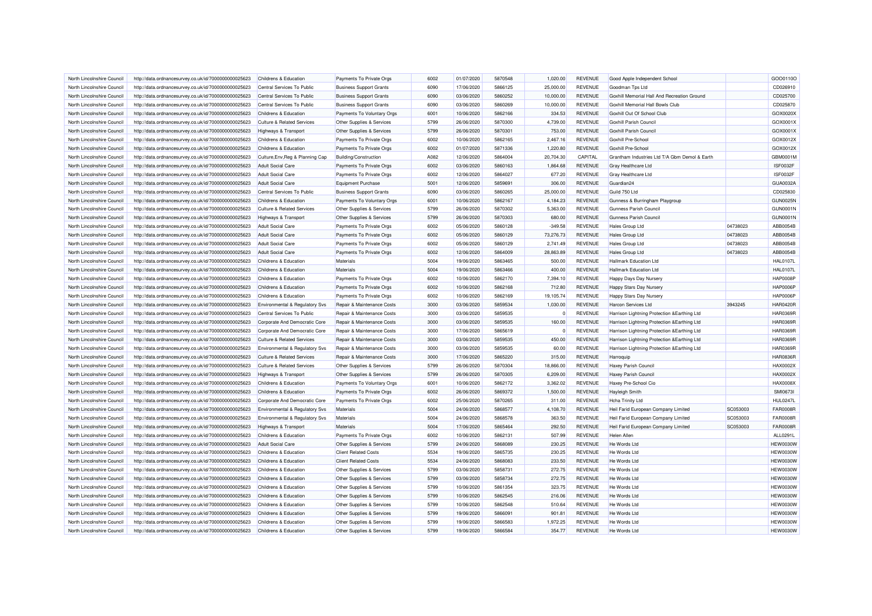| North Lincolnshire Council | http://data.ordnancesurvey.co.uk/id/7000000000025623 | Childrens & Education                     | Payments To Private Orgs              | 6002 | 01/07/2020 | 5870548 | 1,020.00  | <b>REVENUE</b> | Good Apple Independent School                 |          | GOO0110O        |
|----------------------------|------------------------------------------------------|-------------------------------------------|---------------------------------------|------|------------|---------|-----------|----------------|-----------------------------------------------|----------|-----------------|
| North Lincolnshire Council | http://data.ordnancesurvey.co.uk/id/7000000000025623 | Central Services To Public                | <b>Business Support Grants</b>        | 6090 | 17/06/2020 | 5866125 | 25,000.00 | <b>REVENUE</b> | Goodman Tps Ltd                               |          | CD026910        |
| North Lincolnshire Council | http://data.ordnancesurvey.co.uk/id/7000000000025623 | Central Services To Public                | <b>Business Support Grants</b>        | 6090 | 03/06/2020 | 5860252 | 10.000.00 | <b>REVENUE</b> | Goxhill Memorial Hall And Recreation Ground   |          | CD025700        |
| North Lincolnshire Council | http://data.ordnancesurvey.co.uk/id/7000000000025623 | Central Services To Public                | <b>Business Support Grants</b>        | 6090 | 03/06/2020 | 5860269 | 10,000.00 | <b>REVENUE</b> | Goxhill Memorial Hall Bowls Club              |          | CD025870        |
| North Lincolnshire Council | http://data.ordnancesurvey.co.uk/id/7000000000025623 | Childrens & Education                     | Payments To Voluntary Orgs            | 6001 | 10/06/2020 | 5862166 | 334.53    | <b>REVENUE</b> | Goxhill Out Of School Club                    |          | GOX0020>        |
| North Lincolnshire Council | http://data.ordnancesurvey.co.uk/id/7000000000025623 | <b>Culture &amp; Related Services</b>     | Other Supplies & Services             | 5799 | 26/06/2020 | 5870300 | 4,739.00  | <b>REVENUE</b> | <b>Goxhill Parish Council</b>                 |          | GOX0001X        |
| North Lincolnshire Council |                                                      |                                           |                                       | 5799 | 26/06/2020 | 5870301 |           | <b>REVENUE</b> | <b>Goxhill Parish Council</b>                 |          | GOX0001X        |
|                            | http://data.ordnancesurvey.co.uk/id/7000000000025623 | <b>Highways &amp; Transport</b>           | Other Supplies & Services             | 6002 | 10/06/2020 | 5862165 | 753.00    | <b>REVENUE</b> | Goxhill Pre-School                            |          | GOX0012X        |
| North Lincolnshire Council | http://data.ordnancesurvey.co.uk/id/7000000000025623 | Childrens & Education                     | Payments To Private Orgs              |      |            |         | 2,467.16  |                |                                               |          |                 |
| North Lincolnshire Council | http://data.ordnancesurvey.co.uk/id/7000000000025623 | Childrens & Education                     | Payments To Private Orgs              | 6002 | 01/07/2020 | 5871336 | 1,220.80  | <b>REVENUE</b> | <b>Goxhill Pre-School</b>                     |          | GOX0012X        |
| North Lincolnshire Council | http://data.ordnancesurvey.co.uk/id/7000000000025623 | Culture, Env, Reg & Planning Cap          | <b>Building/Construction</b>          | A082 | 12/06/2020 | 5864004 | 20,704.30 | CAPITAL        | Grantham Industries Ltd T/A Gbm Demol & Earth |          | GBM0001M        |
| North Lincolnshire Council | http://data.ordnancesurvey.co.uk/id/7000000000025623 | <b>Adult Social Care</b>                  | Payments To Private Orgs              | 6002 | 03/06/2020 | 5860163 | 1,864.68  | <b>REVENUE</b> | <b>Gray Healthcare Ltd</b>                    |          | <b>ISF0032F</b> |
| North Lincolnshire Council | http://data.ordnancesurvey.co.uk/id/7000000000025623 | <b>Adult Social Care</b>                  | Payments To Private Orgs              | 6002 | 12/06/2020 | 5864027 | 677.20    | <b>REVENUE</b> | Gray Healthcare Ltd                           |          | <b>ISF0032F</b> |
| North Lincolnshire Council | http://data.ordnancesurvey.co.uk/id/7000000000025623 | <b>Adult Social Care</b>                  | <b>Equipment Purchase</b>             | 5001 | 12/06/2020 | 5859691 | 306.00    | <b>REVENUE</b> | Guardian <sub>24</sub>                        |          | GUA0032/        |
| North Lincolnshire Council | http://data.ordnancesurvey.co.uk/id/7000000000025623 | Central Services To Public                | <b>Business Support Grants</b>        | 6090 | 03/06/2020 | 5860265 | 25,000.00 | <b>REVENUE</b> | Guild 750 Ltd                                 |          | CD025830        |
| North Lincolnshire Council | http://data.ordnancesurvey.co.uk/id/7000000000025623 | Childrens & Education                     | Payments To Voluntary Orgs            | 6001 | 10/06/2020 | 5862167 | 4.184.23  | <b>REVENUE</b> | Gunness & Burringham Playgroup                |          | <b>GUN0025N</b> |
| North Lincolnshire Council | http://data.ordnancesurvey.co.uk/id/7000000000025623 | <b>Culture &amp; Related Services</b>     | Other Supplies & Services             | 5799 | 26/06/2020 | 5870302 | 5,363.00  | <b>REVENUE</b> | Gunness Parish Council                        |          | <b>GUN0001N</b> |
| North Lincolnshire Council | http://data.ordnancesurvey.co.uk/id/7000000000025623 | Highways & Transport                      | Other Supplies & Services             | 5799 | 26/06/2020 | 5870303 | 680.00    | <b>REVENUE</b> | Gunness Parish Council                        |          | <b>GUN0001N</b> |
| North Lincolnshire Council | http://data.ordnancesurvey.co.uk/id/7000000000025623 | <b>Adult Social Care</b>                  | Payments To Private Orgs              | 6002 | 05/06/2020 | 5860128 | $-349.58$ | <b>REVENUE</b> | <b>Hales Group Ltd</b>                        | 04738023 | ABB0054B        |
| North Lincolnshire Council | http://data.ordnancesurvey.co.uk/id/7000000000025623 | <b>Adult Social Care</b>                  | Payments To Private Orgs              | 6002 | 05/06/2020 | 5860129 | 73,276.73 | <b>REVENUE</b> | Hales Group Ltd                               | 04738023 | ABB0054B        |
| North Lincolnshire Council | http://data.ordnancesurvey.co.uk/id/7000000000025623 | <b>Adult Social Care</b>                  | Payments To Private Orgs              | 6002 | 05/06/2020 | 5860129 | 2,741.49  | <b>REVENUE</b> | <b>Hales Group Ltd</b>                        | 04738023 | ABB0054B        |
| North Lincolnshire Council | http://data.ordnancesurvey.co.uk/id/7000000000025623 | <b>Adult Social Care</b>                  | Payments To Private Orgs              | 6002 | 12/06/2020 | 5864009 | 28,863.89 | <b>REVENUE</b> | <b>Hales Group Ltd</b>                        | 04738023 | ABB0054B        |
| North Lincolnshire Council | http://data.ordnancesurvey.co.uk/id/7000000000025623 | Childrens & Education                     | Materials                             | 5004 | 19/06/2020 | 5863465 | 500.00    | <b>REVENUE</b> | <b>Hallmark Education Ltd</b>                 |          | <b>HAL0107L</b> |
| North Lincolnshire Council | http://data.ordnancesurvey.co.uk/id/7000000000025623 | <b>Childrens &amp; Education</b>          | Materials                             | 5004 | 19/06/2020 | 5863466 | 400.00    | <b>REVENUE</b> | <b>Hallmark Education Ltd</b>                 |          | <b>HAL0107L</b> |
| North Lincolnshire Council | http://data.ordnancesurvey.co.uk/id/7000000000025623 | Childrens & Education                     | Payments To Private Orgs              | 6002 | 10/06/2020 | 5862170 | 7,394.10  | <b>REVENUE</b> | Happy Days Day Nursery                        |          | <b>HAP0008F</b> |
|                            |                                                      |                                           |                                       | 6002 | 10/06/2020 | 5862168 |           | <b>REVENUE</b> |                                               |          | <b>HAP0006P</b> |
| North Lincolnshire Council | http://data.ordnancesurvey.co.uk/id/7000000000025623 | <b>Childrens &amp; Education</b>          | Payments To Private Orgs              |      |            |         | 712.80    |                | <b>Happy Stars Day Nursery</b>                |          |                 |
| North Lincolnshire Council | http://data.ordnancesurvey.co.uk/id/7000000000025623 | Childrens & Education                     | Payments To Private Orgs              | 6002 | 10/06/2020 | 5862169 | 19,105.74 | <b>REVENUE</b> | <b>Happy Stars Day Nursery</b>                |          | <b>HAP0006P</b> |
| North Lincolnshire Council | http://data.ordnancesurvey.co.uk/id/7000000000025623 | <b>Environmental &amp; Regulatory Svs</b> | Repair & Maintenance Costs            | 3000 | 03/06/2020 | 5859534 | 1,030.00  | <b>REVENUE</b> | <b>Harcon Services Ltd</b>                    | 3943245  | <b>HAR0420F</b> |
| North Lincolnshire Council | http://data.ordnancesurvey.co.uk/id/7000000000025623 | Central Services To Public                | Repair & Maintenance Costs            | 3000 | 03/06/2020 | 5859535 |           | <b>REVENUE</b> | Harrison Lightning Protection & Earthing Ltd  |          | <b>HAR0369F</b> |
| North Lincolnshire Council | http://data.ordnancesurvey.co.uk/id/7000000000025623 | Corporate And Democratic Core             | Repair & Maintenance Costs            | 3000 | 03/06/2020 | 5859535 | 160.00    | <b>REVENUE</b> | Harrison Lightning Protection & Earthing Ltd  |          | <b>HAR0369F</b> |
| North Lincolnshire Council | http://data.ordnancesurvey.co.uk/id/7000000000025623 | Corporate And Democratic Core             | Repair & Maintenance Costs            | 3000 | 17/06/2020 | 5865619 |           | <b>REVENUE</b> | Harrison Lightning Protection & Earthing Ltd  |          | <b>HAR0369F</b> |
| North Lincolnshire Council | http://data.ordnancesurvey.co.uk/id/7000000000025623 | <b>Culture &amp; Related Services</b>     | <b>Repair &amp; Maintenance Costs</b> | 3000 | 03/06/2020 | 5859535 | 450.00    | <b>REVENUE</b> | Harrison Lightning Protection & Earthing Ltd  |          | <b>HAR0369F</b> |
| North Lincolnshire Council | http://data.ordnancesurvey.co.uk/id/7000000000025623 | Environmental & Regulatory Svs            | Repair & Maintenance Costs            | 3000 | 03/06/2020 | 5859535 | 60.00     | <b>REVENUE</b> | Harrison Lightning Protection & Earthing Ltd  |          | <b>HAR0369F</b> |
| North Lincolnshire Council | http://data.ordnancesurvey.co.uk/id/7000000000025623 | <b>Culture &amp; Related Services</b>     | Repair & Maintenance Costs            | 3000 | 17/06/2020 | 5865220 | 315.00    | <b>REVENUE</b> | Harroquip                                     |          | <b>HAR0836F</b> |
| North Lincolnshire Council | http://data.ordnancesurvey.co.uk/id/7000000000025623 | <b>Culture &amp; Related Services</b>     | Other Supplies & Services             | 5799 | 26/06/2020 | 5870304 | 18,866.00 | <b>REVENUE</b> | Haxey Parish Council                          |          | <b>HAX0002X</b> |
| North Lincolnshire Council | http://data.ordnancesurvey.co.uk/id/7000000000025623 | <b>Highways &amp; Transport</b>           | Other Supplies & Services             | 5799 | 26/06/2020 | 5870305 | 6,209.00  | <b>REVENUE</b> | <b>Haxey Parish Council</b>                   |          | HAX0002X        |
| North Lincolnshire Council | http://data.ordnancesurvey.co.uk/id/7000000000025623 | Childrens & Education                     | Payments To Voluntary Orgs            | 6001 | 10/06/2020 | 5862172 | 3,362.02  | <b>REVENUE</b> | Haxey Pre-School Cio                          |          | <b>HAX0008X</b> |
| North Lincolnshire Council | http://data.ordnancesurvey.co.uk/id/7000000000025623 | <b>Childrens &amp; Education</b>          | Payments To Private Orgs              | 6002 | 26/06/2020 | 5869372 | 1,500.00  | <b>REVENUE</b> | <b>Hayleigh Smith</b>                         |          | <b>SMI0673I</b> |
| North Lincolnshire Council | http://data.ordnancesurvey.co.uk/id/7000000000025623 | Corporate And Democratic Core             | Payments To Private Orgs              | 6002 | 25/06/2020 | 5870265 | 311.00    | <b>REVENUE</b> | <b>Hcha Trinity Ltd</b>                       |          | <b>HUL0247L</b> |
| North Lincolnshire Council | http://data.ordnancesurvey.co.uk/id/7000000000025623 | Environmental & Regulatory Svs            | Materials                             | 5004 | 24/06/2020 | 5868577 | 4,108.70  | <b>REVENUE</b> | Heil Farid European Company Limited           | SC053003 | <b>FAR0008R</b> |
| North Lincolnshire Council | http://data.ordnancesurvey.co.uk/id/7000000000025623 | Environmental & Regulatory Svs            | Materials                             | 5004 | 24/06/2020 | 5868578 | 363.50    | <b>REVENUE</b> | Heil Farid European Company Limited           | SC053003 | <b>FAR0008F</b> |
| North Lincolnshire Council | http://data.ordnancesurvey.co.uk/id/7000000000025623 | <b>Highways &amp; Transport</b>           | Materials                             | 5004 | 17/06/2020 | 5865464 | 292.50    | <b>REVENUE</b> | Heil Farid European Company Limited           | SC053003 | <b>FAR0008R</b> |
| North Lincolnshire Council | http://data.ordnancesurvey.co.uk/id/7000000000025623 | Childrens & Education                     | Payments To Private Orgs              | 6002 | 10/06/2020 | 5862131 | 507.99    | <b>REVENUE</b> | Helen Allen                                   |          | ALL0291L        |
| North Lincolnshire Council | http://data.ordnancesurvey.co.uk/id/7000000000025623 | <b>Adult Social Care</b>                  | Other Supplies & Services             | 5799 | 24/06/2020 | 5868089 | 230.25    | <b>REVENUE</b> | He Words Ltd                                  |          | <b>HEW0030W</b> |
| North Lincolnshire Council |                                                      | Childrens & Education                     | <b>Client Related Costs</b>           | 5534 | 19/06/2020 | 5865735 | 230.25    | <b>REVENUE</b> | He Words Ltd                                  |          | <b>HEW0030V</b> |
|                            | http://data.ordnancesurvey.co.uk/id/7000000000025623 |                                           |                                       |      |            |         |           |                |                                               |          |                 |
| North Lincolnshire Council | http://data.ordnancesurvey.co.uk/id/7000000000025623 | Childrens & Education                     | <b>Client Related Costs</b>           | 5534 | 24/06/2020 | 5868083 | 233.50    | <b>REVENUE</b> | He Words Ltd                                  |          | <b>HEW0030W</b> |
| North Lincolnshire Council | http://data.ordnancesurvey.co.uk/id/7000000000025623 | Childrens & Education                     | Other Supplies & Services             | 5799 | 03/06/2020 | 5858731 | 272.75    | <b>REVENUE</b> | He Words Ltd                                  |          | <b>HEW0030W</b> |
| North Lincolnshire Council | http://data.ordnancesurvey.co.uk/id/7000000000025623 | Childrens & Education                     | Other Supplies & Services             | 5799 | 03/06/2020 | 5858734 | 272.75    | <b>REVENUE</b> | He Words Ltd                                  |          | <b>HEW0030W</b> |
| North Lincolnshire Council | http://data.ordnancesurvey.co.uk/id/7000000000025623 | Childrens & Education                     | Other Supplies & Services             | 5799 | 10/06/2020 | 5861354 | 323.75    | <b>REVENUE</b> | He Words Ltd                                  |          | <b>HEW0030W</b> |
| North Lincolnshire Council | http://data.ordnancesurvey.co.uk/id/7000000000025623 | Childrens & Education                     | Other Supplies & Services             | 5799 | 10/06/2020 | 5862545 | 216.06    | <b>REVENUE</b> | He Words Ltd                                  |          | <b>HEW0030W</b> |
| North Lincolnshire Council | http://data.ordnancesurvey.co.uk/id/7000000000025623 | Childrens & Education                     | Other Supplies & Services             | 5799 | 10/06/2020 | 5862548 | 510.64    | <b>REVENUE</b> | He Words Ltd                                  |          | <b>HEW0030W</b> |
| North Lincolnshire Council | http://data.ordnancesurvey.co.uk/id/7000000000025623 | <b>Childrens &amp; Education</b>          | Other Supplies & Services             | 5799 | 19/06/2020 | 5866091 | 901.81    | <b>REVENUE</b> | He Words Ltd                                  |          | <b>HEW0030V</b> |
| North Lincolnshire Council | http://data.ordnancesurvey.co.uk/id/7000000000025623 | Childrens & Education                     | Other Supplies & Services             | 5799 | 19/06/2020 | 5866583 | 1,972.25  | <b>REVENUE</b> | He Words Ltd                                  |          | <b>HEW0030W</b> |
| North Lincolnshire Council | http://data.ordnancesurvey.co.uk/id/7000000000025623 | Childrens & Education                     | Other Supplies & Services             | 5799 | 19/06/2020 | 5866584 | 354.77    | <b>REVENUE</b> | He Words Ltd                                  |          | <b>HEW0030W</b> |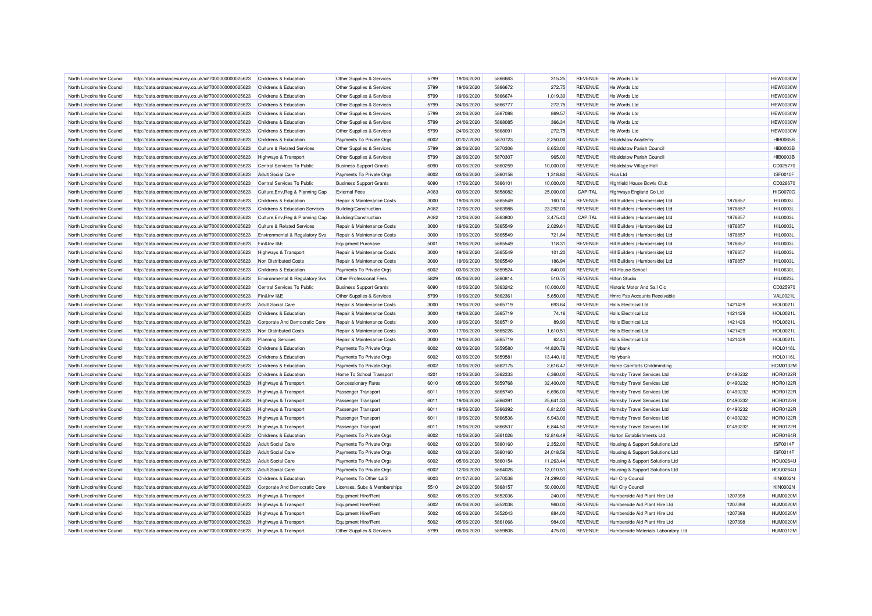| North Lincolnshire Council | http://data.ordnancesurvey.co.uk/id/7000000000025623 | Childrens & Education                 | Other Supplies & Services      | 5799 | 19/06/2020 | 5866663 | 315.25    | <b>REVENUE</b> | He Words Ltd                        |          | HEW0030W        |
|----------------------------|------------------------------------------------------|---------------------------------------|--------------------------------|------|------------|---------|-----------|----------------|-------------------------------------|----------|-----------------|
| North Lincolnshire Council | http://data.ordnancesurvey.co.uk/id/7000000000025623 | Childrens & Education                 | Other Supplies & Services      | 5799 | 19/06/2020 | 5866672 | 272.75    | <b>REVENUE</b> | He Words Ltd                        |          | HEW0030W        |
| North Lincolnshire Council | http://data.ordnancesurvey.co.uk/id/7000000000025623 | Childrens & Education                 | Other Supplies & Services      | 5799 | 19/06/2020 | 5866674 | 1,019.30  | <b>REVENUE</b> | He Words Ltd                        |          | <b>HEW0030W</b> |
| North Lincolnshire Council | http://data.ordnancesurvey.co.uk/id/7000000000025623 | Childrens & Education                 | Other Supplies & Services      | 5799 | 24/06/2020 | 5866777 | 272.75    | <b>REVENUE</b> | He Words Ltd                        |          | <b>HEW0030W</b> |
| North Lincolnshire Council | http://data.ordnancesurvey.co.uk/id/7000000000025623 | Childrens & Education                 | Other Supplies & Services      | 5799 | 24/06/2020 | 5867088 | 869.57    | <b>REVENUE</b> | He Words Ltd                        |          | <b>HEW0030V</b> |
| North Lincolnshire Council | http://data.ordnancesurvey.co.uk/id/7000000000025623 | Childrens & Education                 | Other Supplies & Services      | 5799 | 24/06/2020 | 5868085 | 366.34    | <b>REVENUE</b> | He Words Ltd                        |          | <b>HEW0030W</b> |
| North Lincolnshire Council | http://data.ordnancesurvey.co.uk/id/7000000000025623 | Childrens & Education                 | Other Supplies & Services      | 5799 | 24/06/2020 | 5868091 | 272.75    | <b>REVENUE</b> | He Words Ltd                        |          | <b>HEW0030W</b> |
| North Lincolnshire Council | http://data.ordnancesurvey.co.uk/id/7000000000025623 | Childrens & Education                 | Payments To Private Orgs       | 6002 | 01/07/2020 | 5870723 | 2,250.00  | <b>REVENUE</b> | <b>Hibaldstow Academy</b>           |          | <b>HIB0065B</b> |
| North Lincolnshire Council | http://data.ordnancesurvey.co.uk/id/7000000000025623 | <b>Culture &amp; Related Services</b> | Other Supplies & Services      | 5799 | 26/06/2020 | 5870306 | 8,653.00  | <b>REVENUE</b> | <b>Hibaldstow Parish Council</b>    |          | <b>HIB0003B</b> |
| North Lincolnshire Council | http://data.ordnancesurvey.co.uk/id/7000000000025623 | <b>Highways &amp; Transport</b>       | Other Supplies & Services      | 5799 | 26/06/2020 | 5870307 | 965.00    | <b>REVENUE</b> | <b>Hibaldstow Parish Council</b>    |          | <b>HIB0003B</b> |
| North Lincolnshire Council | http://data.ordnancesurvey.co.uk/id/7000000000025623 | Central Services To Public            | <b>Business Support Grants</b> | 6090 | 03/06/2020 | 5860259 | 10,000.00 | <b>REVENUE</b> | <b>Hibaldstow Village Hall</b>      |          | CD025770        |
| North Lincolnshire Council | http://data.ordnancesurvey.co.uk/id/7000000000025623 | <b>Adult Social Care</b>              | Payments To Private Orgs       | 6002 | 03/06/2020 | 5860158 | 1,318.80  | <b>REVENUE</b> | Hica I td                           |          | ISF0010F        |
| North Lincolnshire Council | http://data.ordnancesurvey.co.uk/id/7000000000025623 | Central Services To Public            | <b>Business Support Grants</b> | 6090 | 17/06/2020 | 5866101 | 10,000.00 | <b>REVENUE</b> | <b>Highfield House Bowls Club</b>   |          | CD026670        |
| North Lincolnshire Council | http://data.ordnancesurvey.co.uk/id/7000000000025623 | Culture, Env, Reg & Planning Cap      | <b>External Fees</b>           | A083 | 03/06/2020 | 5858082 | 25,000.00 | CAPITAL        | Highways England Co Ltd             |          | <b>HIG0070G</b> |
| North Lincolnshire Council | http://data.ordnancesurvey.co.uk/id/7000000000025623 | Childrens & Education                 | Repair & Maintenance Costs     | 3000 | 19/06/2020 | 5865549 | 160.14    | <b>REVENUE</b> | Hill Builders (Humberside) Ltd      | 1876857  | <b>HIL0003L</b> |
| North Lincolnshire Council | http://data.ordnancesurvey.co.uk/id/7000000000025623 | Childrens & Education Services        | <b>Building/Construction</b>   | A082 | 12/06/2020 | 5863988 | 23,292.00 | <b>REVENUE</b> | Hill Builders (Humberside) Ltd      | 1876857  | <b>HIL0003L</b> |
| North Lincolnshire Council |                                                      |                                       |                                | A082 | 12/06/2020 | 5863800 | 3,475.40  | CAPITAL        | Hill Builders (Humberside) Ltd      | 1876857  | <b>HIL0003L</b> |
|                            | http://data.ordnancesurvey.co.uk/id/7000000000025623 | Culture, Env, Reg & Planning Cap      | Building/Construction          |      |            |         |           |                |                                     |          |                 |
| North Lincolnshire Council | http://data.ordnancesurvey.co.uk/id/7000000000025623 | <b>Culture &amp; Related Services</b> | Repair & Maintenance Costs     | 3000 | 19/06/2020 | 5865549 | 2,029.61  | <b>REVENUE</b> | Hill Builders (Humberside) Ltd      | 1876857  | HIL0003L        |
| North Lincolnshire Council | http://data.ordnancesurvey.co.uk/id/7000000000025623 | Environmental & Regulatory Svs        | Repair & Maintenance Costs     | 3000 | 19/06/2020 | 5865549 | 721.84    | <b>REVENUE</b> | Hill Builders (Humberside) Ltd      | 1876857  | <b>HIL0003L</b> |
| North Lincolnshire Council | http://data.ordnancesurvey.co.uk/id/7000000000025623 | Fin&Inv I&E                           | <b>Equipment Purchase</b>      | 5001 | 19/06/2020 | 5865549 | 118.31    | <b>REVENUE</b> | Hill Builders (Humberside) Ltd      | 1876857  | <b>HIL0003L</b> |
| North Lincolnshire Council | http://data.ordnancesurvey.co.uk/id/7000000000025623 | Highways & Transport                  | Repair & Maintenance Costs     | 3000 | 19/06/2020 | 5865549 | 101.20    | <b>REVENUE</b> | Hill Builders (Humberside) Ltd      | 1876857  | <b>HIL0003L</b> |
| North Lincolnshire Council | http://data.ordnancesurvey.co.uk/id/7000000000025623 | Non Distributed Costs                 | Repair & Maintenance Costs     | 3000 | 19/06/2020 | 5865549 | 186.94    | <b>REVENUE</b> | Hill Builders (Humberside) Ltd      | 1876857  | <b>HIL0003L</b> |
| North Lincolnshire Council | http://data.ordnancesurvey.co.uk/id/7000000000025623 | Childrens & Education                 | Payments To Private Orgs       | 6002 | 03/06/2020 | 5859524 | 840.00    | <b>REVENUE</b> | Hill House School                   |          | <b>HIL0630L</b> |
| North Lincolnshire Council | http://data.ordnancesurvey.co.uk/id/7000000000025623 | Environmental & Regulatory Svs        | Other Professional Fees        | 5829 | 05/06/2020 | 5860814 | 510.75    | <b>REVENUE</b> | Hilton Studio                       |          | <b>HIL0023L</b> |
| North Lincolnshire Council | http://data.ordnancesurvey.co.uk/id/7000000000025623 | Central Services To Public            | <b>Business Support Grants</b> | 6090 | 10/06/2020 | 5863242 | 10,000.00 | <b>REVENUE</b> | Historic Motor And Sail Cic         |          | CD025970        |
| North Lincolnshire Council | http://data.ordnancesurvey.co.uk/id/7000000000025623 | Fin&Inv I&E                           | Other Supplies & Services      | 5799 | 19/06/2020 | 5862361 | 5,650.00  | <b>REVENUE</b> | Hmrc Fss Accounts Receivable        |          | <b>VAL0021L</b> |
| North Lincolnshire Council | http://data.ordnancesurvey.co.uk/id/7000000000025623 | <b>Adult Social Care</b>              | Repair & Maintenance Costs     | 3000 | 19/06/2020 | 5865719 | 693.64    | <b>REVENUE</b> | <b>Holls Electrical Ltd</b>         | 1421429  | <b>HOL0021L</b> |
| North Lincolnshire Council | http://data.ordnancesurvey.co.uk/id/7000000000025623 | Childrens & Education                 | Repair & Maintenance Costs     | 3000 | 19/06/2020 | 5865719 | 74.16     | <b>REVENUE</b> | <b>Holls Electrical Ltd</b>         | 1421429  | <b>HOL0021L</b> |
| North Lincolnshire Council | http://data.ordnancesurvey.co.uk/id/7000000000025623 | Corporate And Democratic Core         | Repair & Maintenance Costs     | 3000 | 19/06/2020 | 5865719 | 89.90     | <b>REVENUE</b> | <b>Holls Electrical Ltd</b>         | 1421429  | <b>HOL0021L</b> |
| North Lincolnshire Council | http://data.ordnancesurvey.co.uk/id/7000000000025623 | Non Distributed Costs                 | Repair & Maintenance Costs     | 3000 | 17/06/2020 | 5865226 | 1,610.51  | <b>REVENUE</b> | <b>Holls Electrical Ltd</b>         | 1421429  | <b>HOL0021L</b> |
| North Lincolnshire Council | http://data.ordnancesurvey.co.uk/id/7000000000025623 | <b>Planning Services</b>              | Repair & Maintenance Costs     | 3000 | 19/06/2020 | 5865719 | 62.40     | <b>REVENUE</b> | <b>Holls Electrical Ltd</b>         | 1421429  | <b>HOL0021L</b> |
| North Lincolnshire Council | http://data.ordnancesurvey.co.uk/id/7000000000025623 | Childrens & Education                 | Payments To Private Orgs       | 6002 | 03/06/2020 | 5859580 | 44,820.76 | <b>REVENUE</b> | Hollybank                           |          | <b>HOL0116L</b> |
| North Lincolnshire Council | http://data.ordnancesurvey.co.uk/id/7000000000025623 | Childrens & Education                 | Payments To Private Orgs       | 6002 | 03/06/2020 | 5859581 | 13,440.16 | <b>REVENUE</b> | Hollybank                           |          | <b>HOL0116L</b> |
| North Lincolnshire Council | http://data.ordnancesurvey.co.uk/id/7000000000025623 | Childrens & Education                 | Payments To Private Orgs       | 6002 | 10/06/2020 | 5862175 | 2,616.47  | <b>REVENUE</b> | Home Comforts Childminding          |          | <b>HOM0132M</b> |
| North Lincolnshire Council | http://data.ordnancesurvey.co.uk/id/7000000000025623 | <b>Childrens &amp; Education</b>      | Home To School Transport       | 4201 | 10/06/2020 | 5862333 | 6,360.00  | <b>REVENUE</b> | Hornsby Travel Services Ltd         | 01490232 | <b>HOR0122F</b> |
| North Lincolnshire Council | http://data.ordnancesurvey.co.uk/id/7000000000025623 | <b>Highways &amp; Transport</b>       | <b>Concessionary Fares</b>     | 6010 | 05/06/2020 | 5859768 | 32,400.00 | <b>REVENUE</b> | Hornsby Travel Services Ltd         | 01490232 | <b>HOR0122R</b> |
| North Lincolnshire Council | http://data.ordnancesurvey.co.uk/id/7000000000025623 | Highways & Transport                  | Passenger Transport            | 6011 | 19/06/2020 | 5865749 | 6,696.00  | <b>REVENUE</b> | Hornsby Travel Services Ltd         | 01490232 | <b>HOR0122F</b> |
| North Lincolnshire Council | http://data.ordnancesurvey.co.uk/id/7000000000025623 | Highways & Transport                  | <b>Passenger Transport</b>     | 6011 | 19/06/2020 | 5866391 | 25,641.33 | <b>REVENUE</b> | Hornsby Travel Services Ltd         | 01490232 | <b>HOR0122R</b> |
| North Lincolnshire Council | http://data.ordnancesurvey.co.uk/id/7000000000025623 | Highways & Transport                  | Passenger Transport            | 6011 | 19/06/2020 | 5866392 | 6,812.00  | <b>REVENUE</b> | Hornsby Travel Services Ltd         | 01490232 | <b>HOR0122F</b> |
| North Lincolnshire Council | http://data.ordnancesurvey.co.uk/id/7000000000025623 | Highways & Transport                  | <b>Passenger Transport</b>     | 6011 | 19/06/2020 | 5866536 | 6,943.00  | <b>REVENUE</b> | Hornsby Travel Services Ltd         | 01490232 | <b>HOR0122R</b> |
| North Lincolnshire Council | http://data.ordnancesurvey.co.uk/id/7000000000025623 | Highways & Transport                  | Passenger Transport            | 6011 | 19/06/2020 | 5866537 | 6,844.50  | <b>REVENUE</b> | Hornsby Travel Services Ltd         | 01490232 | <b>HOR0122F</b> |
| North Lincolnshire Council | http://data.ordnancesurvey.co.uk/id/7000000000025623 | Childrens & Education                 | Payments To Private Orgs       | 6002 | 10/06/2020 | 5861026 | 12,816.49 | <b>REVENUE</b> | Horton Establishments Ltd           |          | <b>HOR0164F</b> |
| North Lincolnshire Council | http://data.ordnancesurvey.co.uk/id/7000000000025623 | <b>Adult Social Care</b>              | Payments To Private Orgs       | 6002 | 03/06/2020 | 5860160 | 2,352.00  | <b>REVENUE</b> | Housing & Support Solutions Ltd     |          | <b>ISF0014F</b> |
| North Lincolnshire Council | http://data.ordnancesurvey.co.uk/id/7000000000025623 | <b>Adult Social Care</b>              | Payments To Private Orgs       | 6002 | 03/06/2020 | 5860160 | 24,018.56 | <b>REVENUE</b> | Housing & Support Solutions Ltd     |          | ISF0014F        |
| North Lincolnshire Council | http://data.ordnancesurvey.co.uk/id/7000000000025623 | <b>Adult Social Care</b>              | Payments To Private Orgs       | 6002 | 05/06/2020 | 5860154 | 11,263.44 | <b>REVENUE</b> | Housing & Support Solutions Ltd     |          | <b>HOU0264L</b> |
| North Lincolnshire Council | http://data.ordnancesurvey.co.uk/id/7000000000025623 | <b>Adult Social Care</b>              | Payments To Private Orgs       | 6002 | 12/06/2020 | 5864026 | 13,010.51 | <b>REVENUE</b> | Housing & Support Solutions Ltd     |          | <b>HOU0264L</b> |
| North Lincolnshire Council | http://data.ordnancesurvey.co.uk/id/7000000000025623 | Childrens & Education                 | Payments To Other La'S         | 6003 | 01/07/2020 | 5870538 | 74,299.00 | <b>REVENUE</b> | <b>Hull City Council</b>            |          | <b>KIN0002N</b> |
| North Lincolnshire Council | http://data.ordnancesurvey.co.uk/id/7000000000025623 | Corporate And Democratic Core         | Licenses, Subs & Memberships   | 5510 | 24/06/2020 | 5868157 | 50,000.00 | <b>REVENUE</b> | <b>Hull City Council</b>            |          | <b>KIN0002N</b> |
| North Lincolnshire Council | http://data.ordnancesurvey.co.uk/id/7000000000025623 | Highways & Transport                  | Equipment Hire/Rent            | 5002 | 05/06/2020 | 5852036 | 240.00    | <b>REVENUE</b> | Humberside Aid Plant Hire Ltd       | 1207398  | <b>HUM0020M</b> |
| North Lincolnshire Council | http://data.ordnancesurvey.co.uk/id/7000000000025623 | Highways & Transport                  | Equipment Hire/Rent            | 5002 | 05/06/2020 | 5852038 | 960.00    | <b>REVENUE</b> | Humberside Aid Plant Hire Ltd       | 1207398  | HUM0020M        |
| North Lincolnshire Council | http://data.ordnancesurvey.co.uk/id/7000000000025623 | <b>Highways &amp; Transport</b>       | Equipment Hire/Rent            | 5002 | 05/06/2020 | 5852043 | 884.00    | <b>REVENUE</b> | Humberside Aid Plant Hire Ltd       | 1207398  | <b>HUM0020M</b> |
| North Lincolnshire Council | http://data.ordnancesurvey.co.uk/id/7000000000025623 | Highways & Transport                  | Equipment Hire/Rent            | 5002 | 05/06/2020 | 5861066 | 984.00    | <b>REVENUE</b> | Humberside Aid Plant Hire Ltd       | 1207398  | <b>HUM0020M</b> |
| North Lincolnshire Council | http://data.ordnancesurvey.co.uk/id/7000000000025623 | <b>Highways &amp; Transport</b>       | Other Supplies & Services      | 5799 | 05/06/2020 | 5859808 | 475.00    | <b>REVENUE</b> | Humberside Materials Laboratory Ltd |          | <b>HUM0312M</b> |
|                            |                                                      |                                       |                                |      |            |         |           |                |                                     |          |                 |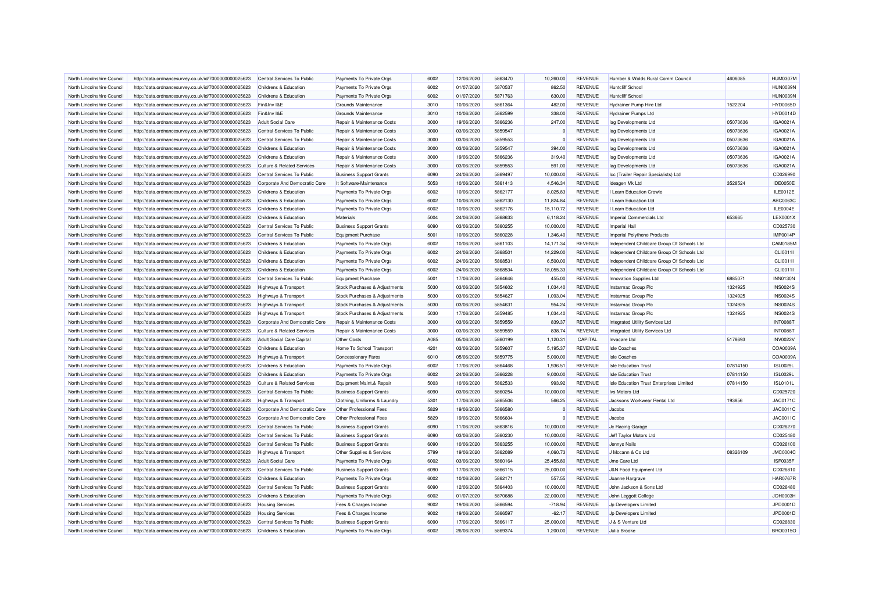| North Lincolnshire Council | http://data.ordnancesurvey.co.uk/id/7000000000025623 | Central Services To Public            | Payments To Private Orgs       | 6002 | 12/06/2020 | 5863470 | 10.260.00 | <b>REVENUE</b> | Humber & Wolds Rural Comm Council          | 4606085  | <b>HUM0307M</b> |
|----------------------------|------------------------------------------------------|---------------------------------------|--------------------------------|------|------------|---------|-----------|----------------|--------------------------------------------|----------|-----------------|
| North Lincolnshire Council | http://data.ordnancesurvey.co.uk/id/7000000000025623 | Childrens & Education                 | Payments To Private Orgs       | 6002 | 01/07/2020 | 5870537 | 862.50    | <b>REVENUE</b> | <b>Huntcliff School</b>                    |          | <b>HUN0039N</b> |
| North Lincolnshire Council | http://data.ordnancesurvey.co.uk/id/7000000000025623 | Childrens & Education                 | Payments To Private Orgs       | 6002 | 01/07/2020 | 5871763 | 630.00    | <b>REVENUE</b> | <b>Huntcliff School</b>                    |          | HUN0039N        |
|                            |                                                      |                                       |                                |      |            |         |           |                |                                            |          |                 |
| North Lincolnshire Council | http://data.ordnancesurvey.co.uk/id/7000000000025623 | Fin&Inv I&E                           | <b>Grounds Maintenance</b>     | 3010 | 10/06/2020 | 5861364 | 482.00    | <b>REVENUE</b> | Hydrainer Pump Hire Ltd                    | 1522204  | <b>HYD0065D</b> |
| North Lincolnshire Council | http://data.ordnancesurvey.co.uk/id/7000000000025623 | Fin&Inv I&E                           | Grounds Maintenance            | 3010 | 10/06/2020 | 5862599 | 338.00    | <b>REVENUE</b> | <b>Hydrainer Pumps Ltd</b>                 |          | <b>HYD0014D</b> |
| North Lincolnshire Council | http://data.ordnancesurvey.co.uk/id/7000000000025623 | <b>Adult Social Care</b>              | Repair & Maintenance Costs     | 3000 | 19/06/2020 | 5866236 | 247.00    | <b>REVENUE</b> | lag Developments Ltd                       | 05073636 | IGA0021A        |
| North Lincolnshire Council | http://data.ordnancesurvey.co.uk/id/7000000000025623 | Central Services To Public            | Repair & Maintenance Costs     | 3000 | 03/06/2020 | 5859547 |           | <b>REVENUE</b> | lag Developments Ltd                       | 05073636 | IGA0021A        |
| North Lincolnshire Council | http://data.ordnancesurvey.co.uk/id/7000000000025623 | Central Services To Public            | Repair & Maintenance Costs     | 3000 | 03/06/2020 | 5859553 |           | <b>REVENUE</b> | lag Developments Ltd                       | 05073636 | IGA0021A        |
| North Lincolnshire Council | http://data.ordnancesurvey.co.uk/id/7000000000025623 | Childrens & Education                 | Repair & Maintenance Costs     | 3000 | 03/06/2020 | 5859547 | 394.00    | <b>REVENUE</b> | lag Developments Ltd                       | 05073636 | IGA0021A        |
| North Lincolnshire Council | http://data.ordnancesurvey.co.uk/id/7000000000025623 | Childrens & Education                 | Repair & Maintenance Costs     | 3000 | 19/06/2020 | 5866236 | 319.40    | <b>REVENUE</b> | lag Developments Ltd                       | 05073636 | IGA0021A        |
| North Lincolnshire Council | http://data.ordnancesurvey.co.uk/id/7000000000025623 | <b>Culture &amp; Related Services</b> | Repair & Maintenance Costs     | 3000 | 03/06/2020 | 5859553 | 591.00    | <b>REVENUE</b> | lag Developments Ltd                       | 05073636 | IGA0021A        |
| North Lincolnshire Council | http://data.ordnancesurvey.co.uk/id/7000000000025623 | Central Services To Public            | <b>Business Support Grants</b> | 6090 | 24/06/2020 | 5869497 | 10,000.00 | <b>REVENUE</b> | Icc (Trailer Repair Specialists) Ltd       |          | CD026990        |
| North Lincolnshire Council | http://data.ordnancesurvey.co.uk/id/7000000000025623 | Corporate And Democratic Core         | It Software-Maintenance        | 5053 | 10/06/2020 | 5861413 | 4,546.34  | <b>REVENUE</b> | Ideagen Mk Ltd                             | 3528524  | <b>IDE0050E</b> |
| North Lincolnshire Council | http://data.ordnancesurvey.co.uk/id/7000000000025623 | Childrens & Education                 | Payments To Private Orgs       | 6002 | 10/06/2020 | 5862177 | 8.025.83  | <b>REVENUE</b> | I Learn Education Crowle                   |          | <b>ILE0012E</b> |
| North Lincolnshire Council | http://data.ordnancesurvey.co.uk/id/7000000000025623 | Childrens & Education                 | Payments To Private Orgs       | 6002 | 10/06/2020 | 5862130 | 11,824.84 | <b>REVENUE</b> | I Learn Education Ltd                      |          | ABC0063C        |
| North Lincolnshire Council | http://data.ordnancesurvey.co.uk/id/7000000000025623 | Childrens & Education                 | Payments To Private Orgs       | 6002 | 10/06/2020 | 5862176 | 15,110.72 | <b>REVENUE</b> | I Learn Education Ltd                      |          | ILE0004E        |
| North Lincolnshire Council | http://data.ordnancesurvey.co.uk/id/7000000000025623 | Childrens & Education                 | Materials                      | 5004 | 24/06/2020 | 5868633 | 6,118.24  | <b>REVENUE</b> | Imperial Commercials Ltd                   | 653665   | LEX0001X        |
| North Lincolnshire Council | http://data.ordnancesurvey.co.uk/id/7000000000025623 | Central Services To Public            | <b>Business Support Grants</b> | 6090 | 03/06/2020 | 5860255 | 10,000.00 | <b>REVENUE</b> | Imperial Hall                              |          | CD025730        |
| North Lincolnshire Council | http://data.ordnancesurvey.co.uk/id/7000000000025623 | Central Services To Public            | <b>Equipment Purchase</b>      | 5001 | 10/06/2020 | 5860228 | 1,346.40  | <b>REVENUE</b> | Imperial Polythene Products                |          | <b>IMP0014P</b> |
| North Lincolnshire Council | http://data.ordnancesurvey.co.uk/id/7000000000025623 | Childrens & Education                 | Payments To Private Orgs       | 6002 | 10/06/2020 | 5861103 | 14,171.34 | <b>REVENUE</b> | Independent Childcare Group Of Schools Ltd |          | CAM0185M        |
| North Lincolnshire Council | http://data.ordnancesurvey.co.uk/id/7000000000025623 | Childrens & Education                 | Payments To Private Orgs       | 6002 | 24/06/2020 | 5868501 | 14,229.00 | <b>REVENUE</b> | Independent Childcare Group Of Schools Ltd |          | CLI0011I        |
| North Lincolnshire Council |                                                      | Childrens & Education                 |                                | 6002 |            | 5868531 |           | <b>REVENUE</b> |                                            |          |                 |
|                            | http://data.ordnancesurvey.co.uk/id/7000000000025623 |                                       | Payments To Private Orgs       |      | 24/06/2020 |         | 6,500.00  |                | Independent Childcare Group Of Schools Ltd |          | CLI0011I        |
| North Lincolnshire Council | http://data.ordnancesurvey.co.uk/id/7000000000025623 | Childrens & Education                 | Payments To Private Orgs       | 6002 | 24/06/2020 | 5868534 | 18,055.33 | <b>REVENUE</b> | Independent Childcare Group Of Schools Ltd |          | CLI0011I        |
| North Lincolnshire Council | http://data.ordnancesurvey.co.uk/id/7000000000025623 | Central Services To Public            | <b>Equipment Purchase</b>      | 5001 | 17/06/2020 | 5864646 | 455.00    | <b>REVENUE</b> | Innovation Supplies Ltd                    | 6885071  | <b>INN0130N</b> |
| North Lincolnshire Council | http://data.ordnancesurvey.co.uk/id/7000000000025623 | Highways & Transport                  | Stock Purchases & Adjustments  | 5030 | 03/06/2020 | 5854602 | 1,034.40  | <b>REVENUE</b> | Instarmac Group Plc                        | 1324925  | <b>INS0024S</b> |
| North Lincolnshire Council | http://data.ordnancesurvey.co.uk/id/7000000000025623 | Highways & Transport                  | Stock Purchases & Adjustments  | 5030 | 03/06/2020 | 5854627 | 1,093.04  | <b>REVENUE</b> | Instarmac Group Plc                        | 1324925  | <b>INS0024S</b> |
| North Lincolnshire Council | http://data.ordnancesurvey.co.uk/id/7000000000025623 | <b>Highways &amp; Transport</b>       | Stock Purchases & Adjustments  | 5030 | 03/06/2020 | 5854631 | 954.24    | <b>REVENUE</b> | Instarmac Group Plc                        | 1324925  | <b>INS0024S</b> |
| North Lincolnshire Council | http://data.ordnancesurvey.co.uk/id/7000000000025623 | <b>Highways &amp; Transport</b>       | Stock Purchases & Adjustments  | 5030 | 17/06/2020 | 5859485 | 1.034.40  | <b>REVENUE</b> | Instarmac Group Plc                        | 1324925  | <b>INS0024S</b> |
| North Lincolnshire Council | http://data.ordnancesurvey.co.uk/id/7000000000025623 | Corporate And Democratic Core         | Repair & Maintenance Costs     | 3000 | 03/06/2020 | 5859559 | 839.37    | <b>REVENUE</b> | <b>Integrated Utility Services Ltd</b>     |          | <b>INT0088T</b> |
| North Lincolnshire Council | http://data.ordnancesurvey.co.uk/id/7000000000025623 | <b>Culture &amp; Related Services</b> | Repair & Maintenance Costs     | 3000 | 03/06/2020 | 5859559 | 838.74    | <b>REVENUE</b> | Integrated Utility Services Ltd            |          | <b>INT0088T</b> |
| North Lincolnshire Council | http://data.ordnancesurvey.co.uk/id/7000000000025623 | <b>Adult Social Care Capital</b>      | <b>Other Costs</b>             | A085 | 05/06/2020 | 5860199 | 1,120.31  | CAPITAL        | Invacare I to                              | 5178693  | <b>INV0022V</b> |
| North Lincolnshire Council | http://data.ordnancesurvey.co.uk/id/7000000000025623 | Childrens & Education                 | Home To School Transport       | 4201 | 03/06/2020 | 5859607 | 5,195.37  | <b>REVENUE</b> | <b>Isle Coaches</b>                        |          | COA0039A        |
| North Lincolnshire Council | http://data.ordnancesurvey.co.uk/id/7000000000025623 | Highways & Transport                  | <b>Concessionary Fares</b>     | 6010 | 05/06/2020 | 5859775 | 5,000.00  | <b>REVENUE</b> | <b>Isle Coaches</b>                        |          | COA0039A        |
| North Lincolnshire Council | http://data.ordnancesurvey.co.uk/id/7000000000025623 | Childrens & Education                 | Payments To Private Orgs       | 6002 | 17/06/2020 | 5864468 | 1.936.51  | <b>REVENUE</b> | <b>Isle Education Trust</b>                | 07814150 | <b>ISL0029L</b> |
| North Lincolnshire Council | http://data.ordnancesurvey.co.uk/id/7000000000025623 | Childrens & Education                 | Payments To Private Orgs       | 6002 | 24/06/2020 | 5866228 | 9,000.00  | <b>REVENUE</b> | <b>Isle Education Trust</b>                | 07814150 | <b>ISL0029L</b> |
| North Lincolnshire Council | http://data.ordnancesurvey.co.uk/id/7000000000025623 | <b>Culture &amp; Related Services</b> | Equipment Maint.& Repair       | 5003 | 10/06/2020 | 5862533 | 993.92    | <b>REVENUE</b> | Isle Education Trust Enterprises Limited   | 07814150 | <b>ISL0101L</b> |
| North Lincolnshire Council | http://data.ordnancesurvey.co.uk/id/7000000000025623 | Central Services To Public            | <b>Business Support Grants</b> | 6090 | 03/06/2020 | 5860254 | 10,000.00 | <b>REVENUE</b> | <b>Ivs Motors Ltd</b>                      |          | CD025720        |
| North Lincolnshire Council | http://data.ordnancesurvey.co.uk/id/7000000000025623 | Highways & Transport                  | Clothing, Uniforms & Laundry   | 5301 | 17/06/2020 | 5865506 | 566.25    | <b>REVENUE</b> | Jacksons Workwear Rental Ltd               | 193856   | <b>JAC0171C</b> |
| North Lincolnshire Council | http://data.ordnancesurvey.co.uk/id/7000000000025623 | Corporate And Democratic Core         | Other Professional Fees        | 5829 | 19/06/2020 | 5866580 |           | <b>REVENUE</b> | Jacobs                                     |          | JAC0011C        |
| North Lincolnshire Council | http://data.ordnancesurvey.co.uk/id/7000000000025623 | Corporate And Democratic Core         | Other Professional Fees        | 5829 | 19/06/2020 | 5866604 |           | <b>REVENUE</b> | Jacobs                                     |          | <b>JAC0011C</b> |
| North Lincolnshire Council | http://data.ordnancesurvey.co.uk/id/7000000000025623 | Central Services To Public            | <b>Business Support Grants</b> | 6090 | 11/06/2020 | 5863816 | 10,000.00 | <b>REVENUE</b> | Jc Racing Garage                           |          | CD026270        |
| North Lincolnshire Council | http://data.ordnancesurvey.co.uk/id/7000000000025623 | Central Services To Public            | <b>Business Support Grants</b> | 6090 | 03/06/2020 | 5860230 | 10.000.00 | <b>REVENUE</b> | Jeff Taylor Motors Ltd                     |          | CD025480        |
| North Lincolnshire Council | http://data.ordnancesurvey.co.uk/id/7000000000025623 | Central Services To Public            | <b>Business Support Grants</b> | 6090 | 10/06/2020 | 5863255 | 10,000.00 | <b>REVENUE</b> | Jennys Nails                               |          | CD026100        |
|                            |                                                      |                                       |                                |      |            |         |           |                |                                            |          |                 |
| North Lincolnshire Council | http://data.ordnancesurvey.co.uk/id/7000000000025623 | Highways & Transport                  | Other Supplies & Services      | 5799 | 19/06/2020 | 5862089 | 4,060.73  | <b>REVENUE</b> | J Mccann & Co Ltd                          | 08326109 | <b>JMC0004C</b> |
| North Lincolnshire Council | http://data.ordnancesurvey.co.uk/id/7000000000025623 | <b>Adult Social Care</b>              | Payments To Private Orgs       | 6002 | 03/06/2020 | 5860164 | 25,455.80 | <b>REVENUE</b> | Jme Care Ltd                               |          | ISF0035F        |
| North Lincolnshire Council | http://data.ordnancesurvey.co.uk/id/7000000000025623 | Central Services To Public            | <b>Business Support Grants</b> | 6090 | 17/06/2020 | 5866115 | 25,000.00 | <b>REVENUE</b> | J&N Food Equipment Ltd                     |          | CD026810        |
| North Lincolnshire Council | http://data.ordnancesurvey.co.uk/id/7000000000025623 | Childrens & Education                 | Payments To Private Orgs       | 6002 | 10/06/2020 | 5862171 | 557.55    | <b>REVENUE</b> | Joanne Hargrave                            |          | <b>HAR0767F</b> |
| North Lincolnshire Council | http://data.ordnancesurvey.co.uk/id/7000000000025623 | Central Services To Public            | <b>Business Support Grants</b> | 6090 | 12/06/2020 | 5864403 | 10,000.00 | <b>REVENUE</b> | John Jackson & Sons Ltd                    |          | CD026480        |
| North Lincolnshire Council | http://data.ordnancesurvey.co.uk/id/7000000000025623 | Childrens & Education                 | Payments To Private Orgs       | 6002 | 01/07/2020 | 5870688 | 22,000.00 | <b>REVENUE</b> | John Leggott College                       |          | JOH0003H        |
| North Lincolnshire Council | http://data.ordnancesurvey.co.uk/id/7000000000025623 | <b>Housing Services</b>               | Fees & Charges Income          | 9002 | 19/06/2020 | 5866594 | $-718.94$ | <b>REVENUE</b> | Jp Developers Limited                      |          | JPD0001D        |
| North Lincolnshire Council | http://data.ordnancesurvey.co.uk/id/7000000000025623 | <b>Housing Services</b>               | Fees & Charges Income          | 9002 | 19/06/2020 | 5866597 | $-62.17$  | <b>REVENUE</b> | Jp Developers Limited                      |          | JPD0001D        |
| North Lincolnshire Council | http://data.ordnancesurvey.co.uk/id/7000000000025623 | Central Services To Public            | <b>Business Support Grants</b> | 6090 | 17/06/2020 | 5866117 | 25,000.00 | <b>REVENUE</b> | J & S Venture Ltd                          |          | CD026830        |
| North Lincolnshire Council | http://data.ordnancesurvey.co.uk/id/7000000000025623 | Childrens & Education                 | Payments To Private Orgs       | 6002 | 26/06/2020 | 5869374 | 1,200.00  | <b>REVENUE</b> | Julia Brooke                               |          | BRO0315O        |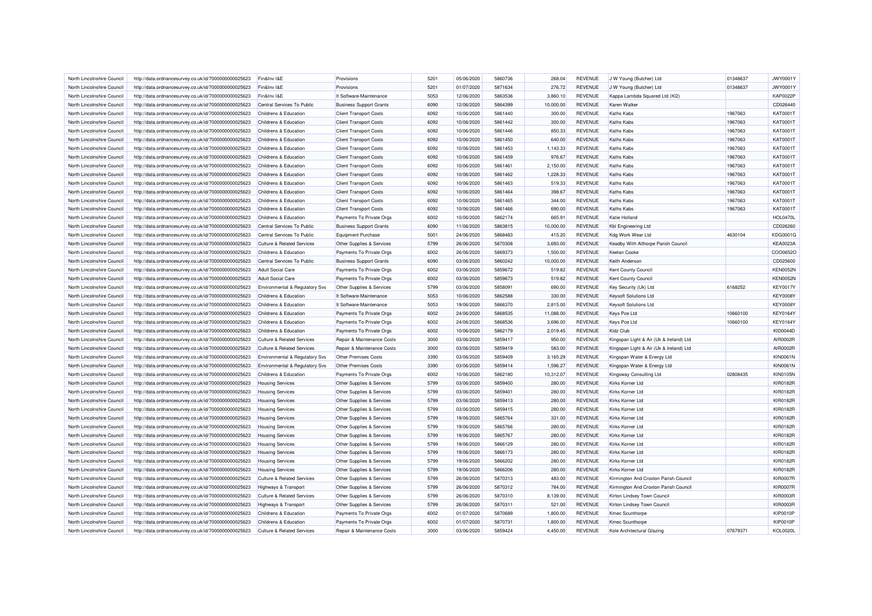| North Lincolnshire Council                               | http://data.ordnancesurvey.co.uk/id/7000000000025623                                                         | Fin&Inv I&E                                    | Provisions                                          | 5201 | 05/06/2020               | 5860736            | 268.04                | <b>REVENUE</b>                   | J W Young (Butcher) Ltd                      | 01348637 | <b>JWY0001Y</b>                    |
|----------------------------------------------------------|--------------------------------------------------------------------------------------------------------------|------------------------------------------------|-----------------------------------------------------|------|--------------------------|--------------------|-----------------------|----------------------------------|----------------------------------------------|----------|------------------------------------|
| North Lincolnshire Council                               | http://data.ordnancesurvey.co.uk/id/7000000000025623                                                         | Fin&Inv I&E                                    | Provisions                                          | 5201 | 01/07/2020               | 5871634            | 276.72                | <b>REVENUE</b>                   | J W Young (Butcher) Ltd                      | 01348637 | <b>JWY0001Y</b>                    |
| North Lincolnshire Council                               | http://data.ordnancesurvey.co.uk/id/7000000000025623                                                         | Fin&Inv I&E                                    | It Software-Maintenance                             | 5053 | 12/06/2020               | 5863536            | 3,860.10              | <b>REVENUE</b>                   | Kappa Lambda Squared Ltd (KI2)               |          | <b>KAP0022P</b>                    |
| North Lincolnshire Council                               | http://data.ordnancesurvey.co.uk/id/7000000000025623                                                         | Central Services To Public                     | <b>Business Support Grants</b>                      | 6090 | 12/06/2020               | 5864399            | 10,000.00             | <b>REVENUE</b>                   | Karen Walker                                 |          | CD026440                           |
| North Lincolnshire Council                               | http://data.ordnancesurvey.co.uk/id/7000000000025623                                                         | Childrens & Education                          | <b>Client Transport Costs</b>                       | 6092 | 10/06/2020               | 5861440            | 300.00                | REVENUE                          | <b>Kaths Kabs</b>                            | 1967063  | KAT0001T                           |
| North Lincolnshire Council                               | http://data.ordnancesurvey.co.uk/id/7000000000025623                                                         | Childrens & Education                          | <b>Client Transport Costs</b>                       | 6092 | 10/06/2020               | 5861442            | 300.00                | <b>REVENUE</b>                   | Kaths Kabs                                   | 1967063  | KAT0001T                           |
| North Lincolnshire Council                               | http://data.ordnancesurvey.co.uk/id/7000000000025623                                                         | Childrens & Education                          | <b>Client Transport Costs</b>                       | 6092 | 10/06/2020               | 5861446            | 850.33                | <b>REVENUE</b>                   | Kaths Kabs                                   | 1967063  | <b>KAT0001T</b>                    |
| North Lincolnshire Council                               | http://data.ordnancesurvey.co.uk/id/7000000000025623                                                         | Childrens & Education                          | <b>Client Transport Costs</b>                       | 6092 | 10/06/2020               | 5861450            | 640.00                | <b>REVENUE</b>                   | <b>Kaths Kabs</b>                            | 1967063  | KAT0001T                           |
| North Lincolnshire Council                               | http://data.ordnancesurvey.co.uk/id/7000000000025623                                                         | Childrens & Education                          | <b>Client Transport Costs</b>                       | 6092 | 10/06/2020               | 5861453            | 1,143.33              | <b>REVENUE</b>                   | Kaths Kabs                                   | 1967063  | KAT0001T                           |
| North Lincolnshire Council                               | http://data.ordnancesurvey.co.uk/id/7000000000025623                                                         | Childrens & Education                          | <b>Client Transport Costs</b>                       | 6092 | 10/06/2020               | 5861459            | 976.67                | <b>REVENUE</b>                   | <b>Kaths Kabs</b>                            | 1967063  | <b>KAT0001T</b>                    |
| North Lincolnshire Council                               | http://data.ordnancesurvey.co.uk/id/7000000000025623                                                         | Childrens & Education                          | <b>Client Transport Costs</b>                       | 6092 | 10/06/2020               | 5861461            | 2,150.00              | <b>REVENUE</b>                   | Kaths Kabs                                   | 1967063  | KAT0001T                           |
| North Lincolnshire Council                               | http://data.ordnancesurvey.co.uk/id/7000000000025623                                                         | Childrens & Education                          | <b>Client Transport Costs</b>                       | 6092 | 10/06/2020               | 5861462            | 1,228.33              | <b>REVENUE</b>                   | Kaths Kabs                                   | 1967063  | KAT0001T                           |
| North Lincolnshire Council                               | http://data.ordnancesurvey.co.uk/id/7000000000025623                                                         | Childrens & Education                          | <b>Client Transport Costs</b>                       | 6092 | 10/06/2020               | 5861463            | 519.33                | <b>REVENUE</b>                   | <b>Kaths Kabs</b>                            | 1967063  | KAT0001T                           |
| North Lincolnshire Council                               | http://data.ordnancesurvey.co.uk/id/7000000000025623                                                         | Childrens & Education                          | <b>Client Transport Costs</b>                       | 6092 | 10/06/2020               | 5861464            | 398.67                | <b>REVENUE</b>                   | Kaths Kabs                                   | 1967063  | KAT0001T                           |
| North Lincolnshire Council                               | http://data.ordnancesurvey.co.uk/id/7000000000025623                                                         | Childrens & Education                          | <b>Client Transport Costs</b>                       | 6092 | 10/06/2020               | 5861465            | 344.00                | <b>REVENUE</b>                   | Kaths Kabs                                   | 1967063  | KAT0001T                           |
| North Lincolnshire Council                               | http://data.ordnancesurvey.co.uk/id/7000000000025623                                                         | Childrens & Education                          | <b>Client Transport Costs</b>                       | 6092 | 10/06/2020               | 5861466            | 690.00                | <b>REVENUE</b>                   | Kaths Kabs                                   | 1967063  | KAT0001T                           |
| North Lincolnshire Council                               | http://data.ordnancesurvey.co.uk/id/7000000000025623                                                         | Childrens & Education                          | Payments To Private Orgs                            | 6002 | 10/06/2020               | 5862174            | 665.91                | <b>REVENUE</b>                   | Katie Holland                                |          | <b>HOL0470L</b>                    |
| North Lincolnshire Council                               | http://data.ordnancesurvey.co.uk/id/7000000000025623                                                         | Central Services To Public                     | <b>Business Support Grants</b>                      | 6090 | 11/06/2020               | 5863815            | 10,000.00             | <b>REVENUE</b>                   | Kbl Engineering Ltd                          |          | CD026260                           |
| North Lincolnshire Council                               | http://data.ordnancesurvey.co.uk/id/7000000000025623                                                         | Central Services To Public                     | Equipment Purchase                                  | 5001 | 24/06/2020               | 5868483            | 415.20                | <b>REVENUE</b>                   | Kdg Work Wear Ltd                            | 4630104  | KDG0001G                           |
| North Lincolnshire Council                               | http://data.ordnancesurvey.co.uk/id/7000000000025623                                                         | <b>Culture &amp; Related Services</b>          | Other Supplies & Services                           | 5799 | 26/06/2020               | 5870308            | 3,693.00              | <b>REVENUE</b>                   | Keadby With Althorpe Parish Council          |          | <b>KEA0023A</b>                    |
| North Lincolnshire Council                               | http://data.ordnancesurvey.co.uk/id/7000000000025623                                                         | Childrens & Education                          | Payments To Private Orgs                            | 6002 | 26/06/2020               | 5869373            | 1,500.00              | <b>REVENUE</b>                   | Keelan Cooke                                 |          | COO0652O                           |
| North Lincolnshire Council                               | http://data.ordnancesurvey.co.uk/id/7000000000025623                                                         | Central Services To Public                     | <b>Business Support Grants</b>                      | 6090 | 03/06/2020               | 5860242            | 10,000.00             | <b>REVENUE</b>                   | Keith Anderson                               |          | CD025600                           |
| North Lincolnshire Council                               | http://data.ordnancesurvey.co.uk/id/7000000000025623                                                         | <b>Adult Social Care</b>                       | Payments To Private Orgs                            | 6002 | 03/06/2020               | 5859672            | 519.82                | <b>REVENUE</b>                   | Kent County Council                          |          | <b>KEN0052N</b>                    |
| North Lincolnshire Council                               | http://data.ordnancesurvey.co.uk/id/7000000000025623                                                         | <b>Adult Social Care</b>                       | Payments To Private Orgs                            | 6002 | 03/06/2020               | 5859673            | 519.82                | <b>REVENUE</b>                   | Kent County Council                          |          | <b>KEN0052N</b>                    |
| North Lincolnshire Council                               | http://data.ordnancesurvey.co.uk/id/7000000000025623                                                         | Environmental & Regulatory Svs                 | Other Supplies & Services                           | 5799 | 03/06/2020               | 5858091            | 690.00                | <b>REVENUE</b>                   | Key Security (Uk) Ltd                        | 6168252  | <b>KEY0017Y</b>                    |
|                                                          |                                                                                                              |                                                |                                                     | 5053 | 10/06/2020               | 5862588            | 330.00                | <b>REVENUE</b>                   |                                              |          | <b>KEY0008Y</b>                    |
| North Lincolnshire Council                               | http://data.ordnancesurvey.co.uk/id/7000000000025623                                                         | Childrens & Education                          | It Software-Maintenance                             | 5053 |                          |                    |                       | <b>REVENUE</b>                   | <b>Keysoft Solutions Ltd</b>                 |          | <b>KEY0008Y</b>                    |
| North Lincolnshire Council<br>North Lincolnshire Council | http://data.ordnancesurvey.co.uk/id/7000000000025623<br>http://data.ordnancesurvey.co.uk/id/7000000000025623 | Childrens & Education<br>Childrens & Education | It Software-Maintenance<br>Payments To Private Orgs | 6002 | 19/06/2020<br>24/06/2020 | 5866370<br>5868535 | 2,815.00<br>11.088.00 | <b>REVENUE</b>                   | <b>Keysoft Solutions Ltd</b><br>Keys Pce Ltd | 10660100 | <b>KEY0164Y</b>                    |
|                                                          |                                                                                                              |                                                |                                                     |      |                          |                    |                       |                                  |                                              |          |                                    |
| North Lincolnshire Council                               | http://data.ordnancesurvey.co.uk/id/7000000000025623                                                         | Childrens & Education                          | Payments To Private Orgs                            | 6002 | 24/06/2020               | 5868536            | 3,696.00              | <b>REVENUE</b><br><b>REVENUE</b> | Keys Pce Ltd                                 | 10660100 | <b>KEY0164Y</b><br><b>KID0044D</b> |
| North Lincolnshire Council                               | http://data.ordnancesurvey.co.uk/id/7000000000025623                                                         | Childrens & Education                          | Payments To Private Orgs                            | 6002 | 10/06/2020               | 5862179            | 2,019.45              |                                  | Kidz Club                                    |          |                                    |
| North Lincolnshire Council                               | http://data.ordnancesurvey.co.uk/id/7000000000025623                                                         | Culture & Related Services                     | Repair & Maintenance Costs                          | 3000 | 03/06/2020               | 5859417            | 950.00                | <b>REVENUE</b>                   | Kingspan Light & Air (Uk & Ireland) Ltd      |          | AIR0002R                           |
| North Lincolnshire Council                               | http://data.ordnancesurvey.co.uk/id/7000000000025623                                                         | <b>Culture &amp; Related Services</b>          | Repair & Maintenance Costs                          | 3000 | 03/06/2020               | 5859419            | 583.00                | <b>REVENUE</b>                   | Kingspan Light & Air (Uk & Ireland) Ltd      |          | AIR0002R                           |
| North Lincolnshire Council                               | http://data.ordnancesurvey.co.uk/id/7000000000025623                                                         | Environmental & Regulatory Svs                 | Other Premises Costs                                | 3390 | 03/06/2020               | 5859409            | 3,165.29              | <b>REVENUE</b>                   | Kingspan Water & Energy Ltd                  |          | <b>KIN0061N</b>                    |
| North Lincolnshire Council                               | http://data.ordnancesurvey.co.uk/id/7000000000025623                                                         | Environmental & Regulatory Svs                 | <b>Other Premises Costs</b>                         | 3390 | 03/06/2020               | 5859414            | 1.596.27              | <b>REVENUE</b>                   | Kingspan Water & Energy Ltd                  |          | <b>KIN0061N</b>                    |
| North Lincolnshire Council                               | http://data.ordnancesurvey.co.uk/id/7000000000025623                                                         | Childrens & Education                          | Payments To Private Orgs                            | 6002 | 10/06/2020               | 5862180            | 10,312.07             | <b>REVENUE</b>                   | Kingsway Consulting Ltd                      | 02808435 | <b>KIN0105N</b>                    |
| North Lincolnshire Council                               | http://data.ordnancesurvey.co.uk/id/7000000000025623                                                         | <b>Housing Services</b>                        | Other Supplies & Services                           | 5799 | 03/06/2020               | 5859400            | 280.00                | <b>REVENUE</b>                   | Kirks Korner Ltd                             |          | <b>KIR0182R</b>                    |
| North Lincolnshire Council                               | http://data.ordnancesurvey.co.uk/id/7000000000025623                                                         | <b>Housing Services</b>                        | Other Supplies & Services                           | 5799 | 03/06/2020               | 5859401            | 280.00                | <b>REVENUE</b>                   | Kirks Korner Ltd                             |          | <b>KIR0182R</b>                    |
| North Lincolnshire Council                               | http://data.ordnancesurvey.co.uk/id/7000000000025623                                                         | <b>Housing Services</b>                        | Other Supplies & Services                           | 5799 | 03/06/2020               | 5859413            | 280.00                | <b>REVENUE</b>                   | Kirks Korner Ltd                             |          | <b>KIR0182R</b>                    |
| North Lincolnshire Council                               | http://data.ordnancesurvey.co.uk/id/7000000000025623                                                         | <b>Housing Services</b>                        | Other Supplies & Services                           | 5799 | 03/06/2020               | 5859415            | 280.00                | <b>REVENUE</b>                   | Kirks Korner Ltd                             |          | <b>KIR0182R</b>                    |
| North Lincolnshire Council                               | http://data.ordnancesurvey.co.uk/id/7000000000025623                                                         | <b>Housing Services</b>                        | Other Supplies & Services                           | 5799 | 19/06/2020               | 5865764            | 331.00                | <b>REVENUE</b>                   | Kirks Korner Ltd                             |          | <b>KIR0182R</b>                    |
| North Lincolnshire Council                               | http://data.ordnancesurvey.co.uk/id/7000000000025623                                                         | <b>Housing Services</b>                        | Other Supplies & Services                           | 5799 | 19/06/2020               | 5865766            | 280.00                | <b>REVENUE</b>                   | Kirks Korner Ltd                             |          | <b>KIR0182R</b>                    |
| North Lincolnshire Council                               | http://data.ordnancesurvey.co.uk/id/7000000000025623                                                         | <b>Housing Services</b>                        | Other Supplies & Services                           | 5799 | 19/06/2020               | 5865767            | 280.00                | <b>REVENUE</b>                   | Kirks Korner Ltd                             |          | <b>KIR0182R</b>                    |
| North Lincolnshire Council                               | http://data.ordnancesurvey.co.uk/id/7000000000025623                                                         | <b>Housing Services</b>                        | Other Supplies & Services                           | 5799 | 19/06/2020               | 5866129            | 280.00                | <b>REVENUE</b>                   | Kirks Korner Ltd                             |          | <b>KIR0182R</b>                    |
| North Lincolnshire Council                               | http://data.ordnancesurvey.co.uk/id/7000000000025623                                                         | <b>Housing Services</b>                        | Other Supplies & Services                           | 5799 | 19/06/2020               | 5866173            | 280.00                | <b>REVENUE</b>                   | Kirks Korner I td                            |          | <b>KIR0182R</b>                    |
| North Lincolnshire Council                               | http://data.ordnancesurvey.co.uk/id/7000000000025623                                                         | <b>Housing Services</b>                        | Other Supplies & Services                           | 5799 | 19/06/2020               | 5866202            | 280.00                | <b>REVENUE</b>                   | Kirks Korner Ltd                             |          | <b>KIR0182R</b>                    |
| North Lincolnshire Council                               | http://data.ordnancesurvey.co.uk/id/7000000000025623                                                         | <b>Housing Services</b>                        | Other Supplies & Services                           | 5799 | 19/06/2020               | 5866206            | 280.00                | <b>REVENUE</b>                   | Kirks Korner Ltd                             |          | <b>KIR0182R</b>                    |
| North Lincolnshire Council                               | http://data.ordnancesurvey.co.uk/id/7000000000025623                                                         | <b>Culture &amp; Related Services</b>          | Other Supplies & Services                           | 5799 | 26/06/2020               | 5870313            | 483.00                | <b>REVENUE</b>                   | Kirmington And Croxton Parish Council        |          | <b>KIR0007R</b>                    |
| North Lincolnshire Council                               | http://data.ordnancesurvey.co.uk/id/7000000000025623                                                         | Highways & Transport                           | Other Supplies & Services                           | 5799 | 26/06/2020               | 5870312            | 784.00                | <b>REVENUE</b>                   | Kirmington And Croxton Parish Council        |          | <b>KIR0007R</b>                    |
| North Lincolnshire Council                               | http://data.ordnancesurvey.co.uk/id/7000000000025623                                                         | Culture & Related Services                     | Other Supplies & Services                           | 5799 | 26/06/2020               | 5870310            | 8,139.00              | <b>REVENUE</b>                   | Kirton Lindsey Town Council                  |          | <b>KIR0003R</b>                    |
| North Lincolnshire Council                               | http://data.ordnancesurvey.co.uk/id/7000000000025623                                                         | Highways & Transport                           | Other Supplies & Services                           | 5799 | 26/06/2020               | 5870311            | 521.00                | <b>REVENUE</b>                   | Kirton Lindsey Town Council                  |          | <b>KIR0003R</b>                    |
| North Lincolnshire Council                               | http://data.ordnancesurvey.co.uk/id/7000000000025623                                                         | Childrens & Education                          | Payments To Private Orgs                            | 6002 | 01/07/2020               | 5870689            | 1,800.00              | <b>REVENUE</b>                   | Kmec Scunthorpe                              |          | <b>KIP0010P</b>                    |
| North Lincolnshire Council                               | http://data.ordnancesurvey.co.uk/id/7000000000025623                                                         | Childrens & Education                          | Payments To Private Orgs                            | 6002 | 01/07/2020               | 5870731            | 1,800.00              | <b>REVENUE</b>                   | <b>Kmec Scunthorpe</b>                       |          | <b>KIP0010P</b>                    |
| North Lincolnshire Council                               | http://data.ordnancesurvey.co.uk/id/7000000000025623                                                         | <b>Culture &amp; Related Services</b>          | Repair & Maintenance Costs                          | 3000 | 03/06/2020               | 5859424            | 4,450.00              | <b>REVENUE</b>                   | Kole Architectural Glazing                   | 07679371 | <b>KOL0020L</b>                    |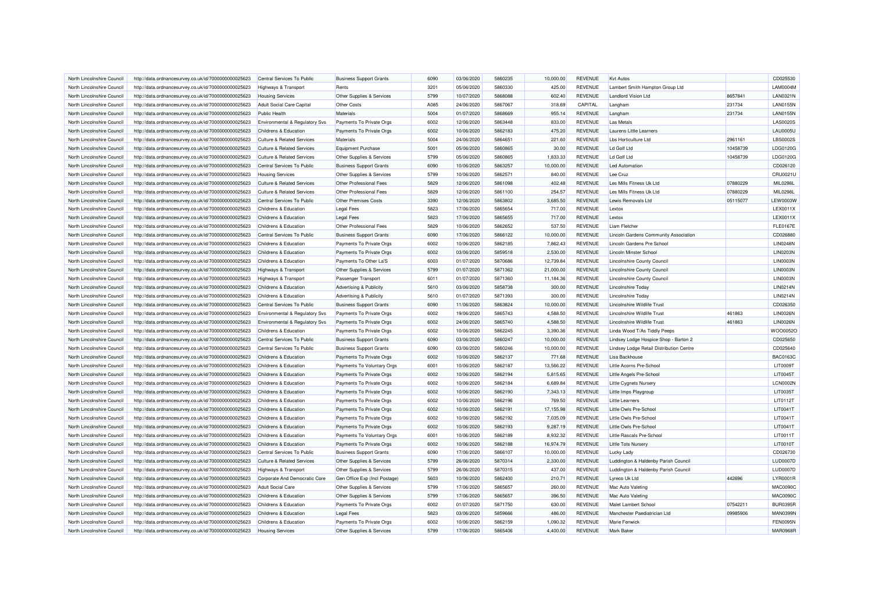| North Lincolnshire Council | http://data.ordnancesurvey.co.uk/id/7000000000025623 | Central Services To Public            | <b>Business Support Grants</b> | 6090         | 03/06/2020 | 5860235 | 10.000.00 | <b>REVENUE</b> | <b>Kvt Autos</b>                                                  |          | CD025530        |
|----------------------------|------------------------------------------------------|---------------------------------------|--------------------------------|--------------|------------|---------|-----------|----------------|-------------------------------------------------------------------|----------|-----------------|
| North Lincolnshire Council | http://data.ordnancesurvey.co.uk/id/7000000000025623 | <b>Highways &amp; Transport</b>       | Rents                          | 3201         | 05/06/2020 | 5860330 | 425.00    | <b>REVENUE</b> | Lambert Smith Hampton Group Ltd                                   |          | <b>LAM0004M</b> |
| North Lincolnshire Council | http://data.ordnancesurvey.co.uk/id/7000000000025623 | <b>Housing Services</b>               | Other Supplies & Services      | 5799         | 10/07/2020 | 5868088 | 602.40    | <b>REVENUE</b> | <b>Landlord Vision Ltd</b>                                        | 8657841  | LAN0321N        |
| North Lincolnshire Council |                                                      | Adult Social Care Capital             |                                | A085         | 24/06/2020 |         |           | CAPITAL        |                                                                   | 231734   | <b>LAN0155N</b> |
|                            | http://data.ordnancesurvey.co.uk/id/7000000000025623 |                                       | <b>Other Costs</b>             |              |            | 5867067 | 318.69    |                | Langham                                                           |          |                 |
| North Lincolnshire Council | http://data.ordnancesurvey.co.uk/id/7000000000025623 | <b>Public Health</b>                  | Materials                      | 5004         | 01/07/2020 | 5868669 | 955.14    | <b>REVENUE</b> | Langham                                                           | 231734   | <b>LAN0155N</b> |
| North Lincolnshire Council | http://data.ordnancesurvey.co.uk/id/7000000000025623 | Environmental & Regulatory Svs        | Payments To Private Orgs       | 6002         | 12/06/2020 | 5863448 | 833.00    | <b>REVENUE</b> | <b>Las Metals</b>                                                 |          | <b>LAS0020S</b> |
| North Lincolnshire Council | http://data.ordnancesurvey.co.uk/id/7000000000025623 | Childrens & Education                 | Payments To Private Orgs       | 6002         | 10/06/2020 | 5862183 | 475.20    | <b>REVENUE</b> | <b>Laurens Little Learners</b>                                    |          | <b>LAU0005U</b> |
| North Lincolnshire Council | http://data.ordnancesurvey.co.uk/id/7000000000025623 | Culture & Related Services            | Materials                      | 5004         | 24/06/2020 | 5864651 | 221.60    | <b>REVENUE</b> | Lbs Horticulture Ltd                                              | 2961161  | <b>LBS0002S</b> |
| North Lincolnshire Council | http://data.ordnancesurvey.co.uk/id/7000000000025623 | <b>Culture &amp; Related Services</b> | <b>Equipment Purchase</b>      | 5001         | 05/06/2020 | 5860865 | 30.00     | <b>REVENUE</b> | Ld Golf Ltd                                                       | 10458739 | LDG0120G        |
| North Lincolnshire Council | http://data.ordnancesurvey.co.uk/id/7000000000025623 | Culture & Related Services            | Other Supplies & Services      | 5799         | 05/06/2020 | 5860865 | 1,833.33  | <b>REVENUE</b> | Ld Golf Ltd                                                       | 10458739 | LDG0120G        |
| North Lincolnshire Council | http://data.ordnancesurvey.co.uk/id/7000000000025623 | Central Services To Public            | <b>Business Support Grants</b> | 6090         | 10/06/2020 | 5863257 | 10,000.00 | <b>REVENUE</b> | <b>Led Automation</b>                                             |          | CD026120        |
| North Lincolnshire Council | http://data.ordnancesurvey.co.uk/id/7000000000025623 | <b>Housing Services</b>               | Other Supplies & Services      | 5799         | 10/06/2020 | 5862571 | 840.00    | <b>REVENUE</b> | Lee Cruz                                                          |          | CRU0021U        |
| North Lincolnshire Council | http://data.ordnancesurvey.co.uk/id/7000000000025623 | <b>Culture &amp; Related Services</b> | Other Professional Fees        | 5829         | 12/06/2020 | 5861098 | 402.48    | <b>REVENUE</b> | Les Mills Fitness Uk Ltd                                          | 07880229 | MIL0298L        |
| North Lincolnshire Council | http://data.ordnancesurvey.co.uk/id/7000000000025623 | Culture & Related Services            | Other Professional Fees        | 5829         | 12/06/2020 | 5861100 | 254.57    | <b>REVENUE</b> | Les Mills Fitness Uk Ltd                                          | 07880229 | MIL0298L        |
| North Lincolnshire Council | http://data.ordnancesurvey.co.uk/id/7000000000025623 | Central Services To Public            | <b>Other Premises Costs</b>    | 3390         | 12/06/2020 | 5863802 | 3,685.50  | <b>REVENUE</b> | Lewis Removals Ltd                                                | 05115077 | <b>LEW0003W</b> |
| North Lincolnshire Council | http://data.ordnancesurvey.co.uk/id/7000000000025623 | Childrens & Education                 | <b>Legal Fees</b>              | 5823         | 17/06/2020 | 5865654 | 717.00    | <b>REVENUE</b> | Lextox                                                            |          | LEX0011X        |
| North Lincolnshire Council | http://data.ordnancesurvey.co.uk/id/7000000000025623 | Childrens & Education                 | <b>Legal Fees</b>              | 5823         | 17/06/2020 | 5865655 | 717.00    | <b>REVENUE</b> | <b>Lextox</b>                                                     |          | LEX0011X        |
| North Lincolnshire Council | http://data.ordnancesurvey.co.uk/id/7000000000025623 | Childrens & Education                 | Other Professional Fees        | 5829         | 10/06/2020 | 5862652 | 537.50    | <b>REVENUE</b> | Liam Fletcher                                                     |          | <b>FLE0167E</b> |
| North Lincolnshire Council | http://data.ordnancesurvey.co.uk/id/7000000000025623 | Central Services To Public            | <b>Business Support Grants</b> | 6090         | 17/06/2020 | 5866122 | 10,000.00 | <b>REVENUE</b> | Lincoln Gardens Community Association                             |          | CD026880        |
| North Lincolnshire Council | http://data.ordnancesurvey.co.uk/id/7000000000025623 | Childrens & Education                 | Payments To Private Orgs       | 6002         | 10/06/2020 | 5862185 | 7,862.43  | <b>REVENUE</b> | Lincoln Gardens Pre School                                        |          | <b>LIN0248N</b> |
| North Lincolnshire Council | http://data.ordnancesurvey.co.uk/id/7000000000025623 | Childrens & Education                 | Payments To Private Orgs       | 6002         | 03/06/2020 | 5859518 | 2,530.00  | <b>REVENUE</b> | Lincoln Minster School                                            |          | <b>LIN0203N</b> |
| North Lincolnshire Council | http://data.ordnancesurvey.co.uk/id/7000000000025623 | Childrens & Education                 | Payments To Other La'S         | 6003         | 01/07/2020 | 5870686 | 12,739.84 | <b>REVENUE</b> | Lincolnshire County Council                                       |          | <b>LIN0003N</b> |
| North Lincolnshire Council | http://data.ordnancesurvey.co.uk/id/7000000000025623 | Highways & Transport                  | Other Supplies & Services      | 5799         | 01/07/2020 | 5871362 | 21,000.00 | <b>REVENUE</b> | Lincolnshire County Council                                       |          | <b>LIN0003N</b> |
| North Lincolnshire Council | http://data.ordnancesurvey.co.uk/id/7000000000025623 | <b>Highways &amp; Transport</b>       | Passenger Transport            | 6011         | 01/07/2020 | 5871360 | 11,184.36 | <b>REVENUE</b> | Lincolnshire County Council                                       |          | LIN0003N        |
| North Lincolnshire Council | http://data.ordnancesurvey.co.uk/id/7000000000025623 | Childrens & Education                 | Advertising & Publicity        | 5610         | 03/06/2020 | 5858738 | 300.00    | <b>REVENUE</b> | <b>Lincolnshire Today</b>                                         |          | LIN0214N        |
| North Lincolnshire Council | http://data.ordnancesurvey.co.uk/id/7000000000025623 | Childrens & Education                 | Advertising & Publicity        | 5610         | 01/07/2020 | 5871393 | 300.00    | <b>REVENUE</b> | Lincolnshire Todav                                                |          | LIN0214N        |
|                            |                                                      |                                       |                                |              |            |         |           |                |                                                                   |          | CD026350        |
| North Lincolnshire Council | http://data.ordnancesurvey.co.uk/id/7000000000025623 | Central Services To Public            | <b>Business Support Grants</b> | 6090<br>6002 | 11/06/2020 | 5863824 | 10,000.00 | <b>REVENUE</b> | <b>Lincolnshire Wildlife Trust</b><br>Lincolnshire Wildlife Trust |          |                 |
| North Lincolnshire Council | http://data.ordnancesurvey.co.uk/id/7000000000025623 | Environmental & Regulatory Svs        | Payments To Private Orgs       |              | 19/06/2020 | 5865743 | 4,588.50  | <b>REVENUE</b> |                                                                   | 461863   | <b>LIN0026N</b> |
| North Lincolnshire Council | http://data.ordnancesurvey.co.uk/id/7000000000025623 | Environmental & Regulatory Svs        | Payments To Private Orgs       | 6002         | 24/06/2020 | 5865740 | 4,588.50  | <b>REVENUE</b> | <b>Lincolnshire Wildlife Trust</b>                                | 461863   | <b>LIN0026N</b> |
| North Lincolnshire Council | http://data.ordnancesurvey.co.uk/id/7000000000025623 | Childrens & Education                 | Payments To Private Orgs       | 6002         | 10/06/2020 | 5862245 | 3,390.36  | <b>REVENUE</b> | Linda Wood T/As Tiddly Peeps                                      |          | WOO0052O        |
| North Lincolnshire Council | http://data.ordnancesurvey.co.uk/id/7000000000025623 | Central Services To Public            | <b>Business Support Grants</b> | 6090         | 03/06/2020 | 5860247 | 10,000.00 | <b>REVENUE</b> | Lindsey Lodge Hospice Shop - Barton 2                             |          | CD025650        |
| North Lincolnshire Council | http://data.ordnancesurvey.co.uk/id/7000000000025623 | Central Services To Public            | <b>Business Support Grants</b> | 6090         | 03/06/2020 | 5860246 | 10,000.00 | <b>REVENUE</b> | Lindsey Lodge Retail Distribution Centre                          |          | CD025640        |
| North Lincolnshire Council | http://data.ordnancesurvey.co.uk/id/7000000000025623 | Childrens & Education                 | Payments To Private Orgs       | 6002         | 10/06/2020 | 5862137 | 771.68    | <b>REVENUE</b> | <b>Lisa Backhouse</b>                                             |          | <b>BAC0163C</b> |
| North Lincolnshire Council | http://data.ordnancesurvey.co.uk/id/7000000000025623 | Childrens & Education                 | Payments To Voluntary Orgs     | 6001         | 10/06/2020 | 5862187 | 13,566.22 | <b>REVENUE</b> | Little Acorns Pre-School                                          |          | <b>LIT0009T</b> |
| North Lincolnshire Council | http://data.ordnancesurvey.co.uk/id/7000000000025623 | Childrens & Education                 | Payments To Private Orgs       | 6002         | 10/06/2020 | 5862194 | 5,815.65  | <b>REVENUE</b> | Little Angels Pre-School                                          |          | LIT0045T        |
| North Lincolnshire Council | http://data.ordnancesurvey.co.uk/id/7000000000025623 | Childrens & Education                 | Payments To Private Orgs       | 6002         | 10/06/2020 | 5862184 | 6,689.84  | <b>REVENUE</b> | Little Cygnets Nursery                                            |          | LCN0002N        |
| North Lincolnshire Council | http://data.ordnancesurvey.co.uk/id/7000000000025623 | Childrens & Education                 | Payments To Private Orgs       | 6002         | 10/06/2020 | 5862190 | 7.343.13  | <b>REVENUE</b> | <b>Little Imps Playgroup</b>                                      |          | LIT0035T        |
| North Lincolnshire Council | http://data.ordnancesurvey.co.uk/id/7000000000025623 | Childrens & Education                 | Payments To Private Orgs       | 6002         | 10/06/2020 | 5862196 | 769.50    | <b>REVENUE</b> | <b>Little Learners</b>                                            |          | LIT0112T        |
| North Lincolnshire Council | http://data.ordnancesurvey.co.uk/id/7000000000025623 | Childrens & Education                 | Payments To Private Orgs       | 6002         | 10/06/2020 | 5862191 | 17,155.98 | <b>REVENUE</b> | Little Owls Pre-School                                            |          | LIT0041T        |
| North Lincolnshire Council | http://data.ordnancesurvey.co.uk/id/7000000000025623 | Childrens & Education                 | Payments To Private Orgs       | 6002         | 10/06/2020 | 5862192 | 7,035.09  | <b>REVENUE</b> | Little Owls Pre-School                                            |          | LIT0041T        |
| North Lincolnshire Council | http://data.ordnancesurvey.co.uk/id/7000000000025623 | Childrens & Education                 | Payments To Private Orgs       | 6002         | 10/06/2020 | 5862193 | 9,287.19  | <b>REVENUE</b> | Little Owls Pre-School                                            |          | LIT0041T        |
| North Lincolnshire Council | http://data.ordnancesurvey.co.uk/id/7000000000025623 | Childrens & Education                 | Payments To Voluntary Orgs     | 6001         | 10/06/2020 | 5862189 | 8,932.32  | <b>REVENUE</b> | <b>Little Rascals Pre-School</b>                                  |          | LIT0011T        |
| North Lincolnshire Council | http://data.ordnancesurvey.co.uk/id/7000000000025623 | Childrens & Education                 | Payments To Private Orgs       | 6002         | 10/06/2020 | 5862188 | 16,974.79 | <b>REVENUE</b> | <b>Little Tots Nursery</b>                                        |          | LIT0010T        |
| North Lincolnshire Council | http://data.ordnancesurvey.co.uk/id/7000000000025623 | Central Services To Public            | <b>Business Support Grants</b> | 6090         | 17/06/2020 | 5866107 | 10,000.00 | <b>REVENUE</b> | Lucky Lady                                                        |          | CD026730        |
| North Lincolnshire Council | http://data.ordnancesurvey.co.uk/id/7000000000025623 | <b>Culture &amp; Related Services</b> | Other Supplies & Services      | 5799         | 26/06/2020 | 5870314 | 2,330.00  | <b>REVENUE</b> | Luddington & Haldenby Parish Council                              |          | LUD0007D        |
| North Lincolnshire Council | http://data.ordnancesurvey.co.uk/id/7000000000025623 | <b>Highways &amp; Transport</b>       | Other Supplies & Services      | 5799         | 26/06/2020 | 5870315 | 437.00    | <b>REVENUE</b> | Luddington & Haldenby Parish Council                              |          | <b>LUD0007D</b> |
| North Lincolnshire Council | http://data.ordnancesurvey.co.uk/id/7000000000025623 | Corporate And Democratic Core         | Gen Office Exp (Incl Postage)  | 5603         | 10/06/2020 | 5862400 | 210.71    | <b>REVENUE</b> | Lyreco Uk Ltd                                                     | 442696   | LYR0001R        |
| North Lincolnshire Council | http://data.ordnancesurvey.co.uk/id/7000000000025623 | Adult Social Care                     | Other Supplies & Services      | 5799         | 17/06/2020 | 5865657 | 260.00    | <b>REVENUE</b> | Mac Auto Valeting                                                 |          | <b>MAC0090C</b> |
| North Lincolnshire Council | http://data.ordnancesurvey.co.uk/id/7000000000025623 | Childrens & Education                 | Other Supplies & Services      | 5799         | 17/06/2020 | 5865657 | 396.50    | <b>REVENUE</b> | Mac Auto Valeting                                                 |          | <b>MAC0090C</b> |
| North Lincolnshire Council | http://data.ordnancesurvey.co.uk/id/7000000000025623 | Childrens & Education                 | Payments To Private Orgs       | 6002         | 01/07/2020 | 5871750 | 630.00    | <b>REVENUE</b> | Malet Lambert School                                              | 07542211 | <b>BUR0395F</b> |
| North Lincolnshire Council | http://data.ordnancesurvey.co.uk/id/7000000000025623 | Childrens & Education                 | <b>Legal Fees</b>              | 5823         | 03/06/2020 | 5859666 | 486.00    | <b>REVENUE</b> | Manchester Paediatrician Ltd                                      | 09985906 | <b>MAN0399N</b> |
| North Lincolnshire Council | http://data.ordnancesurvey.co.uk/id/7000000000025623 | Childrens & Education                 | Payments To Private Orgs       | 6002         | 10/06/2020 | 5862159 | 1,090.32  | <b>REVENUE</b> | <b>Marie Fenwick</b>                                              |          | FEN0095N        |
| North Lincolnshire Council | http://data.ordnancesurvey.co.uk/id/7000000000025623 | <b>Housing Services</b>               | Other Supplies & Services      | 5799         | 17/06/2020 | 5865406 | 4.400.00  | <b>REVENUE</b> | <b>Mark Baker</b>                                                 |          | <b>MAR0968R</b> |
|                            |                                                      |                                       |                                |              |            |         |           |                |                                                                   |          |                 |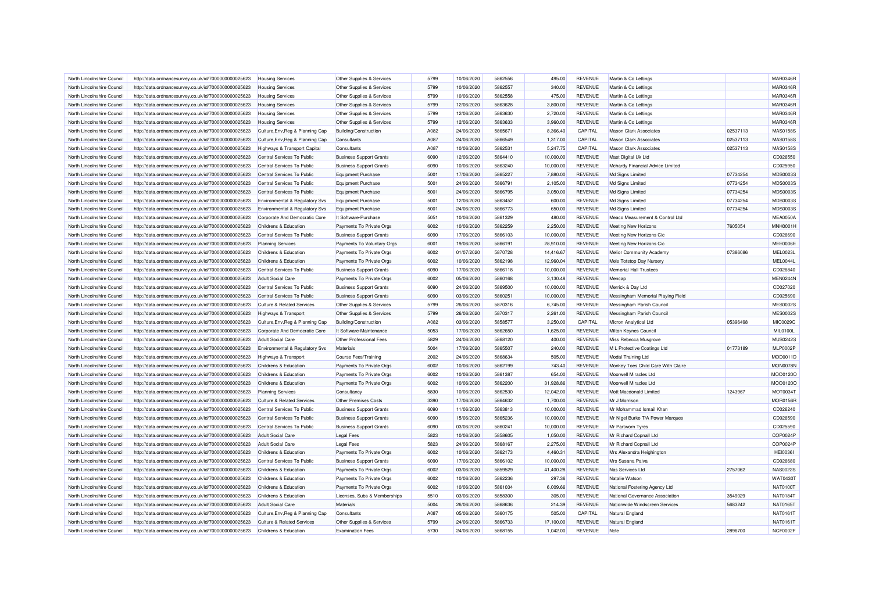| North Lincolnshire Council                               | http://data.ordnancesurvey.co.uk/id/7000000000025623                                                         | <b>Housing Services</b>               | Other Supplies & Services      | 5799 | 10/06/2020               | 5862556            | 495.00               | <b>REVENUE</b> | Martin & Co Lettings                                   |          | <b>MAR0346R</b> |
|----------------------------------------------------------|--------------------------------------------------------------------------------------------------------------|---------------------------------------|--------------------------------|------|--------------------------|--------------------|----------------------|----------------|--------------------------------------------------------|----------|-----------------|
| North Lincolnshire Council                               | http://data.ordnancesurvey.co.uk/id/7000000000025623                                                         | <b>Housing Services</b>               | Other Supplies & Services      | 5799 | 10/06/2020               | 5862557            | 340.00               | <b>REVENUE</b> | Martin & Co Lettings                                   |          | <b>MAR0346R</b> |
| North Lincolnshire Council                               | http://data.ordnancesurvey.co.uk/id/7000000000025623                                                         | <b>Housing Services</b>               | Other Supplies & Services      | 5799 | 10/06/2020               | 5862558            | 475.00               | <b>REVENUE</b> | Martin & Co Lettings                                   |          | <b>MAR0346R</b> |
| North Lincolnshire Council                               | http://data.ordnancesurvey.co.uk/id/7000000000025623                                                         | <b>Housing Services</b>               | Other Supplies & Services      | 5799 | 12/06/2020               | 5863628            | 3,800.00             | <b>REVENUE</b> | Martin & Co Lettings                                   |          | <b>MAR0346F</b> |
| North Lincolnshire Council                               | http://data.ordnancesurvey.co.uk/id/7000000000025623                                                         | <b>Housing Services</b>               | Other Supplies & Services      | 5799 | 12/06/2020               | 5863630            | 2,720.00             | <b>REVENUE</b> | Martin & Co Lettings                                   |          | MAR0346R        |
| North Lincolnshire Council                               | http://data.ordnancesurvey.co.uk/id/7000000000025623                                                         | <b>Housing Services</b>               | Other Supplies & Services      | 5799 | 12/06/2020               | 5863633            | 3,960.00             | <b>REVENUE</b> | Martin & Co Lettings                                   |          | MAR0346R        |
| North Lincolnshire Council                               | http://data.ordnancesurvey.co.uk/id/7000000000025623                                                         | Culture, Env, Reg & Planning Cap      | Building/Construction          | A082 | 24/06/2020               | 5865671            | 8,366.40             | CAPITAL        | <b>Mason Clark Associates</b>                          | 02537113 | MAS0158S        |
| North Lincolnshire Council                               | http://data.ordnancesurvey.co.uk/id/7000000000025623                                                         | Culture, Env, Reg & Planning Cap      | Consultants                    | A087 | 24/06/2020               | 5866549            | 1,317.00             | CAPITAL        | <b>Mason Clark Associates</b>                          | 02537113 | MAS0158S        |
| North Lincolnshire Council                               | http://data.ordnancesurvey.co.uk/id/7000000000025623                                                         | Highways & Transport Capital          | Consultants                    | A087 | 10/06/2020               | 5862531            | 5,247.75             | CAPITAL        | <b>Mason Clark Associates</b>                          | 02537113 | MAS0158S        |
| North Lincolnshire Council                               | http://data.ordnancesurvey.co.uk/id/7000000000025623                                                         | Central Services To Public            | <b>Business Support Grants</b> | 6090 | 12/06/2020               | 5864410            | 10,000.00            | <b>REVENUE</b> | Mast Digital Uk Ltd                                    |          | CD026550        |
| North Lincolnshire Council                               | http://data.ordnancesurvey.co.uk/id/7000000000025623                                                         | Central Services To Public            | <b>Business Support Grants</b> | 6090 | 10/06/2020               | 5863240            | 10,000.00            | <b>REVENUE</b> | Mchardy Financial Advice Limited                       |          | CD025950        |
| North Lincolnshire Council                               | http://data.ordnancesurvey.co.uk/id/7000000000025623                                                         | Central Services To Public            | <b>Equipment Purchase</b>      | 5001 | 17/06/2020               | 5865227            | 7,880.00             | <b>REVENUE</b> | Md Signs Limited                                       | 07734254 | <b>MDS0003S</b> |
| North Lincolnshire Council                               | http://data.ordnancesurvey.co.uk/id/7000000000025623                                                         | Central Services To Public            | <b>Equipment Purchase</b>      | 5001 | 24/06/2020               | 5866791            | 2,105.00             | <b>REVENUE</b> | Md Signs Limited                                       | 07734254 | MDS0003S        |
| North Lincolnshire Council                               | http://data.ordnancesurvey.co.uk/id/7000000000025623                                                         | Central Services To Public            | <b>Equipment Purchase</b>      | 5001 | 24/06/2020               | 5866795            | 3,050.00             | <b>REVENUE</b> | Md Signs Limited                                       | 07734254 | MDS00035        |
| North Lincolnshire Council                               | http://data.ordnancesurvey.co.uk/id/7000000000025623                                                         | Environmental & Regulatory Svs        | <b>Equipment Purchase</b>      | 5001 | 12/06/2020               | 5863452            | 600.00               | <b>REVENUE</b> | Md Signs Limited                                       | 07734254 | MDS00035        |
| North Lincolnshire Council                               | http://data.ordnancesurvey.co.uk/id/7000000000025623                                                         | Environmental & Regulatory Svs        | <b>Equipment Purchase</b>      | 5001 | 24/06/2020               | 5866773            | 650.00               | <b>REVENUE</b> | Md Signs Limited                                       | 07734254 | <b>MDS0003S</b> |
| North Lincolnshire Council                               | http://data.ordnancesurvey.co.uk/id/7000000000025623                                                         | Corporate And Democratic Core         | It Software-Purchase           | 5051 | 10/06/2020               | 5861329            | 480.00               | <b>REVENUE</b> | Meaco Measurement & Control Ltd                        |          | <b>MEA0050A</b> |
| North Lincolnshire Council                               | http://data.ordnancesurvey.co.uk/id/7000000000025623                                                         | Childrens & Education                 | Payments To Private Orgs       | 6002 | 10/06/2020               | 5862259            | 2,250.00             | <b>REVENUE</b> | <b>Meeting New Horizons</b>                            | 7605054  | MNH0001H        |
| North Lincolnshire Council                               | http://data.ordnancesurvey.co.uk/id/7000000000025623                                                         | Central Services To Public            | <b>Business Support Grants</b> | 6090 | 17/06/2020               | 5866103            | 10,000.00            | <b>REVENUE</b> | Meeting New Horizons Cic                               |          | CD026690        |
| North Lincolnshire Council                               | http://data.ordnancesurvey.co.uk/id/7000000000025623                                                         | <b>Planning Services</b>              | Payments To Voluntary Orgs     | 6001 | 19/06/2020               | 5866191            | 28,910.00            | <b>REVENUE</b> | Meeting New Horizons Cic                               |          | MEE0006E        |
| North Lincolnshire Council                               | http://data.ordnancesurvey.co.uk/id/7000000000025623                                                         | Childrens & Education                 | Payments To Private Orgs       | 6002 | 01/07/2020               | 5870728            | 14,416.67            | <b>REVENUE</b> | Melior Community Academy                               | 07386086 | MEL0023L        |
| North Lincolnshire Council                               | http://data.ordnancesurvey.co.uk/id/7000000000025623                                                         | Childrens & Education                 | Payments To Private Orgs       | 6002 | 10/06/2020               | 5862198            | 12,960.04            | <b>REVENUE</b> | Mels Totstop Day Nursery                               |          | MEL0044L        |
| North Lincolnshire Council                               | http://data.ordnancesurvey.co.uk/id/7000000000025623                                                         | Central Services To Public            | <b>Business Support Grants</b> | 6090 | 17/06/2020               | 5866118            | 10,000.00            | <b>REVENUE</b> | <b>Memorial Hall Trustees</b>                          |          | CD026840        |
| North Lincolnshire Council                               | http://data.ordnancesurvey.co.uk/id/7000000000025623                                                         | <b>Adult Social Care</b>              | Payments To Private Orgs       | 6002 | 05/06/2020               | 5860168            | 3,130.48             | <b>REVENUE</b> | Mencap                                                 |          | MEN0244N        |
| North Lincolnshire Council                               | http://data.ordnancesurvey.co.uk/id/7000000000025623                                                         | Central Services To Public            | <b>Business Support Grants</b> | 6090 | 24/06/2020               | 5869500            | 10,000.00            | <b>REVENUE</b> | Merrick & Day Ltd                                      |          | CD027020        |
|                                                          |                                                                                                              |                                       |                                | 6090 | 03/06/2020               |                    | 10,000.00            | <b>REVENUE</b> | Messingham Memorial Playing Field                      |          | CD025690        |
| North Lincolnshire Council                               | http://data.ordnancesurvey.co.uk/id/7000000000025623                                                         | Central Services To Public            | <b>Business Support Grants</b> | 5799 |                          | 5860251<br>5870316 |                      | <b>REVENUE</b> |                                                        |          | <b>MES0002S</b> |
| North Lincolnshire Council<br>North Lincolnshire Council | http://data.ordnancesurvey.co.uk/id/7000000000025623<br>http://data.ordnancesurvey.co.uk/id/7000000000025623 | Culture & Related Services            | Other Supplies & Services      | 5799 | 26/06/2020<br>26/06/2020 | 5870317            | 6,745.00<br>2.261.00 | <b>REVENUE</b> | Messingham Parish Council<br>Messingham Parish Council |          | <b>MES0002S</b> |
|                                                          |                                                                                                              | <b>Highways &amp; Transport</b>       | Other Supplies & Services      |      |                          |                    |                      |                |                                                        |          |                 |
| North Lincolnshire Council                               | http://data.ordnancesurvey.co.uk/id/7000000000025623                                                         | Culture, Env, Reg & Planning Cap      | <b>Building/Construction</b>   | A082 | 03/06/2020               | 5858577            | 3,250.00             | CAPITAL        | Micron Analytical Ltd                                  | 05396498 | MIC0029C        |
| North Lincolnshire Council                               | http://data.ordnancesurvey.co.uk/id/7000000000025623                                                         | Corporate And Democratic Core         | It Software-Maintenance        | 5053 | 17/06/2020               | 5862650            | 1,625.00             | <b>REVENUE</b> | Milton Keynes Council                                  |          | MIL0100L        |
| North Lincolnshire Council                               | http://data.ordnancesurvey.co.uk/id/7000000000025623                                                         | <b>Adult Social Care</b>              | Other Professional Fees        | 5829 | 24/06/2020               | 5868120            | 400.00               | <b>REVENUE</b> | Miss Rebecca Musgrove                                  |          | <b>MUS0242S</b> |
| North Lincolnshire Council                               | http://data.ordnancesurvey.co.uk/id/7000000000025623                                                         | Environmental & Regulatory Svs        | <b>Materials</b>               | 5004 | 17/06/2020               | 5865507            | 240.00               | <b>REVENUE</b> | M L Protective Coatings Ltd                            | 01773189 | <b>MLP0002P</b> |
| North Lincolnshire Council                               | http://data.ordnancesurvey.co.uk/id/7000000000025623                                                         | Highways & Transport                  | <b>Course Fees/Training</b>    | 2002 | 24/06/2020               | 5868634            | 505.00               | <b>REVENUE</b> | Modal Training Ltd                                     |          | MOD0011D        |
| North Lincolnshire Council                               | http://data.ordnancesurvey.co.uk/id/7000000000025623                                                         | Childrens & Education                 | Payments To Private Orgs       | 6002 | 10/06/2020               | 5862199            | 743.40               | <b>REVENUE</b> | Monkey Toes Child Care With Claire                     |          | <b>MON0078N</b> |
| North Lincolnshire Council                               | http://data.ordnancesurvey.co.uk/id/7000000000025623                                                         | Childrens & Education                 | Payments To Private Orgs       | 6002 | 10/06/2020               | 5861387            | 654.00               | <b>REVENUE</b> | Moorwell Miracles Ltd                                  |          | MOO0120C        |
| North Lincolnshire Council                               | http://data.ordnancesurvey.co.uk/id/7000000000025623                                                         | Childrens & Education                 | Payments To Private Orgs       | 6002 | 10/06/2020               | 5862200            | 31,928.86            | <b>REVENUE</b> | Moorwell Miracles I td                                 |          | MOO0120C        |
| North Lincolnshire Council                               | http://data.ordnancesurvey.co.uk/id/7000000000025623                                                         | <b>Planning Services</b>              | Consultancy                    | 5830 | 10/06/2020               | 5862530            | 12,042.00            | <b>REVENUE</b> | Mott Macdonald Limited                                 | 1243967  | MOT0034T        |
| North Lincolnshire Council                               | http://data.ordnancesurvey.co.uk/id/7000000000025623                                                         | <b>Culture &amp; Related Services</b> | Other Premises Costs           | 3390 | 17/06/2020               | 5864632            | 1,700.00             | <b>REVENUE</b> | Mr J Morrison                                          |          | <b>MOR0156R</b> |
| North Lincolnshire Council                               | http://data.ordnancesurvey.co.uk/id/7000000000025623                                                         | Central Services To Public            | <b>Business Support Grants</b> | 6090 | 11/06/2020               | 5863813            | 10,000.00            | <b>REVENUE</b> | Mr Mohammad Ismail Khan                                |          | CD026240        |
| North Lincolnshire Council                               | http://data.ordnancesurvey.co.uk/id/7000000000025623                                                         | Central Services To Public            | <b>Business Support Grants</b> | 6090 | 15/06/2020               | 5865236            | 10.000.00            | <b>REVENUE</b> | Mr Nigel Burke T/A Power Marques                       |          | CD026590        |
| North Lincolnshire Council                               | http://data.ordnancesurvey.co.uk/id/7000000000025623                                                         | Central Services To Public            | <b>Business Support Grants</b> | 6090 | 03/06/2020               | 5860241            | 10,000.00            | <b>REVENUE</b> | Mr Partworn Tyres                                      |          | CD025590        |
| North Lincolnshire Council                               | http://data.ordnancesurvey.co.uk/id/7000000000025623                                                         | Adult Social Care                     | <b>Legal Fees</b>              | 5823 | 10/06/2020               | 5858605            | 1.050.00             | <b>REVENUE</b> | Mr Richard Copnall Ltd                                 |          | COP0024F        |
| North Lincolnshire Council                               | http://data.ordnancesurvey.co.uk/id/7000000000025623                                                         | <b>Adult Social Care</b>              | <b>Legal Fees</b>              | 5823 | 24/06/2020               | 5868167            | 2,275.00             | <b>REVENUE</b> | Mr Richard Copnall Ltd                                 |          | COP0024F        |
| North Lincolnshire Council                               | http://data.ordnancesurvey.co.uk/id/7000000000025623                                                         | Childrens & Education                 | Payments To Private Orgs       | 6002 | 10/06/2020               | 5862173            | 4,460.31             | <b>REVENUE</b> | Mrs Alexandra Heighington                              |          | <b>HEI0036I</b> |
| North Lincolnshire Council                               | http://data.ordnancesurvey.co.uk/id/7000000000025623                                                         | Central Services To Public            | <b>Business Support Grants</b> | 6090 | 17/06/2020               | 5866102            | 10,000.00            | <b>REVENUE</b> | Mrs Susana Paiva                                       |          | CD026680        |
| North Lincolnshire Council                               | http://data.ordnancesurvey.co.uk/id/7000000000025623                                                         | Childrens & Education                 | Payments To Private Orgs       | 6002 | 03/06/2020               | 5859529            | 41,400.28            | <b>REVENUE</b> | Nas Services Ltd                                       | 2757062  | <b>NAS0022S</b> |
| North Lincolnshire Council                               | http://data.ordnancesurvey.co.uk/id/7000000000025623                                                         | Childrens & Education                 | Payments To Private Orgs       | 6002 | 10/06/2020               | 5862236            | 297.36               | <b>REVENUE</b> | Natalie Watson                                         |          | WAT0430T        |
| North Lincolnshire Council                               | http://data.ordnancesurvey.co.uk/id/7000000000025623                                                         | Childrens & Education                 | Payments To Private Orgs       | 6002 | 10/06/2020               | 5861034            | 6,009.66             | <b>REVENUE</b> | National Fostering Agency Ltd                          |          | NAT0100T        |
| North Lincolnshire Council                               | http://data.ordnancesurvey.co.uk/id/7000000000025623                                                         | Childrens & Education                 | Licenses, Subs & Memberships   | 5510 | 03/06/2020               | 5858300            | 305.00               | <b>REVENUE</b> | National Governance Association                        | 3549029  | <b>NAT0184T</b> |
| North Lincolnshire Council                               | http://data.ordnancesurvey.co.uk/id/7000000000025623                                                         | <b>Adult Social Care</b>              | Materials                      | 5004 | 26/06/2020               | 5868636            | 214.39               | <b>REVENUE</b> | Nationwide Windscreen Services                         | 5683242  | NAT0165T        |
| North Lincolnshire Council                               | http://data.ordnancesurvey.co.uk/id/7000000000025623                                                         | Culture, Env, Reg & Planning Cap      | Consultants                    | A087 | 05/06/2020               | 5860175            | 505.00               | CAPITAL        | Natural England                                        |          | NAT0161T        |
| North Lincolnshire Council                               | http://data.ordnancesurvey.co.uk/id/7000000000025623                                                         | Culture & Related Services            | Other Supplies & Services      | 5799 | 24/06/2020               | 5866733            | 17,100.00            | <b>REVENUE</b> | Natural England                                        |          | NAT0161T        |
| North Lincolnshire Council                               | http://data.ordnancesurvey.co.uk/id/7000000000025623                                                         | Childrens & Education                 | <b>Examination Fees</b>        | 5730 | 24/06/2020               | 5868155            | 1,042.00             | <b>REVENUE</b> | <b>N</b> cfe                                           | 2896700  | NCF0002F        |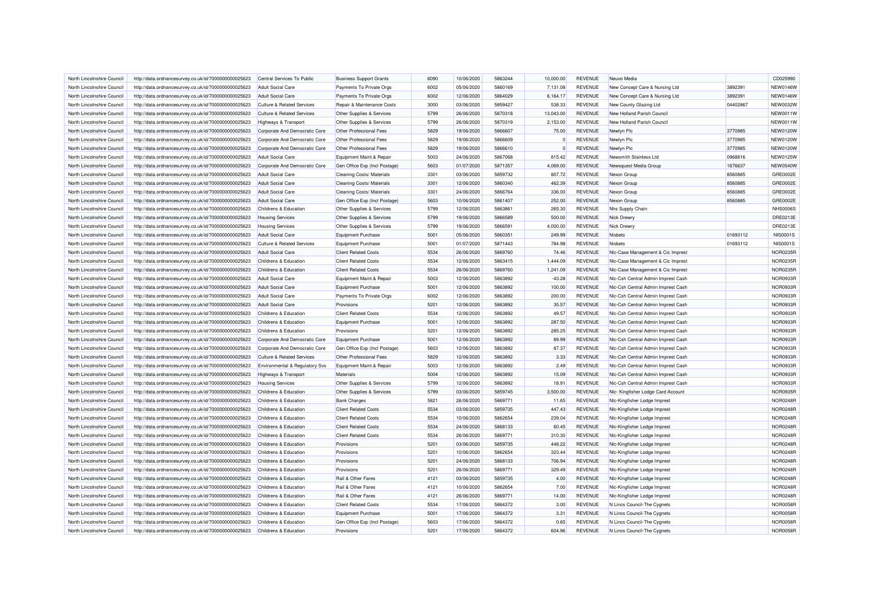| North Lincolnshire Council | http://data.ordnancesurvey.co.uk/id/7000000000025623 | Central Services To Public                | <b>Business Support Grants</b> | 6090 | 10/06/2020 | 5863244 | 10.000.00 | <b>REVENUE</b> | Neuvo Media                        |          | CD025990        |
|----------------------------|------------------------------------------------------|-------------------------------------------|--------------------------------|------|------------|---------|-----------|----------------|------------------------------------|----------|-----------------|
| North Lincolnshire Council | http://data.ordnancesurvey.co.uk/id/7000000000025623 | <b>Adult Social Care</b>                  | Payments To Private Orgs       | 6002 | 05/06/2020 | 5860169 | 7,131.08  | <b>REVENUE</b> | New Concept Care & Nursing Ltd     | 3892391  | NEW0146W        |
| North Lincolnshire Council | http://data.ordnancesurvey.co.uk/id/7000000000025623 | <b>Adult Social Care</b>                  | Payments To Private Orgs       | 6002 | 12/06/2020 | 5864029 | 6,164.17  | <b>REVENUE</b> | New Concept Care & Nursing Ltd     | 3892391  | NEW0146W        |
| North Lincolnshire Council | http://data.ordnancesurvey.co.uk/id/7000000000025623 | <b>Culture &amp; Related Services</b>     | Repair & Maintenance Costs     | 3000 | 03/06/2020 | 5859427 | 538.33    | <b>REVENUE</b> | New County Glazing Ltd             | 04402867 | <b>NEW0032W</b> |
| North Lincolnshire Council | http://data.ordnancesurvey.co.uk/id/7000000000025623 | <b>Culture &amp; Related Services</b>     | Other Supplies & Services      | 5799 | 26/06/2020 | 5870318 | 13,043.00 | <b>REVENUE</b> | New Holland Parish Council         |          | NEW0011W        |
| North Lincolnshire Council | http://data.ordnancesurvey.co.uk/id/7000000000025623 | Highways & Transport                      | Other Supplies & Services      | 5799 | 26/06/2020 | 5870319 | 2,153.00  | <b>REVENUE</b> | New Holland Parish Council         |          | NEW0011W        |
| North Lincolnshire Council | http://data.ordnancesurvey.co.uk/id/7000000000025623 | Corporate And Democratic Core             | Other Professional Fees        | 5829 | 19/06/2020 | 5866607 | 75.00     | <b>REVENUE</b> | Newlyn Plc                         | 3770985  | <b>NEW0120W</b> |
| North Lincolnshire Council | http://data.ordnancesurvey.co.uk/id/7000000000025623 | Corporate And Democratic Core             | Other Professional Fees        | 5829 | 19/06/2020 | 5866609 |           | <b>REVENUE</b> | Newlyn Plc                         | 3770985  | <b>NEW0120W</b> |
| North Lincolnshire Council | http://data.ordnancesurvey.co.uk/id/7000000000025623 | Corporate And Democratic Core             | Other Professional Fees        | 5829 | 19/06/2020 | 5866610 |           | <b>REVENUE</b> | Newlyn Plc                         | 3770985  | <b>NEW0120W</b> |
| North Lincolnshire Council | http://data.ordnancesurvey.co.uk/id/7000000000025623 | <b>Adult Social Care</b>                  | Equipment Maint.& Repair       | 5003 | 24/06/2020 | 5867068 | 815.42    | <b>REVENUE</b> | Newsmith Stainless Ltd             | 0968816  | <b>NEW0125W</b> |
| North Lincolnshire Council | http://data.ordnancesurvey.co.uk/id/7000000000025623 | Corporate And Democratic Core             | Gen Office Exp (Incl Postage)  | 5603 | 01/07/2020 | 5871357 | 4,069.00  | <b>REVENUE</b> | Newsquest Media Group              | 1676637  | <b>NEW0540W</b> |
|                            |                                                      |                                           |                                | 3301 | 03/06/2020 |         |           | <b>REVENUE</b> |                                    | 8560885  | GRE0002E        |
| North Lincolnshire Council | http://data.ordnancesurvey.co.uk/id/7000000000025623 | <b>Adult Social Care</b>                  | Cleaning Costs/ Materials      |      |            | 5859732 | 807.72    |                | Nexon Group                        |          |                 |
| North Lincolnshire Council | http://data.ordnancesurvey.co.uk/id/7000000000025623 | <b>Adult Social Care</b>                  | Cleaning Costs/ Materials      | 3301 | 12/06/2020 | 5860340 | 462.39    | <b>REVENUE</b> | Nexon Group                        | 8560885  | GRE0002E        |
| North Lincolnshire Council | http://data.ordnancesurvey.co.uk/id/7000000000025623 | <b>Adult Social Care</b>                  | Cleaning Costs/ Materials      | 3301 | 24/06/2020 | 5866764 | 336.00    | <b>REVENUE</b> | Nexon Group                        | 8560885  | GRE0002E        |
| North Lincolnshire Council | http://data.ordnancesurvey.co.uk/id/7000000000025623 | <b>Adult Social Care</b>                  | Gen Office Exp (Incl Postage)  | 5603 | 10/06/2020 | 5861407 | 252.00    | <b>REVENUE</b> | Nexon Group                        | 8560885  | GRE0002E        |
| North Lincolnshire Council | http://data.ordnancesurvey.co.uk/id/7000000000025623 | Childrens & Education                     | Other Supplies & Services      | 5799 | 12/06/2020 | 5863861 | 265.30    | <b>REVENUE</b> | Nhs Supply Chain                   |          | <b>NHS0006S</b> |
| North Lincolnshire Council | http://data.ordnancesurvey.co.uk/id/7000000000025623 | <b>Housing Services</b>                   | Other Supplies & Services      | 5799 | 19/06/2020 | 5866589 | 500.00    | <b>REVENUE</b> | Nick Drewn                         |          | <b>DRE0213E</b> |
| North Lincolnshire Council | http://data.ordnancesurvey.co.uk/id/7000000000025623 | <b>Housing Services</b>                   | Other Supplies & Services      | 5799 | 19/06/2020 | 5866591 | 4,000.00  | <b>REVENUE</b> | <b>Nick Drewr</b>                  |          | DRE0213E        |
| North Lincolnshire Council | http://data.ordnancesurvey.co.uk/id/7000000000025623 | <b>Adult Social Care</b>                  | <b>Equipment Purchase</b>      | 5001 | 05/06/2020 | 5860351 | 249.99    | <b>REVENUE</b> | <b>Nisbets</b>                     | 01693112 | <b>NIS0001S</b> |
| North Lincolnshire Council | http://data.ordnancesurvey.co.uk/id/7000000000025623 | <b>Culture &amp; Related Services</b>     | <b>Equipment Purchase</b>      | 5001 | 01/07/2020 | 5871443 | 784.98    | <b>REVENUE</b> | <b>Nisbets</b>                     | 01693112 | <b>NIS0001S</b> |
| North Lincolnshire Council | http://data.ordnancesurvey.co.uk/id/7000000000025623 | <b>Adult Social Care</b>                  | <b>Client Related Costs</b>    | 5534 | 26/06/2020 | 5869760 | 74.46     | <b>REVENUE</b> | NIc-Case Management & Cic Imprest  |          | NOR0235F        |
| North Lincolnshire Council | http://data.ordnancesurvey.co.uk/id/7000000000025623 | Childrens & Education                     | <b>Client Related Costs</b>    | 5534 | 12/06/2020 | 5863415 | 1.444.09  | <b>REVENUE</b> | NIc-Case Management & Cic Imprest  |          | NOR0235F        |
| North Lincolnshire Council | http://data.ordnancesurvey.co.uk/id/7000000000025623 | <b>Childrens &amp; Education</b>          | <b>Client Related Costs</b>    | 5534 | 26/06/2020 | 5869760 | 1,241.09  | <b>REVENUE</b> | NIc-Case Management & Cic Imprest  |          | <b>NOR0235F</b> |
| North Lincolnshire Council | http://data.ordnancesurvey.co.uk/id/7000000000025623 | <b>Adult Social Care</b>                  | Equipment Maint.& Repair       | 5003 | 12/06/2020 | 5863892 | $-43.28$  | <b>REVENUE</b> | Nic-Csh Central Admin Imprest Cash |          | NOR0933F        |
| North Lincolnshire Council | http://data.ordnancesurvey.co.uk/id/7000000000025623 | <b>Adult Social Care</b>                  | Equipment Purchase             | 5001 | 12/06/2020 | 5863892 | 100.00    | <b>REVENUE</b> | Nic-Csh Central Admin Imprest Cash |          | NOR0933F        |
| North Lincolnshire Council | http://data.ordnancesurvey.co.uk/id/7000000000025623 | <b>Adult Social Care</b>                  | Payments To Private Orgs       | 6002 | 12/06/2020 | 5863892 | 200.00    | <b>REVENUE</b> | Nic-Csh Central Admin Imprest Cash |          | NOR0933R        |
| North Lincolnshire Council | http://data.ordnancesurvey.co.uk/id/7000000000025623 | <b>Adult Social Care</b>                  | Provisions                     | 5201 | 12/06/2020 | 5863892 | 35.57     | <b>REVENUE</b> | Nic-Csh Central Admin Imprest Cash |          | NOR0933F        |
| North Lincolnshire Council | http://data.ordnancesurvey.co.uk/id/7000000000025623 | Childrens & Education                     | <b>Client Related Costs</b>    | 5534 | 12/06/2020 | 5863892 | 49.57     | <b>REVENUE</b> | Nic-Csh Central Admin Imprest Cash |          | NOR0933F        |
| North Lincolnshire Council | http://data.ordnancesurvey.co.uk/id/7000000000025623 | Childrens & Education                     | <b>Equipment Purchase</b>      | 5001 | 12/06/2020 | 5863892 | 287.50    | <b>REVENUE</b> | NIc-Csh Central Admin Imprest Cash |          | NOR0933F        |
| North Lincolnshire Council | http://data.ordnancesurvey.co.uk/id/7000000000025623 | Childrens & Education                     | Provisions                     | 5201 | 12/06/2020 | 5863892 | 285.25    | <b>REVENUE</b> | NIc-Csh Central Admin Imprest Cash |          | NOR0933F        |
| North Lincolnshire Council | http://data.ordnancesurvey.co.uk/id/7000000000025623 | Corporate And Democratic Core             | <b>Equipment Purchase</b>      | 5001 | 12/06/2020 | 5863892 | 89.99     | <b>REVENUE</b> | Nic-Csh Central Admin Imprest Cash |          | NOR0933R        |
| North Lincolnshire Council | http://data.ordnancesurvey.co.uk/id/7000000000025623 | Corporate And Democratic Core             | Gen Office Exp (Incl Postage)  | 5603 | 12/06/2020 | 5863892 | 87.37     | <b>REVENUE</b> | Nic-Csh Central Admin Imprest Cash |          | NOR0933F        |
| North Lincolnshire Council | http://data.ordnancesurvey.co.uk/id/7000000000025623 | <b>Culture &amp; Related Services</b>     | Other Professional Fees        | 5829 | 12/06/2020 | 5863892 | 3.33      | <b>REVENUE</b> | Nic-Csh Central Admin Imprest Cash |          | NOR0933F        |
| North Lincolnshire Council | http://data.ordnancesurvey.co.uk/id/7000000000025623 | <b>Environmental &amp; Regulatory Svs</b> | Equipment Maint.& Repair       | 5003 | 12/06/2020 | 5863892 | 2.49      | <b>REVENUE</b> | Nic-Csh Central Admin Imprest Cash |          | NOR0933F        |
| North Lincolnshire Council | http://data.ordnancesurvey.co.uk/id/7000000000025623 | Highways & Transport                      | Materials                      | 5004 | 12/06/2020 | 5863892 | 15.09     | <b>REVENUE</b> | Nic-Csh Central Admin Imprest Cash |          | NOR0933F        |
| North Lincolnshire Council | http://data.ordnancesurvey.co.uk/id/7000000000025623 | <b>Housing Services</b>                   | Other Supplies & Services      | 5799 | 12/06/2020 | 5863892 | 18.91     | <b>REVENUE</b> | Nic-Csh Central Admin Imprest Cash |          | NOR0933F        |
| North Lincolnshire Council | http://data.ordnancesurvey.co.uk/id/7000000000025623 | <b>Childrens &amp; Education</b>          | Other Supplies & Services      | 5799 | 03/06/2020 | 5859745 | 3,500.00  | <b>REVENUE</b> | Nic- Kingfisher Lodge Card Account |          | NOR0935F        |
| North Lincolnshire Council | http://data.ordnancesurvey.co.uk/id/7000000000025623 | Childrens & Education                     | <b>Bank Charges</b>            | 5821 | 26/06/2020 | 5869771 | 11.65     | <b>REVENUE</b> | Nic-Kingfisher Lodge Imprest       |          | NOR0248F        |
| North Lincolnshire Council | http://data.ordnancesurvey.co.uk/id/7000000000025623 | Childrens & Education                     | <b>Client Related Costs</b>    | 5534 | 03/06/2020 | 5859735 | 447.43    | <b>REVENUE</b> | Nlc-Kingfisher Lodge Imprest       |          | NOR0248R        |
| North Lincolnshire Council | http://data.ordnancesurvey.co.uk/id/7000000000025623 | Childrens & Education                     | <b>Client Related Costs</b>    | 5534 | 10/06/2020 | 5862654 | 239.04    | <b>REVENUE</b> | Nic-Kingfisher Lodge Imprest       |          | NOR0248F        |
| North Lincolnshire Council | http://data.ordnancesurvey.co.uk/id/7000000000025623 | Childrens & Education                     | <b>Client Related Costs</b>    | 5534 | 24/06/2020 | 5868133 | 60.45     | <b>REVENUE</b> | Nic-Kingfisher Lodge Imprest       |          | NOR0248F        |
| North Lincolnshire Council | http://data.ordnancesurvey.co.uk/id/7000000000025623 | Childrens & Education                     | <b>Client Related Costs</b>    | 5534 | 26/06/2020 | 5869771 | 310.30    | <b>REVENUE</b> | Nic-Kingfisher Lodge Imprest       |          | <b>NOR0248F</b> |
| North Lincolnshire Council | http://data.ordnancesurvey.co.uk/id/7000000000025623 | Childrens & Education                     | Provisions                     | 5201 | 03/06/2020 | 5859735 | 448.22    | <b>REVENUE</b> | Nic-Kingfisher Lodge Imprest       |          | NOR0248F        |
| North Lincolnshire Council |                                                      | Childrens & Education                     | Provisions                     | 5201 | 10/06/2020 | 5862654 | 323.44    | <b>REVENUE</b> |                                    |          | NOR0248F        |
|                            | http://data.ordnancesurvey.co.uk/id/7000000000025623 |                                           |                                | 5201 | 24/06/2020 |         |           | <b>REVENUE</b> | Nic-Kingfisher Lodge Imprest       |          | NOR0248R        |
| North Lincolnshire Council | http://data.ordnancesurvey.co.uk/id/7000000000025623 | Childrens & Education                     | Provisions                     |      |            | 5868133 | 706.94    |                | Nlc-Kingfisher Lodge Imprest       |          |                 |
| North Lincolnshire Council | http://data.ordnancesurvey.co.uk/id/7000000000025623 | Childrens & Education                     | Provisions                     | 5201 | 26/06/2020 | 5869771 | 329.49    | <b>REVENUE</b> | Nic-Kingfisher Lodge Imprest       |          | NOR0248F        |
| North Lincolnshire Council | http://data.ordnancesurvey.co.uk/id/7000000000025623 | Childrens & Education                     | Rail & Other Fares             | 4121 | 03/06/2020 | 5859735 | 4.00      | <b>REVENUE</b> | Nic-Kingfisher Lodge Imprest       |          | NOR0248F        |
| North Lincolnshire Council | http://data.ordnancesurvey.co.uk/id/7000000000025623 | Childrens & Education                     | Rail & Other Fares             | 4121 | 10/06/2020 | 5862654 | 7.00      | <b>REVENUE</b> | Nic-Kingfisher Lodge Imprest       |          | NOR0248F        |
| North Lincolnshire Council | http://data.ordnancesurvey.co.uk/id/7000000000025623 | Childrens & Education                     | Rail & Other Fares             | 4121 | 26/06/2020 | 5869771 | 14.00     | <b>REVENUE</b> | Nic-Kingfisher Lodge Imprest       |          | NOR0248F        |
| North Lincolnshire Council | http://data.ordnancesurvey.co.uk/id/7000000000025623 | Childrens & Education                     | <b>Client Related Costs</b>    | 5534 | 17/06/2020 | 5864372 | 3.00      | <b>REVENUE</b> | N Lincs Council-The Cygnets        |          | NOR0058R        |
| North Lincolnshire Council | http://data.ordnancesurvey.co.uk/id/7000000000025623 | <b>Childrens &amp; Education</b>          | <b>Equipment Purchase</b>      | 5001 | 17/06/2020 | 5864372 | 3.31      | <b>REVENUE</b> | N Lincs Council-The Cygnets        |          | NOR0058F        |
| North Lincolnshire Council | http://data.ordnancesurvey.co.uk/id/7000000000025623 | Childrens & Education                     | Gen Office Exp (Incl Postage)  | 5603 | 17/06/2020 | 5864372 | 0.65      | REVENUE        | N Lincs Council-The Cygnets        |          | NOR0058F        |
| North Lincolnshire Council | http://data.ordnancesurvey.co.uk/id/7000000000025623 | Childrens & Education                     | Provisions                     | 5201 | 17/06/2020 | 5864372 | 604.96    | <b>REVENUE</b> | N Lincs Council-The Cygnets        |          | NOR0058R        |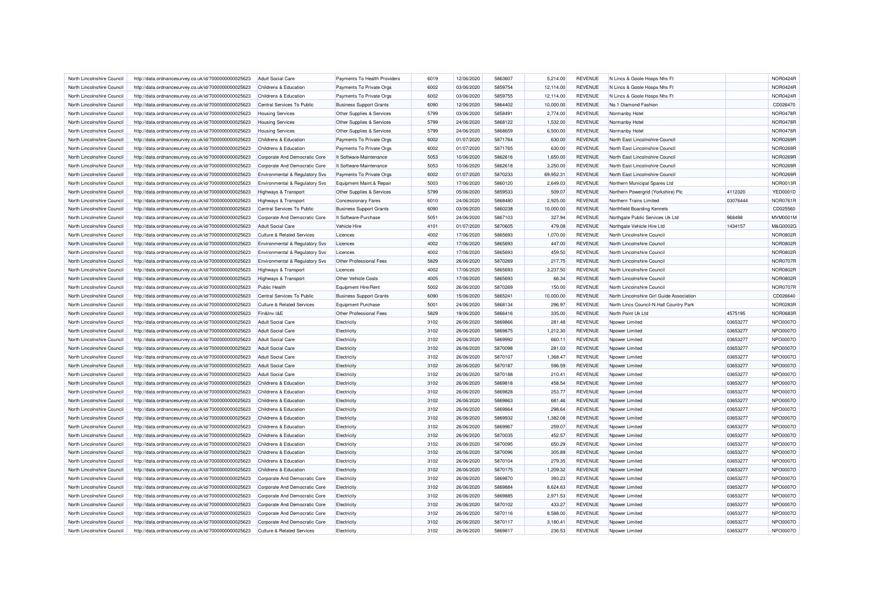| North Lincolnshire Council | http://data.ordnancesurvey.co.uk/id/7000000000025623 | Adult Social Care                     | Payments To Health Providers                         | 6019         | 12/06/2020               | 5863607            | 5.214.00         | <b>REVENUE</b>                   | N Lincs & Goole Hosps Nhs Ft              |          | <b>NOR0424R</b> |
|----------------------------|------------------------------------------------------|---------------------------------------|------------------------------------------------------|--------------|--------------------------|--------------------|------------------|----------------------------------|-------------------------------------------|----------|-----------------|
| North Lincolnshire Council | http://data.ordnancesurvey.co.uk/id/7000000000025623 | Childrens & Education                 | Payments To Private Orgs                             | 6002         | 03/06/2020               | 5859754            | 12,114.00        | <b>REVENUE</b>                   | N Lincs & Goole Hosps Nhs Ft              |          | <b>NOR0424R</b> |
| North Lincolnshire Council | http://data.ordnancesurvey.co.uk/id/7000000000025623 | Childrens & Education                 | Payments To Private Orgs                             | 6002         | 03/06/2020               | 5859755            | 12,114.00        | <b>REVENUE</b>                   | N Lincs & Goole Hosps Nhs Ft              |          | <b>NOR0424R</b> |
| North Lincolnshire Council | http://data.ordnancesurvey.co.uk/id/7000000000025623 | Central Services To Public            | <b>Business Support Grants</b>                       | 6090         | 12/06/2020               | 5864402            | 10,000.00        | <b>REVENUE</b>                   | No.1 Diamond Fashion                      |          | CD026470        |
| North Lincolnshire Council | http://data.ordnancesurvey.co.uk/id/7000000000025623 | <b>Housing Services</b>               | Other Supplies & Services                            | 5799         | 03/06/2020               | 5858491            | 2,774.00         | <b>REVENUE</b>                   | Normanby Hotel                            |          | NOR0478F        |
| North Lincolnshire Council | http://data.ordnancesurvey.co.uk/id/7000000000025623 | <b>Housing Services</b>               | Other Supplies & Services                            | 5799         | 24/06/2020               | 5868122            | 1,532.00         | <b>REVENUE</b>                   | Normanby Hotel                            |          | <b>NOR0478R</b> |
| North Lincolnshire Council | http://data.ordnancesurvey.co.uk/id/7000000000025623 | <b>Housing Services</b>               | Other Supplies & Services                            | 5799         | 24/06/2020               | 5868659            | 6,500.00         | <b>REVENUE</b>                   | Normanby Hotel                            |          | <b>NOR0478R</b> |
| North Lincolnshire Council | http://data.ordnancesurvey.co.uk/id/7000000000025623 | Childrens & Education                 | Payments To Private Orgs                             | 6002         | 01/07/2020               | 5871764            | 630.00           | <b>REVENUE</b>                   | North East Lincolnshire Council           |          | <b>NOR0269F</b> |
| North Lincolnshire Council | http://data.ordnancesurvey.co.uk/id/7000000000025623 | Childrens & Education                 | Payments To Private Orgs                             | 6002         | 01/07/2020               | 5871765            | 630.00           | <b>REVENUE</b>                   | North East Lincolnshire Council           |          | NOR0269R        |
| North Lincolnshire Council | http://data.ordnancesurvey.co.uk/id/7000000000025623 | Corporate And Democratic Core         | It Software-Maintenance                              | 5053         | 10/06/2020               | 5862616            | 1,650.00         | <b>REVENUE</b>                   | North East Lincolnshire Council           |          | NOR0269F        |
| North Lincolnshire Council | http://data.ordnancesurvey.co.uk/id/7000000000025623 | Corporate And Democratic Core         | It Software-Maintenance                              | 5053         | 10/06/2020               | 5862618            | 3,250.00         | <b>REVENUE</b>                   | North East Lincolnshire Council           |          | NOR0269R        |
| North Lincolnshire Council | http://data.ordnancesurvey.co.uk/id/7000000000025623 | Environmental & Regulatory Svs        | Payments To Private Orgs                             | 6002         | 01/07/2020               | 5870233            | 69,952.31        | <b>REVENUE</b>                   | North East Lincolnshire Council           |          | NOR0269R        |
| North Lincolnshire Council | http://data.ordnancesurvey.co.uk/id/7000000000025623 | Environmental & Regulatory Svs        | Equipment Maint.& Repair                             | 5003         | 17/06/2020               | 5860120            | 2,649.03         | <b>REVENUE</b>                   | Northern Municipal Spares Ltd             |          | NOR0013R        |
| North Lincolnshire Council | http://data.ordnancesurvey.co.uk/id/7000000000025623 | Highways & Transport                  | Other Supplies & Services                            | 5799         | 05/06/2020               | 5859533            | 509.07           | <b>REVENUE</b>                   | Northern Powergrid (Yorkshire) Plc        | 4112320  | YED0001D        |
| North Lincolnshire Council | http://data.ordnancesurvey.co.uk/id/7000000000025623 | Highways & Transport                  | <b>Concessionary Fares</b>                           | 6010         | 24/06/2020               | 5868480            | 2,925.00         | <b>REVENUE</b>                   | Northern Trains Limited                   | 03076444 | NOR0761F        |
| North Lincolnshire Council | http://data.ordnancesurvey.co.uk/id/7000000000025623 | Central Services To Public            | <b>Business Support Grants</b>                       | 6090         | 03/06/2020               | 5860238            | 10,000.00        | <b>REVENUE</b>                   | Northfield Boarding Kennels               |          | CD025560        |
| North Lincolnshire Council | http://data.ordnancesurvey.co.uk/id/7000000000025623 | Corporate And Democratic Core         | It Software-Purchase                                 | 5051         | 24/06/2020               | 5867103            | 327.94           | <b>REVENUE</b>                   | Northgate Public Services Uk Ltd          | 968498   | <b>MVM0001N</b> |
| North Lincolnshire Council | http://data.ordnancesurvey.co.uk/id/7000000000025623 | <b>Adult Social Care</b>              | Vehicle Hire                                         | 4101         | 01/07/2020               | 5870605            | 479.08           | <b>REVENUE</b>                   | Northgate Vehicle Hire Ltd                | 1434157  | M&G0002G        |
| North Lincolnshire Council | http://data.ordnancesurvey.co.uk/id/7000000000025623 | <b>Culture &amp; Related Services</b> | Licences                                             | 4002         | 17/06/2020               | 5865693            | 1,070.00         | <b>REVENUE</b>                   | North Lincolnshire Council                |          | <b>NOR0802F</b> |
| North Lincolnshire Council | http://data.ordnancesurvey.co.uk/id/7000000000025623 | Environmental & Regulatory Svs        | Licences                                             | 4002         | 17/06/2020               | 5865693            | 447.00           | <b>REVENUE</b>                   | North Lincolnshire Council                |          | <b>NOR0802R</b> |
| North Lincolnshire Council | http://data.ordnancesurvey.co.uk/id/7000000000025623 | Environmental & Regulatory Svs        | Licences                                             | 4002         | 17/06/2020               | 5865693            | 459.50           | <b>REVENUE</b>                   | North Lincolnshire Council                |          | <b>NOR0802F</b> |
| North Lincolnshire Council | http://data.ordnancesurvey.co.uk/id/7000000000025623 | Environmental & Regulatory Svs        | Other Professional Fees                              | 5829         | 26/06/2020               | 5870269            | 217.75           | <b>REVENUE</b>                   | North Lincolnshire Council                |          | <b>NOR0707R</b> |
| North Lincolnshire Council | http://data.ordnancesurvey.co.uk/id/7000000000025623 | <b>Highways &amp; Transport</b>       | Licences                                             | 4002         | 17/06/2020               | 5865693            | 3,237.50         | <b>REVENUE</b>                   | North Lincolnshire Council                |          | <b>NOR0802R</b> |
| North Lincolnshire Council | http://data.ordnancesurvey.co.uk/id/7000000000025623 | <b>Highways &amp; Transport</b>       | Other Vehicle Costs                                  | 4005         | 17/06/2020               | 5865693            | 66.34            | <b>REVENUE</b>                   | North Lincolnshire Council                |          | <b>NOR0802R</b> |
| North Lincolnshire Council | http://data.ordnancesurvey.co.uk/id/7000000000025623 | <b>Public Health</b>                  | Equipment Hire/Rent                                  | 5002         | 26/06/2020               | 5870269            | 150.00           | <b>REVENUE</b>                   | North Lincolnshire Council                |          | <b>NOR0707R</b> |
| North Lincolnshire Council | http://data.ordnancesurvey.co.uk/id/7000000000025623 | Central Services To Public            | <b>Business Support Grants</b>                       | 6090         | 15/06/2020               | 5865241            | 10,000.00        | <b>REVENUE</b>                   | North Lincolnshire Girl Guide Association |          | CD026640        |
|                            |                                                      |                                       |                                                      |              |                          |                    |                  |                                  |                                           |          | NOR0283F        |
| North Lincolnshire Council | http://data.ordnancesurvey.co.uk/id/7000000000025623 | Culture & Related Services            | <b>Equipment Purchase</b><br>Other Professional Fees | 5001<br>5829 | 24/06/2020<br>19/06/2020 | 5868134<br>5866416 | 296.97<br>335.00 | <b>REVENUE</b><br><b>REVENUE</b> | North Lincs Council-N.Hall Country Park   | 4575195  | NOR0683R        |
| North Lincolnshire Council | http://data.ordnancesurvey.co.uk/id/7000000000025623 | Fin&Inv I&E                           |                                                      |              |                          |                    |                  |                                  | North Point Uk Ltd                        |          |                 |
| North Lincolnshire Council | http://data.ordnancesurvey.co.uk/id/7000000000025623 | <b>Adult Social Care</b>              | Electricity                                          | 3102         | 26/06/2020               | 5869866            | 281.48           | <b>REVENUE</b>                   | Npower Limited                            | 03653277 | NPO0007O        |
| North Lincolnshire Council | http://data.ordnancesurvey.co.uk/id/7000000000025623 | <b>Adult Social Care</b>              | Electricity                                          | 3102         | 26/06/2020               | 5869875            | 1,212.30         | <b>REVENUE</b>                   | Npower Limited                            | 03653277 | NPO0007O        |
| North Lincolnshire Council | http://data.ordnancesurvey.co.uk/id/7000000000025623 | Adult Social Care                     | Electricity                                          | 3102         | 26/06/2020               | 5869992            | 660.11           | <b>REVENUE</b>                   | Nnower I imited                           | 03653277 | NPO0007O        |
| North Lincolnshire Council | http://data.ordnancesurvey.co.uk/id/7000000000025623 | <b>Adult Social Care</b>              | Electricity                                          | 3102         | 26/06/2020               | 5870098            | 281.03           | <b>REVENUE</b>                   | Npower Limited                            | 03653277 | <b>NPO0007C</b> |
| North Lincolnshire Council | http://data.ordnancesurvey.co.uk/id/7000000000025623 | <b>Adult Social Care</b>              | Electricity                                          | 3102         | 26/06/2020               | 5870107            | 1,368.47         | <b>REVENUE</b>                   | Npower Limited                            | 03653277 | NPO0007O        |
| North Lincolnshire Council | http://data.ordnancesurvey.co.uk/id/7000000000025623 | <b>Adult Social Care</b>              | Electricity                                          | 3102         | 26/06/2020               | 5870187            | 596.59           | <b>REVENUE</b>                   | Npower Limited                            | 03653277 | NPO0007O        |
| North Lincolnshire Council | http://data.ordnancesurvey.co.uk/id/7000000000025623 | <b>Adult Social Care</b>              | Electricity                                          | 3102         | 26/06/2020               | 5870188            | 210.41           | <b>REVENUE</b>                   | Npower Limited                            | 03653277 | <b>NPO0007C</b> |
| North Lincolnshire Council | http://data.ordnancesurvey.co.uk/id/7000000000025623 | Childrens & Education                 | Electricity                                          | 3102         | 26/06/2020               | 5869818            | 458.54           | <b>REVENUE</b>                   | Npower Limited                            | 03653277 | NPO0007O        |
| North Lincolnshire Council | http://data.ordnancesurvey.co.uk/id/7000000000025623 | Childrens & Education                 | Electricity                                          | 3102         | 26/06/2020               | 5869828            | 253.77           | <b>REVENUE</b>                   | Npower Limited                            | 03653277 | <b>NPO0007C</b> |
| North Lincolnshire Council | http://data.ordnancesurvey.co.uk/id/7000000000025623 | Childrens & Education                 | Electricity                                          | 3102         | 26/06/2020               | 5869863            | 681.46           | <b>REVENUE</b>                   | Npower Limited                            | 03653277 | NPO0007O        |
| North Lincolnshire Council | http://data.ordnancesurvey.co.uk/id/7000000000025623 | Childrens & Education                 | Electricity                                          | 3102         | 26/06/2020               | 5869864            | 298.64           | <b>REVENUE</b>                   | Noower Limited                            | 03653277 | NPO0007O        |
| North Lincolnshire Council | http://data.ordnancesurvey.co.uk/id/7000000000025623 | Childrens & Education                 | Electricity                                          | 3102         | 26/06/2020               | 5869932            | 1.382.08         | <b>REVENUE</b>                   | Npower Limited                            | 03653277 | NPO0007O        |
| North Lincolnshire Council | http://data.ordnancesurvey.co.uk/id/7000000000025623 | Childrens & Education                 | Electricity                                          | 3102         | 26/06/2020               | 5869967            | 259.07           | <b>REVENUE</b>                   | Npower Limited                            | 03653277 | <b>NPO0007C</b> |
| North Lincolnshire Council | http://data.ordnancesurvey.co.uk/id/7000000000025623 | Childrens & Education                 | Electricity                                          | 3102         | 26/06/2020               | 5870035            | 452.57           | <b>REVENUE</b>                   | Npower Limited                            | 03653277 | <b>NPO0007C</b> |
| North Lincolnshire Council | http://data.ordnancesurvey.co.uk/id/7000000000025623 | Childrens & Education                 | Electricity                                          | 3102         | 26/06/2020               | 5870095            | 650.29           | <b>REVENUE</b>                   | Npower Limited                            | 03653277 | NPO0007O        |
| North Lincolnshire Council | http://data.ordnancesurvey.co.uk/id/7000000000025623 | Childrens & Education                 | Electricity                                          | 3102         | 26/06/2020               | 5870096            | 305.89           | <b>REVENUE</b>                   | Noower Limited                            | 03653277 | NPO0007O        |
| North Lincolnshire Council | http://data.ordnancesurvey.co.uk/id/7000000000025623 | Childrens & Education                 | Electricity                                          | 3102         | 26/06/2020               | 5870104            | 279.35           | <b>REVENUE</b>                   | Npower Limited                            | 03653277 | NPO0007O        |
| North Lincolnshire Council | http://data.ordnancesurvey.co.uk/id/7000000000025623 | Childrens & Education                 | Electricity                                          | 3102         | 26/06/2020               | 5870175            | 1,209.32         | <b>REVENUE</b>                   | Npower Limited                            | 03653277 | NPO0007O        |
| North Lincolnshire Council | http://data.ordnancesurvey.co.uk/id/7000000000025623 | Corporate And Democratic Core         | Electricity                                          | 3102         | 26/06/2020               | 5869870            | 393.23           | <b>REVENUE</b>                   | Npower Limited                            | 03653277 | <b>NPO0007C</b> |
| North Lincolnshire Council | http://data.ordnancesurvey.co.uk/id/7000000000025623 | Corporate And Democratic Core         | Electricity                                          | 3102         | 26/06/2020               | 5869884            | 8,624.63         | <b>REVENUE</b>                   | Npower Limited                            | 03653277 | NPO0007O        |
| North Lincolnshire Council | http://data.ordnancesurvey.co.uk/id/7000000000025623 | Corporate And Democratic Core         | Electricity                                          | 3102         | 26/06/2020               | 5869885            | 2,971.53         | <b>REVENUE</b>                   | Npower Limited                            | 03653277 | NPO0007O        |
| North Lincolnshire Council | http://data.ordnancesurvey.co.uk/id/7000000000025623 | Corporate And Democratic Core         | Electricity                                          | 3102         | 26/06/2020               | 5870102            | 433.27           | <b>REVENUE</b>                   | Npower Limited                            | 03653277 | NPO0007O        |
| North Lincolnshire Council | http://data.ordnancesurvey.co.uk/id/7000000000025623 | Corporate And Democratic Core         | Electricity                                          | 3102         | 26/06/2020               | 5870116            | 8,588.00         | <b>REVENUE</b>                   | Npower Limited                            | 03653277 | <b>NPO0007C</b> |
| North Lincolnshire Council | http://data.ordnancesurvey.co.uk/id/7000000000025623 | Corporate And Democratic Core         | Electricity                                          | 3102         | 26/06/2020               | 5870117            | 3,180.41         | <b>REVENUE</b>                   | Npower Limited                            | 03653277 | NPO0007O        |
| North Lincolnshire Council | http://data.ordnancesurvey.co.uk/id/7000000000025623 | <b>Culture &amp; Related Services</b> | Electricity                                          | 3102         | 26/06/2020               | 5869817            | 236.53           | <b>REVENUE</b>                   | Npower Limited                            | 03653277 | NPO0007O        |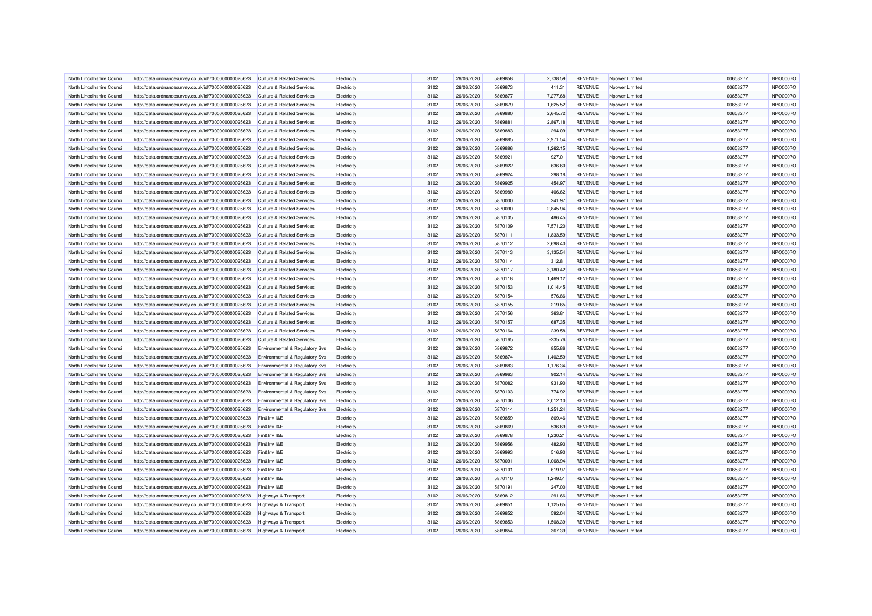| North Lincolnshire Council | http://data.ordnancesurvey.co.uk/id/7000000000025623 | <b>Culture &amp; Related Services</b>     | Electricity | 3102 | 26/06/2020 | 5869858 | 2,738.59  | <b>REVENUE</b> | Npower Limited  | 03653277 | NPO0007O |
|----------------------------|------------------------------------------------------|-------------------------------------------|-------------|------|------------|---------|-----------|----------------|-----------------|----------|----------|
| North Lincolnshire Council | http://data.ordnancesurvey.co.uk/id/7000000000025623 | <b>Culture &amp; Related Services</b>     | Electricity | 3102 | 26/06/2020 | 5869873 | 411.31    | <b>REVENUE</b> | Noower Limited  | 03653277 | NPO0007O |
| North Lincolnshire Council | http://data.ordnancesurvey.co.uk/id/7000000000025623 | <b>Culture &amp; Related Services</b>     | Electricity | 3102 | 26/06/2020 | 5869877 | 7,277.68  | <b>REVENUE</b> | Npower Limited  | 03653277 | NPO0007O |
| North Lincolnshire Council | http://data.ordnancesurvey.co.uk/id/7000000000025623 | <b>Culture &amp; Related Services</b>     | Electricity | 3102 | 26/06/2020 | 5869879 | 1,625.52  | <b>REVENUE</b> | Npower Limited  | 03653277 | NPO0007O |
| North Lincolnshire Council | http://data.ordnancesurvey.co.uk/id/7000000000025623 | <b>Culture &amp; Related Services</b>     | Electricity | 3102 | 26/06/2020 | 5869880 | 2,645.72  | <b>REVENUE</b> | Npower Limited  | 03653277 | NPO0007O |
| North Lincolnshire Council | http://data.ordnancesurvey.co.uk/id/7000000000025623 | <b>Culture &amp; Related Services</b>     | Electricity | 3102 | 26/06/2020 | 5869881 | 2,867.18  | <b>REVENUE</b> | Npower Limited  | 03653277 | NPO0007O |
| North Lincolnshire Council | http://data.ordnancesurvey.co.uk/id/7000000000025623 | <b>Culture &amp; Related Services</b>     | Electricity | 3102 | 26/06/2020 | 5869883 | 294.09    | <b>REVENUE</b> | Npower Limited  | 03653277 | NPO0007O |
| North Lincolnshire Council | http://data.ordnancesurvey.co.uk/id/7000000000025623 | Culture & Related Services                | Electricity | 3102 | 26/06/2020 | 5869885 | 2.971.54  | <b>REVENUE</b> | Npower Limited  | 03653277 | NPO0007O |
| North Lincolnshire Council | http://data.ordnancesurvey.co.uk/id/7000000000025623 | <b>Culture &amp; Related Services</b>     | Electricity | 3102 | 26/06/2020 | 5869886 | 1,262.15  | <b>REVENUE</b> | Npower Limited  | 03653277 | NPO0007O |
| North Lincolnshire Council | http://data.ordnancesurvey.co.uk/id/7000000000025623 | <b>Culture &amp; Related Services</b>     | Electricity | 3102 | 26/06/2020 | 5869921 | 927.01    | <b>REVENUE</b> | Npower Limited  | 03653277 | NPO0007O |
| North Lincolnshire Council | http://data.ordnancesurvey.co.uk/id/7000000000025623 | <b>Culture &amp; Related Services</b>     | Electricity | 3102 | 26/06/2020 | 5869922 | 636.60    | <b>REVENUE</b> | Npower Limited  | 03653277 | NPO0007O |
| North Lincolnshire Council | http://data.ordnancesurvey.co.uk/id/7000000000025623 | Culture & Related Services                | Electricity | 3102 | 26/06/2020 | 5869924 | 298.18    | <b>REVENUE</b> | Npower Limited  | 03653277 | NPO0007O |
| North Lincolnshire Council | http://data.ordnancesurvey.co.uk/id/7000000000025623 | <b>Culture &amp; Related Services</b>     | Electricity | 3102 | 26/06/2020 | 5869925 | 454.97    | <b>REVENUE</b> | Npower Limited  | 03653277 | NPO0007O |
| North Lincolnshire Council | http://data.ordnancesurvey.co.uk/id/7000000000025623 | Culture & Related Services                | Electricity | 3102 | 26/06/2020 | 5869980 | 406.62    | <b>REVENUE</b> | Nnower I imited | 03653277 | NPO0007O |
| North Lincolnshire Council | http://data.ordnancesurvey.co.uk/id/7000000000025623 | <b>Culture &amp; Related Services</b>     | Electricity | 3102 | 26/06/2020 | 5870030 | 241.97    | <b>REVENUE</b> | Npower Limited  | 03653277 | NPO0007O |
| North Lincolnshire Council | http://data.ordnancesurvey.co.uk/id/7000000000025623 | <b>Culture &amp; Related Services</b>     | Electricity | 3102 | 26/06/2020 | 5870090 | 2,845.94  | <b>REVENUE</b> | Npower Limited  | 03653277 | NPO0007O |
|                            |                                                      |                                           |             |      |            |         |           |                |                 | 03653277 | NPO0007O |
| North Lincolnshire Council | http://data.ordnancesurvey.co.uk/id/7000000000025623 | <b>Culture &amp; Related Services</b>     | Electricity | 3102 | 26/06/2020 | 5870105 | 486.45    | <b>REVENUE</b> | Npower Limited  |          |          |
| North Lincolnshire Council | http://data.ordnancesurvey.co.uk/id/7000000000025623 | <b>Culture &amp; Related Services</b>     | Electricity | 3102 | 26/06/2020 | 5870109 | 7,571.20  | <b>REVENUE</b> | Npower Limited  | 03653277 | NPO0007O |
| North Lincolnshire Council | http://data.ordnancesurvey.co.uk/id/7000000000025623 | Culture & Related Services                | Electricity | 3102 | 26/06/2020 | 5870111 | 1,833.59  | <b>REVENUE</b> | Npower Limited  | 03653277 | NPO0007O |
| North Lincolnshire Council | http://data.ordnancesurvey.co.uk/id/7000000000025623 | <b>Culture &amp; Related Services</b>     | Electricity | 3102 | 26/06/2020 | 5870112 | 2,698.40  | <b>REVENUE</b> | Npower Limited  | 03653277 | NPO0007O |
| North Lincolnshire Council | http://data.ordnancesurvey.co.uk/id/7000000000025623 | <b>Culture &amp; Related Services</b>     | Electricity | 3102 | 26/06/2020 | 5870113 | 3,135.54  | <b>REVENUE</b> | Noower Limited  | 03653277 | NPO0007O |
| North Lincolnshire Council | http://data.ordnancesurvey.co.uk/id/7000000000025623 | Culture & Related Services                | Electricity | 3102 | 26/06/2020 | 5870114 | 312.81    | <b>REVENUE</b> | Npower Limited  | 03653277 | NPO0007O |
| North Lincolnshire Council | http://data.ordnancesurvey.co.uk/id/7000000000025623 | <b>Culture &amp; Related Services</b>     | Electricity | 3102 | 26/06/2020 | 5870117 | 3,180.42  | <b>REVENUE</b> | Npower Limited  | 03653277 | NPO0007O |
| North Lincolnshire Council | http://data.ordnancesurvey.co.uk/id/7000000000025623 | <b>Culture &amp; Related Services</b>     | Electricity | 3102 | 26/06/2020 | 5870118 | 1,469.12  | <b>REVENUE</b> | Npower Limited  | 03653277 | NPO0007O |
| North Lincolnshire Council | http://data.ordnancesurvey.co.uk/id/7000000000025623 | Culture & Related Services                | Electricity | 3102 | 26/06/2020 | 5870153 | 1.014.45  | <b>REVENUE</b> | Nnower I imited | 03653277 | NPO0007O |
| North Lincolnshire Council | http://data.ordnancesurvey.co.uk/id/7000000000025623 | <b>Culture &amp; Related Services</b>     | Electricity | 3102 | 26/06/2020 | 5870154 | 576.86    | <b>REVENUE</b> | Npower Limited  | 03653277 | NPO0007O |
| North Lincolnshire Council | http://data.ordnancesurvey.co.uk/id/7000000000025623 | <b>Culture &amp; Related Services</b>     | Electricity | 3102 | 26/06/2020 | 5870155 | 219.65    | REVENUE        | Noower Limited  | 03653277 | NPO0007O |
| North Lincolnshire Council | http://data.ordnancesurvey.co.uk/id/7000000000025623 | <b>Culture &amp; Related Services</b>     | Electricity | 3102 | 26/06/2020 | 5870156 | 363.81    | <b>REVENUE</b> | Npower Limited  | 03653277 | NPO0007O |
| North Lincolnshire Council | http://data.ordnancesurvey.co.uk/id/7000000000025623 | <b>Culture &amp; Related Services</b>     | Electricity | 3102 | 26/06/2020 | 5870157 | 687.35    | <b>REVENUE</b> | Npower Limited  | 03653277 | NPO0007O |
| North Lincolnshire Council | http://data.ordnancesurvey.co.uk/id/7000000000025623 | Culture & Related Services                | Electricity | 3102 | 26/06/2020 | 5870164 | 239.58    | <b>REVENUE</b> | Npower Limited  | 03653277 | NPO0007O |
| North Lincolnshire Council | http://data.ordnancesurvey.co.uk/id/7000000000025623 | Culture & Related Services                | Electricity | 3102 | 26/06/2020 | 5870165 | $-235.76$ | <b>REVENUE</b> | Nnower I imited | 03653277 | NPO0007O |
| North Lincolnshire Council | http://data.ordnancesurvey.co.uk/id/7000000000025623 | Environmental & Regulatory Svs            | Electricity | 3102 | 26/06/2020 | 5869872 | 855.86    | <b>REVENUE</b> | Npower Limited  | 03653277 | NPO0007O |
| North Lincolnshire Council | http://data.ordnancesurvey.co.uk/id/7000000000025623 | Environmental & Regulatory Svs            | Electricity | 3102 | 26/06/2020 | 5869874 | 1,402.59  | <b>REVENUE</b> | Npower Limited  | 03653277 | NPO0007O |
| North Lincolnshire Council | http://data.ordnancesurvey.co.uk/id/7000000000025623 | Environmental & Regulatory Svs            | Electricity | 3102 | 26/06/2020 | 5869883 | 1,176.34  | <b>REVENUE</b> | Npower Limited  | 03653277 | NPO0007O |
| North Lincolnshire Council | http://data.ordnancesurvey.co.uk/id/7000000000025623 | Environmental & Regulatory Svs            | Electricity | 3102 | 26/06/2020 | 5869963 | 902.14    | <b>REVENUE</b> | Npower Limited  | 03653277 | NPO0007O |
| North Lincolnshire Council | http://data.ordnancesurvey.co.uk/id/7000000000025623 | Environmental & Regulatory Svs            | Flectricity | 3102 | 26/06/2020 | 5870082 | 931.90    | <b>REVENUE</b> | Nnower I imited | 03653277 | NPO0007O |
| North Lincolnshire Council | http://data.ordnancesurvey.co.uk/id/7000000000025623 | <b>Environmental &amp; Regulatory Svs</b> | Electricity | 3102 | 26/06/2020 | 5870103 | 774.92    | <b>REVENUE</b> | Npower Limited  | 03653277 | NPO0007O |
| North Lincolnshire Council | http://data.ordnancesurvey.co.uk/id/7000000000025623 | Environmental & Regulatory Svs            | Electricity | 3102 | 26/06/2020 | 5870106 | 2,012.10  | <b>REVENUE</b> | Noower Limited  | 03653277 | NPO0007O |
| North Lincolnshire Council | http://data.ordnancesurvey.co.uk/id/7000000000025623 | Environmental & Regulatory Svs            | Electricity | 3102 | 26/06/2020 | 5870114 | 1,251.24  | <b>REVENUE</b> | Npower Limited  | 03653277 | NPO0007O |
| North Lincolnshire Council | http://data.ordnancesurvey.co.uk/id/7000000000025623 | Fin&Inv I&E                               | Electricity | 3102 | 26/06/2020 | 5869859 | 869.46    | <b>REVENUE</b> | Npower Limited  | 03653277 | NPO0007O |
| North Lincolnshire Council | http://data.ordnancesurvey.co.uk/id/7000000000025623 | Fin&Inv I&E                               | Electricity | 3102 | 26/06/2020 | 5869869 | 536.69    | <b>REVENUE</b> | Npower Limited  | 03653277 | NPO0007O |
| North Lincolnshire Council | http://data.ordnancesurvey.co.uk/id/7000000000025623 | Fin&Inv I&E                               | Electricity | 3102 | 26/06/2020 | 5869878 | 1.230.21  | <b>REVENUE</b> | Noower Limited  | 03653277 | NPO0007O |
| North Lincolnshire Council | http://data.ordnancesurvey.co.uk/id/7000000000025623 | Fin&Inv I&E                               | Electricity | 3102 | 26/06/2020 | 5869956 | 482.93    | <b>REVENUE</b> | Npower Limited  | 03653277 | NPO0007O |
| North Lincolnshire Council | http://data.ordnancesurvey.co.uk/id/7000000000025623 | Fin&Inv I&E                               | Electricity | 3102 | 26/06/2020 | 5869993 | 516.93    | <b>REVENUE</b> | Npower Limited  | 03653277 | NPO0007O |
| North Lincolnshire Council | http://data.ordnancesurvey.co.uk/id/7000000000025623 | Fin&Inv I&E                               | Electricity | 3102 | 26/06/2020 | 5870091 | 1,068.94  | <b>REVENUE</b> | Npower Limited  | 03653277 | NPO0007O |
| North Lincolnshire Council | http://data.ordnancesurvey.co.uk/id/7000000000025623 | Fin&Inv I&E                               | Electricity | 3102 | 26/06/2020 | 5870101 | 619.97    | <b>REVENUE</b> | Npower Limited  | 03653277 | NPO0007O |
| North Lincolnshire Council | http://data.ordnancesurvey.co.uk/id/7000000000025623 | Fin&Inv I&E                               | Electricity | 3102 | 26/06/2020 | 5870110 | 1,249.51  | <b>REVENUE</b> | Npower Limited  | 03653277 | NPO0007O |
| North Lincolnshire Council | http://data.ordnancesurvey.co.uk/id/7000000000025623 | Fin&Inv I&E                               | Electricity | 3102 | 26/06/2020 | 5870191 | 247.00    | <b>REVENUE</b> | Npower Limited  | 03653277 | NPO0007O |
| North Lincolnshire Council | http://data.ordnancesurvey.co.uk/id/7000000000025623 | Highways & Transport                      | Electricity | 3102 | 26/06/2020 | 5869812 | 291.66    | <b>REVENUE</b> | Npower Limited  | 03653277 | NPO0007O |
| North Lincolnshire Council | http://data.ordnancesurvey.co.uk/id/7000000000025623 | Highways & Transport                      | Electricity | 3102 | 26/06/2020 | 5869851 | 1,125.65  | <b>REVENUE</b> | Npower Limited  | 03653277 | NPO0007O |
| North Lincolnshire Council | http://data.ordnancesurvey.co.uk/id/7000000000025623 | <b>Highways &amp; Transport</b>           | Electricity | 3102 | 26/06/2020 | 5869852 | 592.04    | <b>REVENUE</b> | Npower Limited  | 03653277 | NPO0007O |
| North Lincolnshire Council | http://data.ordnancesurvey.co.uk/id/7000000000025623 | Highways & Transport                      | Electricity | 3102 | 26/06/2020 | 5869853 | 1,508.39  | <b>REVENUE</b> | Npower Limited  | 03653277 | NPO0007O |
| North Lincolnshire Council | http://data.ordnancesurvey.co.uk/id/7000000000025623 | <b>Highways &amp; Transport</b>           | Electricity | 3102 | 26/06/2020 | 5869854 | 367.39    | <b>REVENUE</b> | Npower Limited  | 03653277 | NPO0007O |
|                            |                                                      |                                           |             |      |            |         |           |                |                 |          |          |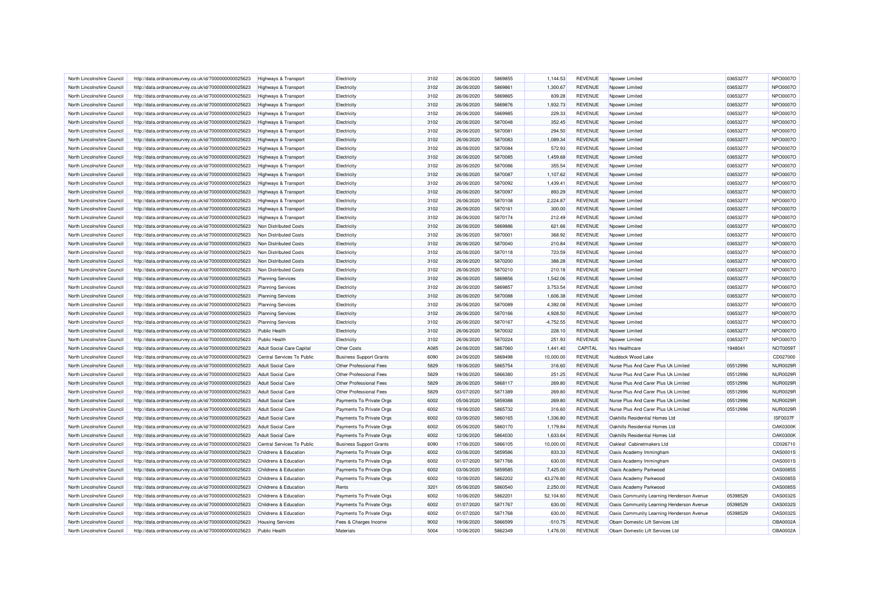| North Lincolnshire Council                               | http://data.ordnancesurvey.co.uk/id/7000000000025623 | <b>Highways &amp; Transport</b>                      | Electricity                    | 3102 | 26/06/2020 | 5869855 | 1,144.53             | <b>REVENUE</b> | Npower Limited                                                   | 03653277 | NPO0007O        |
|----------------------------------------------------------|------------------------------------------------------|------------------------------------------------------|--------------------------------|------|------------|---------|----------------------|----------------|------------------------------------------------------------------|----------|-----------------|
| North Lincolnshire Council                               | http://data.ordnancesurvey.co.uk/id/7000000000025623 | Highways & Transport                                 | Electricity                    | 3102 | 26/06/2020 | 5869861 | 1,300.67             | <b>REVENUE</b> | Npower Limited                                                   | 03653277 | NPO0007O        |
| North Lincolnshire Council                               | http://data.ordnancesurvey.co.uk/id/7000000000025623 | Highways & Transport                                 | Electricity                    | 3102 | 26/06/2020 | 5869865 | 839.28               | <b>REVENUE</b> | Npower Limited                                                   | 03653277 | NPO0007O        |
| North Lincolnshire Council                               | http://data.ordnancesurvey.co.uk/id/7000000000025623 | <b>Highways &amp; Transport</b>                      | Electricity                    | 3102 | 26/06/2020 | 5869876 | 1,932.73             | <b>REVENUE</b> | Npower Limited                                                   | 03653277 | NPO0007O        |
| North Lincolnshire Council                               | http://data.ordnancesurvey.co.uk/id/7000000000025623 | Highways & Transport                                 | Electricity                    | 3102 | 26/06/2020 | 5869985 | 229.33               | <b>REVENUE</b> | Npower Limited                                                   | 03653277 | NPO0007O        |
| North Lincolnshire Council                               | http://data.ordnancesurvey.co.uk/id/7000000000025623 | Highways & Transport                                 | Electricity                    | 3102 | 26/06/2020 | 5870048 | 352.45               | <b>REVENUE</b> | Noower Limited                                                   | 03653277 | NPO0007O        |
| North Lincolnshire Council                               | http://data.ordnancesurvey.co.uk/id/7000000000025623 | <b>Highways &amp; Transport</b>                      | Electricity                    | 3102 | 26/06/2020 | 5870081 | 294.50               | <b>REVENUE</b> | Npower Limited                                                   | 03653277 | NPO0007O        |
| North Lincolnshire Council                               | http://data.ordnancesurvey.co.uk/id/7000000000025623 | Highways & Transport                                 | Electricity                    | 3102 | 26/06/2020 | 5870083 | 1.089.34             | <b>REVENUE</b> | Npower Limited                                                   | 03653277 | NPO0007O        |
| North Lincolnshire Council                               | http://data.ordnancesurvey.co.uk/id/7000000000025623 | <b>Highways &amp; Transport</b>                      | Electricity                    | 3102 | 26/06/2020 | 5870084 | 572.93               | <b>REVENUE</b> | Nnower I imited                                                  | 03653277 | NPO0007O        |
| North Lincolnshire Council                               | http://data.ordnancesurvey.co.uk/id/7000000000025623 | Highways & Transport                                 | Electricity                    | 3102 | 26/06/2020 | 5870085 | 1,459.68             | <b>REVENUE</b> | Npower Limited                                                   | 03653277 | NPO0007O        |
| North Lincolnshire Council                               | http://data.ordnancesurvey.co.uk/id/7000000000025623 | Highways & Transport                                 | Electricity                    | 3102 | 26/06/2020 | 5870086 | 355.54               | <b>REVENUE</b> | Noower Limited                                                   | 03653277 | NPO0007O        |
| North Lincolnshire Council                               | http://data.ordnancesurvey.co.uk/id/7000000000025623 | Highways & Transport                                 | Electricity                    | 3102 | 26/06/2020 | 5870087 | 1,107.62             | <b>REVENUE</b> | Npower Limited                                                   | 03653277 | NPO0007O        |
| North Lincolnshire Council                               | http://data.ordnancesurvey.co.uk/id/7000000000025623 | Highways & Transport                                 | Electricity                    | 3102 | 26/06/2020 | 5870092 | 1,439.41             | <b>REVENUE</b> | Npower Limited                                                   | 03653277 | NPO0007O        |
| North Lincolnshire Council                               | http://data.ordnancesurvey.co.uk/id/7000000000025623 | Highways & Transport                                 | Electricity                    | 3102 | 26/06/2020 | 5870097 | 893.29               | <b>REVENUE</b> | Npower Limited                                                   | 03653277 | NPO0007O        |
| North Lincolnshire Council                               | http://data.ordnancesurvey.co.uk/id/7000000000025623 | <b>Highways &amp; Transport</b>                      | Electricity                    | 3102 | 26/06/2020 | 5870108 | 2.224.87             | <b>REVENUE</b> | Npower Limited                                                   | 03653277 | NPO0007O        |
| North Lincolnshire Council                               | http://data.ordnancesurvey.co.uk/id/7000000000025623 | Highways & Transport                                 | Electricity                    | 3102 | 26/06/2020 | 5870161 | 300.00               | <b>REVENUE</b> | Noower Limited                                                   | 03653277 | NPO0007O        |
| North Lincolnshire Council                               | http://data.ordnancesurvey.co.uk/id/7000000000025623 | Highways & Transport                                 | Electricity                    | 3102 | 26/06/2020 | 5870174 | 212.49               | <b>REVENUE</b> | Npower Limited                                                   | 03653277 | NPO0007O        |
| North Lincolnshire Council                               | http://data.ordnancesurvey.co.uk/id/7000000000025623 | Non Distributed Costs                                | Electricity                    | 3102 | 26/06/2020 | 5869886 | 621.66               | <b>REVENUE</b> | Noower Limited                                                   | 03653277 | NPO0007O        |
| North Lincolnshire Council                               | http://data.ordnancesurvey.co.uk/id/7000000000025623 | Non Distributed Costs                                | Electricity                    | 3102 | 26/06/2020 | 5870001 | 368.92               | <b>REVENUE</b> | Npower Limited                                                   | 03653277 | NPO0007O        |
| North Lincolnshire Council                               | http://data.ordnancesurvey.co.uk/id/7000000000025623 | Non Distributed Costs                                | Electricity                    | 3102 | 26/06/2020 | 5870040 | 210.84               | <b>REVENUE</b> | Npower Limited                                                   | 03653277 | NPO0007O        |
|                                                          |                                                      |                                                      |                                |      |            | 5870118 |                      | <b>REVENUE</b> |                                                                  | 03653277 | NPO0007O        |
| North Lincolnshire Council                               | http://data.ordnancesurvey.co.uk/id/7000000000025623 | Non Distributed Costs                                | Electricity                    | 3102 | 26/06/2020 |         | 723.59               |                | Npower Limited                                                   |          |                 |
| North Lincolnshire Council                               | http://data.ordnancesurvey.co.uk/id/7000000000025623 | Non Distributed Costs                                | Electricity                    | 3102 | 26/06/2020 | 5870200 | 388.28               | <b>REVENUE</b> | Npower Limited                                                   | 03653277 | NPO0007O        |
| North Lincolnshire Council                               | http://data.ordnancesurvey.co.uk/id/7000000000025623 | Non Distributed Costs                                | Electricity                    | 3102 | 26/06/2020 | 5870210 | 210.18               | <b>REVENUE</b> | Npower Limited                                                   | 03653277 | NPO0007O        |
| North Lincolnshire Council                               | http://data.ordnancesurvey.co.uk/id/7000000000025623 | <b>Planning Services</b>                             | Electricity                    | 3102 | 26/06/2020 | 5869856 | 1,542.06             | <b>REVENUE</b> | Npower Limited                                                   | 03653277 | NPO0007O        |
| North Lincolnshire Council                               | http://data.ordnancesurvey.co.uk/id/7000000000025623 | <b>Planning Services</b>                             | Electricity                    | 3102 | 26/06/2020 | 5869857 | 3,753.54             | <b>REVENUE</b> | Noower Limited                                                   | 03653277 | NPO0007O        |
| North Lincolnshire Council                               | http://data.ordnancesurvey.co.uk/id/7000000000025623 | <b>Planning Services</b>                             | Electricity                    | 3102 | 26/06/2020 | 5870088 | 1,606.38             | <b>REVENUE</b> | Npower Limited                                                   | 03653277 | NPO0007O        |
| North Lincolnshire Council                               | http://data.ordnancesurvey.co.uk/id/7000000000025623 | <b>Planning Services</b>                             | Electricity                    | 3102 | 26/06/2020 | 5870089 | 4,392.08             | <b>REVENUE</b> | Npower Limited                                                   | 03653277 | NPO0007O        |
| North Lincolnshire Council                               | http://data.ordnancesurvey.co.uk/id/7000000000025623 | <b>Planning Services</b>                             | Electricity                    | 3102 | 26/06/2020 | 5870166 | 4.928.50             | <b>REVENUE</b> | Nnower I imited                                                  | 03653277 | NPO0007O        |
| North Lincolnshire Council                               | http://data.ordnancesurvey.co.uk/id/7000000000025623 | <b>Planning Services</b>                             | Electricity                    | 3102 | 26/06/2020 | 5870167 | $-4,752.55$          | <b>REVENUE</b> | Npower Limited                                                   | 03653277 | NPO0007O        |
| North Lincolnshire Council                               | http://data.ordnancesurvey.co.uk/id/7000000000025623 | <b>Public Health</b>                                 | Electricity                    | 3102 | 26/06/2020 | 5870032 | 228.10               | <b>REVENUE</b> | Npower Limited                                                   | 03653277 | NPO0007O        |
| North Lincolnshire Council                               | http://data.ordnancesurvey.co.uk/id/7000000000025623 | <b>Public Health</b>                                 | Electricity                    | 3102 | 26/06/2020 | 5870224 | 251.93               | <b>REVENUE</b> | Npower Limited                                                   | 03653277 | NPO0007O        |
| North Lincolnshire Council                               | http://data.ordnancesurvey.co.uk/id/7000000000025623 | Adult Social Care Capital                            | <b>Other Costs</b>             | A085 | 24/06/2020 | 5867060 | 1,441.40             | CAPITAL        | Nrs Healthcare                                                   | 1948041  | <b>NOT0059T</b> |
| North Lincolnshire Council                               | http://data.ordnancesurvey.co.uk/id/7000000000025623 | Central Services To Public                           | <b>Business Support Grants</b> | 6090 | 24/06/2020 | 5869498 | 10,000.00            | <b>REVENUE</b> | Nuddock Wood Lake                                                |          | CD027000        |
| North Lincolnshire Council                               | http://data.ordnancesurvey.co.uk/id/7000000000025623 | <b>Adult Social Care</b>                             | Other Professional Fees        | 5829 | 19/06/2020 | 5865754 | 316.60               | <b>REVENUE</b> | Nurse Plus And Carer Plus Uk Limited                             | 05512996 | <b>NUR0029R</b> |
| North Lincolnshire Council                               | http://data.ordnancesurvey.co.uk/id/7000000000025623 | <b>Adult Social Care</b>                             | Other Professional Fees        | 5829 | 19/06/2020 | 5866380 | 251.25               | <b>REVENUE</b> | Nurse Plus And Carer Plus Uk Limited                             | 05512996 | <b>NUR0029R</b> |
| North Lincolnshire Council                               | http://data.ordnancesurvey.co.uk/id/7000000000025623 | <b>Adult Social Care</b>                             | Other Professional Fees        | 5829 | 26/06/2020 | 5868117 | 269.80               | <b>REVENUE</b> | Nurse Plus And Carer Plus Uk Limited                             | 05512996 | <b>NUR0029R</b> |
| North Lincolnshire Council                               | http://data.ordnancesurvey.co.uk/id/7000000000025623 | <b>Adult Social Care</b>                             | Other Professional Fees        | 5829 | 03/07/2020 | 5871389 | 269.80               | <b>REVENUE</b> | Nurse Plus And Carer Plus Uk Limited                             | 05512996 | <b>NUR0029R</b> |
| North Lincolnshire Council                               | http://data.ordnancesurvey.co.uk/id/7000000000025623 | <b>Adult Social Care</b>                             | Payments To Private Orgs       | 6002 | 05/06/2020 | 5859388 | 269.80               | <b>REVENUE</b> | Nurse Plus And Carer Plus Uk Limited                             | 05512996 | <b>NUR0029R</b> |
| North Lincolnshire Council                               | http://data.ordnancesurvey.co.uk/id/7000000000025623 | <b>Adult Social Care</b>                             | Payments To Private Orgs       | 6002 | 19/06/2020 | 5865732 | 316.60               | <b>REVENUE</b> | Nurse Plus And Carer Plus Uk Limited                             | 05512996 | <b>NUR0029R</b> |
| North Lincolnshire Council                               | http://data.ordnancesurvey.co.uk/id/7000000000025623 | <b>Adult Social Care</b>                             | Payments To Private Orgs       | 6002 | 03/06/2020 | 5860165 | 1.336.80             | <b>REVENUE</b> | Oakhills Residential Homes Ltd                                   |          | <b>ISF0037F</b> |
|                                                          |                                                      |                                                      |                                | 6002 |            | 5860170 |                      | <b>REVENUE</b> |                                                                  |          | <b>OAK0300K</b> |
| North Lincolnshire Council<br>North Lincolnshire Council | http://data.ordnancesurvey.co.uk/id/7000000000025623 | <b>Adult Social Care</b><br><b>Adult Social Care</b> | Payments To Private Orgs       | 6002 | 05/06/2020 | 5864030 | 1,179.84<br>1.633.64 | <b>REVENUE</b> | Oakhills Residential Homes Ltd<br>Oakhills Residential Homes Ltd |          | <b>OAK0300K</b> |
|                                                          | http://data.ordnancesurvey.co.uk/id/7000000000025623 |                                                      | Payments To Private Orgs       |      | 12/06/2020 |         |                      |                |                                                                  |          |                 |
| North Lincolnshire Council                               | http://data.ordnancesurvey.co.uk/id/7000000000025623 | Central Services To Public                           | <b>Business Support Grants</b> | 6090 | 17/06/2020 | 5866105 | 10,000.00            | <b>REVENUE</b> | Oakleaf Cabinetmakers Ltd                                        |          | CD026710        |
| North Lincolnshire Council                               | http://data.ordnancesurvey.co.uk/id/7000000000025623 | Childrens & Education                                | Payments To Private Orgs       | 6002 | 03/06/2020 | 5859586 | 833.33               | <b>REVENUE</b> | Oasis Academy Immingham                                          |          | <b>OAS0001S</b> |
| North Lincolnshire Council                               | http://data.ordnancesurvey.co.uk/id/7000000000025623 | Childrens & Education                                | Payments To Private Orgs       | 6002 | 01/07/2020 | 5871766 | 630.00               | <b>REVENUE</b> | Oasis Academy Immingham                                          |          | OAS0001S        |
| North Lincolnshire Council                               | http://data.ordnancesurvey.co.uk/id/7000000000025623 | Childrens & Education                                | Payments To Private Orgs       | 6002 | 03/06/2020 | 5859585 | 7,425.00             | <b>REVENUE</b> | Oasis Academy Parkwood                                           |          | <b>OAS0085S</b> |
| North Lincolnshire Council                               | http://data.ordnancesurvey.co.uk/id/7000000000025623 | Childrens & Education                                | Payments To Private Orgs       | 6002 | 10/06/2020 | 5862202 | 43,276.80            | <b>REVENUE</b> | Oasis Academy Parkwood                                           |          | OAS0085S        |
| North Lincolnshire Council                               | http://data.ordnancesurvey.co.uk/id/7000000000025623 | Childrens & Education                                | Rents                          | 3201 | 05/06/2020 | 5860540 | 2,250.00             | <b>REVENUE</b> | Oasis Academy Parkwood                                           |          | <b>OAS0085S</b> |
| North Lincolnshire Council                               | http://data.ordnancesurvey.co.uk/id/7000000000025623 | Childrens & Education                                | Payments To Private Orgs       | 6002 | 10/06/2020 | 5862201 | 52,104.60            | <b>REVENUE</b> | Oasis Community Learning Henderson Avenue                        | 05398529 | OAS0032S        |
| North Lincolnshire Council                               | http://data.ordnancesurvey.co.uk/id/7000000000025623 | Childrens & Education                                | Payments To Private Orgs       | 6002 | 01/07/2020 | 5871767 | 630.00               | <b>REVENUE</b> | Oasis Community Learning Henderson Avenue                        | 05398529 | OAS0032S        |
| North Lincolnshire Council                               | http://data.ordnancesurvey.co.uk/id/7000000000025623 | Childrens & Education                                | Payments To Private Orgs       | 6002 | 01/07/2020 | 5871768 | 630.00               | <b>REVENUE</b> | Oasis Community Learning Henderson Avenue                        | 05398529 | OAS0032S        |
| North Lincolnshire Council                               | http://data.ordnancesurvey.co.uk/id/7000000000025623 | <b>Housing Services</b>                              | Fees & Charges Income          | 9002 | 19/06/2020 | 5866599 | $-510.75$            | <b>REVENUE</b> | Obam Domestic Lift Services Ltd                                  |          | <b>OBA0002A</b> |
| North Lincolnshire Council                               | http://data.ordnancesurvey.co.uk/id/7000000000025623 | <b>Public Health</b>                                 | Materials                      | 5004 | 10/06/2020 | 5862349 | 1,476.00             | <b>REVENUE</b> | Obam Domestic Lift Services Ltd                                  |          | <b>OBA0002A</b> |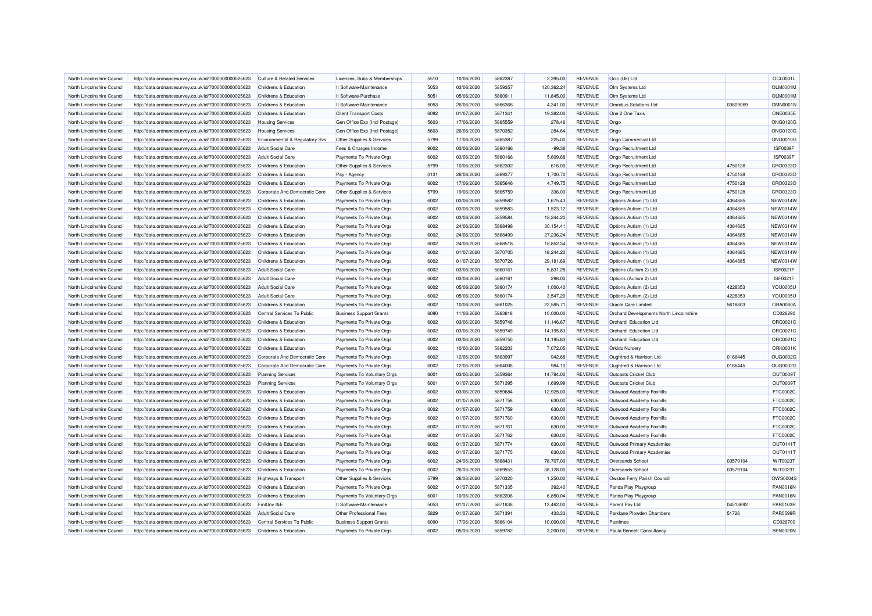| North Lincolnshire Council | http://data.ordnancesurvey.co.uk/id/7000000000025623 | <b>Culture &amp; Related Services</b> | Licenses, Subs & Memberships   | 5510 | 10/06/2020 | 5862387 | 2.395.00   | <b>REVENUE</b> | Oclc (Uk) Ltd                           |          | OCL0001L        |
|----------------------------|------------------------------------------------------|---------------------------------------|--------------------------------|------|------------|---------|------------|----------------|-----------------------------------------|----------|-----------------|
| North Lincolnshire Council | http://data.ordnancesurvey.co.uk/id/7000000000025623 | Childrens & Education                 | It Software-Maintenance        | 5053 | 03/06/2020 | 5859357 | 120,362.24 | <b>REVENUE</b> | Olm Systems Ltd                         |          | OLM0001M        |
| North Lincolnshire Council | http://data.ordnancesurvey.co.uk/id/7000000000025623 | Childrens & Education                 | It Software-Purchase           | 5051 | 05/06/2020 | 5860911 | 11,845.00  | <b>REVENUE</b> | Olm Systems Ltd                         |          | <b>OLM0001M</b> |
| North Lincolnshire Council | http://data.ordnancesurvey.co.uk/id/7000000000025623 | Childrens & Education                 | It Software-Maintenance        | 5053 | 26/06/2020 | 5866366 | 4,341.00   | <b>REVENUE</b> | Omnibus Solutions Ltd                   | 03609069 | <b>OMN0001N</b> |
| North Lincolnshire Council | http://data.ordnancesurvey.co.uk/id/7000000000025623 | Childrens & Education                 | <b>Client Transport Costs</b>  | 6092 | 01/07/2020 | 5871341 | 19,382.00  | <b>REVENUE</b> | One 2 One Taxis                         |          | <b>ONE0035E</b> |
| North Lincolnshire Council | http://data.ordnancesurvey.co.uk/id/7000000000025623 | <b>Housing Services</b>               | Gen Office Exp (Incl Postage)  | 5603 | 17/06/2020 | 5865559 | 278.46     | <b>REVENUE</b> | Ongo                                    |          | <b>ONG0120G</b> |
| North Lincolnshire Council | http://data.ordnancesurvey.co.uk/id/7000000000025623 | <b>Housing Services</b>               | Gen Office Exp (Incl Postage)  | 5603 | 26/06/2020 | 5870352 | 284.64     | <b>REVENUE</b> | Ongo                                    |          | <b>ONG0120G</b> |
| North Lincolnshire Council | http://data.ordnancesurvey.co.uk/id/7000000000025623 | Environmental & Regulatory Svs        | Other Supplies & Services      | 5799 | 17/06/2020 | 5865387 | 225.00     | <b>REVENUE</b> | Ongo Commercial Ltd                     |          | <b>ONG0010G</b> |
| North Lincolnshire Council | http://data.ordnancesurvey.co.uk/id/7000000000025623 | <b>Adult Social Care</b>              | Fees & Charges Income          | 9002 | 03/06/2020 | 5860166 | $-99.36$   | <b>REVENUE</b> | Ongo Recruitment Ltd                    |          | <b>ISF0039F</b> |
| North Lincolnshire Council | http://data.ordnancesurvey.co.uk/id/7000000000025623 | <b>Adult Social Care</b>              | Payments To Private Orgs       | 6002 | 03/06/2020 | 5860166 | 5,609.68   | <b>REVENUE</b> | Ongo Recruitment Ltd                    |          | ISF0039F        |
| North Lincolnshire Council | http://data.ordnancesurvey.co.uk/id/7000000000025623 | Childrens & Education                 | Other Supplies & Services      | 5799 | 10/06/2020 | 5862302 | 616.00     | <b>REVENUE</b> | Ongo Recruitment Ltd                    | 4750128  | CRO0323C        |
| North Lincolnshire Council | http://data.ordnancesurvey.co.uk/id/7000000000025623 | Childrens & Education                 | Pay - Agency                   | 0131 | 26/06/2020 | 5869377 | 1,700.70   | <b>REVENUE</b> | Ongo Recruitment Ltd                    | 4750128  | CRO0323O        |
| North Lincolnshire Council | http://data.ordnancesurvey.co.uk/id/7000000000025623 | Childrens & Education                 | Payments To Private Orgs       | 6002 | 17/06/2020 | 5865646 | 4,749.75   | <b>REVENUE</b> | Ongo Recruitment Ltd                    | 4750128  | CRO0323C        |
| North Lincolnshire Council | http://data.ordnancesurvey.co.uk/id/7000000000025623 | Corporate And Democratic Core         | Other Supplies & Services      | 5799 | 19/06/2020 | 5865759 | 336.00     | <b>REVENUE</b> | Ongo Recruitment Ltd                    | 4750128  | CRO0323O        |
| North Lincolnshire Council | http://data.ordnancesurvey.co.uk/id/7000000000025623 | Childrens & Education                 | Payments To Private Orgs       | 6002 | 03/06/2020 | 5859582 | 1,675.43   | <b>REVENUE</b> | Options Autism (1) Ltd                  | 4064685  | <b>NEW0314W</b> |
| North Lincolnshire Council | http://data.ordnancesurvey.co.uk/id/7000000000025623 | Childrens & Education                 | Payments To Private Orgs       | 6002 | 03/06/2020 | 5859583 | 1,523.12   | <b>REVENUE</b> | Options Autism (1) Ltd                  | 4064685  | <b>NEW0314W</b> |
| North Lincolnshire Council | http://data.ordnancesurvey.co.uk/id/7000000000025623 | Childrens & Education                 | Payments To Private Orgs       | 6002 | 03/06/2020 | 5859584 | 18,244.20  | <b>REVENUE</b> | Options Autism (1) Ltd                  | 4064685  | <b>NEW0314W</b> |
| North Lincolnshire Council | http://data.ordnancesurvey.co.uk/id/7000000000025623 | Childrens & Education                 | Payments To Private Orgs       | 6002 | 24/06/2020 | 5868498 | 30,154.41  | <b>REVENUE</b> | Options Autism (1) Ltd                  | 4064685  | <b>NEW0314W</b> |
| North Lincolnshire Council | http://data.ordnancesurvey.co.uk/id/7000000000025623 | Childrens & Education                 | Payments To Private Orgs       | 6002 | 24/06/2020 | 5868499 | 27,236.24  | <b>REVENUE</b> | Options Autism (1) Ltd                  | 4064685  | <b>NEW0314W</b> |
| North Lincolnshire Council | http://data.ordnancesurvey.co.uk/id/7000000000025623 | Childrens & Education                 | Payments To Private Orgs       | 6002 | 24/06/2020 | 5868518 | 18,852.34  | <b>REVENUE</b> | Options Autism (1) Ltd                  | 4064685  | <b>NEW0314W</b> |
| North Lincolnshire Council | http://data.ordnancesurvey.co.uk/id/7000000000025623 | Childrens & Education                 | Payments To Private Orgs       | 6002 | 01/07/2020 | 5870705 | 18,244.20  | <b>REVENUE</b> | Options Autism (1) Ltd                  | 4064685  | <b>NEW0314W</b> |
| North Lincolnshire Council | http://data.ordnancesurvey.co.uk/id/7000000000025623 | Childrens & Education                 | Payments To Private Orgs       | 6002 | 01/07/2020 | 5870726 | 29,181.69  | <b>REVENUE</b> | Options Autism (1) Ltd                  | 4064685  | NEW0314W        |
| North Lincolnshire Council | http://data.ordnancesurvey.co.uk/id/7000000000025623 | <b>Adult Social Care</b>              | Payments To Private Orgs       | 6002 | 03/06/2020 | 5860161 | 5.831.28   | <b>REVENUE</b> | Options (Autism 2) Ltd                  |          | <b>ISF0021F</b> |
| North Lincolnshire Council | http://data.ordnancesurvey.co.uk/id/7000000000025623 | <b>Adult Social Care</b>              | Payments To Private Orgs       | 6002 | 03/06/2020 | 5860161 | 298.00     | <b>REVENUE</b> | Options (Autism 2) Ltd                  |          | <b>ISF0021F</b> |
| North Lincolnshire Council | http://data.ordnancesurvey.co.uk/id/7000000000025623 | <b>Adult Social Care</b>              | Payments To Private Orgs       | 6002 | 05/06/2020 | 5860174 | 1,000.40   | <b>REVENUE</b> | Options Autism (2) Ltd                  | 4228353  | <b>YOU0005L</b> |
| North Lincolnshire Council | http://data.ordnancesurvey.co.uk/id/7000000000025623 | <b>Adult Social Care</b>              | Payments To Private Orgs       | 6002 | 05/06/2020 | 5860174 | 3,547.20   | <b>REVENUE</b> | Options Autism (2) Ltd                  | 4228353  | <b>YOU0005L</b> |
| North Lincolnshire Council | http://data.ordnancesurvey.co.uk/id/7000000000025623 | Childrens & Education                 | Payments To Private Orgs       | 6002 | 10/06/2020 | 5861025 | 22,585.71  | <b>REVENUE</b> | Oracle Care Limited                     | 5618803  | ORA0060A        |
| North Lincolnshire Council | http://data.ordnancesurvey.co.uk/id/7000000000025623 | Central Services To Public            | <b>Business Support Grants</b> | 6090 | 11/06/2020 | 5863818 | 10,000.00  | <b>REVENUE</b> | Orchard Developments North Lincolnshire |          | CD026290        |
| North Lincolnshire Council | http://data.ordnancesurvey.co.uk/id/7000000000025623 | <b>Childrens &amp; Education</b>      | Payments To Private Orgs       | 6002 | 03/06/2020 | 5859748 | 11,146.67  | <b>REVENUE</b> | Orchard Education Ltd                   |          | ORC0021C        |
| North Lincolnshire Council | http://data.ordnancesurvey.co.uk/id/7000000000025623 | Childrens & Education                 | Payments To Private Orgs       | 6002 | 03/06/2020 | 5859749 | 14,195.83  | <b>REVENUE</b> | Orchard Education Ltd                   |          | ORC0021C        |
| North Lincolnshire Council | http://data.ordnancesurvey.co.uk/id/7000000000025623 | Childrens & Education                 | Payments To Private Orgs       | 6002 | 03/06/2020 | 5859750 | 14,195.83  | <b>REVENUE</b> | Orchard Education Ltd                   |          | ORC0021C        |
| North Lincolnshire Council | http://data.ordnancesurvey.co.uk/id/7000000000025623 | Childrens & Education                 | Payments To Private Orgs       | 6002 | 10/06/2020 | 5862203 | 7,072.05   | <b>REVENUE</b> | <b>Orkidz Nursery</b>                   |          | ORK0001k        |
| North Lincolnshire Council | http://data.ordnancesurvey.co.uk/id/7000000000025623 | Corporate And Democratic Core         | Payments To Private Orgs       | 6002 | 12/06/2020 | 5863997 | 942.68     | <b>REVENUE</b> | Oughtred & Harrison Ltd                 | 0166445  | <b>OUG0032G</b> |
| North Lincolnshire Council | http://data.ordnancesurvey.co.uk/id/7000000000025623 | Corporate And Democratic Core         | Payments To Private Orgs       | 6002 | 12/06/2020 | 5864006 | 984.10     | <b>REVENUE</b> | Oughtred & Harrison Ltd                 | 0166445  | <b>OUG0032G</b> |
| North Lincolnshire Council | http://data.ordnancesurvey.co.uk/id/7000000000025623 | <b>Planning Services</b>              | Payments To Voluntary Orgs     | 6001 | 03/06/2020 | 5859364 | 14,784.00  | <b>REVENUE</b> | Outcasts Cricket Club                   |          | OUT0009T        |
| North Lincolnshire Council | http://data.ordnancesurvey.co.uk/id/7000000000025623 | <b>Planning Services</b>              | Payments To Voluntary Orgs     | 6001 | 01/07/2020 | 5871395 | 1,699.99   | <b>REVENUE</b> | Outcasts Cricket Club                   |          | OUT0009T        |
| North Lincolnshire Council | http://data.ordnancesurvey.co.uk/id/7000000000025623 | Childrens & Education                 | Payments To Private Orgs       | 6002 | 03/06/2020 | 5859684 | 12,925.00  | <b>REVENUE</b> | Outwood Academy Foxhills                |          | FTC0002C        |
| North Lincolnshire Council | http://data.ordnancesurvey.co.uk/id/7000000000025623 | Childrens & Education                 | Payments To Private Orgs       | 6002 | 01/07/2020 | 5871758 | 630.00     | <b>REVENUE</b> | Outwood Academy Foxhills                |          | FTC0002C        |
| North Lincolnshire Council | http://data.ordnancesurvey.co.uk/id/7000000000025623 | Childrens & Education                 | Payments To Private Orgs       | 6002 | 01/07/2020 | 5871759 | 630.00     | <b>REVENUE</b> | Outwood Academy Foxhills                |          | FTC0002C        |
| North Lincolnshire Council | http://data.ordnancesurvey.co.uk/id/7000000000025623 | Childrens & Education                 | Payments To Private Orgs       | 6002 | 01/07/2020 | 5871760 | 630.00     | <b>REVENUE</b> | Outwood Academy Foxhills                |          | FTC0002C        |
| North Lincolnshire Council | http://data.ordnancesurvey.co.uk/id/7000000000025623 | Childrens & Education                 | Payments To Private Orgs       | 6002 | 01/07/2020 | 5871761 | 630.00     | <b>REVENUE</b> | Outwood Academy Foxhills                |          | FTC0002C        |
| North Lincolnshire Council | http://data.ordnancesurvey.co.uk/id/7000000000025623 | Childrens & Education                 | Payments To Private Orgs       | 6002 | 01/07/2020 | 5871762 | 630.00     | <b>REVENUE</b> | Outwood Academy Foxhills                |          | FTC0002C        |
| North Lincolnshire Council | http://data.ordnancesurvey.co.uk/id/7000000000025623 | Childrens & Education                 | Payments To Private Orgs       | 6002 | 01/07/2020 | 5871774 | 630.00     | <b>REVENUE</b> | Outwood Primary Academies               |          | OUT0141T        |
| North Lincolnshire Council | http://data.ordnancesurvey.co.uk/id/7000000000025623 | Childrens & Education                 | Payments To Private Orgs       | 6002 | 01/07/2020 | 5871775 | 630.00     | <b>REVENUE</b> | Outwood Primary Academies               |          | OUT0141T        |
| North Lincolnshire Council | http://data.ordnancesurvey.co.uk/id/7000000000025623 | Childrens & Education                 | Payments To Private Orgs       | 6002 | 24/06/2020 | 5868431 | 78,707.00  | <b>REVENUE</b> | Oversands School                        | 03579104 | WIT0023T        |
| North Lincolnshire Council | http://data.ordnancesurvey.co.uk/id/7000000000025623 | Childrens & Education                 | Payments To Private Orgs       | 6002 | 26/06/2020 | 5869553 | 38,128.00  | <b>REVENUE</b> | Oversands School                        | 03579104 | <b>WIT0023T</b> |
| North Lincolnshire Council | http://data.ordnancesurvey.co.uk/id/7000000000025623 | Highways & Transport                  | Other Supplies & Services      | 5799 | 26/06/2020 | 5870320 | 1,250.00   | <b>REVENUE</b> | Owston Ferry Parish Council             |          | OWS0004S        |
| North Lincolnshire Council | http://data.ordnancesurvey.co.uk/id/7000000000025623 | Childrens & Education                 | Payments To Private Orgs       | 6002 | 01/07/2020 | 5871335 | 392.40     | <b>REVENUE</b> | Panda Play Playgroup                    |          | <b>PAN0016N</b> |
| North Lincolnshire Council | http://data.ordnancesurvey.co.uk/id/7000000000025623 | Childrens & Education                 | Payments To Voluntary Orgs     | 6001 | 10/06/2020 | 5862206 | 6,850.04   | <b>REVENUE</b> | Panda Play Playgroup                    |          | <b>PAN0016N</b> |
| North Lincolnshire Council | http://data.ordnancesurvey.co.uk/id/7000000000025623 | Fin&Inv I&F                           | It Software-Maintenance        | 5053 | 01/07/2020 | 5871636 | 13,462.00  | <b>REVENUE</b> | Parent Pay Ltd                          | 04513692 | PAR0103R        |
| North Lincolnshire Council | http://data.ordnancesurvey.co.uk/id/7000000000025623 | <b>Adult Social Care</b>              | Other Professional Fees        | 5829 | 01/07/2020 | 5871391 | 433.33     | <b>REVENUE</b> | Parklane Plowden Chambers               | 51726    | <b>PAR0599R</b> |
| North Lincolnshire Council | http://data.ordnancesurvey.co.uk/id/7000000000025623 | Central Services To Public            | <b>Business Support Grants</b> | 6090 | 17/06/2020 | 5866104 | 10,000.00  | <b>REVENUE</b> | Pastimes                                |          | CD026700        |
| North Lincolnshire Council | http://data.ordnancesurvey.co.uk/id/7000000000025623 | Childrens & Education                 | Payments To Private Orgs       | 6002 | 05/06/2020 | 5859782 | 3,200.00   | <b>REVENUE</b> | Paula Bennett Consultancy               |          | <b>BEN0320N</b> |
|                            |                                                      |                                       |                                |      |            |         |            |                |                                         |          |                 |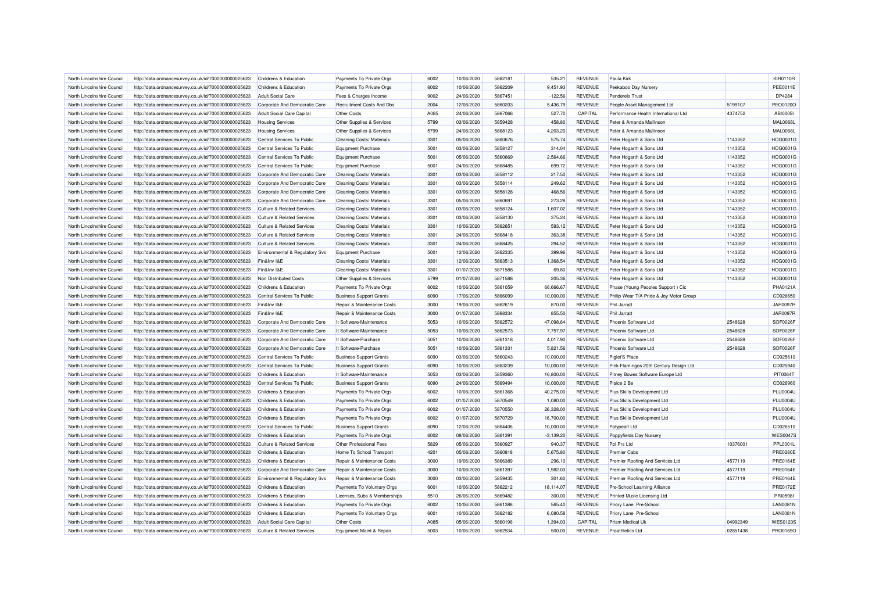| North Lincolnshire Council | http://data.ordnancesurvey.co.uk/id/7000000000025623 | Childrens & Education                 | Payments To Private Orgs         | 6002 | 10/06/2020 | 5862181 | 535.21      | <b>REVENUE</b> | Paula Kirk                              |          | <b>KIR0110R</b> |
|----------------------------|------------------------------------------------------|---------------------------------------|----------------------------------|------|------------|---------|-------------|----------------|-----------------------------------------|----------|-----------------|
| North Lincolnshire Council | http://data.ordnancesurvey.co.uk/id/7000000000025623 | Childrens & Education                 | Payments To Private Orgs         | 6002 | 10/06/2020 | 5862209 | 9,451.93    | <b>REVENUE</b> | Peekaboo Day Nursery                    |          | <b>PEE0011E</b> |
| North Lincolnshire Council | http://data.ordnancesurvey.co.uk/id/7000000000025623 | Adult Social Care                     | Fees & Charges Income            | 9002 | 24/06/2020 | 5867451 | $-122.56$   | <b>REVENUE</b> | <b>Penderels Trust</b>                  |          | DP4284          |
| North Lincolnshire Council | http://data.ordnancesurvey.co.uk/id/7000000000025623 | Corporate And Democratic Core         | <b>Recruitment Costs And Dbs</b> | 2004 | 12/06/2020 | 5860203 | 5,436.79    | <b>REVENUE</b> | People Asset Management Ltd             | 5199107  | PEO0120O        |
| North Lincolnshire Council | http://data.ordnancesurvey.co.uk/id/7000000000025623 | <b>Adult Social Care Capital</b>      | Other Costs                      | A085 | 24/06/2020 | 5867066 | 527.70      | CAPITAL        | Performance Health International Ltd    | 4374752  | <b>ABI00051</b> |
| North Lincolnshire Council |                                                      |                                       |                                  | 5799 | 03/06/2020 | 5859428 | 458.80      | <b>REVENUE</b> | Peter & Amanda Mallinson                |          | <b>MAL0068L</b> |
|                            | http://data.ordnancesurvey.co.uk/id/7000000000025623 | <b>Housing Services</b>               | Other Supplies & Services        |      |            |         |             |                |                                         |          |                 |
| North Lincolnshire Council | http://data.ordnancesurvey.co.uk/id/7000000000025623 | <b>Housing Services</b>               | Other Supplies & Services        | 5799 | 24/06/2020 | 5868123 | 4.203.20    | <b>REVENUE</b> | Peter & Amanda Mallinson                |          | <b>MAL0068L</b> |
| North Lincolnshire Council | http://data.ordnancesurvey.co.uk/id/7000000000025623 | Central Services To Public            | Cleaning Costs/ Materials        | 3301 | 05/06/2020 | 5860676 | 575.74      | <b>REVENUE</b> | Peter Hogarth & Sons Ltd                | 1143352  | HOG0001G        |
| North Lincolnshire Council | http://data.ordnancesurvey.co.uk/id/7000000000025623 | Central Services To Public            | <b>Equipment Purchase</b>        | 5001 | 03/06/2020 | 5858127 | 314.04      | <b>REVENUE</b> | Peter Hogarth & Sons Ltd                | 1143352  | HOG0001G        |
| North Lincolnshire Council | http://data.ordnancesurvey.co.uk/id/7000000000025623 | Central Services To Public            | <b>Equipment Purchase</b>        | 5001 | 05/06/2020 | 5860669 | 2,564.66    | <b>REVENUE</b> | Peter Hogarth & Sons Ltd                | 1143352  | <b>HOG0001G</b> |
| North Lincolnshire Council | http://data.ordnancesurvey.co.uk/id/7000000000025623 | Central Services To Public            | <b>Equipment Purchase</b>        | 5001 | 24/06/2020 | 5868485 | 699.72      | <b>REVENUE</b> | Peter Hogarth & Sons Ltd                | 1143352  | HOG0001G        |
| North Lincolnshire Council | http://data.ordnancesurvey.co.uk/id/7000000000025623 | Corporate And Democratic Core         | <b>Cleaning Costs/ Materials</b> | 3301 | 03/06/2020 | 5858112 | 217.50      | <b>REVENUE</b> | Peter Hogarth & Sons Ltd                | 1143352  | HOG0001G        |
| North Lincolnshire Council | http://data.ordnancesurvey.co.uk/id/7000000000025623 | Corporate And Democratic Core         | Cleaning Costs/ Materials        | 3301 | 03/06/2020 | 5858114 | 249.62      | <b>REVENUE</b> | Peter Hogarth & Sons Ltd                | 1143352  | HOG0001G        |
| North Lincolnshire Council | http://data.ordnancesurvey.co.uk/id/7000000000025623 | Corporate And Democratic Core         | Cleaning Costs/ Materials        | 3301 | 03/06/2020 | 5858128 | 468.56      | <b>REVENUE</b> | Peter Hogarth & Sons Ltd                | 1143352  | HOG0001G        |
| North Lincolnshire Council | http://data.ordnancesurvey.co.uk/id/7000000000025623 | Corporate And Democratic Core         | Cleaning Costs/ Materials        | 3301 | 05/06/2020 | 5860691 | 273.28      | <b>REVENUE</b> | Peter Hogarth & Sons Ltd                | 1143352  | <b>HOG0001G</b> |
| North Lincolnshire Council | http://data.ordnancesurvey.co.uk/id/7000000000025623 | <b>Culture &amp; Related Services</b> | Cleaning Costs/ Materials        | 3301 | 03/06/2020 | 5858124 | 1,607.02    | <b>REVENUE</b> | Peter Hogarth & Sons Ltd                | 1143352  | HOG0001G        |
| North Lincolnshire Council | http://data.ordnancesurvey.co.uk/id/7000000000025623 | <b>Culture &amp; Related Services</b> | Cleaning Costs/ Materials        | 3301 | 03/06/2020 | 5858130 | 375.24      | <b>REVENUE</b> | Peter Hogarth & Sons Ltd                | 1143352  | HOG0001G        |
| North Lincolnshire Council | http://data.ordnancesurvey.co.uk/id/7000000000025623 | <b>Culture &amp; Related Services</b> | Cleaning Costs/ Materials        | 3301 | 10/06/2020 | 5862651 | 583.12      | <b>REVENUE</b> | Peter Hogarth & Sons Ltd                | 1143352  | HOG0001G        |
| North Lincolnshire Council | http://data.ordnancesurvey.co.uk/id/7000000000025623 | <b>Culture &amp; Related Services</b> | Cleaning Costs/ Materials        | 3301 | 24/06/2020 | 5868418 | 363.38      | <b>REVENUE</b> | Peter Hogarth & Sons Ltd                | 1143352  | HOG0001G        |
| North Lincolnshire Council | http://data.ordnancesurvey.co.uk/id/7000000000025623 | <b>Culture &amp; Related Services</b> | <b>Cleaning Costs/ Materials</b> | 3301 | 24/06/2020 | 5868425 | 294.52      | <b>REVENUE</b> | Peter Hogarth & Sons Ltd                | 1143352  | <b>HOG0001G</b> |
| North Lincolnshire Council | http://data.ordnancesurvey.co.uk/id/7000000000025623 | Environmental & Regulatory Svs        | <b>Equipment Purchase</b>        | 5001 | 12/06/2020 | 5862335 | 399.96      | <b>REVENUE</b> | Peter Hogarth & Sons Ltd                | 1143352  | <b>HOG0001G</b> |
| North Lincolnshire Council | http://data.ordnancesurvey.co.uk/id/7000000000025623 | Fin&Inv I&E                           | <b>Cleaning Costs/ Materials</b> | 3301 | 12/06/2020 | 5863513 | 1.368.54    | <b>REVENUE</b> | Peter Hogarth & Sons Ltd                | 1143352  | HOG0001G        |
| North Lincolnshire Council | http://data.ordnancesurvey.co.uk/id/7000000000025623 | Fin&Inv I&E                           | <b>Cleaning Costs/ Materials</b> | 3301 | 01/07/2020 | 5871588 | 69.80       | <b>REVENUE</b> | Peter Hogarth & Sons Ltd                | 1143352  | HOG0001G        |
| North Lincolnshire Council | http://data.ordnancesurvey.co.uk/id/7000000000025623 | Non Distributed Costs                 | Other Supplies & Services        | 5799 | 01/07/2020 | 5871588 | 205.36      | <b>REVENUE</b> | Peter Hogarth & Sons Ltd                | 1143352  | <b>HOG0001G</b> |
| North Lincolnshire Council | http://data.ordnancesurvey.co.uk/id/7000000000025623 | Childrens & Education                 | Payments To Private Orgs         | 6002 | 10/06/2020 | 5861059 | 66,666.67   | <b>REVENUE</b> | Phase (Young Peoples Support) Cic       |          | <b>PHA0121A</b> |
|                            |                                                      |                                       |                                  |      |            |         |             |                |                                         |          |                 |
| North Lincolnshire Council | http://data.ordnancesurvey.co.uk/id/7000000000025623 | Central Services To Public            | <b>Business Support Grants</b>   | 6090 | 17/06/2020 | 5866099 | 10,000.00   | <b>REVENUE</b> | Philip Wear T/A Pride & Joy Motor Group |          | CD026650        |
| North Lincolnshire Council | http://data.ordnancesurvey.co.uk/id/7000000000025623 | Fin&Inv I&E                           | Repair & Maintenance Costs       | 3000 | 19/06/2020 | 5862619 | 870.00      | <b>REVENUE</b> | Phil Jarratt                            |          | <b>JAR0097R</b> |
| North Lincolnshire Council | http://data.ordnancesurvey.co.uk/id/7000000000025623 | Fin&Inv I&E                           | Repair & Maintenance Costs       | 3000 | 01/07/2020 | 5868334 | 855.50      | <b>REVENUE</b> | Phil Jarratt                            |          | <b>JAR0097R</b> |
| North Lincolnshire Council | http://data.ordnancesurvey.co.uk/id/7000000000025623 | Corporate And Democratic Core         | It Software-Maintenance          | 5053 | 10/06/2020 | 5862572 | 47,098.64   | <b>REVENUE</b> | Phoenix Software Ltd                    | 2548628  | SOF0026F        |
| North Lincolnshire Council | http://data.ordnancesurvey.co.uk/id/7000000000025623 | Corporate And Democratic Core         | It Software-Maintenance          | 5053 | 10/06/2020 | 5862573 | 7,757.97    | <b>REVENUE</b> | Phoenix Software Ltd                    | 2548628  | SOF0026F        |
| North Lincolnshire Council | http://data.ordnancesurvey.co.uk/id/7000000000025623 | Corporate And Democratic Core         | It Software-Purchase             | 5051 | 10/06/2020 | 5861318 | 4,017.90    | <b>REVENUE</b> | Phoenix Software Ltd                    | 2548628  | SOF0026F        |
| North Lincolnshire Council | http://data.ordnancesurvey.co.uk/id/7000000000025623 | Corporate And Democratic Core         | It Software-Purchase             | 5051 | 10/06/2020 | 5861331 | 5,821.56    | <b>REVENUE</b> | Phoenix Software Ltd                    | 2548628  | SOF0026F        |
| North Lincolnshire Council | http://data.ordnancesurvey.co.uk/id/7000000000025623 | Central Services To Public            | <b>Business Support Grants</b>   | 6090 | 03/06/2020 | 5860243 | 10,000.00   | <b>REVENUE</b> | Piglet'S Place                          |          | CD025610        |
| North Lincolnshire Council | http://data.ordnancesurvey.co.uk/id/7000000000025623 | Central Services To Public            | <b>Business Support Grants</b>   | 6090 | 10/06/2020 | 5863239 | 10.000.00   | <b>REVENUE</b> | Pink Flamingos 20th Century Design Ltd  |          | CD025940        |
| North Lincolnshire Council | http://data.ordnancesurvey.co.uk/id/7000000000025623 | Childrens & Education                 | It Software-Maintenance          | 5053 | 03/06/2020 | 5859360 | 16,800.00   | <b>REVENUE</b> | Pitney Bowes Software Europe Ltd        |          | PIT0064T        |
| North Lincolnshire Council | http://data.ordnancesurvey.co.uk/id/7000000000025623 | Central Services To Public            | <b>Business Support Grants</b>   | 6090 | 24/06/2020 | 5869494 | 10,000.00   | <b>REVENUE</b> | Plaice 2 Be                             |          | CD026960        |
| North Lincolnshire Council | http://data.ordnancesurvey.co.uk/id/7000000000025623 | Childrens & Education                 | Payments To Private Orgs         | 6002 | 10/06/2020 | 5861368 | 40,275.00   | <b>REVENUE</b> | Plus Skills Development Ltd             |          | <b>PLU0004U</b> |
| North Lincolnshire Council | http://data.ordnancesurvey.co.uk/id/7000000000025623 | Childrens & Education                 | Payments To Private Orgs         | 6002 | 01/07/2020 | 5870549 | 1,080.00    | <b>REVENUE</b> | Plus Skills Development Ltd             |          | <b>PLU0004U</b> |
| North Lincolnshire Council | http://data.ordnancesurvey.co.uk/id/7000000000025623 | Childrens & Education                 | Payments To Private Orgs         | 6002 | 01/07/2020 | 5870550 | 26,328.00   | <b>REVENUE</b> | Plus Skills Development Ltd             |          | <b>PLU0004U</b> |
| North Lincolnshire Council | http://data.ordnancesurvey.co.uk/id/7000000000025623 | <b>Childrens &amp; Education</b>      | Payments To Private Orgs         | 6002 | 01/07/2020 | 5870729 | 16,700.00   | <b>REVENUE</b> | Plus Skills Development Ltd             |          | <b>PLU0004U</b> |
| North Lincolnshire Council | http://data.ordnancesurvey.co.uk/id/7000000000025623 | Central Services To Public            | <b>Business Support Grants</b>   | 6090 | 12/06/2020 | 5864406 | 10,000.00   | <b>REVENUE</b> | Polypearl Ltd                           |          | CD026510        |
| North Lincolnshire Council | http://data.ordnancesurvey.co.uk/id/7000000000025623 | Childrens & Education                 | Payments To Private Orgs         | 6002 | 08/06/2020 | 5861391 | $-3,139.20$ | <b>REVENUE</b> | Poppyfields Day Nursery                 |          | <b>WES0047S</b> |
| North Lincolnshire Council | http://data.ordnancesurvey.co.uk/id/7000000000025623 | <b>Culture &amp; Related Services</b> | Other Professional Fees          | 5829 | 05/06/2020 | 5860927 | 940.37      | <b>REVENUE</b> | Ppl Prs Ltd                             | 10376001 | PPL0001L        |
| North Lincolnshire Council | http://data.ordnancesurvey.co.uk/id/7000000000025623 | Childrens & Education                 | Home To School Transport         | 4201 | 05/06/2020 | 5860818 | 5,675.80    | <b>REVENUE</b> | <b>Premier Cabs</b>                     |          | <b>PRE0280E</b> |
| North Lincolnshire Council | http://data.ordnancesurvey.co.uk/id/7000000000025623 | Childrens & Education                 | Repair & Maintenance Costs       | 3000 | 19/06/2020 | 5866389 | 296.10      | <b>REVENUE</b> | Premier Roofing And Services Ltd        | 4577119  | <b>PRE0164E</b> |
|                            |                                                      |                                       |                                  |      |            |         |             |                |                                         |          |                 |
| North Lincolnshire Council | http://data.ordnancesurvey.co.uk/id/7000000000025623 | Corporate And Democratic Core         | Repair & Maintenance Costs       | 3000 | 10/06/2020 | 5861397 | 1,982.03    | <b>REVENUE</b> | Premier Roofing And Services Ltd        | 4577119  | <b>PRE0164E</b> |
| North Lincolnshire Council | http://data.ordnancesurvey.co.uk/id/7000000000025623 | Environmental & Regulatory Svs        | Repair & Maintenance Costs       | 3000 | 03/06/2020 | 5859435 | 301.60      | <b>REVENUE</b> | Premier Roofing And Services Ltd        | 4577119  | <b>PRE0164E</b> |
| North Lincolnshire Council | http://data.ordnancesurvey.co.uk/id/7000000000025623 | Childrens & Education                 | Payments To Voluntary Orgs       | 6001 | 10/06/2020 | 5862212 | 18,114.07   | <b>REVENUE</b> | Pre-School Learning Alliance            |          | <b>PRE0172E</b> |
| North Lincolnshire Council | http://data.ordnancesurvey.co.uk/id/7000000000025623 | Childrens & Education                 | Licenses, Subs & Memberships     | 5510 | 26/06/2020 | 5869482 | 300.00      | <b>REVENUE</b> | Printed Music Licensing Ltd             |          | <b>PRI05981</b> |
| North Lincolnshire Council | http://data.ordnancesurvey.co.uk/id/7000000000025623 | Childrens & Education                 | Payments To Private Orgs         | 6002 | 10/06/2020 | 5861388 | 565.40      | <b>REVENUE</b> | Priory Lane Pre-School                  |          | <b>LAN0081N</b> |
| North Lincolnshire Council | http://data.ordnancesurvey.co.uk/id/7000000000025623 | Childrens & Education                 | Payments To Voluntary Orgs       | 6001 | 10/06/2020 | 5862182 | 6,080.58    | <b>REVENUE</b> | Priory Lane Pre-School                  |          | <b>LAN0081N</b> |
| North Lincolnshire Council | http://data.ordnancesurvey.co.uk/id/7000000000025623 | Adult Social Care Capital             | Other Costs                      | A085 | 05/06/2020 | 5860196 | 1,394.03    | CAPITAL        | Prism Medical Uk                        | 04992349 | <b>WES0123S</b> |
| North Lincolnshire Council | http://data.ordnancesurvey.co.uk/id/7000000000025623 | <b>Culture &amp; Related Services</b> | Equipment Maint.& Repair         | 5003 | 10/06/2020 | 5862534 | 500.00      | <b>REVENUE</b> | <b>Proathletics Ltd</b>                 | 02851438 | PRO0169C        |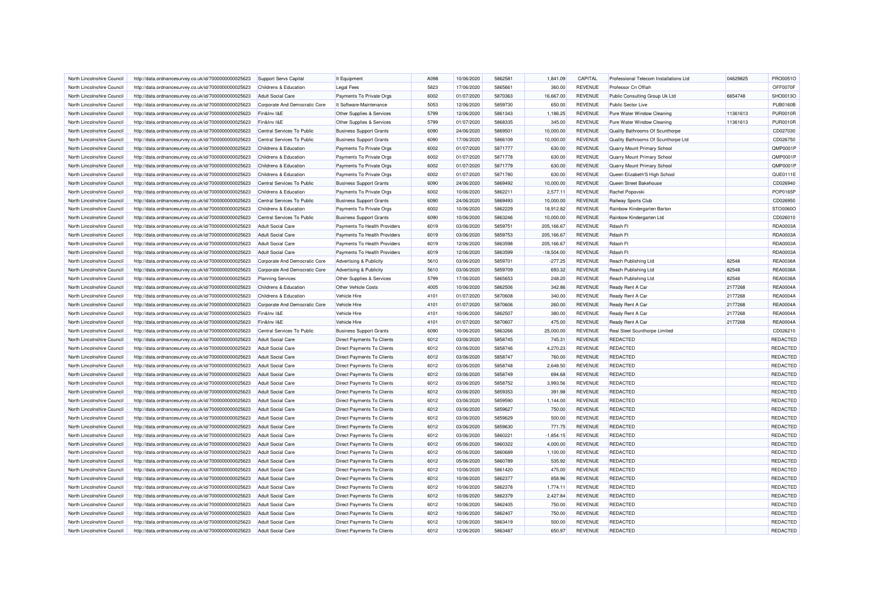| North Lincolnshire Council | http://data.ordnancesurvey.co.uk/id/7000000000025623                                                         | Support Servs Capital            | It Equipment                      | A098 | 10/06/2020 | 5862581 | 1,841.09     | CAPITAL        | Professional Telecom Installations Ltd | 04629825 | PRO0051O        |
|----------------------------|--------------------------------------------------------------------------------------------------------------|----------------------------------|-----------------------------------|------|------------|---------|--------------|----------------|----------------------------------------|----------|-----------------|
| North Lincolnshire Council | http://data.ordnancesurvey.co.uk/id/7000000000025623                                                         | Childrens & Education            | <b>Legal Fees</b>                 | 5823 | 17/06/2020 | 5865661 | 360.00       | <b>REVENUE</b> | Professor Cn Offiah                    |          | OFF0070F        |
| North Lincolnshire Council | http://data.ordnancesurvey.co.uk/id/7000000000025623                                                         | <b>Adult Social Care</b>         | Payments To Private Orgs          | 6002 | 01/07/2020 | 5870363 | 16,667.00    | <b>REVENUE</b> | Public Consulting Group Uk Ltd         | 6654748  | SHO0013O        |
| North Lincolnshire Counci  | http://data.ordnancesurvey.co.uk/id/7000000000025623                                                         | Corporate And Democratic Core    | It Software-Maintenance           | 5053 | 12/06/2020 | 5859730 | 650.00       | <b>REVENUE</b> | Public Sector Live                     |          | <b>PUB0160B</b> |
| North Lincolnshire Council | http://data.ordnancesurvey.co.uk/id/7000000000025623                                                         | Fin&Inv I&E                      | Other Supplies & Services         | 5799 | 12/06/2020 | 5861343 | 1,186.25     | <b>REVENUE</b> | Pure Water Window Cleaning             | 11361613 | <b>PUR0010F</b> |
| North Lincolnshire Council | http://data.ordnancesurvey.co.uk/id/7000000000025623                                                         | Fin&Inv I&E                      | Other Supplies & Services         | 5799 | 01/07/2020 | 5868335 | 345.00       | <b>REVENUE</b> | Pure Water Window Cleaning             | 11361613 | <b>PUR0010F</b> |
| North Lincolnshire Council | http://data.ordnancesurvey.co.uk/id/7000000000025623                                                         | Central Services To Public       | <b>Business Support Grants</b>    | 6090 | 24/06/2020 | 5869501 | 10,000.00    | <b>REVENUE</b> | Quality Bathrooms Of Scunthorpe        |          | CD027030        |
| North Lincolnshire Council | http://data.ordnancesurvey.co.uk/id/7000000000025623                                                         | Central Services To Public       | <b>Business Support Grants</b>    | 6090 | 17/06/2020 | 5866109 | 10,000.00    | <b>REVENUE</b> | Quality Bathrooms Of Scunthorpe Ltd    |          | CD026750        |
| North Lincolnshire Council | http://data.ordnancesurvey.co.uk/id/7000000000025623                                                         | Childrens & Education            | Payments To Private Orgs          | 6002 | 01/07/2020 | 5871777 | 630.00       | <b>REVENUE</b> | Quarry Mount Primary School            |          | QMP0001P        |
| North Lincolnshire Council | http://data.ordnancesurvey.co.uk/id/7000000000025623                                                         | Childrens & Education            | Payments To Private Orgs          | 6002 | 01/07/2020 | 5871778 | 630.00       | <b>REVENUE</b> | Quarry Mount Primary School            |          | QMP0001P        |
| North Lincolnshire Council | http://data.ordnancesurvey.co.uk/id/7000000000025623                                                         | Childrens & Education            | Payments To Private Orgs          | 6002 | 01/07/2020 | 5871779 | 630.00       | <b>REVENUE</b> | Quarry Mount Primary School            |          | QMP0001P        |
| North Lincolnshire Council | http://data.ordnancesurvey.co.uk/id/7000000000025623                                                         | Childrens & Education            | Payments To Private Orgs          | 6002 | 01/07/2020 | 5871780 | 630.00       | <b>REVENUE</b> | Queen Elizabeth'S High School          |          | QUE0111E        |
| North Lincolnshire Council |                                                                                                              | Central Services To Public       |                                   | 6090 | 24/06/2020 | 5869492 | 10,000.00    | <b>REVENUE</b> | Queen Street Bakehouse                 |          | CD026940        |
|                            | http://data.ordnancesurvey.co.uk/id/7000000000025623                                                         |                                  | <b>Business Support Grants</b>    |      |            |         |              |                |                                        |          |                 |
| North Lincolnshire Council | http://data.ordnancesurvey.co.uk/id/7000000000025623                                                         | <b>Childrens &amp; Education</b> | Payments To Private Orgs          | 6002 | 10/06/2020 | 5862211 | 2,577.11     | <b>REVENUE</b> | Rachel Popovski                        |          | <b>POP0165P</b> |
| North Lincolnshire Council | http://data.ordnancesurvey.co.uk/id/7000000000025623                                                         | Central Services To Public       | <b>Business Support Grants</b>    | 6090 | 24/06/2020 | 5869493 | 10,000.00    | <b>REVENUE</b> | Railway Sports Club                    |          | CD026950        |
| North Lincolnshire Council | http://data.ordnancesurvey.co.uk/id/7000000000025623                                                         | <b>Childrens &amp; Education</b> | Payments To Private Orgs          | 6002 | 10/06/2020 | 5862229 | 18,912.82    | <b>REVENUE</b> | Rainbow Kindergarten Barton            |          | STO0060C        |
| North Lincolnshire Council | http://data.ordnancesurvey.co.uk/id/7000000000025623                                                         | Central Services To Public       | <b>Business Support Grants</b>    | 6090 | 10/06/2020 | 5863246 | 10,000.00    | <b>REVENUE</b> | Rainbow Kindergarten Ltd               |          | CD026010        |
| North Lincolnshire Council | http://data.ordnancesurvey.co.uk/id/7000000000025623                                                         | <b>Adult Social Care</b>         | Payments To Health Providers      | 6019 | 03/06/2020 | 5859751 | 205,166.67   | <b>REVENUE</b> | Rdash Ft                               |          | RDA0003A        |
| North Lincolnshire Council | http://data.ordnancesurvey.co.uk/id/7000000000025623                                                         | <b>Adult Social Care</b>         | Payments To Health Providers      | 6019 | 03/06/2020 | 5859753 | 205,166.67   | <b>REVENUE</b> | Rdash Ft                               |          | RDA0003A        |
| North Lincolnshire Counci  | http://data.ordnancesurvey.co.uk/id/7000000000025623                                                         | <b>Adult Social Care</b>         | Payments To Health Providers      | 6019 | 12/06/2020 | 5863598 | 205,166.67   | <b>REVENUE</b> | Rdash Ft                               |          | RDA0003A        |
| North Lincolnshire Council | http://data.ordnancesurvey.co.uk/id/7000000000025623                                                         | <b>Adult Social Care</b>         | Payments To Health Providers      | 6019 | 12/06/2020 | 5863599 | $-18,504.00$ | <b>REVENUE</b> | Rdash Ft                               |          | RDA0003A        |
| North Lincolnshire Council | http://data.ordnancesurvey.co.uk/id/7000000000025623                                                         | Corporate And Democratic Core    | Advertising & Publicity           | 5610 | 03/06/2020 | 5859701 | $-277.25$    | <b>REVENUE</b> | Reach Publishing Ltd                   | 82548    | <b>REA0038A</b> |
| North Lincolnshire Council | http://data.ordnancesurvey.co.uk/id/7000000000025623                                                         | Corporate And Democratic Core    | Advertising & Publicity           | 5610 | 03/06/2020 | 5859709 | 693.32       | <b>REVENUE</b> | Reach Publishing Ltd                   | 82548    | <b>REA0038A</b> |
| North Lincolnshire Council | http://data.ordnancesurvey.co.uk/id/7000000000025623                                                         | <b>Planning Services</b>         | Other Supplies & Services         | 5799 | 17/06/2020 | 5865653 | 248.20       | <b>REVENUE</b> | Reach Publishing Ltd                   | 82548    | <b>REA0038A</b> |
| North Lincolnshire Council | http://data.ordnancesurvey.co.uk/id/7000000000025623                                                         | Childrens & Education            | <b>Other Vehicle Costs</b>        | 4005 | 10/06/2020 | 5862506 | 342.86       | <b>REVENUE</b> | Ready Rent A Car                       | 2177268  | <b>REA0004A</b> |
| North Lincolnshire Council | http://data.ordnancesurvey.co.uk/id/7000000000025623                                                         | Childrens & Education            | Vehicle Hire                      | 4101 | 01/07/2020 | 5870608 | 340.00       | <b>REVENUE</b> | Ready Rent A Car                       | 2177268  | <b>REA0004A</b> |
| North Lincolnshire Council | http://data.ordnancesurvey.co.uk/id/7000000000025623                                                         | Corporate And Democratic Core    | Vehicle Hire                      | 4101 | 01/07/2020 | 5870606 | 260.00       | <b>REVENUE</b> | Ready Rent A Car                       | 2177268  | <b>REA0004A</b> |
| North Lincolnshire Council | http://data.ordnancesurvey.co.uk/id/7000000000025623                                                         | Fin&Inv I&E                      | Vehicle Hire                      | 4101 | 10/06/2020 | 5862507 | 380.00       | <b>REVENUE</b> | Ready Rent A Car                       | 2177268  | <b>REA0004A</b> |
| North Lincolnshire Council | http://data.ordnancesurvey.co.uk/id/7000000000025623                                                         | Fin&Inv I&E                      | Vehicle Hire                      | 4101 | 01/07/2020 | 5870607 | 475.00       | <b>REVENUE</b> | Ready Rent A Car                       | 2177268  | <b>REA0004A</b> |
| North Lincolnshire Council | http://data.ordnancesurvey.co.uk/id/7000000000025623                                                         | Central Services To Public       | <b>Business Support Grants</b>    | 6090 | 10/06/2020 | 5863266 | 25,000.00    | <b>REVENUE</b> | Real Steel Scunthorpe Limited          |          | CD026210        |
| North Lincolnshire Council | http://data.ordnancesurvey.co.uk/id/7000000000025623                                                         | <b>Adult Social Care</b>         | <b>Direct Payments To Clients</b> | 6012 | 03/06/2020 | 5858745 | 745.31       | <b>REVENUE</b> | REDACTED                               |          | REDACTED        |
| North Lincolnshire Council | http://data.ordnancesurvey.co.uk/id/7000000000025623                                                         | <b>Adult Social Care</b>         | Direct Payments To Clients        | 6012 | 03/06/2020 | 5858746 | 4,270.23     | <b>REVENUE</b> | <b>REDACTED</b>                        |          | <b>REDACTED</b> |
| North Lincolnshire Council | http://data.ordnancesurvey.co.uk/id/7000000000025623                                                         | <b>Adult Social Care</b>         | Direct Payments To Clients        | 6012 | 03/06/2020 | 5858747 | 760.00       | <b>REVENUE</b> | REDACTED                               |          | REDACTED        |
| North Lincolnshire Council | http://data.ordnancesurvey.co.uk/id/7000000000025623                                                         | <b>Adult Social Care</b>         | Direct Payments To Clients        | 6012 | 03/06/2020 | 5858748 | 2,648.50     | <b>REVENUE</b> | <b>REDACTED</b>                        |          | REDACTED        |
| North Lincolnshire Council | http://data.ordnancesurvey.co.uk/id/7000000000025623                                                         | <b>Adult Social Care</b>         | Direct Payments To Clients        | 6012 | 03/06/2020 | 5858749 | 694.68       | <b>REVENUE</b> | REDACTED                               |          | REDACTED        |
| North Lincolnshire Council | http://data.ordnancesurvey.co.uk/id/7000000000025623                                                         | <b>Adult Social Care</b>         | <b>Direct Payments To Clients</b> | 6012 | 03/06/2020 | 5858752 | 3.993.56     | <b>REVENUE</b> | REDACTED                               |          | REDACTED        |
| North Lincolnshire Council | http://data.ordnancesurvey.co.uk/id/7000000000025623                                                         | <b>Adult Social Care</b>         | <b>Direct Payments To Clients</b> | 6012 | 03/06/2020 | 5859353 | 391.98       | <b>REVENUE</b> | REDACTED                               |          | REDACTED        |
| North Lincolnshire Council | http://data.ordnancesurvey.co.uk/id/7000000000025623                                                         | Adult Social Care                | <b>Direct Payments To Clients</b> | 6012 | 03/06/2020 | 5859590 | 1.144.00     | <b>REVENUE</b> | REDACTED                               |          | <b>REDACTED</b> |
| North Lincolnshire Council | http://data.ordnancesurvey.co.uk/id/7000000000025623                                                         | <b>Adult Social Care</b>         | <b>Direct Payments To Clients</b> | 6012 | 03/06/2020 | 5859627 | 750.00       | <b>REVENUE</b> | REDACTED                               |          | REDACTED        |
| North Lincolnshire Council | http://data.ordnancesurvey.co.uk/id/7000000000025623                                                         | <b>Adult Social Care</b>         | Direct Payments To Clients        | 6012 | 03/06/2020 | 5859629 | 500.00       | <b>REVENUE</b> | <b>REDACTED</b>                        |          | <b>REDACTED</b> |
| North Lincolnshire Council | http://data.ordnancesurvey.co.uk/id/7000000000025623                                                         | <b>Adult Social Care</b>         | <b>Direct Payments To Clients</b> | 6012 | 03/06/2020 | 5859630 | 771.75       | <b>REVENUE</b> | REDACTED                               |          | REDACTED        |
| North Lincolnshire Council | http://data.ordnancesurvey.co.uk/id/7000000000025623                                                         | <b>Adult Social Care</b>         | Direct Payments To Clients        | 6012 | 03/06/2020 | 5860221 | $-1,854.15$  | <b>REVENUE</b> | <b>REDACTED</b>                        |          | REDACTED        |
| North Lincolnshire Council | http://data.ordnancesurvey.co.uk/id/7000000000025623                                                         | <b>Adult Social Care</b>         | Direct Payments To Clients        | 6012 | 05/06/2020 | 5860322 | 4,000.00     | <b>REVENUE</b> | REDACTED                               |          | REDACTED        |
| North Lincolnshire Council | http://data.ordnancesurvey.co.uk/id/7000000000025623                                                         | <b>Adult Social Care</b>         | Direct Payments To Clients        | 6012 | 05/06/2020 | 5860689 | 1,100.00     | <b>REVENUE</b> | REDACTED                               |          | REDACTED        |
| North Lincolnshire Council | http://data.ordnancesurvey.co.uk/id/7000000000025623                                                         | <b>Adult Social Care</b>         | <b>Direct Payments To Clients</b> | 6012 | 05/06/2020 | 5860789 | 535.92       | <b>REVENUE</b> | <b>REDACTED</b>                        |          | REDACTED        |
| North Lincolnshire Council |                                                                                                              | <b>Adult Social Care</b>         | <b>Direct Payments To Clients</b> | 6012 | 10/06/2020 | 5861420 | 475.00       | <b>REVENUE</b> | REDACTED                               |          | REDACTED        |
| North Lincolnshire Council | http://data.ordnancesurvey.co.uk/id/7000000000025623<br>http://data.ordnancesurvey.co.uk/id/7000000000025623 | <b>Adult Social Care</b>         |                                   | 6012 | 10/06/2020 | 5862377 | 858.96       | <b>REVENUE</b> | REDACTED                               |          | REDACTED        |
| North Lincolnshire Council |                                                                                                              |                                  | Direct Payments To Clients        | 6012 | 10/06/2020 | 5862378 | 1,774.11     | <b>REVENUE</b> | REDACTED                               |          | REDACTED        |
|                            | http://data.ordnancesurvey.co.uk/id/7000000000025623                                                         | <b>Adult Social Care</b>         | Direct Payments To Clients        |      |            |         |              |                |                                        |          |                 |
| North Lincolnshire Council | http://data.ordnancesurvey.co.uk/id/7000000000025623                                                         | <b>Adult Social Care</b>         | Direct Payments To Clients        | 6012 | 10/06/2020 | 5862379 | 2,427.84     | <b>REVENUE</b> | REDACTED                               |          | REDACTED        |
| North Lincolnshire Council | http://data.ordnancesurvey.co.uk/id/7000000000025623                                                         | <b>Adult Social Care</b>         | Direct Payments To Clients        | 6012 | 10/06/2020 | 5862405 | 750.00       | <b>REVENUE</b> | <b>REDACTED</b>                        |          | REDACTED        |
| North Lincolnshire Council | http://data.ordnancesurvey.co.uk/id/7000000000025623                                                         | <b>Adult Social Care</b>         | Direct Payments To Clients        | 6012 | 10/06/2020 | 5862407 | 750.00       | <b>REVENUE</b> | REDACTED                               |          | REDACTED        |
| North Lincolnshire Council | http://data.ordnancesurvey.co.uk/id/7000000000025623                                                         | <b>Adult Social Care</b>         | Direct Payments To Clients        | 6012 | 12/06/2020 | 5863419 | 500.00       | <b>REVENUE</b> | <b>REDACTED</b>                        |          | REDACTED        |
| North Lincolnshire Council | http://data.ordnancesurvey.co.uk/id/7000000000025623                                                         | <b>Adult Social Care</b>         | Direct Payments To Clients        | 6012 | 12/06/2020 | 5863487 | 650.97       | <b>REVENUE</b> | REDACTED                               |          | <b>REDACTED</b> |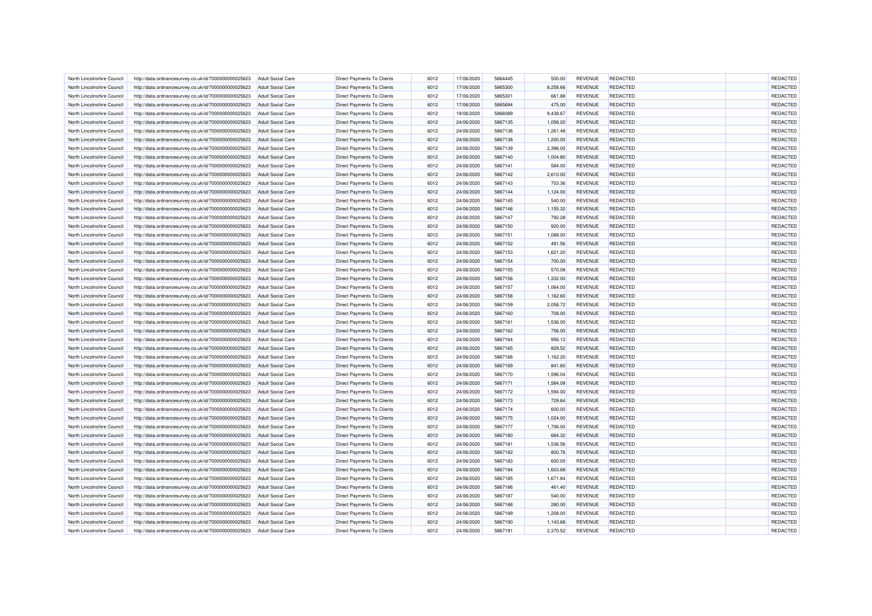| North Lincolnshire Council                              | http://data.ordnancesurvey.co.uk/id/7000000000025623 | <b>Adult Social Care</b>                             | <b>Direct Payments To Clients</b> | 6012 | 17/06/2020               | 5864445            | 500.00               | <b>REVENUE</b> | <b>REDACTED</b>             | REDACTED             |
|---------------------------------------------------------|------------------------------------------------------|------------------------------------------------------|-----------------------------------|------|--------------------------|--------------------|----------------------|----------------|-----------------------------|----------------------|
| North Lincolnshire Council                              | http://data.ordnancesurvey.co.uk/id/7000000000025623 | <b>Adult Social Care</b>                             | <b>Direct Payments To Clients</b> | 6012 | 17/06/2020               | 5865300            | 8,258.66             | <b>REVENUE</b> | <b>REDACTED</b>             | <b>REDACTED</b>      |
| North Lincolnshire Council                              | http://data.ordnancesurvey.co.uk/id/7000000000025623 | <b>Adult Social Care</b>                             | Direct Payments To Clients        | 6012 | 17/06/2020               | 5865301            | 661.88               | <b>REVENUE</b> | <b>REDACTED</b>             | REDACTED             |
|                                                         |                                                      |                                                      |                                   |      |                          |                    |                      |                |                             |                      |
| North Lincolnshire Council                              | http://data.ordnancesurvey.co.uk/id/7000000000025623 | <b>Adult Social Care</b>                             | <b>Direct Payments To Clients</b> | 6012 | 17/06/2020               | 5865694            | 475.00               | <b>REVENUE</b> | REDACTED                    | REDACTED             |
| North Lincolnshire Council                              | http://data.ordnancesurvey.co.uk/id/7000000000025623 | <b>Adult Social Care</b>                             | Direct Payments To Clients        | 6012 | 19/06/2020               | 5866089            | 9,438.67             | <b>REVENUE</b> | <b>REDACTED</b>             | REDACTED             |
| North Lincolnshire Council                              | http://data.ordnancesurvey.co.uk/id/7000000000025623 | <b>Adult Social Care</b>                             | Direct Payments To Clients        | 6012 | 24/06/2020               | 5867135            | 1,058.20             | <b>REVENUE</b> | REDACTED                    | REDACTED             |
| North Lincolnshire Council                              | http://data.ordnancesurvey.co.uk/id/7000000000025623 | <b>Adult Social Care</b>                             | Direct Payments To Clients        | 6012 | 24/06/2020               | 5867136            | 1,261.48             | <b>REVENUE</b> | <b>REDACTED</b>             | REDACTED             |
| North Lincolnshire Council                              | http://data.ordnancesurvey.co.uk/id/7000000000025623 | <b>Adult Social Care</b>                             | Direct Payments To Clients        | 6012 | 24/06/2020               | 5867138            | 1,200.00             | <b>REVENUE</b> | REDACTED                    | REDACTED             |
| North Lincolnshire Council                              | http://data.ordnancesurvey.co.uk/id/7000000000025623 | <b>Adult Social Care</b>                             | <b>Direct Payments To Clients</b> | 6012 | 24/06/2020               | 5867139            | 2,396.00             | <b>REVENUE</b> | REDACTED                    | REDACTED             |
| North Lincolnshire Council                              | http://data.ordnancesurvey.co.uk/id/7000000000025623 | <b>Adult Social Care</b>                             | <b>Direct Payments To Clients</b> | 6012 | 24/06/2020               | 5867140            | 1,004.80             | <b>REVENUE</b> | <b>REDACTED</b>             | <b>REDACTED</b>      |
| North Lincolnshire Council                              | http://data.ordnancesurvey.co.uk/id/7000000000025623 | <b>Adult Social Care</b>                             | Direct Payments To Clients        | 6012 | 24/06/2020               | 5867141            | 584.00               | <b>REVENUE</b> | REDACTED                    | <b>REDACTED</b>      |
| North Lincolnshire Council                              | http://data.ordnancesurvey.co.uk/id/7000000000025623 | <b>Adult Social Care</b>                             | <b>Direct Payments To Clients</b> | 6012 | 24/06/2020               | 5867142            | 2,610.00             | <b>REVENUE</b> | REDACTED                    | REDACTED             |
| North Lincolnshire Council                              | http://data.ordnancesurvey.co.uk/id/7000000000025623 | <b>Adult Social Care</b>                             | Direct Payments To Clients        | 6012 | 24/06/2020               | 5867143            | 703.36               | <b>REVENUE</b> | <b>REDACTED</b>             | <b>REDACTED</b>      |
| North Lincolnshire Council                              | http://data.ordnancesurvey.co.uk/id/7000000000025623 | <b>Adult Social Care</b>                             | Direct Payments To Clients        | 6012 | 24/06/2020               | 5867144            | 1,124.00             | <b>REVENUE</b> | REDACTED                    | REDACTED             |
| North Lincolnshire Council                              | http://data.ordnancesurvey.co.uk/id/7000000000025623 | <b>Adult Social Care</b>                             | Direct Payments To Clients        | 6012 | 24/06/2020               | 5867145            | 540.00               | <b>REVENUE</b> | <b>REDACTED</b>             | REDACTED             |
| North Lincolnshire Council                              | http://data.ordnancesurvey.co.uk/id/7000000000025623 | <b>Adult Social Care</b>                             | Direct Payments To Clients        | 6012 | 24/06/2020               | 5867146            | 1,155.32             | <b>REVENUE</b> | REDACTED                    | REDACTED             |
| North Lincolnshire Council                              | http://data.ordnancesurvey.co.uk/id/7000000000025623 | <b>Adult Social Care</b>                             | <b>Direct Payments To Clients</b> | 6012 | 24/06/2020               | 5867147            | 792.28               | <b>REVENUE</b> | <b>REDACTED</b>             | REDACTED             |
| North Lincolnshire Council                              | http://data.ordnancesurvey.co.uk/id/7000000000025623 | <b>Adult Social Care</b>                             | <b>Direct Payments To Clients</b> | 6012 | 24/06/2020               | 5867150            | 920.00               | <b>REVENUE</b> | <b>REDACTED</b>             | REDACTED             |
| North Lincolnshire Council                              | http://data.ordnancesurvey.co.uk/id/7000000000025623 | <b>Adult Social Care</b>                             | <b>Direct Payments To Clients</b> | 6012 | 24/06/2020               | 5867151            | 1,088.00             | <b>REVENUE</b> | REDACTED                    | <b>REDACTED</b>      |
| North Lincolnshire Council                              | http://data.ordnancesurvey.co.uk/id/7000000000025623 | <b>Adult Social Care</b>                             | <b>Direct Payments To Clients</b> | 6012 | 24/06/2020               | 5867152            | 491.56               | <b>REVENUE</b> | <b>REDACTED</b>             | REDACTED             |
| North Lincolnshire Council                              | http://data.ordnancesurvey.co.uk/id/7000000000025623 | <b>Adult Social Care</b>                             | Direct Payments To Clients        | 6012 | 24/06/2020               | 5867153            | 1,621.20             | <b>REVENUE</b> | <b>REDACTED</b>             | <b>REDACTED</b>      |
| North Lincolnshire Council                              | http://data.ordnancesurvey.co.uk/id/7000000000025623 | <b>Adult Social Care</b>                             | Direct Payments To Clients        | 6012 | 24/06/2020               | 5867154            | 700.00               | <b>REVENUE</b> | REDACTED                    | REDACTED             |
| North Lincolnshire Council                              | http://data.ordnancesurvey.co.uk/id/7000000000025623 | <b>Adult Social Care</b>                             | <b>Direct Payments To Clients</b> | 6012 | 24/06/2020               | 5867155            | 570.08               | <b>REVENUE</b> | REDACTED                    | REDACTED             |
| North Lincolnshire Council                              | http://data.ordnancesurvey.co.uk/id/7000000000025623 | <b>Adult Social Care</b>                             | <b>Direct Payments To Clients</b> | 6012 | 24/06/2020               | 5867156            | 1,332.00             | <b>REVENUE</b> | <b>REDACTED</b>             | REDACTED             |
| North Lincolnshire Council                              | http://data.ordnancesurvey.co.uk/id/7000000000025623 | <b>Adult Social Care</b>                             | <b>Direct Payments To Clients</b> | 6012 | 24/06/2020               | 5867157            | 1,064.00             | <b>REVENUE</b> | REDACTED                    | REDACTED             |
|                                                         |                                                      |                                                      |                                   | 6012 |                          |                    |                      | <b>REVENUE</b> |                             |                      |
| North Lincolnshire Counci<br>North Lincolnshire Council | http://data.ordnancesurvey.co.uk/id/7000000000025623 | <b>Adult Social Care</b><br><b>Adult Social Care</b> | <b>Direct Payments To Clients</b> | 6012 | 24/06/2020<br>24/06/2020 | 5867158<br>5867159 | 1,162.60<br>2,058.72 | <b>REVENUE</b> | REDACTED<br><b>REDACTED</b> | REDACTED<br>REDACTED |
| North Lincolnshire Council                              | http://data.ordnancesurvey.co.uk/id/7000000000025623 |                                                      | Direct Payments To Clients        | 6012 | 24/06/2020               | 5867160            | 708.00               | <b>REVENUE</b> | REDACTED                    | REDACTED             |
|                                                         | http://data.ordnancesurvey.co.uk/id/7000000000025623 | <b>Adult Social Care</b>                             | Direct Payments To Clients        |      |                          |                    |                      |                |                             |                      |
| North Lincolnshire Council                              | http://data.ordnancesurvey.co.uk/id/7000000000025623 | <b>Adult Social Care</b>                             | <b>Direct Payments To Clients</b> | 6012 | 24/06/2020               | 5867161            | 1,536.00             | <b>REVENUE</b> | <b>REDACTED</b>             | REDACTED             |
| North Lincolnshire Council                              | http://data.ordnancesurvey.co.uk/id/7000000000025623 | <b>Adult Social Care</b>                             | Direct Payments To Clients        | 6012 | 24/06/2020               | 5867162            | 756.00               | <b>REVENUE</b> | <b>REDACTED</b>             | REDACTED             |
| North Lincolnshire Council                              | http://data.ordnancesurvey.co.uk/id/7000000000025623 | <b>Adult Social Care</b>                             | <b>Direct Payments To Clients</b> | 6012 | 24/06/2020               | 5867164            | 956.12               | <b>REVENUE</b> | REDACTED                    | REDACTED             |
| North Lincolnshire Council                              | http://data.ordnancesurvey.co.uk/id/7000000000025623 | <b>Adult Social Care</b>                             | Direct Payments To Clients        | 6012 | 24/06/2020               | 5867165            | 829.52               | <b>REVENUE</b> | <b>REDACTED</b>             | REDACTED             |
| North Lincolnshire Council                              | http://data.ordnancesurvey.co.uk/id/7000000000025623 | <b>Adult Social Care</b>                             | Direct Payments To Clients        | 6012 | 24/06/2020               | 5867168            | 1,162.20             | <b>REVENUE</b> | REDACTED                    | REDACTED             |
| North Lincolnshire Council                              | http://data.ordnancesurvey.co.uk/id/7000000000025623 | <b>Adult Social Care</b>                             | Direct Payments To Clients        | 6012 | 24/06/2020               | 5867169            | 841.60               | <b>REVENUE</b> | <b>REDACTED</b>             | REDACTED             |
| North Lincolnshire Council                              | http://data.ordnancesurvey.co.uk/id/7000000000025623 | <b>Adult Social Care</b>                             | Direct Payments To Clients        | 6012 | 24/06/2020               | 5867170            | 1,596.04             | <b>REVENUE</b> | REDACTED                    | REDACTED             |
| North Lincolnshire Council                              | http://data.ordnancesurvey.co.uk/id/7000000000025623 | <b>Adult Social Care</b>                             | <b>Direct Payments To Clients</b> | 6012 | 24/06/2020               | 5867171            | 1.584.08             | <b>REVENUE</b> | REDACTED                    | REDACTED             |
| North Lincolnshire Council                              | http://data.ordnancesurvey.co.uk/id/7000000000025623 | <b>Adult Social Care</b>                             | Direct Payments To Clients        | 6012 | 24/06/2020               | 5867172            | 1,594.00             | <b>REVENUE</b> | <b>REDACTED</b>             | <b>REDACTED</b>      |
| North Lincolnshire Council                              | http://data.ordnancesurvey.co.uk/id/7000000000025623 | <b>Adult Social Care</b>                             | Direct Payments To Clients        | 6012 | 24/06/2020               | 5867173            | 729.64               | <b>REVENUE</b> | REDACTED                    | <b>REDACTED</b>      |
| North Lincolnshire Council                              | http://data.ordnancesurvey.co.uk/id/7000000000025623 | <b>Adult Social Care</b>                             | Direct Payments To Clients        | 6012 | 24/06/2020               | 5867174            | 600.00               | <b>REVENUE</b> | REDACTED                    | REDACTED             |
| North Lincolnshire Council                              | http://data.ordnancesurvey.co.uk/id/7000000000025623 | <b>Adult Social Care</b>                             | Direct Payments To Clients        | 6012 | 24/06/2020               | 5867175            | 1,024.00             | <b>REVENUE</b> | <b>REDACTED</b>             | REDACTED             |
| North Lincolnshire Council                              | http://data.ordnancesurvey.co.uk/id/7000000000025623 | <b>Adult Social Care</b>                             | Direct Payments To Clients        | 6012 | 24/06/2020               | 5867177            | 1,706.00             | <b>REVENUE</b> | REDACTED                    | REDACTED             |
| North Lincolnshire Council                              | http://data.ordnancesurvey.co.uk/id/7000000000025623 | <b>Adult Social Care</b>                             | Direct Payments To Clients        | 6012 | 24/06/2020               | 5867180            | 684.32               | <b>REVENUE</b> | <b>REDACTED</b>             | REDACTED             |
| North Lincolnshire Council                              | http://data.ordnancesurvey.co.uk/id/7000000000025623 | <b>Adult Social Care</b>                             | Direct Payments To Clients        | 6012 | 24/06/2020               | 5867181            | 1,536.56             | <b>REVENUE</b> | REDACTED                    | REDACTED             |
| North Lincolnshire Council                              | http://data.ordnancesurvey.co.uk/id/7000000000025623 | <b>Adult Social Care</b>                             | Direct Payments To Clients        | 6012 | 24/06/2020               | 5867182            | 800.76               | <b>REVENUE</b> | REDACTED                    | REDACTED             |
| North Lincolnshire Council                              | http://data.ordnancesurvey.co.uk/id/7000000000025623 | <b>Adult Social Care</b>                             | <b>Direct Payments To Clients</b> | 6012 | 24/06/2020               | 5867183            | 600.00               | <b>REVENUE</b> | <b>REDACTED</b>             | REDACTED             |
| North Lincolnshire Council                              | http://data.ordnancesurvey.co.uk/id/7000000000025623 | <b>Adult Social Care</b>                             | Direct Payments To Clients        | 6012 | 24/06/2020               | 5867184            | 1,603.68             | <b>REVENUE</b> | REDACTED                    | REDACTED             |
| North Lincolnshire Council                              | http://data.ordnancesurvey.co.uk/id/7000000000025623 | <b>Adult Social Care</b>                             | Direct Payments To Clients        | 6012 | 24/06/2020               | 5867185            | 1,671.84             | <b>REVENUE</b> | REDACTED                    | REDACTED             |
| North Lincolnshire Council                              | http://data.ordnancesurvey.co.uk/id/7000000000025623 | <b>Adult Social Care</b>                             | Direct Payments To Clients        | 6012 | 24/06/2020               | 5867186            | 461.40               | <b>REVENUE</b> | <b>REDACTED</b>             | REDACTED             |
| North Lincolnshire Council                              | http://data.ordnancesurvey.co.uk/id/7000000000025623 | <b>Adult Social Care</b>                             | Direct Payments To Clients        | 6012 | 24/06/2020               | 5867187            | 540.00               | <b>REVENUE</b> | REDACTED                    | REDACTED             |
| North Lincolnshire Council                              | http://data.ordnancesurvey.co.uk/id/7000000000025623 | <b>Adult Social Care</b>                             | Direct Payments To Clients        | 6012 | 24/06/2020               | 5867188            | 280.00               | <b>REVENUE</b> | <b>REDACTED</b>             | REDACTED             |
| North Lincolnshire Council                              | http://data.ordnancesurvey.co.uk/id/7000000000025623 | <b>Adult Social Care</b>                             | Direct Payments To Clients        | 6012 | 24/06/2020               | 5867189            | 1,208.00             | <b>REVENUE</b> | REDACTED                    | REDACTED             |
| North Lincolnshire Council                              | http://data.ordnancesurvey.co.uk/id/7000000000025623 | <b>Adult Social Care</b>                             | Direct Payments To Clients        | 6012 | 24/06/2020               | 5867190            | 1,143.68             | <b>REVENUE</b> | REDACTED                    | <b>REDACTED</b>      |
| North Lincolnshire Council                              | http://data.ordnancesurvey.co.uk/id/7000000000025623 | <b>Adult Social Care</b>                             | Direct Payments To Clients        | 6012 | 24/06/2020               | 5867191            | 2,370.52             | <b>REVENUE</b> | <b>REDACTED</b>             | REDACTED             |
|                                                         |                                                      |                                                      |                                   |      |                          |                    |                      |                |                             |                      |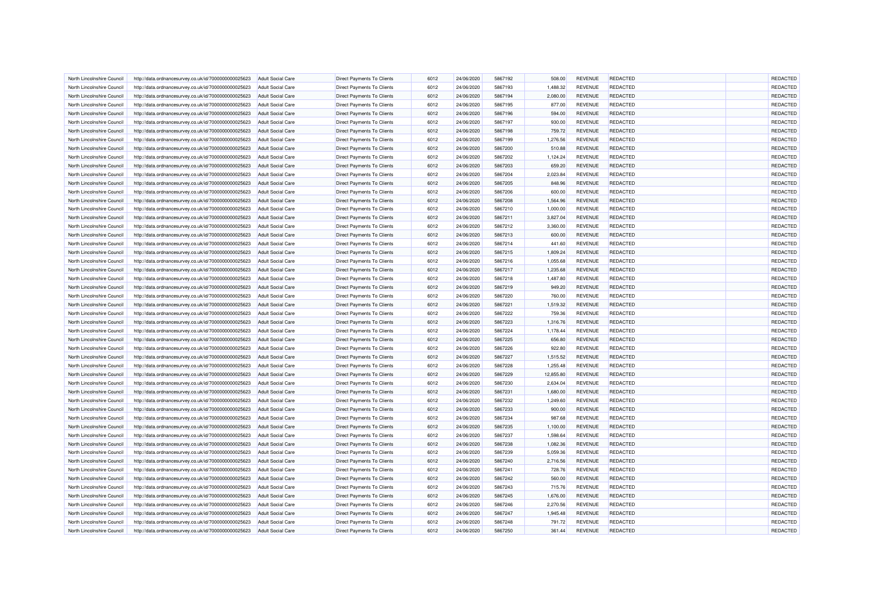| North Lincolnshire Council | http://data.ordnancesurvey.co.uk/id/7000000000025623 | <b>Adult Social Care</b> | <b>Direct Payments To Clients</b> | 6012 | 24/06/2020 | 5867192 | 508.00    | <b>REVENUE</b> | REDACTED        | REDACTED        |
|----------------------------|------------------------------------------------------|--------------------------|-----------------------------------|------|------------|---------|-----------|----------------|-----------------|-----------------|
| North Lincolnshire Council | http://data.ordnancesurvey.co.uk/id/7000000000025623 | <b>Adult Social Care</b> | <b>Direct Payments To Clients</b> | 6012 | 24/06/2020 | 5867193 | 1,488.32  | <b>REVENUE</b> | REDACTED        | <b>REDACTED</b> |
| North Lincolnshire Council | http://data.ordnancesurvey.co.uk/id/7000000000025623 | <b>Adult Social Care</b> | <b>Direct Payments To Clients</b> | 6012 | 24/06/2020 | 5867194 | 2,080.00  | <b>REVENUE</b> | REDACTED        | <b>REDACTED</b> |
| North Lincolnshire Council | http://data.ordnancesurvey.co.uk/id/7000000000025623 | <b>Adult Social Care</b> | <b>Direct Payments To Clients</b> | 6012 | 24/06/2020 | 5867195 | 877.00    | <b>REVENUE</b> | REDACTED        | REDACTED        |
| North Lincolnshire Council | http://data.ordnancesurvey.co.uk/id/7000000000025623 | <b>Adult Social Care</b> | Direct Payments To Clients        | 6012 | 24/06/2020 | 5867196 | 594.00    | <b>REVENUE</b> | <b>REDACTED</b> | REDACTED        |
| North Lincolnshire Council | http://data.ordnancesurvey.co.uk/id/7000000000025623 | <b>Adult Social Care</b> | Direct Payments To Clients        | 6012 | 24/06/2020 | 5867197 | 930.00    | <b>REVENUE</b> | REDACTED        | REDACTED        |
| North Lincolnshire Council | http://data.ordnancesurvey.co.uk/id/7000000000025623 | <b>Adult Social Care</b> | Direct Payments To Clients        | 6012 | 24/06/2020 | 5867198 | 759.72    | <b>REVENUE</b> | <b>REDACTED</b> | REDACTED        |
| North Lincolnshire Council | http://data.ordnancesurvey.co.uk/id/7000000000025623 | <b>Adult Social Care</b> | Direct Payments To Clients        | 6012 | 24/06/2020 | 5867199 | 1,276.56  | <b>REVENUE</b> | REDACTED        | REDACTED        |
| North Lincolnshire Council | http://data.ordnancesurvey.co.uk/id/7000000000025623 | <b>Adult Social Care</b> | <b>Direct Payments To Clients</b> | 6012 | 24/06/2020 | 5867200 | 510.88    | <b>REVENUE</b> | REDACTED        | REDACTED        |
| North Lincolnshire Council | http://data.ordnancesurvey.co.uk/id/7000000000025623 | <b>Adult Social Care</b> | <b>Direct Payments To Clients</b> | 6012 | 24/06/2020 | 5867202 | 1,124.24  | <b>REVENUE</b> | <b>REDACTED</b> | REDACTED        |
| North Lincolnshire Council | http://data.ordnancesurvey.co.uk/id/7000000000025623 | <b>Adult Social Care</b> | <b>Direct Payments To Clients</b> | 6012 | 24/06/2020 | 5867203 | 659.20    | <b>REVENUE</b> | REDACTED        | <b>REDACTED</b> |
| North Lincolnshire Council | http://data.ordnancesurvey.co.uk/id/7000000000025623 | <b>Adult Social Care</b> | <b>Direct Payments To Clients</b> | 6012 | 24/06/2020 | 5867204 | 2,023.84  | <b>REVENUE</b> | REDACTED        | REDACTED        |
| North Lincolnshire Council | http://data.ordnancesurvey.co.uk/id/7000000000025623 | <b>Adult Social Care</b> | Direct Payments To Clients        | 6012 | 24/06/2020 | 5867205 | 848.96    | <b>REVENUE</b> | REDACTED        | REDACTED        |
| North Lincolnshire Council | http://data.ordnancesurvey.co.uk/id/7000000000025623 | <b>Adult Social Care</b> | <b>Direct Payments To Clients</b> | 6012 | 24/06/2020 | 5867206 | 600.00    | <b>REVENUE</b> | REDACTED        | <b>REDACTED</b> |
| North Lincolnshire Council | http://data.ordnancesurvey.co.uk/id/7000000000025623 | <b>Adult Social Care</b> | Direct Payments To Clients        | 6012 | 24/06/2020 | 5867208 | 1,564.96  | <b>REVENUE</b> | <b>REDACTED</b> | REDACTED        |
| North Lincolnshire Council | http://data.ordnancesurvey.co.uk/id/7000000000025623 | <b>Adult Social Care</b> | Direct Payments To Clients        | 6012 | 24/06/2020 | 5867210 | 1,000.00  | <b>REVENUE</b> | REDACTED        | REDACTED        |
| North Lincolnshire Council | http://data.ordnancesurvey.co.uk/id/7000000000025623 | <b>Adult Social Care</b> | Direct Payments To Clients        | 6012 | 24/06/2020 | 5867211 | 3,827.04  | <b>REVENUE</b> | REDACTED        | REDACTED        |
| North Lincolnshire Council | http://data.ordnancesurvey.co.uk/id/7000000000025623 | <b>Adult Social Care</b> | <b>Direct Payments To Clients</b> | 6012 | 24/06/2020 | 5867212 | 3,360.00  | <b>REVENUE</b> | REDACTED        | REDACTED        |
| North Lincolnshire Council | http://data.ordnancesurvey.co.uk/id/7000000000025623 | <b>Adult Social Care</b> | <b>Direct Payments To Clients</b> | 6012 | 24/06/2020 | 5867213 | 600.00    | <b>REVENUE</b> | REDACTED        | REDACTED        |
| North Lincolnshire Council | http://data.ordnancesurvey.co.uk/id/7000000000025623 | <b>Adult Social Care</b> | <b>Direct Payments To Clients</b> | 6012 | 24/06/2020 | 5867214 | 441.60    | <b>REVENUE</b> | REDACTED        | REDACTED        |
| North Lincolnshire Council | http://data.ordnancesurvey.co.uk/id/7000000000025623 | <b>Adult Social Care</b> | Direct Payments To Clients        | 6012 | 24/06/2020 | 5867215 | 1,809.24  | <b>REVENUE</b> | REDACTED        | REDACTED        |
| North Lincolnshire Council | http://data.ordnancesurvey.co.uk/id/7000000000025623 | Adult Social Care        | <b>Direct Payments To Clients</b> | 6012 | 24/06/2020 | 5867216 | 1,055.68  | <b>REVENUE</b> | REDACTED        | <b>REDACTED</b> |
| North Lincolnshire Council | http://data.ordnancesurvey.co.uk/id/7000000000025623 | <b>Adult Social Care</b> | Direct Payments To Clients        | 6012 | 24/06/2020 | 5867217 | 1,235.68  | <b>REVENUE</b> | REDACTED        | REDACTED        |
|                            |                                                      |                          |                                   | 6012 |            | 5867218 |           |                | REDACTED        | REDACTED        |
| North Lincolnshire Council | http://data.ordnancesurvey.co.uk/id/7000000000025623 | <b>Adult Social Care</b> | Direct Payments To Clients        |      | 24/06/2020 |         | 1,487.80  | <b>REVENUE</b> |                 |                 |
| North Lincolnshire Council | http://data.ordnancesurvey.co.uk/id/7000000000025623 | <b>Adult Social Care</b> | Direct Payments To Clients        | 6012 | 24/06/2020 | 5867219 | 949.20    | <b>REVENUE</b> | REDACTED        | REDACTED        |
| North Lincolnshire Council | http://data.ordnancesurvey.co.uk/id/7000000000025623 | <b>Adult Social Care</b> | Direct Payments To Clients        | 6012 | 24/06/2020 | 5867220 | 760.00    | <b>REVENUE</b> | <b>REDACTED</b> | REDACTED        |
| North Lincolnshire Council | http://data.ordnancesurvey.co.uk/id/7000000000025623 | <b>Adult Social Care</b> | <b>Direct Payments To Clients</b> | 6012 | 24/06/2020 | 5867221 | 1,519.32  | <b>REVENUE</b> | REDACTED        | REDACTED        |
| North Lincolnshire Council | http://data.ordnancesurvey.co.uk/id/7000000000025623 | <b>Adult Social Care</b> | <b>Direct Payments To Clients</b> | 6012 | 24/06/2020 | 5867222 | 759.36    | <b>REVENUE</b> | REDACTED        | REDACTED        |
| North Lincolnshire Council | http://data.ordnancesurvey.co.uk/id/7000000000025623 | <b>Adult Social Care</b> | <b>Direct Payments To Clients</b> | 6012 | 24/06/2020 | 5867223 | 1,316.76  | <b>REVENUE</b> | REDACTED        | <b>REDACTED</b> |
| North Lincolnshire Council | http://data.ordnancesurvey.co.uk/id/7000000000025623 | <b>Adult Social Care</b> | Direct Payments To Clients        | 6012 | 24/06/2020 | 5867224 | 1,178.44  | <b>REVENUE</b> | REDACTED        | <b>REDACTED</b> |
| North Lincolnshire Council | http://data.ordnancesurvey.co.uk/id/7000000000025623 | <b>Adult Social Care</b> | <b>Direct Payments To Clients</b> | 6012 | 24/06/2020 | 5867225 | 656.80    | <b>REVENUE</b> | REDACTED        | REDACTED        |
| North Lincolnshire Council | http://data.ordnancesurvey.co.uk/id/7000000000025623 | <b>Adult Social Care</b> | Direct Payments To Clients        | 6012 | 24/06/2020 | 5867226 | 922.80    | <b>REVENUE</b> | <b>REDACTED</b> | REDACTED        |
| North Lincolnshire Council | http://data.ordnancesurvey.co.uk/id/7000000000025623 | <b>Adult Social Care</b> | Direct Payments To Clients        | 6012 | 24/06/2020 | 5867227 | 1,515.52  | <b>REVENUE</b> | REDACTED        | REDACTED        |
| North Lincolnshire Council | http://data.ordnancesurvey.co.uk/id/7000000000025623 | <b>Adult Social Care</b> | Direct Payments To Clients        | 6012 | 24/06/2020 | 5867228 | 1,255.48  | <b>REVENUE</b> | <b>REDACTED</b> | REDACTED        |
| North Lincolnshire Council | http://data.ordnancesurvey.co.uk/id/7000000000025623 | <b>Adult Social Care</b> | Direct Payments To Clients        | 6012 | 24/06/2020 | 5867229 | 12,855.80 | <b>REVENUE</b> | REDACTED        | REDACTED        |
| North Lincolnshire Council | http://data.ordnancesurvey.co.uk/id/7000000000025623 | <b>Adult Social Care</b> | <b>Direct Payments To Clients</b> | 6012 | 24/06/2020 | 5867230 | 2,634.04  | <b>REVENUE</b> | REDACTED        | REDACTED        |
| North Lincolnshire Council | http://data.ordnancesurvey.co.uk/id/7000000000025623 | <b>Adult Social Care</b> | <b>Direct Payments To Clients</b> | 6012 | 24/06/2020 | 5867231 | 1,680.00  | <b>REVENUE</b> | <b>REDACTED</b> | REDACTED        |
| North Lincolnshire Council | http://data.ordnancesurvey.co.uk/id/7000000000025623 | <b>Adult Social Care</b> | <b>Direct Payments To Clients</b> | 6012 | 24/06/2020 | 5867232 | 1,249.60  | <b>REVENUE</b> | REDACTED        | <b>REDACTED</b> |
| North Lincolnshire Council | http://data.ordnancesurvey.co.uk/id/7000000000025623 | <b>Adult Social Care</b> | <b>Direct Payments To Clients</b> | 6012 | 24/06/2020 | 5867233 | 900.00    | <b>REVENUE</b> | REDACTED        | REDACTED        |
| North Lincolnshire Council | http://data.ordnancesurvey.co.uk/id/7000000000025623 | <b>Adult Social Care</b> | Direct Payments To Clients        | 6012 | 24/06/2020 | 5867234 | 987.68    | <b>REVENUE</b> | REDACTED        | <b>REDACTED</b> |
| North Lincolnshire Council | http://data.ordnancesurvey.co.uk/id/7000000000025623 | <b>Adult Social Care</b> | <b>Direct Payments To Clients</b> | 6012 | 24/06/2020 | 5867235 | 1,100.00  | <b>REVENUE</b> | REDACTED        | REDACTED        |
| North Lincolnshire Council | http://data.ordnancesurvey.co.uk/id/7000000000025623 | <b>Adult Social Care</b> | Direct Payments To Clients        | 6012 | 24/06/2020 | 5867237 | 1,598.64  | <b>REVENUE</b> | <b>REDACTED</b> | REDACTED        |
| North Lincolnshire Council | http://data.ordnancesurvey.co.uk/id/7000000000025623 | <b>Adult Social Care</b> | Direct Payments To Clients        | 6012 | 24/06/2020 | 5867238 | 1,082.36  | <b>REVENUE</b> | REDACTED        | REDACTED        |
| North Lincolnshire Council | http://data.ordnancesurvey.co.uk/id/7000000000025623 | <b>Adult Social Care</b> | Direct Payments To Clients        | 6012 | 24/06/2020 | 5867239 | 5,059.36  | <b>REVENUE</b> | REDACTED        | REDACTED        |
| North Lincolnshire Council | http://data.ordnancesurvey.co.uk/id/7000000000025623 | <b>Adult Social Care</b> | <b>Direct Payments To Clients</b> | 6012 | 24/06/2020 | 5867240 | 2,716.56  | <b>REVENUE</b> | REDACTED        | REDACTED        |
| North Lincolnshire Council | http://data.ordnancesurvey.co.uk/id/7000000000025623 | <b>Adult Social Care</b> | <b>Direct Payments To Clients</b> | 6012 | 24/06/2020 | 5867241 | 728.76    | <b>REVENUE</b> | REDACTED        | <b>REDACTED</b> |
| North Lincolnshire Council | http://data.ordnancesurvey.co.uk/id/7000000000025623 | <b>Adult Social Care</b> | <b>Direct Payments To Clients</b> | 6012 | 24/06/2020 | 5867242 | 560.00    | <b>REVENUE</b> | REDACTED        | REDACTED        |
| North Lincolnshire Council | http://data.ordnancesurvey.co.uk/id/7000000000025623 | <b>Adult Social Care</b> | Direct Payments To Clients        | 6012 | 24/06/2020 | 5867243 | 715.76    | <b>REVENUE</b> | REDACTED        | <b>REDACTED</b> |
| North Lincolnshire Council | http://data.ordnancesurvey.co.uk/id/7000000000025623 | <b>Adult Social Care</b> | <b>Direct Payments To Clients</b> | 6012 | 24/06/2020 | 5867245 | 1,676.00  | <b>REVENUE</b> | REDACTED        | REDACTED        |
| North Lincolnshire Council | http://data.ordnancesurvey.co.uk/id/7000000000025623 | <b>Adult Social Care</b> | Direct Payments To Clients        | 6012 | 24/06/2020 | 5867246 | 2,270.56  | <b>REVENUE</b> | REDACTED        | REDACTED        |
| North Lincolnshire Council | http://data.ordnancesurvey.co.uk/id/7000000000025623 | <b>Adult Social Care</b> | Direct Payments To Clients        | 6012 | 24/06/2020 | 5867247 | 1,945.48  | <b>REVENUE</b> | REDACTED        | REDACTED        |
| North Lincolnshire Council | http://data.ordnancesurvey.co.uk/id/7000000000025623 | <b>Adult Social Care</b> | Direct Payments To Clients        | 6012 | 24/06/2020 | 5867248 | 791.72    | <b>REVENUE</b> | REDACTED        | REDACTED        |
| North Lincolnshire Council | http://data.ordnancesurvey.co.uk/id/7000000000025623 | <b>Adult Social Care</b> | Direct Payments To Clients        | 6012 | 24/06/2020 | 5867250 | 361.44    | <b>REVENUE</b> | REDACTED        | REDACTED        |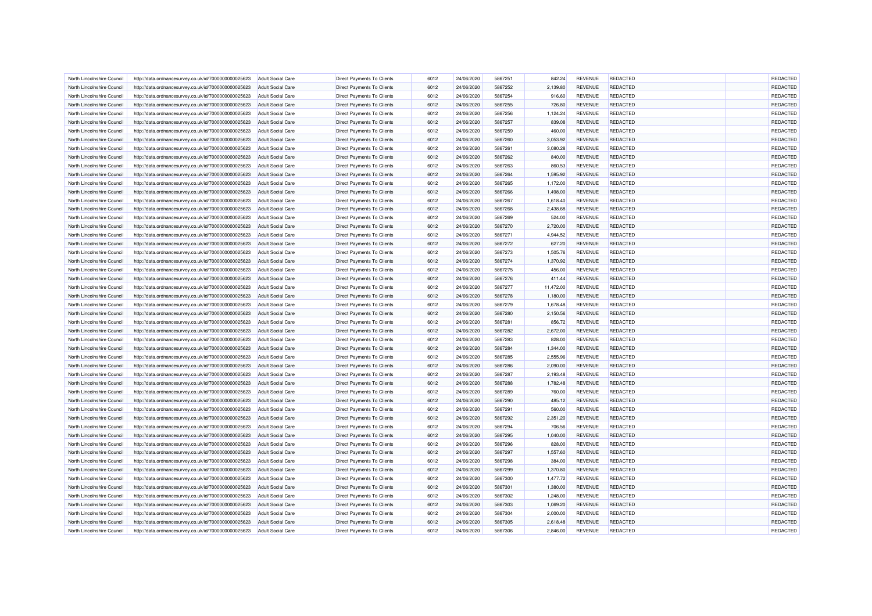| North Lincolnshire Council | http://data.ordnancesurvey.co.uk/id/7000000000025623 | <b>Adult Social Care</b> | <b>Direct Payments To Clients</b> | 6012 | 24/06/2020 | 5867251 | 842.24    | <b>REVENUE</b> | REDACTED        | REDACTED        |
|----------------------------|------------------------------------------------------|--------------------------|-----------------------------------|------|------------|---------|-----------|----------------|-----------------|-----------------|
| North Lincolnshire Council | http://data.ordnancesurvey.co.uk/id/7000000000025623 | <b>Adult Social Care</b> | <b>Direct Payments To Clients</b> | 6012 | 24/06/2020 | 5867252 | 2,139.80  | <b>REVENUE</b> | REDACTED        | <b>REDACTED</b> |
| North Lincolnshire Council | http://data.ordnancesurvey.co.uk/id/7000000000025623 | <b>Adult Social Care</b> | <b>Direct Payments To Clients</b> | 6012 | 24/06/2020 | 5867254 | 916.60    | <b>REVENUE</b> | REDACTED        | REDACTED        |
| North Lincolnshire Council | http://data.ordnancesurvey.co.uk/id/7000000000025623 | <b>Adult Social Care</b> | <b>Direct Payments To Clients</b> | 6012 | 24/06/2020 | 5867255 | 726.80    | <b>REVENUE</b> | REDACTED        | REDACTED        |
| North Lincolnshire Council | http://data.ordnancesurvey.co.uk/id/7000000000025623 | <b>Adult Social Care</b> | Direct Payments To Clients        | 6012 | 24/06/2020 | 5867256 | 1,124.24  | <b>REVENUE</b> | <b>REDACTED</b> | REDACTED        |
| North Lincolnshire Council | http://data.ordnancesurvey.co.uk/id/7000000000025623 | <b>Adult Social Care</b> | Direct Payments To Clients        | 6012 | 24/06/2020 | 5867257 | 839.08    | <b>REVENUE</b> | REDACTED        | REDACTED        |
| North Lincolnshire Council | http://data.ordnancesurvey.co.uk/id/7000000000025623 | <b>Adult Social Care</b> | Direct Payments To Clients        | 6012 | 24/06/2020 | 5867259 | 460.00    | <b>REVENUE</b> | <b>REDACTED</b> | REDACTED        |
| North Lincolnshire Council | http://data.ordnancesurvey.co.uk/id/7000000000025623 | <b>Adult Social Care</b> | Direct Payments To Clients        | 6012 | 24/06/2020 | 5867260 | 3,053.92  | <b>REVENUE</b> | REDACTED        | REDACTED        |
| North Lincolnshire Council | http://data.ordnancesurvey.co.uk/id/7000000000025623 | <b>Adult Social Care</b> | <b>Direct Payments To Clients</b> | 6012 | 24/06/2020 | 5867261 | 3,080.28  | <b>REVENUE</b> | REDACTED        | REDACTED        |
| North Lincolnshire Council | http://data.ordnancesurvey.co.uk/id/7000000000025623 | <b>Adult Social Care</b> | <b>Direct Payments To Clients</b> | 6012 | 24/06/2020 | 5867262 | 840.00    | <b>REVENUE</b> | <b>REDACTED</b> | REDACTED        |
| North Lincolnshire Council | http://data.ordnancesurvey.co.uk/id/7000000000025623 | <b>Adult Social Care</b> | <b>Direct Payments To Clients</b> | 6012 | 24/06/2020 | 5867263 | 860.53    | <b>REVENUE</b> | REDACTED        | REDACTED        |
| North Lincolnshire Council | http://data.ordnancesurvey.co.uk/id/7000000000025623 | <b>Adult Social Care</b> | <b>Direct Payments To Clients</b> | 6012 | 24/06/2020 | 5867264 | 1,595.92  | <b>REVENUE</b> | REDACTED        | REDACTED        |
| North Lincolnshire Council | http://data.ordnancesurvey.co.uk/id/7000000000025623 | <b>Adult Social Care</b> | Direct Payments To Clients        | 6012 | 24/06/2020 | 5867265 | 1,172.00  | <b>REVENUE</b> | REDACTED        | REDACTED        |
| North Lincolnshire Council | http://data.ordnancesurvey.co.uk/id/7000000000025623 | <b>Adult Social Care</b> | <b>Direct Payments To Clients</b> | 6012 | 24/06/2020 | 5867266 | 1,498.00  | <b>REVENUE</b> | REDACTED        | REDACTED        |
| North Lincolnshire Council | http://data.ordnancesurvey.co.uk/id/7000000000025623 | <b>Adult Social Care</b> | Direct Payments To Clients        | 6012 | 24/06/2020 | 5867267 | 1,618.40  | <b>REVENUE</b> | <b>REDACTED</b> | REDACTED        |
| North Lincolnshire Council | http://data.ordnancesurvey.co.uk/id/7000000000025623 | <b>Adult Social Care</b> | Direct Payments To Clients        | 6012 | 24/06/2020 | 5867268 | 2,438.68  | <b>REVENUE</b> | REDACTED        | REDACTED        |
| North Lincolnshire Council | http://data.ordnancesurvey.co.uk/id/7000000000025623 | <b>Adult Social Care</b> | Direct Payments To Clients        | 6012 | 24/06/2020 | 5867269 | 524.00    | <b>REVENUE</b> | REDACTED        | REDACTED        |
| North Lincolnshire Council | http://data.ordnancesurvey.co.uk/id/7000000000025623 | <b>Adult Social Care</b> | <b>Direct Payments To Clients</b> | 6012 | 24/06/2020 | 5867270 | 2,720.00  | <b>REVENUE</b> | <b>REDACTED</b> | REDACTED        |
| North Lincolnshire Council | http://data.ordnancesurvey.co.uk/id/7000000000025623 | <b>Adult Social Care</b> | <b>Direct Payments To Clients</b> | 6012 | 24/06/2020 | 5867271 | 4,944.52  | <b>REVENUE</b> | REDACTED        | <b>REDACTED</b> |
| North Lincolnshire Council | http://data.ordnancesurvey.co.uk/id/7000000000025623 | <b>Adult Social Care</b> | <b>Direct Payments To Clients</b> | 6012 | 24/06/2020 | 5867272 | 627.20    | <b>REVENUE</b> | REDACTED        | REDACTED        |
| North Lincolnshire Council | http://data.ordnancesurvey.co.uk/id/7000000000025623 | <b>Adult Social Care</b> | Direct Payments To Clients        | 6012 | 24/06/2020 | 5867273 | 1,505.76  | <b>REVENUE</b> | REDACTED        | <b>REDACTED</b> |
| North Lincolnshire Council | http://data.ordnancesurvey.co.uk/id/7000000000025623 | Adult Social Care        | <b>Direct Payments To Clients</b> | 6012 | 24/06/2020 | 5867274 | 1,370.92  | <b>REVENUE</b> | REDACTED        | REDACTED        |
| North Lincolnshire Council | http://data.ordnancesurvey.co.uk/id/7000000000025623 | <b>Adult Social Care</b> | Direct Payments To Clients        | 6012 | 24/06/2020 | 5867275 | 456.00    | <b>REVENUE</b> | REDACTED        | REDACTED        |
| North Lincolnshire Council | http://data.ordnancesurvey.co.uk/id/7000000000025623 | <b>Adult Social Care</b> | Direct Payments To Clients        | 6012 | 24/06/2020 | 5867276 | 411.44    | <b>REVENUE</b> | REDACTED        | REDACTED        |
| North Lincolnshire Council | http://data.ordnancesurvey.co.uk/id/7000000000025623 | <b>Adult Social Care</b> | Direct Payments To Clients        | 6012 | 24/06/2020 | 5867277 | 11,472.00 | <b>REVENUE</b> | REDACTED        | REDACTED        |
| North Lincolnshire Council | http://data.ordnancesurvey.co.uk/id/7000000000025623 | <b>Adult Social Care</b> | Direct Payments To Clients        | 6012 | 24/06/2020 | 5867278 | 1,180.00  | <b>REVENUE</b> | <b>REDACTED</b> | REDACTED        |
| North Lincolnshire Council | http://data.ordnancesurvey.co.uk/id/7000000000025623 | <b>Adult Social Care</b> | <b>Direct Payments To Clients</b> | 6012 | 24/06/2020 | 5867279 | 1,678.48  | <b>REVENUE</b> | REDACTED        | REDACTED        |
| North Lincolnshire Council | http://data.ordnancesurvey.co.uk/id/7000000000025623 | <b>Adult Social Care</b> | <b>Direct Payments To Clients</b> | 6012 | 24/06/2020 | 5867280 | 2,150.56  | <b>REVENUE</b> | REDACTED        | REDACTED        |
| North Lincolnshire Council | http://data.ordnancesurvey.co.uk/id/7000000000025623 | <b>Adult Social Care</b> | <b>Direct Payments To Clients</b> | 6012 | 24/06/2020 | 5867281 | 856.72    | <b>REVENUE</b> | REDACTED        | REDACTED        |
| North Lincolnshire Council | http://data.ordnancesurvey.co.uk/id/7000000000025623 | <b>Adult Social Care</b> | Direct Payments To Clients        | 6012 | 24/06/2020 | 5867282 | 2,672.00  | <b>REVENUE</b> | REDACTED        | REDACTED        |
| North Lincolnshire Council | http://data.ordnancesurvey.co.uk/id/7000000000025623 | <b>Adult Social Care</b> | <b>Direct Payments To Clients</b> | 6012 | 24/06/2020 | 5867283 | 828.00    | <b>REVENUE</b> | REDACTED        | REDACTED        |
| North Lincolnshire Council | http://data.ordnancesurvey.co.uk/id/7000000000025623 | <b>Adult Social Care</b> | Direct Payments To Clients        | 6012 | 24/06/2020 | 5867284 | 1,344.00  | <b>REVENUE</b> | <b>REDACTED</b> | REDACTED        |
| North Lincolnshire Council | http://data.ordnancesurvey.co.uk/id/7000000000025623 | <b>Adult Social Care</b> | Direct Payments To Clients        | 6012 | 24/06/2020 | 5867285 | 2,555.96  | <b>REVENUE</b> | REDACTED        | REDACTED        |
| North Lincolnshire Council | http://data.ordnancesurvey.co.uk/id/7000000000025623 | <b>Adult Social Care</b> | Direct Payments To Clients        | 6012 | 24/06/2020 | 5867286 | 2,090.00  | <b>REVENUE</b> | <b>REDACTED</b> | REDACTED        |
| North Lincolnshire Council | http://data.ordnancesurvey.co.uk/id/7000000000025623 | <b>Adult Social Care</b> | Direct Payments To Clients        | 6012 | 24/06/2020 | 5867287 | 2,193.48  | <b>REVENUE</b> | REDACTED        | REDACTED        |
| North Lincolnshire Council | http://data.ordnancesurvey.co.uk/id/7000000000025623 | <b>Adult Social Care</b> | <b>Direct Payments To Clients</b> | 6012 | 24/06/2020 | 5867288 | 1,782.48  | <b>REVENUE</b> | REDACTED        | REDACTED        |
| North Lincolnshire Council | http://data.ordnancesurvey.co.uk/id/7000000000025623 | <b>Adult Social Care</b> | <b>Direct Payments To Clients</b> | 6012 | 24/06/2020 | 5867289 | 760.00    | <b>REVENUE</b> | REDACTED        | REDACTED        |
| North Lincolnshire Council | http://data.ordnancesurvey.co.uk/id/7000000000025623 | <b>Adult Social Care</b> | <b>Direct Payments To Clients</b> | 6012 | 24/06/2020 | 5867290 | 485.12    | <b>REVENUE</b> | REDACTED        | REDACTED        |
| North Lincolnshire Council | http://data.ordnancesurvey.co.uk/id/7000000000025623 | <b>Adult Social Care</b> | <b>Direct Payments To Clients</b> | 6012 | 24/06/2020 | 5867291 | 560.00    | <b>REVENUE</b> | REDACTED        | REDACTED        |
| North Lincolnshire Council | http://data.ordnancesurvey.co.uk/id/7000000000025623 | <b>Adult Social Care</b> | Direct Payments To Clients        | 6012 | 24/06/2020 | 5867292 | 2,351.20  | <b>REVENUE</b> | REDACTED        | REDACTED        |
| North Lincolnshire Council | http://data.ordnancesurvey.co.uk/id/7000000000025623 | <b>Adult Social Care</b> | <b>Direct Payments To Clients</b> | 6012 | 24/06/2020 | 5867294 | 706.56    | <b>REVENUE</b> | REDACTED        | REDACTED        |
| North Lincolnshire Council | http://data.ordnancesurvey.co.uk/id/7000000000025623 | <b>Adult Social Care</b> | Direct Payments To Clients        | 6012 | 24/06/2020 | 5867295 | 1,040.00  | <b>REVENUE</b> | <b>REDACTED</b> | REDACTED        |
| North Lincolnshire Council | http://data.ordnancesurvey.co.uk/id/7000000000025623 | <b>Adult Social Care</b> | Direct Payments To Clients        | 6012 | 24/06/2020 | 5867296 | 828.00    | <b>REVENUE</b> | REDACTED        | REDACTED        |
| North Lincolnshire Council | http://data.ordnancesurvey.co.uk/id/7000000000025623 | <b>Adult Social Care</b> | Direct Payments To Clients        | 6012 | 24/06/2020 | 5867297 | 1,557.60  | <b>REVENUE</b> | REDACTED        | REDACTED        |
| North Lincolnshire Council | http://data.ordnancesurvey.co.uk/id/7000000000025623 | <b>Adult Social Care</b> | <b>Direct Payments To Clients</b> | 6012 | 24/06/2020 | 5867298 | 384.00    | <b>REVENUE</b> | REDACTED        | REDACTED        |
| North Lincolnshire Council | http://data.ordnancesurvey.co.uk/id/7000000000025623 | <b>Adult Social Care</b> | <b>Direct Payments To Clients</b> | 6012 | 24/06/2020 | 5867299 | 1,370.80  | <b>REVENUE</b> | REDACTED        | <b>REDACTED</b> |
| North Lincolnshire Council | http://data.ordnancesurvey.co.uk/id/7000000000025623 | <b>Adult Social Care</b> | <b>Direct Payments To Clients</b> | 6012 | 24/06/2020 | 5867300 | 1,477.72  | <b>REVENUE</b> | REDACTED        | REDACTED        |
| North Lincolnshire Council | http://data.ordnancesurvey.co.uk/id/7000000000025623 | <b>Adult Social Care</b> | Direct Payments To Clients        | 6012 | 24/06/2020 | 5867301 | 1,380.00  | <b>REVENUE</b> | REDACTED        | REDACTED        |
| North Lincolnshire Council | http://data.ordnancesurvey.co.uk/id/7000000000025623 | <b>Adult Social Care</b> | <b>Direct Payments To Clients</b> | 6012 | 24/06/2020 | 5867302 | 1,248.00  | <b>REVENUE</b> | REDACTED        | REDACTED        |
| North Lincolnshire Council | http://data.ordnancesurvey.co.uk/id/7000000000025623 | <b>Adult Social Care</b> | Direct Payments To Clients        | 6012 | 24/06/2020 | 5867303 | 1,069.20  | <b>REVENUE</b> | <b>REDACTED</b> | REDACTED        |
| North Lincolnshire Council | http://data.ordnancesurvey.co.uk/id/7000000000025623 | <b>Adult Social Care</b> | Direct Payments To Clients        | 6012 | 24/06/2020 | 5867304 | 2,000.00  | <b>REVENUE</b> | REDACTED        | REDACTED        |
| North Lincolnshire Council | http://data.ordnancesurvey.co.uk/id/7000000000025623 | <b>Adult Social Care</b> | Direct Payments To Clients        | 6012 | 24/06/2020 | 5867305 | 2,618.48  | <b>REVENUE</b> | REDACTED        | REDACTED        |
| North Lincolnshire Council | http://data.ordnancesurvey.co.uk/id/7000000000025623 | <b>Adult Social Care</b> | Direct Payments To Clients        | 6012 | 24/06/2020 | 5867306 | 2,846.00  | <b>REVENUE</b> | <b>REDACTED</b> | REDACTED        |
|                            |                                                      |                          |                                   |      |            |         |           |                |                 |                 |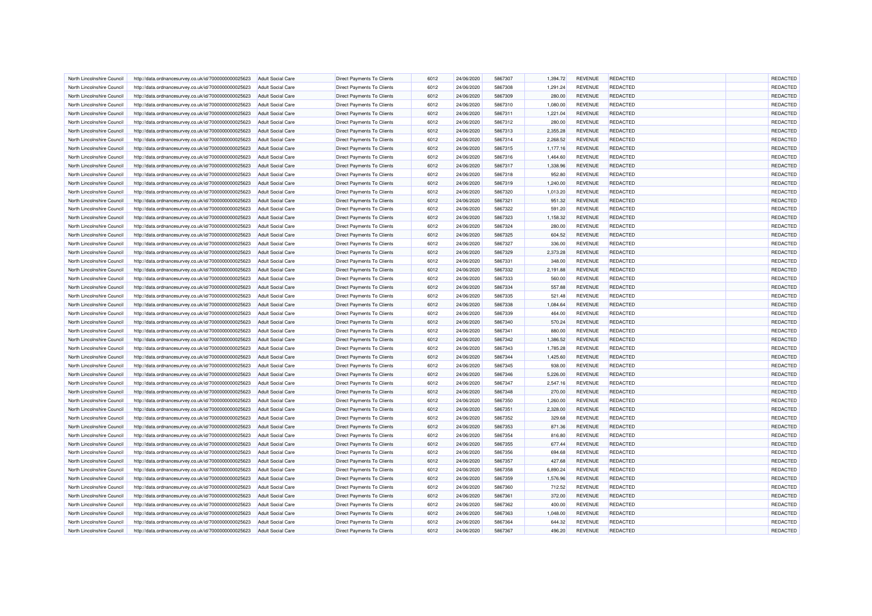| North Lincolnshire Council | http://data.ordnancesurvey.co.uk/id/7000000000025623 | <b>Adult Social Care</b> | <b>Direct Payments To Clients</b> | 6012 | 24/06/2020 | 5867307 | 1.394.72 | <b>REVENUE</b> | REDACTED        | REDACTED        |
|----------------------------|------------------------------------------------------|--------------------------|-----------------------------------|------|------------|---------|----------|----------------|-----------------|-----------------|
| North Lincolnshire Council | http://data.ordnancesurvey.co.uk/id/7000000000025623 | <b>Adult Social Care</b> | <b>Direct Payments To Clients</b> | 6012 | 24/06/2020 | 5867308 | 1,291.24 | <b>REVENUE</b> | REDACTED        | <b>REDACTED</b> |
| North Lincolnshire Council | http://data.ordnancesurvey.co.uk/id/7000000000025623 | <b>Adult Social Care</b> | <b>Direct Payments To Clients</b> | 6012 | 24/06/2020 | 5867309 | 280.00   | <b>REVENUE</b> | REDACTED        | <b>REDACTED</b> |
| North Lincolnshire Council | http://data.ordnancesurvey.co.uk/id/7000000000025623 | <b>Adult Social Care</b> | <b>Direct Payments To Clients</b> | 6012 | 24/06/2020 | 5867310 | 1,080.00 | <b>REVENUE</b> | REDACTED        | REDACTED        |
| North Lincolnshire Council | http://data.ordnancesurvey.co.uk/id/7000000000025623 | <b>Adult Social Care</b> | Direct Payments To Clients        | 6012 | 24/06/2020 | 5867311 | 1,221.04 | <b>REVENUE</b> | <b>REDACTED</b> | REDACTED        |
| North Lincolnshire Council | http://data.ordnancesurvey.co.uk/id/7000000000025623 | <b>Adult Social Care</b> | Direct Payments To Clients        | 6012 | 24/06/2020 | 5867312 | 280.00   | <b>REVENUE</b> | REDACTED        | REDACTED        |
| North Lincolnshire Council | http://data.ordnancesurvey.co.uk/id/7000000000025623 | <b>Adult Social Care</b> | Direct Payments To Clients        | 6012 | 24/06/2020 | 5867313 | 2,355.28 | <b>REVENUE</b> | <b>REDACTED</b> | REDACTED        |
| North Lincolnshire Council | http://data.ordnancesurvey.co.uk/id/7000000000025623 | <b>Adult Social Care</b> | Direct Payments To Clients        | 6012 | 24/06/2020 | 5867314 | 2,268.52 | <b>REVENUE</b> | REDACTED        | REDACTED        |
| North Lincolnshire Council | http://data.ordnancesurvey.co.uk/id/7000000000025623 | <b>Adult Social Care</b> | <b>Direct Payments To Clients</b> | 6012 | 24/06/2020 | 5867315 | 1,177.16 | <b>REVENUE</b> | REDACTED        | REDACTED        |
| North Lincolnshire Council | http://data.ordnancesurvey.co.uk/id/7000000000025623 | <b>Adult Social Care</b> | <b>Direct Payments To Clients</b> | 6012 | 24/06/2020 | 5867316 | 1,464.60 | <b>REVENUE</b> | <b>REDACTED</b> | REDACTED        |
| North Lincolnshire Council | http://data.ordnancesurvey.co.uk/id/7000000000025623 | <b>Adult Social Care</b> | <b>Direct Payments To Clients</b> | 6012 | 24/06/2020 | 5867317 | 1,338.96 | <b>REVENUE</b> | REDACTED        | <b>REDACTED</b> |
| North Lincolnshire Council | http://data.ordnancesurvey.co.uk/id/7000000000025623 | <b>Adult Social Care</b> | <b>Direct Payments To Clients</b> | 6012 | 24/06/2020 | 5867318 | 952.80   | <b>REVENUE</b> | REDACTED        | REDACTED        |
| North Lincolnshire Council | http://data.ordnancesurvey.co.uk/id/7000000000025623 | <b>Adult Social Care</b> | Direct Payments To Clients        | 6012 | 24/06/2020 | 5867319 | 1,240.00 | <b>REVENUE</b> | REDACTED        | REDACTED        |
| North Lincolnshire Council | http://data.ordnancesurvey.co.uk/id/7000000000025623 | <b>Adult Social Care</b> | <b>Direct Payments To Clients</b> | 6012 | 24/06/2020 | 5867320 | 1,013.20 | <b>REVENUE</b> | REDACTED        | <b>REDACTED</b> |
| North Lincolnshire Council | http://data.ordnancesurvey.co.uk/id/7000000000025623 | <b>Adult Social Care</b> | Direct Payments To Clients        | 6012 | 24/06/2020 | 5867321 | 951.32   | <b>REVENUE</b> | <b>REDACTED</b> | REDACTED        |
| North Lincolnshire Council | http://data.ordnancesurvey.co.uk/id/7000000000025623 | <b>Adult Social Care</b> | Direct Payments To Clients        | 6012 | 24/06/2020 | 5867322 | 591.20   | <b>REVENUE</b> | REDACTED        | REDACTED        |
| North Lincolnshire Council | http://data.ordnancesurvey.co.uk/id/7000000000025623 | <b>Adult Social Care</b> | Direct Payments To Clients        | 6012 | 24/06/2020 | 5867323 | 1,158.32 | <b>REVENUE</b> | REDACTED        | REDACTED        |
| North Lincolnshire Council | http://data.ordnancesurvey.co.uk/id/7000000000025623 | <b>Adult Social Care</b> | <b>Direct Payments To Clients</b> | 6012 | 24/06/2020 | 5867324 | 280.00   | <b>REVENUE</b> | REDACTED        | REDACTED        |
| North Lincolnshire Council | http://data.ordnancesurvey.co.uk/id/7000000000025623 | <b>Adult Social Care</b> | <b>Direct Payments To Clients</b> | 6012 | 24/06/2020 | 5867325 | 604.52   | <b>REVENUE</b> | REDACTED        | REDACTED        |
| North Lincolnshire Council | http://data.ordnancesurvey.co.uk/id/7000000000025623 | <b>Adult Social Care</b> | <b>Direct Payments To Clients</b> | 6012 | 24/06/2020 | 5867327 | 336.00   | <b>REVENUE</b> | REDACTED        | REDACTED        |
| North Lincolnshire Council | http://data.ordnancesurvey.co.uk/id/7000000000025623 | <b>Adult Social Care</b> | Direct Payments To Clients        | 6012 | 24/06/2020 | 5867329 | 2,373.28 | <b>REVENUE</b> | REDACTED        | REDACTED        |
| North Lincolnshire Council |                                                      | Adult Social Care        | <b>Direct Payments To Clients</b> | 6012 | 24/06/2020 | 5867331 | 348.00   | <b>REVENUE</b> | REDACTED        | <b>REDACTED</b> |
|                            | http://data.ordnancesurvey.co.uk/id/7000000000025623 |                          |                                   | 6012 |            | 5867332 |          |                | REDACTED        | REDACTED        |
| North Lincolnshire Council | http://data.ordnancesurvey.co.uk/id/7000000000025623 | <b>Adult Social Care</b> | Direct Payments To Clients        |      | 24/06/2020 |         | 2,191.88 | <b>REVENUE</b> |                 |                 |
| North Lincolnshire Council | http://data.ordnancesurvey.co.uk/id/7000000000025623 | <b>Adult Social Care</b> | Direct Payments To Clients        | 6012 | 24/06/2020 | 5867333 | 560.00   | <b>REVENUE</b> | REDACTED        | REDACTED        |
| North Lincolnshire Council | http://data.ordnancesurvey.co.uk/id/7000000000025623 | <b>Adult Social Care</b> | Direct Payments To Clients        | 6012 | 24/06/2020 | 5867334 | 557.88   | <b>REVENUE</b> | REDACTED        | REDACTED        |
| North Lincolnshire Council | http://data.ordnancesurvey.co.uk/id/7000000000025623 | <b>Adult Social Care</b> | Direct Payments To Clients        | 6012 | 24/06/2020 | 5867335 | 521.48   | <b>REVENUE</b> | <b>REDACTED</b> | REDACTED        |
| North Lincolnshire Council | http://data.ordnancesurvey.co.uk/id/7000000000025623 | <b>Adult Social Care</b> | <b>Direct Payments To Clients</b> | 6012 | 24/06/2020 | 5867338 | 1,084.64 | <b>REVENUE</b> | REDACTED        | REDACTED        |
| North Lincolnshire Council | http://data.ordnancesurvey.co.uk/id/7000000000025623 | <b>Adult Social Care</b> | <b>Direct Payments To Clients</b> | 6012 | 24/06/2020 | 5867339 | 464.00   | <b>REVENUE</b> | REDACTED        | REDACTED        |
| North Lincolnshire Council | http://data.ordnancesurvey.co.uk/id/7000000000025623 | <b>Adult Social Care</b> | <b>Direct Payments To Clients</b> | 6012 | 24/06/2020 | 5867340 | 570.24   | <b>REVENUE</b> | REDACTED        | <b>REDACTED</b> |
| North Lincolnshire Council | http://data.ordnancesurvey.co.uk/id/7000000000025623 | <b>Adult Social Care</b> | Direct Payments To Clients        | 6012 | 24/06/2020 | 5867341 | 880.00   | <b>REVENUE</b> | REDACTED        | <b>REDACTED</b> |
| North Lincolnshire Council | http://data.ordnancesurvey.co.uk/id/7000000000025623 | <b>Adult Social Care</b> | <b>Direct Payments To Clients</b> | 6012 | 24/06/2020 | 5867342 | 1,386.52 | <b>REVENUE</b> | REDACTED        | REDACTED        |
| North Lincolnshire Council | http://data.ordnancesurvey.co.uk/id/7000000000025623 | Adult Social Care        | Direct Payments To Clients        | 6012 | 24/06/2020 | 5867343 | 1,785.28 | <b>REVENUE</b> | <b>REDACTED</b> | REDACTED        |
| North Lincolnshire Council | http://data.ordnancesurvey.co.uk/id/7000000000025623 | <b>Adult Social Care</b> | Direct Payments To Clients        | 6012 | 24/06/2020 | 5867344 | 1,425.60 | <b>REVENUE</b> | REDACTED        | REDACTED        |
| North Lincolnshire Council | http://data.ordnancesurvey.co.uk/id/7000000000025623 | <b>Adult Social Care</b> | Direct Payments To Clients        | 6012 | 24/06/2020 | 5867345 | 938.00   | <b>REVENUE</b> | <b>REDACTED</b> | REDACTED        |
| North Lincolnshire Council | http://data.ordnancesurvey.co.uk/id/7000000000025623 | <b>Adult Social Care</b> | Direct Payments To Clients        | 6012 | 24/06/2020 | 5867346 | 5,226.00 | <b>REVENUE</b> | REDACTED        | REDACTED        |
| North Lincolnshire Council | http://data.ordnancesurvey.co.uk/id/7000000000025623 | <b>Adult Social Care</b> | <b>Direct Payments To Clients</b> | 6012 | 24/06/2020 | 5867347 | 2,547.16 | <b>REVENUE</b> | REDACTED        | REDACTED        |
| North Lincolnshire Council | http://data.ordnancesurvey.co.uk/id/7000000000025623 | <b>Adult Social Care</b> | <b>Direct Payments To Clients</b> | 6012 | 24/06/2020 | 5867348 | 270.00   | <b>REVENUE</b> | <b>REDACTED</b> | REDACTED        |
| North Lincolnshire Council | http://data.ordnancesurvey.co.uk/id/7000000000025623 | <b>Adult Social Care</b> | <b>Direct Payments To Clients</b> | 6012 | 24/06/2020 | 5867350 | 1,260.00 | <b>REVENUE</b> | REDACTED        | <b>REDACTED</b> |
| North Lincolnshire Council | http://data.ordnancesurvey.co.uk/id/7000000000025623 | <b>Adult Social Care</b> | <b>Direct Payments To Clients</b> | 6012 | 24/06/2020 | 5867351 | 2,328.00 | <b>REVENUE</b> | REDACTED        | REDACTED        |
| North Lincolnshire Council | http://data.ordnancesurvey.co.uk/id/7000000000025623 | <b>Adult Social Care</b> | Direct Payments To Clients        | 6012 | 24/06/2020 | 5867352 | 329.68   | <b>REVENUE</b> | REDACTED        | <b>REDACTED</b> |
| North Lincolnshire Council | http://data.ordnancesurvey.co.uk/id/7000000000025623 | <b>Adult Social Care</b> | <b>Direct Payments To Clients</b> | 6012 | 24/06/2020 | 5867353 | 871.36   | <b>REVENUE</b> | REDACTED        | REDACTED        |
| North Lincolnshire Council | http://data.ordnancesurvey.co.uk/id/7000000000025623 | <b>Adult Social Care</b> | Direct Payments To Clients        | 6012 | 24/06/2020 | 5867354 | 816.80   | <b>REVENUE</b> | <b>REDACTED</b> | REDACTED        |
| North Lincolnshire Council | http://data.ordnancesurvey.co.uk/id/7000000000025623 | <b>Adult Social Care</b> | Direct Payments To Clients        | 6012 | 24/06/2020 | 5867355 | 677.44   | <b>REVENUE</b> | REDACTED        | REDACTED        |
| North Lincolnshire Council | http://data.ordnancesurvey.co.uk/id/7000000000025623 | <b>Adult Social Care</b> | Direct Payments To Clients        | 6012 | 24/06/2020 | 5867356 | 694.68   | <b>REVENUE</b> | REDACTED        | REDACTED        |
| North Lincolnshire Council | http://data.ordnancesurvey.co.uk/id/7000000000025623 | <b>Adult Social Care</b> | <b>Direct Payments To Clients</b> | 6012 | 24/06/2020 | 5867357 | 427.68   | <b>REVENUE</b> | REDACTED        | REDACTED        |
| North Lincolnshire Council | http://data.ordnancesurvey.co.uk/id/7000000000025623 | <b>Adult Social Care</b> | <b>Direct Payments To Clients</b> | 6012 | 24/06/2020 | 5867358 | 6,890.24 | <b>REVENUE</b> | REDACTED        | <b>REDACTED</b> |
| North Lincolnshire Council | http://data.ordnancesurvey.co.uk/id/7000000000025623 | <b>Adult Social Care</b> | <b>Direct Payments To Clients</b> | 6012 | 24/06/2020 | 5867359 | 1,576.96 | <b>REVENUE</b> | REDACTED        | REDACTED        |
| North Lincolnshire Council | http://data.ordnancesurvey.co.uk/id/7000000000025623 | <b>Adult Social Care</b> | Direct Payments To Clients        | 6012 | 24/06/2020 | 5867360 | 712.52   | <b>REVENUE</b> | REDACTED        | <b>REDACTED</b> |
| North Lincolnshire Council | http://data.ordnancesurvey.co.uk/id/7000000000025623 | <b>Adult Social Care</b> | <b>Direct Payments To Clients</b> | 6012 | 24/06/2020 | 5867361 | 372.00   | <b>REVENUE</b> | REDACTED        | REDACTED        |
| North Lincolnshire Council | http://data.ordnancesurvey.co.uk/id/7000000000025623 | <b>Adult Social Care</b> | Direct Payments To Clients        | 6012 | 24/06/2020 | 5867362 | 400.00   | <b>REVENUE</b> | REDACTED        | REDACTED        |
| North Lincolnshire Council | http://data.ordnancesurvey.co.uk/id/7000000000025623 | <b>Adult Social Care</b> | Direct Payments To Clients        | 6012 | 24/06/2020 | 5867363 | 1,048.00 | <b>REVENUE</b> | REDACTED        | REDACTED        |
| North Lincolnshire Council | http://data.ordnancesurvey.co.uk/id/7000000000025623 | <b>Adult Social Care</b> | Direct Payments To Clients        | 6012 | 24/06/2020 | 5867364 | 644.32   | <b>REVENUE</b> | REDACTED        | REDACTED        |
| North Lincolnshire Council | http://data.ordnancesurvey.co.uk/id/7000000000025623 | <b>Adult Social Care</b> | Direct Payments To Clients        | 6012 | 24/06/2020 | 5867367 | 496.20   | <b>REVENUE</b> | <b>REDACTED</b> | REDACTED        |
|                            |                                                      |                          |                                   |      |            |         |          |                |                 |                 |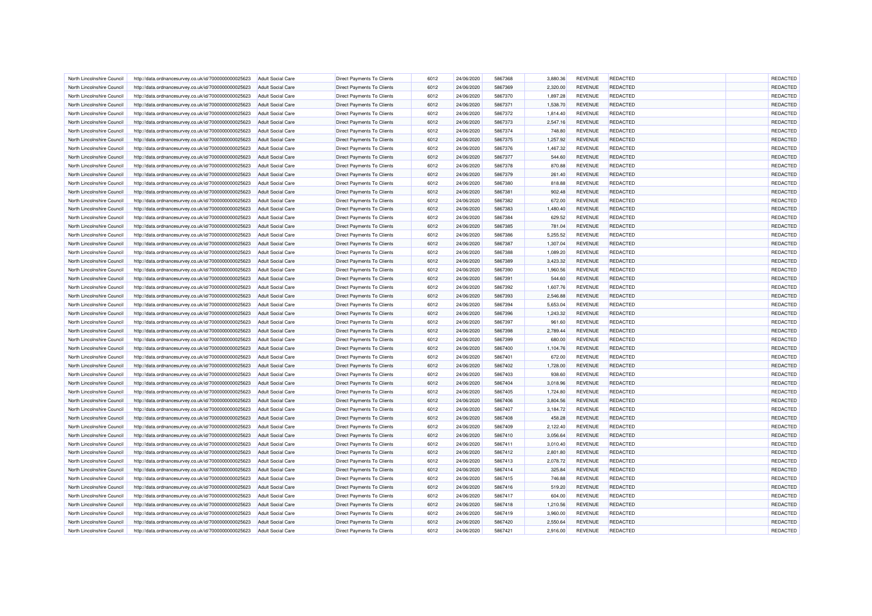| North Lincolnshire Council | http://data.ordnancesurvey.co.uk/id/7000000000025623 | <b>Adult Social Care</b> | <b>Direct Payments To Clients</b> | 6012 | 24/06/2020 | 5867368 | 3,880.36 | <b>REVENUE</b> | REDACTED        | REDACTED        |
|----------------------------|------------------------------------------------------|--------------------------|-----------------------------------|------|------------|---------|----------|----------------|-----------------|-----------------|
| North Lincolnshire Council | http://data.ordnancesurvey.co.uk/id/7000000000025623 | <b>Adult Social Care</b> | <b>Direct Payments To Clients</b> | 6012 | 24/06/2020 | 5867369 | 2,320.00 | <b>REVENUE</b> | REDACTED        | <b>REDACTED</b> |
| North Lincolnshire Council | http://data.ordnancesurvey.co.uk/id/7000000000025623 | <b>Adult Social Care</b> | <b>Direct Payments To Clients</b> | 6012 | 24/06/2020 | 5867370 | 1,897.28 | <b>REVENUE</b> | REDACTED        | REDACTED        |
| North Lincolnshire Council | http://data.ordnancesurvey.co.uk/id/7000000000025623 | <b>Adult Social Care</b> | <b>Direct Payments To Clients</b> | 6012 | 24/06/2020 | 5867371 | 1,538.70 | <b>REVENUE</b> | REDACTED        | REDACTED        |
| North Lincolnshire Council | http://data.ordnancesurvey.co.uk/id/7000000000025623 | Adult Social Care        | Direct Payments To Clients        | 6012 | 24/06/2020 | 5867372 | 1,814.40 | <b>REVENUE</b> | <b>REDACTED</b> | REDACTED        |
| North Lincolnshire Council | http://data.ordnancesurvey.co.uk/id/7000000000025623 | <b>Adult Social Care</b> | Direct Payments To Clients        | 6012 | 24/06/2020 | 5867373 | 2,547.16 | <b>REVENUE</b> | REDACTED        | REDACTED        |
| North Lincolnshire Council | http://data.ordnancesurvey.co.uk/id/7000000000025623 | <b>Adult Social Care</b> | Direct Payments To Clients        | 6012 | 24/06/2020 | 5867374 | 748.80   | <b>REVENUE</b> | <b>REDACTED</b> | REDACTED        |
| North Lincolnshire Council | http://data.ordnancesurvey.co.uk/id/7000000000025623 | <b>Adult Social Care</b> | Direct Payments To Clients        | 6012 | 24/06/2020 | 5867375 | 1,257.92 | <b>REVENUE</b> | REDACTED        | REDACTED        |
| North Lincolnshire Council | http://data.ordnancesurvey.co.uk/id/7000000000025623 | <b>Adult Social Care</b> | <b>Direct Payments To Clients</b> | 6012 | 24/06/2020 | 5867376 | 1,467.32 | <b>REVENUE</b> | REDACTED        | REDACTED        |
| North Lincolnshire Council | http://data.ordnancesurvey.co.uk/id/7000000000025623 | <b>Adult Social Care</b> | <b>Direct Payments To Clients</b> | 6012 | 24/06/2020 | 5867377 | 544.60   | <b>REVENUE</b> | <b>REDACTED</b> | REDACTED        |
| North Lincolnshire Council | http://data.ordnancesurvey.co.uk/id/7000000000025623 | <b>Adult Social Care</b> | <b>Direct Payments To Clients</b> | 6012 | 24/06/2020 | 5867378 | 870.88   | <b>REVENUE</b> | REDACTED        | <b>REDACTED</b> |
| North Lincolnshire Council | http://data.ordnancesurvey.co.uk/id/7000000000025623 | <b>Adult Social Care</b> | <b>Direct Payments To Clients</b> | 6012 | 24/06/2020 | 5867379 | 261.40   | <b>REVENUE</b> | REDACTED        | REDACTED        |
| North Lincolnshire Council | http://data.ordnancesurvey.co.uk/id/7000000000025623 | <b>Adult Social Care</b> | Direct Payments To Clients        | 6012 | 24/06/2020 | 5867380 | 818.88   | <b>REVENUE</b> | REDACTED        | REDACTED        |
| North Lincolnshire Council | http://data.ordnancesurvey.co.uk/id/7000000000025623 | <b>Adult Social Care</b> | <b>Direct Payments To Clients</b> | 6012 | 24/06/2020 | 5867381 | 902.48   | <b>REVENUE</b> | REDACTED        | REDACTED        |
| North Lincolnshire Council | http://data.ordnancesurvey.co.uk/id/7000000000025623 | <b>Adult Social Care</b> | Direct Payments To Clients        | 6012 | 24/06/2020 | 5867382 | 672.00   | <b>REVENUE</b> | <b>REDACTED</b> | REDACTED        |
| North Lincolnshire Council | http://data.ordnancesurvey.co.uk/id/7000000000025623 | <b>Adult Social Care</b> | Direct Payments To Clients        | 6012 | 24/06/2020 | 5867383 | 1,480.40 | <b>REVENUE</b> | REDACTED        | REDACTED        |
| North Lincolnshire Council | http://data.ordnancesurvey.co.uk/id/7000000000025623 | <b>Adult Social Care</b> | Direct Payments To Clients        | 6012 | 24/06/2020 | 5867384 | 629.52   | <b>REVENUE</b> | REDACTED        | REDACTED        |
| North Lincolnshire Council | http://data.ordnancesurvey.co.uk/id/7000000000025623 | <b>Adult Social Care</b> | <b>Direct Payments To Clients</b> | 6012 | 24/06/2020 | 5867385 | 781.04   | <b>REVENUE</b> | <b>REDACTED</b> | REDACTED        |
| North Lincolnshire Council | http://data.ordnancesurvey.co.uk/id/7000000000025623 | <b>Adult Social Care</b> | <b>Direct Payments To Clients</b> | 6012 | 24/06/2020 | 5867386 | 5,255.52 | <b>REVENUE</b> | REDACTED        | REDACTED        |
| North Lincolnshire Council | http://data.ordnancesurvey.co.uk/id/7000000000025623 | <b>Adult Social Care</b> | <b>Direct Payments To Clients</b> | 6012 | 24/06/2020 | 5867387 | 1,307.04 | <b>REVENUE</b> | REDACTED        | REDACTED        |
| North Lincolnshire Council | http://data.ordnancesurvey.co.uk/id/7000000000025623 | <b>Adult Social Care</b> | Direct Payments To Clients        | 6012 | 24/06/2020 | 5867388 | 1,089.20 | <b>REVENUE</b> | REDACTED        | REDACTED        |
| North Lincolnshire Council | http://data.ordnancesurvey.co.uk/id/7000000000025623 | Adult Social Care        | <b>Direct Payments To Clients</b> | 6012 | 24/06/2020 | 5867389 | 3,423.32 | <b>REVENUE</b> | REDACTED        | REDACTED        |
|                            |                                                      |                          |                                   | 6012 |            |         |          |                | REDACTED        | REDACTED        |
| North Lincolnshire Council | http://data.ordnancesurvey.co.uk/id/7000000000025623 | <b>Adult Social Care</b> | Direct Payments To Clients        |      | 24/06/2020 | 5867390 | 1,960.56 | <b>REVENUE</b> |                 |                 |
| North Lincolnshire Council | http://data.ordnancesurvey.co.uk/id/7000000000025623 | <b>Adult Social Care</b> | Direct Payments To Clients        | 6012 | 24/06/2020 | 5867391 | 544.60   | <b>REVENUE</b> | REDACTED        | REDACTED        |
| North Lincolnshire Council | http://data.ordnancesurvey.co.uk/id/7000000000025623 | <b>Adult Social Care</b> | Direct Payments To Clients        | 6012 | 24/06/2020 | 5867392 | 1,607.76 | <b>REVENUE</b> | REDACTED        | REDACTED        |
| North Lincolnshire Council | http://data.ordnancesurvey.co.uk/id/7000000000025623 | <b>Adult Social Care</b> | Direct Payments To Clients        | 6012 | 24/06/2020 | 5867393 | 2,546.88 | <b>REVENUE</b> | <b>REDACTED</b> | REDACTED        |
| North Lincolnshire Council | http://data.ordnancesurvey.co.uk/id/7000000000025623 | <b>Adult Social Care</b> | <b>Direct Payments To Clients</b> | 6012 | 24/06/2020 | 5867394 | 5,653.04 | <b>REVENUE</b> | REDACTED        | REDACTED        |
| North Lincolnshire Council | http://data.ordnancesurvey.co.uk/id/7000000000025623 | <b>Adult Social Care</b> | <b>Direct Payments To Clients</b> | 6012 | 24/06/2020 | 5867396 | 1,243.32 | <b>REVENUE</b> | REDACTED        | REDACTED        |
| North Lincolnshire Council | http://data.ordnancesurvey.co.uk/id/7000000000025623 | <b>Adult Social Care</b> | <b>Direct Payments To Clients</b> | 6012 | 24/06/2020 | 5867397 | 961.60   | <b>REVENUE</b> | REDACTED        | REDACTED        |
| North Lincolnshire Council | http://data.ordnancesurvey.co.uk/id/7000000000025623 | <b>Adult Social Care</b> | Direct Payments To Clients        | 6012 | 24/06/2020 | 5867398 | 2,789.44 | <b>REVENUE</b> | REDACTED        | REDACTED        |
| North Lincolnshire Council | http://data.ordnancesurvey.co.uk/id/7000000000025623 | <b>Adult Social Care</b> | <b>Direct Payments To Clients</b> | 6012 | 24/06/2020 | 5867399 | 680.00   | <b>REVENUE</b> | REDACTED        | REDACTED        |
| North Lincolnshire Council | http://data.ordnancesurvey.co.uk/id/7000000000025623 | <b>Adult Social Care</b> | Direct Payments To Clients        | 6012 | 24/06/2020 | 5867400 | 1,104.76 | <b>REVENUE</b> | <b>REDACTED</b> | REDACTED        |
| North Lincolnshire Council | http://data.ordnancesurvey.co.uk/id/7000000000025623 | <b>Adult Social Care</b> | Direct Payments To Clients        | 6012 | 24/06/2020 | 5867401 | 672.00   | <b>REVENUE</b> | REDACTED        | REDACTED        |
| North Lincolnshire Council | http://data.ordnancesurvey.co.uk/id/7000000000025623 | <b>Adult Social Care</b> | Direct Payments To Clients        | 6012 | 24/06/2020 | 5867402 | 1,728.00 | <b>REVENUE</b> | <b>REDACTED</b> | REDACTED        |
| North Lincolnshire Council | http://data.ordnancesurvey.co.uk/id/7000000000025623 | <b>Adult Social Care</b> | Direct Payments To Clients        | 6012 | 24/06/2020 | 5867403 | 938.60   | <b>REVENUE</b> | REDACTED        | REDACTED        |
| North Lincolnshire Council | http://data.ordnancesurvey.co.uk/id/7000000000025623 | <b>Adult Social Care</b> | <b>Direct Payments To Clients</b> | 6012 | 24/06/2020 | 5867404 | 3,018.96 | <b>REVENUE</b> | REDACTED        | REDACTED        |
| North Lincolnshire Council | http://data.ordnancesurvey.co.uk/id/7000000000025623 | <b>Adult Social Care</b> | <b>Direct Payments To Clients</b> | 6012 | 24/06/2020 | 5867405 | 1,724.80 | <b>REVENUE</b> | REDACTED        | REDACTED        |
| North Lincolnshire Council | http://data.ordnancesurvey.co.uk/id/7000000000025623 | <b>Adult Social Care</b> | <b>Direct Payments To Clients</b> | 6012 | 24/06/2020 | 5867406 | 3,804.56 | <b>REVENUE</b> | REDACTED        | REDACTED        |
| North Lincolnshire Council | http://data.ordnancesurvey.co.uk/id/7000000000025623 | <b>Adult Social Care</b> | <b>Direct Payments To Clients</b> | 6012 | 24/06/2020 | 5867407 | 3,184.72 | <b>REVENUE</b> | REDACTED        | REDACTED        |
| North Lincolnshire Council | http://data.ordnancesurvey.co.uk/id/7000000000025623 | <b>Adult Social Care</b> | Direct Payments To Clients        | 6012 | 24/06/2020 | 5867408 | 458.28   | <b>REVENUE</b> | REDACTED        | REDACTED        |
| North Lincolnshire Council | http://data.ordnancesurvey.co.uk/id/7000000000025623 | <b>Adult Social Care</b> | <b>Direct Payments To Clients</b> | 6012 | 24/06/2020 | 5867409 | 2,122.40 | <b>REVENUE</b> | REDACTED        | <b>REDACTED</b> |
| North Lincolnshire Council | http://data.ordnancesurvey.co.uk/id/7000000000025623 | <b>Adult Social Care</b> | Direct Payments To Clients        | 6012 | 24/06/2020 | 5867410 | 3,056.64 | <b>REVENUE</b> | <b>REDACTED</b> | REDACTED        |
| North Lincolnshire Council | http://data.ordnancesurvey.co.uk/id/7000000000025623 | Adult Social Care        | Direct Payments To Clients        | 6012 | 24/06/2020 | 5867411 | 3,010.40 | <b>REVENUE</b> | REDACTED        | REDACTED        |
| North Lincolnshire Council | http://data.ordnancesurvey.co.uk/id/7000000000025623 | <b>Adult Social Care</b> | Direct Payments To Clients        | 6012 | 24/06/2020 | 5867412 | 2,801.80 | <b>REVENUE</b> | REDACTED        | REDACTED        |
| North Lincolnshire Council | http://data.ordnancesurvey.co.uk/id/7000000000025623 | <b>Adult Social Care</b> | <b>Direct Payments To Clients</b> | 6012 | 24/06/2020 | 5867413 | 2,078.72 | <b>REVENUE</b> | REDACTED        | REDACTED        |
| North Lincolnshire Council | http://data.ordnancesurvey.co.uk/id/7000000000025623 | <b>Adult Social Care</b> | <b>Direct Payments To Clients</b> | 6012 | 24/06/2020 | 5867414 | 325.84   | <b>REVENUE</b> | REDACTED        | <b>REDACTED</b> |
| North Lincolnshire Council | http://data.ordnancesurvey.co.uk/id/7000000000025623 | <b>Adult Social Care</b> | <b>Direct Payments To Clients</b> | 6012 | 24/06/2020 | 5867415 | 746.88   | <b>REVENUE</b> | REDACTED        | REDACTED        |
| North Lincolnshire Council | http://data.ordnancesurvey.co.uk/id/7000000000025623 | <b>Adult Social Care</b> | Direct Payments To Clients        | 6012 | 24/06/2020 | 5867416 | 519.20   | <b>REVENUE</b> | REDACTED        | REDACTED        |
| North Lincolnshire Council | http://data.ordnancesurvey.co.uk/id/7000000000025623 | <b>Adult Social Care</b> | <b>Direct Payments To Clients</b> | 6012 | 24/06/2020 | 5867417 | 604.00   | <b>REVENUE</b> | REDACTED        | <b>REDACTED</b> |
| North Lincolnshire Council | http://data.ordnancesurvey.co.uk/id/7000000000025623 | <b>Adult Social Care</b> | Direct Payments To Clients        | 6012 | 24/06/2020 | 5867418 | 1,210.56 | <b>REVENUE</b> | <b>REDACTED</b> | REDACTED        |
| North Lincolnshire Council | http://data.ordnancesurvey.co.uk/id/7000000000025623 | <b>Adult Social Care</b> | Direct Payments To Clients        | 6012 | 24/06/2020 | 5867419 | 3,960.00 | <b>REVENUE</b> | REDACTED        | REDACTED        |
| North Lincolnshire Council | http://data.ordnancesurvey.co.uk/id/7000000000025623 | <b>Adult Social Care</b> | Direct Payments To Clients        | 6012 | 24/06/2020 | 5867420 | 2,550.64 | <b>REVENUE</b> | REDACTED        | REDACTED        |
| North Lincolnshire Council | http://data.ordnancesurvey.co.uk/id/7000000000025623 | <b>Adult Social Care</b> | Direct Payments To Clients        | 6012 | 24/06/2020 | 5867421 | 2,916.00 | <b>REVENUE</b> | <b>REDACTED</b> | REDACTED        |
|                            |                                                      |                          |                                   |      |            |         |          |                |                 |                 |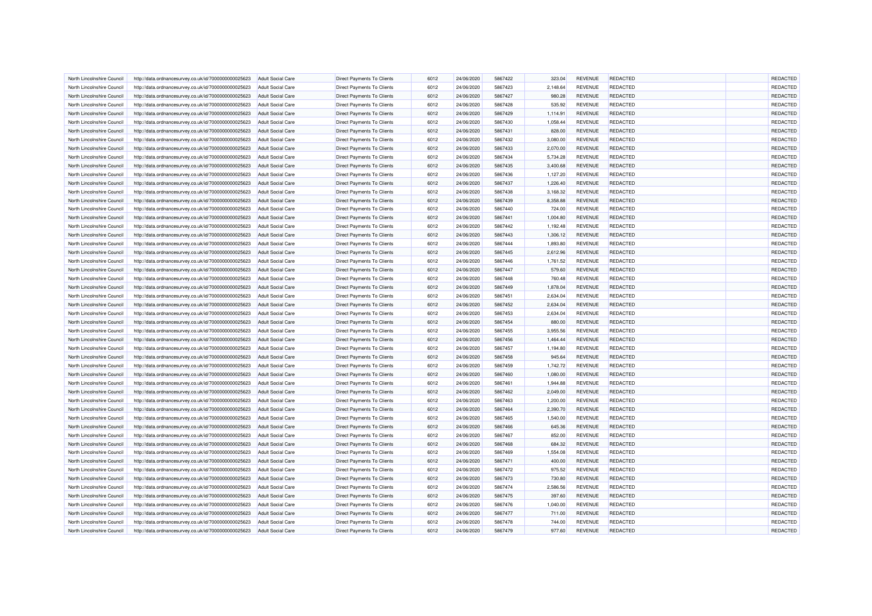| North Lincolnshire Council | http://data.ordnancesurvey.co.uk/id/7000000000025623 | <b>Adult Social Care</b> | <b>Direct Payments To Clients</b> | 6012 | 24/06/2020 | 5867422 | 323.04   | <b>REVENUE</b> | REDACTED        | REDACTED        |
|----------------------------|------------------------------------------------------|--------------------------|-----------------------------------|------|------------|---------|----------|----------------|-----------------|-----------------|
| North Lincolnshire Council | http://data.ordnancesurvey.co.uk/id/7000000000025623 | <b>Adult Social Care</b> | <b>Direct Payments To Clients</b> | 6012 | 24/06/2020 | 5867423 | 2,148.64 | <b>REVENUE</b> | REDACTED        | <b>REDACTED</b> |
| North Lincolnshire Council | http://data.ordnancesurvey.co.uk/id/7000000000025623 | <b>Adult Social Care</b> | <b>Direct Payments To Clients</b> | 6012 | 24/06/2020 | 5867427 | 980.28   | <b>REVENUE</b> | REDACTED        | <b>REDACTED</b> |
| North Lincolnshire Council | http://data.ordnancesurvey.co.uk/id/7000000000025623 | <b>Adult Social Care</b> | <b>Direct Payments To Clients</b> | 6012 | 24/06/2020 | 5867428 | 535.92   | <b>REVENUE</b> | REDACTED        | REDACTED        |
| North Lincolnshire Council | http://data.ordnancesurvey.co.uk/id/7000000000025623 | <b>Adult Social Care</b> | Direct Payments To Clients        | 6012 | 24/06/2020 | 5867429 | 1,114.91 | <b>REVENUE</b> | <b>REDACTED</b> | REDACTED        |
| North Lincolnshire Council | http://data.ordnancesurvey.co.uk/id/7000000000025623 | <b>Adult Social Care</b> | Direct Payments To Clients        | 6012 | 24/06/2020 | 5867430 | 1,058.44 | <b>REVENUE</b> | REDACTED        | REDACTED        |
| North Lincolnshire Council | http://data.ordnancesurvey.co.uk/id/7000000000025623 | <b>Adult Social Care</b> | Direct Payments To Clients        | 6012 | 24/06/2020 | 5867431 | 828.00   | <b>REVENUE</b> | <b>REDACTED</b> | REDACTED        |
| North Lincolnshire Council | http://data.ordnancesurvey.co.uk/id/7000000000025623 | <b>Adult Social Care</b> | Direct Payments To Clients        | 6012 | 24/06/2020 | 5867432 | 3,080.00 | <b>REVENUE</b> | REDACTED        | REDACTED        |
| North Lincolnshire Council | http://data.ordnancesurvey.co.uk/id/7000000000025623 | <b>Adult Social Care</b> | <b>Direct Payments To Clients</b> | 6012 | 24/06/2020 | 5867433 | 2,070.00 | <b>REVENUE</b> | REDACTED        | REDACTED        |
| North Lincolnshire Council | http://data.ordnancesurvey.co.uk/id/7000000000025623 | <b>Adult Social Care</b> | <b>Direct Payments To Clients</b> | 6012 | 24/06/2020 | 5867434 | 5,734.28 | <b>REVENUE</b> | <b>REDACTED</b> | REDACTED        |
| North Lincolnshire Council | http://data.ordnancesurvey.co.uk/id/7000000000025623 | <b>Adult Social Care</b> | <b>Direct Payments To Clients</b> | 6012 | 24/06/2020 | 5867435 | 3,400.68 | <b>REVENUE</b> | REDACTED        | <b>REDACTED</b> |
| North Lincolnshire Council | http://data.ordnancesurvey.co.uk/id/7000000000025623 | <b>Adult Social Care</b> | <b>Direct Payments To Clients</b> | 6012 | 24/06/2020 | 5867436 | 1,127.20 | <b>REVENUE</b> | REDACTED        | REDACTED        |
| North Lincolnshire Council | http://data.ordnancesurvey.co.uk/id/7000000000025623 | <b>Adult Social Care</b> | Direct Payments To Clients        | 6012 | 24/06/2020 | 5867437 | 1,226.40 | <b>REVENUE</b> | REDACTED        | REDACTED        |
| North Lincolnshire Council | http://data.ordnancesurvey.co.uk/id/7000000000025623 | <b>Adult Social Care</b> | <b>Direct Payments To Clients</b> | 6012 | 24/06/2020 | 5867438 | 3,168.32 | <b>REVENUE</b> | REDACTED        | <b>REDACTED</b> |
| North Lincolnshire Council | http://data.ordnancesurvey.co.uk/id/7000000000025623 | <b>Adult Social Care</b> | Direct Payments To Clients        | 6012 | 24/06/2020 | 5867439 | 8,358.88 | <b>REVENUE</b> | <b>REDACTED</b> | REDACTED        |
| North Lincolnshire Council | http://data.ordnancesurvey.co.uk/id/7000000000025623 | <b>Adult Social Care</b> | Direct Payments To Clients        | 6012 | 24/06/2020 | 5867440 | 724.00   | <b>REVENUE</b> | REDACTED        | REDACTED        |
| North Lincolnshire Council | http://data.ordnancesurvey.co.uk/id/7000000000025623 | <b>Adult Social Care</b> | Direct Payments To Clients        | 6012 | 24/06/2020 | 5867441 | 1,004.80 | <b>REVENUE</b> | REDACTED        | REDACTED        |
| North Lincolnshire Council | http://data.ordnancesurvey.co.uk/id/7000000000025623 | <b>Adult Social Care</b> | <b>Direct Payments To Clients</b> | 6012 | 24/06/2020 | 5867442 | 1,192.48 | <b>REVENUE</b> | REDACTED        | REDACTED        |
| North Lincolnshire Council | http://data.ordnancesurvey.co.uk/id/7000000000025623 | <b>Adult Social Care</b> | <b>Direct Payments To Clients</b> | 6012 | 24/06/2020 | 5867443 | 1,306.12 | <b>REVENUE</b> | REDACTED        | REDACTED        |
| North Lincolnshire Council | http://data.ordnancesurvey.co.uk/id/7000000000025623 | <b>Adult Social Care</b> | <b>Direct Payments To Clients</b> | 6012 | 24/06/2020 | 5867444 | 1,893.80 | <b>REVENUE</b> | REDACTED        | REDACTED        |
| North Lincolnshire Council | http://data.ordnancesurvey.co.uk/id/7000000000025623 | <b>Adult Social Care</b> | Direct Payments To Clients        | 6012 | 24/06/2020 | 5867445 | 2,612.96 | <b>REVENUE</b> | REDACTED        | REDACTED        |
| North Lincolnshire Council |                                                      | Adult Social Care        | <b>Direct Payments To Clients</b> | 6012 | 24/06/2020 | 5867446 | 1,761.52 | <b>REVENUE</b> | REDACTED        | <b>REDACTED</b> |
|                            | http://data.ordnancesurvey.co.uk/id/7000000000025623 |                          |                                   | 6012 |            | 5867447 |          |                | REDACTED        | REDACTED        |
| North Lincolnshire Council | http://data.ordnancesurvey.co.uk/id/7000000000025623 | <b>Adult Social Care</b> | Direct Payments To Clients        |      | 24/06/2020 |         | 579.60   | <b>REVENUE</b> |                 |                 |
| North Lincolnshire Council | http://data.ordnancesurvey.co.uk/id/7000000000025623 | <b>Adult Social Care</b> | Direct Payments To Clients        | 6012 | 24/06/2020 | 5867448 | 760.48   | <b>REVENUE</b> | REDACTED        | REDACTED        |
| North Lincolnshire Council | http://data.ordnancesurvey.co.uk/id/7000000000025623 | <b>Adult Social Care</b> | Direct Payments To Clients        | 6012 | 24/06/2020 | 5867449 | 1,878.04 | <b>REVENUE</b> | REDACTED        | REDACTED        |
| North Lincolnshire Council | http://data.ordnancesurvey.co.uk/id/7000000000025623 | <b>Adult Social Care</b> | Direct Payments To Clients        | 6012 | 24/06/2020 | 5867451 | 2,634.04 | <b>REVENUE</b> | <b>REDACTED</b> | REDACTED        |
| North Lincolnshire Council | http://data.ordnancesurvey.co.uk/id/7000000000025623 | <b>Adult Social Care</b> | <b>Direct Payments To Clients</b> | 6012 | 24/06/2020 | 5867452 | 2,634.04 | <b>REVENUE</b> | REDACTED        | REDACTED        |
| North Lincolnshire Council | http://data.ordnancesurvey.co.uk/id/7000000000025623 | <b>Adult Social Care</b> | <b>Direct Payments To Clients</b> | 6012 | 24/06/2020 | 5867453 | 2,634.04 | <b>REVENUE</b> | REDACTED        | REDACTED        |
| North Lincolnshire Council | http://data.ordnancesurvey.co.uk/id/7000000000025623 | <b>Adult Social Care</b> | <b>Direct Payments To Clients</b> | 6012 | 24/06/2020 | 5867454 | 880.00   | <b>REVENUE</b> | REDACTED        | <b>REDACTED</b> |
| North Lincolnshire Council | http://data.ordnancesurvey.co.uk/id/7000000000025623 | <b>Adult Social Care</b> | Direct Payments To Clients        | 6012 | 24/06/2020 | 5867455 | 3,955.56 | <b>REVENUE</b> | REDACTED        | <b>REDACTED</b> |
| North Lincolnshire Council | http://data.ordnancesurvey.co.uk/id/7000000000025623 | <b>Adult Social Care</b> | <b>Direct Payments To Clients</b> | 6012 | 24/06/2020 | 5867456 | 1,464.44 | <b>REVENUE</b> | REDACTED        | REDACTED        |
| North Lincolnshire Council | http://data.ordnancesurvey.co.uk/id/7000000000025623 | Adult Social Care        | Direct Payments To Clients        | 6012 | 24/06/2020 | 5867457 | 1,194.80 | <b>REVENUE</b> | <b>REDACTED</b> | REDACTED        |
| North Lincolnshire Council | http://data.ordnancesurvey.co.uk/id/7000000000025623 | <b>Adult Social Care</b> | Direct Payments To Clients        | 6012 | 24/06/2020 | 5867458 | 945.64   | <b>REVENUE</b> | REDACTED        | REDACTED        |
| North Lincolnshire Council | http://data.ordnancesurvey.co.uk/id/7000000000025623 | <b>Adult Social Care</b> | Direct Payments To Clients        | 6012 | 24/06/2020 | 5867459 | 1,742.72 | <b>REVENUE</b> | <b>REDACTED</b> | REDACTED        |
| North Lincolnshire Council | http://data.ordnancesurvey.co.uk/id/7000000000025623 | <b>Adult Social Care</b> | Direct Payments To Clients        | 6012 | 24/06/2020 | 5867460 | 1,080.00 | <b>REVENUE</b> | REDACTED        | REDACTED        |
| North Lincolnshire Council | http://data.ordnancesurvey.co.uk/id/7000000000025623 | <b>Adult Social Care</b> | <b>Direct Payments To Clients</b> | 6012 | 24/06/2020 | 5867461 | 1,944.88 | <b>REVENUE</b> | REDACTED        | REDACTED        |
| North Lincolnshire Council | http://data.ordnancesurvey.co.uk/id/7000000000025623 | <b>Adult Social Care</b> | <b>Direct Payments To Clients</b> | 6012 | 24/06/2020 | 5867462 | 2,049.00 | <b>REVENUE</b> | <b>REDACTED</b> | REDACTED        |
| North Lincolnshire Council | http://data.ordnancesurvey.co.uk/id/7000000000025623 | <b>Adult Social Care</b> | <b>Direct Payments To Clients</b> | 6012 | 24/06/2020 | 5867463 | 1,200.00 | <b>REVENUE</b> | REDACTED        | <b>REDACTED</b> |
| North Lincolnshire Council | http://data.ordnancesurvey.co.uk/id/7000000000025623 | <b>Adult Social Care</b> | <b>Direct Payments To Clients</b> | 6012 | 24/06/2020 | 5867464 | 2,390.70 | <b>REVENUE</b> | REDACTED        | REDACTED        |
| North Lincolnshire Council | http://data.ordnancesurvey.co.uk/id/7000000000025623 | <b>Adult Social Care</b> | Direct Payments To Clients        | 6012 | 24/06/2020 | 5867465 | 1,540.00 | <b>REVENUE</b> | REDACTED        | <b>REDACTED</b> |
| North Lincolnshire Council | http://data.ordnancesurvey.co.uk/id/7000000000025623 | <b>Adult Social Care</b> | <b>Direct Payments To Clients</b> | 6012 | 24/06/2020 | 5867466 | 645.36   | <b>REVENUE</b> | REDACTED        | REDACTED        |
| North Lincolnshire Council | http://data.ordnancesurvey.co.uk/id/7000000000025623 | <b>Adult Social Care</b> | Direct Payments To Clients        | 6012 | 24/06/2020 | 5867467 | 852.00   | <b>REVENUE</b> | <b>REDACTED</b> | REDACTED        |
| North Lincolnshire Council | http://data.ordnancesurvey.co.uk/id/7000000000025623 | <b>Adult Social Care</b> | Direct Payments To Clients        | 6012 | 24/06/2020 | 5867468 | 684.32   | <b>REVENUE</b> | REDACTED        | REDACTED        |
| North Lincolnshire Council | http://data.ordnancesurvey.co.uk/id/7000000000025623 | <b>Adult Social Care</b> | Direct Payments To Clients        | 6012 | 24/06/2020 | 5867469 | 1,554.08 | <b>REVENUE</b> | REDACTED        | REDACTED        |
| North Lincolnshire Council | http://data.ordnancesurvey.co.uk/id/7000000000025623 | <b>Adult Social Care</b> | <b>Direct Payments To Clients</b> | 6012 | 24/06/2020 | 5867471 | 400.00   | <b>REVENUE</b> | REDACTED        | REDACTED        |
| North Lincolnshire Council | http://data.ordnancesurvey.co.uk/id/7000000000025623 | <b>Adult Social Care</b> | <b>Direct Payments To Clients</b> | 6012 | 24/06/2020 | 5867472 | 975.52   | <b>REVENUE</b> | REDACTED        | <b>REDACTED</b> |
| North Lincolnshire Council | http://data.ordnancesurvey.co.uk/id/7000000000025623 | <b>Adult Social Care</b> | <b>Direct Payments To Clients</b> | 6012 | 24/06/2020 | 5867473 | 730.80   | <b>REVENUE</b> | REDACTED        | REDACTED        |
| North Lincolnshire Council | http://data.ordnancesurvey.co.uk/id/7000000000025623 | <b>Adult Social Care</b> | Direct Payments To Clients        | 6012 | 24/06/2020 | 5867474 | 2,586.56 | <b>REVENUE</b> | REDACTED        | <b>REDACTED</b> |
| North Lincolnshire Council | http://data.ordnancesurvey.co.uk/id/7000000000025623 | <b>Adult Social Care</b> | <b>Direct Payments To Clients</b> | 6012 | 24/06/2020 | 5867475 | 397.60   | <b>REVENUE</b> | REDACTED        | REDACTED        |
| North Lincolnshire Council | http://data.ordnancesurvey.co.uk/id/7000000000025623 | <b>Adult Social Care</b> | Direct Payments To Clients        | 6012 | 24/06/2020 | 5867476 | 1,040.00 | <b>REVENUE</b> | REDACTED        | REDACTED        |
| North Lincolnshire Council | http://data.ordnancesurvey.co.uk/id/7000000000025623 | <b>Adult Social Care</b> | Direct Payments To Clients        | 6012 | 24/06/2020 | 5867477 | 711.00   | <b>REVENUE</b> | REDACTED        | REDACTED        |
| North Lincolnshire Council | http://data.ordnancesurvey.co.uk/id/7000000000025623 | <b>Adult Social Care</b> | Direct Payments To Clients        | 6012 | 24/06/2020 | 5867478 | 744.00   | <b>REVENUE</b> | REDACTED        | REDACTED        |
| North Lincolnshire Council | http://data.ordnancesurvey.co.uk/id/7000000000025623 | <b>Adult Social Care</b> | Direct Payments To Clients        | 6012 | 24/06/2020 | 5867479 | 977.60   | <b>REVENUE</b> | <b>REDACTED</b> | REDACTED        |
|                            |                                                      |                          |                                   |      |            |         |          |                |                 |                 |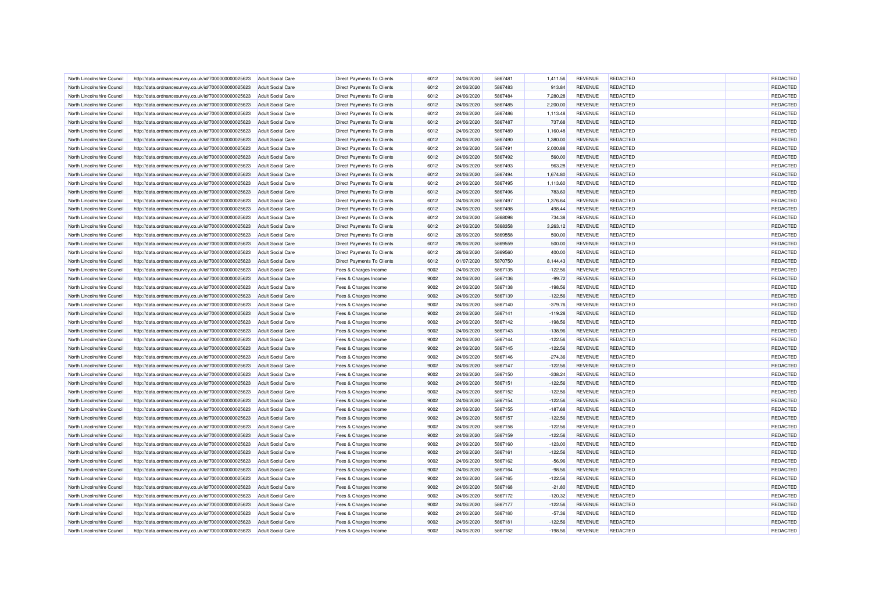| North Lincolnshire Council | http://data.ordnancesurvey.co.uk/id/7000000000025623 | <b>Adult Social Care</b> | <b>Direct Payments To Clients</b> | 6012 | 24/06/2020 | 5867481 | 1,411.56  | <b>REVENUE</b> | REDACTED        | REDACTED        |
|----------------------------|------------------------------------------------------|--------------------------|-----------------------------------|------|------------|---------|-----------|----------------|-----------------|-----------------|
| North Lincolnshire Council | http://data.ordnancesurvey.co.uk/id/7000000000025623 | <b>Adult Social Care</b> | <b>Direct Payments To Clients</b> | 6012 | 24/06/2020 | 5867483 | 913.84    | <b>REVENUE</b> | REDACTED        | <b>REDACTED</b> |
| North Lincolnshire Council | http://data.ordnancesurvey.co.uk/id/7000000000025623 | Adult Social Care        | <b>Direct Payments To Clients</b> | 6012 | 24/06/2020 | 5867484 | 7,280.28  | <b>REVENUE</b> | REDACTED        | <b>REDACTED</b> |
| North Lincolnshire Council | http://data.ordnancesurvey.co.uk/id/7000000000025623 | <b>Adult Social Care</b> | <b>Direct Payments To Clients</b> | 6012 | 24/06/2020 | 5867485 | 2,200.00  | <b>REVENUE</b> | REDACTED        | REDACTED        |
| North Lincolnshire Council | http://data.ordnancesurvey.co.uk/id/7000000000025623 | <b>Adult Social Care</b> | Direct Payments To Clients        | 6012 | 24/06/2020 | 5867486 | 1,113.48  | REVENUE        | <b>REDACTED</b> | REDACTED        |
| North Lincolnshire Council | http://data.ordnancesurvey.co.uk/id/7000000000025623 | <b>Adult Social Care</b> | Direct Payments To Clients        | 6012 | 24/06/2020 | 5867487 | 737.68    | <b>REVENUE</b> | REDACTED        | REDACTED        |
| North Lincolnshire Council | http://data.ordnancesurvey.co.uk/id/7000000000025623 | <b>Adult Social Care</b> | Direct Payments To Clients        | 6012 | 24/06/2020 | 5867489 | 1,160.48  | <b>REVENUE</b> | <b>REDACTED</b> | REDACTED        |
| North Lincolnshire Council | http://data.ordnancesurvey.co.uk/id/7000000000025623 | <b>Adult Social Care</b> | Direct Payments To Clients        | 6012 | 24/06/2020 | 5867490 | 1,380.00  | <b>REVENUE</b> | REDACTED        | REDACTED        |
| North Lincolnshire Council | http://data.ordnancesurvey.co.uk/id/7000000000025623 | <b>Adult Social Care</b> | <b>Direct Payments To Clients</b> | 6012 | 24/06/2020 | 5867491 | 2,000.88  | <b>REVENUE</b> | REDACTED        | REDACTED        |
| North Lincolnshire Council | http://data.ordnancesurvey.co.uk/id/7000000000025623 | <b>Adult Social Care</b> | <b>Direct Payments To Clients</b> | 6012 | 24/06/2020 | 5867492 | 560.00    | <b>REVENUE</b> | <b>REDACTED</b> | REDACTED        |
| North Lincolnshire Council | http://data.ordnancesurvey.co.uk/id/7000000000025623 | Adult Social Care        | <b>Direct Payments To Clients</b> | 6012 | 24/06/2020 | 5867493 | 963.28    | <b>REVENUE</b> | REDACTED        | <b>REDACTED</b> |
| North Lincolnshire Council | http://data.ordnancesurvey.co.uk/id/7000000000025623 | <b>Adult Social Care</b> | <b>Direct Payments To Clients</b> | 6012 | 24/06/2020 | 5867494 | 1,674.80  | <b>REVENUE</b> | REDACTED        | REDACTED        |
| North Lincolnshire Council | http://data.ordnancesurvey.co.uk/id/7000000000025623 | <b>Adult Social Care</b> | Direct Payments To Clients        | 6012 | 24/06/2020 | 5867495 | 1,113.60  | <b>REVENUE</b> | REDACTED        | REDACTED        |
| North Lincolnshire Council | http://data.ordnancesurvey.co.uk/id/7000000000025623 | <b>Adult Social Care</b> | <b>Direct Payments To Clients</b> | 6012 | 24/06/2020 | 5867496 | 783.60    | <b>REVENUE</b> | REDACTED        | REDACTED        |
| North Lincolnshire Council | http://data.ordnancesurvey.co.uk/id/7000000000025623 | <b>Adult Social Care</b> | Direct Payments To Clients        | 6012 | 24/06/2020 | 5867497 | 1,376.64  | <b>REVENUE</b> | <b>REDACTED</b> | REDACTED        |
| North Lincolnshire Council | http://data.ordnancesurvey.co.uk/id/7000000000025623 | <b>Adult Social Care</b> | Direct Payments To Clients        | 6012 | 24/06/2020 | 5867498 | 498.44    | <b>REVENUE</b> | REDACTED        | REDACTED        |
| North Lincolnshire Council | http://data.ordnancesurvey.co.uk/id/7000000000025623 | <b>Adult Social Care</b> | Direct Payments To Clients        | 6012 | 24/06/2020 | 5868098 | 734.38    | <b>REVENUE</b> | REDACTED        | REDACTED        |
| North Lincolnshire Council | http://data.ordnancesurvey.co.uk/id/7000000000025623 | <b>Adult Social Care</b> | <b>Direct Payments To Clients</b> | 6012 | 24/06/2020 | 5868358 | 3,263.12  | <b>REVENUE</b> | REDACTED        | REDACTED        |
| North Lincolnshire Council | http://data.ordnancesurvey.co.uk/id/7000000000025623 | <b>Adult Social Care</b> | <b>Direct Payments To Clients</b> | 6012 | 26/06/2020 | 5869558 | 500.00    | <b>REVENUE</b> | REDACTED        | REDACTED        |
| North Lincolnshire Council | http://data.ordnancesurvey.co.uk/id/7000000000025623 | <b>Adult Social Care</b> | <b>Direct Payments To Clients</b> | 6012 | 26/06/2020 | 5869559 | 500.00    | <b>REVENUE</b> | REDACTED        | REDACTED        |
| North Lincolnshire Council | http://data.ordnancesurvey.co.uk/id/7000000000025623 | <b>Adult Social Care</b> | Direct Payments To Clients        | 6012 | 26/06/2020 | 5869560 | 400.00    | <b>REVENUE</b> | REDACTED        | REDACTED        |
| North Lincolnshire Council | http://data.ordnancesurvey.co.uk/id/7000000000025623 | Adult Social Care        | <b>Direct Payments To Clients</b> | 6012 | 01/07/2020 | 5870750 | 8.144.43  | <b>REVENUE</b> | REDACTED        | REDACTED        |
|                            |                                                      |                          |                                   | 9002 | 24/06/2020 | 5867135 |           | <b>REVENUE</b> | REDACTED        | REDACTED        |
| North Lincolnshire Council | http://data.ordnancesurvey.co.uk/id/7000000000025623 | <b>Adult Social Care</b> | Fees & Charges Income             |      |            |         | $-122.56$ |                |                 |                 |
| North Lincolnshire Council | http://data.ordnancesurvey.co.uk/id/7000000000025623 | <b>Adult Social Care</b> | Fees & Charges Income             | 9002 | 24/06/2020 | 5867136 | $-99.72$  | <b>REVENUE</b> | REDACTED        | REDACTED        |
| North Lincolnshire Council | http://data.ordnancesurvey.co.uk/id/7000000000025623 | <b>Adult Social Care</b> | Fees & Charges Income             | 9002 | 24/06/2020 | 5867138 | $-198.56$ | <b>REVENUE</b> | REDACTED        | REDACTED        |
| North Lincolnshire Council | http://data.ordnancesurvey.co.uk/id/7000000000025623 | <b>Adult Social Care</b> | Fees & Charges Income             | 9002 | 24/06/2020 | 5867139 | $-122.56$ | <b>REVENUE</b> | <b>REDACTED</b> | REDACTED        |
| North Lincolnshire Council | http://data.ordnancesurvey.co.uk/id/7000000000025623 | Adult Social Care        | Fees & Charges Income             | 9002 | 24/06/2020 | 5867140 | $-379.76$ | <b>REVENUE</b> | REDACTED        | REDACTED        |
| North Lincolnshire Council | http://data.ordnancesurvey.co.uk/id/7000000000025623 | <b>Adult Social Care</b> | Fees & Charges Income             | 9002 | 24/06/2020 | 5867141 | $-119.28$ | <b>REVENUE</b> | REDACTED        | REDACTED        |
| North Lincolnshire Council | http://data.ordnancesurvey.co.uk/id/7000000000025623 | <b>Adult Social Care</b> | Fees & Charges Income             | 9002 | 24/06/2020 | 5867142 | $-198.56$ | <b>REVENUE</b> | REDACTED        | REDACTED        |
| North Lincolnshire Council | http://data.ordnancesurvey.co.uk/id/7000000000025623 | <b>Adult Social Care</b> | Fees & Charges Income             | 9002 | 24/06/2020 | 5867143 | $-138.96$ | <b>REVENUE</b> | REDACTED        | REDACTED        |
| North Lincolnshire Council | http://data.ordnancesurvey.co.uk/id/7000000000025623 | <b>Adult Social Care</b> | Fees & Charges Income             | 9002 | 24/06/2020 | 5867144 | $-122.56$ | <b>REVENUE</b> | REDACTED        | REDACTED        |
| North Lincolnshire Council | http://data.ordnancesurvey.co.uk/id/7000000000025623 | <b>Adult Social Care</b> | Fees & Charges Income             | 9002 | 24/06/2020 | 5867145 | $-122.56$ | <b>REVENUE</b> | <b>REDACTED</b> | REDACTED        |
| North Lincolnshire Council | http://data.ordnancesurvey.co.uk/id/7000000000025623 | <b>Adult Social Care</b> | Fees & Charges Income             | 9002 | 24/06/2020 | 5867146 | $-274.36$ | <b>REVENUE</b> | REDACTED        | REDACTED        |
| North Lincolnshire Council | http://data.ordnancesurvey.co.uk/id/7000000000025623 | <b>Adult Social Care</b> | Fees & Charges Income             | 9002 | 24/06/2020 | 5867147 | $-122.56$ | <b>REVENUE</b> | <b>REDACTED</b> | REDACTED        |
| North Lincolnshire Council | http://data.ordnancesurvey.co.uk/id/7000000000025623 | <b>Adult Social Care</b> | Fees & Charges Income             | 9002 | 24/06/2020 | 5867150 | $-338.24$ | <b>REVENUE</b> | REDACTED        | REDACTED        |
| North Lincolnshire Council | http://data.ordnancesurvey.co.uk/id/7000000000025623 | <b>Adult Social Care</b> | Fees & Charges Income             | 9002 | 24/06/2020 | 5867151 | $-122.56$ | <b>REVENUE</b> | REDACTED        | REDACTED        |
| North Lincolnshire Council | http://data.ordnancesurvey.co.uk/id/7000000000025623 | <b>Adult Social Care</b> | Fees & Charges Income             | 9002 | 24/06/2020 | 5867152 | $-122.56$ | <b>REVENUE</b> | <b>REDACTED</b> | REDACTED        |
| North Lincolnshire Council | http://data.ordnancesurvey.co.uk/id/7000000000025623 | <b>Adult Social Care</b> | Fees & Charges Income             | 9002 | 24/06/2020 | 5867154 | $-122.56$ | <b>REVENUE</b> | <b>REDACTED</b> | REDACTED        |
| North Lincolnshire Council | http://data.ordnancesurvey.co.uk/id/7000000000025623 | <b>Adult Social Care</b> | Fees & Charges Income             | 9002 | 24/06/2020 | 5867155 | $-187.68$ | <b>REVENUE</b> | REDACTED        | REDACTED        |
| North Lincolnshire Council | http://data.ordnancesurvey.co.uk/id/7000000000025623 | <b>Adult Social Care</b> | Fees & Charges Income             | 9002 | 24/06/2020 | 5867157 | $-122.56$ | <b>REVENUE</b> | REDACTED        | REDACTED        |
| North Lincolnshire Council | http://data.ordnancesurvey.co.uk/id/7000000000025623 | <b>Adult Social Care</b> | Fees & Charges Income             | 9002 | 24/06/2020 | 5867158 | $-122.56$ | <b>REVENUE</b> | REDACTED        | <b>REDACTED</b> |
| North Lincolnshire Council | http://data.ordnancesurvey.co.uk/id/7000000000025623 | <b>Adult Social Care</b> | Fees & Charges Income             | 9002 | 24/06/2020 | 5867159 | $-122.56$ | <b>REVENUE</b> | <b>REDACTED</b> | REDACTED        |
| North Lincolnshire Council | http://data.ordnancesurvey.co.uk/id/7000000000025623 | <b>Adult Social Care</b> | Fees & Charges Income             | 9002 | 24/06/2020 | 5867160 | $-123.00$ | <b>REVENUE</b> | REDACTED        | REDACTED        |
| North Lincolnshire Council | http://data.ordnancesurvey.co.uk/id/7000000000025623 | <b>Adult Social Care</b> | Fees & Charges Income             | 9002 | 24/06/2020 | 5867161 | $-122.56$ | <b>REVENUE</b> | REDACTED        | REDACTED        |
| North Lincolnshire Council | http://data.ordnancesurvey.co.uk/id/7000000000025623 | <b>Adult Social Care</b> | Fees & Charges Income             | 9002 | 24/06/2020 | 5867162 | $-56.96$  | <b>REVENUE</b> | REDACTED        | REDACTED        |
| North Lincolnshire Council | http://data.ordnancesurvey.co.uk/id/7000000000025623 | <b>Adult Social Care</b> | Fees & Charges Income             | 9002 | 24/06/2020 | 5867164 | $-98.56$  | <b>REVENUE</b> | REDACTED        | REDACTED        |
| North Lincolnshire Council | http://data.ordnancesurvey.co.uk/id/7000000000025623 | <b>Adult Social Care</b> | Fees & Charges Income             | 9002 | 24/06/2020 | 5867165 | $-122.56$ | <b>REVENUE</b> | <b>REDACTED</b> | REDACTED        |
| North Lincolnshire Council | http://data.ordnancesurvey.co.uk/id/7000000000025623 | <b>Adult Social Care</b> | Fees & Charges Income             | 9002 | 24/06/2020 | 5867168 | $-21.80$  | <b>REVENUE</b> | <b>REDACTED</b> | REDACTED        |
| North Lincolnshire Council | http://data.ordnancesurvey.co.uk/id/7000000000025623 | <b>Adult Social Care</b> | Fees & Charges Income             | 9002 | 24/06/2020 | 5867172 | $-120.32$ | <b>REVENUE</b> | <b>REDACTED</b> | REDACTED        |
| North Lincolnshire Council | http://data.ordnancesurvey.co.uk/id/7000000000025623 | <b>Adult Social Care</b> | Fees & Charges Income             | 9002 | 24/06/2020 | 5867177 | $-122.56$ | <b>REVENUE</b> | <b>REDACTED</b> | REDACTED        |
| North Lincolnshire Council | http://data.ordnancesurvey.co.uk/id/7000000000025623 | <b>Adult Social Care</b> | Fees & Charges Income             | 9002 | 24/06/2020 | 5867180 | $-57.36$  | <b>REVENUE</b> | <b>REDACTED</b> | REDACTED        |
| North Lincolnshire Council | http://data.ordnancesurvey.co.uk/id/7000000000025623 | <b>Adult Social Care</b> | Fees & Charges Income             | 9002 | 24/06/2020 | 5867181 | $-122.56$ | <b>REVENUE</b> | <b>REDACTED</b> | REDACTED        |
| North Lincolnshire Council | http://data.ordnancesurvey.co.uk/id/7000000000025623 | <b>Adult Social Care</b> | Fees & Charges Income             | 9002 | 24/06/2020 | 5867182 | $-198.56$ | <b>REVENUE</b> | REDACTED        | <b>REDACTED</b> |
|                            |                                                      |                          |                                   |      |            |         |           |                |                 |                 |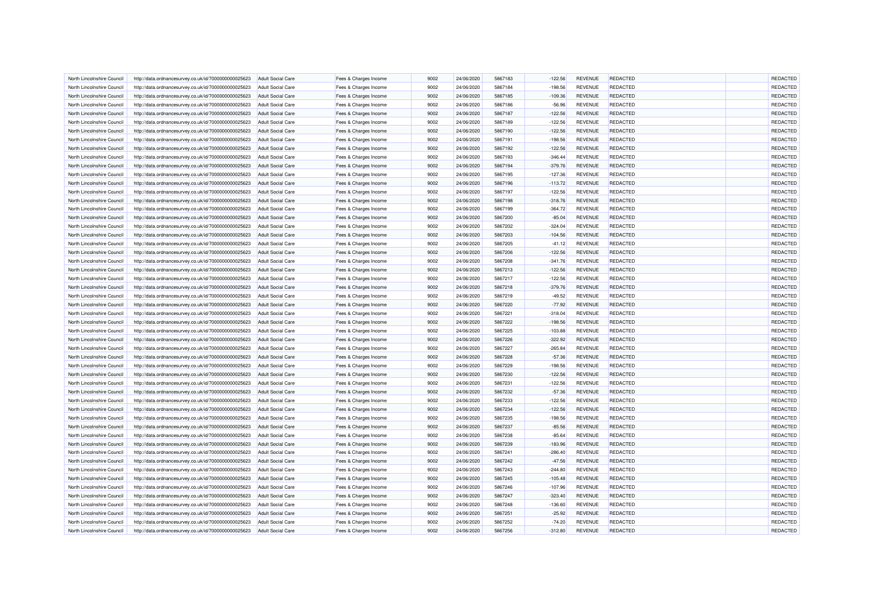| North Lincolnshire Council | http://data.ordnancesurvey.co.uk/id/7000000000025623 | <b>Adult Social Care</b> | Fees & Charges Income | 9002 | 24/06/2020 | 5867183 | $-122.56$ | <b>REVENUE</b> | <b>REDACTED</b> | REDACTED        |
|----------------------------|------------------------------------------------------|--------------------------|-----------------------|------|------------|---------|-----------|----------------|-----------------|-----------------|
| North Lincolnshire Council | http://data.ordnancesurvey.co.uk/id/7000000000025623 | <b>Adult Social Care</b> | Fees & Charges Income | 9002 | 24/06/2020 | 5867184 | $-198.56$ | <b>REVENUE</b> | <b>REDACTED</b> | <b>REDACTED</b> |
| North Lincolnshire Council | http://data.ordnancesurvey.co.uk/id/7000000000025623 | <b>Adult Social Care</b> | Fees & Charges Income | 9002 | 24/06/2020 | 5867185 | $-109.36$ | <b>REVENUE</b> | REDACTED        | <b>REDACTED</b> |
| North Lincolnshire Counci  | http://data.ordnancesurvey.co.uk/id/7000000000025623 | <b>Adult Social Care</b> | Fees & Charges Income | 9002 | 24/06/2020 | 5867186 | $-56.96$  | <b>REVENUE</b> | REDACTED        | REDACTED        |
| North Lincolnshire Council | http://data.ordnancesurvey.co.uk/id/7000000000025623 | <b>Adult Social Care</b> | Fees & Charges Income | 9002 | 24/06/2020 | 5867187 | $-122.56$ | <b>REVENUE</b> | <b>REDACTED</b> | REDACTED        |
| North Lincolnshire Council | http://data.ordnancesurvey.co.uk/id/7000000000025623 | <b>Adult Social Care</b> | Fees & Charges Income | 9002 | 24/06/2020 | 5867189 | $-122.56$ | <b>REVENUE</b> | REDACTED        | REDACTED        |
| North Lincolnshire Council | http://data.ordnancesurvey.co.uk/id/7000000000025623 | <b>Adult Social Care</b> | Fees & Charges Income | 9002 | 24/06/2020 | 5867190 | $-122.56$ | <b>REVENUE</b> | REDACTED        | REDACTED        |
| North Lincolnshire Council | http://data.ordnancesurvey.co.uk/id/7000000000025623 | <b>Adult Social Care</b> | Fees & Charges Income | 9002 | 24/06/2020 | 5867191 | $-198.56$ | <b>REVENUE</b> | <b>REDACTED</b> | REDACTED        |
| North Lincolnshire Council | http://data.ordnancesurvey.co.uk/id/7000000000025623 | <b>Adult Social Care</b> | Fees & Charges Income | 9002 | 24/06/2020 | 5867192 | $-122.56$ | <b>REVENUE</b> | REDACTED        | REDACTED        |
| North Lincolnshire Council | http://data.ordnancesurvey.co.uk/id/7000000000025623 | <b>Adult Social Care</b> | Fees & Charges Income | 9002 | 24/06/2020 | 5867193 | $-346.44$ | <b>REVENUE</b> | <b>REDACTED</b> | <b>REDACTED</b> |
| North Lincolnshire Council | http://data.ordnancesurvey.co.uk/id/7000000000025623 | <b>Adult Social Care</b> | Fees & Charges Income | 9002 | 24/06/2020 | 5867194 | $-379.76$ | <b>REVENUE</b> | REDACTED        | <b>REDACTED</b> |
| North Lincolnshire Council | http://data.ordnancesurvey.co.uk/id/7000000000025623 | <b>Adult Social Care</b> | Fees & Charges Income | 9002 | 24/06/2020 | 5867195 | $-127.36$ | <b>REVENUE</b> | REDACTED        | REDACTED        |
| North Lincolnshire Council | http://data.ordnancesurvey.co.uk/id/7000000000025623 | <b>Adult Social Care</b> | Fees & Charges Income | 9002 | 24/06/2020 | 5867196 | $-113.72$ | <b>REVENUE</b> | <b>REDACTED</b> | REDACTED        |
| North Lincolnshire Council | http://data.ordnancesurvey.co.uk/id/7000000000025623 | <b>Adult Social Care</b> | Fees & Charges Income | 9002 | 24/06/2020 | 5867197 | $-122.56$ | <b>REVENUE</b> | REDACTED        | REDACTED        |
| North Lincolnshire Council | http://data.ordnancesurvey.co.uk/id/7000000000025623 | <b>Adult Social Care</b> | Fees & Charges Income | 9002 | 24/06/2020 | 5867198 | $-318.76$ | <b>REVENUE</b> | <b>REDACTED</b> | REDACTED        |
| North Lincolnshire Council | http://data.ordnancesurvey.co.uk/id/7000000000025623 | <b>Adult Social Care</b> | Fees & Charges Income | 9002 | 24/06/2020 | 5867199 | $-364.72$ | <b>REVENUE</b> | REDACTED        | REDACTED        |
| North Lincolnshire Council | http://data.ordnancesurvey.co.uk/id/7000000000025623 | <b>Adult Social Care</b> | Fees & Charges Income | 9002 | 24/06/2020 | 5867200 | $-85.04$  | <b>REVENUE</b> | REDACTED        | REDACTED        |
| North Lincolnshire Council | http://data.ordnancesurvey.co.uk/id/7000000000025623 | <b>Adult Social Care</b> | Fees & Charges Income | 9002 | 24/06/2020 | 5867202 | $-324.04$ | <b>REVENUE</b> | <b>REDACTED</b> | REDACTED        |
| North Lincolnshire Council | http://data.ordnancesurvey.co.uk/id/7000000000025623 | <b>Adult Social Care</b> | Fees & Charges Income | 9002 | 24/06/2020 | 5867203 | $-104.56$ | <b>REVENUE</b> | REDACTED        | REDACTED        |
|                            |                                                      |                          |                       | 9002 |            | 5867205 | $-41.12$  |                | <b>REDACTED</b> |                 |
| North Lincolnshire Counci  | http://data.ordnancesurvey.co.uk/id/7000000000025623 | <b>Adult Social Care</b> | Fees & Charges Income |      | 24/06/2020 |         |           | <b>REVENUE</b> |                 | REDACTED        |
| North Lincolnshire Council | http://data.ordnancesurvey.co.uk/id/7000000000025623 | <b>Adult Social Care</b> | Fees & Charges Income | 9002 | 24/06/2020 | 5867206 | $-122.56$ | <b>REVENUE</b> | <b>REDACTED</b> | REDACTED        |
| North Lincolnshire Council | http://data.ordnancesurvey.co.uk/id/7000000000025623 | <b>Adult Social Care</b> | Fees & Charges Income | 9002 | 24/06/2020 | 5867208 | $-341.76$ | <b>REVENUE</b> | <b>REDACTED</b> | REDACTED        |
| North Lincolnshire Council | http://data.ordnancesurvey.co.uk/id/7000000000025623 | <b>Adult Social Care</b> | Fees & Charges Income | 9002 | 24/06/2020 | 5867213 | $-122.56$ | <b>REVENUE</b> | <b>REDACTED</b> | REDACTED        |
| North Lincolnshire Council | http://data.ordnancesurvey.co.uk/id/7000000000025623 | <b>Adult Social Care</b> | Fees & Charges Income | 9002 | 24/06/2020 | 5867217 | $-122.56$ | <b>REVENUE</b> | <b>REDACTED</b> | REDACTED        |
| North Lincolnshire Council | http://data.ordnancesurvey.co.uk/id/7000000000025623 | <b>Adult Social Care</b> | Fees & Charges Income | 9002 | 24/06/2020 | 5867218 | $-379.76$ | <b>REVENUE</b> | <b>REDACTED</b> | REDACTED        |
| North Lincolnshire Council | http://data.ordnancesurvey.co.uk/id/7000000000025623 | <b>Adult Social Care</b> | Fees & Charges Income | 9002 | 24/06/2020 | 5867219 | $-49.52$  | <b>REVENUE</b> | <b>REDACTED</b> | REDACTED        |
| North Lincolnshire Council | http://data.ordnancesurvey.co.uk/id/7000000000025623 | <b>Adult Social Care</b> | Fees & Charges Income | 9002 | 24/06/2020 | 5867220 | $-77.92$  | <b>REVENUE</b> | <b>REDACTED</b> | REDACTED        |
| North Lincolnshire Council | http://data.ordnancesurvey.co.uk/id/7000000000025623 | <b>Adult Social Care</b> | Fees & Charges Income | 9002 | 24/06/2020 | 5867221 | $-318.04$ | <b>REVENUE</b> | <b>REDACTED</b> | REDACTED        |
| North Lincolnshire Council | http://data.ordnancesurvey.co.uk/id/7000000000025623 | <b>Adult Social Care</b> | Fees & Charges Income | 9002 | 24/06/2020 | 5867222 | $-198.56$ | <b>REVENUE</b> | REDACTED        | REDACTED        |
| North Lincolnshire Council | http://data.ordnancesurvey.co.uk/id/7000000000025623 | Adult Social Care        | Fees & Charges Income | 9002 | 24/06/2020 | 5867225 | $-103.88$ | <b>REVENUE</b> | REDACTED        | REDACTED        |
| North Lincolnshire Council | http://data.ordnancesurvey.co.uk/id/7000000000025623 | <b>Adult Social Care</b> | Fees & Charges Income | 9002 | 24/06/2020 | 5867226 | $-322.92$ | <b>REVENUE</b> | REDACTED        | REDACTED        |
| North Lincolnshire Council | http://data.ordnancesurvey.co.uk/id/7000000000025623 | <b>Adult Social Care</b> | Fees & Charges Income | 9002 | 24/06/2020 | 5867227 | $-265.84$ | <b>REVENUE</b> | REDACTED        | REDACTED        |
| North Lincolnshire Council | http://data.ordnancesurvey.co.uk/id/7000000000025623 | <b>Adult Social Care</b> | Fees & Charges Income | 9002 | 24/06/2020 | 5867228 | $-57.36$  | <b>REVENUE</b> | <b>REDACTED</b> | REDACTED        |
| North Lincolnshire Council | http://data.ordnancesurvey.co.uk/id/7000000000025623 | <b>Adult Social Care</b> | Fees & Charges Income | 9002 | 24/06/2020 | 5867229 | $-198.56$ | <b>REVENUE</b> | <b>REDACTED</b> | REDACTED        |
| North Lincolnshire Council | http://data.ordnancesurvey.co.uk/id/7000000000025623 | <b>Adult Social Care</b> | Fees & Charges Income | 9002 | 24/06/2020 | 5867230 | $-122.56$ | <b>REVENUE</b> | <b>REDACTED</b> | REDACTED        |
| North Lincolnshire Council | http://data.ordnancesurvey.co.uk/id/7000000000025623 | <b>Adult Social Care</b> | Fees & Charges Income | 9002 | 24/06/2020 | 5867231 | $-122.56$ | <b>REVENUE</b> | REDACTED        | REDACTED        |
| North Lincolnshire Council | http://data.ordnancesurvey.co.uk/id/7000000000025623 | <b>Adult Social Care</b> | Fees & Charges Income | 9002 | 24/06/2020 | 5867232 | $-57.36$  | <b>REVENUE</b> | REDACTED        | REDACTED        |
| North Lincolnshire Council | http://data.ordnancesurvey.co.uk/id/7000000000025623 | Adult Social Care        | Fees & Charges Income | 9002 | 24/06/2020 | 5867233 | $-122.56$ | <b>REVENUE</b> | <b>REDACTED</b> | REDACTED        |
| North Lincolnshire Council | http://data.ordnancesurvey.co.uk/id/7000000000025623 | <b>Adult Social Care</b> | Fees & Charges Income | 9002 | 24/06/2020 | 5867234 | $-122.56$ | <b>REVENUE</b> | REDACTED        | REDACTED        |
| North Lincolnshire Council | http://data.ordnancesurvey.co.uk/id/7000000000025623 | <b>Adult Social Care</b> | Fees & Charges Income | 9002 | 24/06/2020 | 5867235 | $-198.56$ | <b>REVENUE</b> | REDACTED        | REDACTED        |
| North Lincolnshire Council | http://data.ordnancesurvey.co.uk/id/7000000000025623 | <b>Adult Social Care</b> | Fees & Charges Income | 9002 | 24/06/2020 | 5867237 | $-85.56$  | <b>REVENUE</b> | REDACTED        | REDACTED        |
| North Lincolnshire Council | http://data.ordnancesurvey.co.uk/id/7000000000025623 | <b>Adult Social Care</b> | Fees & Charges Income | 9002 | 24/06/2020 | 5867238 | $-85.64$  | <b>REVENUE</b> | <b>REDACTED</b> | <b>REDACTED</b> |
| North Lincolnshire Council | http://data.ordnancesurvey.co.uk/id/7000000000025623 | Adult Social Care        | Fees & Charges Income | 9002 | 24/06/2020 | 5867239 | $-183.96$ | <b>REVENUE</b> | <b>REDACTED</b> | REDACTED        |
|                            |                                                      |                          |                       | 9002 |            |         | $-286.40$ | <b>REVENUE</b> | <b>REDACTED</b> | REDACTED        |
| North Lincolnshire Council | http://data.ordnancesurvey.co.uk/id/7000000000025623 | <b>Adult Social Care</b> | Fees & Charges Income |      | 24/06/2020 | 5867241 |           |                |                 |                 |
| North Lincolnshire Council | http://data.ordnancesurvey.co.uk/id/7000000000025623 | <b>Adult Social Care</b> | Fees & Charges Income | 9002 | 24/06/2020 | 5867242 | $-47.56$  | <b>REVENUE</b> | REDACTED        | REDACTED        |
| North Lincolnshire Council | http://data.ordnancesurvey.co.uk/id/7000000000025623 | <b>Adult Social Care</b> | Fees & Charges Income | 9002 | 24/06/2020 | 5867243 | $-244.80$ | <b>REVENUE</b> | <b>REDACTED</b> | <b>REDACTED</b> |
| North Lincolnshire Council | http://data.ordnancesurvey.co.uk/id/7000000000025623 | <b>Adult Social Care</b> | Fees & Charges Income | 9002 | 24/06/2020 | 5867245 | $-105.48$ | <b>REVENUE</b> | REDACTED        | <b>REDACTED</b> |
| North Lincolnshire Council | http://data.ordnancesurvey.co.uk/id/7000000000025623 | <b>Adult Social Care</b> | Fees & Charges Income | 9002 | 24/06/2020 | 5867246 | $-107.96$ | <b>REVENUE</b> | REDACTED        | <b>REDACTED</b> |
| North Lincolnshire Council | http://data.ordnancesurvey.co.uk/id/7000000000025623 | <b>Adult Social Care</b> | Fees & Charges Income | 9002 | 24/06/2020 | 5867247 | $-323.40$ | <b>REVENUE</b> | <b>REDACTED</b> | REDACTED        |
| North Lincolnshire Council | http://data.ordnancesurvey.co.uk/id/7000000000025623 | <b>Adult Social Care</b> | Fees & Charges Income | 9002 | 24/06/2020 | 5867248 | $-136.60$ | <b>REVENUE</b> | REDACTED        | <b>REDACTED</b> |
| North Lincolnshire Council | http://data.ordnancesurvey.co.uk/id/7000000000025623 | <b>Adult Social Care</b> | Fees & Charges Income | 9002 | 24/06/2020 | 5867251 | $-25.92$  | <b>REVENUE</b> | <b>REDACTED</b> | <b>REDACTED</b> |
| North Lincolnshire Council | http://data.ordnancesurvey.co.uk/id/7000000000025623 | <b>Adult Social Care</b> | Fees & Charges Income | 9002 | 24/06/2020 | 5867252 | $-74.20$  | <b>REVENUE</b> | REDACTED        | <b>REDACTED</b> |
| North Lincolnshire Council | http://data.ordnancesurvey.co.uk/id/7000000000025623 | <b>Adult Social Care</b> | Fees & Charges Income | 9002 | 24/06/2020 | 5867256 | $-312.80$ | <b>REVENUE</b> | REDACTED        | <b>REDACTED</b> |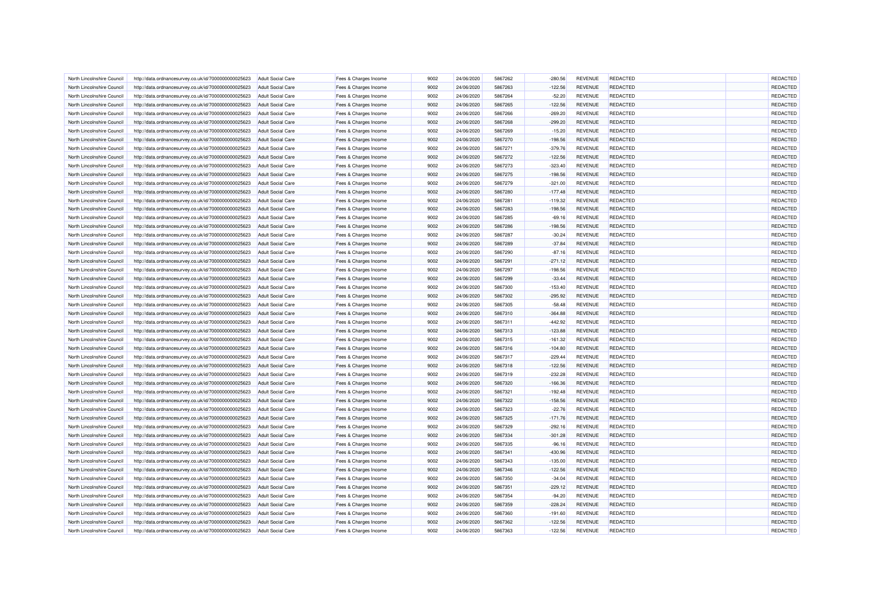| North Lincolnshire Council | http://data.ordnancesurvey.co.uk/id/7000000000025623 | <b>Adult Social Care</b> | Fees & Charges Income | 9002 | 24/06/2020 | 5867262 | $-280.56$ | <b>REVENUE</b> | <b>REDACTED</b> | REDACTED        |
|----------------------------|------------------------------------------------------|--------------------------|-----------------------|------|------------|---------|-----------|----------------|-----------------|-----------------|
|                            |                                                      |                          |                       |      |            |         |           |                |                 |                 |
| North Lincolnshire Council | http://data.ordnancesurvey.co.uk/id/7000000000025623 | <b>Adult Social Care</b> | Fees & Charges Income | 9002 | 24/06/2020 | 5867263 | $-122.56$ | <b>REVENUE</b> | <b>REDACTED</b> | <b>REDACTED</b> |
| North Lincolnshire Council | http://data.ordnancesurvey.co.uk/id/7000000000025623 | <b>Adult Social Care</b> | Fees & Charges Income | 9002 | 24/06/2020 | 5867264 | $-52.20$  | <b>REVENUE</b> | REDACTED        | <b>REDACTED</b> |
| North Lincolnshire Council | http://data.ordnancesurvey.co.uk/id/7000000000025623 | <b>Adult Social Care</b> | Fees & Charges Income | 9002 | 24/06/2020 | 5867265 | $-122.56$ | <b>REVENUE</b> | REDACTED        | REDACTED        |
| North Lincolnshire Council | http://data.ordnancesurvey.co.uk/id/7000000000025623 | <b>Adult Social Care</b> | Fees & Charges Income | 9002 | 24/06/2020 | 5867266 | $-269.20$ | <b>REVENUE</b> | <b>REDACTED</b> | REDACTED        |
| North Lincolnshire Council | http://data.ordnancesurvey.co.uk/id/7000000000025623 | <b>Adult Social Care</b> | Fees & Charges Income | 9002 | 24/06/2020 | 5867268 | $-299.20$ | <b>REVENUE</b> | REDACTED        | REDACTED        |
| North Lincolnshire Council | http://data.ordnancesurvey.co.uk/id/7000000000025623 | <b>Adult Social Care</b> | Fees & Charges Income | 9002 | 24/06/2020 | 5867269 | $-15.20$  | <b>REVENUE</b> | <b>REDACTED</b> | REDACTED        |
| North Lincolnshire Council | http://data.ordnancesurvey.co.uk/id/7000000000025623 | <b>Adult Social Care</b> | Fees & Charges Income | 9002 | 24/06/2020 | 5867270 | $-198.56$ | <b>REVENUE</b> | <b>REDACTED</b> | REDACTED        |
| North Lincolnshire Council | http://data.ordnancesurvey.co.uk/id/7000000000025623 | <b>Adult Social Care</b> | Fees & Charges Income | 9002 | 24/06/2020 | 5867271 | $-379.76$ | <b>REVENUE</b> | REDACTED        | REDACTED        |
| North Lincolnshire Council | http://data.ordnancesurvey.co.uk/id/7000000000025623 | <b>Adult Social Care</b> | Fees & Charges Income | 9002 | 24/06/2020 | 5867272 | $-122.56$ | <b>REVENUE</b> | <b>REDACTED</b> | <b>REDACTED</b> |
| North Lincolnshire Council | http://data.ordnancesurvey.co.uk/id/7000000000025623 | <b>Adult Social Care</b> | Fees & Charges Income | 9002 | 24/06/2020 | 5867273 | $-323.40$ | <b>REVENUE</b> | REDACTED        | <b>REDACTED</b> |
| North Lincolnshire Council | http://data.ordnancesurvey.co.uk/id/7000000000025623 | <b>Adult Social Care</b> | Fees & Charges Income | 9002 | 24/06/2020 | 5867275 | $-198.56$ | <b>REVENUE</b> | REDACTED        | REDACTED        |
| North Lincolnshire Council | http://data.ordnancesurvey.co.uk/id/7000000000025623 | <b>Adult Social Care</b> | Fees & Charges Income | 9002 | 24/06/2020 | 5867279 | $-321.00$ | <b>REVENUE</b> | <b>REDACTED</b> | REDACTED        |
| North Lincolnshire Council | http://data.ordnancesurvey.co.uk/id/7000000000025623 | <b>Adult Social Care</b> | Fees & Charges Income | 9002 | 24/06/2020 | 5867280 | $-177.48$ | <b>REVENUE</b> | REDACTED        | REDACTED        |
| North Lincolnshire Council | http://data.ordnancesurvey.co.uk/id/7000000000025623 | <b>Adult Social Care</b> | Fees & Charges Income | 9002 | 24/06/2020 | 5867281 | $-119.32$ | <b>REVENUE</b> | <b>REDACTED</b> | REDACTED        |
| North Lincolnshire Council | http://data.ordnancesurvey.co.uk/id/7000000000025623 | <b>Adult Social Care</b> | Fees & Charges Income | 9002 | 24/06/2020 | 5867283 | $-198.56$ | <b>REVENUE</b> | REDACTED        | REDACTED        |
|                            |                                                      |                          |                       | 9002 |            |         |           |                |                 | REDACTED        |
| North Lincolnshire Council | http://data.ordnancesurvey.co.uk/id/7000000000025623 | <b>Adult Social Care</b> | Fees & Charges Income |      | 24/06/2020 | 5867285 | $-69.16$  | <b>REVENUE</b> | <b>REDACTED</b> |                 |
| North Lincolnshire Council | http://data.ordnancesurvey.co.uk/id/7000000000025623 | <b>Adult Social Care</b> | Fees & Charges Income | 9002 | 24/06/2020 | 5867286 | $-198.56$ | <b>REVENUE</b> | <b>REDACTED</b> | REDACTED        |
| North Lincolnshire Council | http://data.ordnancesurvey.co.uk/id/7000000000025623 | <b>Adult Social Care</b> | Fees & Charges Income | 9002 | 24/06/2020 | 5867287 | $-30.24$  | <b>REVENUE</b> | REDACTED        | <b>REDACTED</b> |
| North Lincolnshire Council | http://data.ordnancesurvey.co.uk/id/7000000000025623 | <b>Adult Social Care</b> | Fees & Charges Income | 9002 | 24/06/2020 | 5867289 | $-37.84$  | <b>REVENUE</b> | <b>REDACTED</b> | REDACTED        |
| North Lincolnshire Council | http://data.ordnancesurvey.co.uk/id/7000000000025623 | <b>Adult Social Care</b> | Fees & Charges Income | 9002 | 24/06/2020 | 5867290 | $-87.16$  | <b>REVENUE</b> | <b>REDACTED</b> | <b>REDACTED</b> |
| North Lincolnshire Council | http://data.ordnancesurvey.co.uk/id/7000000000025623 | <b>Adult Social Care</b> | Fees & Charges Income | 9002 | 24/06/2020 | 5867291 | $-271.12$ | <b>REVENUE</b> | <b>REDACTED</b> | REDACTED        |
| North Lincolnshire Council | http://data.ordnancesurvey.co.uk/id/7000000000025623 | <b>Adult Social Care</b> | Fees & Charges Income | 9002 | 24/06/2020 | 5867297 | $-198.56$ | <b>REVENUE</b> | REDACTED        | REDACTED        |
| North Lincolnshire Council | http://data.ordnancesurvey.co.uk/id/7000000000025623 | <b>Adult Social Care</b> | Fees & Charges Income | 9002 | 24/06/2020 | 5867299 | $-33.44$  | <b>REVENUE</b> | <b>REDACTED</b> | REDACTED        |
| North Lincolnshire Council | http://data.ordnancesurvey.co.uk/id/7000000000025623 | <b>Adult Social Care</b> | Fees & Charges Income | 9002 | 24/06/2020 | 5867300 | $-153.40$ | <b>REVENUE</b> | <b>REDACTED</b> | REDACTED        |
| North Lincolnshire Counci  | http://data.ordnancesurvey.co.uk/id/7000000000025623 | <b>Adult Social Care</b> | Fees & Charges Income | 9002 | 24/06/2020 | 5867302 | $-295.92$ | <b>REVENUE</b> | <b>REDACTED</b> | REDACTED        |
| North Lincolnshire Council | http://data.ordnancesurvey.co.uk/id/7000000000025623 | <b>Adult Social Care</b> | Fees & Charges Income | 9002 | 24/06/2020 | 5867305 | $-58.48$  | <b>REVENUE</b> | <b>REDACTED</b> | REDACTED        |
| North Lincolnshire Council | http://data.ordnancesurvey.co.uk/id/7000000000025623 | <b>Adult Social Care</b> | Fees & Charges Income | 9002 | 24/06/2020 | 5867310 | $-364.88$ | <b>REVENUE</b> | <b>REDACTED</b> | REDACTED        |
| North Lincolnshire Council | http://data.ordnancesurvey.co.uk/id/7000000000025623 | <b>Adult Social Care</b> | Fees & Charges Income | 9002 | 24/06/2020 | 5867311 | $-442.92$ | <b>REVENUE</b> | REDACTED        | REDACTED        |
| North Lincolnshire Council | http://data.ordnancesurvey.co.uk/id/7000000000025623 | <b>Adult Social Care</b> | Fees & Charges Income | 9002 | 24/06/2020 | 5867313 | $-123.88$ | <b>REVENUE</b> | <b>REDACTED</b> | <b>REDACTED</b> |
| North Lincolnshire Council | http://data.ordnancesurvey.co.uk/id/7000000000025623 | <b>Adult Social Care</b> | Fees & Charges Income | 9002 | 24/06/2020 | 5867315 | $-161.32$ | <b>REVENUE</b> | REDACTED        | REDACTED        |
| North Lincolnshire Council | http://data.ordnancesurvey.co.uk/id/7000000000025623 | <b>Adult Social Care</b> | Fees & Charges Income | 9002 | 24/06/2020 | 5867316 | $-104.80$ | <b>REVENUE</b> | REDACTED        | <b>REDACTED</b> |
| North Lincolnshire Council | http://data.ordnancesurvey.co.uk/id/7000000000025623 | <b>Adult Social Care</b> | Fees & Charges Income | 9002 | 24/06/2020 | 5867317 | $-229.44$ | <b>REVENUE</b> | <b>REDACTED</b> | REDACTED        |
|                            |                                                      |                          |                       |      |            |         |           |                |                 | REDACTED        |
| North Lincolnshire Council | http://data.ordnancesurvey.co.uk/id/7000000000025623 | <b>Adult Social Care</b> | Fees & Charges Income | 9002 | 24/06/2020 | 5867318 | $-122.56$ | <b>REVENUE</b> | <b>REDACTED</b> |                 |
| North Lincolnshire Council | http://data.ordnancesurvey.co.uk/id/7000000000025623 | <b>Adult Social Care</b> | Fees & Charges Income | 9002 | 24/06/2020 | 5867319 | $-232.28$ | <b>REVENUE</b> | REDACTED        | REDACTED        |
| North Lincolnshire Council | http://data.ordnancesurvey.co.uk/id/7000000000025623 | <b>Adult Social Care</b> | Fees & Charges Income | 9002 | 24/06/2020 | 5867320 | $-166.36$ | <b>REVENUE</b> | REDACTED        | REDACTED        |
| North Lincolnshire Council | http://data.ordnancesurvey.co.uk/id/7000000000025623 | <b>Adult Social Care</b> | Fees & Charges Income | 9002 | 24/06/2020 | 5867321 | $-192.48$ | <b>REVENUE</b> | REDACTED        | <b>REDACTED</b> |
| North Lincolnshire Council | http://data.ordnancesurvey.co.uk/id/7000000000025623 | <b>Adult Social Care</b> | Fees & Charges Income | 9002 | 24/06/2020 | 5867322 | $-158.56$ | <b>REVENUE</b> | <b>REDACTED</b> | <b>REDACTED</b> |
| North Lincolnshire Council | http://data.ordnancesurvey.co.uk/id/7000000000025623 | <b>Adult Social Care</b> | Fees & Charges Income | 9002 | 24/06/2020 | 5867323 | $-22.76$  | <b>REVENUE</b> | <b>REDACTED</b> | REDACTED        |
| North Lincolnshire Council | http://data.ordnancesurvey.co.uk/id/7000000000025623 | <b>Adult Social Care</b> | Fees & Charges Income | 9002 | 24/06/2020 | 5867325 | $-171.76$ | <b>REVENUE</b> | <b>REDACTED</b> | REDACTED        |
| North Lincolnshire Council | http://data.ordnancesurvey.co.uk/id/7000000000025623 | <b>Adult Social Care</b> | Fees & Charges Income | 9002 | 24/06/2020 | 5867329 | $-292.16$ | <b>REVENUE</b> | REDACTED        | <b>REDACTED</b> |
| North Lincolnshire Council | http://data.ordnancesurvey.co.uk/id/7000000000025623 | <b>Adult Social Care</b> | Fees & Charges Income | 9002 | 24/06/2020 | 5867334 | $-301.28$ | <b>REVENUE</b> | <b>REDACTED</b> | REDACTED        |
| North Lincolnshire Council | http://data.ordnancesurvey.co.uk/id/7000000000025623 | Adult Social Care        | Fees & Charges Income | 9002 | 24/06/2020 | 5867335 | $-96.16$  | <b>REVENUE</b> | <b>REDACTED</b> | REDACTED        |
| North Lincolnshire Council | http://data.ordnancesurvey.co.uk/id/7000000000025623 | <b>Adult Social Care</b> | Fees & Charges Income | 9002 | 24/06/2020 | 5867341 | $-430.96$ | <b>REVENUE</b> | <b>REDACTED</b> | REDACTED        |
| North Lincolnshire Council | http://data.ordnancesurvey.co.uk/id/7000000000025623 | <b>Adult Social Care</b> | Fees & Charges Income | 9002 | 24/06/2020 | 5867343 | $-135.00$ | <b>REVENUE</b> | REDACTED        | REDACTED        |
| North Lincolnshire Council | http://data.ordnancesurvey.co.uk/id/7000000000025623 | <b>Adult Social Care</b> | Fees & Charges Income | 9002 | 24/06/2020 | 5867346 | $-122.56$ | <b>REVENUE</b> | <b>REDACTED</b> | <b>REDACTED</b> |
| North Lincolnshire Council | http://data.ordnancesurvey.co.uk/id/7000000000025623 | <b>Adult Social Care</b> | Fees & Charges Income | 9002 | 24/06/2020 | 5867350 | $-34.04$  | <b>REVENUE</b> | REDACTED        | <b>REDACTED</b> |
| North Lincolnshire Council | http://data.ordnancesurvey.co.uk/id/7000000000025623 | <b>Adult Social Care</b> | Fees & Charges Income | 9002 | 24/06/2020 | 5867351 | $-229.12$ | <b>REVENUE</b> | <b>REDACTED</b> | <b>REDACTED</b> |
| North Lincolnshire Council | http://data.ordnancesurvey.co.uk/id/7000000000025623 | <b>Adult Social Care</b> | Fees & Charges Income | 9002 | 24/06/2020 | 5867354 | $-94.20$  | <b>REVENUE</b> | <b>REDACTED</b> | REDACTED        |
| North Lincolnshire Council | http://data.ordnancesurvey.co.uk/id/7000000000025623 | <b>Adult Social Care</b> | Fees & Charges Income | 9002 | 24/06/2020 | 5867359 | $-228.24$ | <b>REVENUE</b> | REDACTED        | <b>REDACTED</b> |
|                            |                                                      |                          |                       |      |            |         |           |                |                 |                 |
| North Lincolnshire Council | http://data.ordnancesurvey.co.uk/id/7000000000025623 | <b>Adult Social Care</b> | Fees & Charges Income | 9002 | 24/06/2020 | 5867360 | $-191.60$ | <b>REVENUE</b> | REDACTED        | <b>REDACTED</b> |
| North Lincolnshire Council | http://data.ordnancesurvey.co.uk/id/7000000000025623 | <b>Adult Social Care</b> | Fees & Charges Income | 9002 | 24/06/2020 | 5867362 | $-122.56$ | <b>REVENUE</b> | <b>REDACTED</b> | <b>REDACTED</b> |
| North Lincolnshire Council | http://data.ordnancesurvey.co.uk/id/7000000000025623 | <b>Adult Social Care</b> | Fees & Charges Income | 9002 | 24/06/2020 | 5867363 | $-122.56$ | <b>REVENUE</b> | REDACTED        | <b>REDACTED</b> |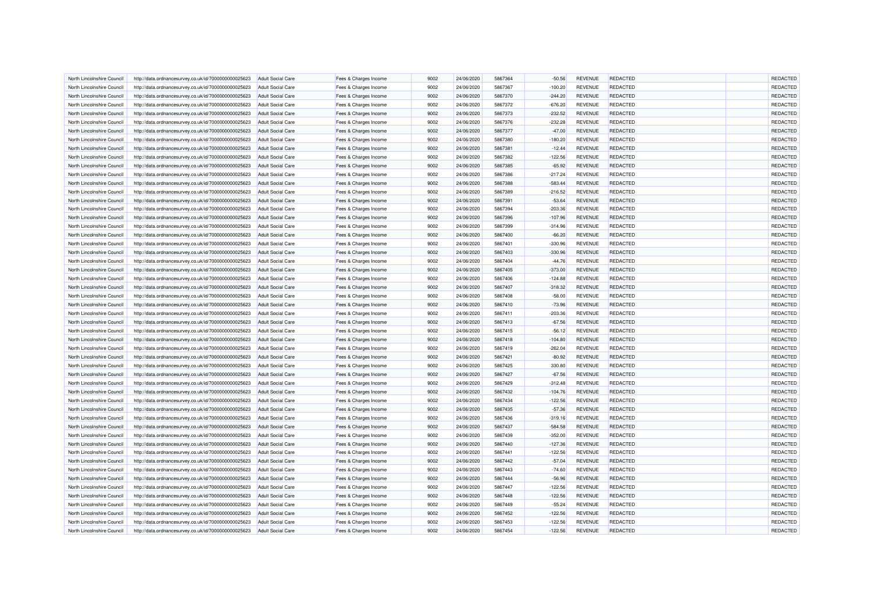| North Lincolnshire Council | http://data.ordnancesurvey.co.uk/id/7000000000025623 | <b>Adult Social Care</b> | Fees & Charges Income | 9002 | 24/06/2020 | 5867364 | $-50.56$  | <b>REVENUE</b> | <b>REDACTED</b> | REDACTED        |
|----------------------------|------------------------------------------------------|--------------------------|-----------------------|------|------------|---------|-----------|----------------|-----------------|-----------------|
|                            |                                                      |                          |                       |      |            |         |           |                |                 |                 |
| North Lincolnshire Council | http://data.ordnancesurvey.co.uk/id/7000000000025623 | <b>Adult Social Care</b> | Fees & Charges Income | 9002 | 24/06/2020 | 5867367 | $-100.20$ | <b>REVENUE</b> | <b>REDACTED</b> | <b>REDACTED</b> |
| North Lincolnshire Council | http://data.ordnancesurvey.co.uk/id/7000000000025623 | <b>Adult Social Care</b> | Fees & Charges Income | 9002 | 24/06/2020 | 5867370 | $-244.20$ | <b>REVENUE</b> | REDACTED        | <b>REDACTED</b> |
| North Lincolnshire Counci  | http://data.ordnancesurvey.co.uk/id/7000000000025623 | <b>Adult Social Care</b> | Fees & Charges Income | 9002 | 24/06/2020 | 5867372 | $-676.20$ | <b>REVENUE</b> | REDACTED        | REDACTED        |
| North Lincolnshire Council | http://data.ordnancesurvey.co.uk/id/7000000000025623 | <b>Adult Social Care</b> | Fees & Charges Income | 9002 | 24/06/2020 | 5867373 | $-232.52$ | <b>REVENUE</b> | <b>REDACTED</b> | REDACTED        |
| North Lincolnshire Council | http://data.ordnancesurvey.co.uk/id/7000000000025623 | <b>Adult Social Care</b> | Fees & Charges Income | 9002 | 24/06/2020 | 5867376 | $-232.28$ | <b>REVENUE</b> | REDACTED        | REDACTED        |
| North Lincolnshire Council | http://data.ordnancesurvey.co.uk/id/7000000000025623 | <b>Adult Social Care</b> | Fees & Charges Income | 9002 | 24/06/2020 | 5867377 | $-47.00$  | <b>REVENUE</b> | REDACTED        | REDACTED        |
| North Lincolnshire Council | http://data.ordnancesurvey.co.uk/id/7000000000025623 | <b>Adult Social Care</b> | Fees & Charges Income | 9002 | 24/06/2020 | 5867380 | $-180.20$ | <b>REVENUE</b> | REDACTED        | REDACTED        |
| North Lincolnshire Council | http://data.ordnancesurvey.co.uk/id/7000000000025623 | <b>Adult Social Care</b> | Fees & Charges Income | 9002 | 24/06/2020 | 5867381 | $-12.44$  | <b>REVENUE</b> | REDACTED        | REDACTED        |
| North Lincolnshire Council | http://data.ordnancesurvey.co.uk/id/7000000000025623 | <b>Adult Social Care</b> | Fees & Charges Income | 9002 | 24/06/2020 | 5867382 | $-122.56$ | <b>REVENUE</b> | <b>REDACTED</b> | <b>REDACTED</b> |
| North Lincolnshire Council | http://data.ordnancesurvey.co.uk/id/7000000000025623 | <b>Adult Social Care</b> | Fees & Charges Income | 9002 | 24/06/2020 | 5867385 | $-65.92$  | <b>REVENUE</b> | REDACTED        | <b>REDACTED</b> |
| North Lincolnshire Council | http://data.ordnancesurvey.co.uk/id/7000000000025623 | <b>Adult Social Care</b> | Fees & Charges Income | 9002 | 24/06/2020 | 5867386 | $-217.24$ | <b>REVENUE</b> | REDACTED        | REDACTED        |
| North Lincolnshire Council | http://data.ordnancesurvey.co.uk/id/7000000000025623 | <b>Adult Social Care</b> | Fees & Charges Income | 9002 | 24/06/2020 | 5867388 | $-583.44$ | <b>REVENUE</b> | <b>REDACTED</b> | REDACTED        |
| North Lincolnshire Council | http://data.ordnancesurvey.co.uk/id/7000000000025623 | <b>Adult Social Care</b> | Fees & Charges Income | 9002 | 24/06/2020 | 5867389 | $-216.52$ | <b>REVENUE</b> | REDACTED        | REDACTED        |
| North Lincolnshire Council | http://data.ordnancesurvey.co.uk/id/7000000000025623 | <b>Adult Social Care</b> | Fees & Charges Income | 9002 | 24/06/2020 | 5867391 | $-53.64$  | <b>REVENUE</b> | <b>REDACTED</b> | REDACTED        |
| North Lincolnshire Council | http://data.ordnancesurvey.co.uk/id/7000000000025623 | <b>Adult Social Care</b> | Fees & Charges Income | 9002 | 24/06/2020 | 5867394 | $-203.36$ | <b>REVENUE</b> | REDACTED        | REDACTED        |
| North Lincolnshire Council | http://data.ordnancesurvey.co.uk/id/7000000000025623 | <b>Adult Social Care</b> | Fees & Charges Income | 9002 | 24/06/2020 | 5867396 | $-107.96$ | <b>REVENUE</b> | REDACTED        | REDACTED        |
| North Lincolnshire Council | http://data.ordnancesurvey.co.uk/id/7000000000025623 | <b>Adult Social Care</b> | Fees & Charges Income | 9002 | 24/06/2020 | 5867399 | $-314.96$ | <b>REVENUE</b> | <b>REDACTED</b> | REDACTED        |
| North Lincolnshire Council | http://data.ordnancesurvey.co.uk/id/7000000000025623 | <b>Adult Social Care</b> | Fees & Charges Income | 9002 | 24/06/2020 | 5867400 | $-66.20$  | <b>REVENUE</b> | REDACTED        | REDACTED        |
| North Lincolnshire Counci  | http://data.ordnancesurvey.co.uk/id/7000000000025623 | <b>Adult Social Care</b> | Fees & Charges Income | 9002 | 24/06/2020 | 5867401 | $-330.96$ | <b>REVENUE</b> | <b>REDACTED</b> | REDACTED        |
| North Lincolnshire Council |                                                      | <b>Adult Social Care</b> |                       | 9002 | 24/06/2020 | 5867403 | $-330.96$ | <b>REVENUE</b> | <b>REDACTED</b> | REDACTED        |
|                            | http://data.ordnancesurvey.co.uk/id/7000000000025623 |                          | Fees & Charges Income |      |            |         |           |                |                 |                 |
| North Lincolnshire Council | http://data.ordnancesurvey.co.uk/id/7000000000025623 | <b>Adult Social Care</b> | Fees & Charges Income | 9002 | 24/06/2020 | 5867404 | $-44.76$  | <b>REVENUE</b> | <b>REDACTED</b> | REDACTED        |
| North Lincolnshire Council | http://data.ordnancesurvey.co.uk/id/7000000000025623 | <b>Adult Social Care</b> | Fees & Charges Income | 9002 | 24/06/2020 | 5867405 | $-373.00$ | <b>REVENUE</b> | REDACTED        | REDACTED        |
| North Lincolnshire Council | http://data.ordnancesurvey.co.uk/id/7000000000025623 | <b>Adult Social Care</b> | Fees & Charges Income | 9002 | 24/06/2020 | 5867406 | $-124.88$ | <b>REVENUE</b> | <b>REDACTED</b> | REDACTED        |
| North Lincolnshire Council | http://data.ordnancesurvey.co.uk/id/7000000000025623 | <b>Adult Social Care</b> | Fees & Charges Income | 9002 | 24/06/2020 | 5867407 | $-318.32$ | <b>REVENUE</b> | <b>REDACTED</b> | REDACTED        |
| North Lincolnshire Council | http://data.ordnancesurvey.co.uk/id/7000000000025623 | <b>Adult Social Care</b> | Fees & Charges Income | 9002 | 24/06/2020 | 5867408 | $-58.00$  | <b>REVENUE</b> | <b>REDACTED</b> | REDACTED        |
| North Lincolnshire Council | http://data.ordnancesurvey.co.uk/id/7000000000025623 | <b>Adult Social Care</b> | Fees & Charges Income | 9002 | 24/06/2020 | 5867410 | $-73.96$  | <b>REVENUE</b> | <b>REDACTED</b> | REDACTED        |
| North Lincolnshire Council | http://data.ordnancesurvey.co.uk/id/7000000000025623 | <b>Adult Social Care</b> | Fees & Charges Income | 9002 | 24/06/2020 | 5867411 | $-203.36$ | <b>REVENUE</b> | <b>REDACTED</b> | REDACTED        |
| North Lincolnshire Council | http://data.ordnancesurvey.co.uk/id/7000000000025623 | <b>Adult Social Care</b> | Fees & Charges Income | 9002 | 24/06/2020 | 5867413 | $-67.56$  | <b>REVENUE</b> | REDACTED        | REDACTED        |
| North Lincolnshire Council | http://data.ordnancesurvey.co.uk/id/7000000000025623 | Adult Social Care        | Fees & Charges Income | 9002 | 24/06/2020 | 5867415 | $-56.12$  | <b>REVENUE</b> | REDACTED        | REDACTED        |
| North Lincolnshire Council | http://data.ordnancesurvey.co.uk/id/7000000000025623 | <b>Adult Social Care</b> | Fees & Charges Income | 9002 | 24/06/2020 | 5867418 | $-104.80$ | <b>REVENUE</b> | REDACTED        | REDACTED        |
| North Lincolnshire Council | http://data.ordnancesurvey.co.uk/id/7000000000025623 | <b>Adult Social Care</b> | Fees & Charges Income | 9002 | 24/06/2020 | 5867419 | $-262.04$ | <b>REVENUE</b> | REDACTED        | REDACTED        |
| North Lincolnshire Council | http://data.ordnancesurvey.co.uk/id/7000000000025623 | <b>Adult Social Care</b> | Fees & Charges Income | 9002 | 24/06/2020 | 5867421 | $-80.92$  | <b>REVENUE</b> | <b>REDACTED</b> | REDACTED        |
| North Lincolnshire Council | http://data.ordnancesurvey.co.uk/id/7000000000025623 | <b>Adult Social Care</b> | Fees & Charges Income | 9002 | 24/06/2020 | 5867425 | 330.80    | <b>REVENUE</b> | <b>REDACTED</b> | REDACTED        |
| North Lincolnshire Council | http://data.ordnancesurvey.co.uk/id/7000000000025623 | <b>Adult Social Care</b> | Fees & Charges Income | 9002 | 24/06/2020 | 5867427 | $-67.56$  | <b>REVENUE</b> | <b>REDACTED</b> | REDACTED        |
| North Lincolnshire Council | http://data.ordnancesurvey.co.uk/id/7000000000025623 | <b>Adult Social Care</b> | Fees & Charges Income | 9002 | 24/06/2020 | 5867429 | $-312.48$ | <b>REVENUE</b> | REDACTED        | REDACTED        |
| North Lincolnshire Council | http://data.ordnancesurvey.co.uk/id/7000000000025623 | <b>Adult Social Care</b> | Fees & Charges Income | 9002 | 24/06/2020 | 5867432 | $-104.76$ | <b>REVENUE</b> | <b>REDACTED</b> | REDACTED        |
| North Lincolnshire Council | http://data.ordnancesurvey.co.uk/id/7000000000025623 | Adult Social Care        | Fees & Charges Income | 9002 | 24/06/2020 | 5867434 | $-122.56$ | <b>REVENUE</b> | <b>REDACTED</b> | REDACTED        |
| North Lincolnshire Council | http://data.ordnancesurvey.co.uk/id/7000000000025623 | <b>Adult Social Care</b> | Fees & Charges Income | 9002 | 24/06/2020 | 5867435 | $-57.36$  | <b>REVENUE</b> | REDACTED        | REDACTED        |
| North Lincolnshire Council | http://data.ordnancesurvey.co.uk/id/7000000000025623 | <b>Adult Social Care</b> | Fees & Charges Income | 9002 | 24/06/2020 | 5867436 | $-319.16$ | <b>REVENUE</b> | REDACTED        | REDACTED        |
| North Lincolnshire Council | http://data.ordnancesurvey.co.uk/id/7000000000025623 | <b>Adult Social Care</b> | Fees & Charges Income | 9002 | 24/06/2020 | 5867437 | $-584.58$ | <b>REVENUE</b> | REDACTED        | REDACTED        |
| North Lincolnshire Council |                                                      | <b>Adult Social Care</b> |                       | 9002 | 24/06/2020 | 5867439 | $-352.00$ | <b>REVENUE</b> | <b>REDACTED</b> | <b>REDACTED</b> |
|                            | http://data.ordnancesurvey.co.uk/id/7000000000025623 |                          | Fees & Charges Income | 9002 | 24/06/2020 | 5867440 |           | <b>REVENUE</b> | <b>REDACTED</b> | REDACTED        |
| North Lincolnshire Council | http://data.ordnancesurvey.co.uk/id/7000000000025623 | Adult Social Care        | Fees & Charges Income |      |            |         | $-127.36$ |                |                 |                 |
| North Lincolnshire Council | http://data.ordnancesurvey.co.uk/id/7000000000025623 | <b>Adult Social Care</b> | Fees & Charges Income | 9002 | 24/06/2020 | 5867441 | $-122.56$ | <b>REVENUE</b> | <b>REDACTED</b> | REDACTED        |
| North Lincolnshire Council | http://data.ordnancesurvey.co.uk/id/7000000000025623 | <b>Adult Social Care</b> | Fees & Charges Income | 9002 | 24/06/2020 | 5867442 | $-57.04$  | <b>REVENUE</b> | REDACTED        | REDACTED        |
| North Lincolnshire Council | http://data.ordnancesurvey.co.uk/id/7000000000025623 | <b>Adult Social Care</b> | Fees & Charges Income | 9002 | 24/06/2020 | 5867443 | $-74.60$  | <b>REVENUE</b> | <b>REDACTED</b> | <b>REDACTED</b> |
| North Lincolnshire Council | http://data.ordnancesurvey.co.uk/id/7000000000025623 | <b>Adult Social Care</b> | Fees & Charges Income | 9002 | 24/06/2020 | 5867444 | $-56.96$  | <b>REVENUE</b> | REDACTED        | <b>REDACTED</b> |
| North Lincolnshire Council | http://data.ordnancesurvey.co.uk/id/7000000000025623 | <b>Adult Social Care</b> | Fees & Charges Income | 9002 | 24/06/2020 | 5867447 | $-122.56$ | <b>REVENUE</b> | REDACTED        | <b>REDACTED</b> |
| North Lincolnshire Council | http://data.ordnancesurvey.co.uk/id/7000000000025623 | <b>Adult Social Care</b> | Fees & Charges Income | 9002 | 24/06/2020 | 5867448 | $-122.56$ | <b>REVENUE</b> | <b>REDACTED</b> | REDACTED        |
| North Lincolnshire Council | http://data.ordnancesurvey.co.uk/id/7000000000025623 | <b>Adult Social Care</b> | Fees & Charges Income | 9002 | 24/06/2020 | 5867449 | $-55.24$  | <b>REVENUE</b> | REDACTED        | <b>REDACTED</b> |
| North Lincolnshire Council | http://data.ordnancesurvey.co.uk/id/7000000000025623 | <b>Adult Social Care</b> | Fees & Charges Income | 9002 | 24/06/2020 | 5867452 | $-122.56$ | <b>REVENUE</b> | <b>REDACTED</b> | <b>REDACTED</b> |
| North Lincolnshire Council | http://data.ordnancesurvey.co.uk/id/7000000000025623 | <b>Adult Social Care</b> | Fees & Charges Income | 9002 | 24/06/2020 | 5867453 | $-122.56$ | <b>REVENUE</b> | REDACTED        | <b>REDACTED</b> |
| North Lincolnshire Council | http://data.ordnancesurvey.co.uk/id/7000000000025623 | <b>Adult Social Care</b> | Fees & Charges Income | 9002 | 24/06/2020 | 5867454 | $-122.56$ | <b>REVENUE</b> | REDACTED        | <b>REDACTED</b> |
|                            |                                                      |                          |                       |      |            |         |           |                |                 |                 |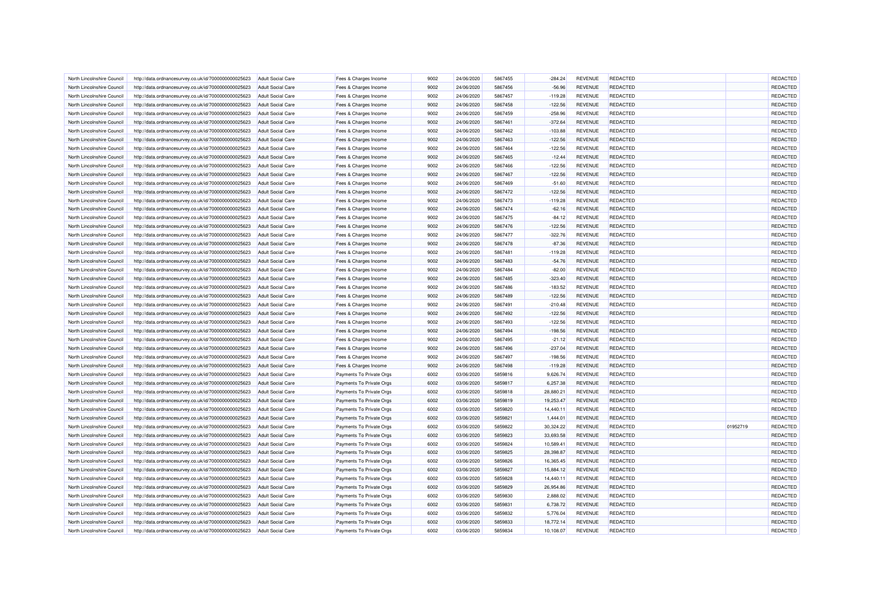| North Lincolnshire Council | http://data.ordnancesurvey.co.uk/id/7000000000025623 | <b>Adult Social Care</b> | Fees & Charges Income    | 9002 | 24/06/2020 | 5867455 | $-284.24$ | <b>REVENUE</b> | <b>REDACTED</b> |          | REDACTED        |
|----------------------------|------------------------------------------------------|--------------------------|--------------------------|------|------------|---------|-----------|----------------|-----------------|----------|-----------------|
| North Lincolnshire Council | http://data.ordnancesurvey.co.uk/id/7000000000025623 | <b>Adult Social Care</b> | Fees & Charges Income    | 9002 | 24/06/2020 | 5867456 | $-56.96$  | <b>REVENUE</b> | <b>REDACTED</b> |          | REDACTED        |
| North Lincolnshire Council | http://data.ordnancesurvey.co.uk/id/7000000000025623 | <b>Adult Social Care</b> | Fees & Charges Income    | 9002 | 24/06/2020 | 5867457 | $-119.28$ | <b>REVENUE</b> | <b>REDACTED</b> |          | REDACTED        |
| North Lincolnshire Counci  | http://data.ordnancesurvey.co.uk/id/7000000000025623 | <b>Adult Social Care</b> | Fees & Charges Income    | 9002 | 24/06/2020 | 5867458 | $-122.56$ | <b>REVENUE</b> | REDACTED        |          | REDACTED        |
| North Lincolnshire Council | http://data.ordnancesurvey.co.uk/id/7000000000025623 | <b>Adult Social Care</b> | Fees & Charges Income    | 9002 | 24/06/2020 | 5867459 | $-258.96$ | <b>REVENUE</b> | <b>REDACTED</b> |          | REDACTED        |
| North Lincolnshire Council | http://data.ordnancesurvey.co.uk/id/7000000000025623 | <b>Adult Social Care</b> | Fees & Charges Income    | 9002 | 24/06/2020 | 5867461 | $-372.64$ | <b>REVENUE</b> | REDACTED        |          | REDACTED        |
| North Lincolnshire Council | http://data.ordnancesurvey.co.uk/id/7000000000025623 | <b>Adult Social Care</b> | Fees & Charges Income    | 9002 | 24/06/2020 | 5867462 | $-103.88$ | <b>REVENUE</b> | <b>REDACTED</b> |          | REDACTED        |
| North Lincolnshire Council | http://data.ordnancesurvey.co.uk/id/7000000000025623 | <b>Adult Social Care</b> | Fees & Charges Income    | 9002 | 24/06/2020 | 5867463 | $-122.56$ | <b>REVENUE</b> | <b>REDACTED</b> |          | REDACTED        |
| North Lincolnshire Council | http://data.ordnancesurvey.co.uk/id/7000000000025623 | <b>Adult Social Care</b> | Fees & Charges Income    | 9002 | 24/06/2020 | 5867464 | $-122.56$ | <b>REVENUE</b> | REDACTED        |          | REDACTED        |
| North Lincolnshire Council | http://data.ordnancesurvey.co.uk/id/7000000000025623 | <b>Adult Social Care</b> | Fees & Charges Income    | 9002 | 24/06/2020 | 5867465 | $-12.44$  | <b>REVENUE</b> | <b>REDACTED</b> |          | <b>REDACTED</b> |
| North Lincolnshire Council | http://data.ordnancesurvey.co.uk/id/7000000000025623 | <b>Adult Social Care</b> | Fees & Charges Income    | 9002 | 24/06/2020 | 5867466 | $-122.56$ | <b>REVENUE</b> | REDACTED        |          | <b>REDACTED</b> |
| North Lincolnshire Council | http://data.ordnancesurvey.co.uk/id/7000000000025623 | <b>Adult Social Care</b> | Fees & Charges Income    | 9002 | 24/06/2020 | 5867467 | $-122.56$ | <b>REVENUE</b> | REDACTED        |          | REDACTED        |
| North Lincolnshire Council | http://data.ordnancesurvey.co.uk/id/7000000000025623 | <b>Adult Social Care</b> | Fees & Charges Income    | 9002 | 24/06/2020 | 5867469 | $-51.60$  | <b>REVENUE</b> | <b>REDACTED</b> |          | <b>REDACTED</b> |
| North Lincolnshire Council | http://data.ordnancesurvey.co.uk/id/7000000000025623 | <b>Adult Social Care</b> | Fees & Charges Income    | 9002 | 24/06/2020 | 5867472 | $-122.56$ | <b>REVENUE</b> | REDACTED        |          | REDACTED        |
| North Lincolnshire Council | http://data.ordnancesurvey.co.uk/id/7000000000025623 | <b>Adult Social Care</b> | Fees & Charges Income    | 9002 | 24/06/2020 | 5867473 | $-119.28$ | <b>REVENUE</b> | <b>REDACTED</b> |          | REDACTED        |
| North Lincolnshire Council | http://data.ordnancesurvey.co.uk/id/7000000000025623 | <b>Adult Social Care</b> | Fees & Charges Income    | 9002 | 24/06/2020 | 5867474 | $-62.16$  | <b>REVENUE</b> | REDACTED        |          | REDACTED        |
| North Lincolnshire Council | http://data.ordnancesurvey.co.uk/id/7000000000025623 | <b>Adult Social Care</b> | Fees & Charges Income    | 9002 | 24/06/2020 | 5867475 | $-84.12$  | <b>REVENUE</b> | <b>REDACTED</b> |          | REDACTED        |
| North Lincolnshire Council |                                                      |                          | Fees & Charges Income    | 9002 | 24/06/2020 | 5867476 | $-122.56$ | <b>REVENUE</b> | <b>REDACTED</b> |          | REDACTED        |
|                            | http://data.ordnancesurvey.co.uk/id/7000000000025623 | <b>Adult Social Care</b> |                          |      |            |         |           |                |                 |          |                 |
| North Lincolnshire Council | http://data.ordnancesurvey.co.uk/id/7000000000025623 | <b>Adult Social Care</b> | Fees & Charges Income    | 9002 | 24/06/2020 | 5867477 | $-322.76$ | <b>REVENUE</b> | REDACTED        |          | <b>REDACTED</b> |
| North Lincolnshire Council | http://data.ordnancesurvey.co.uk/id/7000000000025623 | <b>Adult Social Care</b> | Fees & Charges Income    | 9002 | 24/06/2020 | 5867478 | $-87.36$  | <b>REVENUE</b> | <b>REDACTED</b> |          | REDACTED        |
| North Lincolnshire Council | http://data.ordnancesurvey.co.uk/id/7000000000025623 | <b>Adult Social Care</b> | Fees & Charges Income    | 9002 | 24/06/2020 | 5867481 | $-119.28$ | <b>REVENUE</b> | <b>REDACTED</b> |          | <b>REDACTED</b> |
| North Lincolnshire Council | http://data.ordnancesurvey.co.uk/id/7000000000025623 | <b>Adult Social Care</b> | Fees & Charges Income    | 9002 | 24/06/2020 | 5867483 | $-54.76$  | <b>REVENUE</b> | <b>REDACTED</b> |          | REDACTED        |
| North Lincolnshire Council | http://data.ordnancesurvey.co.uk/id/7000000000025623 | <b>Adult Social Care</b> | Fees & Charges Income    | 9002 | 24/06/2020 | 5867484 | $-82.00$  | <b>REVENUE</b> | REDACTED        |          | REDACTED        |
| North Lincolnshire Council | http://data.ordnancesurvey.co.uk/id/7000000000025623 | <b>Adult Social Care</b> | Fees & Charges Income    | 9002 | 24/06/2020 | 5867485 | $-323.40$ | <b>REVENUE</b> | <b>REDACTED</b> |          | REDACTED        |
| North Lincolnshire Council | http://data.ordnancesurvey.co.uk/id/7000000000025623 | <b>Adult Social Care</b> | Fees & Charges Income    | 9002 | 24/06/2020 | 5867486 | $-183.52$ | <b>REVENUE</b> | REDACTED        |          | REDACTED        |
| North Lincolnshire Council | http://data.ordnancesurvey.co.uk/id/7000000000025623 | <b>Adult Social Care</b> | Fees & Charges Income    | 9002 | 24/06/2020 | 5867489 | $-122.56$ | <b>REVENUE</b> | <b>REDACTED</b> |          | REDACTED        |
| North Lincolnshire Council | http://data.ordnancesurvey.co.uk/id/7000000000025623 | <b>Adult Social Care</b> | Fees & Charges Income    | 9002 | 24/06/2020 | 5867491 | $-210.48$ | <b>REVENUE</b> | <b>REDACTED</b> |          | REDACTED        |
| North Lincolnshire Council | http://data.ordnancesurvey.co.uk/id/7000000000025623 | <b>Adult Social Care</b> | Fees & Charges Income    | 9002 | 24/06/2020 | 5867492 | $-122.56$ | <b>REVENUE</b> | <b>REDACTED</b> |          | REDACTED        |
| North Lincolnshire Council | http://data.ordnancesurvey.co.uk/id/7000000000025623 | <b>Adult Social Care</b> | Fees & Charges Income    | 9002 | 24/06/2020 | 5867493 | $-122.56$ | <b>REVENUE</b> | REDACTED        |          | REDACTED        |
| North Lincolnshire Council | http://data.ordnancesurvey.co.uk/id/7000000000025623 | <b>Adult Social Care</b> | Fees & Charges Income    | 9002 | 24/06/2020 | 5867494 | $-198.56$ | <b>REVENUE</b> | <b>REDACTED</b> |          | REDACTED        |
| North Lincolnshire Council | http://data.ordnancesurvey.co.uk/id/7000000000025623 | <b>Adult Social Care</b> | Fees & Charges Income    | 9002 | 24/06/2020 | 5867495 | $-21.12$  | <b>REVENUE</b> | REDACTED        |          | REDACTED        |
| North Lincolnshire Council | http://data.ordnancesurvey.co.uk/id/7000000000025623 | <b>Adult Social Care</b> | Fees & Charges Income    | 9002 | 24/06/2020 | 5867496 | $-237.04$ | <b>REVENUE</b> | <b>REDACTED</b> |          | REDACTED        |
| North Lincolnshire Council | http://data.ordnancesurvey.co.uk/id/7000000000025623 | <b>Adult Social Care</b> | Fees & Charges Income    | 9002 | 24/06/2020 | 5867497 | $-198.56$ | <b>REVENUE</b> | REDACTED        |          | REDACTED        |
| North Lincolnshire Council | http://data.ordnancesurvey.co.uk/id/7000000000025623 | <b>Adult Social Care</b> | Fees & Charges Income    | 9002 | 24/06/2020 | 5867498 | $-119.28$ | <b>REVENUE</b> | <b>REDACTED</b> |          | REDACTED        |
| North Lincolnshire Council | http://data.ordnancesurvey.co.uk/id/7000000000025623 | <b>Adult Social Care</b> | Payments To Private Orgs | 6002 | 03/06/2020 | 5859816 | 9,626.74  | <b>REVENUE</b> | REDACTED        |          | REDACTED        |
| North Lincolnshire Council | http://data.ordnancesurvey.co.uk/id/7000000000025623 | <b>Adult Social Care</b> | Payments To Private Orgs | 6002 | 03/06/2020 | 5859817 | 6.257.38  | <b>REVENUE</b> | REDACTED        |          | REDACTED        |
| North Lincolnshire Council | http://data.ordnancesurvey.co.uk/id/7000000000025623 | <b>Adult Social Care</b> | Payments To Private Orgs | 6002 | 03/06/2020 | 5859818 | 28,880.21 | <b>REVENUE</b> | REDACTED        |          | REDACTED        |
| North Lincolnshire Council | http://data.ordnancesurvey.co.uk/id/7000000000025623 | Adult Social Care        | Payments To Private Orgs | 6002 | 03/06/2020 | 5859819 | 19,253.47 | <b>REVENUE</b> | <b>REDACTED</b> |          | REDACTED        |
| North Lincolnshire Council |                                                      | <b>Adult Social Care</b> | Payments To Private Orgs | 6002 | 03/06/2020 | 5859820 | 14,440.11 | <b>REVENUE</b> | <b>REDACTED</b> |          | REDACTED        |
|                            | http://data.ordnancesurvey.co.uk/id/7000000000025623 |                          |                          |      |            |         |           |                |                 |          | REDACTED        |
| North Lincolnshire Council | http://data.ordnancesurvey.co.uk/id/7000000000025623 | <b>Adult Social Care</b> | Payments To Private Orgs | 6002 | 03/06/2020 | 5859821 | 1,444.01  | <b>REVENUE</b> | REDACTED        |          |                 |
| North Lincolnshire Council | http://data.ordnancesurvey.co.uk/id/7000000000025623 | <b>Adult Social Care</b> | Payments To Private Orgs | 6002 | 03/06/2020 | 5859822 | 30,324.22 | <b>REVENUE</b> | <b>REDACTED</b> | 01952719 | REDACTED        |
| North Lincolnshire Council | http://data.ordnancesurvey.co.uk/id/7000000000025623 | <b>Adult Social Care</b> | Payments To Private Orgs | 6002 | 03/06/2020 | 5859823 | 33,693.58 | <b>REVENUE</b> | <b>REDACTED</b> |          | <b>REDACTED</b> |
| North Lincolnshire Council | http://data.ordnancesurvey.co.uk/id/7000000000025623 | Adult Social Care        | Payments To Private Orgs | 6002 | 03/06/2020 | 5859824 | 10,589.41 | <b>REVENUE</b> | REDACTED        |          | REDACTED        |
| North Lincolnshire Council | http://data.ordnancesurvey.co.uk/id/7000000000025623 | <b>Adult Social Care</b> | Payments To Private Orgs | 6002 | 03/06/2020 | 5859825 | 28,398.87 | <b>REVENUE</b> | <b>REDACTED</b> |          | REDACTED        |
| North Lincolnshire Council | http://data.ordnancesurvey.co.uk/id/7000000000025623 | <b>Adult Social Care</b> | Payments To Private Orgs | 6002 | 03/06/2020 | 5859826 | 16,365.45 | <b>REVENUE</b> | REDACTED        |          | REDACTED        |
| North Lincolnshire Council | http://data.ordnancesurvey.co.uk/id/7000000000025623 | <b>Adult Social Care</b> | Payments To Private Orgs | 6002 | 03/06/2020 | 5859827 | 15,884.12 | <b>REVENUE</b> | <b>REDACTED</b> |          | REDACTED        |
| North Lincolnshire Council | http://data.ordnancesurvey.co.uk/id/7000000000025623 | <b>Adult Social Care</b> | Payments To Private Orgs | 6002 | 03/06/2020 | 5859828 | 14,440.11 | <b>REVENUE</b> | REDACTED        |          | <b>REDACTED</b> |
| North Lincolnshire Council | http://data.ordnancesurvey.co.uk/id/7000000000025623 | <b>Adult Social Care</b> | Payments To Private Orgs | 6002 | 03/06/2020 | 5859829 | 26,954.86 | <b>REVENUE</b> | REDACTED        |          | <b>REDACTED</b> |
| North Lincolnshire Council | http://data.ordnancesurvey.co.uk/id/7000000000025623 | <b>Adult Social Care</b> | Payments To Private Orgs | 6002 | 03/06/2020 | 5859830 | 2.888.02  | <b>REVENUE</b> | <b>REDACTED</b> |          | REDACTED        |
| North Lincolnshire Council | http://data.ordnancesurvey.co.uk/id/7000000000025623 | <b>Adult Social Care</b> | Payments To Private Orgs | 6002 | 03/06/2020 | 5859831 | 6,738.72  | <b>REVENUE</b> | <b>REDACTED</b> |          | <b>REDACTED</b> |
| North Lincolnshire Council | http://data.ordnancesurvey.co.uk/id/7000000000025623 | <b>Adult Social Care</b> | Payments To Private Orgs | 6002 | 03/06/2020 | 5859832 | 5,776.04  | <b>REVENUE</b> | <b>REDACTED</b> |          | <b>REDACTED</b> |
| North Lincolnshire Council | http://data.ordnancesurvey.co.uk/id/7000000000025623 | <b>Adult Social Care</b> | Payments To Private Orgs | 6002 | 03/06/2020 | 5859833 | 18,772.14 | <b>REVENUE</b> | <b>REDACTED</b> |          | <b>REDACTED</b> |
| North Lincolnshire Council | http://data.ordnancesurvey.co.uk/id/7000000000025623 | <b>Adult Social Care</b> | Payments To Private Orgs | 6002 | 03/06/2020 | 5859834 | 10,108.07 | <b>REVENUE</b> | REDACTED        |          | <b>REDACTED</b> |
|                            |                                                      |                          |                          |      |            |         |           |                |                 |          |                 |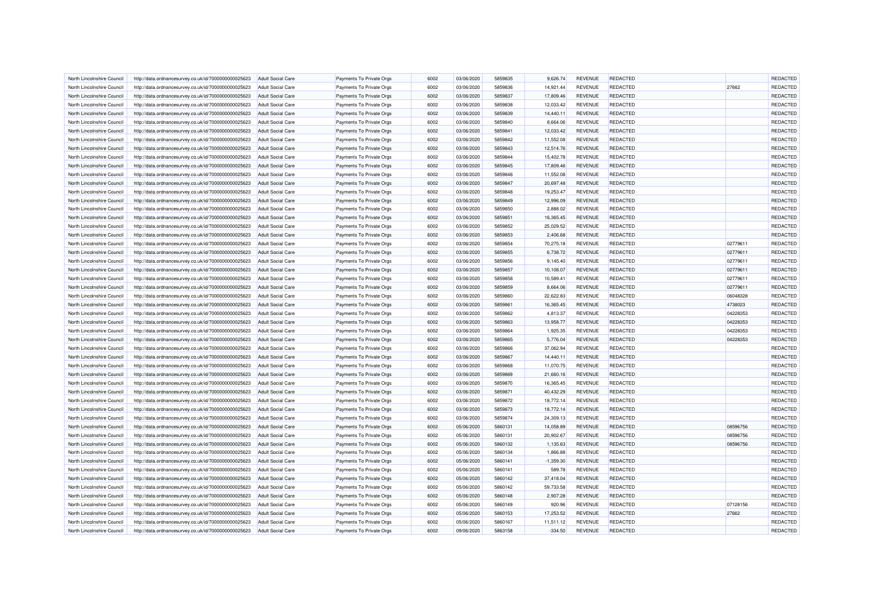| North Lincolnshire Council                               | http://data.ordnancesurvey.co.uk/id/7000000000025623 | <b>Adult Social Care</b>                      | Payments To Private Orgs | 6002         | 03/06/2020               | 5859835            | 9.626.74               | <b>REVENUE</b>                   | REDACTED                           |                     | REDACTED             |
|----------------------------------------------------------|------------------------------------------------------|-----------------------------------------------|--------------------------|--------------|--------------------------|--------------------|------------------------|----------------------------------|------------------------------------|---------------------|----------------------|
|                                                          |                                                      |                                               | Payments To Private Orgs | 6002         | 03/06/2020               | 5859836            | 14,921.44              | <b>REVENUE</b>                   | REDACTED                           | 27662               | REDACTED             |
| North Lincolnshire Council<br>North Lincolnshire Council | http://data.ordnancesurvey.co.uk/id/7000000000025623 | <b>Adult Social Care</b><br>Adult Social Care |                          | 6002         | 03/06/2020               | 5859837            | 17,809.46              | <b>REVENUE</b>                   | REDACTED                           |                     | <b>REDACTED</b>      |
|                                                          | http://data.ordnancesurvey.co.uk/id/7000000000025623 |                                               | Payments To Private Orgs |              |                          |                    |                        |                                  |                                    |                     |                      |
| North Lincolnshire Council                               | http://data.ordnancesurvey.co.uk/id/7000000000025623 | <b>Adult Social Care</b>                      | Payments To Private Orgs | 6002         | 03/06/2020               | 5859838            | 12,033.42              | <b>REVENUE</b>                   | REDACTED                           |                     | REDACTED             |
| North Lincolnshire Council                               | http://data.ordnancesurvey.co.uk/id/7000000000025623 | <b>Adult Social Care</b>                      | Payments To Private Orgs | 6002         | 03/06/2020               | 5859839            | 14,440.11              | <b>REVENUE</b>                   | <b>REDACTED</b>                    |                     | REDACTED             |
| North Lincolnshire Council                               | http://data.ordnancesurvey.co.uk/id/7000000000025623 | <b>Adult Social Care</b>                      | Payments To Private Orgs | 6002         | 03/06/2020               | 5859840            | 8,664.06               | <b>REVENUE</b>                   | REDACTED                           |                     | REDACTED             |
| North Lincolnshire Council                               | http://data.ordnancesurvey.co.uk/id/7000000000025623 | <b>Adult Social Care</b>                      | Payments To Private Orgs | 6002         | 03/06/2020               | 5859841            | 12,033.42              | <b>REVENUE</b>                   | <b>REDACTED</b>                    |                     | REDACTED             |
| North Lincolnshire Council                               | http://data.ordnancesurvey.co.uk/id/7000000000025623 | <b>Adult Social Care</b>                      | Payments To Private Orgs | 6002         | 03/06/2020               | 5859842            | 11,552.08              | <b>REVENUE</b>                   | REDACTED                           |                     | REDACTED             |
| North Lincolnshire Council                               | http://data.ordnancesurvey.co.uk/id/7000000000025623 | Adult Social Care                             | Payments To Private Oras | 6002         | 03/06/2020               | 5859843            | 12.514.76              | <b>REVENUE</b>                   | REDACTED                           |                     | REDACTED             |
| North Lincolnshire Council                               | http://data.ordnancesurvey.co.uk/id/7000000000025623 | <b>Adult Social Care</b>                      | Payments To Private Orgs | 6002         | 03/06/2020               | 5859844            | 15,402.78              | <b>REVENUE</b>                   | <b>REDACTED</b>                    |                     | REDACTED             |
| North Lincolnshire Council                               | http://data.ordnancesurvey.co.uk/id/7000000000025623 | Adult Social Care                             | Payments To Private Orgs | 6002         | 03/06/2020               | 5859845            | 17,809.46              | <b>REVENUE</b>                   | REDACTED                           |                     | <b>REDACTED</b>      |
| North Lincolnshire Council                               | http://data.ordnancesurvey.co.uk/id/7000000000025623 | <b>Adult Social Care</b>                      | Payments To Private Orgs | 6002         | 03/06/2020               | 5859846            | 11,552.08              | <b>REVENUE</b>                   | REDACTED                           |                     | REDACTED             |
| North Lincolnshire Council                               | http://data.ordnancesurvey.co.uk/id/7000000000025623 | Adult Social Care                             | Payments To Private Orgs | 6002         | 03/06/2020               | 5859847            | 20,697.48              | <b>REVENUE</b>                   | REDACTED                           |                     | REDACTED             |
| North Lincolnshire Council                               | http://data.ordnancesurvey.co.uk/id/7000000000025623 | <b>Adult Social Care</b>                      | Payments To Private Orgs | 6002         | 03/06/2020               | 5859848            | 19,253.47              | <b>REVENUE</b>                   | REDACTED                           |                     | <b>REDACTED</b>      |
| North Lincolnshire Council                               | http://data.ordnancesurvey.co.uk/id/7000000000025623 | <b>Adult Social Care</b>                      | Payments To Private Orgs | 6002         | 03/06/2020               | 5859849            | 12,996.09              | <b>REVENUE</b>                   | <b>REDACTED</b>                    |                     | REDACTED             |
| North Lincolnshire Council                               | http://data.ordnancesurvey.co.uk/id/7000000000025623 | <b>Adult Social Care</b>                      | Payments To Private Orgs | 6002         | 03/06/2020               | 5859850            | 2,888.02               | <b>REVENUE</b>                   | REDACTED                           |                     | REDACTED             |
| North Lincolnshire Council                               | http://data.ordnancesurvey.co.uk/id/7000000000025623 | <b>Adult Social Care</b>                      | Payments To Private Orgs | 6002         | 03/06/2020               | 5859851            | 16,365.45              | <b>REVENUE</b>                   | REDACTED                           |                     | REDACTED             |
| North Lincolnshire Council                               | http://data.ordnancesurvey.co.uk/id/7000000000025623 | <b>Adult Social Care</b>                      | Payments To Private Orgs | 6002         | 03/06/2020               | 5859852            | 25,029.52              | <b>REVENUE</b>                   | <b>REDACTED</b>                    |                     | REDACTED             |
| North Lincolnshire Council                               | http://data.ordnancesurvey.co.uk/id/7000000000025623 | <b>Adult Social Care</b>                      | Payments To Private Orgs | 6002         | 03/06/2020               | 5859853            | 2,406.68               | <b>REVENUE</b>                   | <b>REDACTED</b>                    |                     | REDACTED             |
| North Lincolnshire Council                               | http://data.ordnancesurvey.co.uk/id/7000000000025623 | <b>Adult Social Care</b>                      | Payments To Private Orgs | 6002         | 03/06/2020               | 5859854            | 70,275.18              | <b>REVENUE</b>                   | REDACTED                           | 02779611            | REDACTED             |
| North Lincolnshire Council                               | http://data.ordnancesurvey.co.uk/id/7000000000025623 | <b>Adult Social Care</b>                      | Payments To Private Orgs | 6002         | 03/06/2020               | 5859855            | 6,738.72               | <b>REVENUE</b>                   | REDACTED                           | 02779611            | REDACTED             |
| North Lincolnshire Council                               | http://data.ordnancesurvey.co.uk/id/7000000000025623 | Adult Social Care                             | Payments To Private Orgs | 6002         | 03/06/2020               | 5859856            | 9,145.40               | <b>REVENUE</b>                   | REDACTED                           | 02779611            | REDACTED             |
| North Lincolnshire Council                               | http://data.ordnancesurvey.co.uk/id/7000000000025623 | <b>Adult Social Care</b>                      | Payments To Private Orgs | 6002         | 03/06/2020               | 5859857            | 10,108.07              | <b>REVENUE</b>                   | <b>REDACTED</b>                    | 02779611            | REDACTED             |
| North Lincolnshire Council                               | http://data.ordnancesurvey.co.uk/id/7000000000025623 | <b>Adult Social Care</b>                      | Payments To Private Orgs | 6002         | 03/06/2020               | 5859858            | 10,589.41              | <b>REVENUE</b>                   | REDACTED                           | 02779611            | REDACTED             |
| North Lincolnshire Council                               | http://data.ordnancesurvey.co.uk/id/7000000000025623 | <b>Adult Social Care</b>                      | Payments To Private Orgs | 6002         | 03/06/2020               | 5859859            | 8,664.06               | <b>REVENUE</b>                   | REDACTED                           | 02779611            | REDACTED             |
|                                                          |                                                      |                                               |                          |              |                          |                    |                        |                                  |                                    |                     |                      |
| North Lincolnshire Council<br>North Lincolnshire Council | http://data.ordnancesurvey.co.uk/id/7000000000025623 | <b>Adult Social Care</b><br>Adult Social Care | Payments To Private Orgs | 6002<br>6002 | 03/06/2020<br>03/06/2020 | 5859860<br>5859861 | 22,622.83<br>16,365.45 | <b>REVENUE</b><br><b>REVENUE</b> | <b>REDACTED</b><br><b>REDACTED</b> | 06048328<br>4738023 | REDACTED<br>REDACTED |
|                                                          | http://data.ordnancesurvey.co.uk/id/7000000000025623 |                                               | Payments To Private Orgs | 6002         |                          | 5859862            |                        |                                  |                                    |                     |                      |
| North Lincolnshire Council                               | http://data.ordnancesurvey.co.uk/id/7000000000025623 | <b>Adult Social Care</b>                      | Payments To Private Orgs |              | 03/06/2020               |                    | 4,813.37               | <b>REVENUE</b>                   | REDACTED                           | 04228353            | REDACTED             |
| North Lincolnshire Council                               | http://data.ordnancesurvey.co.uk/id/7000000000025623 | <b>Adult Social Care</b>                      | Payments To Private Orgs | 6002         | 03/06/2020               | 5859863            | 13,958.77              | <b>REVENUE</b>                   | REDACTED                           | 04228353            | REDACTED             |
| North Lincolnshire Council                               | http://data.ordnancesurvey.co.uk/id/7000000000025623 | Adult Social Care                             | Payments To Private Orgs | 6002         | 03/06/2020               | 5859864            | 1,925.35               | <b>REVENUE</b>                   | REDACTED                           | 04228353            | REDACTED             |
| North Lincolnshire Council                               | http://data.ordnancesurvey.co.uk/id/7000000000025623 | <b>Adult Social Care</b>                      | Payments To Private Orgs | 6002         | 03/06/2020               | 5859865            | 5,776.04               | <b>REVENUE</b>                   | REDACTED                           | 04228353            | REDACTED             |
| North Lincolnshire Council                               | http://data.ordnancesurvey.co.uk/id/7000000000025623 | Adult Social Care                             | Payments To Private Orgs | 6002         | 03/06/2020               | 5859866            | 37,062.94              | <b>REVENUE</b>                   | <b>REDACTED</b>                    |                     | REDACTED             |
| North Lincolnshire Council                               | http://data.ordnancesurvey.co.uk/id/7000000000025623 | <b>Adult Social Care</b>                      | Payments To Private Orgs | 6002         | 03/06/2020               | 5859867            | 14,440.11              | <b>REVENUE</b>                   | <b>REDACTED</b>                    |                     | REDACTED             |
| North Lincolnshire Council                               | http://data.ordnancesurvey.co.uk/id/7000000000025623 | <b>Adult Social Care</b>                      | Payments To Private Orgs | 6002         | 03/06/2020               | 5859868            | 11,070.75              | <b>REVENUE</b>                   | <b>REDACTED</b>                    |                     | REDACTED             |
| North Lincolnshire Council                               | http://data.ordnancesurvey.co.uk/id/7000000000025623 | Adult Social Care                             | Payments To Private Orgs | 6002         | 03/06/2020               | 5859869            | 21,660.16              | <b>REVENUE</b>                   | REDACTED                           |                     | REDACTED             |
| North Lincolnshire Council                               | http://data.ordnancesurvey.co.uk/id/7000000000025623 | <b>Adult Social Care</b>                      | Payments To Private Oras | 6002         | 03/06/2020               | 5859870            | 16.365.45              | <b>REVENUE</b>                   | REDACTED                           |                     | REDACTED             |
| North Lincolnshire Council                               | http://data.ordnancesurvey.co.uk/id/7000000000025623 | <b>Adult Social Care</b>                      | Payments To Private Orgs | 6002         | 03/06/2020               | 5859871            | 40,432.29              | <b>REVENUE</b>                   | <b>REDACTED</b>                    |                     | REDACTED             |
| North Lincolnshire Council                               | http://data.ordnancesurvey.co.uk/id/7000000000025623 | Adult Social Care                             | Payments To Private Orgs | 6002         | 03/06/2020               | 5859872            | 18,772.14              | <b>REVENUE</b>                   | <b>REDACTED</b>                    |                     | <b>REDACTED</b>      |
| North Lincolnshire Council                               | http://data.ordnancesurvey.co.uk/id/7000000000025623 | <b>Adult Social Care</b>                      | Payments To Private Orgs | 6002         | 03/06/2020               | 5859873            | 18,772.14              | <b>REVENUE</b>                   | <b>REDACTED</b>                    |                     | REDACTED             |
| North Lincolnshire Council                               | http://data.ordnancesurvey.co.uk/id/7000000000025623 | <b>Adult Social Care</b>                      | Payments To Private Orgs | 6002         | 03/06/2020               | 5859874            | 24,309.13              | <b>REVENUE</b>                   | REDACTED                           |                     | <b>REDACTED</b>      |
| North Lincolnshire Council                               | http://data.ordnancesurvey.co.uk/id/7000000000025623 | <b>Adult Social Care</b>                      | Payments To Private Orgs | 6002         | 05/06/2020               | 5860131            | 14,058.89              | <b>REVENUE</b>                   | REDACTED                           | 08596756            | REDACTED             |
| North Lincolnshire Council                               | http://data.ordnancesurvey.co.uk/id/7000000000025623 | <b>Adult Social Care</b>                      | Payments To Private Orgs | 6002         | 05/06/2020               | 5860131            | 20,902.67              | <b>REVENUE</b>                   | <b>REDACTED</b>                    | 08596756            | REDACTED             |
| North Lincolnshire Council                               | http://data.ordnancesurvey.co.uk/id/7000000000025623 | <b>Adult Social Care</b>                      | Payments To Private Orgs | 6002         | 05/06/2020               | 5860132            | 1,135.63               | <b>REVENUE</b>                   | <b>REDACTED</b>                    | 08596756            | REDACTED             |
| North Lincolnshire Council                               | http://data.ordnancesurvey.co.uk/id/7000000000025623 | <b>Adult Social Care</b>                      | Payments To Private Orgs | 6002         | 05/06/2020               | 5860134            | 1,866.88               | <b>REVENUE</b>                   | <b>REDACTED</b>                    |                     | REDACTED             |
| North Lincolnshire Council                               | http://data.ordnancesurvey.co.uk/id/7000000000025623 | <b>Adult Social Care</b>                      | Payments To Private Orgs | 6002         | 05/06/2020               | 5860141            | $-1,359.30$            | <b>REVENUE</b>                   | <b>REDACTED</b>                    |                     | REDACTED             |
| North Lincolnshire Council                               | http://data.ordnancesurvey.co.uk/id/7000000000025623 | <b>Adult Social Care</b>                      | Payments To Private Orgs | 6002         | 05/06/2020               | 5860141            | 589.78                 | <b>REVENUE</b>                   | <b>REDACTED</b>                    |                     | <b>REDACTED</b>      |
| North Lincolnshire Council                               | http://data.ordnancesurvey.co.uk/id/7000000000025623 | <b>Adult Social Care</b>                      | Payments To Private Orgs | 6002         | 05/06/2020               | 5860142            | 37,418.04              | <b>REVENUE</b>                   | <b>REDACTED</b>                    |                     | REDACTED             |
| North Lincolnshire Council                               | http://data.ordnancesurvey.co.uk/id/7000000000025623 | <b>Adult Social Care</b>                      | Payments To Private Orgs | 6002         | 05/06/2020               | 5860142            | 59,733.58              | <b>REVENUE</b>                   | REDACTED                           |                     | REDACTED             |
| North Lincolnshire Council                               | http://data.ordnancesurvey.co.uk/id/7000000000025623 | <b>Adult Social Care</b>                      | Payments To Private Orgs | 6002         | 05/06/2020               | 5860148            | 2,907.28               | <b>REVENUE</b>                   | <b>REDACTED</b>                    |                     | REDACTED             |
| North Lincolnshire Council                               | http://data.ordnancesurvey.co.uk/id/7000000000025623 | <b>Adult Social Care</b>                      | Payments To Private Orgs | 6002         | 05/06/2020               | 5860149            | 920.96                 | <b>REVENUE</b>                   | <b>REDACTED</b>                    | 07128156            | REDACTED             |
| North Lincolnshire Council                               | http://data.ordnancesurvey.co.uk/id/7000000000025623 | <b>Adult Social Care</b>                      | Payments To Private Orgs | 6002         | 05/06/2020               | 5860153            | 17,253.52              | <b>REVENUE</b>                   | <b>REDACTED</b>                    | 27662               | REDACTED             |
| North Lincolnshire Council                               | http://data.ordnancesurvey.co.uk/id/7000000000025623 | <b>Adult Social Care</b>                      | Payments To Private Orgs | 6002         | 05/06/2020               | 5860167            | 11,511.12              | <b>REVENUE</b>                   | <b>REDACTED</b>                    |                     | REDACTED             |
| North Lincolnshire Council                               | http://data.ordnancesurvey.co.uk/id/7000000000025623 | <b>Adult Social Care</b>                      | Payments To Private Orgs | 6002         | 09/06/2020               | 5863158            | $-334.50$              | <b>REVENUE</b>                   | REDACTED                           |                     | REDACTED             |
|                                                          |                                                      |                                               |                          |              |                          |                    |                        |                                  |                                    |                     |                      |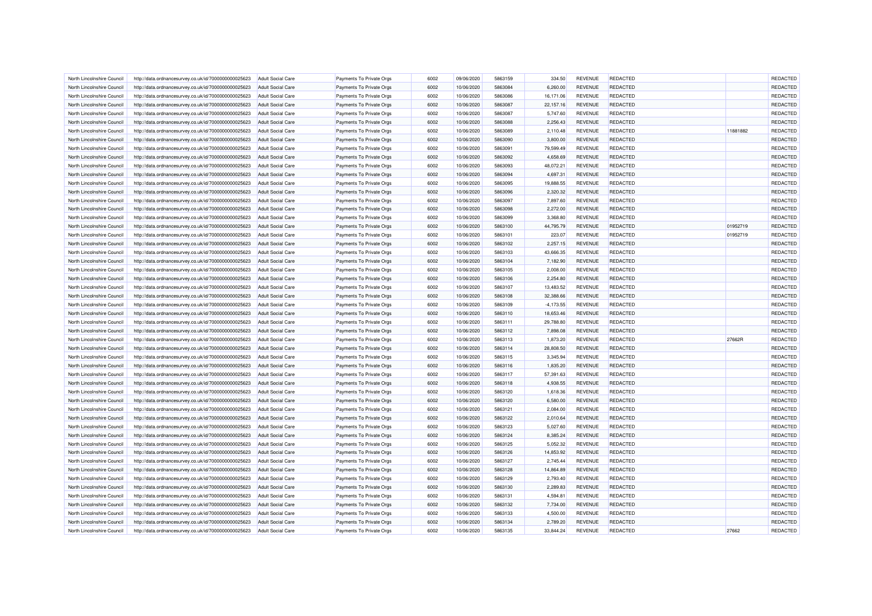| North Lincolnshire Council | http://data.ordnancesurvey.co.uk/id/7000000000025623 | <b>Adult Social Care</b> | Payments To Private Orgs | 6002 | 09/06/2020 | 5863159 | 334.50       | <b>REVENUE</b> | REDACTED        |          | REDACTED        |
|----------------------------|------------------------------------------------------|--------------------------|--------------------------|------|------------|---------|--------------|----------------|-----------------|----------|-----------------|
| North Lincolnshire Council | http://data.ordnancesurvey.co.uk/id/7000000000025623 | <b>Adult Social Care</b> | Payments To Private Orgs | 6002 | 10/06/2020 | 5863084 | 6,260.00     | <b>REVENUE</b> | REDACTED        |          | REDACTED        |
| North Lincolnshire Council | http://data.ordnancesurvey.co.uk/id/7000000000025623 | Adult Social Care        | Payments To Private Orgs | 6002 | 10/06/2020 | 5863086 | 16,171.06    | <b>REVENUE</b> | REDACTED        |          | <b>REDACTED</b> |
| North Lincolnshire Council | http://data.ordnancesurvey.co.uk/id/7000000000025623 | <b>Adult Social Care</b> | Payments To Private Orgs | 6002 | 10/06/2020 | 5863087 | 22,157.16    | <b>REVENUE</b> | REDACTED        |          | REDACTED        |
| North Lincolnshire Council | http://data.ordnancesurvey.co.uk/id/7000000000025623 | <b>Adult Social Care</b> | Payments To Private Orgs | 6002 | 10/06/2020 | 5863087 | 5,747.60     | REVENUE        | <b>REDACTED</b> |          | REDACTED        |
| North Lincolnshire Council | http://data.ordnancesurvey.co.uk/id/7000000000025623 | <b>Adult Social Care</b> | Payments To Private Orgs | 6002 | 10/06/2020 | 5863088 | 2,256.43     | <b>REVENUE</b> | REDACTED        |          | REDACTED        |
| North Lincolnshire Council | http://data.ordnancesurvey.co.uk/id/7000000000025623 | <b>Adult Social Care</b> | Payments To Private Orgs | 6002 | 10/06/2020 | 5863089 | 2,110.48     | <b>REVENUE</b> | <b>REDACTED</b> | 11881882 | REDACTED        |
| North Lincolnshire Council | http://data.ordnancesurvey.co.uk/id/7000000000025623 | <b>Adult Social Care</b> | Payments To Private Orgs | 6002 | 10/06/2020 | 5863090 | 3,800.00     | <b>REVENUE</b> | REDACTED        |          | REDACTED        |
| North Lincolnshire Council | http://data.ordnancesurvey.co.uk/id/7000000000025623 | <b>Adult Social Care</b> | Payments To Private Oras | 6002 | 10/06/2020 | 5863091 | 79,599.49    | <b>REVENUE</b> | REDACTED        |          | REDACTED        |
| North Lincolnshire Council | http://data.ordnancesurvey.co.uk/id/7000000000025623 | <b>Adult Social Care</b> | Payments To Private Orgs | 6002 | 10/06/2020 | 5863092 | 4,658.69     | <b>REVENUE</b> | <b>REDACTED</b> |          | REDACTED        |
| North Lincolnshire Council | http://data.ordnancesurvey.co.uk/id/7000000000025623 | Adult Social Care        | Payments To Private Orgs | 6002 | 10/06/2020 | 5863093 | 48,072.21    | <b>REVENUE</b> | REDACTED        |          | REDACTED        |
| North Lincolnshire Council | http://data.ordnancesurvey.co.uk/id/7000000000025623 | <b>Adult Social Care</b> | Payments To Private Orgs | 6002 | 10/06/2020 | 5863094 | 4,697.31     | <b>REVENUE</b> | REDACTED        |          | REDACTED        |
| North Lincolnshire Council | http://data.ordnancesurvey.co.uk/id/7000000000025623 | <b>Adult Social Care</b> | Payments To Private Orgs | 6002 | 10/06/2020 | 5863095 | 19,888.55    | <b>REVENUE</b> | REDACTED        |          | REDACTED        |
| North Lincolnshire Council | http://data.ordnancesurvey.co.uk/id/7000000000025623 | <b>Adult Social Care</b> | Payments To Private Orgs | 6002 | 10/06/2020 | 5863096 | 2,320.32     | <b>REVENUE</b> | REDACTED        |          | REDACTED        |
| North Lincolnshire Council | http://data.ordnancesurvey.co.uk/id/7000000000025623 | <b>Adult Social Care</b> | Payments To Private Orgs | 6002 | 10/06/2020 | 5863097 | 7,897.60     | <b>REVENUE</b> | <b>REDACTED</b> |          | REDACTED        |
| North Lincolnshire Council | http://data.ordnancesurvey.co.uk/id/7000000000025623 | <b>Adult Social Care</b> | Payments To Private Orgs | 6002 | 10/06/2020 | 5863098 | 2,272.00     | <b>REVENUE</b> | REDACTED        |          | REDACTED        |
| North Lincolnshire Council | http://data.ordnancesurvey.co.uk/id/7000000000025623 | <b>Adult Social Care</b> | Payments To Private Orgs | 6002 | 10/06/2020 | 5863099 | 3,368.80     | <b>REVENUE</b> | REDACTED        |          | REDACTED        |
| North Lincolnshire Council | http://data.ordnancesurvey.co.uk/id/7000000000025623 | <b>Adult Social Care</b> | Payments To Private Orgs | 6002 | 10/06/2020 | 5863100 | 44,795.79    | <b>REVENUE</b> | <b>REDACTED</b> | 01952719 | REDACTED        |
| North Lincolnshire Council | http://data.ordnancesurvey.co.uk/id/7000000000025623 | <b>Adult Social Care</b> | Payments To Private Orgs | 6002 | 10/06/2020 | 5863101 | 223.07       | <b>REVENUE</b> | REDACTED        | 01952719 | REDACTED        |
| North Lincolnshire Council | http://data.ordnancesurvey.co.uk/id/7000000000025623 | <b>Adult Social Care</b> | Payments To Private Orgs | 6002 | 10/06/2020 | 5863102 | 2,257.15     | <b>REVENUE</b> | REDACTED        |          | REDACTED        |
| North Lincolnshire Council | http://data.ordnancesurvey.co.uk/id/7000000000025623 | <b>Adult Social Care</b> | Payments To Private Orgs | 6002 | 10/06/2020 | 5863103 | 43,666.35    | <b>REVENUE</b> | REDACTED        |          | REDACTED        |
| North Lincolnshire Council |                                                      | Adult Social Care        | Payments To Private Orgs | 6002 | 10/06/2020 | 5863104 | 7,182.90     | <b>REVENUE</b> | REDACTED        |          | REDACTED        |
|                            | http://data.ordnancesurvey.co.uk/id/7000000000025623 |                          |                          | 6002 |            |         |              |                | REDACTED        |          | REDACTED        |
| North Lincolnshire Council | http://data.ordnancesurvey.co.uk/id/7000000000025623 | <b>Adult Social Care</b> | Payments To Private Orgs |      | 10/06/2020 | 5863105 | 2,008.00     | <b>REVENUE</b> |                 |          |                 |
| North Lincolnshire Council | http://data.ordnancesurvey.co.uk/id/7000000000025623 | <b>Adult Social Care</b> | Payments To Private Orgs | 6002 | 10/06/2020 | 5863106 | 2,254.80     | <b>REVENUE</b> | REDACTED        |          | REDACTED        |
| North Lincolnshire Council | http://data.ordnancesurvey.co.uk/id/7000000000025623 | <b>Adult Social Care</b> | Payments To Private Orgs | 6002 | 10/06/2020 | 5863107 | 13,483.52    | <b>REVENUE</b> | REDACTED        |          | REDACTED        |
| North Lincolnshire Council | http://data.ordnancesurvey.co.uk/id/7000000000025623 | <b>Adult Social Care</b> | Payments To Private Orgs | 6002 | 10/06/2020 | 5863108 | 32,388.66    | <b>REVENUE</b> | <b>REDACTED</b> |          | <b>REDACTED</b> |
| North Lincolnshire Council | http://data.ordnancesurvey.co.uk/id/7000000000025623 | Adult Social Care        | Payments To Private Orgs | 6002 | 10/06/2020 | 5863109 | $-4, 173.55$ | <b>REVENUE</b> | <b>REDACTED</b> |          | REDACTED        |
| North Lincolnshire Council | http://data.ordnancesurvey.co.uk/id/7000000000025623 | <b>Adult Social Care</b> | Payments To Private Orgs | 6002 | 10/06/2020 | 5863110 | 18,653.46    | <b>REVENUE</b> | <b>REDACTED</b> |          | REDACTED        |
| North Lincolnshire Council | http://data.ordnancesurvey.co.uk/id/7000000000025623 | <b>Adult Social Care</b> | Payments To Private Orgs | 6002 | 10/06/2020 | 5863111 | 29,788.80    | <b>REVENUE</b> | <b>REDACTED</b> |          | REDACTED        |
| North Lincolnshire Council | http://data.ordnancesurvey.co.uk/id/7000000000025623 | Adult Social Care        | Payments To Private Orgs | 6002 | 10/06/2020 | 5863112 | 7,898.08     | <b>REVENUE</b> | <b>REDACTED</b> |          | REDACTED        |
| North Lincolnshire Council | http://data.ordnancesurvey.co.uk/id/7000000000025623 | <b>Adult Social Care</b> | Payments To Private Orgs | 6002 | 10/06/2020 | 5863113 | 1,873.20     | <b>REVENUE</b> | REDACTED        | 27662R   | REDACTED        |
| North Lincolnshire Council | http://data.ordnancesurvey.co.uk/id/7000000000025623 | <b>Adult Social Care</b> | Payments To Private Orgs | 6002 | 10/06/2020 | 5863114 | 28,808.50    | <b>REVENUE</b> | <b>REDACTED</b> |          | REDACTED        |
| North Lincolnshire Council | http://data.ordnancesurvey.co.uk/id/7000000000025623 | <b>Adult Social Care</b> | Payments To Private Orgs | 6002 | 10/06/2020 | 5863115 | 3,345.94     | <b>REVENUE</b> | REDACTED        |          | REDACTED        |
| North Lincolnshire Council | http://data.ordnancesurvey.co.uk/id/7000000000025623 | <b>Adult Social Care</b> | Payments To Private Orgs | 6002 | 10/06/2020 | 5863116 | 1,835.20     | <b>REVENUE</b> | <b>REDACTED</b> |          | REDACTED        |
| North Lincolnshire Council | http://data.ordnancesurvey.co.uk/id/7000000000025623 | Adult Social Care        | Payments To Private Orgs | 6002 | 10/06/2020 | 5863117 | 57,391.63    | <b>REVENUE</b> | <b>REDACTED</b> |          | REDACTED        |
| North Lincolnshire Council | http://data.ordnancesurvey.co.uk/id/7000000000025623 | Adult Social Care        | Payments To Private Orgs | 6002 | 10/06/2020 | 5863118 | 4.938.55     | <b>REVENUE</b> | REDACTED        |          | REDACTED        |
| North Lincolnshire Council | http://data.ordnancesurvey.co.uk/id/7000000000025623 | <b>Adult Social Care</b> | Payments To Private Orgs | 6002 | 10/06/2020 | 5863120 | 1,618.36     | <b>REVENUE</b> | REDACTED        |          | REDACTED        |
| North Lincolnshire Council | http://data.ordnancesurvey.co.uk/id/7000000000025623 | <b>Adult Social Care</b> | Payments To Private Orgs | 6002 | 10/06/2020 | 5863120 | 6.580.00     | <b>REVENUE</b> | <b>REDACTED</b> |          | REDACTED        |
| North Lincolnshire Council | http://data.ordnancesurvey.co.uk/id/7000000000025623 | <b>Adult Social Care</b> | Payments To Private Orgs | 6002 | 10/06/2020 | 5863121 | 2,084.00     | <b>REVENUE</b> | <b>REDACTED</b> |          | REDACTED        |
| North Lincolnshire Council | http://data.ordnancesurvey.co.uk/id/7000000000025623 | <b>Adult Social Care</b> | Payments To Private Orgs | 6002 | 10/06/2020 | 5863122 | 2,010.64     | <b>REVENUE</b> | REDACTED        |          | REDACTED        |
| North Lincolnshire Council | http://data.ordnancesurvey.co.uk/id/7000000000025623 | <b>Adult Social Care</b> | Payments To Private Orgs | 6002 | 10/06/2020 | 5863123 | 5,027.60     | <b>REVENUE</b> | REDACTED        |          | REDACTED        |
| North Lincolnshire Council | http://data.ordnancesurvey.co.uk/id/7000000000025623 | <b>Adult Social Care</b> | Payments To Private Orgs | 6002 | 10/06/2020 | 5863124 | 8,385.24     | <b>REVENUE</b> | <b>REDACTED</b> |          | REDACTED        |
| North Lincolnshire Council | http://data.ordnancesurvey.co.uk/id/7000000000025623 | <b>Adult Social Care</b> | Payments To Private Orgs | 6002 | 10/06/2020 | 5863125 | 5,052.32     | <b>REVENUE</b> | <b>REDACTED</b> |          | REDACTED        |
| North Lincolnshire Council | http://data.ordnancesurvey.co.uk/id/7000000000025623 | <b>Adult Social Care</b> | Payments To Private Orgs | 6002 | 10/06/2020 | 5863126 | 14,853.92    | <b>REVENUE</b> | <b>REDACTED</b> |          | REDACTED        |
| North Lincolnshire Council | http://data.ordnancesurvey.co.uk/id/7000000000025623 | <b>Adult Social Care</b> | Payments To Private Orgs | 6002 | 10/06/2020 | 5863127 | 2,745.44     | <b>REVENUE</b> | <b>REDACTED</b> |          | REDACTED        |
| North Lincolnshire Council | http://data.ordnancesurvey.co.uk/id/7000000000025623 | <b>Adult Social Care</b> | Payments To Private Orgs | 6002 | 10/06/2020 | 5863128 | 14,864.89    | <b>REVENUE</b> | <b>REDACTED</b> |          | REDACTED        |
| North Lincolnshire Council | http://data.ordnancesurvey.co.uk/id/7000000000025623 | <b>Adult Social Care</b> | Payments To Private Orgs | 6002 | 10/06/2020 | 5863129 | 2,793.40     | <b>REVENUE</b> | REDACTED        |          | REDACTED        |
| North Lincolnshire Council | http://data.ordnancesurvey.co.uk/id/7000000000025623 | <b>Adult Social Care</b> | Payments To Private Orgs | 6002 | 10/06/2020 | 5863130 | 2,289.83     | <b>REVENUE</b> | <b>REDACTED</b> |          | REDACTED        |
| North Lincolnshire Council | http://data.ordnancesurvey.co.uk/id/7000000000025623 | <b>Adult Social Care</b> | Payments To Private Orgs | 6002 | 10/06/2020 | 5863131 | 4.594.81     | <b>REVENUE</b> | <b>REDACTED</b> |          | REDACTED        |
| North Lincolnshire Council | http://data.ordnancesurvey.co.uk/id/7000000000025623 | <b>Adult Social Care</b> | Payments To Private Orgs | 6002 | 10/06/2020 | 5863132 | 7,734.00     | <b>REVENUE</b> | <b>REDACTED</b> |          | REDACTED        |
| North Lincolnshire Council | http://data.ordnancesurvey.co.uk/id/7000000000025623 | <b>Adult Social Care</b> | Payments To Private Orgs | 6002 | 10/06/2020 | 5863133 | 4,500.00     | <b>REVENUE</b> | <b>REDACTED</b> |          | REDACTED        |
| North Lincolnshire Council | http://data.ordnancesurvey.co.uk/id/7000000000025623 | <b>Adult Social Care</b> | Payments To Private Orgs | 6002 | 10/06/2020 | 5863134 | 2,789.20     | <b>REVENUE</b> | <b>REDACTED</b> |          | <b>REDACTED</b> |
| North Lincolnshire Council | http://data.ordnancesurvey.co.uk/id/7000000000025623 | <b>Adult Social Care</b> | Payments To Private Orgs | 6002 | 10/06/2020 | 5863135 | 33,844.24    | <b>REVENUE</b> | <b>REDACTED</b> | 27662    | REDACTED        |
|                            |                                                      |                          |                          |      |            |         |              |                |                 |          |                 |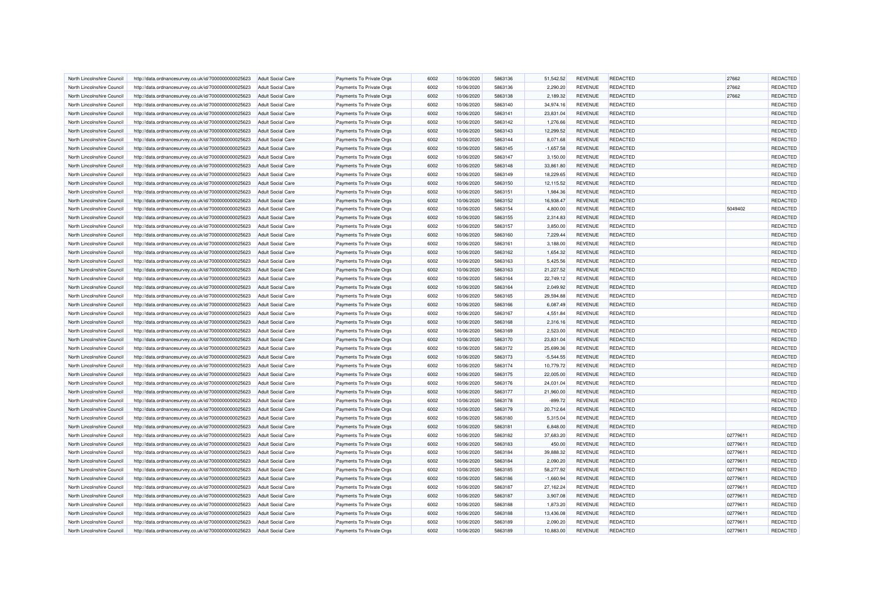| North Lincolnshire Council | http://data.ordnancesurvey.co.uk/id/7000000000025623 | <b>Adult Social Care</b> | Payments To Private Orgs | 6002 | 10/06/2020 | 5863136 | 51,542.52   | <b>REVENUE</b> | REDACTED        | 27662    | REDACTED |
|----------------------------|------------------------------------------------------|--------------------------|--------------------------|------|------------|---------|-------------|----------------|-----------------|----------|----------|
| North Lincolnshire Council | http://data.ordnancesurvey.co.uk/id/7000000000025623 | <b>Adult Social Care</b> | Payments To Private Orgs | 6002 | 10/06/2020 | 5863136 | 2,290.20    | <b>REVENUE</b> | <b>REDACTED</b> | 27662    | REDACTED |
| North Lincolnshire Council | http://data.ordnancesurvey.co.uk/id/7000000000025623 | <b>Adult Social Care</b> | Payments To Private Orgs | 6002 | 10/06/2020 | 5863138 | 2,189.32    | <b>REVENUE</b> | <b>REDACTED</b> | 27662    | REDACTED |
| North Lincolnshire Council | http://data.ordnancesurvey.co.uk/id/7000000000025623 | <b>Adult Social Care</b> | Payments To Private Orgs | 6002 | 10/06/2020 | 5863140 | 34,974.16   | <b>REVENUE</b> | REDACTED        |          | REDACTED |
| North Lincolnshire Council | http://data.ordnancesurvey.co.uk/id/7000000000025623 | <b>Adult Social Care</b> | Payments To Private Orgs | 6002 | 10/06/2020 | 5863141 | 23,831.04   | <b>REVENUE</b> | <b>REDACTED</b> |          | REDACTED |
| North Lincolnshire Council | http://data.ordnancesurvey.co.uk/id/7000000000025623 | <b>Adult Social Care</b> | Payments To Private Orgs | 6002 | 10/06/2020 | 5863142 | 1,276.66    | <b>REVENUE</b> | <b>REDACTED</b> |          | REDACTED |
| North Lincolnshire Council | http://data.ordnancesurvey.co.uk/id/7000000000025623 | <b>Adult Social Care</b> | Payments To Private Orgs | 6002 | 10/06/2020 | 5863143 | 12,299.52   | <b>REVENUE</b> | <b>REDACTED</b> |          | REDACTED |
| North Lincolnshire Council | http://data.ordnancesurvey.co.uk/id/7000000000025623 | <b>Adult Social Care</b> | Payments To Private Orgs | 6002 | 10/06/2020 | 5863144 | 8,071.68    | <b>REVENUE</b> | REDACTED        |          | REDACTED |
| North Lincolnshire Council | http://data.ordnancesurvey.co.uk/id/7000000000025623 | Adult Social Care        | Payments To Private Orgs | 6002 | 10/06/2020 | 5863145 | $-1,657.58$ | <b>REVENUE</b> | <b>REDACTED</b> |          | REDACTED |
| North Lincolnshire Council | http://data.ordnancesurvey.co.uk/id/7000000000025623 | <b>Adult Social Care</b> | Payments To Private Orgs | 6002 | 10/06/2020 | 5863147 | 3,150.00    | <b>REVENUE</b> | <b>REDACTED</b> |          | REDACTED |
| North Lincolnshire Council | http://data.ordnancesurvey.co.uk/id/7000000000025623 | Adult Social Care        | Payments To Private Orgs | 6002 | 10/06/2020 | 5863148 | 33,861.80   | <b>REVENUE</b> | <b>REDACTED</b> |          | REDACTED |
| North Lincolnshire Council | http://data.ordnancesurvey.co.uk/id/7000000000025623 | <b>Adult Social Care</b> | Payments To Private Orgs | 6002 | 10/06/2020 | 5863149 | 18,229.65   | <b>REVENUE</b> | REDACTED        |          | REDACTED |
| North Lincolnshire Council | http://data.ordnancesurvey.co.uk/id/7000000000025623 | <b>Adult Social Care</b> | Payments To Private Orgs | 6002 | 10/06/2020 | 5863150 | 12,115.52   | <b>REVENUE</b> | REDACTED        |          | REDACTED |
| North Lincolnshire Council | http://data.ordnancesurvey.co.uk/id/7000000000025623 | <b>Adult Social Care</b> | Payments To Private Orgs | 6002 | 10/06/2020 | 5863151 | 1,984.36    | <b>REVENUE</b> | <b>REDACTED</b> |          | REDACTED |
| North Lincolnshire Council | http://data.ordnancesurvey.co.uk/id/7000000000025623 | <b>Adult Social Care</b> | Payments To Private Orgs | 6002 | 10/06/2020 | 5863152 | 16,938.47   | <b>REVENUE</b> | <b>REDACTED</b> |          | REDACTED |
| North Lincolnshire Council | http://data.ordnancesurvey.co.uk/id/7000000000025623 | <b>Adult Social Care</b> | Payments To Private Orgs | 6002 | 10/06/2020 | 5863154 | 4,800.00    | <b>REVENUE</b> | REDACTED        | 5049402  | REDACTED |
|                            |                                                      |                          |                          |      |            |         |             |                |                 |          |          |
| North Lincolnshire Council | http://data.ordnancesurvey.co.uk/id/7000000000025623 | <b>Adult Social Care</b> | Payments To Private Orgs | 6002 | 10/06/2020 | 5863155 | 2,314.83    | <b>REVENUE</b> | <b>REDACTED</b> |          | REDACTED |
| North Lincolnshire Council | http://data.ordnancesurvey.co.uk/id/7000000000025623 | <b>Adult Social Care</b> | Payments To Private Orgs | 6002 | 10/06/2020 | 5863157 | 3,850.00    | <b>REVENUE</b> | <b>REDACTED</b> |          | REDACTED |
| North Lincolnshire Council | http://data.ordnancesurvey.co.uk/id/7000000000025623 | <b>Adult Social Care</b> | Payments To Private Orgs | 6002 | 10/06/2020 | 5863160 | 7,229.44    | <b>REVENUE</b> | <b>REDACTED</b> |          | REDACTED |
| North Lincolnshire Council | http://data.ordnancesurvey.co.uk/id/7000000000025623 | <b>Adult Social Care</b> | Payments To Private Orgs | 6002 | 10/06/2020 | 5863161 | 3,188.00    | <b>REVENUE</b> | <b>REDACTED</b> |          | REDACTED |
| North Lincolnshire Council | http://data.ordnancesurvey.co.uk/id/7000000000025623 | <b>Adult Social Care</b> | Payments To Private Orgs | 6002 | 10/06/2020 | 5863162 | 1,654.32    | <b>REVENUE</b> | REDACTED        |          | REDACTED |
| North Lincolnshire Council | http://data.ordnancesurvey.co.uk/id/7000000000025623 | Adult Social Care        | Payments To Private Orgs | 6002 | 10/06/2020 | 5863163 | 5,425.56    | <b>REVENUE</b> | REDACTED        |          | REDACTED |
| North Lincolnshire Council | http://data.ordnancesurvey.co.uk/id/7000000000025623 | <b>Adult Social Care</b> | Payments To Private Orgs | 6002 | 10/06/2020 | 5863163 | 21,227.52   | <b>REVENUE</b> | <b>REDACTED</b> |          | REDACTED |
| North Lincolnshire Council | http://data.ordnancesurvey.co.uk/id/7000000000025623 | <b>Adult Social Care</b> | Payments To Private Orgs | 6002 | 10/06/2020 | 5863164 | 22,749.12   | <b>REVENUE</b> | <b>REDACTED</b> |          | REDACTED |
| North Lincolnshire Council | http://data.ordnancesurvey.co.uk/id/7000000000025623 | <b>Adult Social Care</b> | Payments To Private Orgs | 6002 | 10/06/2020 | 5863164 | 2,049.92    | <b>REVENUE</b> | REDACTED        |          | REDACTED |
| North Lincolnshire Council | http://data.ordnancesurvey.co.uk/id/7000000000025623 | <b>Adult Social Care</b> | Payments To Private Orgs | 6002 | 10/06/2020 | 5863165 | 29,594.88   | <b>REVENUE</b> | <b>REDACTED</b> |          | REDACTED |
| North Lincolnshire Council | http://data.ordnancesurvey.co.uk/id/7000000000025623 | <b>Adult Social Care</b> | Payments To Private Orgs | 6002 | 10/06/2020 | 5863166 | 6,087.49    | <b>REVENUE</b> | <b>REDACTED</b> |          | REDACTED |
| North Lincolnshire Council | http://data.ordnancesurvey.co.uk/id/7000000000025623 | <b>Adult Social Care</b> | Payments To Private Orgs | 6002 | 10/06/2020 | 5863167 | 4,551.84    | <b>REVENUE</b> | <b>REDACTED</b> |          | REDACTED |
| North Lincolnshire Council | http://data.ordnancesurvey.co.uk/id/7000000000025623 | <b>Adult Social Care</b> | Payments To Private Orgs | 6002 | 10/06/2020 | 5863168 | 2,316.16    | <b>REVENUE</b> | REDACTED        |          | REDACTED |
| North Lincolnshire Council | http://data.ordnancesurvey.co.uk/id/7000000000025623 | <b>Adult Social Care</b> | Payments To Private Orgs | 6002 | 10/06/2020 | 5863169 | 2.523.00    | <b>REVENUE</b> | <b>REDACTED</b> |          | REDACTED |
| North Lincolnshire Council | http://data.ordnancesurvey.co.uk/id/7000000000025623 | <b>Adult Social Care</b> | Payments To Private Orgs | 6002 | 10/06/2020 | 5863170 | 23,831.04   | <b>REVENUE</b> | REDACTED        |          | REDACTED |
| North Lincolnshire Council | http://data.ordnancesurvey.co.uk/id/7000000000025623 | Adult Social Care        | Payments To Private Orgs | 6002 | 10/06/2020 | 5863172 | 25,699.36   | <b>REVENUE</b> | REDACTED        |          | REDACTED |
| North Lincolnshire Council | http://data.ordnancesurvey.co.uk/id/7000000000025623 | <b>Adult Social Care</b> | Payments To Private Orgs | 6002 | 10/06/2020 | 5863173 | $-5,544.55$ | <b>REVENUE</b> | <b>REDACTED</b> |          | REDACTED |
| North Lincolnshire Council | http://data.ordnancesurvey.co.uk/id/7000000000025623 | <b>Adult Social Care</b> | Payments To Private Orgs | 6002 | 10/06/2020 | 5863174 | 10,779.72   | <b>REVENUE</b> | <b>REDACTED</b> |          | REDACTED |
| North Lincolnshire Council | http://data.ordnancesurvey.co.uk/id/7000000000025623 | <b>Adult Social Care</b> | Payments To Private Orgs | 6002 | 10/06/2020 | 5863175 | 22,005.00   | <b>REVENUE</b> | REDACTED        |          | REDACTED |
| North Lincolnshire Council | http://data.ordnancesurvey.co.uk/id/7000000000025623 | <b>Adult Social Care</b> | Payments To Private Orgs | 6002 | 10/06/2020 | 5863176 | 24,031.04   | <b>REVENUE</b> | <b>REDACTED</b> |          | REDACTED |
| North Lincolnshire Council | http://data.ordnancesurvey.co.uk/id/7000000000025623 | <b>Adult Social Care</b> | Payments To Private Orgs | 6002 | 10/06/2020 | 5863177 | 21,960.00   | <b>REVENUE</b> | <b>REDACTED</b> |          | REDACTED |
| North Lincolnshire Council | http://data.ordnancesurvey.co.uk/id/7000000000025623 | Adult Social Care        | Payments To Private Orgs | 6002 | 10/06/2020 | 5863178 | $-899.72$   | <b>REVENUE</b> | <b>REDACTED</b> |          | REDACTED |
| North Lincolnshire Council | http://data.ordnancesurvey.co.uk/id/7000000000025623 | <b>Adult Social Care</b> | Payments To Private Orgs | 6002 | 10/06/2020 | 5863179 | 20,712.64   | <b>REVENUE</b> | REDACTED        |          | REDACTED |
| North Lincolnshire Council | http://data.ordnancesurvey.co.uk/id/7000000000025623 | <b>Adult Social Care</b> | Payments To Private Orgs | 6002 | 10/06/2020 | 5863180 | 5,315.04    | <b>REVENUE</b> | REDACTED        |          | REDACTED |
| North Lincolnshire Council | http://data.ordnancesurvey.co.uk/id/7000000000025623 | <b>Adult Social Care</b> | Payments To Private Orgs | 6002 | 10/06/2020 | 5863181 | 6,848.00    | <b>REVENUE</b> | REDACTED        |          | REDACTED |
| North Lincolnshire Council | http://data.ordnancesurvey.co.uk/id/7000000000025623 | <b>Adult Social Care</b> | Payments To Private Orgs | 6002 | 10/06/2020 | 5863182 | 37,683.20   | <b>REVENUE</b> | <b>REDACTED</b> | 02779611 | REDACTED |
| North Lincolnshire Council | http://data.ordnancesurvey.co.uk/id/7000000000025623 | <b>Adult Social Care</b> | Payments To Private Orgs | 6002 | 10/06/2020 | 5863183 | 450.00      | <b>REVENUE</b> | <b>REDACTED</b> | 02779611 | REDACTED |
| North Lincolnshire Council | http://data.ordnancesurvey.co.uk/id/7000000000025623 | <b>Adult Social Care</b> | Payments To Private Orgs | 6002 | 10/06/2020 | 5863184 | 39,888.32   | <b>REVENUE</b> | <b>REDACTED</b> | 02779611 | REDACTED |
| North Lincolnshire Council | http://data.ordnancesurvey.co.uk/id/7000000000025623 | <b>Adult Social Care</b> | Payments To Private Orgs | 6002 | 10/06/2020 | 5863184 | 2,090.20    | <b>REVENUE</b> | <b>REDACTED</b> | 02779611 | REDACTED |
| North Lincolnshire Council | http://data.ordnancesurvey.co.uk/id/7000000000025623 | <b>Adult Social Care</b> | Payments To Private Orgs | 6002 | 10/06/2020 | 5863185 | 58,277.92   | <b>REVENUE</b> | <b>REDACTED</b> | 02779611 | REDACTED |
| North Lincolnshire Council | http://data.ordnancesurvey.co.uk/id/7000000000025623 | <b>Adult Social Care</b> | Payments To Private Orgs | 6002 | 10/06/2020 | 5863186 | $-1,660.94$ | <b>REVENUE</b> | REDACTED        | 02779611 | REDACTED |
| North Lincolnshire Council | http://data.ordnancesurvey.co.uk/id/7000000000025623 | <b>Adult Social Care</b> | Payments To Private Orgs | 6002 | 10/06/2020 | 5863187 | 27,162.24   | <b>REVENUE</b> | REDACTED        | 02779611 | REDACTED |
| North Lincolnshire Council | http://data.ordnancesurvey.co.uk/id/7000000000025623 | <b>Adult Social Care</b> | Payments To Private Orgs | 6002 | 10/06/2020 | 5863187 | 3,907.08    | <b>REVENUE</b> | REDACTED        | 02779611 | REDACTED |
| North Lincolnshire Council | http://data.ordnancesurvey.co.uk/id/7000000000025623 | <b>Adult Social Care</b> | Payments To Private Orgs | 6002 | 10/06/2020 | 5863188 | 1,873.20    | <b>REVENUE</b> | <b>REDACTED</b> | 02779611 | REDACTED |
| North Lincolnshire Council | http://data.ordnancesurvey.co.uk/id/7000000000025623 | <b>Adult Social Care</b> | Payments To Private Orgs | 6002 | 10/06/2020 | 5863188 | 13,436.08   | <b>REVENUE</b> | REDACTED        | 02779611 | REDACTED |
| North Lincolnshire Council | http://data.ordnancesurvey.co.uk/id/7000000000025623 | <b>Adult Social Care</b> | Payments To Private Orgs | 6002 | 10/06/2020 | 5863189 | 2,090.20    | <b>REVENUE</b> | REDACTED        | 02779611 | REDACTED |
| North Lincolnshire Council | http://data.ordnancesurvey.co.uk/id/7000000000025623 | <b>Adult Social Care</b> | Payments To Private Orgs | 6002 | 10/06/2020 | 5863189 | 10,883.00   | <b>REVENUE</b> | <b>REDACTED</b> | 02779611 | REDACTED |
|                            |                                                      |                          |                          |      |            |         |             |                |                 |          |          |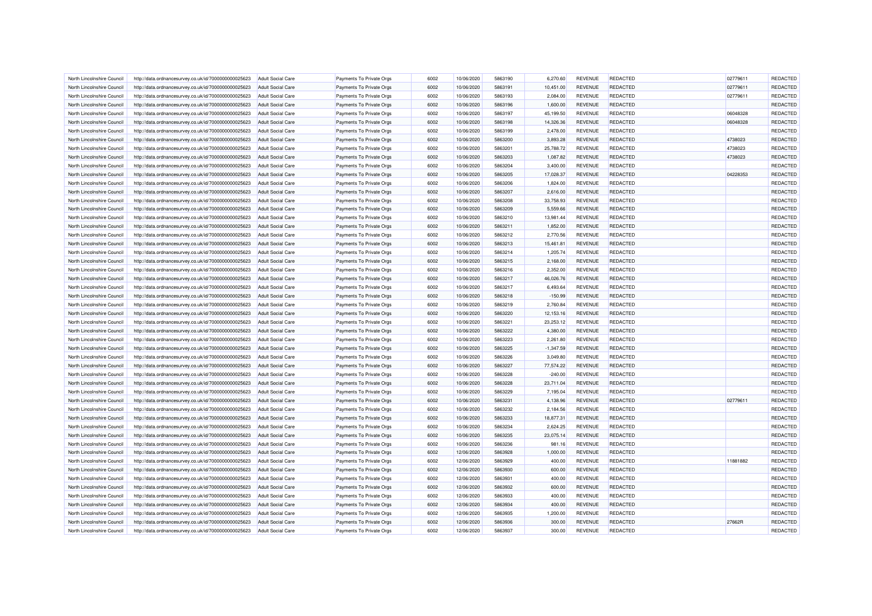| North Lincolnshire Council | http://data.ordnancesurvey.co.uk/id/7000000000025623 | <b>Adult Social Care</b> | Payments To Private Orgs | 6002 | 10/06/2020 | 5863190 | 6,270.60    | <b>REVENUE</b> | <b>REDACTED</b> | 02779611 | REDACTED        |
|----------------------------|------------------------------------------------------|--------------------------|--------------------------|------|------------|---------|-------------|----------------|-----------------|----------|-----------------|
| North Lincolnshire Council | http://data.ordnancesurvey.co.uk/id/7000000000025623 | <b>Adult Social Care</b> | Payments To Private Orgs | 6002 | 10/06/2020 | 5863191 | 10,451.00   | <b>REVENUE</b> | <b>REDACTED</b> | 02779611 | <b>REDACTED</b> |
| North Lincolnshire Council | http://data.ordnancesurvey.co.uk/id/7000000000025623 | <b>Adult Social Care</b> | Payments To Private Orgs | 6002 | 10/06/2020 | 5863193 | 2.084.00    | <b>REVENUE</b> | <b>REDACTED</b> | 02779611 | REDACTED        |
| North Lincolnshire Council | http://data.ordnancesurvey.co.uk/id/7000000000025623 | <b>Adult Social Care</b> | Payments To Private Orgs | 6002 | 10/06/2020 | 5863196 | 1,600.00    | <b>REVENUE</b> | REDACTED        |          | REDACTED        |
| North Lincolnshire Council | http://data.ordnancesurvey.co.uk/id/7000000000025623 | <b>Adult Social Care</b> | Payments To Private Orgs | 6002 | 10/06/2020 | 5863197 | 45,199.50   | <b>REVENUE</b> | <b>REDACTED</b> | 06048328 | REDACTED        |
| North Lincolnshire Council | http://data.ordnancesurvey.co.uk/id/7000000000025623 | <b>Adult Social Care</b> | Payments To Private Orgs | 6002 | 10/06/2020 | 5863198 | 14,326.36   | <b>REVENUE</b> | <b>REDACTED</b> | 06048328 | REDACTED        |
| North Lincolnshire Council | http://data.ordnancesurvey.co.uk/id/7000000000025623 | <b>Adult Social Care</b> | Payments To Private Orgs | 6002 | 10/06/2020 | 5863199 | 2,478.00    | <b>REVENUE</b> | <b>REDACTED</b> |          | REDACTED        |
| North Lincolnshire Council | http://data.ordnancesurvey.co.uk/id/7000000000025623 | <b>Adult Social Care</b> | Payments To Private Orgs | 6002 | 10/06/2020 | 5863200 | 3,893.28    | <b>REVENUE</b> | <b>REDACTED</b> | 4738023  | REDACTED        |
| North Lincolnshire Council | http://data.ordnancesurvey.co.uk/id/7000000000025623 | <b>Adult Social Care</b> | Payments To Private Orgs | 6002 | 10/06/2020 | 5863201 | 25,788.72   | <b>REVENUE</b> | REDACTED        | 4738023  | REDACTED        |
| North Lincolnshire Council | http://data.ordnancesurvey.co.uk/id/7000000000025623 | <b>Adult Social Care</b> | Payments To Private Orgs | 6002 | 10/06/2020 | 5863203 | 1,087.82    | <b>REVENUE</b> | <b>REDACTED</b> | 4738023  | REDACTED        |
| North Lincolnshire Council | http://data.ordnancesurvey.co.uk/id/7000000000025623 | Adult Social Care        | Payments To Private Orgs | 6002 | 10/06/2020 | 5863204 | 3.400.00    | <b>REVENUE</b> | REDACTED        |          | REDACTED        |
| North Lincolnshire Council | http://data.ordnancesurvey.co.uk/id/7000000000025623 | <b>Adult Social Care</b> | Payments To Private Orgs | 6002 | 10/06/2020 | 5863205 | 17,028.37   | <b>REVENUE</b> | REDACTED        | 04228353 | REDACTED        |
| North Lincolnshire Council | http://data.ordnancesurvey.co.uk/id/7000000000025623 | <b>Adult Social Care</b> | Payments To Private Orgs | 6002 | 10/06/2020 | 5863206 | 1,824.00    | <b>REVENUE</b> | <b>REDACTED</b> |          | REDACTED        |
| North Lincolnshire Council | http://data.ordnancesurvey.co.uk/id/7000000000025623 | <b>Adult Social Care</b> | Payments To Private Orgs | 6002 | 10/06/2020 | 5863207 | 2,616.00    | <b>REVENUE</b> | REDACTED        |          | REDACTED        |
| North Lincolnshire Council | http://data.ordnancesurvey.co.uk/id/7000000000025623 | <b>Adult Social Care</b> | Payments To Private Orgs | 6002 | 10/06/2020 | 5863208 | 33,758.93   | <b>REVENUE</b> | <b>REDACTED</b> |          | REDACTED        |
| North Lincolnshire Council | http://data.ordnancesurvey.co.uk/id/7000000000025623 | <b>Adult Social Care</b> | Payments To Private Orgs | 6002 | 10/06/2020 | 5863209 | 5,559.66    | <b>REVENUE</b> | <b>REDACTED</b> |          | REDACTED        |
| North Lincolnshire Council | http://data.ordnancesurvey.co.uk/id/7000000000025623 | <b>Adult Social Care</b> | Payments To Private Orgs | 6002 | 10/06/2020 | 5863210 | 13,981.44   | <b>REVENUE</b> | <b>REDACTED</b> |          | REDACTED        |
|                            |                                                      |                          |                          | 6002 | 10/06/2020 | 5863211 | 1,852.00    | <b>REVENUE</b> | <b>REDACTED</b> |          | REDACTED        |
| North Lincolnshire Council | http://data.ordnancesurvey.co.uk/id/7000000000025623 | <b>Adult Social Care</b> | Payments To Private Orgs |      |            |         |             |                |                 |          |                 |
| North Lincolnshire Council | http://data.ordnancesurvey.co.uk/id/7000000000025623 | <b>Adult Social Care</b> | Payments To Private Orgs | 6002 | 10/06/2020 | 5863212 | 2,770.56    | <b>REVENUE</b> | REDACTED        |          | REDACTED        |
| North Lincolnshire Council | http://data.ordnancesurvey.co.uk/id/7000000000025623 | <b>Adult Social Care</b> | Payments To Private Orgs | 6002 | 10/06/2020 | 5863213 | 15,461.81   | <b>REVENUE</b> | <b>REDACTED</b> |          | REDACTED        |
| North Lincolnshire Council | http://data.ordnancesurvey.co.uk/id/7000000000025623 | <b>Adult Social Care</b> | Payments To Private Orgs | 6002 | 10/06/2020 | 5863214 | 1,205.74    | <b>REVENUE</b> | <b>REDACTED</b> |          | REDACTED        |
| North Lincolnshire Council | http://data.ordnancesurvey.co.uk/id/7000000000025623 | <b>Adult Social Care</b> | Payments To Private Orgs | 6002 | 10/06/2020 | 5863215 | 2,168.00    | <b>REVENUE</b> | REDACTED        |          | REDACTED        |
| North Lincolnshire Council | http://data.ordnancesurvey.co.uk/id/7000000000025623 | <b>Adult Social Care</b> | Payments To Private Orgs | 6002 | 10/06/2020 | 5863216 | 2,352.00    | <b>REVENUE</b> | <b>REDACTED</b> |          | REDACTED        |
| North Lincolnshire Council | http://data.ordnancesurvey.co.uk/id/7000000000025623 | <b>Adult Social Care</b> | Payments To Private Orgs | 6002 | 10/06/2020 | 5863217 | 46,026.76   | <b>REVENUE</b> | <b>REDACTED</b> |          | REDACTED        |
| North Lincolnshire Council | http://data.ordnancesurvey.co.uk/id/7000000000025623 | <b>Adult Social Care</b> | Payments To Private Orgs | 6002 | 10/06/2020 | 5863217 | 6,493.64    | <b>REVENUE</b> | <b>REDACTED</b> |          | REDACTED        |
| North Lincolnshire Counci  | http://data.ordnancesurvey.co.uk/id/7000000000025623 | <b>Adult Social Care</b> | Payments To Private Orgs | 6002 | 10/06/2020 | 5863218 | $-150.99$   | <b>REVENUE</b> | <b>REDACTED</b> |          | REDACTED        |
| North Lincolnshire Council | http://data.ordnancesurvey.co.uk/id/7000000000025623 | <b>Adult Social Care</b> | Payments To Private Orgs | 6002 | 10/06/2020 | 5863219 | 2,760.84    | <b>REVENUE</b> | <b>REDACTED</b> |          | REDACTED        |
| North Lincolnshire Council | http://data.ordnancesurvey.co.uk/id/7000000000025623 | <b>Adult Social Care</b> | Payments To Private Orgs | 6002 | 10/06/2020 | 5863220 | 12,153.16   | <b>REVENUE</b> | <b>REDACTED</b> |          | REDACTED        |
| North Lincolnshire Council | http://data.ordnancesurvey.co.uk/id/7000000000025623 | <b>Adult Social Care</b> | Payments To Private Orgs | 6002 | 10/06/2020 | 5863221 | 23,253.12   | <b>REVENUE</b> | <b>REDACTED</b> |          | REDACTED        |
| North Lincolnshire Council | http://data.ordnancesurvey.co.uk/id/7000000000025623 | <b>Adult Social Care</b> | Payments To Private Orgs | 6002 | 10/06/2020 | 5863222 | 4.380.00    | <b>REVENUE</b> | <b>REDACTED</b> |          | REDACTED        |
| North Lincolnshire Council | http://data.ordnancesurvey.co.uk/id/7000000000025623 | <b>Adult Social Care</b> | Payments To Private Orgs | 6002 | 10/06/2020 | 5863223 | 2,261.80    | <b>REVENUE</b> | REDACTED        |          | REDACTED        |
| North Lincolnshire Council | http://data.ordnancesurvey.co.uk/id/7000000000025623 | <b>Adult Social Care</b> | Payments To Private Orgs | 6002 | 10/06/2020 | 5863225 | $-1,347.59$ | <b>REVENUE</b> | <b>REDACTED</b> |          | REDACTED        |
| North Lincolnshire Council | http://data.ordnancesurvey.co.uk/id/7000000000025623 | <b>Adult Social Care</b> | Payments To Private Orgs | 6002 | 10/06/2020 | 5863226 | 3,049.80    | <b>REVENUE</b> | REDACTED        |          | REDACTED        |
| North Lincolnshire Council | http://data.ordnancesurvey.co.uk/id/7000000000025623 | <b>Adult Social Care</b> | Payments To Private Orgs | 6002 | 10/06/2020 | 5863227 | 77,574.22   | <b>REVENUE</b> | <b>REDACTED</b> |          | REDACTED        |
| North Lincolnshire Council | http://data.ordnancesurvey.co.uk/id/7000000000025623 | <b>Adult Social Care</b> | Payments To Private Orgs | 6002 | 10/06/2020 | 5863228 | $-240.00$   | <b>REVENUE</b> | <b>REDACTED</b> |          | REDACTED        |
| North Lincolnshire Council | http://data.ordnancesurvey.co.uk/id/7000000000025623 | <b>Adult Social Care</b> | Payments To Private Orgs | 6002 | 10/06/2020 | 5863228 | 23.711.04   | <b>REVENUE</b> | REDACTED        |          | REDACTED        |
| North Lincolnshire Council | http://data.ordnancesurvey.co.uk/id/7000000000025623 | <b>Adult Social Care</b> | Payments To Private Orgs | 6002 | 10/06/2020 | 5863229 | 7,195.04    | <b>REVENUE</b> | <b>REDACTED</b> |          | REDACTED        |
| North Lincolnshire Council | http://data.ordnancesurvey.co.uk/id/7000000000025623 | Adult Social Care        | Payments To Private Orgs | 6002 | 10/06/2020 | 5863231 | 4.138.96    | <b>REVENUE</b> | <b>REDACTED</b> | 02779611 | <b>REDACTED</b> |
| North Lincolnshire Council |                                                      |                          |                          | 6002 | 10/06/2020 | 5863232 |             | <b>REVENUE</b> | <b>REDACTED</b> |          | REDACTED        |
|                            | http://data.ordnancesurvey.co.uk/id/7000000000025623 | <b>Adult Social Care</b> | Payments To Private Orgs |      |            |         | 2,184.56    |                |                 |          | REDACTED        |
| North Lincolnshire Council | http://data.ordnancesurvey.co.uk/id/7000000000025623 | <b>Adult Social Care</b> | Payments To Private Orgs | 6002 | 10/06/2020 | 5863233 | 18,877.31   | <b>REVENUE</b> | <b>REDACTED</b> |          |                 |
| North Lincolnshire Council | http://data.ordnancesurvey.co.uk/id/7000000000025623 | <b>Adult Social Care</b> | Payments To Private Orgs | 6002 | 10/06/2020 | 5863234 | 2,624.25    | <b>REVENUE</b> | <b>REDACTED</b> |          | REDACTED        |
| North Lincolnshire Council | http://data.ordnancesurvey.co.uk/id/7000000000025623 | <b>Adult Social Care</b> | Payments To Private Orgs | 6002 | 10/06/2020 | 5863235 | 23,075.14   | <b>REVENUE</b> | <b>REDACTED</b> |          | REDACTED        |
| North Lincolnshire Council | http://data.ordnancesurvey.co.uk/id/7000000000025623 | Adult Social Care        | Payments To Private Orgs | 6002 | 10/06/2020 | 5863236 | 981.16      | <b>REVENUE</b> | REDACTED        |          | REDACTED        |
| North Lincolnshire Council | http://data.ordnancesurvey.co.uk/id/7000000000025623 | <b>Adult Social Care</b> | Payments To Private Orgs | 6002 | 12/06/2020 | 5863928 | 1,000.00    | <b>REVENUE</b> | <b>REDACTED</b> |          | REDACTED        |
| North Lincolnshire Council | http://data.ordnancesurvey.co.uk/id/7000000000025623 | <b>Adult Social Care</b> | Payments To Private Orgs | 6002 | 12/06/2020 | 5863929 | 400.00      | <b>REVENUE</b> | <b>REDACTED</b> | 11881882 | REDACTED        |
| North Lincolnshire Council | http://data.ordnancesurvey.co.uk/id/7000000000025623 | <b>Adult Social Care</b> | Payments To Private Orgs | 6002 | 12/06/2020 | 5863930 | 600.00      | <b>REVENUE</b> | <b>REDACTED</b> |          | <b>REDACTED</b> |
| North Lincolnshire Council | http://data.ordnancesurvey.co.uk/id/7000000000025623 | <b>Adult Social Care</b> | Payments To Private Orgs | 6002 | 12/06/2020 | 5863931 | 400.00      | <b>REVENUE</b> | REDACTED        |          | REDACTED        |
| North Lincolnshire Council | http://data.ordnancesurvey.co.uk/id/7000000000025623 | <b>Adult Social Care</b> | Payments To Private Orgs | 6002 | 12/06/2020 | 5863932 | 600.00      | <b>REVENUE</b> | <b>REDACTED</b> |          | <b>REDACTED</b> |
| North Lincolnshire Council | http://data.ordnancesurvey.co.uk/id/7000000000025623 | <b>Adult Social Care</b> | Payments To Private Orgs | 6002 | 12/06/2020 | 5863933 | 400.00      | <b>REVENUE</b> | <b>REDACTED</b> |          | REDACTED        |
| North Lincolnshire Council | http://data.ordnancesurvey.co.uk/id/7000000000025623 | <b>Adult Social Care</b> | Payments To Private Orgs | 6002 | 12/06/2020 | 5863934 | 400.00      | <b>REVENUE</b> | <b>REDACTED</b> |          | REDACTED        |
| North Lincolnshire Council | http://data.ordnancesurvey.co.uk/id/7000000000025623 | <b>Adult Social Care</b> | Payments To Private Orgs | 6002 | 12/06/2020 | 5863935 | 1,200.00    | <b>REVENUE</b> | <b>REDACTED</b> |          | REDACTED        |
| North Lincolnshire Council | http://data.ordnancesurvey.co.uk/id/7000000000025623 | <b>Adult Social Care</b> | Payments To Private Orgs | 6002 | 12/06/2020 | 5863936 | 300.00      | <b>REVENUE</b> | REDACTED        | 27662R   | REDACTED        |
| North Lincolnshire Council | http://data.ordnancesurvey.co.uk/id/7000000000025623 | <b>Adult Social Care</b> | Payments To Private Orgs | 6002 | 12/06/2020 | 5863937 | 300.00      | <b>REVENUE</b> | <b>REDACTED</b> |          | REDACTED        |
|                            |                                                      |                          |                          |      |            |         |             |                |                 |          |                 |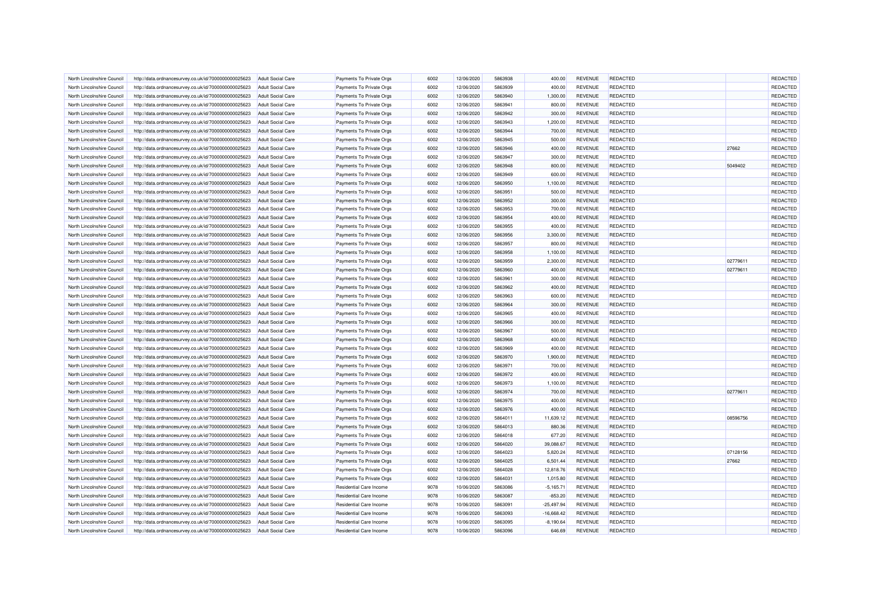|                            |                                                      |                          |                                | 6002 |            | 5863938 |                             |                |                 |          | REDACTED        |
|----------------------------|------------------------------------------------------|--------------------------|--------------------------------|------|------------|---------|-----------------------------|----------------|-----------------|----------|-----------------|
| North Lincolnshire Council | http://data.ordnancesurvey.co.uk/id/7000000000025623 | <b>Adult Social Care</b> | Payments To Private Orgs       |      | 12/06/2020 |         | 400.00                      | <b>REVENUE</b> | <b>REDACTED</b> |          |                 |
| North Lincolnshire Council | http://data.ordnancesurvey.co.uk/id/7000000000025623 | <b>Adult Social Care</b> | Payments To Private Orgs       | 6002 | 12/06/2020 | 5863939 | 400.00                      | <b>REVENUE</b> | <b>REDACTED</b> |          | <b>REDACTED</b> |
| North Lincolnshire Council | http://data.ordnancesurvey.co.uk/id/7000000000025623 | <b>Adult Social Care</b> | Payments To Private Orgs       | 6002 | 12/06/2020 | 5863940 | 1.300.00                    | <b>REVENUE</b> | <b>REDACTED</b> |          | <b>REDACTED</b> |
| North Lincolnshire Council | http://data.ordnancesurvey.co.uk/id/7000000000025623 | <b>Adult Social Care</b> | Payments To Private Orgs       | 6002 | 12/06/2020 | 5863941 | 800.00                      | <b>REVENUE</b> | REDACTED        |          | REDACTED        |
| North Lincolnshire Council | http://data.ordnancesurvey.co.uk/id/7000000000025623 | <b>Adult Social Care</b> | Payments To Private Orgs       | 6002 | 12/06/2020 | 5863942 | 300.00                      | <b>REVENUE</b> | <b>REDACTED</b> |          | REDACTED        |
| North Lincolnshire Council | http://data.ordnancesurvey.co.uk/id/7000000000025623 | <b>Adult Social Care</b> | Payments To Private Orgs       | 6002 | 12/06/2020 | 5863943 | 1,200.00                    | <b>REVENUE</b> | <b>REDACTED</b> |          | REDACTED        |
| North Lincolnshire Council | http://data.ordnancesurvey.co.uk/id/7000000000025623 | <b>Adult Social Care</b> | Payments To Private Orgs       | 6002 | 12/06/2020 | 5863944 | 700.00                      | <b>REVENUE</b> | <b>REDACTED</b> |          | REDACTED        |
| North Lincolnshire Council | http://data.ordnancesurvey.co.uk/id/7000000000025623 | <b>Adult Social Care</b> | Payments To Private Orgs       | 6002 | 12/06/2020 | 5863945 | 500.00                      | <b>REVENUE</b> | <b>REDACTED</b> |          | REDACTED        |
| North Lincolnshire Council | http://data.ordnancesurvey.co.uk/id/7000000000025623 | <b>Adult Social Care</b> | Payments To Private Orgs       | 6002 | 12/06/2020 | 5863946 | 400.00                      | <b>REVENUE</b> | REDACTED        | 27662    | REDACTED        |
| North Lincolnshire Council | http://data.ordnancesurvey.co.uk/id/7000000000025623 | <b>Adult Social Care</b> | Payments To Private Orgs       | 6002 | 12/06/2020 | 5863947 | 300.00                      | <b>REVENUE</b> | REDACTED        |          | <b>REDACTED</b> |
| North Lincolnshire Council | http://data.ordnancesurvey.co.uk/id/7000000000025623 | Adult Social Care        | Payments To Private Orgs       | 6002 | 12/06/2020 | 5863948 | 800.00                      | <b>REVENUE</b> | REDACTED        | 5049402  | <b>REDACTED</b> |
| North Lincolnshire Council | http://data.ordnancesurvey.co.uk/id/7000000000025623 | <b>Adult Social Care</b> | Payments To Private Orgs       | 6002 | 12/06/2020 | 5863949 | 600.00                      | <b>REVENUE</b> | REDACTED        |          | REDACTED        |
| North Lincolnshire Council | http://data.ordnancesurvey.co.uk/id/7000000000025623 | <b>Adult Social Care</b> | Payments To Private Orgs       | 6002 | 12/06/2020 | 5863950 | 1,100.00                    | <b>REVENUE</b> | <b>REDACTED</b> |          | REDACTED        |
| North Lincolnshire Council | http://data.ordnancesurvey.co.uk/id/7000000000025623 | <b>Adult Social Care</b> | Payments To Private Orgs       | 6002 | 12/06/2020 | 5863951 | 500.00                      | <b>REVENUE</b> | REDACTED        |          | <b>REDACTED</b> |
| North Lincolnshire Council | http://data.ordnancesurvey.co.uk/id/7000000000025623 | <b>Adult Social Care</b> | Payments To Private Orgs       | 6002 | 12/06/2020 | 5863952 | 300.00                      | <b>REVENUE</b> | <b>REDACTED</b> |          | REDACTED        |
| North Lincolnshire Council | http://data.ordnancesurvey.co.uk/id/7000000000025623 | <b>Adult Social Care</b> | Payments To Private Orgs       | 6002 | 12/06/2020 | 5863953 | 700.00                      | <b>REVENUE</b> | <b>REDACTED</b> |          | REDACTED        |
| North Lincolnshire Council | http://data.ordnancesurvey.co.uk/id/7000000000025623 | <b>Adult Social Care</b> | Payments To Private Orgs       | 6002 | 12/06/2020 | 5863954 | 400.00                      | <b>REVENUE</b> | <b>REDACTED</b> |          | REDACTED        |
| North Lincolnshire Council | http://data.ordnancesurvey.co.uk/id/7000000000025623 | <b>Adult Social Care</b> | Payments To Private Orgs       | 6002 | 12/06/2020 | 5863955 | 400.00                      | <b>REVENUE</b> | <b>REDACTED</b> |          | REDACTED        |
| North Lincolnshire Council | http://data.ordnancesurvey.co.uk/id/7000000000025623 | <b>Adult Social Care</b> | Payments To Private Orgs       | 6002 | 12/06/2020 | 5863956 | 3,300.00                    | <b>REVENUE</b> | REDACTED        |          | REDACTED        |
| North Lincolnshire Counci  | http://data.ordnancesurvey.co.uk/id/7000000000025623 | <b>Adult Social Care</b> | Payments To Private Orgs       | 6002 | 12/06/2020 | 5863957 | 800.00                      | <b>REVENUE</b> | REDACTED        |          | REDACTED        |
| North Lincolnshire Council | http://data.ordnancesurvey.co.uk/id/7000000000025623 | <b>Adult Social Care</b> | Payments To Private Orgs       | 6002 | 12/06/2020 | 5863958 | 1,100.00                    | <b>REVENUE</b> | <b>REDACTED</b> |          | REDACTED        |
| North Lincolnshire Council | http://data.ordnancesurvey.co.uk/id/7000000000025623 | <b>Adult Social Care</b> | Payments To Private Orgs       | 6002 | 12/06/2020 | 5863959 | 2,300.00                    | <b>REVENUE</b> | REDACTED        | 02779611 | REDACTED        |
| North Lincolnshire Council | http://data.ordnancesurvey.co.uk/id/7000000000025623 | <b>Adult Social Care</b> | Payments To Private Orgs       | 6002 | 12/06/2020 | 5863960 | 400.00                      | <b>REVENUE</b> | <b>REDACTED</b> | 02779611 | REDACTED        |
|                            |                                                      |                          |                                |      |            |         |                             |                |                 |          |                 |
| North Lincolnshire Council | http://data.ordnancesurvey.co.uk/id/7000000000025623 | <b>Adult Social Care</b> | Payments To Private Orgs       | 6002 | 12/06/2020 | 5863961 | 300.00                      | <b>REVENUE</b> | <b>REDACTED</b> |          | REDACTED        |
| North Lincolnshire Council | http://data.ordnancesurvey.co.uk/id/7000000000025623 | <b>Adult Social Care</b> | Payments To Private Orgs       | 6002 | 12/06/2020 | 5863962 | 400.00                      | <b>REVENUE</b> | <b>REDACTED</b> |          | REDACTED        |
| North Lincolnshire Council | http://data.ordnancesurvey.co.uk/id/7000000000025623 | <b>Adult Social Care</b> | Payments To Private Orgs       | 6002 | 12/06/2020 | 5863963 | 600.00                      | <b>REVENUE</b> | <b>REDACTED</b> |          | REDACTED        |
| North Lincolnshire Council | http://data.ordnancesurvey.co.uk/id/7000000000025623 | <b>Adult Social Care</b> | Payments To Private Orgs       | 6002 | 12/06/2020 | 5863964 | 300.00                      | <b>REVENUE</b> | <b>REDACTED</b> |          | REDACTED        |
| North Lincolnshire Council | http://data.ordnancesurvey.co.uk/id/7000000000025623 | <b>Adult Social Care</b> | Payments To Private Orgs       | 6002 | 12/06/2020 | 5863965 | 400.00                      | <b>REVENUE</b> | REDACTED        |          | REDACTED        |
| North Lincolnshire Council | http://data.ordnancesurvey.co.uk/id/7000000000025623 | <b>Adult Social Care</b> | Payments To Private Orgs       | 6002 | 12/06/2020 | 5863966 | 300.00                      | <b>REVENUE</b> | <b>REDACTED</b> |          | REDACTED        |
| North Lincolnshire Council | http://data.ordnancesurvey.co.uk/id/7000000000025623 | <b>Adult Social Care</b> | Payments To Private Orgs       | 6002 | 12/06/2020 | 5863967 | 500.00                      | <b>REVENUE</b> | <b>REDACTED</b> |          | REDACTED        |
| North Lincolnshire Council | http://data.ordnancesurvey.co.uk/id/7000000000025623 | <b>Adult Social Care</b> | Payments To Private Orgs       | 6002 | 12/06/2020 | 5863968 | 400.00                      | <b>REVENUE</b> | REDACTED        |          | REDACTED        |
| North Lincolnshire Council | http://data.ordnancesurvey.co.uk/id/7000000000025623 | <b>Adult Social Care</b> | Payments To Private Orgs       | 6002 | 12/06/2020 | 5863969 | 400.00                      | <b>REVENUE</b> | <b>REDACTED</b> |          | REDACTED        |
| North Lincolnshire Council | http://data.ordnancesurvey.co.uk/id/7000000000025623 | <b>Adult Social Care</b> | Payments To Private Orgs       | 6002 | 12/06/2020 | 5863970 | 1,900.00                    | <b>REVENUE</b> | REDACTED        |          | REDACTED        |
| North Lincolnshire Council | http://data.ordnancesurvey.co.uk/id/7000000000025623 | <b>Adult Social Care</b> | Payments To Private Orgs       | 6002 | 12/06/2020 | 5863971 | 700.00                      | <b>REVENUE</b> | <b>REDACTED</b> |          | REDACTED        |
| North Lincolnshire Council | http://data.ordnancesurvey.co.uk/id/7000000000025623 | <b>Adult Social Care</b> | Payments To Private Orgs       | 6002 | 12/06/2020 | 5863972 | 400.00                      | <b>REVENUE</b> | REDACTED        |          | REDACTED        |
| North Lincolnshire Council | http://data.ordnancesurvey.co.uk/id/7000000000025623 | <b>Adult Social Care</b> | Payments To Private Orgs       | 6002 | 12/06/2020 | 5863973 | 1.100.00                    | <b>REVENUE</b> | REDACTED        |          | REDACTED        |
| North Lincolnshire Council | http://data.ordnancesurvey.co.uk/id/7000000000025623 | <b>Adult Social Care</b> | Payments To Private Orgs       | 6002 | 12/06/2020 | 5863974 | 700.00                      | <b>REVENUE</b> | <b>REDACTED</b> | 02779611 | REDACTED        |
| North Lincolnshire Council | http://data.ordnancesurvey.co.uk/id/7000000000025623 | Adult Social Care        | Payments To Private Orgs       | 6002 | 12/06/2020 | 5863975 | 400.00                      | <b>REVENUE</b> | REDACTED        |          | <b>REDACTED</b> |
| North Lincolnshire Council | http://data.ordnancesurvey.co.uk/id/7000000000025623 | <b>Adult Social Care</b> | Payments To Private Orgs       | 6002 | 12/06/2020 | 5863976 | 400.00                      | <b>REVENUE</b> | REDACTED        |          | REDACTED        |
| North Lincolnshire Council | http://data.ordnancesurvey.co.uk/id/7000000000025623 | <b>Adult Social Care</b> | Payments To Private Orgs       | 6002 | 12/06/2020 | 5864011 | 11,639.12                   | <b>REVENUE</b> | <b>REDACTED</b> | 08596756 | <b>REDACTED</b> |
| North Lincolnshire Council | http://data.ordnancesurvey.co.uk/id/7000000000025623 | <b>Adult Social Care</b> | Payments To Private Orgs       | 6002 | 12/06/2020 | 5864013 | 880.36                      | <b>REVENUE</b> | REDACTED        |          | REDACTED        |
| North Lincolnshire Council | http://data.ordnancesurvey.co.uk/id/7000000000025623 | <b>Adult Social Care</b> | Payments To Private Orgs       | 6002 | 12/06/2020 | 5864018 | 677.20                      | <b>REVENUE</b> | <b>REDACTED</b> |          | REDACTED        |
| North Lincolnshire Council | http://data.ordnancesurvey.co.uk/id/7000000000025623 | Adult Social Care        | Payments To Private Orgs       | 6002 | 12/06/2020 | 5864020 | 39,088.67                   | <b>REVENUE</b> | REDACTED        |          | REDACTED        |
| North Lincolnshire Council | http://data.ordnancesurvey.co.uk/id/7000000000025623 | <b>Adult Social Care</b> | Payments To Private Orgs       | 6002 | 12/06/2020 | 5864023 | 5,820.24                    | <b>REVENUE</b> | <b>REDACTED</b> | 07128156 | REDACTED        |
| North Lincolnshire Council | http://data.ordnancesurvey.co.uk/id/7000000000025623 | <b>Adult Social Care</b> | Payments To Private Orgs       | 6002 | 12/06/2020 | 5864025 | 6,501.44                    | <b>REVENUE</b> | <b>REDACTED</b> | 27662    | REDACTED        |
| North Lincolnshire Council | http://data.ordnancesurvey.co.uk/id/7000000000025623 | <b>Adult Social Care</b> | Payments To Private Orgs       | 6002 | 12/06/2020 | 5864028 | 12,818.76                   | <b>REVENUE</b> | REDACTED        |          | <b>REDACTED</b> |
| North Lincolnshire Council | http://data.ordnancesurvey.co.uk/id/7000000000025623 | <b>Adult Social Care</b> | Payments To Private Orgs       | 6002 | 12/06/2020 | 5864031 | 1,015.80                    | <b>REVENUE</b> | REDACTED        |          | REDACTED        |
| North Lincolnshire Council | http://data.ordnancesurvey.co.uk/id/7000000000025623 | <b>Adult Social Care</b> | Residential Care Income        | 9078 | 10/06/2020 | 5863086 | $-5,165.71$                 | <b>REVENUE</b> | <b>REDACTED</b> |          | REDACTED        |
| North Lincolnshire Council | http://data.ordnancesurvey.co.uk/id/7000000000025623 | <b>Adult Social Care</b> | Residential Care Income        | 9078 | 10/06/2020 | 5863087 | $-853.20$                   | <b>REVENUE</b> | REDACTED        |          | REDACTED        |
| North Lincolnshire Council | http://data.ordnancesurvey.co.uk/id/7000000000025623 | <b>Adult Social Care</b> | Residential Care Income        | 9078 | 10/06/2020 | 5863091 | $-25,497.94$                | <b>REVENUE</b> | <b>REDACTED</b> |          | REDACTED        |
| North Lincolnshire Council |                                                      | <b>Adult Social Care</b> | <b>Residential Care Income</b> | 9078 |            | 5863093 |                             |                | REDACTED        |          | REDACTED        |
|                            | http://data.ordnancesurvey.co.uk/id/7000000000025623 |                          |                                | 9078 | 10/06/2020 |         | $-16,668.42$<br>$-8,190.64$ | <b>REVENUE</b> | <b>REDACTED</b> |          | REDACTED        |
| North Lincolnshire Council | http://data.ordnancesurvey.co.uk/id/7000000000025623 | <b>Adult Social Care</b> | Residential Care Income        |      | 10/06/2020 | 5863095 |                             | <b>REVENUE</b> |                 |          |                 |
| North Lincolnshire Council | http://data.ordnancesurvey.co.uk/id/7000000000025623 | <b>Adult Social Care</b> | Residential Care Income        | 9078 | 10/06/2020 | 5863096 | 646.69                      | <b>REVENUE</b> | <b>REDACTED</b> |          | REDACTED        |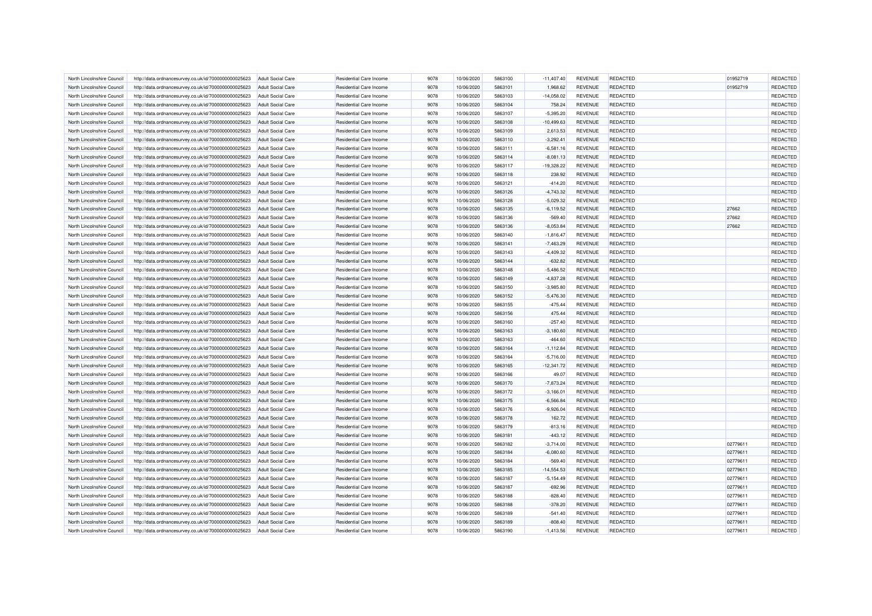| North Lincolnshire Council | http://data.ordnancesurvey.co.uk/id/7000000000025623 | <b>Adult Social Care</b> | Residential Care Income        | 9078 | 10/06/2020 | 5863100 | $-11,407.40$ | <b>REVENUE</b> | <b>REDACTED</b> | 01952719 | REDACTED        |
|----------------------------|------------------------------------------------------|--------------------------|--------------------------------|------|------------|---------|--------------|----------------|-----------------|----------|-----------------|
| North Lincolnshire Council | http://data.ordnancesurvey.co.uk/id/7000000000025623 | <b>Adult Social Care</b> | <b>Residential Care Income</b> | 9078 | 10/06/2020 | 5863101 | 1,968.62     | <b>REVENUE</b> | <b>REDACTED</b> | 01952719 | REDACTED        |
| North Lincolnshire Council | http://data.ordnancesurvey.co.uk/id/7000000000025623 | Adult Social Care        | <b>Residential Care Income</b> | 9078 | 10/06/2020 | 5863103 | $-14.058.02$ | <b>REVENUE</b> | <b>REDACTED</b> |          | <b>REDACTED</b> |
|                            |                                                      |                          |                                |      |            |         |              |                |                 |          |                 |
| North Lincolnshire Council | http://data.ordnancesurvey.co.uk/id/7000000000025623 | <b>Adult Social Care</b> | Residential Care Income        | 9078 | 10/06/2020 | 5863104 | 758.24       | <b>REVENUE</b> | REDACTED        |          | REDACTED        |
| North Lincolnshire Council | http://data.ordnancesurvey.co.uk/id/7000000000025623 | <b>Adult Social Care</b> | <b>Residential Care Income</b> | 9078 | 10/06/2020 | 5863107 | $-5,395.20$  | <b>REVENUE</b> | <b>REDACTED</b> |          | REDACTED        |
| North Lincolnshire Council | http://data.ordnancesurvey.co.uk/id/7000000000025623 | <b>Adult Social Care</b> | <b>Residential Care Income</b> | 9078 | 10/06/2020 | 5863108 | $-10,499.63$ | <b>REVENUE</b> | <b>REDACTED</b> |          | REDACTED        |
| North Lincolnshire Council | http://data.ordnancesurvey.co.uk/id/7000000000025623 | <b>Adult Social Care</b> | <b>Residential Care Income</b> | 9078 | 10/06/2020 | 5863109 | 2,613.53     | <b>REVENUE</b> | <b>REDACTED</b> |          | REDACTED        |
| North Lincolnshire Council | http://data.ordnancesurvey.co.uk/id/7000000000025623 | <b>Adult Social Care</b> | <b>Residential Care Income</b> | 9078 | 10/06/2020 | 5863110 | $-3,292.41$  | <b>REVENUE</b> | <b>REDACTED</b> |          | REDACTED        |
| North Lincolnshire Council | http://data.ordnancesurvey.co.uk/id/7000000000025623 | <b>Adult Social Care</b> | <b>Residential Care Income</b> | 9078 | 10/06/2020 | 5863111 | $-6.581.16$  | <b>REVENUE</b> | <b>REDACTED</b> |          | REDACTED        |
| North Lincolnshire Council | http://data.ordnancesurvey.co.uk/id/7000000000025623 | <b>Adult Social Care</b> | Residential Care Income        | 9078 | 10/06/2020 | 5863114 | $-8,081.13$  | <b>REVENUE</b> | <b>REDACTED</b> |          | <b>REDACTED</b> |
| North Lincolnshire Council | http://data.ordnancesurvey.co.uk/id/7000000000025623 | Adult Social Care        | Residential Care Income        | 9078 | 10/06/2020 | 5863117 | $-19,328.22$ | <b>REVENUE</b> | REDACTED        |          | <b>REDACTED</b> |
| North Lincolnshire Council | http://data.ordnancesurvey.co.uk/id/7000000000025623 | <b>Adult Social Care</b> | Residential Care Income        | 9078 | 10/06/2020 | 5863118 | 238.92       | <b>REVENUE</b> | REDACTED        |          | REDACTED        |
| North Lincolnshire Council | http://data.ordnancesurvey.co.uk/id/7000000000025623 | <b>Adult Social Care</b> | Residential Care Income        | 9078 | 10/06/2020 | 5863121 | $-414.20$    | <b>REVENUE</b> | <b>REDACTED</b> |          | REDACTED        |
| North Lincolnshire Council | http://data.ordnancesurvey.co.uk/id/7000000000025623 | <b>Adult Social Care</b> | <b>Residential Care Income</b> | 9078 | 10/06/2020 | 5863126 | $-4,743.32$  | <b>REVENUE</b> | REDACTED        |          | REDACTED        |
| North Lincolnshire Council | http://data.ordnancesurvey.co.uk/id/7000000000025623 | <b>Adult Social Care</b> | Residential Care Income        | 9078 | 10/06/2020 | 5863128 | $-5,029.32$  | <b>REVENUE</b> | <b>REDACTED</b> |          | REDACTED        |
| North Lincolnshire Council | http://data.ordnancesurvey.co.uk/id/7000000000025623 | <b>Adult Social Care</b> | <b>Residential Care Income</b> | 9078 | 10/06/2020 | 5863135 | $-6,119.52$  | <b>REVENUE</b> | REDACTED        | 27662    | REDACTED        |
| North Lincolnshire Council | http://data.ordnancesurvey.co.uk/id/7000000000025623 | <b>Adult Social Care</b> | Residential Care Income        | 9078 | 10/06/2020 | 5863136 | $-569.40$    | <b>REVENUE</b> | <b>REDACTED</b> | 27662    | REDACTED        |
| North Lincolnshire Council | http://data.ordnancesurvey.co.uk/id/7000000000025623 | <b>Adult Social Care</b> | Residential Care Income        | 9078 | 10/06/2020 | 5863136 | $-8,053.84$  | <b>REVENUE</b> | <b>REDACTED</b> | 27662    | REDACTED        |
| North Lincolnshire Council | http://data.ordnancesurvey.co.uk/id/7000000000025623 | <b>Adult Social Care</b> | Residential Care Income        | 9078 | 10/06/2020 | 5863140 | $-1,816.47$  | <b>REVENUE</b> | REDACTED        |          | <b>REDACTED</b> |
| North Lincolnshire Council | http://data.ordnancesurvey.co.uk/id/7000000000025623 | <b>Adult Social Care</b> | Residential Care Income        | 9078 | 10/06/2020 | 5863141 | $-7.463.29$  | <b>REVENUE</b> | <b>REDACTED</b> |          | REDACTED        |
| North Lincolnshire Council | http://data.ordnancesurvey.co.uk/id/7000000000025623 | <b>Adult Social Care</b> | Residential Care Income        | 9078 | 10/06/2020 | 5863143 | $-4,409.32$  | <b>REVENUE</b> | <b>REDACTED</b> |          | <b>REDACTED</b> |
| North Lincolnshire Council | http://data.ordnancesurvey.co.uk/id/7000000000025623 | <b>Adult Social Care</b> | Residential Care Income        | 9078 | 10/06/2020 | 5863144 | $-632.82$    | <b>REVENUE</b> | REDACTED        |          | REDACTED        |
| North Lincolnshire Council | http://data.ordnancesurvey.co.uk/id/7000000000025623 | <b>Adult Social Care</b> | Residential Care Income        | 9078 | 10/06/2020 | 5863148 | $-5,486.52$  | <b>REVENUE</b> | REDACTED        |          | REDACTED        |
|                            |                                                      |                          |                                | 9078 |            | 5863149 |              |                | <b>REDACTED</b> |          | REDACTED        |
| North Lincolnshire Council | http://data.ordnancesurvey.co.uk/id/7000000000025623 | <b>Adult Social Care</b> | <b>Residential Care Income</b> |      | 10/06/2020 |         | $-4,837.28$  | <b>REVENUE</b> |                 |          |                 |
| North Lincolnshire Council | http://data.ordnancesurvey.co.uk/id/7000000000025623 | <b>Adult Social Care</b> | <b>Residential Care Income</b> | 9078 | 10/06/2020 | 5863150 | $-3,985.80$  | <b>REVENUE</b> | REDACTED        |          | REDACTED        |
| North Lincolnshire Counci  | http://data.ordnancesurvey.co.uk/id/7000000000025623 | <b>Adult Social Care</b> | <b>Residential Care Income</b> | 9078 | 10/06/2020 | 5863152 | $-5,476.30$  | <b>REVENUE</b> | <b>REDACTED</b> |          | REDACTED        |
| North Lincolnshire Council | http://data.ordnancesurvey.co.uk/id/7000000000025623 | <b>Adult Social Care</b> | <b>Residential Care Income</b> | 9078 | 10/06/2020 | 5863155 | $-475.44$    | <b>REVENUE</b> | <b>REDACTED</b> |          | REDACTED        |
| North Lincolnshire Council | http://data.ordnancesurvey.co.uk/id/7000000000025623 | <b>Adult Social Care</b> | Residential Care Income        | 9078 | 10/06/2020 | 5863156 | 475.44       | <b>REVENUE</b> | REDACTED        |          | REDACTED        |
| North Lincolnshire Council | http://data.ordnancesurvey.co.uk/id/7000000000025623 | <b>Adult Social Care</b> | <b>Residential Care Income</b> | 9078 | 10/06/2020 | 5863160 | $-257.40$    | <b>REVENUE</b> | <b>REDACTED</b> |          | REDACTED        |
| North Lincolnshire Council | http://data.ordnancesurvey.co.uk/id/7000000000025623 | <b>Adult Social Care</b> | <b>Residential Care Income</b> | 9078 | 10/06/2020 | 5863163 | $-3,180.60$  | <b>REVENUE</b> | <b>REDACTED</b> |          | REDACTED        |
| North Lincolnshire Council | http://data.ordnancesurvey.co.uk/id/7000000000025623 | <b>Adult Social Care</b> | <b>Residential Care Income</b> | 9078 | 10/06/2020 | 5863163 | $-464.60$    | <b>REVENUE</b> | REDACTED        |          | REDACTED        |
| North Lincolnshire Council | http://data.ordnancesurvey.co.uk/id/7000000000025623 | <b>Adult Social Care</b> | <b>Residential Care Income</b> | 9078 | 10/06/2020 | 5863164 | $-1,112.84$  | <b>REVENUE</b> | <b>REDACTED</b> |          | REDACTED        |
| North Lincolnshire Council | http://data.ordnancesurvey.co.uk/id/7000000000025623 | <b>Adult Social Care</b> | <b>Residential Care Income</b> | 9078 | 10/06/2020 | 5863164 | $-5,716.00$  | <b>REVENUE</b> | REDACTED        |          | REDACTED        |
| North Lincolnshire Council | http://data.ordnancesurvey.co.uk/id/7000000000025623 | <b>Adult Social Care</b> | <b>Residential Care Income</b> | 9078 | 10/06/2020 | 5863165 | $-12,341.72$ | <b>REVENUE</b> | <b>REDACTED</b> |          | REDACTED        |
| North Lincolnshire Council | http://data.ordnancesurvey.co.uk/id/7000000000025623 | <b>Adult Social Care</b> | <b>Residential Care Income</b> | 9078 | 10/06/2020 | 5863166 | 49.07        | <b>REVENUE</b> | REDACTED        |          | REDACTED        |
| North Lincolnshire Council | http://data.ordnancesurvey.co.uk/id/7000000000025623 | <b>Adult Social Care</b> | <b>Residential Care Income</b> | 9078 | 10/06/2020 | 5863170 | $-7.873.24$  | <b>REVENUE</b> | REDACTED        |          | REDACTED        |
| North Lincolnshire Council | http://data.ordnancesurvey.co.uk/id/7000000000025623 | <b>Adult Social Care</b> | Residential Care Income        | 9078 | 10/06/2020 | 5863172 | $-3,166.01$  | <b>REVENUE</b> | REDACTED        |          | REDACTED        |
| North Lincolnshire Council | http://data.ordnancesurvey.co.uk/id/7000000000025623 | Adult Social Care        | <b>Residential Care Income</b> | 9078 | 10/06/2020 | 5863175 | $-6.566.84$  | <b>REVENUE</b> | <b>REDACTED</b> |          | <b>REDACTED</b> |
| North Lincolnshire Council | http://data.ordnancesurvey.co.uk/id/7000000000025623 | <b>Adult Social Care</b> | <b>Residential Care Income</b> | 9078 | 10/06/2020 | 5863176 | $-9,926.04$  | <b>REVENUE</b> | <b>REDACTED</b> |          | REDACTED        |
| North Lincolnshire Council | http://data.ordnancesurvey.co.uk/id/7000000000025623 | <b>Adult Social Care</b> | <b>Residential Care Income</b> | 9078 | 10/06/2020 | 5863178 | 162.72       | <b>REVENUE</b> | REDACTED        |          | REDACTED        |
| North Lincolnshire Council | http://data.ordnancesurvey.co.uk/id/7000000000025623 | <b>Adult Social Care</b> | <b>Residential Care Income</b> | 9078 | 10/06/2020 | 5863179 | $-813.16$    | <b>REVENUE</b> | <b>REDACTED</b> |          | REDACTED        |
| North Lincolnshire Council | http://data.ordnancesurvey.co.uk/id/7000000000025623 | <b>Adult Social Care</b> | <b>Residential Care Income</b> | 9078 | 10/06/2020 | 5863181 | $-443.12$    | <b>REVENUE</b> | <b>REDACTED</b> |          | REDACTED        |
| North Lincolnshire Council | http://data.ordnancesurvey.co.uk/id/7000000000025623 | <b>Adult Social Care</b> | Residential Care Income        | 9078 | 10/06/2020 | 5863182 | $-3,714.00$  | <b>REVENUE</b> | REDACTED        | 02779611 | REDACTED        |
| North Lincolnshire Council | http://data.ordnancesurvey.co.uk/id/7000000000025623 | <b>Adult Social Care</b> | <b>Residential Care Income</b> | 9078 | 10/06/2020 | 5863184 | $-6,080.60$  | <b>REVENUE</b> | <b>REDACTED</b> | 02779611 | REDACTED        |
| North Lincolnshire Council | http://data.ordnancesurvey.co.uk/id/7000000000025623 | <b>Adult Social Care</b> | Residential Care Income        | 9078 | 10/06/2020 | 5863184 | $-569.40$    | <b>REVENUE</b> | REDACTED        | 02779611 | REDACTED        |
| North Lincolnshire Council | http://data.ordnancesurvey.co.uk/id/7000000000025623 | <b>Adult Social Care</b> | Residential Care Income        | 9078 | 10/06/2020 | 5863185 | $-14,554.53$ | <b>REVENUE</b> | <b>REDACTED</b> | 02779611 | REDACTED        |
| North Lincolnshire Council | http://data.ordnancesurvey.co.uk/id/7000000000025623 | <b>Adult Social Care</b> | Residential Care Income        | 9078 | 10/06/2020 | 5863187 | $-5,154.49$  | <b>REVENUE</b> | REDACTED        | 02779611 | REDACTED        |
| North Lincolnshire Council |                                                      | <b>Adult Social Care</b> | <b>Residential Care Income</b> | 9078 | 10/06/2020 | 5863187 | $-692.96$    | <b>REVENUE</b> | <b>REDACTED</b> | 02779611 | REDACTED        |
| North Lincolnshire Council | http://data.ordnancesurvey.co.uk/id/7000000000025623 |                          | Residential Care Income        | 9078 |            | 5863188 | $-828.40$    | <b>REVENUE</b> | <b>REDACTED</b> | 02779611 |                 |
|                            | http://data.ordnancesurvey.co.uk/id/7000000000025623 | <b>Adult Social Care</b> |                                |      | 10/06/2020 |         |              |                |                 |          | REDACTED        |
| North Lincolnshire Council | http://data.ordnancesurvey.co.uk/id/7000000000025623 | <b>Adult Social Care</b> | <b>Residential Care Income</b> | 9078 | 10/06/2020 | 5863188 | $-378.20$    | <b>REVENUE</b> | <b>REDACTED</b> | 02779611 | REDACTED        |
| North Lincolnshire Council | http://data.ordnancesurvey.co.uk/id/7000000000025623 | <b>Adult Social Care</b> | Residential Care Income        | 9078 | 10/06/2020 | 5863189 | $-541.40$    | <b>REVENUE</b> | <b>REDACTED</b> | 02779611 | REDACTED        |
| North Lincolnshire Council | http://data.ordnancesurvey.co.uk/id/7000000000025623 | <b>Adult Social Care</b> | <b>Residential Care Income</b> | 9078 | 10/06/2020 | 5863189 | $-808.40$    | <b>REVENUE</b> | <b>REDACTED</b> | 02779611 | REDACTED        |
| North Lincolnshire Council | http://data.ordnancesurvey.co.uk/id/7000000000025623 | <b>Adult Social Care</b> | Residential Care Income        | 9078 | 10/06/2020 | 5863190 | $-1.413.56$  | <b>REVENUE</b> | <b>REDACTED</b> | 02779611 | REDACTED        |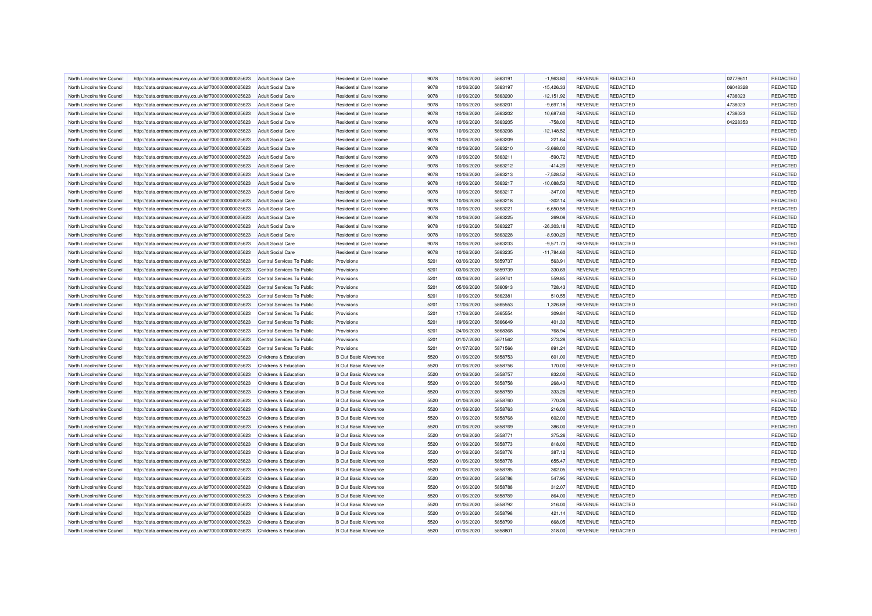| North Lincolnshire Council | http://data.ordnancesurvey.co.uk/id/7000000000025623 | <b>Adult Social Care</b>   | Residential Care Income      | 9078         | 10/06/2020               | 5863191 | $-1.963.80$  | <b>REVENUE</b> | REDACTED        | 02779611 | REDACTED        |
|----------------------------|------------------------------------------------------|----------------------------|------------------------------|--------------|--------------------------|---------|--------------|----------------|-----------------|----------|-----------------|
| North Lincolnshire Council | http://data.ordnancesurvey.co.uk/id/7000000000025623 | <b>Adult Social Care</b>   | Residential Care Income      | 9078         | 10/06/2020               | 5863197 | $-15,426.33$ | <b>REVENUE</b> | REDACTED        | 06048328 | <b>REDACTED</b> |
| North Lincolnshire Council | http://data.ordnancesurvey.co.uk/id/7000000000025623 | <b>Adult Social Care</b>   | Residential Care Income      | 9078         | 10/06/2020               | 5863200 | $-12,151.92$ | <b>REVENUE</b> | REDACTED        | 4738023  | REDACTED        |
| North Lincolnshire Council | http://data.ordnancesurvey.co.uk/id/7000000000025623 | <b>Adult Social Care</b>   | Residential Care Income      | 9078         | 10/06/2020               | 5863201 | $-9,697.18$  | <b>REVENUE</b> | REDACTED        | 4738023  | REDACTED        |
| North Lincolnshire Council | http://data.ordnancesurvey.co.uk/id/7000000000025623 | <b>Adult Social Care</b>   | Residential Care Income      | 9078         | 10/06/2020               | 5863202 | 10,687.60    | <b>REVENUE</b> | <b>REDACTED</b> | 4738023  | REDACTED        |
| North Lincolnshire Council | http://data.ordnancesurvey.co.uk/id/7000000000025623 | <b>Adult Social Care</b>   | Residential Care Income      | 9078         | 10/06/2020               | 5863205 | $-758.00$    | <b>REVENUE</b> | REDACTED        | 04228353 | REDACTED        |
| North Lincolnshire Council | http://data.ordnancesurvey.co.uk/id/7000000000025623 | <b>Adult Social Care</b>   | Residential Care Income      | 9078         | 10/06/2020               | 5863208 | $-12,148.52$ | <b>REVENUE</b> | <b>REDACTED</b> |          | REDACTED        |
| North Lincolnshire Council | http://data.ordnancesurvey.co.uk/id/7000000000025623 | <b>Adult Social Care</b>   | Residential Care Income      | 9078         | 10/06/2020               | 5863209 | 221.64       | <b>REVENUE</b> | REDACTED        |          | REDACTED        |
| North Lincolnshire Council | http://data.ordnancesurvey.co.uk/id/7000000000025623 | <b>Adult Social Care</b>   | Residential Care Income      | 9078         | 10/06/2020               | 5863210 | $-3,668.00$  | <b>REVENUE</b> | REDACTED        |          | REDACTED        |
| North Lincolnshire Council | http://data.ordnancesurvey.co.uk/id/7000000000025623 | <b>Adult Social Care</b>   | Residential Care Income      | 9078         | 10/06/2020               | 5863211 | $-590.72$    | <b>REVENUE</b> | <b>REDACTED</b> |          | REDACTED        |
| North Lincolnshire Council | http://data.ordnancesurvey.co.uk/id/7000000000025623 | <b>Adult Social Care</b>   | Residential Care Income      | 9078         | 10/06/2020               | 5863212 | $-414.20$    | <b>REVENUE</b> | REDACTED        |          | <b>REDACTED</b> |
| North Lincolnshire Council | http://data.ordnancesurvey.co.uk/id/7000000000025623 | <b>Adult Social Care</b>   | Residential Care Income      | 9078         | 10/06/2020               | 5863213 | $-7,528.52$  | <b>REVENUE</b> | REDACTED        |          | REDACTED        |
| North Lincolnshire Council | http://data.ordnancesurvey.co.uk/id/7000000000025623 | <b>Adult Social Care</b>   | Residential Care Income      | 9078         | 10/06/2020               | 5863217 | $-10,088.53$ | <b>REVENUE</b> | REDACTED        |          | REDACTED        |
| North Lincolnshire Council | http://data.ordnancesurvey.co.uk/id/7000000000025623 | <b>Adult Social Care</b>   | Residential Care Income      | 9078         | 10/06/2020               | 5863217 | $-347.00$    | <b>REVENUE</b> | REDACTED        |          | <b>REDACTED</b> |
| North Lincolnshire Council | http://data.ordnancesurvey.co.uk/id/7000000000025623 | <b>Adult Social Care</b>   | Residential Care Income      | 9078         | 10/06/2020               | 5863218 | $-302.14$    | <b>REVENUE</b> | <b>REDACTED</b> |          | REDACTED        |
| North Lincolnshire Council | http://data.ordnancesurvey.co.uk/id/7000000000025623 | <b>Adult Social Care</b>   | Residential Care Income      | 9078         | 10/06/2020               | 5863221 | $-6,650.58$  | <b>REVENUE</b> | REDACTED        |          | REDACTED        |
| North Lincolnshire Council | http://data.ordnancesurvey.co.uk/id/7000000000025623 | <b>Adult Social Care</b>   | Residential Care Income      | 9078         | 10/06/2020               | 5863225 | 269.08       | <b>REVENUE</b> | REDACTED        |          | REDACTED        |
| North Lincolnshire Council | http://data.ordnancesurvey.co.uk/id/7000000000025623 | <b>Adult Social Care</b>   | Residential Care Income      | 9078         | 10/06/2020               | 5863227 | $-26,303.18$ | <b>REVENUE</b> | REDACTED        |          | REDACTED        |
| North Lincolnshire Council | http://data.ordnancesurvey.co.uk/id/7000000000025623 | <b>Adult Social Care</b>   | Residential Care Income      | 9078         | 10/06/2020               | 5863228 | $-8,930.20$  | <b>REVENUE</b> | REDACTED        |          | REDACTED        |
| North Lincolnshire Council | http://data.ordnancesurvey.co.uk/id/7000000000025623 | <b>Adult Social Care</b>   | Residential Care Income      | 9078         | 10/06/2020               | 5863233 | $-9,571.73$  | <b>REVENUE</b> | REDACTED        |          | REDACTED        |
| North Lincolnshire Council | http://data.ordnancesurvey.co.uk/id/7000000000025623 | <b>Adult Social Care</b>   | Residential Care Income      | 9078         | 10/06/2020               | 5863235 | $-11,784.60$ | <b>REVENUE</b> | REDACTED        |          | REDACTED        |
| North Lincolnshire Council | http://data.ordnancesurvey.co.uk/id/7000000000025623 | Central Services To Public | Provisions                   | 5201         | 03/06/2020               | 5859737 | 563.91       | <b>REVENUE</b> | REDACTED        |          | REDACTED        |
| North Lincolnshire Council | http://data.ordnancesurvey.co.uk/id/7000000000025623 | Central Services To Public | Provisions                   | 5201         | 03/06/2020               | 5859739 | 330.69       | <b>REVENUE</b> | <b>REDACTED</b> |          | REDACTED        |
|                            |                                                      |                            |                              |              |                          | 5859741 |              |                | REDACTED        |          | REDACTED        |
| North Lincolnshire Council | http://data.ordnancesurvey.co.uk/id/7000000000025623 | Central Services To Public | Provisions                   | 5201<br>5201 | 03/06/2020<br>05/06/2020 |         | 559.85       | <b>REVENUE</b> | REDACTED        |          | REDACTED        |
| North Lincolnshire Council | http://data.ordnancesurvey.co.uk/id/7000000000025623 | Central Services To Public | Provisions                   |              |                          | 5860913 | 728.43       | <b>REVENUE</b> |                 |          |                 |
| North Lincolnshire Council | http://data.ordnancesurvey.co.uk/id/7000000000025623 | Central Services To Public | Provisions                   | 5201         | 10/06/2020               | 5862381 | 510.55       | <b>REVENUE</b> | <b>REDACTED</b> |          | REDACTED        |
| North Lincolnshire Council | http://data.ordnancesurvey.co.uk/id/7000000000025623 | Central Services To Public | Provisions                   | 5201         | 17/06/2020               | 5865553 | 1,326.69     | <b>REVENUE</b> | <b>REDACTED</b> |          | REDACTED        |
| North Lincolnshire Council | http://data.ordnancesurvey.co.uk/id/7000000000025623 | Central Services To Public | Provisions                   | 5201         | 17/06/2020               | 5865554 | 309.84       | <b>REVENUE</b> | REDACTED        |          | REDACTED        |
| North Lincolnshire Council | http://data.ordnancesurvey.co.uk/id/7000000000025623 | Central Services To Public | Provisions                   | 5201         | 19/06/2020               | 5866649 | 401.33       | <b>REVENUE</b> | REDACTED        |          | REDACTED        |
| North Lincolnshire Council | http://data.ordnancesurvey.co.uk/id/7000000000025623 | Central Services To Public | Provisions                   | 5201         | 24/06/2020               | 5868368 | 768.94       | <b>REVENUE</b> | REDACTED        |          | REDACTED        |
| North Lincolnshire Council | http://data.ordnancesurvey.co.uk/id/7000000000025623 | Central Services To Public | Provisions                   | 5201         | 01/07/2020               | 5871562 | 273.28       | <b>REVENUE</b> | REDACTED        |          | REDACTED        |
| North Lincolnshire Council | http://data.ordnancesurvey.co.uk/id/7000000000025623 | Central Services To Public | Provisions                   | 5201         | 01/07/2020               | 5871566 | 891.24       | <b>REVENUE</b> | <b>REDACTED</b> |          | REDACTED        |
| North Lincolnshire Council | http://data.ordnancesurvey.co.uk/id/7000000000025623 | Childrens & Education      | <b>B Out Basic Allowance</b> | 5520         | 01/06/2020               | 5858753 | 601.00       | <b>REVENUE</b> | REDACTED        |          | REDACTED        |
| North Lincolnshire Council | http://data.ordnancesurvey.co.uk/id/7000000000025623 | Childrens & Education      | <b>B Out Basic Allowance</b> | 5520         | 01/06/2020               | 5858756 | 170.00       | <b>REVENUE</b> | <b>REDACTED</b> |          | REDACTED        |
| North Lincolnshire Council | http://data.ordnancesurvey.co.uk/id/7000000000025623 | Childrens & Education      | <b>B Out Basic Allowance</b> | 5520         | 01/06/2020               | 5858757 | 832.00       | <b>REVENUE</b> | REDACTED        |          | REDACTED        |
| North Lincolnshire Council | http://data.ordnancesurvey.co.uk/id/7000000000025623 | Childrens & Education      | <b>B Out Basic Allowance</b> | 5520         | 01/06/2020               | 5858758 | 268.43       | <b>REVENUE</b> | REDACTED        |          | REDACTED        |
| North Lincolnshire Council | http://data.ordnancesurvey.co.uk/id/7000000000025623 | Childrens & Education      | <b>B Out Basic Allowance</b> | 5520         | 01/06/2020               | 5858759 | 333.26       | <b>REVENUE</b> | <b>REDACTED</b> |          | REDACTED        |
| North Lincolnshire Council | http://data.ordnancesurvey.co.uk/id/7000000000025623 | Childrens & Education      | <b>B Out Basic Allowance</b> | 5520         | 01/06/2020               | 5858760 | 770.26       | <b>REVENUE</b> | <b>REDACTED</b> |          | REDACTED        |
| North Lincolnshire Council | http://data.ordnancesurvey.co.uk/id/7000000000025623 | Childrens & Education      | <b>B Out Basic Allowance</b> | 5520         | 01/06/2020               | 5858763 | 216.00       | <b>REVENUE</b> | REDACTED        |          | REDACTED        |
| North Lincolnshire Council | http://data.ordnancesurvey.co.uk/id/7000000000025623 | Childrens & Education      | <b>B Out Basic Allowance</b> | 5520         | 01/06/2020               | 5858768 | 602.00       | <b>REVENUE</b> | REDACTED        |          | REDACTED        |
| North Lincolnshire Council | http://data.ordnancesurvey.co.uk/id/7000000000025623 | Childrens & Education      | <b>B Out Basic Allowance</b> | 5520         | 01/06/2020               | 5858769 | 386.00       | <b>REVENUE</b> | REDACTED        |          | REDACTED        |
| North Lincolnshire Council | http://data.ordnancesurvey.co.uk/id/7000000000025623 | Childrens & Education      | <b>B Out Basic Allowance</b> | 5520         | 01/06/2020               | 5858771 | 375.26       | <b>REVENUE</b> | <b>REDACTED</b> |          | REDACTED        |
| North Lincolnshire Council | http://data.ordnancesurvey.co.uk/id/7000000000025623 | Childrens & Education      | <b>B Out Basic Allowance</b> | 5520         | 01/06/2020               | 5858773 | 818.00       | <b>REVENUE</b> | <b>REDACTED</b> |          | REDACTED        |
| North Lincolnshire Council | http://data.ordnancesurvey.co.uk/id/7000000000025623 | Childrens & Education      | <b>B Out Basic Allowance</b> | 5520         | 01/06/2020               | 5858776 | 387.12       | <b>REVENUE</b> | <b>REDACTED</b> |          | REDACTED        |
| North Lincolnshire Council | http://data.ordnancesurvey.co.uk/id/7000000000025623 | Childrens & Education      | <b>B Out Basic Allowance</b> | 5520         | 01/06/2020               | 5858778 | 655.47       | <b>REVENUE</b> | <b>REDACTED</b> |          | REDACTED        |
| North Lincolnshire Council | http://data.ordnancesurvey.co.uk/id/7000000000025623 | Childrens & Education      | <b>B Out Basic Allowance</b> | 5520         | 01/06/2020               | 5858785 | 362.05       | <b>REVENUE</b> | REDACTED        |          | <b>REDACTED</b> |
| North Lincolnshire Council | http://data.ordnancesurvey.co.uk/id/7000000000025623 | Childrens & Education      | <b>B Out Basic Allowance</b> | 5520         | 01/06/2020               | 5858786 | 547.95       | <b>REVENUE</b> | <b>REDACTED</b> |          | REDACTED        |
| North Lincolnshire Council | http://data.ordnancesurvey.co.uk/id/7000000000025623 | Childrens & Education      | <b>B Out Basic Allowance</b> | 5520         | 01/06/2020               | 5858788 | 312.07       | <b>REVENUE</b> | <b>REDACTED</b> |          | REDACTED        |
| North Lincolnshire Council | http://data.ordnancesurvey.co.uk/id/7000000000025623 | Childrens & Education      | <b>B Out Basic Allowance</b> | 5520         | 01/06/2020               | 5858789 | 864.00       | <b>REVENUE</b> | <b>REDACTED</b> |          | <b>REDACTED</b> |
| North Lincolnshire Council | http://data.ordnancesurvey.co.uk/id/7000000000025623 | Childrens & Education      | <b>B Out Basic Allowance</b> | 5520         | 01/06/2020               | 5858792 | 216.00       | <b>REVENUE</b> | <b>REDACTED</b> |          | REDACTED        |
| North Lincolnshire Council | http://data.ordnancesurvey.co.uk/id/7000000000025623 | Childrens & Education      | <b>B Out Basic Allowance</b> | 5520         | 01/06/2020               | 5858798 | 421.14       | <b>REVENUE</b> | <b>REDACTED</b> |          | REDACTED        |
| North Lincolnshire Council | http://data.ordnancesurvey.co.uk/id/7000000000025623 | Childrens & Education      | <b>B Out Basic Allowance</b> | 5520         | 01/06/2020               | 5858799 | 668.05       | <b>REVENUE</b> | <b>REDACTED</b> |          | REDACTED        |
| North Lincolnshire Council | http://data.ordnancesurvey.co.uk/id/7000000000025623 | Childrens & Education      | <b>B Out Basic Allowance</b> | 5520         | 01/06/2020               | 5858801 | 318.00       | <b>REVENUE</b> | REDACTED        |          | REDACTED        |
|                            |                                                      |                            |                              |              |                          |         |              |                |                 |          |                 |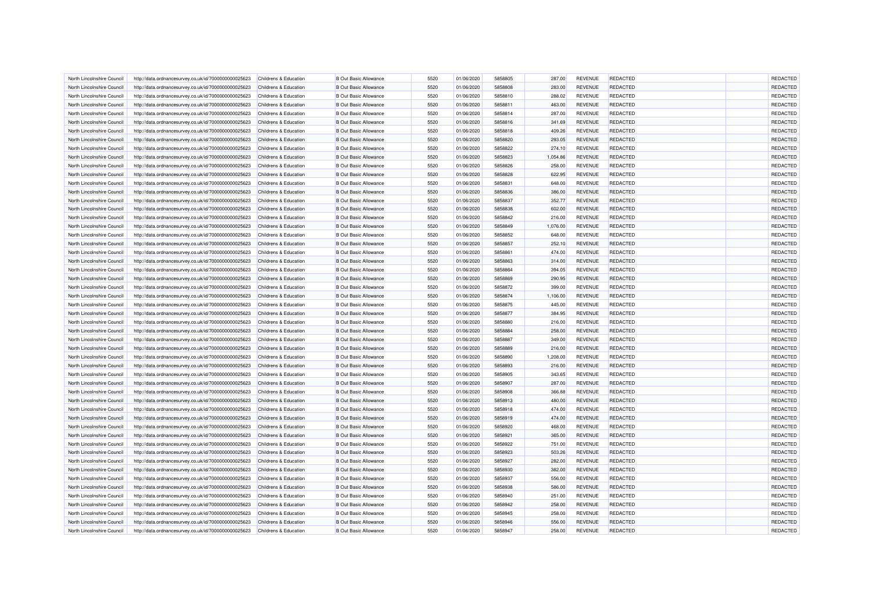| North Lincolnshire Council                               | http://data.ordnancesurvey.co.uk/id/7000000000025623                                                         | Childrens & Education                          | <b>B</b> Out Basic Allowance                                 | 5520 | 01/06/2020               | 5858805 | 287.00           | <b>REVENUE</b>                   | <b>REDACTED</b> | <b>REDACTED</b> |
|----------------------------------------------------------|--------------------------------------------------------------------------------------------------------------|------------------------------------------------|--------------------------------------------------------------|------|--------------------------|---------|------------------|----------------------------------|-----------------|-----------------|
| North Lincolnshire Council                               | http://data.ordnancesurvey.co.uk/id/7000000000025623                                                         | Childrens & Education                          | <b>B Out Basic Allowance</b>                                 | 5520 | 01/06/2020               | 5858808 | 283.00           | <b>REVENUE</b>                   | <b>REDACTED</b> | REDACTED        |
| North Lincolnshire Council                               | http://data.ordnancesurvey.co.uk/id/7000000000025623                                                         | Childrens & Education                          | <b>B Out Basic Allowance</b>                                 | 5520 | 01/06/2020               | 5858810 | 288.02           | <b>REVENUE</b>                   | <b>REDACTED</b> | <b>REDACTED</b> |
| North Lincolnshire Council                               | http://data.ordnancesurvey.co.uk/id/7000000000025623                                                         | Childrens & Education                          | <b>B Out Basic Allowance</b>                                 | 5520 | 01/06/2020               | 5858811 | 463.00           | <b>REVENUE</b>                   | REDACTED        | <b>REDACTED</b> |
| North Lincolnshire Council                               | http://data.ordnancesurvey.co.uk/id/7000000000025623                                                         | Childrens & Education                          | <b>B Out Basic Allowance</b>                                 | 5520 | 01/06/2020               | 5858814 | 287.00           | <b>REVENUE</b>                   | <b>REDACTED</b> | REDACTED        |
| North Lincolnshire Council                               | http://data.ordnancesurvey.co.uk/id/7000000000025623                                                         | Childrens & Education                          | <b>B Out Basic Allowance</b>                                 | 5520 | 01/06/2020               | 5858816 | 341.69           | <b>REVENUE</b>                   | <b>REDACTED</b> | REDACTED        |
| North Lincolnshire Council                               | http://data.ordnancesurvey.co.uk/id/7000000000025623                                                         | Childrens & Education                          | <b>B Out Basic Allowance</b>                                 | 5520 | 01/06/2020               | 5858818 | 409.26           | <b>REVENUE</b>                   | <b>REDACTED</b> | REDACTED        |
| North Lincolnshire Council                               | http://data.ordnancesurvey.co.uk/id/7000000000025623                                                         | Childrens & Education                          | <b>B Out Basic Allowance</b>                                 | 5520 | 01/06/2020               | 5858820 | 293.05           | <b>REVENUE</b>                   | <b>REDACTED</b> | REDACTED        |
| North Lincolnshire Council                               | http://data.ordnancesurvey.co.uk/id/7000000000025623                                                         | Childrens & Education                          | <b>B Out Basic Allowance</b>                                 | 5520 | 01/06/2020               | 5858822 | 274.10           | <b>REVENUE</b>                   | REDACTED        | REDACTED        |
| North Lincolnshire Counci                                | http://data.ordnancesurvey.co.uk/id/7000000000025623                                                         | Childrens & Education                          | <b>B Out Basic Allowance</b>                                 | 5520 | 01/06/2020               | 5858823 | 1,054.86         | <b>REVENUE</b>                   | <b>REDACTED</b> | REDACTED        |
| North Lincolnshire Council                               | http://data.ordnancesurvey.co.uk/id/7000000000025623                                                         | <b>Childrens &amp; Education</b>               | <b>B Out Basic Allowance</b>                                 | 5520 | 01/06/2020               | 5858826 | 258.00           | <b>REVENUE</b>                   | <b>REDACTED</b> | REDACTED        |
| North Lincolnshire Council                               | http://data.ordnancesurvey.co.uk/id/7000000000025623                                                         | Childrens & Education                          | <b>B Out Basic Allowance</b>                                 | 5520 | 01/06/2020               | 5858828 | 622.95           | <b>REVENUE</b>                   | REDACTED        | REDACTED        |
| North Lincolnshire Council                               | http://data.ordnancesurvey.co.uk/id/7000000000025623                                                         | Childrens & Education                          | <b>B Out Basic Allowance</b>                                 | 5520 | 01/06/2020               | 5858831 | 648.00           | <b>REVENUE</b>                   | <b>REDACTED</b> | REDACTED        |
| North Lincolnshire Council                               | http://data.ordnancesurvey.co.uk/id/7000000000025623                                                         | Childrens & Education                          | <b>B Out Basic Allowance</b>                                 | 5520 | 01/06/2020               | 5858836 | 386.00           | <b>REVENUE</b>                   | REDACTED        | REDACTED        |
| North Lincolnshire Council                               | http://data.ordnancesurvey.co.uk/id/7000000000025623                                                         | Childrens & Education                          | <b>B Out Basic Allowance</b>                                 | 5520 | 01/06/2020               | 5858837 | 352.77           | <b>REVENUE</b>                   | <b>REDACTED</b> | REDACTED        |
| North Lincolnshire Council                               | http://data.ordnancesurvey.co.uk/id/7000000000025623                                                         | Childrens & Education                          | <b>B Out Basic Allowance</b>                                 | 5520 | 01/06/2020               | 5858838 | 602.00           | <b>REVENUE</b>                   | <b>REDACTED</b> | REDACTED        |
| North Lincolnshire Council                               | http://data.ordnancesurvey.co.uk/id/7000000000025623                                                         | Childrens & Education                          | <b>B Out Basic Allowance</b>                                 | 5520 | 01/06/2020               | 5858842 | 216.00           | <b>REVENUE</b>                   | REDACTED        | REDACTED        |
| North Lincolnshire Council                               | http://data.ordnancesurvey.co.uk/id/7000000000025623                                                         | <b>Childrens &amp; Education</b>               | <b>B Out Basic Allowance</b>                                 | 5520 | 01/06/2020               | 5858849 | 1,076.00         | <b>REVENUE</b>                   | <b>REDACTED</b> | REDACTED        |
| North Lincolnshire Council                               | http://data.ordnancesurvey.co.uk/id/7000000000025623                                                         | Childrens & Education                          | <b>B Out Basic Allowance</b>                                 | 5520 | 01/06/2020               | 5858852 | 648.00           | <b>REVENUE</b>                   | <b>REDACTED</b> | REDACTED        |
| North Lincolnshire Council                               | http://data.ordnancesurvey.co.uk/id/7000000000025623                                                         | <b>Childrens &amp; Education</b>               | <b>B Out Basic Allowance</b>                                 | 5520 | 01/06/2020               | 5858857 | 252.10           | <b>REVENUE</b>                   | <b>REDACTED</b> | REDACTED        |
| North Lincolnshire Council                               | http://data.ordnancesurvey.co.uk/id/7000000000025623                                                         | Childrens & Education                          | <b>B Out Basic Allowance</b>                                 | 5520 | 01/06/2020               | 5858861 | 474.00           | <b>REVENUE</b>                   | <b>REDACTED</b> | REDACTED        |
| North Lincolnshire Council                               | http://data.ordnancesurvey.co.uk/id/7000000000025623                                                         | Childrens & Education                          | <b>B Out Basic Allowance</b>                                 | 5520 | 01/06/2020               | 5858863 | 314.00           | <b>REVENUE</b>                   | <b>REDACTED</b> | REDACTED        |
| North Lincolnshire Council                               | http://data.ordnancesurvey.co.uk/id/7000000000025623                                                         | Childrens & Education                          | <b>B Out Basic Allowance</b>                                 | 5520 | 01/06/2020               | 5858864 | 394.05           | <b>REVENUE</b>                   | <b>REDACTED</b> | REDACTED        |
| North Lincolnshire Council                               | http://data.ordnancesurvey.co.uk/id/7000000000025623                                                         | Childrens & Education                          | <b>B Out Basic Allowance</b>                                 | 5520 | 01/06/2020               | 5858869 | 290.95           | <b>REVENUE</b>                   | <b>REDACTED</b> | REDACTED        |
| North Lincolnshire Council                               | http://data.ordnancesurvey.co.uk/id/7000000000025623                                                         | Childrens & Education                          | <b>B Out Basic Allowance</b>                                 | 5520 | 01/06/2020               | 5858872 | 399.00           | <b>REVENUE</b>                   | REDACTED        | <b>REDACTED</b> |
| North Lincolnshire Council                               | http://data.ordnancesurvey.co.uk/id/7000000000025623                                                         | <b>Childrens &amp; Education</b>               | <b>B Out Basic Allowance</b>                                 | 5520 | 01/06/2020               | 5858874 | 1,106.00         | <b>REVENUE</b>                   | <b>REDACTED</b> | REDACTED        |
| North Lincolnshire Council                               | http://data.ordnancesurvey.co.uk/id/7000000000025623                                                         | Childrens & Education                          | <b>B Out Basic Allowance</b>                                 | 5520 | 01/06/2020               | 5858875 | 445.00           | <b>REVENUE</b>                   | REDACTED        | REDACTED        |
| North Lincolnshire Council                               | http://data.ordnancesurvey.co.uk/id/7000000000025623                                                         | Childrens & Education                          | <b>B Out Basic Allowance</b>                                 | 5520 | 01/06/2020               | 5858877 | 384.95           | <b>REVENUE</b>                   | <b>REDACTED</b> | REDACTED        |
| North Lincolnshire Council                               | http://data.ordnancesurvey.co.uk/id/7000000000025623                                                         | Childrens & Education                          | <b>B Out Basic Allowance</b>                                 | 5520 | 01/06/2020               | 5858880 | 216.00           | <b>REVENUE</b>                   | <b>REDACTED</b> | REDACTED        |
| North Lincolnshire Council                               | http://data.ordnancesurvey.co.uk/id/7000000000025623                                                         | <b>Childrens &amp; Education</b>               | <b>B Out Basic Allowance</b>                                 | 5520 | 01/06/2020               | 5858884 | 258.00           | <b>REVENUE</b>                   | REDACTED        | REDACTED        |
| North Lincolnshire Council                               | http://data.ordnancesurvey.co.uk/id/7000000000025623                                                         | Childrens & Education                          | <b>B Out Basic Allowance</b>                                 | 5520 | 01/06/2020               | 5858887 | 349.00           | <b>REVENUE</b>                   | <b>REDACTED</b> | REDACTED        |
| North Lincolnshire Council                               | http://data.ordnancesurvey.co.uk/id/7000000000025623                                                         | <b>Childrens &amp; Education</b>               | <b>B Out Basic Allowance</b>                                 | 5520 | 01/06/2020               | 5858889 | 216.00           | <b>REVENUE</b>                   | <b>REDACTED</b> | REDACTED        |
| North Lincolnshire Council                               | http://data.ordnancesurvey.co.uk/id/7000000000025623                                                         | Childrens & Education                          | <b>B Out Basic Allowance</b>                                 | 5520 | 01/06/2020               | 5858890 | 1,208.00         | <b>REVENUE</b>                   | <b>REDACTED</b> | <b>REDACTED</b> |
| North Lincolnshire Council                               | http://data.ordnancesurvey.co.uk/id/7000000000025623                                                         | Childrens & Education                          | <b>B Out Basic Allowance</b>                                 | 5520 | 01/06/2020               | 5858893 | 216.00           | <b>REVENUE</b>                   | <b>REDACTED</b> | REDACTED        |
| North Lincolnshire Council                               | http://data.ordnancesurvey.co.uk/id/7000000000025623                                                         | Childrens & Education                          | <b>B Out Basic Allowance</b>                                 | 5520 | 01/06/2020               | 5858905 | 343.65           | <b>REVENUE</b>                   | REDACTED        | REDACTED        |
| North Lincolnshire Council                               | http://data.ordnancesurvey.co.uk/id/7000000000025623                                                         | Childrens & Education                          | <b>B Out Basic Allowance</b>                                 | 5520 | 01/06/2020               | 5858907 | 287.00           | <b>REVENUE</b>                   | REDACTED        | REDACTED        |
| North Lincolnshire Council                               |                                                                                                              | Childrens & Education                          | <b>B Out Basic Allowance</b>                                 | 5520 | 01/06/2020               | 5858908 | 366.88           | <b>REVENUE</b>                   | <b>REDACTED</b> | REDACTED        |
| North Lincolnshire Council                               | http://data.ordnancesurvey.co.uk/id/7000000000025623<br>http://data.ordnancesurvey.co.uk/id/7000000000025623 | Childrens & Education                          | <b>B Out Basic Allowance</b>                                 | 5520 | 01/06/2020               | 5858913 | 480.00           | <b>REVENUE</b>                   | <b>REDACTED</b> | REDACTED        |
| North Lincolnshire Council                               |                                                                                                              | Childrens & Education                          | <b>B Out Basic Allowance</b>                                 | 5520 | 01/06/2020               | 5858918 | 474.00           | <b>REVENUE</b>                   | <b>REDACTED</b> | REDACTED        |
|                                                          | http://data.ordnancesurvey.co.uk/id/7000000000025623                                                         |                                                |                                                              | 5520 |                          | 5858919 |                  |                                  | <b>REDACTED</b> | REDACTED        |
| North Lincolnshire Council                               | http://data.ordnancesurvey.co.uk/id/7000000000025623                                                         | Childrens & Education                          | <b>B Out Basic Allowance</b>                                 | 5520 | 01/06/2020               | 5858920 | 474.00<br>468.00 | <b>REVENUE</b><br><b>REVENUE</b> | <b>REDACTED</b> | REDACTED        |
| North Lincolnshire Council<br>North Lincolnshire Council | http://data.ordnancesurvey.co.uk/id/7000000000025623<br>http://data.ordnancesurvey.co.uk/id/7000000000025623 | Childrens & Education<br>Childrens & Education | <b>B Out Basic Allowance</b><br><b>B Out Basic Allowance</b> | 5520 | 01/06/2020<br>01/06/2020 | 5858921 | 365.00           | <b>REVENUE</b>                   | <b>REDACTED</b> | REDACTED        |
| North Lincolnshire Council                               | http://data.ordnancesurvey.co.uk/id/7000000000025623                                                         | <b>Childrens &amp; Education</b>               | <b>B Out Basic Allowance</b>                                 | 5520 | 01/06/2020               | 5858922 | 751.00           | <b>REVENUE</b>                   | <b>REDACTED</b> | REDACTED        |
| North Lincolnshire Council                               |                                                                                                              | Childrens & Education                          | <b>B Out Basic Allowance</b>                                 | 5520 | 01/06/2020               | 5858923 | 503.26           | <b>REVENUE</b>                   | <b>REDACTED</b> | <b>REDACTED</b> |
|                                                          | http://data.ordnancesurvey.co.uk/id/7000000000025623                                                         |                                                |                                                              | 5520 | 01/06/2020               | 5858927 |                  | <b>REVENUE</b>                   | <b>REDACTED</b> | REDACTED        |
| North Lincolnshire Council                               | http://data.ordnancesurvey.co.uk/id/7000000000025623                                                         | <b>Childrens &amp; Education</b>               | <b>B Out Basic Allowance</b>                                 |      |                          |         | 282.00           |                                  |                 |                 |
| North Lincolnshire Council                               | http://data.ordnancesurvey.co.uk/id/7000000000025623                                                         | Childrens & Education                          | <b>B Out Basic Allowance</b>                                 | 5520 | 01/06/2020               | 5858930 | 382.00           | <b>REVENUE</b>                   | <b>REDACTED</b> | <b>REDACTED</b> |
| North Lincolnshire Council                               | http://data.ordnancesurvey.co.uk/id/7000000000025623                                                         | Childrens & Education                          | <b>B Out Basic Allowance</b>                                 | 5520 | 01/06/2020               | 5858937 | 556.00           | <b>REVENUE</b>                   | REDACTED        | <b>REDACTED</b> |
| North Lincolnshire Council                               | http://data.ordnancesurvey.co.uk/id/7000000000025623                                                         | Childrens & Education                          | <b>B Out Basic Allowance</b>                                 | 5520 | 01/06/2020               | 5858938 | 586.00           | <b>REVENUE</b>                   | <b>REDACTED</b> | REDACTED        |
| North Lincolnshire Council                               | http://data.ordnancesurvey.co.uk/id/7000000000025623                                                         | Childrens & Education                          | <b>B Out Basic Allowance</b>                                 | 5520 | 01/06/2020               | 5858940 | 251.00           | <b>REVENUE</b>                   | <b>REDACTED</b> | REDACTED        |
| North Lincolnshire Council                               | http://data.ordnancesurvey.co.uk/id/7000000000025623                                                         | Childrens & Education                          | <b>B Out Basic Allowance</b>                                 | 5520 | 01/06/2020               | 5858942 | 258.00           | <b>REVENUE</b>                   | <b>REDACTED</b> | REDACTED        |
| North Lincolnshire Council                               | http://data.ordnancesurvey.co.uk/id/7000000000025623                                                         | Childrens & Education                          | <b>B Out Basic Allowance</b>                                 | 5520 | 01/06/2020               | 5858945 | 258.00           | <b>REVENUE</b>                   | <b>REDACTED</b> | <b>REDACTED</b> |
| North Lincolnshire Council                               | http://data.ordnancesurvey.co.uk/id/7000000000025623                                                         | Childrens & Education                          | <b>B Out Basic Allowance</b>                                 | 5520 | 01/06/2020               | 5858946 | 556.00           | <b>REVENUE</b>                   | REDACTED        | <b>REDACTED</b> |
| North Lincolnshire Council                               | http://data.ordnancesurvey.co.uk/id/7000000000025623                                                         | Childrens & Education                          | <b>B Out Basic Allowance</b>                                 | 5520 | 01/06/2020               | 5858947 | 258.00           | <b>REVENUE</b>                   | <b>REDACTED</b> | REDACTED        |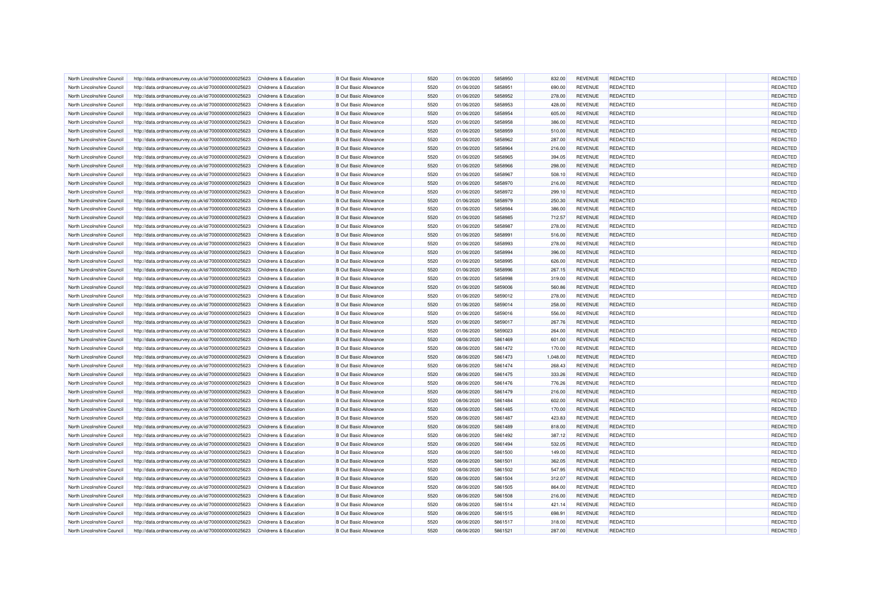| North Lincolnshire Council | http://data.ordnancesurvey.co.uk/id/7000000000025623 | Childrens & Education            | <b>B Out Basic Allowance</b> | 5520 | 01/06/2020 | 5858950            | 832.00   | <b>REVENUE</b> | <b>REDACTED</b> | REDACTED        |
|----------------------------|------------------------------------------------------|----------------------------------|------------------------------|------|------------|--------------------|----------|----------------|-----------------|-----------------|
| North Lincolnshire Council | http://data.ordnancesurvey.co.uk/id/7000000000025623 | Childrens & Education            | <b>B</b> Out Basic Allowance | 5520 | 01/06/2020 | 5858951            | 690.00   | <b>REVENUE</b> | <b>REDACTED</b> | <b>REDACTED</b> |
| North Lincolnshire Council | http://data.ordnancesurvey.co.uk/id/7000000000025623 | Childrens & Education            | <b>B Out Basic Allowance</b> | 5520 | 01/06/2020 | 5858952            | 278.00   | <b>REVENUE</b> | <b>REDACTED</b> | <b>REDACTED</b> |
| North Lincolnshire Counci  | http://data.ordnancesurvey.co.uk/id/7000000000025623 | Childrens & Education            | <b>B</b> Out Basic Allowance | 5520 | 01/06/2020 | 5858953            | 428.00   | <b>REVENUE</b> | REDACTED        | REDACTED        |
| North Lincolnshire Council | http://data.ordnancesurvey.co.uk/id/7000000000025623 | Childrens & Education            | <b>B Out Basic Allowance</b> | 5520 | 01/06/2020 | 5858954            | 605.00   | <b>REVENUE</b> | <b>REDACTED</b> | REDACTED        |
| North Lincolnshire Council | http://data.ordnancesurvey.co.uk/id/7000000000025623 | Childrens & Education            | <b>B Out Basic Allowance</b> | 5520 | 01/06/2020 | 5858958            | 386.00   | <b>REVENUE</b> | <b>REDACTED</b> | REDACTED        |
| North Lincolnshire Council | http://data.ordnancesurvey.co.uk/id/7000000000025623 | <b>Childrens &amp; Education</b> | <b>B Out Basic Allowance</b> | 5520 | 01/06/2020 | 5858959            | 510.00   | <b>REVENUE</b> | <b>REDACTED</b> | REDACTED        |
| North Lincolnshire Council | http://data.ordnancesurvey.co.uk/id/7000000000025623 | Childrens & Education            | <b>B Out Basic Allowance</b> | 5520 | 01/06/2020 | 5858962            | 287.00   | <b>REVENUE</b> | <b>REDACTED</b> | REDACTED        |
| North Lincolnshire Council | http://data.ordnancesurvey.co.uk/id/7000000000025623 | Childrens & Education            | <b>B Out Basic Allowance</b> | 5520 | 01/06/2020 | 5858964            | 216.00   | <b>REVENUE</b> | REDACTED        | REDACTED        |
| North Lincolnshire Council | http://data.ordnancesurvey.co.uk/id/7000000000025623 | Childrens & Education            | <b>B Out Basic Allowance</b> | 5520 | 01/06/2020 | 5858965            | 394.05   | <b>REVENUE</b> | <b>REDACTED</b> | REDACTED        |
| North Lincolnshire Council | http://data.ordnancesurvey.co.uk/id/7000000000025623 | Childrens & Education            | <b>B Out Basic Allowance</b> | 5520 | 01/06/2020 | 5858966            | 298.00   | <b>REVENUE</b> | REDACTED        | REDACTED        |
| North Lincolnshire Council | http://data.ordnancesurvey.co.uk/id/7000000000025623 | Childrens & Education            | <b>B Out Basic Allowance</b> | 5520 | 01/06/2020 | 5858967            | 508.10   | <b>REVENUE</b> | REDACTED        | REDACTED        |
| North Lincolnshire Council | http://data.ordnancesurvey.co.uk/id/7000000000025623 | Childrens & Education            | <b>B Out Basic Allowance</b> | 5520 | 01/06/2020 | 5858970            | 216.00   | <b>REVENUE</b> | <b>REDACTED</b> | REDACTED        |
| North Lincolnshire Council | http://data.ordnancesurvey.co.uk/id/7000000000025623 | Childrens & Education            | <b>B Out Basic Allowance</b> | 5520 | 01/06/2020 | 5858972            | 299.10   | <b>REVENUE</b> | REDACTED        | REDACTED        |
| North Lincolnshire Council | http://data.ordnancesurvey.co.uk/id/7000000000025623 | Childrens & Education            | <b>B Out Basic Allowance</b> | 5520 | 01/06/2020 | 5858979            | 250.30   | <b>REVENUE</b> | <b>REDACTED</b> | REDACTED        |
| North Lincolnshire Council | http://data.ordnancesurvey.co.uk/id/7000000000025623 | Childrens & Education            | <b>B Out Basic Allowance</b> | 5520 | 01/06/2020 | 5858984            | 386.00   | <b>REVENUE</b> | <b>REDACTED</b> | REDACTED        |
| North Lincolnshire Council | http://data.ordnancesurvey.co.uk/id/7000000000025623 | <b>Childrens &amp; Education</b> | <b>B Out Basic Allowance</b> | 5520 | 01/06/2020 | 5858985            | 712.57   | <b>REVENUE</b> | <b>REDACTED</b> | REDACTED        |
| North Lincolnshire Council | http://data.ordnancesurvey.co.uk/id/7000000000025623 | Childrens & Education            | <b>B Out Basic Allowance</b> | 5520 | 01/06/2020 | 5858987            | 278.00   | <b>REVENUE</b> | <b>REDACTED</b> | REDACTED        |
| North Lincolnshire Council | http://data.ordnancesurvey.co.uk/id/7000000000025623 | Childrens & Education            | <b>B Out Basic Allowance</b> | 5520 | 01/06/2020 | 5858991            | 516.00   | <b>REVENUE</b> | <b>REDACTED</b> | REDACTED        |
| North Lincolnshire Council | http://data.ordnancesurvey.co.uk/id/7000000000025623 | Childrens & Education            | <b>B Out Basic Allowance</b> | 5520 | 01/06/2020 | 5858993            | 278.00   | <b>REVENUE</b> | <b>REDACTED</b> | REDACTED        |
| North Lincolnshire Council | http://data.ordnancesurvey.co.uk/id/7000000000025623 | Childrens & Education            | <b>B Out Basic Allowance</b> | 5520 | 01/06/2020 | 5858994            | 396.00   | <b>REVENUE</b> | <b>REDACTED</b> | REDACTED        |
| North Lincolnshire Council | http://data.ordnancesurvey.co.uk/id/7000000000025623 | Childrens & Education            | <b>B Out Basic Allowance</b> | 5520 | 01/06/2020 | 5858995            | 626.00   | <b>REVENUE</b> | <b>REDACTED</b> | <b>REDACTED</b> |
| North Lincolnshire Council | http://data.ordnancesurvey.co.uk/id/7000000000025623 | Childrens & Education            | <b>B Out Basic Allowance</b> | 5520 | 01/06/2020 | 5858996            | 267.15   | <b>REVENUE</b> | REDACTED        | REDACTED        |
| North Lincolnshire Council | http://data.ordnancesurvey.co.uk/id/7000000000025623 | Childrens & Education            | <b>B Out Basic Allowance</b> | 5520 | 01/06/2020 | 5858998            | 319.00   | <b>REVENUE</b> | REDACTED        | REDACTED        |
| North Lincolnshire Council | http://data.ordnancesurvey.co.uk/id/7000000000025623 | <b>Childrens &amp; Education</b> | <b>B Out Basic Allowance</b> | 5520 | 01/06/2020 | 5859006            | 560.86   | <b>REVENUE</b> | REDACTED        | REDACTED        |
| North Lincolnshire Council | http://data.ordnancesurvey.co.uk/id/7000000000025623 | Childrens & Education            | <b>B Out Basic Allowance</b> | 5520 | 01/06/2020 | 5859012            | 278.00   | <b>REVENUE</b> | <b>REDACTED</b> | REDACTED        |
| North Lincolnshire Council | http://data.ordnancesurvey.co.uk/id/7000000000025623 | Childrens & Education            | <b>B Out Basic Allowance</b> | 5520 | 01/06/2020 | 5859014            | 258.00   | <b>REVENUE</b> | <b>REDACTED</b> | REDACTED        |
| North Lincolnshire Council | http://data.ordnancesurvey.co.uk/id/7000000000025623 | Childrens & Education            | <b>B Out Basic Allowance</b> | 5520 | 01/06/2020 | 5859016            | 556.00   | <b>REVENUE</b> | REDACTED        | REDACTED        |
| North Lincolnshire Council | http://data.ordnancesurvey.co.uk/id/7000000000025623 | Childrens & Education            | <b>B Out Basic Allowance</b> | 5520 | 01/06/2020 | 5859017            | 267.76   | <b>REVENUE</b> | <b>REDACTED</b> | REDACTED        |
| North Lincolnshire Council | http://data.ordnancesurvey.co.uk/id/7000000000025623 | Childrens & Education            | <b>B Out Basic Allowance</b> | 5520 | 01/06/2020 | 5859023            | 264.00   | <b>REVENUE</b> | <b>REDACTED</b> | REDACTED        |
| North Lincolnshire Council | http://data.ordnancesurvey.co.uk/id/7000000000025623 | <b>Childrens &amp; Education</b> | <b>B Out Basic Allowance</b> | 5520 | 08/06/2020 | 5861469            | 601.00   | <b>REVENUE</b> | REDACTED        | REDACTED        |
| North Lincolnshire Council | http://data.ordnancesurvey.co.uk/id/7000000000025623 | Childrens & Education            | <b>B Out Basic Allowance</b> | 5520 | 08/06/2020 | 5861472            | 170.00   | <b>REVENUE</b> | <b>REDACTED</b> | REDACTED        |
| North Lincolnshire Council | http://data.ordnancesurvey.co.uk/id/7000000000025623 | Childrens & Education            | <b>B Out Basic Allowance</b> | 5520 | 08/06/2020 | 5861473            | 1,048.00 | <b>REVENUE</b> | REDACTED        | REDACTED        |
|                            |                                                      |                                  |                              |      |            |                    |          |                |                 |                 |
| North Lincolnshire Council | http://data.ordnancesurvey.co.uk/id/7000000000025623 | Childrens & Education            | <b>B Out Basic Allowance</b> | 5520 | 08/06/2020 | 5861474<br>5861475 | 268.43   | <b>REVENUE</b> | <b>REDACTED</b> | REDACTED        |
| North Lincolnshire Council | http://data.ordnancesurvey.co.uk/id/7000000000025623 | Childrens & Education            | <b>B Out Basic Allowance</b> | 5520 | 08/06/2020 |                    | 333.26   | <b>REVENUE</b> | <b>REDACTED</b> | REDACTED        |
| North Lincolnshire Council | http://data.ordnancesurvey.co.uk/id/7000000000025623 | Childrens & Education            | <b>B Out Basic Allowance</b> | 5520 | 08/06/2020 | 5861476            | 776.26   | <b>REVENUE</b> | <b>REDACTED</b> | REDACTED        |
| North Lincolnshire Council | http://data.ordnancesurvey.co.uk/id/7000000000025623 | Childrens & Education            | <b>B Out Basic Allowance</b> | 5520 | 08/06/2020 | 5861479            | 216.00   | <b>REVENUE</b> | <b>REDACTED</b> | <b>REDACTED</b> |
| North Lincolnshire Council | http://data.ordnancesurvey.co.uk/id/7000000000025623 | Childrens & Education            | <b>B Out Basic Allowance</b> | 5520 | 08/06/2020 | 5861484            | 602.00   | <b>REVENUE</b> | <b>REDACTED</b> | REDACTED        |
| North Lincolnshire Council | http://data.ordnancesurvey.co.uk/id/7000000000025623 | Childrens & Education            | <b>B Out Basic Allowance</b> | 5520 | 08/06/2020 | 5861485            | 170.00   | <b>REVENUE</b> | <b>REDACTED</b> | REDACTED        |
| North Lincolnshire Council | http://data.ordnancesurvey.co.uk/id/7000000000025623 | Childrens & Education            | <b>B Out Basic Allowance</b> | 5520 | 08/06/2020 | 5861487            | 423.83   | <b>REVENUE</b> | <b>REDACTED</b> | REDACTED        |
| North Lincolnshire Council | http://data.ordnancesurvey.co.uk/id/7000000000025623 | Childrens & Education            | <b>B Out Basic Allowance</b> | 5520 | 08/06/2020 | 5861489            | 818.00   | <b>REVENUE</b> | <b>REDACTED</b> | REDACTED        |
| North Lincolnshire Council | http://data.ordnancesurvey.co.uk/id/7000000000025623 | Childrens & Education            | <b>B Out Basic Allowance</b> | 5520 | 08/06/2020 | 5861492            | 387.12   | <b>REVENUE</b> | <b>REDACTED</b> | <b>REDACTED</b> |
| North Lincolnshire Council | http://data.ordnancesurvey.co.uk/id/7000000000025623 | Childrens & Education            | <b>B Out Basic Allowance</b> | 5520 | 08/06/2020 | 5861494            | 532.05   | <b>REVENUE</b> | <b>REDACTED</b> | REDACTED        |
| North Lincolnshire Council | http://data.ordnancesurvey.co.uk/id/7000000000025623 | Childrens & Education            | <b>B Out Basic Allowance</b> | 5520 | 08/06/2020 | 5861500            | 149.00   | <b>REVENUE</b> | <b>REDACTED</b> | REDACTED        |
| North Lincolnshire Council | http://data.ordnancesurvey.co.uk/id/7000000000025623 | Childrens & Education            | <b>B Out Basic Allowance</b> | 5520 | 08/06/2020 | 5861501            | 362.05   | <b>REVENUE</b> | <b>REDACTED</b> | REDACTED        |
| North Lincolnshire Council | http://data.ordnancesurvey.co.uk/id/7000000000025623 | Childrens & Education            | <b>B Out Basic Allowance</b> | 5520 | 08/06/2020 | 5861502            | 547.95   | <b>REVENUE</b> | <b>REDACTED</b> | <b>REDACTED</b> |
| North Lincolnshire Council | http://data.ordnancesurvey.co.uk/id/7000000000025623 | <b>Childrens &amp; Education</b> | <b>B Out Basic Allowance</b> | 5520 | 08/06/2020 | 5861504            | 312.07   | <b>REVENUE</b> | REDACTED        | <b>REDACTED</b> |
| North Lincolnshire Council | http://data.ordnancesurvey.co.uk/id/7000000000025623 | Childrens & Education            | <b>B Out Basic Allowance</b> | 5520 | 08/06/2020 | 5861505            | 864.00   | <b>REVENUE</b> | REDACTED        | <b>REDACTED</b> |
| North Lincolnshire Council | http://data.ordnancesurvey.co.uk/id/7000000000025623 | Childrens & Education            | <b>B Out Basic Allowance</b> | 5520 | 08/06/2020 | 5861508            | 216.00   | <b>REVENUE</b> | <b>REDACTED</b> | REDACTED        |
| North Lincolnshire Council | http://data.ordnancesurvey.co.uk/id/7000000000025623 | Childrens & Education            | <b>B Out Basic Allowance</b> | 5520 | 08/06/2020 | 5861514            | 421.14   | <b>REVENUE</b> | <b>REDACTED</b> | REDACTED        |
| North Lincolnshire Council | http://data.ordnancesurvey.co.uk/id/7000000000025623 | Childrens & Education            | <b>B Out Basic Allowance</b> | 5520 | 08/06/2020 | 5861515            | 698.91   | <b>REVENUE</b> | <b>REDACTED</b> | REDACTED        |
| North Lincolnshire Council | http://data.ordnancesurvey.co.uk/id/7000000000025623 | Childrens & Education            | <b>B Out Basic Allowance</b> | 5520 | 08/06/2020 | 5861517            | 318.00   | <b>REVENUE</b> | REDACTED        | <b>REDACTED</b> |
| North Lincolnshire Council | http://data.ordnancesurvey.co.uk/id/7000000000025623 | Childrens & Education            | <b>B Out Basic Allowance</b> | 5520 | 08/06/2020 | 5861521            | 287.00   | <b>REVENUE</b> | <b>REDACTED</b> | REDACTED        |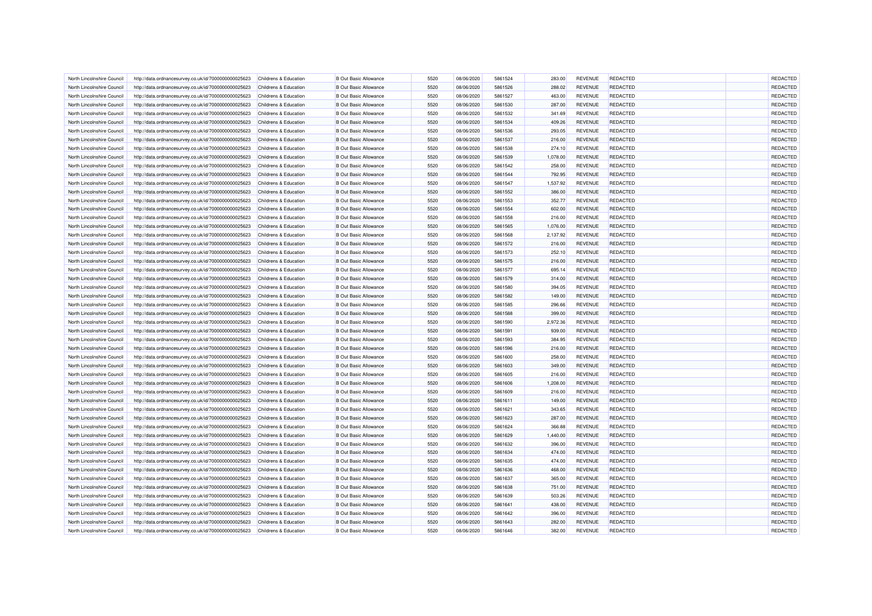| North Lincolnshire Council | http://data.ordnancesurvey.co.uk/id/7000000000025623 | Childrens & Education            | <b>B Out Basic Allowance</b> | 5520 | 08/06/2020 | 5861524 | 283.00   | <b>REVENUE</b> | <b>REDACTED</b> | <b>REDACTED</b> |
|----------------------------|------------------------------------------------------|----------------------------------|------------------------------|------|------------|---------|----------|----------------|-----------------|-----------------|
| North Lincolnshire Council | http://data.ordnancesurvey.co.uk/id/7000000000025623 | Childrens & Education            | <b>B Out Basic Allowance</b> | 5520 | 08/06/2020 | 5861526 | 288.02   | <b>REVENUE</b> | <b>REDACTED</b> | REDACTED        |
| North Lincolnshire Council | http://data.ordnancesurvey.co.uk/id/7000000000025623 | Childrens & Education            | <b>B Out Basic Allowance</b> | 5520 | 08/06/2020 | 5861527 | 463.00   | <b>REVENUE</b> | <b>REDACTED</b> | <b>REDACTED</b> |
| North Lincolnshire Council | http://data.ordnancesurvey.co.uk/id/7000000000025623 | Childrens & Education            | <b>B Out Basic Allowance</b> | 5520 | 08/06/2020 | 5861530 | 287.00   | <b>REVENUE</b> | REDACTED        | <b>REDACTED</b> |
| North Lincolnshire Council | http://data.ordnancesurvey.co.uk/id/7000000000025623 | Childrens & Education            | <b>B Out Basic Allowance</b> | 5520 | 08/06/2020 | 5861532 | 341.69   | <b>REVENUE</b> | <b>REDACTED</b> | REDACTED        |
| North Lincolnshire Council | http://data.ordnancesurvey.co.uk/id/7000000000025623 | Childrens & Education            | <b>B Out Basic Allowance</b> | 5520 | 08/06/2020 | 5861534 | 409.26   | <b>REVENUE</b> | <b>REDACTED</b> | REDACTED        |
| North Lincolnshire Council | http://data.ordnancesurvey.co.uk/id/7000000000025623 | Childrens & Education            | <b>B Out Basic Allowance</b> | 5520 | 08/06/2020 | 5861536 | 293.05   | <b>REVENUE</b> | <b>REDACTED</b> | REDACTED        |
| North Lincolnshire Council | http://data.ordnancesurvey.co.uk/id/7000000000025623 | Childrens & Education            | <b>B Out Basic Allowance</b> | 5520 | 08/06/2020 | 5861537 | 216.00   | <b>REVENUE</b> | <b>REDACTED</b> | REDACTED        |
| North Lincolnshire Council | http://data.ordnancesurvey.co.uk/id/7000000000025623 | Childrens & Education            | <b>B Out Basic Allowance</b> | 5520 | 08/06/2020 | 5861538 | 274.10   | <b>REVENUE</b> | REDACTED        | REDACTED        |
| North Lincolnshire Counci  | http://data.ordnancesurvey.co.uk/id/7000000000025623 | Childrens & Education            | <b>B Out Basic Allowance</b> | 5520 | 08/06/2020 | 5861539 | 1,078.00 | <b>REVENUE</b> | <b>REDACTED</b> | REDACTED        |
| North Lincolnshire Council | http://data.ordnancesurvey.co.uk/id/7000000000025623 | <b>Childrens &amp; Education</b> | <b>B Out Basic Allowance</b> | 5520 | 08/06/2020 | 5861542 | 258.00   | <b>REVENUE</b> | <b>REDACTED</b> | REDACTED        |
| North Lincolnshire Council | http://data.ordnancesurvey.co.uk/id/7000000000025623 | Childrens & Education            | <b>B Out Basic Allowance</b> | 5520 | 08/06/2020 | 5861544 | 792.95   | <b>REVENUE</b> | REDACTED        | REDACTED        |
| North Lincolnshire Council | http://data.ordnancesurvey.co.uk/id/7000000000025623 | Childrens & Education            | <b>B Out Basic Allowance</b> | 5520 | 08/06/2020 | 5861547 | 1,537.92 | <b>REVENUE</b> | <b>REDACTED</b> | <b>REDACTED</b> |
| North Lincolnshire Council | http://data.ordnancesurvey.co.uk/id/7000000000025623 | Childrens & Education            | <b>B Out Basic Allowance</b> | 5520 | 08/06/2020 | 5861552 | 386.00   | <b>REVENUE</b> | <b>REDACTED</b> | REDACTED        |
| North Lincolnshire Council | http://data.ordnancesurvey.co.uk/id/7000000000025623 | Childrens & Education            | <b>B Out Basic Allowance</b> | 5520 | 08/06/2020 | 5861553 | 352.77   | <b>REVENUE</b> | <b>REDACTED</b> | REDACTED        |
| North Lincolnshire Council | http://data.ordnancesurvey.co.uk/id/7000000000025623 | Childrens & Education            | <b>B Out Basic Allowance</b> | 5520 | 08/06/2020 | 5861554 | 602.00   | <b>REVENUE</b> | <b>REDACTED</b> | REDACTED        |
| North Lincolnshire Council | http://data.ordnancesurvey.co.uk/id/7000000000025623 | Childrens & Education            | <b>B Out Basic Allowance</b> | 5520 | 08/06/2020 | 5861558 | 216.00   | <b>REVENUE</b> | REDACTED        | REDACTED        |
| North Lincolnshire Council | http://data.ordnancesurvey.co.uk/id/7000000000025623 | <b>Childrens &amp; Education</b> | <b>B Out Basic Allowance</b> | 5520 | 08/06/2020 | 5861565 | 1,076.00 | <b>REVENUE</b> | <b>REDACTED</b> | REDACTED        |
| North Lincolnshire Council | http://data.ordnancesurvey.co.uk/id/7000000000025623 | Childrens & Education            | <b>B Out Basic Allowance</b> | 5520 | 08/06/2020 | 5861568 | 2,137.92 | <b>REVENUE</b> | <b>REDACTED</b> | REDACTED        |
| North Lincolnshire Council | http://data.ordnancesurvey.co.uk/id/7000000000025623 | <b>Childrens &amp; Education</b> | <b>B Out Basic Allowance</b> | 5520 | 08/06/2020 | 5861572 | 216.00   | <b>REVENUE</b> | <b>REDACTED</b> | REDACTED        |
| North Lincolnshire Council | http://data.ordnancesurvey.co.uk/id/7000000000025623 | Childrens & Education            | <b>B Out Basic Allowance</b> | 5520 | 08/06/2020 | 5861573 | 252.10   | <b>REVENUE</b> | <b>REDACTED</b> | REDACTED        |
| North Lincolnshire Council | http://data.ordnancesurvey.co.uk/id/7000000000025623 | Childrens & Education            | <b>B Out Basic Allowance</b> | 5520 | 08/06/2020 | 5861575 | 216.00   | <b>REVENUE</b> | <b>REDACTED</b> | REDACTED        |
| North Lincolnshire Council | http://data.ordnancesurvey.co.uk/id/7000000000025623 | Childrens & Education            | <b>B Out Basic Allowance</b> | 5520 | 08/06/2020 | 5861577 | 695.14   | <b>REVENUE</b> | <b>REDACTED</b> | REDACTED        |
| North Lincolnshire Council | http://data.ordnancesurvey.co.uk/id/7000000000025623 | Childrens & Education            | <b>B Out Basic Allowance</b> | 5520 | 08/06/2020 | 5861579 | 314.00   | <b>REVENUE</b> | <b>REDACTED</b> | REDACTED        |
| North Lincolnshire Council | http://data.ordnancesurvey.co.uk/id/7000000000025623 | Childrens & Education            | <b>B Out Basic Allowance</b> | 5520 | 08/06/2020 | 5861580 | 394.05   | <b>REVENUE</b> | REDACTED        | <b>REDACTED</b> |
| North Lincolnshire Council | http://data.ordnancesurvey.co.uk/id/7000000000025623 | <b>Childrens &amp; Education</b> | <b>B Out Basic Allowance</b> | 5520 | 08/06/2020 | 5861582 | 149.00   | <b>REVENUE</b> | <b>REDACTED</b> | REDACTED        |
| North Lincolnshire Council | http://data.ordnancesurvey.co.uk/id/7000000000025623 | Childrens & Education            | <b>B Out Basic Allowance</b> | 5520 | 08/06/2020 | 5861585 | 296.66   | <b>REVENUE</b> | REDACTED        | REDACTED        |
| North Lincolnshire Council | http://data.ordnancesurvey.co.uk/id/7000000000025623 | Childrens & Education            | <b>B Out Basic Allowance</b> | 5520 | 08/06/2020 | 5861588 | 399.00   | <b>REVENUE</b> | <b>REDACTED</b> | REDACTED        |
| North Lincolnshire Council | http://data.ordnancesurvey.co.uk/id/7000000000025623 | Childrens & Education            | <b>B Out Basic Allowance</b> | 5520 | 08/06/2020 | 5861590 | 2,972.36 | <b>REVENUE</b> | <b>REDACTED</b> | REDACTED        |
| North Lincolnshire Council | http://data.ordnancesurvey.co.uk/id/7000000000025623 | <b>Childrens &amp; Education</b> | <b>B Out Basic Allowance</b> | 5520 | 08/06/2020 | 5861591 | 939.00   | <b>REVENUE</b> | REDACTED        | REDACTED        |
| North Lincolnshire Council | http://data.ordnancesurvey.co.uk/id/7000000000025623 | Childrens & Education            | <b>B Out Basic Allowance</b> | 5520 | 08/06/2020 | 5861593 | 384.95   | <b>REVENUE</b> | <b>REDACTED</b> | REDACTED        |
| North Lincolnshire Council | http://data.ordnancesurvey.co.uk/id/7000000000025623 | <b>Childrens &amp; Education</b> | <b>B Out Basic Allowance</b> | 5520 | 08/06/2020 | 5861596 | 216.00   | <b>REVENUE</b> | <b>REDACTED</b> | REDACTED        |
| North Lincolnshire Council | http://data.ordnancesurvey.co.uk/id/7000000000025623 | Childrens & Education            | <b>B Out Basic Allowance</b> | 5520 | 08/06/2020 | 5861600 | 258.00   | <b>REVENUE</b> | <b>REDACTED</b> | <b>REDACTED</b> |
| North Lincolnshire Council | http://data.ordnancesurvey.co.uk/id/7000000000025623 | Childrens & Education            | <b>B Out Basic Allowance</b> | 5520 | 08/06/2020 | 5861603 | 349.00   | <b>REVENUE</b> | <b>REDACTED</b> | REDACTED        |
| North Lincolnshire Council | http://data.ordnancesurvey.co.uk/id/7000000000025623 | Childrens & Education            | <b>B Out Basic Allowance</b> | 5520 | 08/06/2020 | 5861605 | 216.00   | <b>REVENUE</b> | REDACTED        | REDACTED        |
| North Lincolnshire Council | http://data.ordnancesurvey.co.uk/id/7000000000025623 | Childrens & Education            | <b>B Out Basic Allowance</b> | 5520 | 08/06/2020 | 5861606 | 1,208.00 | <b>REVENUE</b> | REDACTED        | REDACTED        |
| North Lincolnshire Council | http://data.ordnancesurvey.co.uk/id/7000000000025623 | Childrens & Education            | <b>B Out Basic Allowance</b> | 5520 | 08/06/2020 | 5861609 | 216.00   | <b>REVENUE</b> | <b>REDACTED</b> | REDACTED        |
| North Lincolnshire Council | http://data.ordnancesurvey.co.uk/id/7000000000025623 | Childrens & Education            | <b>B Out Basic Allowance</b> | 5520 | 08/06/2020 | 5861611 | 149.00   | <b>REVENUE</b> | <b>REDACTED</b> | REDACTED        |
| North Lincolnshire Council | http://data.ordnancesurvey.co.uk/id/7000000000025623 | Childrens & Education            | <b>B Out Basic Allowance</b> | 5520 | 08/06/2020 | 5861621 | 343.65   | <b>REVENUE</b> | <b>REDACTED</b> | REDACTED        |
| North Lincolnshire Council | http://data.ordnancesurvey.co.uk/id/7000000000025623 | Childrens & Education            | <b>B Out Basic Allowance</b> | 5520 | 08/06/2020 | 5861623 | 287.00   | <b>REVENUE</b> | <b>REDACTED</b> | REDACTED        |
| North Lincolnshire Council | http://data.ordnancesurvey.co.uk/id/7000000000025623 | Childrens & Education            | <b>B Out Basic Allowance</b> | 5520 | 08/06/2020 | 5861624 | 366.88   | <b>REVENUE</b> | <b>REDACTED</b> | REDACTED        |
| North Lincolnshire Council | http://data.ordnancesurvey.co.uk/id/7000000000025623 | Childrens & Education            | <b>B Out Basic Allowance</b> | 5520 | 08/06/2020 | 5861629 | 1,440.00 | <b>REVENUE</b> | <b>REDACTED</b> | REDACTED        |
| North Lincolnshire Council | http://data.ordnancesurvey.co.uk/id/7000000000025623 | <b>Childrens &amp; Education</b> | <b>B Out Basic Allowance</b> | 5520 | 08/06/2020 | 5861632 | 396.00   | <b>REVENUE</b> | <b>REDACTED</b> | REDACTED        |
| North Lincolnshire Council | http://data.ordnancesurvey.co.uk/id/7000000000025623 | Childrens & Education            | <b>B Out Basic Allowance</b> | 5520 | 08/06/2020 | 5861634 | 474.00   | <b>REVENUE</b> | <b>REDACTED</b> | <b>REDACTED</b> |
| North Lincolnshire Council | http://data.ordnancesurvey.co.uk/id/7000000000025623 | Childrens & Education            | <b>B Out Basic Allowance</b> | 5520 | 08/06/2020 | 5861635 | 474.00   | <b>REVENUE</b> | <b>REDACTED</b> | <b>REDACTED</b> |
| North Lincolnshire Council | http://data.ordnancesurvey.co.uk/id/7000000000025623 | Childrens & Education            | <b>B Out Basic Allowance</b> | 5520 | 08/06/2020 | 5861636 | 468.00   | <b>REVENUE</b> | <b>REDACTED</b> | <b>REDACTED</b> |
| North Lincolnshire Council | http://data.ordnancesurvey.co.uk/id/7000000000025623 | Childrens & Education            | <b>B Out Basic Allowance</b> | 5520 | 08/06/2020 | 5861637 | 365.00   | <b>REVENUE</b> | REDACTED        | <b>REDACTED</b> |
| North Lincolnshire Council | http://data.ordnancesurvey.co.uk/id/7000000000025623 | Childrens & Education            | <b>B Out Basic Allowance</b> | 5520 | 08/06/2020 | 5861638 | 751.00   | <b>REVENUE</b> | <b>REDACTED</b> | REDACTED        |
| North Lincolnshire Council | http://data.ordnancesurvey.co.uk/id/7000000000025623 | Childrens & Education            | <b>B Out Basic Allowance</b> | 5520 | 08/06/2020 | 5861639 | 503.26   | <b>REVENUE</b> | <b>REDACTED</b> | REDACTED        |
| North Lincolnshire Council | http://data.ordnancesurvey.co.uk/id/7000000000025623 | Childrens & Education            | <b>B Out Basic Allowance</b> | 5520 | 08/06/2020 | 5861641 | 438.00   | <b>REVENUE</b> | <b>REDACTED</b> | REDACTED        |
| North Lincolnshire Council | http://data.ordnancesurvey.co.uk/id/7000000000025623 | Childrens & Education            | <b>B Out Basic Allowance</b> | 5520 | 08/06/2020 | 5861642 | 396.00   | <b>REVENUE</b> | <b>REDACTED</b> | <b>REDACTED</b> |
| North Lincolnshire Council | http://data.ordnancesurvey.co.uk/id/7000000000025623 | Childrens & Education            | <b>B Out Basic Allowance</b> | 5520 | 08/06/2020 | 5861643 | 282.00   | <b>REVENUE</b> | REDACTED        | <b>REDACTED</b> |
| North Lincolnshire Council | http://data.ordnancesurvey.co.uk/id/7000000000025623 | Childrens & Education            | <b>B Out Basic Allowance</b> | 5520 | 08/06/2020 | 5861646 | 382.00   | <b>REVENUE</b> | <b>REDACTED</b> | REDACTED        |
|                            |                                                      |                                  |                              |      |            |         |          |                |                 |                 |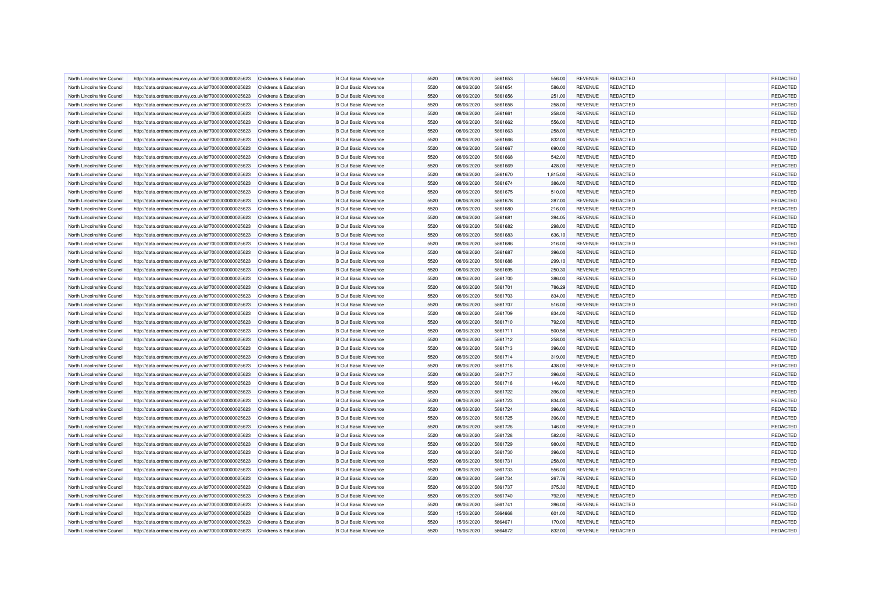| North Lincolnshire Council                               | http://data.ordnancesurvey.co.uk/id/7000000000025623                                                         | Childrens & Education            | <b>B Out Basic Allowance</b>                                 | 5520         | 08/06/2020               | 5861653            | 556.00   | <b>REVENUE</b>                   | REDACTED                    | <b>REDACTED</b>      |
|----------------------------------------------------------|--------------------------------------------------------------------------------------------------------------|----------------------------------|--------------------------------------------------------------|--------------|--------------------------|--------------------|----------|----------------------------------|-----------------------------|----------------------|
| North Lincolnshire Council                               | http://data.ordnancesurvey.co.uk/id/7000000000025623                                                         | Childrens & Education            | <b>B Out Basic Allowance</b>                                 | 5520         | 08/06/2020               | 5861654            | 586.00   | <b>REVENUE</b>                   | REDACTED                    | REDACTED             |
| North Lincolnshire Council                               | http://data.ordnancesurvey.co.uk/id/7000000000025623                                                         | Childrens & Education            | <b>B Out Basic Allowance</b>                                 | 5520         | 08/06/2020               | 5861656            | 251.00   | <b>REVENUE</b>                   | <b>REDACTED</b>             | <b>REDACTED</b>      |
| North Lincolnshire Council                               | http://data.ordnancesurvey.co.uk/id/7000000000025623                                                         | Childrens & Education            | <b>B</b> Out Basic Allowance                                 | 5520         | 08/06/2020               | 5861658            | 258.00   | <b>REVENUE</b>                   | REDACTED                    | <b>REDACTED</b>      |
| North Lincolnshire Council                               | http://data.ordnancesurvey.co.uk/id/7000000000025623                                                         | Childrens & Education            | <b>B Out Basic Allowance</b>                                 | 5520         | 08/06/2020               | 5861661            | 258.00   | <b>REVENUE</b>                   | <b>REDACTED</b>             | REDACTED             |
| North Lincolnshire Council                               | http://data.ordnancesurvey.co.uk/id/7000000000025623                                                         | Childrens & Education            | <b>B</b> Out Basic Allowance                                 | 5520         | 08/06/2020               | 5861662            | 556.00   | <b>REVENUE</b>                   | REDACTED                    | REDACTED             |
| North Lincolnshire Council                               | http://data.ordnancesurvey.co.uk/id/7000000000025623                                                         | <b>Childrens &amp; Education</b> | <b>B Out Basic Allowance</b>                                 | 5520         | 08/06/2020               | 5861663            | 258.00   | <b>REVENUE</b>                   | REDACTED                    | REDACTED             |
| North Lincolnshire Council                               | http://data.ordnancesurvey.co.uk/id/7000000000025623                                                         | Childrens & Education            | <b>B Out Basic Allowance</b>                                 | 5520         | 08/06/2020               | 5861666            | 832.00   | <b>REVENUE</b>                   | <b>REDACTED</b>             | REDACTED             |
| North Lincolnshire Council                               | http://data.ordnancesurvey.co.uk/id/7000000000025623                                                         | Childrens & Education            | <b>B Out Basic Allowance</b>                                 | 5520         | 08/06/2020               | 5861667            | 690.00   | <b>REVENUE</b>                   | REDACTED                    | REDACTED             |
| North Lincolnshire Council                               | http://data.ordnancesurvey.co.uk/id/7000000000025623                                                         | Childrens & Education            | <b>B Out Basic Allowance</b>                                 | 5520         | 08/06/2020               | 5861668            | 542.00   | <b>REVENUE</b>                   | <b>REDACTED</b>             | REDACTED             |
| North Lincolnshire Council                               | http://data.ordnancesurvey.co.uk/id/7000000000025623                                                         | Childrens & Education            | <b>B Out Basic Allowance</b>                                 | 5520         | 08/06/2020               | 5861669            | 428.00   | <b>REVENUE</b>                   | <b>REDACTED</b>             | REDACTED             |
| North Lincolnshire Council                               | http://data.ordnancesurvey.co.uk/id/7000000000025623                                                         | Childrens & Education            | <b>B Out Basic Allowance</b>                                 | 5520         | 08/06/2020               | 5861670            | 1,815.00 | <b>REVENUE</b>                   | REDACTED                    | REDACTED             |
| North Lincolnshire Council                               | http://data.ordnancesurvey.co.uk/id/7000000000025623                                                         | <b>Childrens &amp; Education</b> | <b>B Out Basic Allowance</b>                                 | 5520         | 08/06/2020               | 5861674            | 386.00   | <b>REVENUE</b>                   | <b>REDACTED</b>             | REDACTED             |
| North Lincolnshire Council                               | http://data.ordnancesurvey.co.uk/id/7000000000025623                                                         | Childrens & Education            | <b>B Out Basic Allowance</b>                                 | 5520         | 08/06/2020               | 5861675            | 510.00   | <b>REVENUE</b>                   | REDACTED                    | REDACTED             |
| North Lincolnshire Council                               | http://data.ordnancesurvey.co.uk/id/7000000000025623                                                         | <b>Childrens &amp; Education</b> | <b>B Out Basic Allowance</b>                                 | 5520         | 08/06/2020               | 5861678            | 287.00   | <b>REVENUE</b>                   | <b>REDACTED</b>             | REDACTED             |
| North Lincolnshire Council                               | http://data.ordnancesurvey.co.uk/id/7000000000025623                                                         | Childrens & Education            | <b>B Out Basic Allowance</b>                                 | 5520         | 08/06/2020               | 5861680            | 216.00   | <b>REVENUE</b>                   | <b>REDACTED</b>             | REDACTED             |
| North Lincolnshire Council                               | http://data.ordnancesurvey.co.uk/id/7000000000025623                                                         | Childrens & Education            | <b>B Out Basic Allowance</b>                                 | 5520         | 08/06/2020               | 5861681            | 394.05   | <b>REVENUE</b>                   | <b>REDACTED</b>             | REDACTED             |
| North Lincolnshire Council                               | http://data.ordnancesurvey.co.uk/id/7000000000025623                                                         | Childrens & Education            | <b>B Out Basic Allowance</b>                                 | 5520         | 08/06/2020               | 5861682            | 298.00   | <b>REVENUE</b>                   | <b>REDACTED</b>             | REDACTED             |
| North Lincolnshire Council                               | http://data.ordnancesurvey.co.uk/id/7000000000025623                                                         | Childrens & Education            | <b>B Out Basic Allowance</b>                                 | 5520         | 08/06/2020               | 5861683            | 636.10   | <b>REVENUE</b>                   | <b>REDACTED</b>             | REDACTED             |
| North Lincolnshire Council                               | http://data.ordnancesurvey.co.uk/id/7000000000025623                                                         | Childrens & Education            | <b>B Out Basic Allowance</b>                                 | 5520         | 08/06/2020               | 5861686            | 216.00   | <b>REVENUE</b>                   | <b>REDACTED</b>             | REDACTED             |
| North Lincolnshire Council                               | http://data.ordnancesurvey.co.uk/id/7000000000025623                                                         | Childrens & Education            | <b>B Out Basic Allowance</b>                                 | 5520         | 08/06/2020               | 5861687            | 396.00   | <b>REVENUE</b>                   | <b>REDACTED</b>             | REDACTED             |
| North Lincolnshire Council                               | http://data.ordnancesurvey.co.uk/id/7000000000025623                                                         | Childrens & Education            | <b>B Out Basic Allowance</b>                                 | 5520         | 08/06/2020               | 5861688            | 299.10   | <b>REVENUE</b>                   | <b>REDACTED</b>             | <b>REDACTED</b>      |
| North Lincolnshire Council                               | http://data.ordnancesurvey.co.uk/id/7000000000025623                                                         | Childrens & Education            | <b>B Out Basic Allowance</b>                                 | 5520         | 08/06/2020               | 5861695            | 250.30   | <b>REVENUE</b>                   | <b>REDACTED</b>             | REDACTED             |
| North Lincolnshire Council                               | http://data.ordnancesurvey.co.uk/id/7000000000025623                                                         | Childrens & Education            | <b>B Out Basic Allowance</b>                                 | 5520         | 08/06/2020               | 5861700            | 386.00   | <b>REVENUE</b>                   | <b>REDACTED</b>             | <b>REDACTED</b>      |
| North Lincolnshire Council                               | http://data.ordnancesurvey.co.uk/id/7000000000025623                                                         | Childrens & Education            | <b>B Out Basic Allowance</b>                                 | 5520         | 08/06/2020               | 5861701            | 786.29   | <b>REVENUE</b>                   | REDACTED                    | REDACTED             |
| North Lincolnshire Council                               | http://data.ordnancesurvey.co.uk/id/7000000000025623                                                         | Childrens & Education            | <b>B Out Basic Allowance</b>                                 | 5520         | 08/06/2020               | 5861703            | 834.00   | <b>REVENUE</b>                   | <b>REDACTED</b>             | REDACTED             |
| North Lincolnshire Council                               | http://data.ordnancesurvey.co.uk/id/7000000000025623                                                         | Childrens & Education            | <b>B Out Basic Allowance</b>                                 | 5520         | 08/06/2020               | 5861707            | 516.00   | <b>REVENUE</b>                   | <b>REDACTED</b>             | REDACTED             |
| North Lincolnshire Council                               | http://data.ordnancesurvey.co.uk/id/7000000000025623                                                         | Childrens & Education            | <b>B Out Basic Allowance</b>                                 | 5520         | 08/06/2020               | 5861709            | 834.00   | <b>REVENUE</b>                   | <b>REDACTED</b>             | REDACTED             |
| North Lincolnshire Council                               |                                                                                                              | <b>Childrens &amp; Education</b> | <b>B Out Basic Allowance</b>                                 | 5520         | 08/06/2020               | 5861710            | 792.00   | <b>REVENUE</b>                   | <b>REDACTED</b>             | REDACTED             |
| North Lincolnshire Council                               | http://data.ordnancesurvey.co.uk/id/7000000000025623<br>http://data.ordnancesurvey.co.uk/id/7000000000025623 | Childrens & Education            | <b>B Out Basic Allowance</b>                                 | 5520         | 08/06/2020               | 5861711            | 500.58   | <b>REVENUE</b>                   | REDACTED                    | REDACTED             |
| North Lincolnshire Council                               | http://data.ordnancesurvey.co.uk/id/7000000000025623                                                         | <b>Childrens &amp; Education</b> | <b>B Out Basic Allowance</b>                                 | 5520         | 08/06/2020               | 5861712            | 258.00   | <b>REVENUE</b>                   | <b>REDACTED</b>             | REDACTED             |
| North Lincolnshire Council                               | http://data.ordnancesurvey.co.uk/id/7000000000025623                                                         | <b>Childrens &amp; Education</b> | <b>B Out Basic Allowance</b>                                 | 5520         | 08/06/2020               | 5861713            | 396.00   | <b>REVENUE</b>                   | <b>REDACTED</b>             | REDACTED             |
| North Lincolnshire Council                               | http://data.ordnancesurvey.co.uk/id/7000000000025623                                                         | Childrens & Education            | <b>B Out Basic Allowance</b>                                 | 5520         | 08/06/2020               | 5861714            | 319.00   | <b>REVENUE</b>                   | <b>REDACTED</b>             | <b>REDACTED</b>      |
| North Lincolnshire Council                               | http://data.ordnancesurvey.co.uk/id/7000000000025623                                                         | Childrens & Education            | <b>B Out Basic Allowance</b>                                 | 5520         | 08/06/2020               | 5861716            | 438.00   | <b>REVENUE</b>                   | <b>REDACTED</b>             | REDACTED             |
|                                                          |                                                                                                              |                                  | <b>B Out Basic Allowance</b>                                 | 5520         | 08/06/2020               | 5861717            |          | <b>REVENUE</b>                   | REDACTED                    | <b>REDACTED</b>      |
| North Lincolnshire Council                               | http://data.ordnancesurvey.co.uk/id/7000000000025623                                                         | Childrens & Education            |                                                              |              |                          |                    | 396.00   |                                  |                             |                      |
| North Lincolnshire Council                               | http://data.ordnancesurvey.co.uk/id/7000000000025623                                                         | Childrens & Education            | <b>B Out Basic Allowance</b>                                 | 5520         | 08/06/2020               | 5861718            | 146.00   | <b>REVENUE</b>                   | REDACTED                    | REDACTED             |
| North Lincolnshire Council<br>North Lincolnshire Council | http://data.ordnancesurvey.co.uk/id/7000000000025623                                                         | Childrens & Education            | <b>B Out Basic Allowance</b><br><b>B Out Basic Allowance</b> | 5520<br>5520 | 08/06/2020<br>08/06/2020 | 5861722<br>5861723 | 396.00   | <b>REVENUE</b><br><b>REVENUE</b> | <b>REDACTED</b><br>REDACTED | REDACTED<br>REDACTED |
|                                                          | http://data.ordnancesurvey.co.uk/id/7000000000025623                                                         | Childrens & Education            |                                                              |              |                          |                    | 834.00   |                                  |                             |                      |
| North Lincolnshire Council                               | http://data.ordnancesurvey.co.uk/id/7000000000025623                                                         | Childrens & Education            | <b>B Out Basic Allowance</b>                                 | 5520         | 08/06/2020               | 5861724            | 396.00   | <b>REVENUE</b>                   | <b>REDACTED</b>             | REDACTED             |
| North Lincolnshire Council                               | http://data.ordnancesurvey.co.uk/id/7000000000025623                                                         | Childrens & Education            | <b>B Out Basic Allowance</b>                                 | 5520         | 08/06/2020               | 5861725            | 396.00   | <b>REVENUE</b>                   | <b>REDACTED</b>             | REDACTED             |
| North Lincolnshire Council                               | http://data.ordnancesurvey.co.uk/id/7000000000025623                                                         | Childrens & Education            | <b>B Out Basic Allowance</b>                                 | 5520         | 08/06/2020               | 5861726            | 146.00   | <b>REVENUE</b>                   | <b>REDACTED</b>             | REDACTED             |
| North Lincolnshire Council                               | http://data.ordnancesurvey.co.uk/id/7000000000025623                                                         | Childrens & Education            | <b>B Out Basic Allowance</b>                                 | 5520         | 08/06/2020               | 5861728            | 582.00   | <b>REVENUE</b>                   | <b>REDACTED</b>             | <b>REDACTED</b>      |
| North Lincolnshire Council                               | http://data.ordnancesurvey.co.uk/id/7000000000025623                                                         | <b>Childrens &amp; Education</b> | <b>B Out Basic Allowance</b>                                 | 5520         | 08/06/2020               | 5861729            | 980.00   | <b>REVENUE</b>                   | <b>REDACTED</b>             | REDACTED             |
| North Lincolnshire Council                               | http://data.ordnancesurvey.co.uk/id/7000000000025623                                                         | Childrens & Education            | <b>B Out Basic Allowance</b>                                 | 5520         | 08/06/2020               | 5861730            | 396.00   | <b>REVENUE</b>                   | <b>REDACTED</b>             | <b>REDACTED</b>      |
| North Lincolnshire Council                               | http://data.ordnancesurvey.co.uk/id/7000000000025623                                                         | <b>Childrens &amp; Education</b> | <b>B Out Basic Allowance</b>                                 | 5520         | 08/06/2020               | 5861731            | 258.00   | <b>REVENUE</b>                   | <b>REDACTED</b>             | REDACTED             |
| North Lincolnshire Council                               | http://data.ordnancesurvey.co.uk/id/7000000000025623                                                         | <b>Childrens &amp; Education</b> | <b>B Out Basic Allowance</b>                                 | 5520         | 08/06/2020               | 5861733            | 556.00   | <b>REVENUE</b>                   | <b>REDACTED</b>             | <b>REDACTED</b>      |
| North Lincolnshire Council                               | http://data.ordnancesurvey.co.uk/id/7000000000025623                                                         | Childrens & Education            | <b>B Out Basic Allowance</b>                                 | 5520         | 08/06/2020               | 5861734            | 267.76   | <b>REVENUE</b>                   | REDACTED                    | <b>REDACTED</b>      |
| North Lincolnshire Council                               | http://data.ordnancesurvey.co.uk/id/7000000000025623                                                         | Childrens & Education            | <b>B Out Basic Allowance</b>                                 | 5520         | 08/06/2020               | 5861737            | 375.30   | <b>REVENUE</b>                   | <b>REDACTED</b>             | REDACTED             |
| North Lincolnshire Council                               | http://data.ordnancesurvey.co.uk/id/7000000000025623                                                         | Childrens & Education            | <b>B Out Basic Allowance</b>                                 | 5520         | 08/06/2020               | 5861740            | 792.00   | <b>REVENUE</b>                   | <b>REDACTED</b>             | REDACTED             |
| North Lincolnshire Council                               | http://data.ordnancesurvey.co.uk/id/7000000000025623                                                         | Childrens & Education            | <b>B Out Basic Allowance</b>                                 | 5520         | 08/06/2020               | 5861741            | 396.00   | <b>REVENUE</b>                   | <b>REDACTED</b>             | REDACTED             |
| North Lincolnshire Council                               | http://data.ordnancesurvey.co.uk/id/7000000000025623                                                         | Childrens & Education            | <b>B Out Basic Allowance</b>                                 | 5520         | 15/06/2020               | 5864668            | 601.00   | <b>REVENUE</b>                   | <b>REDACTED</b>             | REDACTED             |
| North Lincolnshire Council                               | http://data.ordnancesurvey.co.uk/id/7000000000025623                                                         | Childrens & Education            | <b>B Out Basic Allowance</b>                                 | 5520         | 15/06/2020               | 5864671            | 170.00   | <b>REVENUE</b>                   | REDACTED                    | <b>REDACTED</b>      |
| North Lincolnshire Council                               | http://data.ordnancesurvey.co.uk/id/7000000000025623                                                         | Childrens & Education            | <b>B Out Basic Allowance</b>                                 | 5520         | 15/06/2020               | 5864672            | 832.00   | <b>REVENUE</b>                   | <b>REDACTED</b>             | REDACTED             |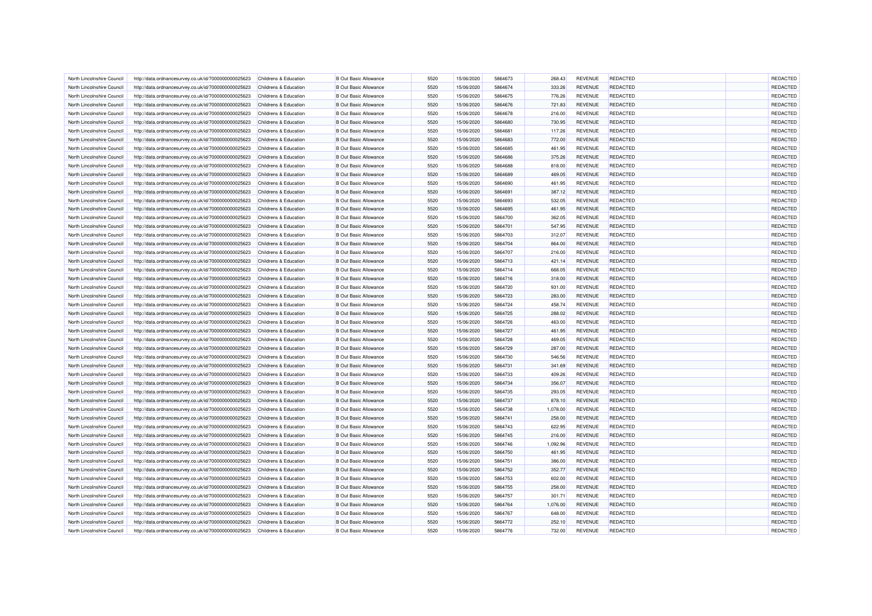| North Lincolnshire Council                               | http://data.ordnancesurvey.co.uk/id/7000000000025623                                                         | Childrens & Education            | <b>B</b> Out Basic Allowance                                 | 5520         | 15/06/2020               | 5864673            | 268.43           | <b>REVENUE</b>                   | <b>REDACTED</b>                    | <b>REDACTED</b>      |
|----------------------------------------------------------|--------------------------------------------------------------------------------------------------------------|----------------------------------|--------------------------------------------------------------|--------------|--------------------------|--------------------|------------------|----------------------------------|------------------------------------|----------------------|
| North Lincolnshire Council                               | http://data.ordnancesurvey.co.uk/id/7000000000025623                                                         | Childrens & Education            | <b>B Out Basic Allowance</b>                                 | 5520         | 15/06/2020               | 5864674            | 333.26           | <b>REVENUE</b>                   | <b>REDACTED</b>                    | REDACTED             |
| North Lincolnshire Council                               | http://data.ordnancesurvey.co.uk/id/7000000000025623                                                         | Childrens & Education            | <b>B Out Basic Allowance</b>                                 | 5520         | 15/06/2020               | 5864675            | 776.26           | <b>REVENUE</b>                   | <b>REDACTED</b>                    | <b>REDACTED</b>      |
| North Lincolnshire Council                               | http://data.ordnancesurvey.co.uk/id/7000000000025623                                                         | Childrens & Education            | <b>B</b> Out Basic Allowance                                 | 5520         | 15/06/2020               | 5864676            | 721.83           | <b>REVENUE</b>                   | REDACTED                           | REDACTED             |
| North Lincolnshire Council                               | http://data.ordnancesurvey.co.uk/id/7000000000025623                                                         | Childrens & Education            | <b>B Out Basic Allowance</b>                                 | 5520         | 15/06/2020               | 5864678            | 216.00           | <b>REVENUE</b>                   | <b>REDACTED</b>                    | REDACTED             |
| North Lincolnshire Council                               | http://data.ordnancesurvey.co.uk/id/7000000000025623                                                         | Childrens & Education            | <b>B Out Basic Allowance</b>                                 | 5520         | 15/06/2020               | 5864680            | 730.95           | <b>REVENUE</b>                   | <b>REDACTED</b>                    | REDACTED             |
| North Lincolnshire Council                               | http://data.ordnancesurvey.co.uk/id/7000000000025623                                                         | Childrens & Education            | <b>B Out Basic Allowance</b>                                 | 5520         | 15/06/2020               | 5864681            | 117.26           | <b>REVENUE</b>                   | <b>REDACTED</b>                    | REDACTED             |
| North Lincolnshire Council                               | http://data.ordnancesurvey.co.uk/id/7000000000025623                                                         | Childrens & Education            | <b>B Out Basic Allowance</b>                                 | 5520         | 15/06/2020               | 5864683            | 772.00           | <b>REVENUE</b>                   | <b>REDACTED</b>                    | REDACTED             |
| North Lincolnshire Council                               | http://data.ordnancesurvey.co.uk/id/7000000000025623                                                         | Childrens & Education            | <b>B Out Basic Allowance</b>                                 | 5520         | 15/06/2020               | 5864685            | 461.95           | <b>REVENUE</b>                   | REDACTED                           | REDACTED             |
| North Lincolnshire Counci                                | http://data.ordnancesurvey.co.uk/id/7000000000025623                                                         | Childrens & Education            | <b>B Out Basic Allowance</b>                                 | 5520         | 15/06/2020               | 5864686            | 375.26           | <b>REVENUE</b>                   | <b>REDACTED</b>                    | REDACTED             |
| North Lincolnshire Council                               | http://data.ordnancesurvey.co.uk/id/7000000000025623                                                         | <b>Childrens &amp; Education</b> | <b>B Out Basic Allowance</b>                                 | 5520         | 15/06/2020               | 5864688            | 818.00           | <b>REVENUE</b>                   | <b>REDACTED</b>                    | REDACTED             |
| North Lincolnshire Council                               | http://data.ordnancesurvey.co.uk/id/7000000000025623                                                         | Childrens & Education            | <b>B Out Basic Allowance</b>                                 | 5520         | 15/06/2020               | 5864689            | 469.05           | <b>REVENUE</b>                   | REDACTED                           | REDACTED             |
| North Lincolnshire Council                               | http://data.ordnancesurvey.co.uk/id/7000000000025623                                                         | Childrens & Education            | <b>B Out Basic Allowance</b>                                 | 5520         | 15/06/2020               | 5864690            | 461.95           | <b>REVENUE</b>                   | <b>REDACTED</b>                    | <b>REDACTED</b>      |
| North Lincolnshire Council                               | http://data.ordnancesurvey.co.uk/id/7000000000025623                                                         | Childrens & Education            | <b>B Out Basic Allowance</b>                                 | 5520         | 15/06/2020               | 5864691            | 387.12           | <b>REVENUE</b>                   | <b>REDACTED</b>                    | REDACTED             |
| North Lincolnshire Council                               | http://data.ordnancesurvey.co.uk/id/7000000000025623                                                         | Childrens & Education            | <b>B Out Basic Allowance</b>                                 | 5520         | 15/06/2020               | 5864693            | 532.05           | <b>REVENUE</b>                   | <b>REDACTED</b>                    | REDACTED             |
| North Lincolnshire Council                               | http://data.ordnancesurvey.co.uk/id/7000000000025623                                                         | Childrens & Education            | <b>B Out Basic Allowance</b>                                 | 5520         | 15/06/2020               | 5864695            | 461.95           | <b>REVENUE</b>                   | <b>REDACTED</b>                    | REDACTED             |
| North Lincolnshire Council                               | http://data.ordnancesurvey.co.uk/id/7000000000025623                                                         | Childrens & Education            | <b>B Out Basic Allowance</b>                                 | 5520         | 15/06/2020               | 5864700            | 362.05           | <b>REVENUE</b>                   | REDACTED                           | REDACTED             |
| North Lincolnshire Council                               | http://data.ordnancesurvey.co.uk/id/7000000000025623                                                         | <b>Childrens &amp; Education</b> | <b>B Out Basic Allowance</b>                                 | 5520         | 15/06/2020               | 5864701            | 547.95           | <b>REVENUE</b>                   | <b>REDACTED</b>                    | REDACTED             |
| North Lincolnshire Council                               | http://data.ordnancesurvey.co.uk/id/7000000000025623                                                         | Childrens & Education            | <b>B Out Basic Allowance</b>                                 | 5520         | 15/06/2020               | 5864703            | 312.07           | <b>REVENUE</b>                   | <b>REDACTED</b>                    | REDACTED             |
| North Lincolnshire Council                               | http://data.ordnancesurvey.co.uk/id/7000000000025623                                                         | <b>Childrens &amp; Education</b> | <b>B Out Basic Allowance</b>                                 | 5520         | 15/06/2020               | 5864704            | 864.00           | <b>REVENUE</b>                   | <b>REDACTED</b>                    | REDACTED             |
| North Lincolnshire Council                               | http://data.ordnancesurvey.co.uk/id/7000000000025623                                                         | Childrens & Education            | <b>B Out Basic Allowance</b>                                 | 5520         | 15/06/2020               | 5864707            | 216.00           | <b>REVENUE</b>                   | <b>REDACTED</b>                    | REDACTED             |
| North Lincolnshire Council                               | http://data.ordnancesurvey.co.uk/id/7000000000025623                                                         | Childrens & Education            | <b>B Out Basic Allowance</b>                                 | 5520         | 15/06/2020               | 5864713            | 421.14           | <b>REVENUE</b>                   | <b>REDACTED</b>                    | REDACTED             |
| North Lincolnshire Council                               | http://data.ordnancesurvey.co.uk/id/7000000000025623                                                         | Childrens & Education            | <b>B Out Basic Allowance</b>                                 | 5520         | 15/06/2020               | 5864714            | 668.05           | <b>REVENUE</b>                   | <b>REDACTED</b>                    | REDACTED             |
| North Lincolnshire Council                               | http://data.ordnancesurvey.co.uk/id/7000000000025623                                                         | Childrens & Education            | <b>B Out Basic Allowance</b>                                 | 5520         | 15/06/2020               | 5864716            | 318.00           | <b>REVENUE</b>                   | <b>REDACTED</b>                    | REDACTED             |
| North Lincolnshire Council                               | http://data.ordnancesurvey.co.uk/id/7000000000025623                                                         | Childrens & Education            | <b>B Out Basic Allowance</b>                                 | 5520         | 15/06/2020               | 5864720            | 931.00           | <b>REVENUE</b>                   | REDACTED                           | <b>REDACTED</b>      |
| North Lincolnshire Council                               | http://data.ordnancesurvey.co.uk/id/7000000000025623                                                         | <b>Childrens &amp; Education</b> | <b>B Out Basic Allowance</b>                                 | 5520         | 15/06/2020               | 5864723            | 283.00           | <b>REVENUE</b>                   | <b>REDACTED</b>                    | REDACTED             |
| North Lincolnshire Council                               | http://data.ordnancesurvey.co.uk/id/7000000000025623                                                         | Childrens & Education            | <b>B Out Basic Allowance</b>                                 | 5520         | 15/06/2020               | 5864724            | 458.74           | <b>REVENUE</b>                   | REDACTED                           | REDACTED             |
| North Lincolnshire Council                               | http://data.ordnancesurvey.co.uk/id/7000000000025623                                                         | Childrens & Education            | <b>B Out Basic Allowance</b>                                 | 5520         | 15/06/2020               | 5864725            | 288.02           | <b>REVENUE</b>                   | <b>REDACTED</b>                    | REDACTED             |
| North Lincolnshire Council                               |                                                                                                              | Childrens & Education            | <b>B Out Basic Allowance</b>                                 | 5520         | 15/06/2020               | 5864726            | 463.00           | <b>REVENUE</b>                   | <b>REDACTED</b>                    | REDACTED             |
| North Lincolnshire Council                               | http://data.ordnancesurvey.co.uk/id/7000000000025623<br>http://data.ordnancesurvey.co.uk/id/7000000000025623 | <b>Childrens &amp; Education</b> | <b>B Out Basic Allowance</b>                                 | 5520         | 15/06/2020               | 5864727            | 461.95           | <b>REVENUE</b>                   | REDACTED                           | REDACTED             |
| North Lincolnshire Council                               | http://data.ordnancesurvey.co.uk/id/7000000000025623                                                         | Childrens & Education            | <b>B Out Basic Allowance</b>                                 | 5520         | 15/06/2020               | 5864728            |                  | <b>REVENUE</b>                   | <b>REDACTED</b>                    | REDACTED             |
| North Lincolnshire Council                               | http://data.ordnancesurvey.co.uk/id/7000000000025623                                                         | <b>Childrens &amp; Education</b> | <b>B Out Basic Allowance</b>                                 | 5520         | 15/06/2020               | 5864729            | 469.05<br>287.00 | <b>REVENUE</b>                   | <b>REDACTED</b>                    | REDACTED             |
| North Lincolnshire Council                               | http://data.ordnancesurvey.co.uk/id/7000000000025623                                                         | Childrens & Education            | <b>B Out Basic Allowance</b>                                 | 5520         | 15/06/2020               | 5864730            | 546.56           | <b>REVENUE</b>                   | <b>REDACTED</b>                    | <b>REDACTED</b>      |
| North Lincolnshire Council                               | http://data.ordnancesurvey.co.uk/id/7000000000025623                                                         | Childrens & Education            | <b>B Out Basic Allowance</b>                                 | 5520         | 15/06/2020               | 5864731            | 341.69           | <b>REVENUE</b>                   | <b>REDACTED</b>                    | REDACTED             |
|                                                          |                                                                                                              |                                  | <b>B Out Basic Allowance</b>                                 | 5520         |                          | 5864733            |                  | <b>REVENUE</b>                   | REDACTED                           | REDACTED             |
| North Lincolnshire Council                               | http://data.ordnancesurvey.co.uk/id/7000000000025623                                                         | Childrens & Education            |                                                              |              | 15/06/2020               |                    | 409.26           |                                  |                                    |                      |
| North Lincolnshire Council                               | http://data.ordnancesurvey.co.uk/id/7000000000025623                                                         | Childrens & Education            | <b>B Out Basic Allowance</b>                                 | 5520         | 15/06/2020               | 5864734            | 356.07           | <b>REVENUE</b>                   | REDACTED                           | <b>REDACTED</b>      |
| North Lincolnshire Council<br>North Lincolnshire Council | http://data.ordnancesurvey.co.uk/id/7000000000025623                                                         | Childrens & Education            | <b>B Out Basic Allowance</b><br><b>B Out Basic Allowance</b> | 5520<br>5520 | 15/06/2020<br>15/06/2020 | 5864735<br>5864737 | 293.05<br>878.10 | <b>REVENUE</b><br><b>REVENUE</b> | <b>REDACTED</b><br><b>REDACTED</b> | REDACTED<br>REDACTED |
|                                                          | http://data.ordnancesurvey.co.uk/id/7000000000025623                                                         | Childrens & Education            |                                                              |              |                          |                    |                  |                                  |                                    |                      |
| North Lincolnshire Council                               | http://data.ordnancesurvey.co.uk/id/7000000000025623                                                         | Childrens & Education            | <b>B Out Basic Allowance</b>                                 | 5520         | 15/06/2020               | 5864738            | 1,078.00         | <b>REVENUE</b>                   | <b>REDACTED</b>                    | REDACTED             |
| North Lincolnshire Council                               | http://data.ordnancesurvey.co.uk/id/7000000000025623                                                         | Childrens & Education            | <b>B Out Basic Allowance</b>                                 | 5520         | 15/06/2020               | 5864741            | 258.00           | <b>REVENUE</b>                   | <b>REDACTED</b>                    | REDACTED             |
| North Lincolnshire Council                               | http://data.ordnancesurvey.co.uk/id/7000000000025623                                                         | Childrens & Education            | <b>B Out Basic Allowance</b>                                 | 5520         | 15/06/2020               | 5864743            | 622.95           | <b>REVENUE</b>                   | <b>REDACTED</b>                    | REDACTED             |
| North Lincolnshire Council<br>North Lincolnshire Council | http://data.ordnancesurvey.co.uk/id/7000000000025623                                                         | Childrens & Education            | <b>B Out Basic Allowance</b>                                 | 5520<br>5520 | 15/06/2020               | 5864745<br>5864746 | 216.00           | <b>REVENUE</b>                   | <b>REDACTED</b>                    | REDACTED<br>REDACTED |
|                                                          | http://data.ordnancesurvey.co.uk/id/7000000000025623                                                         | <b>Childrens &amp; Education</b> | <b>B Out Basic Allowance</b>                                 |              | 15/06/2020               |                    | 1,092.96         | <b>REVENUE</b>                   | <b>REDACTED</b>                    |                      |
| North Lincolnshire Council                               | http://data.ordnancesurvey.co.uk/id/7000000000025623                                                         | Childrens & Education            | <b>B Out Basic Allowance</b>                                 | 5520         | 15/06/2020               | 5864750            | 461.95           | <b>REVENUE</b>                   | <b>REDACTED</b>                    | <b>REDACTED</b>      |
| North Lincolnshire Council                               | http://data.ordnancesurvey.co.uk/id/7000000000025623                                                         | Childrens & Education            | <b>B Out Basic Allowance</b>                                 | 5520         | 15/06/2020               | 5864751            | 386.00           | <b>REVENUE</b>                   | <b>REDACTED</b>                    | REDACTED             |
| North Lincolnshire Council                               | http://data.ordnancesurvey.co.uk/id/7000000000025623                                                         | Childrens & Education            | <b>B Out Basic Allowance</b>                                 | 5520         | 15/06/2020               | 5864752            | 352.77           | <b>REVENUE</b>                   | <b>REDACTED</b>                    | <b>REDACTED</b>      |
| North Lincolnshire Council                               | http://data.ordnancesurvey.co.uk/id/7000000000025623                                                         | Childrens & Education            | <b>B Out Basic Allowance</b>                                 | 5520         | 15/06/2020               | 5864753            | 602.00           | <b>REVENUE</b>                   | REDACTED                           | <b>REDACTED</b>      |
| North Lincolnshire Council                               | http://data.ordnancesurvey.co.uk/id/7000000000025623                                                         | Childrens & Education            | <b>B Out Basic Allowance</b>                                 | 5520         | 15/06/2020               | 5864755            | 258.00           | <b>REVENUE</b>                   | <b>REDACTED</b>                    | REDACTED             |
| North Lincolnshire Council                               | http://data.ordnancesurvey.co.uk/id/7000000000025623                                                         | Childrens & Education            | <b>B Out Basic Allowance</b>                                 | 5520         | 15/06/2020               | 5864757            | 301.71           | <b>REVENUE</b>                   | <b>REDACTED</b>                    | REDACTED             |
| North Lincolnshire Council                               | http://data.ordnancesurvey.co.uk/id/7000000000025623                                                         | Childrens & Education            | <b>B Out Basic Allowance</b>                                 | 5520         | 15/06/2020               | 5864764            | 1,076.00         | <b>REVENUE</b>                   | <b>REDACTED</b>                    | REDACTED             |
| North Lincolnshire Council                               | http://data.ordnancesurvey.co.uk/id/7000000000025623                                                         | Childrens & Education            | <b>B Out Basic Allowance</b>                                 | 5520         | 15/06/2020               | 5864767            | 648.00           | <b>REVENUE</b>                   | <b>REDACTED</b>                    | <b>REDACTED</b>      |
| North Lincolnshire Council                               | http://data.ordnancesurvey.co.uk/id/7000000000025623                                                         | Childrens & Education            | <b>B Out Basic Allowance</b>                                 | 5520         | 15/06/2020               | 5864772            | 252.10           | <b>REVENUE</b>                   | REDACTED                           | <b>REDACTED</b>      |
| North Lincolnshire Council                               | http://data.ordnancesurvey.co.uk/id/7000000000025623                                                         | Childrens & Education            | <b>B Out Basic Allowance</b>                                 | 5520         | 15/06/2020               | 5864776            | 732.00           | <b>REVENUE</b>                   | <b>REDACTED</b>                    | REDACTED             |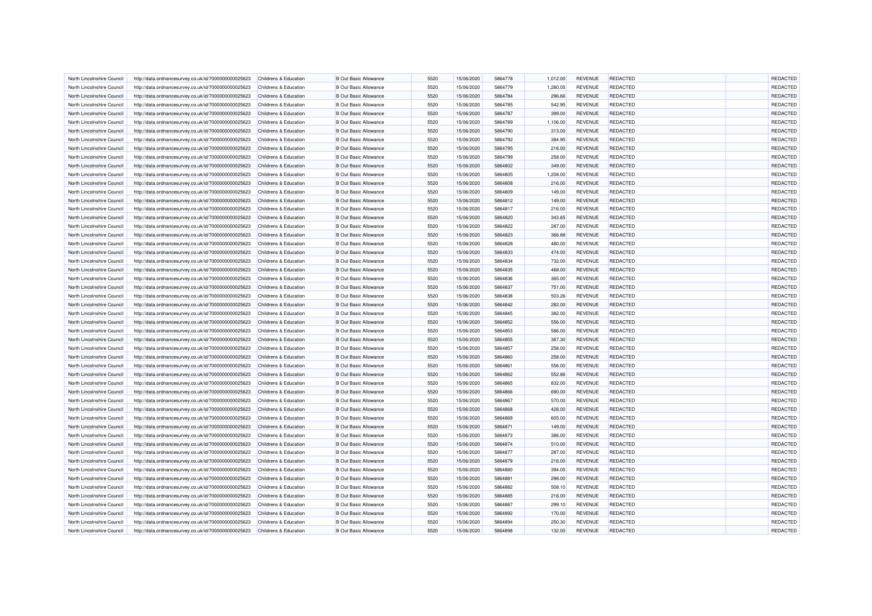| North Lincolnshire Council                               | http://data.ordnancesurvey.co.uk/id/7000000000025623 | Childrens & Education                          | <b>B Out Basic Allowance</b>                                 | 5520         | 15/06/2020               | 5864778            | 1,012.00 | <b>REVENUE</b> | REDACTED                           | <b>REDACTED</b> |
|----------------------------------------------------------|------------------------------------------------------|------------------------------------------------|--------------------------------------------------------------|--------------|--------------------------|--------------------|----------|----------------|------------------------------------|-----------------|
| North Lincolnshire Council                               | http://data.ordnancesurvey.co.uk/id/7000000000025623 | Childrens & Education                          | <b>B Out Basic Allowance</b>                                 | 5520         | 15/06/2020               | 5864779            | 1,280.05 | <b>REVENUE</b> | REDACTED                           | REDACTED        |
| North Lincolnshire Council                               | http://data.ordnancesurvey.co.uk/id/7000000000025623 | Childrens & Education                          | <b>B Out Basic Allowance</b>                                 | 5520         | 15/06/2020               | 5864784            | 296.66   | <b>REVENUE</b> | <b>REDACTED</b>                    | <b>REDACTED</b> |
| North Lincolnshire Council                               | http://data.ordnancesurvey.co.uk/id/7000000000025623 | <b>Childrens &amp; Education</b>               | <b>B Out Basic Allowance</b>                                 | 5520         | 15/06/2020               | 5864785            | 542.95   | <b>REVENUE</b> | REDACTED                           | REDACTED        |
| North Lincolnshire Council                               | http://data.ordnancesurvey.co.uk/id/7000000000025623 | Childrens & Education                          | <b>B Out Basic Allowance</b>                                 | 5520         | 15/06/2020               | 5864787            | 399.00   | <b>REVENUE</b> | <b>REDACTED</b>                    | REDACTED        |
| North Lincolnshire Council                               | http://data.ordnancesurvey.co.uk/id/7000000000025623 | Childrens & Education                          | <b>B Out Basic Allowance</b>                                 | 5520         | 15/06/2020               | 5864789            | 1,106.00 | <b>REVENUE</b> | REDACTED                           | REDACTED        |
| North Lincolnshire Council                               | http://data.ordnancesurvey.co.uk/id/7000000000025623 | <b>Childrens &amp; Education</b>               | <b>B Out Basic Allowance</b>                                 | 5520         | 15/06/2020               | 5864790            | 313.00   | <b>REVENUE</b> | REDACTED                           | REDACTED        |
| North Lincolnshire Council                               | http://data.ordnancesurvey.co.uk/id/7000000000025623 | Childrens & Education                          | <b>B</b> Out Basic Allowance                                 | 5520         | 15/06/2020               | 5864792            | 384.95   | <b>REVENUE</b> | <b>REDACTED</b>                    | REDACTED        |
| North Lincolnshire Council                               | http://data.ordnancesurvey.co.uk/id/7000000000025623 | Childrens & Education                          | <b>B Out Basic Allowance</b>                                 | 5520         | 15/06/2020               | 5864795            | 216.00   | <b>REVENUE</b> | REDACTED                           | REDACTED        |
| North Lincolnshire Council                               | http://data.ordnancesurvey.co.uk/id/7000000000025623 | Childrens & Education                          | <b>B Out Basic Allowance</b>                                 | 5520         | 15/06/2020               | 5864799            | 258.00   | <b>REVENUE</b> | <b>REDACTED</b>                    | REDACTED        |
| North Lincolnshire Council                               | http://data.ordnancesurvey.co.uk/id/7000000000025623 | Childrens & Education                          | <b>B Out Basic Allowance</b>                                 | 5520         | 15/06/2020               | 5864802            | 349.00   | <b>REVENUE</b> | <b>REDACTED</b>                    | REDACTED        |
| North Lincolnshire Council                               | http://data.ordnancesurvey.co.uk/id/7000000000025623 | Childrens & Education                          | <b>B Out Basic Allowance</b>                                 | 5520         | 15/06/2020               | 5864805            | 1.208.00 | <b>REVENUE</b> | REDACTED                           | <b>REDACTED</b> |
| North Lincolnshire Council                               | http://data.ordnancesurvey.co.uk/id/7000000000025623 | <b>Childrens &amp; Education</b>               | <b>B Out Basic Allowance</b>                                 | 5520         | 15/06/2020               | 5864808            | 216.00   | <b>REVENUE</b> | <b>REDACTED</b>                    | REDACTED        |
| North Lincolnshire Council                               | http://data.ordnancesurvey.co.uk/id/7000000000025623 | Childrens & Education                          | <b>B Out Basic Allowance</b>                                 | 5520         | 15/06/2020               | 5864809            | 149.00   | <b>REVENUE</b> | REDACTED                           | <b>REDACTED</b> |
| North Lincolnshire Council                               | http://data.ordnancesurvey.co.uk/id/7000000000025623 | <b>Childrens &amp; Education</b>               | <b>B Out Basic Allowance</b>                                 | 5520         | 15/06/2020               | 5864812            | 149.00   | <b>REVENUE</b> | <b>REDACTED</b>                    | REDACTED        |
| North Lincolnshire Council                               | http://data.ordnancesurvey.co.uk/id/7000000000025623 | Childrens & Education                          | <b>B Out Basic Allowance</b>                                 | 5520         | 15/06/2020               | 5864817            | 216.00   | <b>REVENUE</b> | <b>REDACTED</b>                    | REDACTED        |
| North Lincolnshire Council                               | http://data.ordnancesurvey.co.uk/id/7000000000025623 | Childrens & Education                          | <b>B Out Basic Allowance</b>                                 | 5520         | 15/06/2020               | 5864820            | 343.65   | <b>REVENUE</b> | <b>REDACTED</b>                    | REDACTED        |
| North Lincolnshire Council                               | http://data.ordnancesurvey.co.uk/id/7000000000025623 | Childrens & Education                          | <b>B Out Basic Allowance</b>                                 | 5520         | 15/06/2020               | 5864822            | 287.00   | <b>REVENUE</b> | <b>REDACTED</b>                    | REDACTED        |
| North Lincolnshire Council                               | http://data.ordnancesurvey.co.uk/id/7000000000025623 | Childrens & Education                          | <b>B Out Basic Allowance</b>                                 | 5520         | 15/06/2020               | 5864823            | 366.88   | <b>REVENUE</b> | <b>REDACTED</b>                    | REDACTED        |
| North Lincolnshire Council                               |                                                      | Childrens & Education                          | <b>B Out Basic Allowance</b>                                 | 5520         | 15/06/2020               | 5864828            | 480.00   | <b>REVENUE</b> | <b>REDACTED</b>                    | REDACTED        |
|                                                          | http://data.ordnancesurvey.co.uk/id/7000000000025623 |                                                |                                                              |              |                          |                    |          |                |                                    | REDACTED        |
| North Lincolnshire Council<br>North Lincolnshire Council | http://data.ordnancesurvey.co.uk/id/7000000000025623 | Childrens & Education<br>Childrens & Education | <b>B Out Basic Allowance</b><br><b>B Out Basic Allowance</b> | 5520<br>5520 | 15/06/2020<br>15/06/2020 | 5864833<br>5864834 | 474.00   | <b>REVENUE</b> | <b>REDACTED</b><br><b>REDACTED</b> | <b>REDACTED</b> |
|                                                          | http://data.ordnancesurvey.co.uk/id/7000000000025623 |                                                |                                                              | 5520         |                          | 5864835            | 732.00   | <b>REVENUE</b> |                                    |                 |
| North Lincolnshire Council                               | http://data.ordnancesurvey.co.uk/id/7000000000025623 | Childrens & Education                          | <b>B Out Basic Allowance</b>                                 |              | 15/06/2020               |                    | 468.00   | <b>REVENUE</b> | <b>REDACTED</b>                    | REDACTED        |
| North Lincolnshire Council                               | http://data.ordnancesurvey.co.uk/id/7000000000025623 | Childrens & Education                          | <b>B Out Basic Allowance</b>                                 | 5520         | 15/06/2020               | 5864836            | 365.00   | <b>REVENUE</b> | <b>REDACTED</b>                    | <b>REDACTED</b> |
| North Lincolnshire Council                               | http://data.ordnancesurvey.co.uk/id/7000000000025623 | Childrens & Education                          | <b>B Out Basic Allowance</b>                                 | 5520         | 15/06/2020               | 5864837            | 751.00   | <b>REVENUE</b> | REDACTED                           | REDACTED        |
| North Lincolnshire Council                               | http://data.ordnancesurvey.co.uk/id/7000000000025623 | Childrens & Education                          | <b>B Out Basic Allowance</b>                                 | 5520         | 15/06/2020               | 5864838            | 503.26   | <b>REVENUE</b> | <b>REDACTED</b>                    | REDACTED        |
| North Lincolnshire Council                               | http://data.ordnancesurvey.co.uk/id/7000000000025623 | Childrens & Education                          | <b>B Out Basic Allowance</b>                                 | 5520         | 15/06/2020               | 5864842            | 282.00   | <b>REVENUE</b> | <b>REDACTED</b>                    | REDACTED        |
| North Lincolnshire Council                               | http://data.ordnancesurvey.co.uk/id/7000000000025623 | Childrens & Education                          | <b>B Out Basic Allowance</b>                                 | 5520         | 15/06/2020               | 5864845            | 382.00   | <b>REVENUE</b> | <b>REDACTED</b>                    | REDACTED        |
| North Lincolnshire Council                               | http://data.ordnancesurvey.co.uk/id/7000000000025623 | <b>Childrens &amp; Education</b>               | <b>B Out Basic Allowance</b>                                 | 5520         | 15/06/2020               | 5864852            | 556.00   | <b>REVENUE</b> | <b>REDACTED</b>                    | REDACTED        |
| North Lincolnshire Council                               | http://data.ordnancesurvey.co.uk/id/7000000000025623 | Childrens & Education                          | <b>B Out Basic Allowance</b>                                 | 5520         | 15/06/2020               | 5864853            | 586.00   | <b>REVENUE</b> | REDACTED                           | REDACTED        |
| North Lincolnshire Council                               | http://data.ordnancesurvey.co.uk/id/7000000000025623 | <b>Childrens &amp; Education</b>               | <b>B Out Basic Allowance</b>                                 | 5520         | 15/06/2020               | 5864855            | 367.30   | <b>REVENUE</b> | <b>REDACTED</b>                    | REDACTED        |
| North Lincolnshire Council                               | http://data.ordnancesurvey.co.uk/id/7000000000025623 | <b>Childrens &amp; Education</b>               | <b>B Out Basic Allowance</b>                                 | 5520         | 15/06/2020               | 5864857            | 258.00   | <b>REVENUE</b> | <b>REDACTED</b>                    | REDACTED        |
| North Lincolnshire Council                               | http://data.ordnancesurvey.co.uk/id/7000000000025623 | Childrens & Education                          | <b>B Out Basic Allowance</b>                                 | 5520         | 15/06/2020               | 5864860            | 258.00   | <b>REVENUE</b> | <b>REDACTED</b>                    | <b>REDACTED</b> |
| North Lincolnshire Council                               | http://data.ordnancesurvey.co.uk/id/7000000000025623 | Childrens & Education                          | <b>B Out Basic Allowance</b>                                 | 5520         | 15/06/2020               | 5864861            | 556.00   | <b>REVENUE</b> | <b>REDACTED</b>                    | REDACTED        |
| North Lincolnshire Council                               | http://data.ordnancesurvey.co.uk/id/7000000000025623 | Childrens & Education                          | <b>B Out Basic Allowance</b>                                 | 5520         | 15/06/2020               | 5864862            | 552.86   | <b>REVENUE</b> | REDACTED                           | <b>REDACTED</b> |
| North Lincolnshire Council                               | http://data.ordnancesurvey.co.uk/id/7000000000025623 | Childrens & Education                          | <b>B Out Basic Allowance</b>                                 | 5520         | 15/06/2020               | 5864865            | 832.00   | <b>REVENUE</b> | REDACTED                           | REDACTED        |
| North Lincolnshire Council                               | http://data.ordnancesurvey.co.uk/id/7000000000025623 | Childrens & Education                          | <b>B Out Basic Allowance</b>                                 | 5520         | 15/06/2020               | 5864866            | 690.00   | <b>REVENUE</b> | <b>REDACTED</b>                    | REDACTED        |
| North Lincolnshire Council                               | http://data.ordnancesurvey.co.uk/id/7000000000025623 | Childrens & Education                          | <b>B Out Basic Allowance</b>                                 | 5520         | 15/06/2020               | 5864867            | 570.00   | <b>REVENUE</b> | REDACTED                           | REDACTED        |
| North Lincolnshire Council                               | http://data.ordnancesurvey.co.uk/id/7000000000025623 | Childrens & Education                          | <b>B Out Basic Allowance</b>                                 | 5520         | 15/06/2020               | 5864868            | 428.00   | <b>REVENUE</b> | <b>REDACTED</b>                    | REDACTED        |
| North Lincolnshire Council                               | http://data.ordnancesurvey.co.uk/id/7000000000025623 | Childrens & Education                          | <b>B Out Basic Allowance</b>                                 | 5520         | 15/06/2020               | 5864869            | 605.00   | <b>REVENUE</b> | <b>REDACTED</b>                    | REDACTED        |
| North Lincolnshire Council                               | http://data.ordnancesurvey.co.uk/id/7000000000025623 | Childrens & Education                          | <b>B Out Basic Allowance</b>                                 | 5520         | 15/06/2020               | 5864871            | 149.00   | <b>REVENUE</b> | <b>REDACTED</b>                    | REDACTED        |
| North Lincolnshire Council                               | http://data.ordnancesurvey.co.uk/id/7000000000025623 | Childrens & Education                          | <b>B Out Basic Allowance</b>                                 | 5520         | 15/06/2020               | 5864873            | 386.00   | <b>REVENUE</b> | <b>REDACTED</b>                    | <b>REDACTED</b> |
| North Lincolnshire Council                               | http://data.ordnancesurvey.co.uk/id/7000000000025623 | <b>Childrens &amp; Education</b>               | <b>B Out Basic Allowance</b>                                 | 5520         | 15/06/2020               | 5864874            | 510.00   | <b>REVENUE</b> | <b>REDACTED</b>                    | REDACTED        |
| North Lincolnshire Council                               | http://data.ordnancesurvey.co.uk/id/7000000000025623 | Childrens & Education                          | <b>B Out Basic Allowance</b>                                 | 5520         | 15/06/2020               | 5864877            | 287.00   | <b>REVENUE</b> | <b>REDACTED</b>                    | <b>REDACTED</b> |
| North Lincolnshire Council                               | http://data.ordnancesurvey.co.uk/id/7000000000025623 | <b>Childrens &amp; Education</b>               | <b>B Out Basic Allowance</b>                                 | 5520         | 15/06/2020               | 5864879            | 216.00   | <b>REVENUE</b> | <b>REDACTED</b>                    | REDACTED        |
| North Lincolnshire Council                               | http://data.ordnancesurvey.co.uk/id/7000000000025623 | Childrens & Education                          | <b>B Out Basic Allowance</b>                                 | 5520         | 15/06/2020               | 5864880            | 394.05   | <b>REVENUE</b> | <b>REDACTED</b>                    | <b>REDACTED</b> |
| North Lincolnshire Council                               | http://data.ordnancesurvey.co.uk/id/7000000000025623 | <b>Childrens &amp; Education</b>               | <b>B Out Basic Allowance</b>                                 | 5520         | 15/06/2020               | 5864881            | 298.00   | <b>REVENUE</b> | REDACTED                           | <b>REDACTED</b> |
| North Lincolnshire Council                               | http://data.ordnancesurvey.co.uk/id/7000000000025623 | Childrens & Education                          | <b>B Out Basic Allowance</b>                                 | 5520         | 15/06/2020               | 5864882            | 508.10   | <b>REVENUE</b> | <b>REDACTED</b>                    | REDACTED        |
| North Lincolnshire Council                               | http://data.ordnancesurvey.co.uk/id/7000000000025623 | Childrens & Education                          | <b>B Out Basic Allowance</b>                                 | 5520         | 15/06/2020               | 5864885            | 216.00   | <b>REVENUE</b> | <b>REDACTED</b>                    | REDACTED        |
| North Lincolnshire Council                               | http://data.ordnancesurvey.co.uk/id/7000000000025623 | Childrens & Education                          | <b>B Out Basic Allowance</b>                                 | 5520         | 15/06/2020               | 5864887            | 299.10   | <b>REVENUE</b> | <b>REDACTED</b>                    | REDACTED        |
| North Lincolnshire Council                               | http://data.ordnancesurvey.co.uk/id/7000000000025623 | Childrens & Education                          | <b>B Out Basic Allowance</b>                                 | 5520         | 15/06/2020               | 5864892            | 170.00   | <b>REVENUE</b> | <b>REDACTED</b>                    | REDACTED        |
| North Lincolnshire Council                               | http://data.ordnancesurvey.co.uk/id/7000000000025623 | Childrens & Education                          | <b>B Out Basic Allowance</b>                                 | 5520         | 15/06/2020               | 5864894            | 250.30   | <b>REVENUE</b> | REDACTED                           | <b>REDACTED</b> |
| North Lincolnshire Council                               | http://data.ordnancesurvey.co.uk/id/7000000000025623 | Childrens & Education                          | <b>B Out Basic Allowance</b>                                 | 5520         | 15/06/2020               | 5864898            | 132.00   | <b>REVENUE</b> | <b>REDACTED</b>                    | REDACTED        |
|                                                          |                                                      |                                                |                                                              |              |                          |                    |          |                |                                    |                 |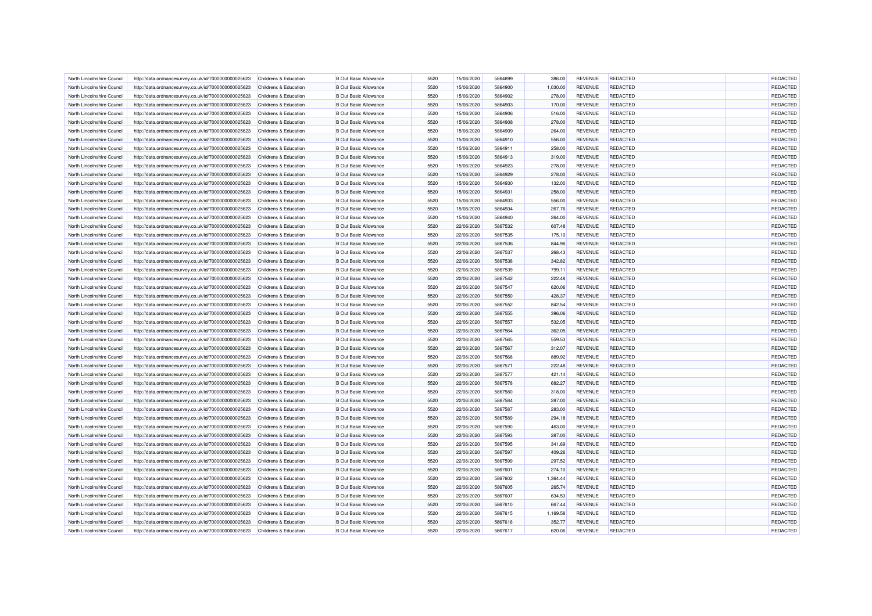| North Lincolnshire Council | http://data.ordnancesurvey.co.uk/id/7000000000025623 | Childrens & Education            | <b>B</b> Out Basic Allowance | 5520 | 15/06/2020 | 5864899 | 386.00   | <b>REVENUE</b> | <b>REDACTED</b> | REDACTED        |
|----------------------------|------------------------------------------------------|----------------------------------|------------------------------|------|------------|---------|----------|----------------|-----------------|-----------------|
| North Lincolnshire Council | http://data.ordnancesurvey.co.uk/id/7000000000025623 | Childrens & Education            | <b>B</b> Out Basic Allowance | 5520 | 15/06/2020 | 5864900 | 1,030.00 | <b>REVENUE</b> | <b>REDACTED</b> | <b>REDACTED</b> |
| North Lincolnshire Council | http://data.ordnancesurvey.co.uk/id/7000000000025623 | Childrens & Education            | <b>B Out Basic Allowance</b> | 5520 | 15/06/2020 | 5864902 | 278.00   | <b>REVENUE</b> | <b>REDACTED</b> | REDACTED        |
| North Lincolnshire Council | http://data.ordnancesurvey.co.uk/id/7000000000025623 | <b>Childrens &amp; Education</b> | <b>B Out Basic Allowance</b> | 5520 | 15/06/2020 | 5864903 | 170.00   | <b>REVENUE</b> | REDACTED        | REDACTED        |
| North Lincolnshire Council | http://data.ordnancesurvey.co.uk/id/7000000000025623 | Childrens & Education            | <b>B Out Basic Allowance</b> | 5520 | 15/06/2020 | 5864906 | 516.00   | <b>REVENUE</b> | <b>REDACTED</b> | REDACTED        |
| North Lincolnshire Council | http://data.ordnancesurvey.co.uk/id/7000000000025623 | Childrens & Education            | <b>B Out Basic Allowance</b> | 5520 | 15/06/2020 | 5864908 | 278.00   | <b>REVENUE</b> | <b>REDACTED</b> | REDACTED        |
| North Lincolnshire Council | http://data.ordnancesurvey.co.uk/id/7000000000025623 | Childrens & Education            | <b>B Out Basic Allowance</b> | 5520 | 15/06/2020 | 5864909 | 264.00   | <b>REVENUE</b> | <b>REDACTED</b> | REDACTED        |
| North Lincolnshire Council | http://data.ordnancesurvey.co.uk/id/7000000000025623 | <b>Childrens &amp; Education</b> | <b>B Out Basic Allowance</b> | 5520 | 15/06/2020 | 5864910 | 556.00   | <b>REVENUE</b> | <b>REDACTED</b> | REDACTED        |
| North Lincolnshire Council | http://data.ordnancesurvey.co.uk/id/7000000000025623 | Childrens & Education            | <b>B Out Basic Allowance</b> | 5520 | 15/06/2020 | 5864911 | 258.00   | <b>REVENUE</b> | REDACTED        | REDACTED        |
| North Lincolnshire Council | http://data.ordnancesurvey.co.uk/id/7000000000025623 | Childrens & Education            | <b>B Out Basic Allowance</b> | 5520 | 15/06/2020 | 5864913 | 319.00   | <b>REVENUE</b> | <b>REDACTED</b> | REDACTED        |
| North Lincolnshire Council | http://data.ordnancesurvey.co.uk/id/7000000000025623 | Childrens & Education            | <b>B Out Basic Allowance</b> | 5520 | 15/06/2020 | 5864923 | 278.00   | <b>REVENUE</b> | REDACTED        | <b>REDACTED</b> |
| North Lincolnshire Council | http://data.ordnancesurvey.co.uk/id/7000000000025623 | Childrens & Education            | <b>B Out Basic Allowance</b> | 5520 | 15/06/2020 | 5864929 | 278.00   | <b>REVENUE</b> | REDACTED        | REDACTED        |
| North Lincolnshire Council | http://data.ordnancesurvey.co.uk/id/7000000000025623 | Childrens & Education            | <b>B Out Basic Allowance</b> | 5520 | 15/06/2020 | 5864930 | 132.00   | <b>REVENUE</b> | <b>REDACTED</b> | <b>REDACTED</b> |
|                            |                                                      |                                  |                              | 5520 |            | 5864931 |          |                |                 | REDACTED        |
| North Lincolnshire Council | http://data.ordnancesurvey.co.uk/id/7000000000025623 | Childrens & Education            | <b>B Out Basic Allowance</b> |      | 15/06/2020 |         | 258.00   | <b>REVENUE</b> | REDACTED        |                 |
| North Lincolnshire Council | http://data.ordnancesurvey.co.uk/id/7000000000025623 | Childrens & Education            | <b>B Out Basic Allowance</b> | 5520 | 15/06/2020 | 5864933 | 556.00   | <b>REVENUE</b> | <b>REDACTED</b> | REDACTED        |
| North Lincolnshire Council | http://data.ordnancesurvey.co.uk/id/7000000000025623 | Childrens & Education            | <b>B Out Basic Allowance</b> | 5520 | 15/06/2020 | 5864934 | 267.76   | <b>REVENUE</b> | <b>REDACTED</b> | REDACTED        |
| North Lincolnshire Council | http://data.ordnancesurvey.co.uk/id/7000000000025623 | Childrens & Education            | <b>B Out Basic Allowance</b> | 5520 | 15/06/2020 | 5864940 | 264.00   | <b>REVENUE</b> | <b>REDACTED</b> | REDACTED        |
| North Lincolnshire Council | http://data.ordnancesurvey.co.uk/id/7000000000025623 | Childrens & Education            | <b>B Out Basic Allowance</b> | 5520 | 22/06/2020 | 5867532 | 607.48   | <b>REVENUE</b> | <b>REDACTED</b> | REDACTED        |
| North Lincolnshire Council | http://data.ordnancesurvey.co.uk/id/7000000000025623 | Childrens & Education            | <b>B Out Basic Allowance</b> | 5520 | 22/06/2020 | 5867535 | 175.10   | <b>REVENUE</b> | REDACTED        | <b>REDACTED</b> |
| North Lincolnshire Council | http://data.ordnancesurvey.co.uk/id/7000000000025623 | Childrens & Education            | <b>B Out Basic Allowance</b> | 5520 | 22/06/2020 | 5867536 | 844.96   | <b>REVENUE</b> | <b>REDACTED</b> | REDACTED        |
| North Lincolnshire Council | http://data.ordnancesurvey.co.uk/id/7000000000025623 | Childrens & Education            | <b>B Out Basic Allowance</b> | 5520 | 22/06/2020 | 5867537 | 268.43   | <b>REVENUE</b> | <b>REDACTED</b> | REDACTED        |
| North Lincolnshire Council | http://data.ordnancesurvey.co.uk/id/7000000000025623 | Childrens & Education            | <b>B Out Basic Allowance</b> | 5520 | 22/06/2020 | 5867538 | 342.82   | <b>REVENUE</b> | <b>REDACTED</b> | REDACTED        |
| North Lincolnshire Council | http://data.ordnancesurvey.co.uk/id/7000000000025623 | Childrens & Education            | <b>B Out Basic Allowance</b> | 5520 | 22/06/2020 | 5867539 | 799.11   | <b>REVENUE</b> | REDACTED        | REDACTED        |
| North Lincolnshire Council | http://data.ordnancesurvey.co.uk/id/7000000000025623 | Childrens & Education            | <b>B Out Basic Allowance</b> | 5520 | 22/06/2020 | 5867542 | 222.48   | <b>REVENUE</b> | <b>REDACTED</b> | REDACTED        |
| North Lincolnshire Council | http://data.ordnancesurvey.co.uk/id/7000000000025623 | Childrens & Education            | <b>B Out Basic Allowance</b> | 5520 | 22/06/2020 | 5867547 | 620.06   | <b>REVENUE</b> | REDACTED        | REDACTED        |
| North Lincolnshire Council | http://data.ordnancesurvey.co.uk/id/7000000000025623 | Childrens & Education            | <b>B Out Basic Allowance</b> | 5520 | 22/06/2020 | 5867550 | 428.37   | <b>REVENUE</b> | <b>REDACTED</b> | REDACTED        |
| North Lincolnshire Council | http://data.ordnancesurvey.co.uk/id/7000000000025623 | Childrens & Education            | <b>B Out Basic Allowance</b> | 5520 | 22/06/2020 | 5867552 | 842.54   | <b>REVENUE</b> | <b>REDACTED</b> | REDACTED        |
| North Lincolnshire Council | http://data.ordnancesurvey.co.uk/id/7000000000025623 | Childrens & Education            | <b>B Out Basic Allowance</b> | 5520 | 22/06/2020 | 5867555 | 396.06   | <b>REVENUE</b> | <b>REDACTED</b> | REDACTED        |
| North Lincolnshire Council | http://data.ordnancesurvey.co.uk/id/7000000000025623 | Childrens & Education            | <b>B Out Basic Allowance</b> | 5520 | 22/06/2020 | 5867557 | 532.05   | <b>REVENUE</b> | <b>REDACTED</b> | REDACTED        |
| North Lincolnshire Council | http://data.ordnancesurvey.co.uk/id/7000000000025623 | Childrens & Education            | <b>B Out Basic Allowance</b> | 5520 | 22/06/2020 | 5867564 | 362.05   | <b>REVENUE</b> | REDACTED        | REDACTED        |
|                            |                                                      |                                  |                              |      |            |         |          |                |                 |                 |
| North Lincolnshire Council | http://data.ordnancesurvey.co.uk/id/7000000000025623 | Childrens & Education            | <b>B Out Basic Allowance</b> | 5520 | 22/06/2020 | 5867565 | 559.53   | <b>REVENUE</b> | <b>REDACTED</b> | REDACTED        |
| North Lincolnshire Council | http://data.ordnancesurvey.co.uk/id/7000000000025623 | Childrens & Education            | <b>B Out Basic Allowance</b> | 5520 | 22/06/2020 | 5867567 | 312.07   | <b>REVENUE</b> | <b>REDACTED</b> | REDACTED        |
| North Lincolnshire Council | http://data.ordnancesurvey.co.uk/id/7000000000025623 | Childrens & Education            | <b>B Out Basic Allowance</b> | 5520 | 22/06/2020 | 5867568 | 889.92   | <b>REVENUE</b> | REDACTED        | REDACTED        |
| North Lincolnshire Council | http://data.ordnancesurvey.co.uk/id/7000000000025623 | <b>Childrens &amp; Education</b> | <b>B Out Basic Allowance</b> | 5520 | 22/06/2020 | 5867571 | 222.48   | <b>REVENUE</b> | <b>REDACTED</b> | REDACTED        |
| North Lincolnshire Council | http://data.ordnancesurvey.co.uk/id/7000000000025623 | Childrens & Education            | <b>B Out Basic Allowance</b> | 5520 | 22/06/2020 | 5867577 | 421.14   | <b>REVENUE</b> | <b>REDACTED</b> | REDACTED        |
| North Lincolnshire Council | http://data.ordnancesurvey.co.uk/id/7000000000025623 | <b>Childrens &amp; Education</b> | <b>B Out Basic Allowance</b> | 5520 | 22/06/2020 | 5867578 | 682.27   | <b>REVENUE</b> | <b>REDACTED</b> | REDACTED        |
| North Lincolnshire Council | http://data.ordnancesurvey.co.uk/id/7000000000025623 | Childrens & Education            | <b>B Out Basic Allowance</b> | 5520 | 22/06/2020 | 5867580 | 318.00   | <b>REVENUE</b> | <b>REDACTED</b> | REDACTED        |
| North Lincolnshire Council | http://data.ordnancesurvey.co.uk/id/7000000000025623 | Childrens & Education            | <b>B Out Basic Allowance</b> | 5520 | 22/06/2020 | 5867584 | 287.00   | <b>REVENUE</b> | <b>REDACTED</b> | <b>REDACTED</b> |
| North Lincolnshire Council | http://data.ordnancesurvey.co.uk/id/7000000000025623 | Childrens & Education            | <b>B Out Basic Allowance</b> | 5520 | 22/06/2020 | 5867587 | 283.00   | <b>REVENUE</b> | <b>REDACTED</b> | REDACTED        |
| North Lincolnshire Council | http://data.ordnancesurvey.co.uk/id/7000000000025623 | Childrens & Education            | <b>B Out Basic Allowance</b> | 5520 | 22/06/2020 | 5867589 | 294.18   | <b>REVENUE</b> | <b>REDACTED</b> | REDACTED        |
| North Lincolnshire Council | http://data.ordnancesurvey.co.uk/id/7000000000025623 | Childrens & Education            | <b>B Out Basic Allowance</b> | 5520 | 22/06/2020 | 5867590 | 463.00   | <b>REVENUE</b> | <b>REDACTED</b> | <b>REDACTED</b> |
| North Lincolnshire Council | http://data.ordnancesurvey.co.uk/id/7000000000025623 | Childrens & Education            | <b>B Out Basic Allowance</b> | 5520 | 22/06/2020 | 5867593 | 287.00   | <b>REVENUE</b> | <b>REDACTED</b> | REDACTED        |
| North Lincolnshire Council | http://data.ordnancesurvey.co.uk/id/7000000000025623 | Childrens & Education            | <b>B Out Basic Allowance</b> | 5520 | 22/06/2020 | 5867595 | 341.69   | REVENUE        | <b>REDACTED</b> | REDACTED        |
| North Lincolnshire Council | http://data.ordnancesurvey.co.uk/id/7000000000025623 | <b>Childrens &amp; Education</b> | <b>B Out Basic Allowance</b> | 5520 | 22/06/2020 | 5867597 | 409.26   | <b>REVENUE</b> | <b>REDACTED</b> | REDACTED        |
| North Lincolnshire Council | http://data.ordnancesurvey.co.uk/id/7000000000025623 | Childrens & Education            | <b>B Out Basic Allowance</b> | 5520 | 22/06/2020 | 5867599 | 297.52   | <b>REVENUE</b> | <b>REDACTED</b> | REDACTED        |
| North Lincolnshire Council | http://data.ordnancesurvey.co.uk/id/7000000000025623 | <b>Childrens &amp; Education</b> | <b>B Out Basic Allowance</b> | 5520 | 22/06/2020 | 5867601 | 274.10   | <b>REVENUE</b> | <b>REDACTED</b> | <b>REDACTED</b> |
| North Lincolnshire Council | http://data.ordnancesurvey.co.uk/id/7000000000025623 | Childrens & Education            | <b>B Out Basic Allowance</b> | 5520 | 22/06/2020 | 5867602 | 1,364.44 | <b>REVENUE</b> | REDACTED        | <b>REDACTED</b> |
| North Lincolnshire Council |                                                      | Childrens & Education            | <b>B Out Basic Allowance</b> | 5520 | 22/06/2020 | 5867605 | 265.74   | <b>REVENUE</b> | <b>REDACTED</b> | <b>REDACTED</b> |
|                            | http://data.ordnancesurvey.co.uk/id/7000000000025623 |                                  |                              |      |            |         |          |                |                 |                 |
| North Lincolnshire Council | http://data.ordnancesurvey.co.uk/id/7000000000025623 | Childrens & Education            | <b>B Out Basic Allowance</b> | 5520 | 22/06/2020 | 5867607 | 634.53   | <b>REVENUE</b> | <b>REDACTED</b> | REDACTED        |
| North Lincolnshire Council | http://data.ordnancesurvey.co.uk/id/7000000000025623 | Childrens & Education            | <b>B Out Basic Allowance</b> | 5520 | 22/06/2020 | 5867610 | 667.44   | <b>REVENUE</b> | <b>REDACTED</b> | REDACTED        |
| North Lincolnshire Council | http://data.ordnancesurvey.co.uk/id/7000000000025623 | Childrens & Education            | <b>B Out Basic Allowance</b> | 5520 | 22/06/2020 | 5867615 | 1,169.58 | <b>REVENUE</b> | <b>REDACTED</b> | <b>REDACTED</b> |
| North Lincolnshire Council | http://data.ordnancesurvey.co.uk/id/7000000000025623 | Childrens & Education            | <b>B Out Basic Allowance</b> | 5520 | 22/06/2020 | 5867616 | 352.77   | <b>REVENUE</b> | REDACTED        | <b>REDACTED</b> |
| North Lincolnshire Council | http://data.ordnancesurvey.co.uk/id/7000000000025623 | Childrens & Education            | <b>B Out Basic Allowance</b> | 5520 | 22/06/2020 | 5867617 | 620.06   | <b>REVENUE</b> | <b>REDACTED</b> | REDACTED        |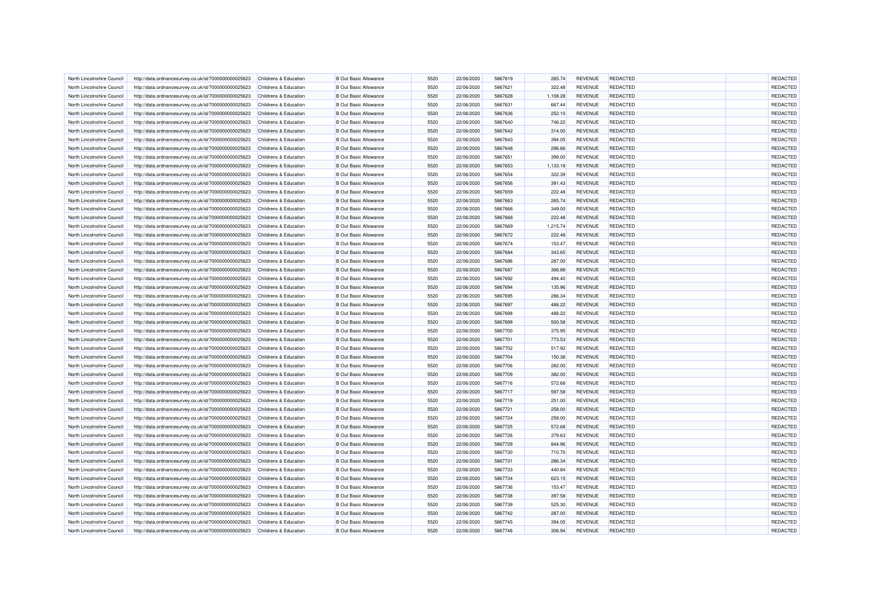| North Lincolnshire Council | http://data.ordnancesurvey.co.uk/id/7000000000025623 | Childrens & Education            | <b>B Out Basic Allowance</b> | 5520 | 22/06/2020               | 5867619 | 265.74   | <b>REVENUE</b> | <b>REDACTED</b> | REDACTED        |
|----------------------------|------------------------------------------------------|----------------------------------|------------------------------|------|--------------------------|---------|----------|----------------|-----------------|-----------------|
| North Lincolnshire Council | http://data.ordnancesurvey.co.uk/id/7000000000025623 | Childrens & Education            | <b>B</b> Out Basic Allowance | 5520 | 22/06/2020               | 5867621 | 322.48   | <b>REVENUE</b> | <b>REDACTED</b> | <b>REDACTED</b> |
| North Lincolnshire Council | http://data.ordnancesurvey.co.uk/id/7000000000025623 | Childrens & Education            | <b>B Out Basic Allowance</b> | 5520 | 22/06/2020               | 5867628 | 1,108.28 | <b>REVENUE</b> | <b>REDACTED</b> | <b>REDACTED</b> |
| North Lincolnshire Council | http://data.ordnancesurvey.co.uk/id/7000000000025623 | Childrens & Education            | <b>B</b> Out Basic Allowance | 5520 | 22/06/2020               | 5867631 | 667.44   | <b>REVENUE</b> | REDACTED        | REDACTED        |
| North Lincolnshire Council | http://data.ordnancesurvey.co.uk/id/7000000000025623 | Childrens & Education            | <b>B Out Basic Allowance</b> | 5520 | 22/06/2020               | 5867636 | 252.10   | <b>REVENUE</b> | <b>REDACTED</b> | REDACTED        |
| North Lincolnshire Council | http://data.ordnancesurvey.co.uk/id/7000000000025623 | Childrens & Education            | <b>B Out Basic Allowance</b> | 5520 | 22/06/2020               | 5867640 | 746.22   | <b>REVENUE</b> | <b>REDACTED</b> | REDACTED        |
| North Lincolnshire Council | http://data.ordnancesurvey.co.uk/id/7000000000025623 | <b>Childrens &amp; Education</b> | <b>B Out Basic Allowance</b> | 5520 | 22/06/2020               | 5867642 | 314.00   | <b>REVENUE</b> | <b>REDACTED</b> | REDACTED        |
| North Lincolnshire Council | http://data.ordnancesurvey.co.uk/id/7000000000025623 | Childrens & Education            | <b>B</b> Out Basic Allowance | 5520 | 22/06/2020               | 5867643 | 394.05   | <b>REVENUE</b> | <b>REDACTED</b> | REDACTED        |
| North Lincolnshire Council | http://data.ordnancesurvey.co.uk/id/7000000000025623 | Childrens & Education            | <b>B Out Basic Allowance</b> | 5520 | 22/06/2020               | 5867648 | 296.66   | <b>REVENUE</b> | REDACTED        | REDACTED        |
| North Lincolnshire Council | http://data.ordnancesurvey.co.uk/id/7000000000025623 | Childrens & Education            | <b>B Out Basic Allowance</b> | 5520 | 22/06/2020               | 5867651 | 399.00   | <b>REVENUE</b> | <b>REDACTED</b> | <b>REDACTED</b> |
| North Lincolnshire Council | http://data.ordnancesurvey.co.uk/id/7000000000025623 | Childrens & Education            | <b>B Out Basic Allowance</b> | 5520 | 22/06/2020               | 5867653 | 1,133.18 | <b>REVENUE</b> | REDACTED        | REDACTED        |
| North Lincolnshire Council | http://data.ordnancesurvey.co.uk/id/7000000000025623 | Childrens & Education            | <b>B Out Basic Allowance</b> | 5520 | 22/06/2020               | 5867654 | 322.39   | <b>REVENUE</b> | REDACTED        | REDACTED        |
| North Lincolnshire Council | http://data.ordnancesurvey.co.uk/id/7000000000025623 | Childrens & Education            | <b>B Out Basic Allowance</b> | 5520 | 22/06/2020               | 5867656 | 391.43   | <b>REVENUE</b> | <b>REDACTED</b> | REDACTED        |
| North Lincolnshire Council | http://data.ordnancesurvey.co.uk/id/7000000000025623 | Childrens & Education            | <b>B Out Basic Allowance</b> | 5520 | 22/06/2020               | 5867659 | 222.48   | <b>REVENUE</b> | REDACTED        | <b>REDACTED</b> |
| North Lincolnshire Council | http://data.ordnancesurvey.co.uk/id/7000000000025623 | Childrens & Education            | <b>B Out Basic Allowance</b> | 5520 | 22/06/2020               | 5867663 | 265.74   | <b>REVENUE</b> | <b>REDACTED</b> | REDACTED        |
| North Lincolnshire Council | http://data.ordnancesurvey.co.uk/id/7000000000025623 | Childrens & Education            | <b>B Out Basic Allowance</b> | 5520 | 22/06/2020               | 5867666 | 349.00   | <b>REVENUE</b> | <b>REDACTED</b> | REDACTED        |
| North Lincolnshire Council | http://data.ordnancesurvey.co.uk/id/7000000000025623 | <b>Childrens &amp; Education</b> | <b>B Out Basic Allowance</b> | 5520 | 22/06/2020               | 5867668 | 222.48   | <b>REVENUE</b> | <b>REDACTED</b> | REDACTED        |
| North Lincolnshire Council | http://data.ordnancesurvey.co.uk/id/7000000000025623 | Childrens & Education            | <b>B Out Basic Allowance</b> | 5520 | 22/06/2020               | 5867669 | 1,215.74 | <b>REVENUE</b> | <b>REDACTED</b> | REDACTED        |
| North Lincolnshire Council | http://data.ordnancesurvey.co.uk/id/7000000000025623 | Childrens & Education            | <b>B Out Basic Allowance</b> | 5520 | 22/06/2020               | 5867672 | 222.48   | <b>REVENUE</b> | <b>REDACTED</b> | REDACTED        |
| North Lincolnshire Council | http://data.ordnancesurvey.co.uk/id/7000000000025623 | Childrens & Education            | <b>B Out Basic Allowance</b> | 5520 | 22/06/2020               | 5867674 | 153.47   | <b>REVENUE</b> | <b>REDACTED</b> | REDACTED        |
| North Lincolnshire Council | http://data.ordnancesurvey.co.uk/id/7000000000025623 | Childrens & Education            | <b>B Out Basic Allowance</b> | 5520 | 22/06/2020               | 5867684 | 343.65   | <b>REVENUE</b> | <b>REDACTED</b> | REDACTED        |
| North Lincolnshire Council | http://data.ordnancesurvey.co.uk/id/7000000000025623 | Childrens & Education            | <b>B Out Basic Allowance</b> | 5520 | 22/06/2020               | 5867686 | 287.00   | <b>REVENUE</b> | <b>REDACTED</b> | <b>REDACTED</b> |
| North Lincolnshire Council | http://data.ordnancesurvey.co.uk/id/7000000000025623 | Childrens & Education            | <b>B Out Basic Allowance</b> | 5520 | 22/06/2020               | 5867687 | 366.88   | <b>REVENUE</b> | REDACTED        | REDACTED        |
|                            |                                                      |                                  | <b>B Out Basic Allowance</b> | 5520 |                          | 5867692 |          | <b>REVENUE</b> | REDACTED        | REDACTED        |
| North Lincolnshire Council | http://data.ordnancesurvey.co.uk/id/7000000000025623 | Childrens & Education            |                              | 5520 | 22/06/2020<br>22/06/2020 | 5867694 | 494.40   |                | REDACTED        | REDACTED        |
| North Lincolnshire Council | http://data.ordnancesurvey.co.uk/id/7000000000025623 | <b>Childrens &amp; Education</b> | <b>B Out Basic Allowance</b> |      |                          |         | 135.96   | <b>REVENUE</b> |                 |                 |
| North Lincolnshire Council | http://data.ordnancesurvey.co.uk/id/7000000000025623 | Childrens & Education            | <b>B Out Basic Allowance</b> | 5520 | 22/06/2020               | 5867695 | 286.34   | <b>REVENUE</b> | <b>REDACTED</b> | REDACTED        |
| North Lincolnshire Council | http://data.ordnancesurvey.co.uk/id/7000000000025623 | Childrens & Education            | <b>B Out Basic Allowance</b> | 5520 | 22/06/2020               | 5867697 | 488.22   | <b>REVENUE</b> | <b>REDACTED</b> | REDACTED        |
| North Lincolnshire Council | http://data.ordnancesurvey.co.uk/id/7000000000025623 | Childrens & Education            | <b>B Out Basic Allowance</b> | 5520 | 22/06/2020               | 5867698 | 488.22   | <b>REVENUE</b> | REDACTED        | REDACTED        |
| North Lincolnshire Council | http://data.ordnancesurvey.co.uk/id/7000000000025623 | Childrens & Education            | <b>B Out Basic Allowance</b> | 5520 | 22/06/2020               | 5867699 | 500.58   | <b>REVENUE</b> | <b>REDACTED</b> | REDACTED        |
| North Lincolnshire Council | http://data.ordnancesurvey.co.uk/id/7000000000025623 | Childrens & Education            | <b>B Out Basic Allowance</b> | 5520 | 22/06/2020               | 5867700 | 375.95   | <b>REVENUE</b> | <b>REDACTED</b> | REDACTED        |
| North Lincolnshire Council | http://data.ordnancesurvey.co.uk/id/7000000000025623 | <b>Childrens &amp; Education</b> | <b>B Out Basic Allowance</b> | 5520 | 22/06/2020               | 5867701 | 773.53   | <b>REVENUE</b> | <b>REDACTED</b> | REDACTED        |
| North Lincolnshire Council | http://data.ordnancesurvey.co.uk/id/7000000000025623 | Childrens & Education            | <b>B Out Basic Allowance</b> | 5520 | 22/06/2020               | 5867702 | 517.92   | <b>REVENUE</b> | <b>REDACTED</b> | REDACTED        |
| North Lincolnshire Council | http://data.ordnancesurvey.co.uk/id/7000000000025623 | Childrens & Education            | <b>B Out Basic Allowance</b> | 5520 | 22/06/2020               | 5867704 | 150.38   | <b>REVENUE</b> | REDACTED        | REDACTED        |
| North Lincolnshire Council | http://data.ordnancesurvey.co.uk/id/7000000000025623 | Childrens & Education            | <b>B Out Basic Allowance</b> | 5520 | 22/06/2020               | 5867706 | 282.00   | <b>REVENUE</b> | <b>REDACTED</b> | REDACTED        |
| North Lincolnshire Council | http://data.ordnancesurvey.co.uk/id/7000000000025623 | Childrens & Education            | <b>B Out Basic Allowance</b> | 5520 | 22/06/2020               | 5867709 | 382.00   | <b>REVENUE</b> | <b>REDACTED</b> | REDACTED        |
| North Lincolnshire Council | http://data.ordnancesurvey.co.uk/id/7000000000025623 | Childrens & Education            | <b>B Out Basic Allowance</b> | 5520 | 22/06/2020               | 5867716 | 572.68   | <b>REVENUE</b> | <b>REDACTED</b> | REDACTED        |
| North Lincolnshire Council | http://data.ordnancesurvey.co.uk/id/7000000000025623 | Childrens & Education            | <b>B Out Basic Allowance</b> | 5520 | 22/06/2020               | 5867717 | 597.58   | <b>REVENUE</b> | <b>REDACTED</b> | <b>REDACTED</b> |
| North Lincolnshire Council | http://data.ordnancesurvey.co.uk/id/7000000000025623 | Childrens & Education            | <b>B Out Basic Allowance</b> | 5520 | 22/06/2020               | 5867719 | 251.00   | <b>REVENUE</b> | <b>REDACTED</b> | REDACTED        |
| North Lincolnshire Council | http://data.ordnancesurvey.co.uk/id/7000000000025623 | Childrens & Education            | <b>B Out Basic Allowance</b> | 5520 | 22/06/2020               | 5867721 | 258.00   | <b>REVENUE</b> | <b>REDACTED</b> | REDACTED        |
| North Lincolnshire Council | http://data.ordnancesurvey.co.uk/id/7000000000025623 | Childrens & Education            | <b>B Out Basic Allowance</b> | 5520 | 22/06/2020               | 5867724 | 258.00   | <b>REVENUE</b> | <b>REDACTED</b> | REDACTED        |
| North Lincolnshire Council | http://data.ordnancesurvey.co.uk/id/7000000000025623 | Childrens & Education            | <b>B Out Basic Allowance</b> | 5520 | 22/06/2020               | 5867725 | 572.68   | <b>REVENUE</b> | <b>REDACTED</b> | REDACTED        |
| North Lincolnshire Council | http://data.ordnancesurvey.co.uk/id/7000000000025623 | Childrens & Education            | <b>B Out Basic Allowance</b> | 5520 | 22/06/2020               | 5867726 | 379.63   | <b>REVENUE</b> | <b>REDACTED</b> | <b>REDACTED</b> |
| North Lincolnshire Council | http://data.ordnancesurvey.co.uk/id/7000000000025623 | Childrens & Education            | <b>B Out Basic Allowance</b> | 5520 | 22/06/2020               | 5867729 | 844.96   | <b>REVENUE</b> | <b>REDACTED</b> | REDACTED        |
| North Lincolnshire Council | http://data.ordnancesurvey.co.uk/id/7000000000025623 | <b>Childrens &amp; Education</b> | <b>B Out Basic Allowance</b> | 5520 | 22/06/2020               | 5867730 | 710.70   | <b>REVENUE</b> | <b>REDACTED</b> | REDACTED        |
| North Lincolnshire Council | http://data.ordnancesurvey.co.uk/id/7000000000025623 | Childrens & Education            | <b>B Out Basic Allowance</b> | 5520 | 22/06/2020               | 5867731 | 286.34   | <b>REVENUE</b> | <b>REDACTED</b> | REDACTED        |
| North Lincolnshire Council | http://data.ordnancesurvey.co.uk/id/7000000000025623 | <b>Childrens &amp; Education</b> | <b>B Out Basic Allowance</b> | 5520 | 22/06/2020               | 5867733 | 440.84   | <b>REVENUE</b> | <b>REDACTED</b> | <b>REDACTED</b> |
| North Lincolnshire Council | http://data.ordnancesurvey.co.uk/id/7000000000025623 | <b>Childrens &amp; Education</b> | <b>B Out Basic Allowance</b> | 5520 | 22/06/2020               | 5867734 | 623.15   | <b>REVENUE</b> | REDACTED        | <b>REDACTED</b> |
| North Lincolnshire Council | http://data.ordnancesurvey.co.uk/id/7000000000025623 | Childrens & Education            | <b>B Out Basic Allowance</b> | 5520 | 22/06/2020               | 5867736 | 153.47   | REVENUE        | REDACTED        | <b>REDACTED</b> |
| North Lincolnshire Council | http://data.ordnancesurvey.co.uk/id/7000000000025623 | Childrens & Education            | <b>B Out Basic Allowance</b> | 5520 | 22/06/2020               | 5867738 | 397.58   | <b>REVENUE</b> | <b>REDACTED</b> | REDACTED        |
| North Lincolnshire Council | http://data.ordnancesurvey.co.uk/id/7000000000025623 | Childrens & Education            | <b>B Out Basic Allowance</b> | 5520 | 22/06/2020               | 5867739 | 525.30   | <b>REVENUE</b> | <b>REDACTED</b> | REDACTED        |
| North Lincolnshire Council | http://data.ordnancesurvey.co.uk/id/7000000000025623 | Childrens & Education            | <b>B Out Basic Allowance</b> | 5520 | 22/06/2020               | 5867742 | 287.00   | <b>REVENUE</b> | <b>REDACTED</b> | REDACTED        |
| North Lincolnshire Council | http://data.ordnancesurvey.co.uk/id/7000000000025623 | Childrens & Education            | <b>B Out Basic Allowance</b> | 5520 | 22/06/2020               | 5867745 | 394.05   | <b>REVENUE</b> | REDACTED        | <b>REDACTED</b> |
| North Lincolnshire Council | http://data.ordnancesurvey.co.uk/id/7000000000025623 | Childrens & Education            | <b>B Out Basic Allowance</b> | 5520 | 22/06/2020               | 5867746 | 306.94   | <b>REVENUE</b> | <b>REDACTED</b> | REDACTED        |
|                            |                                                      |                                  |                              |      |                          |         |          |                |                 |                 |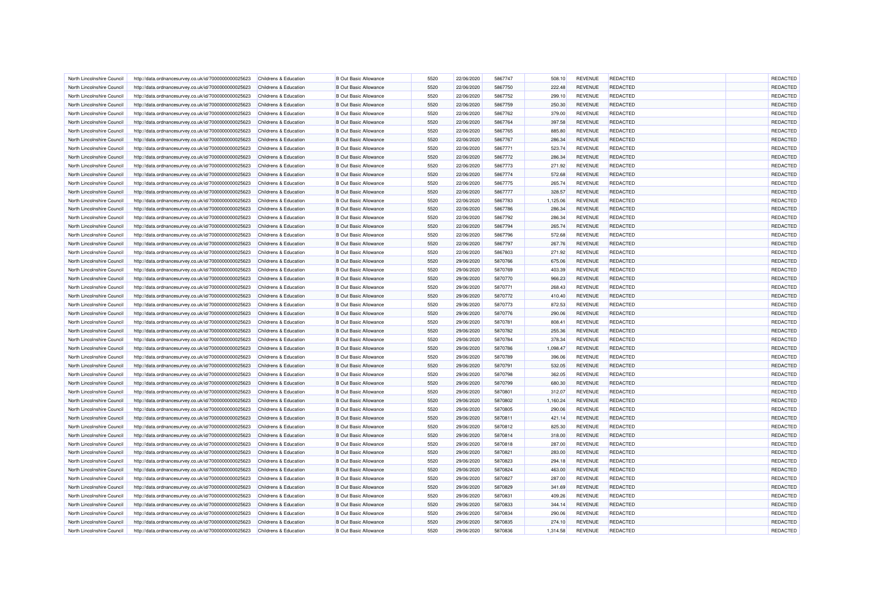| North Lincolnshire Council                               | http://data.ordnancesurvey.co.uk/id/7000000000025623                                                         | Childrens & Education            | <b>B Out Basic Allowance</b>                                 | 5520         | 22/06/2020               | 5867747            | 508.10             | <b>REVENUE</b>                   | <b>REDACTED</b>                    | <b>REDACTED</b>      |
|----------------------------------------------------------|--------------------------------------------------------------------------------------------------------------|----------------------------------|--------------------------------------------------------------|--------------|--------------------------|--------------------|--------------------|----------------------------------|------------------------------------|----------------------|
| North Lincolnshire Council                               | http://data.ordnancesurvey.co.uk/id/7000000000025623                                                         | Childrens & Education            | <b>B Out Basic Allowance</b>                                 | 5520         | 22/06/2020               | 5867750            | 222.48             | <b>REVENUE</b>                   | <b>REDACTED</b>                    | REDACTED             |
| North Lincolnshire Council                               | http://data.ordnancesurvey.co.uk/id/7000000000025623                                                         | Childrens & Education            | <b>B Out Basic Allowance</b>                                 | 5520         | 22/06/2020               | 5867752            | 299.10             | <b>REVENUE</b>                   | <b>REDACTED</b>                    | <b>REDACTED</b>      |
| North Lincolnshire Council                               | http://data.ordnancesurvey.co.uk/id/7000000000025623                                                         | Childrens & Education            | <b>B Out Basic Allowance</b>                                 | 5520         | 22/06/2020               | 5867759            | 250.30             | <b>REVENUE</b>                   | REDACTED                           | <b>REDACTED</b>      |
| North Lincolnshire Council                               | http://data.ordnancesurvey.co.uk/id/7000000000025623                                                         | Childrens & Education            | <b>B Out Basic Allowance</b>                                 | 5520         | 22/06/2020               | 5867762            | 379.00             | <b>REVENUE</b>                   | <b>REDACTED</b>                    | REDACTED             |
| North Lincolnshire Council                               | http://data.ordnancesurvey.co.uk/id/7000000000025623                                                         | Childrens & Education            | <b>B Out Basic Allowance</b>                                 | 5520         | 22/06/2020               | 5867764            | 397.58             | <b>REVENUE</b>                   | <b>REDACTED</b>                    | REDACTED             |
| North Lincolnshire Council                               | http://data.ordnancesurvey.co.uk/id/7000000000025623                                                         | Childrens & Education            | <b>B Out Basic Allowance</b>                                 | 5520         | 22/06/2020               | 5867765            | 885.80             | <b>REVENUE</b>                   | <b>REDACTED</b>                    | REDACTED             |
| North Lincolnshire Council                               | http://data.ordnancesurvey.co.uk/id/7000000000025623                                                         | Childrens & Education            | <b>B Out Basic Allowance</b>                                 | 5520         | 22/06/2020               | 5867767            | 286.34             | <b>REVENUE</b>                   | <b>REDACTED</b>                    | REDACTED             |
| North Lincolnshire Council                               | http://data.ordnancesurvey.co.uk/id/7000000000025623                                                         | Childrens & Education            | <b>B Out Basic Allowance</b>                                 | 5520         | 22/06/2020               | 5867771            | 523.74             | <b>REVENUE</b>                   | REDACTED                           | REDACTED             |
| North Lincolnshire Counci                                | http://data.ordnancesurvey.co.uk/id/7000000000025623                                                         | Childrens & Education            | <b>B Out Basic Allowance</b>                                 | 5520         | 22/06/2020               | 5867772            | 286.34             | <b>REVENUE</b>                   | <b>REDACTED</b>                    | REDACTED             |
| North Lincolnshire Council                               | http://data.ordnancesurvey.co.uk/id/7000000000025623                                                         | <b>Childrens &amp; Education</b> | <b>B Out Basic Allowance</b>                                 | 5520         | 22/06/2020               | 5867773            | 271.92             | <b>REVENUE</b>                   | <b>REDACTED</b>                    | REDACTED             |
| North Lincolnshire Council                               | http://data.ordnancesurvey.co.uk/id/7000000000025623                                                         | Childrens & Education            | <b>B Out Basic Allowance</b>                                 | 5520         | 22/06/2020               | 5867774            | 572.68             | <b>REVENUE</b>                   | REDACTED                           | REDACTED             |
| North Lincolnshire Council                               | http://data.ordnancesurvey.co.uk/id/7000000000025623                                                         | Childrens & Education            | <b>B Out Basic Allowance</b>                                 | 5520         | 22/06/2020               | 5867775            | 265.74             | <b>REVENUE</b>                   | <b>REDACTED</b>                    | REDACTED             |
| North Lincolnshire Council                               | http://data.ordnancesurvey.co.uk/id/7000000000025623                                                         | Childrens & Education            | <b>B Out Basic Allowance</b>                                 | 5520         | 22/06/2020               | 5867777            | 328.57             | <b>REVENUE</b>                   | <b>REDACTED</b>                    | REDACTED             |
| North Lincolnshire Council                               | http://data.ordnancesurvey.co.uk/id/7000000000025623                                                         | Childrens & Education            | <b>B Out Basic Allowance</b>                                 | 5520         | 22/06/2020               | 5867783            | 1,125.06           | <b>REVENUE</b>                   | <b>REDACTED</b>                    | REDACTED             |
| North Lincolnshire Council                               | http://data.ordnancesurvey.co.uk/id/7000000000025623                                                         | Childrens & Education            | <b>B Out Basic Allowance</b>                                 | 5520         | 22/06/2020               | 5867786            | 286.34             | <b>REVENUE</b>                   | <b>REDACTED</b>                    | REDACTED             |
| North Lincolnshire Council                               | http://data.ordnancesurvey.co.uk/id/7000000000025623                                                         | Childrens & Education            | <b>B Out Basic Allowance</b>                                 | 5520         | 22/06/2020               | 5867792            | 286.34             | <b>REVENUE</b>                   | <b>REDACTED</b>                    | REDACTED             |
| North Lincolnshire Council                               | http://data.ordnancesurvey.co.uk/id/7000000000025623                                                         | <b>Childrens &amp; Education</b> | <b>B Out Basic Allowance</b>                                 | 5520         | 22/06/2020               | 5867794            | 265.74             | <b>REVENUE</b>                   | <b>REDACTED</b>                    | REDACTED             |
| North Lincolnshire Council                               | http://data.ordnancesurvey.co.uk/id/7000000000025623                                                         | Childrens & Education            | <b>B Out Basic Allowance</b>                                 | 5520         | 22/06/2020               | 5867796            | 572.68             | <b>REVENUE</b>                   | <b>REDACTED</b>                    | REDACTED             |
| North Lincolnshire Council                               | http://data.ordnancesurvey.co.uk/id/7000000000025623                                                         | <b>Childrens &amp; Education</b> | <b>B Out Basic Allowance</b>                                 | 5520         | 22/06/2020               | 5867797            | 267.76             | <b>REVENUE</b>                   | <b>REDACTED</b>                    | REDACTED             |
| North Lincolnshire Council                               | http://data.ordnancesurvey.co.uk/id/7000000000025623                                                         | Childrens & Education            | <b>B Out Basic Allowance</b>                                 | 5520         | 22/06/2020               | 5867803            | 271.92             | <b>REVENUE</b>                   | <b>REDACTED</b>                    | REDACTED             |
| North Lincolnshire Council                               | http://data.ordnancesurvey.co.uk/id/7000000000025623                                                         | Childrens & Education            | <b>B Out Basic Allowance</b>                                 | 5520         | 29/06/2020               | 5870766            | 675.06             | <b>REVENUE</b>                   | <b>REDACTED</b>                    | REDACTED             |
| North Lincolnshire Council                               | http://data.ordnancesurvey.co.uk/id/7000000000025623                                                         | Childrens & Education            | <b>B Out Basic Allowance</b>                                 | 5520         | 29/06/2020               | 5870769            | 403.39             | <b>REVENUE</b>                   | <b>REDACTED</b>                    | REDACTED             |
| North Lincolnshire Council                               | http://data.ordnancesurvey.co.uk/id/7000000000025623                                                         | Childrens & Education            | <b>B Out Basic Allowance</b>                                 | 5520         | 29/06/2020               | 5870770            | 966.23             | <b>REVENUE</b>                   | <b>REDACTED</b>                    | REDACTED             |
| North Lincolnshire Council                               | http://data.ordnancesurvey.co.uk/id/7000000000025623                                                         | Childrens & Education            | <b>B Out Basic Allowance</b>                                 | 5520         | 29/06/2020               | 5870771            | 268.43             | <b>REVENUE</b>                   | REDACTED                           | <b>REDACTED</b>      |
| North Lincolnshire Council                               | http://data.ordnancesurvey.co.uk/id/7000000000025623                                                         | <b>Childrens &amp; Education</b> | <b>B Out Basic Allowance</b>                                 | 5520         | 29/06/2020               | 5870772            | 410.40             | <b>REVENUE</b>                   | <b>REDACTED</b>                    | REDACTED             |
| North Lincolnshire Council                               | http://data.ordnancesurvey.co.uk/id/7000000000025623                                                         | Childrens & Education            | <b>B Out Basic Allowance</b>                                 | 5520         | 29/06/2020               | 5870773            | 872.53             | <b>REVENUE</b>                   | REDACTED                           | REDACTED             |
| North Lincolnshire Council                               | http://data.ordnancesurvey.co.uk/id/7000000000025623                                                         | Childrens & Education            | <b>B Out Basic Allowance</b>                                 | 5520         | 29/06/2020               | 5870776            | 290.06             | <b>REVENUE</b>                   | <b>REDACTED</b>                    | REDACTED             |
| North Lincolnshire Council                               |                                                                                                              | Childrens & Education            | <b>B Out Basic Allowance</b>                                 | 5520         | 29/06/2020               | 5870781            | 808.41             | <b>REVENUE</b>                   | <b>REDACTED</b>                    | REDACTED             |
| North Lincolnshire Council                               | http://data.ordnancesurvey.co.uk/id/7000000000025623<br>http://data.ordnancesurvey.co.uk/id/7000000000025623 | <b>Childrens &amp; Education</b> | <b>B Out Basic Allowance</b>                                 | 5520         | 29/06/2020               | 5870782            | 255.36             | <b>REVENUE</b>                   | REDACTED                           | REDACTED             |
| North Lincolnshire Council                               | http://data.ordnancesurvey.co.uk/id/7000000000025623                                                         | Childrens & Education            | <b>B Out Basic Allowance</b>                                 | 5520         | 29/06/2020               | 5870784            |                    | <b>REVENUE</b>                   | <b>REDACTED</b>                    | REDACTED             |
| North Lincolnshire Council                               | http://data.ordnancesurvey.co.uk/id/7000000000025623                                                         | <b>Childrens &amp; Education</b> | <b>B Out Basic Allowance</b>                                 | 5520         | 29/06/2020               | 5870786            | 378.34<br>1,098.47 | <b>REVENUE</b>                   | <b>REDACTED</b>                    | REDACTED             |
| North Lincolnshire Council                               | http://data.ordnancesurvey.co.uk/id/7000000000025623                                                         | Childrens & Education            | <b>B Out Basic Allowance</b>                                 | 5520         | 29/06/2020               | 5870789            | 396.06             | <b>REVENUE</b>                   | <b>REDACTED</b>                    | <b>REDACTED</b>      |
| North Lincolnshire Council                               | http://data.ordnancesurvey.co.uk/id/7000000000025623                                                         | Childrens & Education            | <b>B Out Basic Allowance</b>                                 | 5520         | 29/06/2020               | 5870791            | 532.05             | <b>REVENUE</b>                   | <b>REDACTED</b>                    | REDACTED             |
|                                                          |                                                                                                              |                                  | <b>B Out Basic Allowance</b>                                 | 5520         |                          | 5870798            |                    | <b>REVENUE</b>                   | REDACTED                           | REDACTED             |
| North Lincolnshire Council                               | http://data.ordnancesurvey.co.uk/id/7000000000025623                                                         | Childrens & Education            |                                                              |              | 29/06/2020               |                    | 362.05             |                                  |                                    |                      |
| North Lincolnshire Council                               | http://data.ordnancesurvey.co.uk/id/7000000000025623                                                         | Childrens & Education            | <b>B Out Basic Allowance</b>                                 | 5520         | 29/06/2020               | 5870799            | 680.30             | <b>REVENUE</b>                   | REDACTED                           | <b>REDACTED</b>      |
| North Lincolnshire Council<br>North Lincolnshire Council | http://data.ordnancesurvey.co.uk/id/7000000000025623                                                         | Childrens & Education            | <b>B Out Basic Allowance</b><br><b>B Out Basic Allowance</b> | 5520<br>5520 | 29/06/2020<br>29/06/2020 | 5870801<br>5870802 | 312.07             | <b>REVENUE</b><br><b>REVENUE</b> | <b>REDACTED</b><br><b>REDACTED</b> | REDACTED<br>REDACTED |
|                                                          | http://data.ordnancesurvey.co.uk/id/7000000000025623                                                         | Childrens & Education            |                                                              |              |                          |                    | 1,160.24           |                                  |                                    |                      |
| North Lincolnshire Council                               | http://data.ordnancesurvey.co.uk/id/7000000000025623                                                         | Childrens & Education            | <b>B Out Basic Allowance</b>                                 | 5520         | 29/06/2020               | 5870805            | 290.06             | <b>REVENUE</b>                   | <b>REDACTED</b>                    | REDACTED             |
| North Lincolnshire Council                               | http://data.ordnancesurvey.co.uk/id/7000000000025623                                                         | Childrens & Education            | <b>B Out Basic Allowance</b>                                 | 5520         | 29/06/2020               | 5870811            | 421.14             | <b>REVENUE</b>                   | <b>REDACTED</b>                    | REDACTED             |
| North Lincolnshire Council                               | http://data.ordnancesurvey.co.uk/id/7000000000025623                                                         | Childrens & Education            | <b>B Out Basic Allowance</b>                                 | 5520         | 29/06/2020               | 5870812            | 825.30             | <b>REVENUE</b>                   | <b>REDACTED</b>                    | REDACTED             |
| North Lincolnshire Council                               | http://data.ordnancesurvey.co.uk/id/7000000000025623                                                         | Childrens & Education            | <b>B Out Basic Allowance</b>                                 | 5520         | 29/06/2020               | 5870814            | 318.00             | <b>REVENUE</b>                   | <b>REDACTED</b>                    | REDACTED             |
| North Lincolnshire Council                               | http://data.ordnancesurvey.co.uk/id/7000000000025623                                                         | <b>Childrens &amp; Education</b> | <b>B Out Basic Allowance</b>                                 | 5520         | 29/06/2020               | 5870818            | 287.00             | <b>REVENUE</b>                   | <b>REDACTED</b>                    | REDACTED             |
| North Lincolnshire Council                               | http://data.ordnancesurvey.co.uk/id/7000000000025623                                                         | Childrens & Education            | <b>B Out Basic Allowance</b>                                 | 5520         | 29/06/2020               | 5870821            | 283.00             | <b>REVENUE</b>                   | <b>REDACTED</b>                    | REDACTED             |
| North Lincolnshire Council                               | http://data.ordnancesurvey.co.uk/id/7000000000025623                                                         | Childrens & Education            | <b>B Out Basic Allowance</b>                                 | 5520         | 29/06/2020               | 5870823            | 294.18             | <b>REVENUE</b>                   | <b>REDACTED</b>                    | REDACTED             |
| North Lincolnshire Council                               | http://data.ordnancesurvey.co.uk/id/7000000000025623                                                         | Childrens & Education            | <b>B Out Basic Allowance</b>                                 | 5520         | 29/06/2020               | 5870824            | 463.00             | <b>REVENUE</b>                   | <b>REDACTED</b>                    | <b>REDACTED</b>      |
| North Lincolnshire Council                               | http://data.ordnancesurvey.co.uk/id/7000000000025623                                                         | Childrens & Education            | <b>B Out Basic Allowance</b>                                 | 5520         | 29/06/2020               | 5870827            | 287.00             | <b>REVENUE</b>                   | REDACTED                           | <b>REDACTED</b>      |
| North Lincolnshire Council                               | http://data.ordnancesurvey.co.uk/id/7000000000025623                                                         | Childrens & Education            | <b>B Out Basic Allowance</b>                                 | 5520         | 29/06/2020               | 5870829            | 341.69             | <b>REVENUE</b>                   | <b>REDACTED</b>                    | REDACTED             |
| North Lincolnshire Council                               | http://data.ordnancesurvey.co.uk/id/7000000000025623                                                         | Childrens & Education            | <b>B Out Basic Allowance</b>                                 | 5520         | 29/06/2020               | 5870831            | 409.26             | <b>REVENUE</b>                   | <b>REDACTED</b>                    | REDACTED             |
| North Lincolnshire Council                               | http://data.ordnancesurvey.co.uk/id/7000000000025623                                                         | Childrens & Education            | <b>B Out Basic Allowance</b>                                 | 5520         | 29/06/2020               | 5870833            | 344.14             | <b>REVENUE</b>                   | <b>REDACTED</b>                    | REDACTED             |
| North Lincolnshire Council                               | http://data.ordnancesurvey.co.uk/id/7000000000025623                                                         | Childrens & Education            | <b>B Out Basic Allowance</b>                                 | 5520         | 29/06/2020               | 5870834            | 290.06             | <b>REVENUE</b>                   | <b>REDACTED</b>                    | <b>REDACTED</b>      |
| North Lincolnshire Council                               | http://data.ordnancesurvey.co.uk/id/7000000000025623                                                         | Childrens & Education            | <b>B Out Basic Allowance</b>                                 | 5520         | 29/06/2020               | 5870835            | 274.10             | <b>REVENUE</b>                   | REDACTED                           | <b>REDACTED</b>      |
| North Lincolnshire Council                               | http://data.ordnancesurvey.co.uk/id/7000000000025623                                                         | Childrens & Education            | <b>B Out Basic Allowance</b>                                 | 5520         | 29/06/2020               | 5870836            | 1,314.58           | <b>REVENUE</b>                   | <b>REDACTED</b>                    | REDACTED             |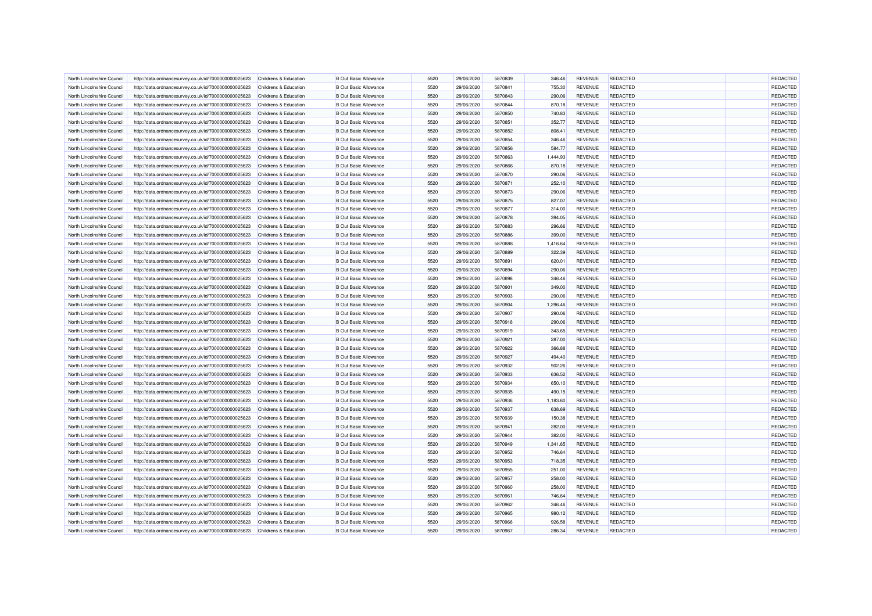| North Lincolnshire Council | http://data.ordnancesurvey.co.uk/id/7000000000025623 | Childrens & Education            | <b>B Out Basic Allowance</b> | 5520 | 29/06/2020 | 5870839 | 346.46   | <b>REVENUE</b> | <b>REDACTED</b> | REDACTED        |
|----------------------------|------------------------------------------------------|----------------------------------|------------------------------|------|------------|---------|----------|----------------|-----------------|-----------------|
| North Lincolnshire Council | http://data.ordnancesurvey.co.uk/id/7000000000025623 | Childrens & Education            | <b>B</b> Out Basic Allowance | 5520 | 29/06/2020 | 5870841 | 755.30   | <b>REVENUE</b> | <b>REDACTED</b> | <b>REDACTED</b> |
| North Lincolnshire Council | http://data.ordnancesurvey.co.uk/id/7000000000025623 | Childrens & Education            | <b>B Out Basic Allowance</b> | 5520 | 29/06/2020 | 5870843 | 290.06   | <b>REVENUE</b> | <b>REDACTED</b> | <b>REDACTED</b> |
| North Lincolnshire Counci  | http://data.ordnancesurvey.co.uk/id/7000000000025623 | Childrens & Education            | <b>B</b> Out Basic Allowance | 5520 | 29/06/2020 | 5870844 | 870.18   | <b>REVENUE</b> | REDACTED        | REDACTED        |
| North Lincolnshire Council | http://data.ordnancesurvey.co.uk/id/7000000000025623 | Childrens & Education            | <b>B Out Basic Allowance</b> | 5520 | 29/06/2020 | 5870850 | 740.83   | <b>REVENUE</b> | <b>REDACTED</b> | REDACTED        |
| North Lincolnshire Council | http://data.ordnancesurvey.co.uk/id/7000000000025623 | Childrens & Education            | <b>B Out Basic Allowance</b> | 5520 | 29/06/2020 | 5870851 | 352.77   | <b>REVENUE</b> | REDACTED        | REDACTED        |
| North Lincolnshire Council | http://data.ordnancesurvey.co.uk/id/7000000000025623 | <b>Childrens &amp; Education</b> | <b>B Out Basic Allowance</b> | 5520 | 29/06/2020 | 5870852 | 808.41   | <b>REVENUE</b> | <b>REDACTED</b> | REDACTED        |
| North Lincolnshire Council | http://data.ordnancesurvey.co.uk/id/7000000000025623 | Childrens & Education            | <b>B</b> Out Basic Allowance | 5520 | 29/06/2020 | 5870854 | 346.46   | <b>REVENUE</b> | <b>REDACTED</b> | REDACTED        |
| North Lincolnshire Council | http://data.ordnancesurvey.co.uk/id/7000000000025623 | Childrens & Education            | <b>B Out Basic Allowance</b> | 5520 | 29/06/2020 | 5870856 | 584.77   | <b>REVENUE</b> | REDACTED        | REDACTED        |
| North Lincolnshire Council | http://data.ordnancesurvey.co.uk/id/7000000000025623 | Childrens & Education            | <b>B Out Basic Allowance</b> | 5520 | 29/06/2020 | 5870863 | 1,444.93 | <b>REVENUE</b> | <b>REDACTED</b> | REDACTED        |
| North Lincolnshire Council | http://data.ordnancesurvey.co.uk/id/7000000000025623 | Childrens & Education            | <b>B Out Basic Allowance</b> | 5520 | 29/06/2020 | 5870866 | 870.18   | <b>REVENUE</b> | REDACTED        | REDACTED        |
| North Lincolnshire Council | http://data.ordnancesurvey.co.uk/id/7000000000025623 | Childrens & Education            | <b>B Out Basic Allowance</b> | 5520 | 29/06/2020 | 5870870 | 290.06   | <b>REVENUE</b> | REDACTED        | REDACTED        |
| North Lincolnshire Council | http://data.ordnancesurvey.co.uk/id/7000000000025623 | Childrens & Education            | <b>B Out Basic Allowance</b> | 5520 | 29/06/2020 | 5870871 | 252.10   | <b>REVENUE</b> | <b>REDACTED</b> | REDACTED        |
| North Lincolnshire Council | http://data.ordnancesurvey.co.uk/id/7000000000025623 | Childrens & Education            | <b>B Out Basic Allowance</b> | 5520 | 29/06/2020 | 5870873 | 290.06   | <b>REVENUE</b> | REDACTED        | REDACTED        |
| North Lincolnshire Council | http://data.ordnancesurvey.co.uk/id/7000000000025623 | Childrens & Education            | <b>B Out Basic Allowance</b> | 5520 | 29/06/2020 | 5870875 | 827.07   | <b>REVENUE</b> | <b>REDACTED</b> | <b>REDACTED</b> |
| North Lincolnshire Council | http://data.ordnancesurvey.co.uk/id/7000000000025623 | Childrens & Education            | <b>B Out Basic Allowance</b> | 5520 | 29/06/2020 | 5870877 | 314.00   | <b>REVENUE</b> | <b>REDACTED</b> | REDACTED        |
| North Lincolnshire Council | http://data.ordnancesurvey.co.uk/id/7000000000025623 | <b>Childrens &amp; Education</b> | <b>B Out Basic Allowance</b> | 5520 | 29/06/2020 | 5870878 | 394.05   | <b>REVENUE</b> | <b>REDACTED</b> | REDACTED        |
| North Lincolnshire Council | http://data.ordnancesurvey.co.uk/id/7000000000025623 | Childrens & Education            | <b>B Out Basic Allowance</b> | 5520 | 29/06/2020 | 5870883 | 296.66   | <b>REVENUE</b> | <b>REDACTED</b> | REDACTED        |
| North Lincolnshire Council | http://data.ordnancesurvey.co.uk/id/7000000000025623 | Childrens & Education            | <b>B Out Basic Allowance</b> | 5520 | 29/06/2020 | 5870886 | 399.00   | <b>REVENUE</b> | <b>REDACTED</b> | <b>REDACTED</b> |
| North Lincolnshire Council | http://data.ordnancesurvey.co.uk/id/7000000000025623 | Childrens & Education            | <b>B Out Basic Allowance</b> | 5520 | 29/06/2020 | 5870888 | 1,416.64 | <b>REVENUE</b> | <b>REDACTED</b> | REDACTED        |
| North Lincolnshire Council | http://data.ordnancesurvey.co.uk/id/7000000000025623 | Childrens & Education            | <b>B Out Basic Allowance</b> | 5520 | 29/06/2020 | 5870889 | 322.39   | <b>REVENUE</b> | <b>REDACTED</b> | REDACTED        |
| North Lincolnshire Council | http://data.ordnancesurvey.co.uk/id/7000000000025623 | Childrens & Education            | <b>B Out Basic Allowance</b> | 5520 | 29/06/2020 | 5870891 | 620.01   | <b>REVENUE</b> | <b>REDACTED</b> | <b>REDACTED</b> |
| North Lincolnshire Council |                                                      |                                  | <b>B Out Basic Allowance</b> | 5520 | 29/06/2020 | 5870894 | 290.06   | <b>REVENUE</b> | REDACTED        | REDACTED        |
|                            | http://data.ordnancesurvey.co.uk/id/7000000000025623 | Childrens & Education            |                              |      |            |         |          |                |                 |                 |
| North Lincolnshire Council | http://data.ordnancesurvey.co.uk/id/7000000000025623 | Childrens & Education            | <b>B Out Basic Allowance</b> | 5520 | 29/06/2020 | 5870898 | 346.46   | <b>REVENUE</b> | REDACTED        | REDACTED        |
| North Lincolnshire Council | http://data.ordnancesurvey.co.uk/id/7000000000025623 | <b>Childrens &amp; Education</b> | <b>B Out Basic Allowance</b> | 5520 | 29/06/2020 | 5870901 | 349.00   | <b>REVENUE</b> | REDACTED        | REDACTED        |
| North Lincolnshire Council | http://data.ordnancesurvey.co.uk/id/7000000000025623 | Childrens & Education            | <b>B Out Basic Allowance</b> | 5520 | 29/06/2020 | 5870903 | 290.06   | <b>REVENUE</b> | <b>REDACTED</b> | REDACTED        |
| North Lincolnshire Council | http://data.ordnancesurvey.co.uk/id/7000000000025623 | Childrens & Education            | <b>B Out Basic Allowance</b> | 5520 | 29/06/2020 | 5870904 | 1,296.46 | <b>REVENUE</b> | <b>REDACTED</b> | REDACTED        |
| North Lincolnshire Council | http://data.ordnancesurvey.co.uk/id/7000000000025623 | Childrens & Education            | <b>B Out Basic Allowance</b> | 5520 | 29/06/2020 | 5870907 | 290.06   | <b>REVENUE</b> | REDACTED        | REDACTED        |
| North Lincolnshire Council | http://data.ordnancesurvey.co.uk/id/7000000000025623 | Childrens & Education            | <b>B Out Basic Allowance</b> | 5520 | 29/06/2020 | 5870916 | 290.06   | <b>REVENUE</b> | <b>REDACTED</b> | REDACTED        |
| North Lincolnshire Council | http://data.ordnancesurvey.co.uk/id/7000000000025623 | Childrens & Education            | <b>B Out Basic Allowance</b> | 5520 | 29/06/2020 | 5870919 | 343.65   | <b>REVENUE</b> | <b>REDACTED</b> | REDACTED        |
| North Lincolnshire Council | http://data.ordnancesurvey.co.uk/id/7000000000025623 | <b>Childrens &amp; Education</b> | <b>B Out Basic Allowance</b> | 5520 | 29/06/2020 | 5870921 | 287.00   | <b>REVENUE</b> | <b>REDACTED</b> | REDACTED        |
| North Lincolnshire Council | http://data.ordnancesurvey.co.uk/id/7000000000025623 | Childrens & Education            | <b>B Out Basic Allowance</b> | 5520 | 29/06/2020 | 5870922 | 366.88   | <b>REVENUE</b> | <b>REDACTED</b> | REDACTED        |
| North Lincolnshire Council | http://data.ordnancesurvey.co.uk/id/7000000000025623 | Childrens & Education            | <b>B Out Basic Allowance</b> | 5520 | 29/06/2020 | 5870927 | 494.40   | <b>REVENUE</b> | REDACTED        | REDACTED        |
| North Lincolnshire Council | http://data.ordnancesurvey.co.uk/id/7000000000025623 | Childrens & Education            | <b>B Out Basic Allowance</b> | 5520 | 29/06/2020 | 5870932 | 902.26   | <b>REVENUE</b> | <b>REDACTED</b> | REDACTED        |
| North Lincolnshire Council | http://data.ordnancesurvey.co.uk/id/7000000000025623 | Childrens & Education            | <b>B Out Basic Allowance</b> | 5520 | 29/06/2020 | 5870933 | 636.52   | <b>REVENUE</b> | <b>REDACTED</b> | REDACTED        |
| North Lincolnshire Council | http://data.ordnancesurvey.co.uk/id/7000000000025623 | Childrens & Education            | <b>B Out Basic Allowance</b> | 5520 | 29/06/2020 | 5870934 | 650.10   | <b>REVENUE</b> | <b>REDACTED</b> | REDACTED        |
| North Lincolnshire Council | http://data.ordnancesurvey.co.uk/id/7000000000025623 | Childrens & Education            | <b>B Out Basic Allowance</b> | 5520 | 29/06/2020 | 5870935 | 490.15   | <b>REVENUE</b> | <b>REDACTED</b> | <b>REDACTED</b> |
| North Lincolnshire Council | http://data.ordnancesurvey.co.uk/id/7000000000025623 | Childrens & Education            | <b>B Out Basic Allowance</b> | 5520 | 29/06/2020 | 5870936 | 1,183.60 | <b>REVENUE</b> | <b>REDACTED</b> | REDACTED        |
| North Lincolnshire Council | http://data.ordnancesurvey.co.uk/id/7000000000025623 | Childrens & Education            | <b>B Out Basic Allowance</b> | 5520 | 29/06/2020 | 5870937 | 638.69   | <b>REVENUE</b> | <b>REDACTED</b> | REDACTED        |
| North Lincolnshire Council | http://data.ordnancesurvey.co.uk/id/7000000000025623 | Childrens & Education            | <b>B Out Basic Allowance</b> | 5520 | 29/06/2020 | 5870939 | 150.38   | <b>REVENUE</b> | <b>REDACTED</b> | REDACTED        |
| North Lincolnshire Council | http://data.ordnancesurvey.co.uk/id/7000000000025623 | Childrens & Education            | <b>B Out Basic Allowance</b> | 5520 | 29/06/2020 | 5870941 | 282.00   | <b>REVENUE</b> | <b>REDACTED</b> | REDACTED        |
| North Lincolnshire Council | http://data.ordnancesurvey.co.uk/id/7000000000025623 | Childrens & Education            | <b>B Out Basic Allowance</b> | 5520 | 29/06/2020 | 5870944 | 382.00   | <b>REVENUE</b> | <b>REDACTED</b> | <b>REDACTED</b> |
| North Lincolnshire Council | http://data.ordnancesurvey.co.uk/id/7000000000025623 | Childrens & Education            | <b>B Out Basic Allowance</b> | 5520 | 29/06/2020 | 5870949 | 1,341.65 | <b>REVENUE</b> | <b>REDACTED</b> | REDACTED        |
| North Lincolnshire Council | http://data.ordnancesurvey.co.uk/id/7000000000025623 | Childrens & Education            | <b>B Out Basic Allowance</b> | 5520 | 29/06/2020 | 5870952 | 746.64   | <b>REVENUE</b> | <b>REDACTED</b> | REDACTED        |
| North Lincolnshire Council | http://data.ordnancesurvey.co.uk/id/7000000000025623 | Childrens & Education            | <b>B Out Basic Allowance</b> | 5520 | 29/06/2020 | 5870953 | 718.35   | <b>REVENUE</b> | <b>REDACTED</b> | REDACTED        |
| North Lincolnshire Council | http://data.ordnancesurvey.co.uk/id/7000000000025623 | Childrens & Education            | <b>B Out Basic Allowance</b> | 5520 | 29/06/2020 | 5870955 | 251.00   | <b>REVENUE</b> | <b>REDACTED</b> | <b>REDACTED</b> |
| North Lincolnshire Council | http://data.ordnancesurvey.co.uk/id/7000000000025623 | <b>Childrens &amp; Education</b> | <b>B Out Basic Allowance</b> | 5520 | 29/06/2020 | 5870957 | 258.00   | <b>REVENUE</b> | REDACTED        | <b>REDACTED</b> |
| North Lincolnshire Council | http://data.ordnancesurvey.co.uk/id/7000000000025623 | Childrens & Education            | <b>B Out Basic Allowance</b> | 5520 | 29/06/2020 | 5870960 | 258.00   | <b>REVENUE</b> | REDACTED        | <b>REDACTED</b> |
| North Lincolnshire Council | http://data.ordnancesurvey.co.uk/id/7000000000025623 | Childrens & Education            | <b>B Out Basic Allowance</b> | 5520 | 29/06/2020 | 5870961 | 746.64   | <b>REVENUE</b> | <b>REDACTED</b> | REDACTED        |
|                            |                                                      |                                  |                              | 5520 |            |         |          |                |                 | REDACTED        |
| North Lincolnshire Council | http://data.ordnancesurvey.co.uk/id/7000000000025623 | Childrens & Education            | <b>B Out Basic Allowance</b> |      | 29/06/2020 | 5870962 | 346.46   | <b>REVENUE</b> | <b>REDACTED</b> |                 |
| North Lincolnshire Council | http://data.ordnancesurvey.co.uk/id/7000000000025623 | Childrens & Education            | <b>B Out Basic Allowance</b> | 5520 | 29/06/2020 | 5870965 | 980.12   | <b>REVENUE</b> | <b>REDACTED</b> | REDACTED        |
| North Lincolnshire Council | http://data.ordnancesurvey.co.uk/id/7000000000025623 | Childrens & Education            | <b>B Out Basic Allowance</b> | 5520 | 29/06/2020 | 5870966 | 926.58   | <b>REVENUE</b> | REDACTED        | <b>REDACTED</b> |
| North Lincolnshire Council | http://data.ordnancesurvey.co.uk/id/7000000000025623 | Childrens & Education            | <b>B Out Basic Allowance</b> | 5520 | 29/06/2020 | 5870967 | 286.34   | <b>REVENUE</b> | <b>REDACTED</b> | REDACTED        |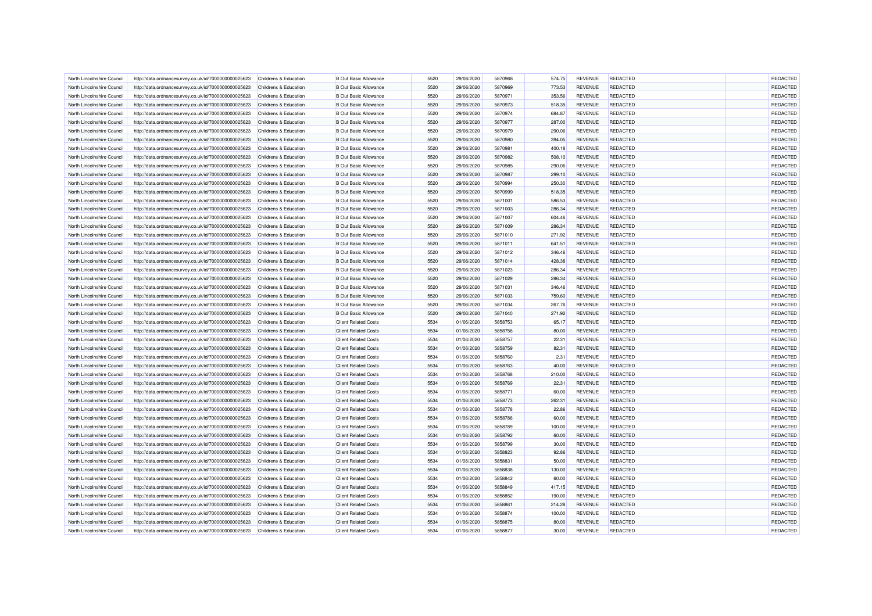| North Lincolnshire Council | http://data.ordnancesurvey.co.uk/id/7000000000025623 | Childrens & Education            | <b>B</b> Out Basic Allowance | 5520 | 29/06/2020 | 5870968 | 574.75 | <b>REVENUE</b> | REDACTED        | <b>REDACTED</b> |
|----------------------------|------------------------------------------------------|----------------------------------|------------------------------|------|------------|---------|--------|----------------|-----------------|-----------------|
| North Lincolnshire Council | http://data.ordnancesurvey.co.uk/id/7000000000025623 | Childrens & Education            | <b>B Out Basic Allowance</b> | 5520 | 29/06/2020 | 5870969 | 773.53 | <b>REVENUE</b> | REDACTED        | REDACTED        |
| North Lincolnshire Council | http://data.ordnancesurvey.co.uk/id/7000000000025623 | Childrens & Education            | <b>B Out Basic Allowance</b> | 5520 | 29/06/2020 | 5870971 | 353.56 | <b>REVENUE</b> | <b>REDACTED</b> | <b>REDACTED</b> |
| North Lincolnshire Council | http://data.ordnancesurvey.co.uk/id/7000000000025623 | Childrens & Education            | <b>B</b> Out Basic Allowance | 5520 | 29/06/2020 | 5870973 | 518.35 | <b>REVENUE</b> | REDACTED        | REDACTED        |
| North Lincolnshire Council | http://data.ordnancesurvey.co.uk/id/7000000000025623 | Childrens & Education            | <b>B Out Basic Allowance</b> | 5520 | 29/06/2020 | 5870974 | 684.87 | <b>REVENUE</b> | <b>REDACTED</b> | REDACTED        |
| North Lincolnshire Council | http://data.ordnancesurvey.co.uk/id/7000000000025623 | Childrens & Education            | <b>B Out Basic Allowance</b> | 5520 | 29/06/2020 | 5870977 | 287.00 | <b>REVENUE</b> | <b>REDACTED</b> | REDACTED        |
| North Lincolnshire Council | http://data.ordnancesurvey.co.uk/id/7000000000025623 | Childrens & Education            | <b>B Out Basic Allowance</b> | 5520 | 29/06/2020 | 5870979 | 290.06 | <b>REVENUE</b> | <b>REDACTED</b> | REDACTED        |
| North Lincolnshire Council | http://data.ordnancesurvey.co.uk/id/7000000000025623 | Childrens & Education            | <b>B Out Basic Allowance</b> | 5520 | 29/06/2020 | 5870980 | 394.05 | <b>REVENUE</b> | <b>REDACTED</b> | REDACTED        |
| North Lincolnshire Council | http://data.ordnancesurvey.co.uk/id/7000000000025623 | Childrens & Education            | <b>B Out Basic Allowance</b> | 5520 | 29/06/2020 | 5870981 | 400.18 | <b>REVENUE</b> | REDACTED        | REDACTED        |
| North Lincolnshire Council | http://data.ordnancesurvey.co.uk/id/7000000000025623 | Childrens & Education            | <b>B Out Basic Allowance</b> | 5520 | 29/06/2020 | 5870982 | 508.10 | <b>REVENUE</b> | <b>REDACTED</b> | REDACTED        |
| North Lincolnshire Council | http://data.ordnancesurvey.co.uk/id/7000000000025623 | <b>Childrens &amp; Education</b> | <b>B Out Basic Allowance</b> | 5520 | 29/06/2020 | 5870985 | 290.06 | <b>REVENUE</b> | <b>REDACTED</b> | REDACTED        |
| North Lincolnshire Council | http://data.ordnancesurvey.co.uk/id/7000000000025623 | Childrens & Education            | <b>B Out Basic Allowance</b> | 5520 | 29/06/2020 | 5870987 | 299.10 | <b>REVENUE</b> | REDACTED        | <b>REDACTED</b> |
| North Lincolnshire Council | http://data.ordnancesurvey.co.uk/id/7000000000025623 | Childrens & Education            | <b>B Out Basic Allowance</b> | 5520 | 29/06/2020 | 5870994 | 250.30 | <b>REVENUE</b> | <b>REDACTED</b> | REDACTED        |
| North Lincolnshire Council | http://data.ordnancesurvey.co.uk/id/7000000000025623 | Childrens & Education            | <b>B Out Basic Allowance</b> | 5520 | 29/06/2020 | 5870999 | 518.35 | <b>REVENUE</b> | REDACTED        | REDACTED        |
| North Lincolnshire Council | http://data.ordnancesurvey.co.uk/id/7000000000025623 | Childrens & Education            | <b>B Out Basic Allowance</b> | 5520 | 29/06/2020 | 5871001 | 586.53 | <b>REVENUE</b> | <b>REDACTED</b> | REDACTED        |
| North Lincolnshire Council | http://data.ordnancesurvey.co.uk/id/7000000000025623 | Childrens & Education            | <b>B Out Basic Allowance</b> | 5520 | 29/06/2020 | 5871003 | 286.34 | <b>REVENUE</b> | <b>REDACTED</b> | REDACTED        |
| North Lincolnshire Council | http://data.ordnancesurvey.co.uk/id/7000000000025623 | Childrens & Education            | <b>B Out Basic Allowance</b> | 5520 | 29/06/2020 | 5871007 | 604.46 | <b>REVENUE</b> | REDACTED        | REDACTED        |
| North Lincolnshire Council | http://data.ordnancesurvey.co.uk/id/7000000000025623 | <b>Childrens &amp; Education</b> | <b>B Out Basic Allowance</b> | 5520 | 29/06/2020 | 5871009 | 286.34 | <b>REVENUE</b> | <b>REDACTED</b> | REDACTED        |
| North Lincolnshire Council | http://data.ordnancesurvey.co.uk/id/7000000000025623 | Childrens & Education            | <b>B Out Basic Allowance</b> | 5520 | 29/06/2020 | 5871010 | 271.92 | <b>REVENUE</b> | <b>REDACTED</b> | REDACTED        |
| North Lincolnshire Council | http://data.ordnancesurvey.co.uk/id/7000000000025623 | <b>Childrens &amp; Education</b> | <b>B Out Basic Allowance</b> | 5520 | 29/06/2020 | 5871011 | 641.51 | <b>REVENUE</b> | <b>REDACTED</b> | REDACTED        |
| North Lincolnshire Council | http://data.ordnancesurvey.co.uk/id/7000000000025623 | Childrens & Education            | <b>B Out Basic Allowance</b> | 5520 | 29/06/2020 | 5871012 | 346.46 | <b>REVENUE</b> | <b>REDACTED</b> | REDACTED        |
| North Lincolnshire Council | http://data.ordnancesurvey.co.uk/id/7000000000025623 | Childrens & Education            | <b>B Out Basic Allowance</b> | 5520 | 29/06/2020 | 5871014 | 428.38 | <b>REVENUE</b> | <b>REDACTED</b> | REDACTED        |
| North Lincolnshire Council | http://data.ordnancesurvey.co.uk/id/7000000000025623 | Childrens & Education            | <b>B Out Basic Allowance</b> | 5520 | 29/06/2020 | 5871023 | 286.34 | <b>REVENUE</b> | <b>REDACTED</b> | REDACTED        |
| North Lincolnshire Council | http://data.ordnancesurvey.co.uk/id/7000000000025623 | Childrens & Education            | <b>B Out Basic Allowance</b> | 5520 | 29/06/2020 | 5871029 | 286.34 | <b>REVENUE</b> | <b>REDACTED</b> | REDACTED        |
| North Lincolnshire Council | http://data.ordnancesurvey.co.uk/id/7000000000025623 | Childrens & Education            | <b>B Out Basic Allowance</b> | 5520 | 29/06/2020 | 5871031 | 346.46 | <b>REVENUE</b> | REDACTED        | <b>REDACTED</b> |
| North Lincolnshire Council | http://data.ordnancesurvey.co.uk/id/7000000000025623 | <b>Childrens &amp; Education</b> | <b>B Out Basic Allowance</b> | 5520 | 29/06/2020 | 5871033 | 759.60 | <b>REVENUE</b> | <b>REDACTED</b> | REDACTED        |
| North Lincolnshire Council | http://data.ordnancesurvey.co.uk/id/7000000000025623 | Childrens & Education            | <b>B Out Basic Allowance</b> | 5520 | 29/06/2020 | 5871034 | 267.76 | <b>REVENUE</b> | REDACTED        | REDACTED        |
| North Lincolnshire Council | http://data.ordnancesurvey.co.uk/id/7000000000025623 | Childrens & Education            | <b>B Out Basic Allowance</b> | 5520 | 29/06/2020 | 5871040 | 271.92 | <b>REVENUE</b> | <b>REDACTED</b> | REDACTED        |
| North Lincolnshire Council | http://data.ordnancesurvey.co.uk/id/7000000000025623 | Childrens & Education            | <b>Client Related Costs</b>  | 5534 | 01/06/2020 | 5858753 | 65.17  | <b>REVENUE</b> | <b>REDACTED</b> | REDACTED        |
| North Lincolnshire Council | http://data.ordnancesurvey.co.uk/id/7000000000025623 | <b>Childrens &amp; Education</b> | <b>Client Related Costs</b>  | 5534 | 01/06/2020 | 5858756 | 80.00  | <b>REVENUE</b> | REDACTED        | REDACTED        |
| North Lincolnshire Council | http://data.ordnancesurvey.co.uk/id/7000000000025623 | Childrens & Education            | <b>Client Related Costs</b>  | 5534 | 01/06/2020 | 5858757 | 22.31  | <b>REVENUE</b> | <b>REDACTED</b> | REDACTED        |
| North Lincolnshire Council | http://data.ordnancesurvey.co.uk/id/7000000000025623 | <b>Childrens &amp; Education</b> | <b>Client Related Costs</b>  | 5534 | 01/06/2020 | 5858759 | 82.31  | <b>REVENUE</b> | <b>REDACTED</b> | REDACTED        |
| North Lincolnshire Council | http://data.ordnancesurvey.co.uk/id/7000000000025623 | Childrens & Education            | <b>Client Related Costs</b>  | 5534 | 01/06/2020 | 5858760 | 2.31   | <b>REVENUE</b> | <b>REDACTED</b> | <b>REDACTED</b> |
| North Lincolnshire Council | http://data.ordnancesurvey.co.uk/id/7000000000025623 | Childrens & Education            | <b>Client Related Costs</b>  | 5534 | 01/06/2020 | 5858763 | 40.00  | <b>REVENUE</b> | <b>REDACTED</b> | REDACTED        |
| North Lincolnshire Council | http://data.ordnancesurvey.co.uk/id/7000000000025623 | Childrens & Education            | <b>Client Related Costs</b>  | 5534 | 01/06/2020 | 5858768 | 210.00 | <b>REVENUE</b> | REDACTED        | REDACTED        |
| North Lincolnshire Council | http://data.ordnancesurvey.co.uk/id/7000000000025623 | Childrens & Education            | <b>Client Related Costs</b>  | 5534 | 01/06/2020 | 5858769 | 22.31  | <b>REVENUE</b> | REDACTED        | REDACTED        |
| North Lincolnshire Council | http://data.ordnancesurvey.co.uk/id/7000000000025623 | Childrens & Education            | <b>Client Related Costs</b>  | 5534 | 01/06/2020 | 5858771 | 60.00  | <b>REVENUE</b> | <b>REDACTED</b> | REDACTED        |
| North Lincolnshire Council | http://data.ordnancesurvey.co.uk/id/7000000000025623 | Childrens & Education            | <b>Client Related Costs</b>  | 5534 | 01/06/2020 | 5858773 | 262.31 | <b>REVENUE</b> | <b>REDACTED</b> | REDACTED        |
| North Lincolnshire Council | http://data.ordnancesurvey.co.uk/id/7000000000025623 | Childrens & Education            | <b>Client Related Costs</b>  | 5534 | 01/06/2020 | 5858778 | 22.86  | <b>REVENUE</b> | <b>REDACTED</b> | REDACTED        |
| North Lincolnshire Council | http://data.ordnancesurvey.co.uk/id/7000000000025623 | Childrens & Education            | <b>Client Related Costs</b>  | 5534 | 01/06/2020 | 5858786 | 60.00  | <b>REVENUE</b> | <b>REDACTED</b> | REDACTED        |
| North Lincolnshire Council | http://data.ordnancesurvey.co.uk/id/7000000000025623 | Childrens & Education            | <b>Client Related Costs</b>  | 5534 | 01/06/2020 | 5858789 | 100.00 | <b>REVENUE</b> | <b>REDACTED</b> | REDACTED        |
| North Lincolnshire Council | http://data.ordnancesurvey.co.uk/id/7000000000025623 | Childrens & Education            | <b>Client Related Costs</b>  | 5534 | 01/06/2020 | 5858792 | 60.00  | <b>REVENUE</b> | <b>REDACTED</b> | REDACTED        |
| North Lincolnshire Council | http://data.ordnancesurvey.co.uk/id/7000000000025623 | <b>Childrens &amp; Education</b> | <b>Client Related Costs</b>  | 5534 | 01/06/2020 | 5858799 | 30.00  | <b>REVENUE</b> | <b>REDACTED</b> | REDACTED        |
| North Lincolnshire Council | http://data.ordnancesurvey.co.uk/id/7000000000025623 | Childrens & Education            | <b>Client Related Costs</b>  | 5534 | 01/06/2020 | 5858823 | 92.86  | <b>REVENUE</b> | <b>REDACTED</b> | <b>REDACTED</b> |
| North Lincolnshire Council | http://data.ordnancesurvey.co.uk/id/7000000000025623 | Childrens & Education            | <b>Client Related Costs</b>  | 5534 | 01/06/2020 | 5858831 | 50.00  | <b>REVENUE</b> | <b>REDACTED</b> | <b>REDACTED</b> |
| North Lincolnshire Council | http://data.ordnancesurvey.co.uk/id/7000000000025623 | Childrens & Education            | <b>Client Related Costs</b>  | 5534 | 01/06/2020 | 5858838 | 130.00 | <b>REVENUE</b> | <b>REDACTED</b> | REDACTED        |
| North Lincolnshire Council | http://data.ordnancesurvey.co.uk/id/7000000000025623 | Childrens & Education            | <b>Client Related Costs</b>  | 5534 | 01/06/2020 | 5858842 | 60.00  | <b>REVENUE</b> | REDACTED        | REDACTED        |
| North Lincolnshire Council | http://data.ordnancesurvey.co.uk/id/7000000000025623 | Childrens & Education            | <b>Client Related Costs</b>  | 5534 | 01/06/2020 | 5858849 | 417.15 | <b>REVENUE</b> | <b>REDACTED</b> | REDACTED        |
| North Lincolnshire Council | http://data.ordnancesurvey.co.uk/id/7000000000025623 | Childrens & Education            | <b>Client Related Costs</b>  | 5534 | 01/06/2020 | 5858852 | 190.00 | <b>REVENUE</b> | <b>REDACTED</b> | REDACTED        |
| North Lincolnshire Council | http://data.ordnancesurvey.co.uk/id/7000000000025623 | <b>Childrens &amp; Education</b> | <b>Client Related Costs</b>  | 5534 | 01/06/2020 | 5858861 | 214.28 | <b>REVENUE</b> | <b>REDACTED</b> | REDACTED        |
| North Lincolnshire Council | http://data.ordnancesurvey.co.uk/id/7000000000025623 | Childrens & Education            | <b>Client Related Costs</b>  | 5534 | 01/06/2020 | 5858874 | 100.00 | <b>REVENUE</b> | <b>REDACTED</b> | <b>REDACTED</b> |
| North Lincolnshire Council | http://data.ordnancesurvey.co.uk/id/7000000000025623 | <b>Childrens &amp; Education</b> | <b>Client Related Costs</b>  | 5534 | 01/06/2020 | 5858875 | 80.00  | <b>REVENUE</b> | REDACTED        | REDACTED        |
| North Lincolnshire Council | http://data.ordnancesurvey.co.uk/id/7000000000025623 | Childrens & Education            | <b>Client Related Costs</b>  | 5534 | 01/06/2020 | 5858877 | 30.00  | <b>REVENUE</b> | <b>REDACTED</b> | REDACTED        |
|                            |                                                      |                                  |                              |      |            |         |        |                |                 |                 |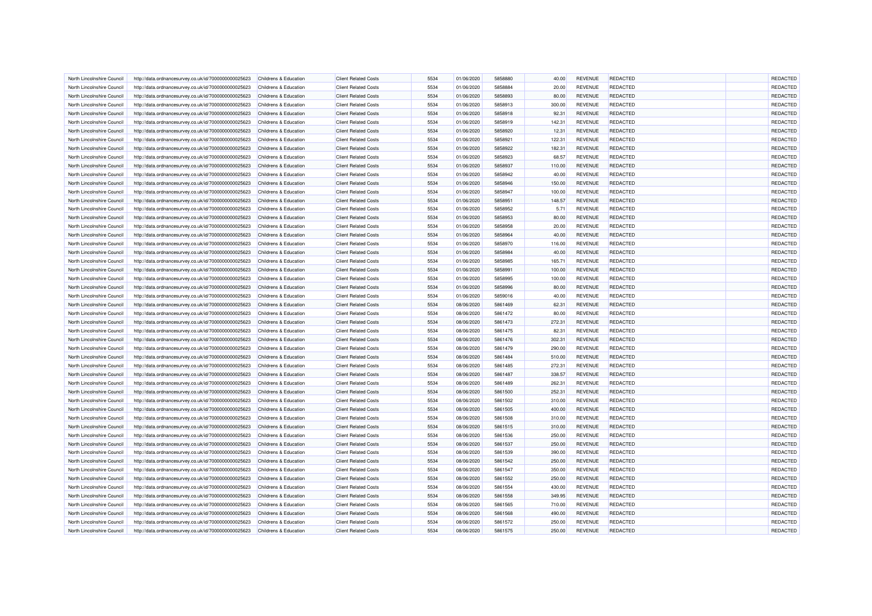| North Lincolnshire Council | http://data.ordnancesurvey.co.uk/id/7000000000025623 | Childrens & Education                                     | <b>Client Related Costs</b> | 5534 | 01/06/2020 | 5858880 | 40.00  | <b>REVENUE</b> | REDACTED        | <b>REDACTED</b> |
|----------------------------|------------------------------------------------------|-----------------------------------------------------------|-----------------------------|------|------------|---------|--------|----------------|-----------------|-----------------|
| North Lincolnshire Council | http://data.ordnancesurvey.co.uk/id/7000000000025623 | Childrens & Education                                     | <b>Client Related Costs</b> | 5534 | 01/06/2020 | 5858884 | 20.00  | <b>REVENUE</b> | <b>REDACTED</b> | <b>REDACTED</b> |
| North Lincolnshire Counci  | http://data.ordnancesurvey.co.uk/id/7000000000025623 | Childrens & Education                                     | <b>Client Related Costs</b> | 5534 | 01/06/2020 | 5858893 | 80.00  | <b>REVENUE</b> | <b>REDACTED</b> | REDACTED        |
| North Lincolnshire Council | http://data.ordnancesurvey.co.uk/id/7000000000025623 | Childrens & Education                                     | <b>Client Related Costs</b> | 5534 | 01/06/2020 | 5858913 | 300.00 | <b>REVENUE</b> | REDACTED        | REDACTED        |
| North Lincolnshire Council | http://data.ordnancesurvey.co.uk/id/7000000000025623 | Childrens & Education                                     | <b>Client Related Costs</b> | 5534 | 01/06/2020 | 5858918 | 92.31  | <b>REVENUE</b> | <b>REDACTED</b> | REDACTED        |
| North Lincolnshire Council | http://data.ordnancesurvey.co.uk/id/7000000000025623 | Childrens & Education                                     | <b>Client Related Costs</b> | 5534 | 01/06/2020 | 5858919 | 142.31 | <b>REVENUE</b> | <b>REDACTED</b> | REDACTED        |
| North Lincolnshire Council | http://data.ordnancesurvey.co.uk/id/7000000000025623 |                                                           | <b>Client Related Costs</b> | 5534 | 01/06/2020 | 5858920 | 12.31  | <b>REVENUE</b> | REDACTED        | REDACTED        |
| North Lincolnshire Council | http://data.ordnancesurvey.co.uk/id/7000000000025623 | Childrens & Education<br>Childrens & Education            | <b>Client Related Costs</b> | 5534 | 01/06/2020 | 5858921 | 122.31 | <b>REVENUE</b> | <b>REDACTED</b> | REDACTED        |
|                            |                                                      |                                                           |                             |      |            |         |        |                |                 |                 |
| North Lincolnshire Counci  | http://data.ordnancesurvey.co.uk/id/7000000000025623 | Childrens & Education                                     | <b>Client Related Costs</b> | 5534 | 01/06/2020 | 5858922 | 182.31 | <b>REVENUE</b> | REDACTED        | REDACTED        |
| North Lincolnshire Council | http://data.ordnancesurvey.co.uk/id/7000000000025623 | Childrens & Education                                     | <b>Client Related Costs</b> | 5534 | 01/06/2020 | 5858923 | 68.57  | <b>REVENUE</b> | <b>REDACTED</b> | <b>REDACTED</b> |
| North Lincolnshire Council | http://data.ordnancesurvey.co.uk/id/7000000000025623 | Childrens & Education                                     | <b>Client Related Costs</b> | 5534 | 01/06/2020 | 5858937 | 110.00 | <b>REVENUE</b> | REDACTED        | REDACTED        |
| North Lincolnshire Council | http://data.ordnancesurvey.co.uk/id/7000000000025623 | Childrens & Education                                     | <b>Client Related Costs</b> | 5534 | 01/06/2020 | 5858942 | 40.00  | <b>REVENUE</b> | REDACTED        | REDACTED        |
| North Lincolnshire Council | http://data.ordnancesurvey.co.uk/id/7000000000025623 | <b>Childrens &amp; Education</b>                          | <b>Client Related Costs</b> | 5534 | 01/06/2020 | 5858946 | 150.00 | <b>REVENUE</b> | <b>REDACTED</b> | REDACTED        |
| North Lincolnshire Council | http://data.ordnancesurvey.co.uk/id/7000000000025623 | Childrens & Education                                     | <b>Client Related Costs</b> | 5534 | 01/06/2020 | 5858947 | 100.00 | <b>REVENUE</b> | <b>REDACTED</b> | REDACTED        |
| North Lincolnshire Council | http://data.ordnancesurvey.co.uk/id/7000000000025623 | Childrens & Education                                     | <b>Client Related Costs</b> | 5534 | 01/06/2020 | 5858951 | 148.57 | <b>REVENUE</b> | <b>REDACTED</b> | REDACTED        |
| North Lincolnshire Council | http://data.ordnancesurvey.co.uk/id/7000000000025623 | Childrens & Education                                     | <b>Client Related Costs</b> | 5534 | 01/06/2020 | 5858952 | 5.71   | <b>REVENUE</b> | REDACTED        | REDACTED        |
| North Lincolnshire Council | http://data.ordnancesurvey.co.uk/id/7000000000025623 | Childrens & Education                                     | <b>Client Related Costs</b> | 5534 | 01/06/2020 | 5858953 | 80.00  | <b>REVENUE</b> | REDACTED        | REDACTED        |
| North Lincolnshire Council | http://data.ordnancesurvey.co.uk/id/7000000000025623 | Childrens & Education                                     | <b>Client Related Costs</b> | 5534 | 01/06/2020 | 5858958 | 20.00  | <b>REVENUE</b> | <b>REDACTED</b> | REDACTED        |
| North Lincolnshire Council | http://data.ordnancesurvey.co.uk/id/7000000000025623 | Childrens & Education                                     | <b>Client Related Costs</b> | 5534 | 01/06/2020 | 5858964 | 40.00  | <b>REVENUE</b> | REDACTED        | REDACTED        |
| North Lincolnshire Council | http://data.ordnancesurvey.co.uk/id/7000000000025623 | Childrens & Education                                     | <b>Client Related Costs</b> | 5534 | 01/06/2020 | 5858970 | 116.00 | <b>REVENUE</b> | <b>REDACTED</b> | REDACTED        |
| North Lincolnshire Council | http://data.ordnancesurvey.co.uk/id/7000000000025623 | Childrens & Education                                     | <b>Client Related Costs</b> | 5534 | 01/06/2020 | 5858984 | 40.00  | <b>REVENUE</b> | REDACTED        | REDACTED        |
| North Lincolnshire Council | http://data.ordnancesurvey.co.uk/id/7000000000025623 | Childrens & Education                                     | <b>Client Related Costs</b> | 5534 | 01/06/2020 | 5858985 | 165.71 | <b>REVENUE</b> | <b>REDACTED</b> | REDACTED        |
| North Lincolnshire Council | http://data.ordnancesurvey.co.uk/id/7000000000025623 | Childrens & Education                                     | <b>Client Related Costs</b> | 5534 | 01/06/2020 | 5858991 | 100.00 | <b>REVENUE</b> | <b>REDACTED</b> | REDACTED        |
| North Lincolnshire Council | http://data.ordnancesurvey.co.uk/id/7000000000025623 | Childrens & Education                                     | <b>Client Related Costs</b> | 5534 | 01/06/2020 | 5858995 | 100.00 | <b>REVENUE</b> | REDACTED        | <b>REDACTED</b> |
| North Lincolnshire Council | http://data.ordnancesurvey.co.uk/id/7000000000025623 | Childrens & Education                                     | <b>Client Related Costs</b> | 5534 | 01/06/2020 | 5858996 | 80.00  | <b>REVENUE</b> | <b>REDACTED</b> | <b>REDACTED</b> |
| North Lincolnshire Council | http://data.ordnancesurvey.co.uk/id/7000000000025623 | Childrens & Education                                     | <b>Client Related Costs</b> | 5534 | 01/06/2020 | 5859016 | 40.00  | <b>REVENUE</b> | <b>REDACTED</b> | REDACTED        |
| North Lincolnshire Council |                                                      | Childrens & Education                                     | <b>Client Related Costs</b> | 5534 | 08/06/2020 | 5861469 | 62.31  | <b>REVENUE</b> | <b>REDACTED</b> | REDACTED        |
|                            | http://data.ordnancesurvey.co.uk/id/7000000000025623 |                                                           |                             |      |            |         |        |                |                 |                 |
| North Lincolnshire Council | http://data.ordnancesurvey.co.uk/id/7000000000025623 | Childrens & Education                                     | <b>Client Related Costs</b> | 5534 | 08/06/2020 | 5861472 | 80.00  | <b>REVENUE</b> | <b>REDACTED</b> | REDACTED        |
| North Lincolnshire Council | http://data.ordnancesurvey.co.uk/id/7000000000025623 | Childrens & Education                                     | <b>Client Related Costs</b> | 5534 | 08/06/2020 | 5861473 | 272.31 | <b>REVENUE</b> | <b>REDACTED</b> | REDACTED        |
| North Lincolnshire Council | http://data.ordnancesurvey.co.uk/id/7000000000025623 | Childrens & Education                                     | <b>Client Related Costs</b> | 5534 | 08/06/2020 | 5861475 | 82.31  | <b>REVENUE</b> | <b>REDACTED</b> | REDACTED        |
| North Lincolnshire Council | http://data.ordnancesurvey.co.uk/id/7000000000025623 | Childrens & Education                                     | <b>Client Related Costs</b> | 5534 | 08/06/2020 | 5861476 | 302.31 | <b>REVENUE</b> | <b>REDACTED</b> | <b>REDACTED</b> |
| North Lincolnshire Council | http://data.ordnancesurvey.co.uk/id/7000000000025623 | Childrens & Education                                     | <b>Client Related Costs</b> | 5534 | 08/06/2020 | 5861479 | 290.00 | <b>REVENUE</b> | <b>REDACTED</b> | <b>REDACTED</b> |
| North Lincolnshire Council | http://data.ordnancesurvey.co.uk/id/7000000000025623 | Childrens & Education                                     | <b>Client Related Costs</b> | 5534 | 08/06/2020 | 5861484 | 510.00 | <b>REVENUE</b> | REDACTED        | REDACTED        |
| North Lincolnshire Council | http://data.ordnancesurvey.co.uk/id/7000000000025623 | Childrens & Education                                     | <b>Client Related Costs</b> | 5534 | 08/06/2020 | 5861485 | 272.31 | <b>REVENUE</b> | <b>REDACTED</b> | REDACTED        |
| North Lincolnshire Council | http://data.ordnancesurvey.co.uk/id/7000000000025623 | <b>Childrens &amp; Education</b>                          | <b>Client Related Costs</b> | 5534 | 08/06/2020 | 5861487 | 338.57 | <b>REVENUE</b> | <b>REDACTED</b> | REDACTED        |
| North Lincolnshire Council | http://data.ordnancesurvey.co.uk/id/7000000000025623 | Childrens & Education                                     | <b>Client Related Costs</b> | 5534 | 08/06/2020 | 5861489 | 262.31 | <b>REVENUE</b> | REDACTED        | REDACTED        |
| North Lincolnshire Council | http://data.ordnancesurvey.co.uk/id/7000000000025623 | Childrens & Education                                     | <b>Client Related Costs</b> | 5534 | 08/06/2020 | 5861500 | 252.31 | <b>REVENUE</b> | <b>REDACTED</b> | REDACTED        |
| North Lincolnshire Council | http://data.ordnancesurvey.co.uk/id/7000000000025623 | Childrens & Education                                     | <b>Client Related Costs</b> | 5534 | 08/06/2020 | 5861502 | 310.00 | <b>REVENUE</b> | <b>REDACTED</b> | REDACTED        |
| North Lincolnshire Council | http://data.ordnancesurvey.co.uk/id/7000000000025623 | Childrens & Education                                     | <b>Client Related Costs</b> | 5534 | 08/06/2020 | 5861505 | 400.00 | <b>REVENUE</b> | REDACTED        | REDACTED        |
| North Lincolnshire Council | http://data.ordnancesurvey.co.uk/id/7000000000025623 | Childrens & Education                                     | <b>Client Related Costs</b> | 5534 | 08/06/2020 | 5861508 | 310.00 | <b>REVENUE</b> | <b>REDACTED</b> | REDACTED        |
| North Lincolnshire Council | http://data.ordnancesurvey.co.uk/id/7000000000025623 | Childrens & Education                                     | <b>Client Related Costs</b> | 5534 | 08/06/2020 | 5861515 | 310.00 | <b>REVENUE</b> | <b>REDACTED</b> | REDACTED        |
| North Lincolnshire Council | http://data.ordnancesurvey.co.uk/id/7000000000025623 | Childrens & Education                                     | <b>Client Related Costs</b> | 5534 | 08/06/2020 | 5861536 | 250.00 | <b>REVENUE</b> | <b>REDACTED</b> | REDACTED        |
| North Lincolnshire Council | http://data.ordnancesurvey.co.uk/id/7000000000025623 | Childrens & Education                                     | <b>Client Related Costs</b> | 5534 | 08/06/2020 | 5861537 | 250.00 | <b>REVENUE</b> | REDACTED        | REDACTED        |
| North Lincolnshire Council | http://data.ordnancesurvey.co.uk/id/7000000000025623 | Childrens & Education                                     | <b>Client Related Costs</b> | 5534 | 08/06/2020 | 5861539 | 390.00 | <b>REVENUE</b> | REDACTED        | REDACTED        |
| North Lincolnshire Council | http://data.ordnancesurvey.co.uk/id/7000000000025623 | Childrens & Education                                     | <b>Client Related Costs</b> | 5534 | 08/06/2020 | 5861542 | 250.00 | <b>REVENUE</b> | <b>REDACTED</b> | REDACTED        |
| North Lincolnshire Council | http://data.ordnancesurvey.co.uk/id/7000000000025623 |                                                           | <b>Client Related Costs</b> | 5534 | 08/06/2020 | 5861547 | 350.00 | <b>REVENUE</b> | REDACTED        | REDACTED        |
| North Lincolnshire Council | http://data.ordnancesurvey.co.uk/id/7000000000025623 | <b>Childrens &amp; Education</b><br>Childrens & Education | <b>Client Related Costs</b> | 5534 | 08/06/2020 | 5861552 | 250.00 | <b>REVENUE</b> | <b>REDACTED</b> | <b>REDACTED</b> |
|                            |                                                      |                                                           |                             |      |            |         |        |                |                 | <b>REDACTED</b> |
| North Lincolnshire Council | http://data.ordnancesurvey.co.uk/id/7000000000025623 | Childrens & Education                                     | <b>Client Related Costs</b> | 5534 | 08/06/2020 | 5861554 | 430.00 | <b>REVENUE</b> | <b>REDACTED</b> |                 |
| North Lincolnshire Council | http://data.ordnancesurvey.co.uk/id/7000000000025623 | Childrens & Education                                     | <b>Client Related Costs</b> | 5534 | 08/06/2020 | 5861558 | 349.95 | <b>REVENUE</b> | REDACTED        | <b>REDACTED</b> |
| North Lincolnshire Council | http://data.ordnancesurvey.co.uk/id/7000000000025623 | Childrens & Education                                     | <b>Client Related Costs</b> | 5534 | 08/06/2020 | 5861565 | 710.00 | <b>REVENUE</b> | <b>REDACTED</b> | REDACTED        |
| North Lincolnshire Council | http://data.ordnancesurvey.co.uk/id/7000000000025623 | Childrens & Education                                     | <b>Client Related Costs</b> | 5534 | 08/06/2020 | 5861568 | 490.00 | <b>REVENUE</b> | REDACTED        | REDACTED        |
| North Lincolnshire Council | http://data.ordnancesurvey.co.uk/id/7000000000025623 | Childrens & Education                                     | <b>Client Related Costs</b> | 5534 | 08/06/2020 | 5861572 | 250.00 | <b>REVENUE</b> | <b>REDACTED</b> | REDACTED        |
| North Lincolnshire Council | http://data.ordnancesurvey.co.uk/id/7000000000025623 | Childrens & Education                                     | <b>Client Related Costs</b> | 5534 | 08/06/2020 | 5861575 | 250.00 | <b>REVENUE</b> | <b>REDACTED</b> | REDACTED        |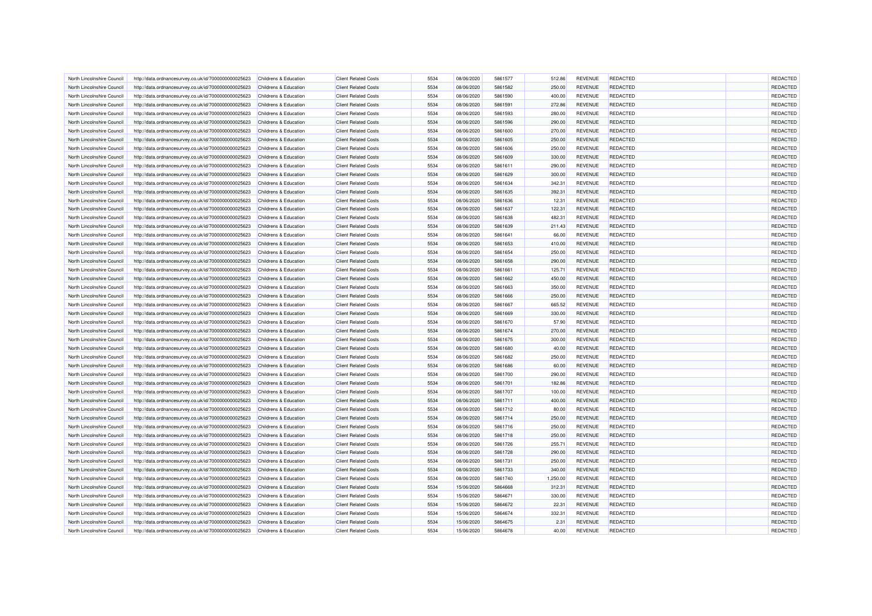| North Lincolnshire Council | http://data.ordnancesurvey.co.uk/id/7000000000025623 | Childrens & Education            | <b>Client Related Costs</b> | 5534 | 08/06/2020 | 5861577 | 512.86   | <b>REVENUE</b>                   | <b>REDACTED</b> | REDACTED        |
|----------------------------|------------------------------------------------------|----------------------------------|-----------------------------|------|------------|---------|----------|----------------------------------|-----------------|-----------------|
| North Lincolnshire Council | http://data.ordnancesurvey.co.uk/id/7000000000025623 | Childrens & Education            | <b>Client Related Costs</b> | 5534 | 08/06/2020 | 5861582 | 250.00   | <b>REVENUE</b>                   | <b>REDACTED</b> | <b>REDACTED</b> |
| North Lincolnshire Council | http://data.ordnancesurvey.co.uk/id/7000000000025623 | Childrens & Education            | <b>Client Related Costs</b> | 5534 | 08/06/2020 | 5861590 | 400.00   | <b>REVENUE</b>                   | <b>REDACTED</b> | <b>REDACTED</b> |
| North Lincolnshire Council | http://data.ordnancesurvey.co.uk/id/7000000000025623 | <b>Childrens &amp; Education</b> | <b>Client Related Costs</b> | 5534 | 08/06/2020 | 5861591 | 272.86   | <b>REVENUE</b>                   | REDACTED        | REDACTED        |
| North Lincolnshire Council |                                                      | Childrens & Education            | <b>Client Related Costs</b> | 5534 |            | 5861593 |          |                                  | <b>REDACTED</b> | REDACTED        |
|                            | http://data.ordnancesurvey.co.uk/id/7000000000025623 |                                  |                             | 5534 | 08/06/2020 |         | 280.00   | <b>REVENUE</b><br><b>REVENUE</b> | <b>REDACTED</b> | REDACTED        |
| North Lincolnshire Council | http://data.ordnancesurvey.co.uk/id/7000000000025623 | Childrens & Education            | <b>Client Related Costs</b> |      | 08/06/2020 | 5861596 | 290.00   |                                  |                 |                 |
| North Lincolnshire Council | http://data.ordnancesurvey.co.uk/id/7000000000025623 | Childrens & Education            | <b>Client Related Costs</b> | 5534 | 08/06/2020 | 5861600 | 270.00   | <b>REVENUE</b>                   | <b>REDACTED</b> | REDACTED        |
| North Lincolnshire Council | http://data.ordnancesurvey.co.uk/id/7000000000025623 | <b>Childrens &amp; Education</b> | <b>Client Related Costs</b> | 5534 | 08/06/2020 | 5861605 | 250.00   | <b>REVENUE</b>                   | <b>REDACTED</b> | REDACTED        |
| North Lincolnshire Council | http://data.ordnancesurvey.co.uk/id/7000000000025623 | Childrens & Education            | <b>Client Related Costs</b> | 5534 | 08/06/2020 | 5861606 | 250.00   | <b>REVENUE</b>                   | REDACTED        | REDACTED        |
| North Lincolnshire Council | http://data.ordnancesurvey.co.uk/id/7000000000025623 | Childrens & Education            | <b>Client Related Costs</b> | 5534 | 08/06/2020 | 5861609 | 330.00   | <b>REVENUE</b>                   | <b>REDACTED</b> | <b>REDACTED</b> |
| North Lincolnshire Council | http://data.ordnancesurvey.co.uk/id/7000000000025623 | Childrens & Education            | <b>Client Related Costs</b> | 5534 | 08/06/2020 | 5861611 | 290.00   | <b>REVENUE</b>                   | REDACTED        | <b>REDACTED</b> |
| North Lincolnshire Council | http://data.ordnancesurvey.co.uk/id/7000000000025623 | Childrens & Education            | <b>Client Related Costs</b> | 5534 | 08/06/2020 | 5861629 | 300.00   | <b>REVENUE</b>                   | REDACTED        | REDACTED        |
| North Lincolnshire Council | http://data.ordnancesurvey.co.uk/id/7000000000025623 | Childrens & Education            | <b>Client Related Costs</b> | 5534 | 08/06/2020 | 5861634 | 342.31   | <b>REVENUE</b>                   | <b>REDACTED</b> | <b>REDACTED</b> |
| North Lincolnshire Council | http://data.ordnancesurvey.co.uk/id/7000000000025623 | Childrens & Education            | <b>Client Related Costs</b> | 5534 | 08/06/2020 | 5861635 | 392.31   | <b>REVENUE</b>                   | REDACTED        | REDACTED        |
| North Lincolnshire Council | http://data.ordnancesurvey.co.uk/id/7000000000025623 | Childrens & Education            | <b>Client Related Costs</b> | 5534 | 08/06/2020 | 5861636 | 12.31    | <b>REVENUE</b>                   | <b>REDACTED</b> | REDACTED        |
| North Lincolnshire Council | http://data.ordnancesurvey.co.uk/id/7000000000025623 | Childrens & Education            | <b>Client Related Costs</b> | 5534 | 08/06/2020 | 5861637 | 122.31   | <b>REVENUE</b>                   | <b>REDACTED</b> | REDACTED        |
| North Lincolnshire Council | http://data.ordnancesurvey.co.uk/id/7000000000025623 | Childrens & Education            | <b>Client Related Costs</b> | 5534 | 08/06/2020 | 5861638 | 482.31   | <b>REVENUE</b>                   | <b>REDACTED</b> | REDACTED        |
| North Lincolnshire Council | http://data.ordnancesurvey.co.uk/id/7000000000025623 | Childrens & Education            | <b>Client Related Costs</b> | 5534 | 08/06/2020 | 5861639 | 211.43   | <b>REVENUE</b>                   | <b>REDACTED</b> | REDACTED        |
| North Lincolnshire Council | http://data.ordnancesurvey.co.uk/id/7000000000025623 | Childrens & Education            | <b>Client Related Costs</b> | 5534 | 08/06/2020 | 5861641 | 66.00    | <b>REVENUE</b>                   | REDACTED        | <b>REDACTED</b> |
| North Lincolnshire Counci  | http://data.ordnancesurvey.co.uk/id/7000000000025623 | Childrens & Education            | <b>Client Related Costs</b> | 5534 | 08/06/2020 | 5861653 | 410.00   | <b>REVENUE</b>                   | REDACTED        | REDACTED        |
| North Lincolnshire Council | http://data.ordnancesurvey.co.uk/id/7000000000025623 | Childrens & Education            | <b>Client Related Costs</b> | 5534 | 08/06/2020 | 5861654 | 250.00   | <b>REVENUE</b>                   | <b>REDACTED</b> | <b>REDACTED</b> |
| North Lincolnshire Council | http://data.ordnancesurvey.co.uk/id/7000000000025623 | Childrens & Education            | <b>Client Related Costs</b> | 5534 | 08/06/2020 | 5861658 | 290.00   | <b>REVENUE</b>                   | REDACTED        | REDACTED        |
| North Lincolnshire Council | http://data.ordnancesurvey.co.uk/id/7000000000025623 | Childrens & Education            | <b>Client Related Costs</b> | 5534 | 08/06/2020 | 5861661 | 125.71   | <b>REVENUE</b>                   | REDACTED        | REDACTED        |
| North Lincolnshire Council | http://data.ordnancesurvey.co.uk/id/7000000000025623 | Childrens & Education            | <b>Client Related Costs</b> | 5534 | 08/06/2020 | 5861662 | 450.00   | <b>REVENUE</b>                   | <b>REDACTED</b> | REDACTED        |
| North Lincolnshire Council | http://data.ordnancesurvey.co.uk/id/7000000000025623 | Childrens & Education            | <b>Client Related Costs</b> | 5534 | 08/06/2020 | 5861663 | 350.00   | <b>REVENUE</b>                   | <b>REDACTED</b> | REDACTED        |
| North Lincolnshire Counci  | http://data.ordnancesurvey.co.uk/id/7000000000025623 | Childrens & Education            | <b>Client Related Costs</b> | 5534 | 08/06/2020 | 5861666 | 250.00   | <b>REVENUE</b>                   | <b>REDACTED</b> | REDACTED        |
| North Lincolnshire Council | http://data.ordnancesurvey.co.uk/id/7000000000025623 | Childrens & Education            | <b>Client Related Costs</b> | 5534 | 08/06/2020 | 5861667 | 665.52   | <b>REVENUE</b>                   | <b>REDACTED</b> | REDACTED        |
| North Lincolnshire Council | http://data.ordnancesurvey.co.uk/id/7000000000025623 | Childrens & Education            | <b>Client Related Costs</b> | 5534 | 08/06/2020 | 5861669 | 330.00   | <b>REVENUE</b>                   | REDACTED        | REDACTED        |
| North Lincolnshire Council | http://data.ordnancesurvey.co.uk/id/7000000000025623 | Childrens & Education            | <b>Client Related Costs</b> | 5534 | 08/06/2020 | 5861670 | 57.90    | <b>REVENUE</b>                   | <b>REDACTED</b> | REDACTED        |
| North Lincolnshire Council | http://data.ordnancesurvey.co.uk/id/7000000000025623 | Childrens & Education            | <b>Client Related Costs</b> | 5534 | 08/06/2020 | 5861674 | 270.00   | <b>REVENUE</b>                   | <b>REDACTED</b> | REDACTED        |
| North Lincolnshire Council |                                                      |                                  | <b>Client Related Costs</b> | 5534 | 08/06/2020 | 5861675 | 300.00   | <b>REVENUE</b>                   | REDACTED        | REDACTED        |
|                            | http://data.ordnancesurvey.co.uk/id/7000000000025623 | Childrens & Education            |                             |      |            |         |          |                                  |                 | REDACTED        |
| North Lincolnshire Council | http://data.ordnancesurvey.co.uk/id/7000000000025623 | Childrens & Education            | <b>Client Related Costs</b> | 5534 | 08/06/2020 | 5861680 | 40.00    | <b>REVENUE</b>                   | <b>REDACTED</b> |                 |
| North Lincolnshire Council | http://data.ordnancesurvey.co.uk/id/7000000000025623 | Childrens & Education            | <b>Client Related Costs</b> | 5534 | 08/06/2020 | 5861682 | 250.00   | <b>REVENUE</b>                   | REDACTED        | REDACTED        |
| North Lincolnshire Council | http://data.ordnancesurvey.co.uk/id/7000000000025623 | Childrens & Education            | <b>Client Related Costs</b> | 5534 | 08/06/2020 | 5861686 | 60.00    | <b>REVENUE</b>                   | <b>REDACTED</b> | REDACTED        |
| North Lincolnshire Council | http://data.ordnancesurvey.co.uk/id/7000000000025623 | Childrens & Education            | <b>Client Related Costs</b> | 5534 | 08/06/2020 | 5861700 | 290.00   | <b>REVENUE</b>                   | <b>REDACTED</b> | REDACTED        |
| North Lincolnshire Council | http://data.ordnancesurvey.co.uk/id/7000000000025623 | Childrens & Education            | <b>Client Related Costs</b> | 5534 | 08/06/2020 | 5861701 | 182.86   | <b>REVENUE</b>                   | REDACTED        | REDACTED        |
| North Lincolnshire Council | http://data.ordnancesurvey.co.uk/id/7000000000025623 | Childrens & Education            | <b>Client Related Costs</b> | 5534 | 08/06/2020 | 5861707 | 100.00   | <b>REVENUE</b>                   | REDACTED        | REDACTED        |
| North Lincolnshire Council | http://data.ordnancesurvey.co.uk/id/7000000000025623 | Childrens & Education            | <b>Client Related Costs</b> | 5534 | 08/06/2020 | 5861711 | 400.00   | <b>REVENUE</b>                   | <b>REDACTED</b> | <b>REDACTED</b> |
| North Lincolnshire Council | http://data.ordnancesurvey.co.uk/id/7000000000025623 | Childrens & Education            | <b>Client Related Costs</b> | 5534 | 08/06/2020 | 5861712 | 80.00    | <b>REVENUE</b>                   | REDACTED        | REDACTED        |
| North Lincolnshire Council | http://data.ordnancesurvey.co.uk/id/7000000000025623 | Childrens & Education            | <b>Client Related Costs</b> | 5534 | 08/06/2020 | 5861714 | 250.00   | <b>REVENUE</b>                   | <b>REDACTED</b> | REDACTED        |
| North Lincolnshire Council | http://data.ordnancesurvey.co.uk/id/7000000000025623 | Childrens & Education            | <b>Client Related Costs</b> | 5534 | 08/06/2020 | 5861716 | 250.00   | <b>REVENUE</b>                   | REDACTED        | REDACTED        |
| North Lincolnshire Council | http://data.ordnancesurvey.co.uk/id/7000000000025623 | Childrens & Education            | <b>Client Related Costs</b> | 5534 | 08/06/2020 | 5861718 | 250.00   | <b>REVENUE</b>                   | <b>REDACTED</b> | REDACTED        |
| North Lincolnshire Council | http://data.ordnancesurvey.co.uk/id/7000000000025623 | Childrens & Education            | <b>Client Related Costs</b> | 5534 | 08/06/2020 | 5861726 | 255.71   | <b>REVENUE</b>                   | REDACTED        | REDACTED        |
| North Lincolnshire Council | http://data.ordnancesurvey.co.uk/id/7000000000025623 | Childrens & Education            | <b>Client Related Costs</b> | 5534 | 08/06/2020 | 5861728 | 290.00   | <b>REVENUE</b>                   | REDACTED        | REDACTED        |
| North Lincolnshire Council | http://data.ordnancesurvey.co.uk/id/7000000000025623 | Childrens & Education            | <b>Client Related Costs</b> | 5534 | 08/06/2020 | 5861731 | 250.00   | <b>REVENUE</b>                   | <b>REDACTED</b> | REDACTED        |
| North Lincolnshire Council | http://data.ordnancesurvey.co.uk/id/7000000000025623 | Childrens & Education            | <b>Client Related Costs</b> | 5534 | 08/06/2020 | 5861733 | 340.00   | <b>REVENUE</b>                   | REDACTED        | <b>REDACTED</b> |
| North Lincolnshire Council | http://data.ordnancesurvey.co.uk/id/7000000000025623 | Childrens & Education            | <b>Client Related Costs</b> | 5534 | 08/06/2020 | 5861740 | 1,250.00 | <b>REVENUE</b>                   | REDACTED        | REDACTED        |
| North Lincolnshire Council | http://data.ordnancesurvey.co.uk/id/7000000000025623 | Childrens & Education            | <b>Client Related Costs</b> | 5534 | 15/06/2020 | 5864668 | 312.31   | <b>REVENUE</b>                   | <b>REDACTED</b> | REDACTED        |
| North Lincolnshire Council | http://data.ordnancesurvey.co.uk/id/7000000000025623 | Childrens & Education            | <b>Client Related Costs</b> | 5534 | 15/06/2020 | 5864671 | 330.00   | <b>REVENUE</b>                   | REDACTED        | REDACTED        |
| North Lincolnshire Council | http://data.ordnancesurvey.co.uk/id/7000000000025623 | <b>Childrens &amp; Education</b> | <b>Client Related Costs</b> | 5534 | 15/06/2020 | 5864672 | 22.31    | <b>REVENUE</b>                   | <b>REDACTED</b> | REDACTED        |
| North Lincolnshire Council | http://data.ordnancesurvey.co.uk/id/7000000000025623 | Childrens & Education            | <b>Client Related Costs</b> | 5534 | 15/06/2020 | 5864674 | 332.31   | <b>REVENUE</b>                   | REDACTED        | REDACTED        |
| North Lincolnshire Council | http://data.ordnancesurvey.co.uk/id/7000000000025623 | <b>Childrens &amp; Education</b> | <b>Client Related Costs</b> | 5534 | 15/06/2020 | 5864675 | 2.31     | <b>REVENUE</b>                   | <b>REDACTED</b> | <b>REDACTED</b> |
| North Lincolnshire Council | http://data.ordnancesurvey.co.uk/id/7000000000025623 | Childrens & Education            | <b>Client Related Costs</b> | 5534 | 15/06/2020 | 5864678 | 40.00    | <b>REVENUE</b>                   | <b>REDACTED</b> | REDACTED        |
|                            |                                                      |                                  |                             |      |            |         |          |                                  |                 |                 |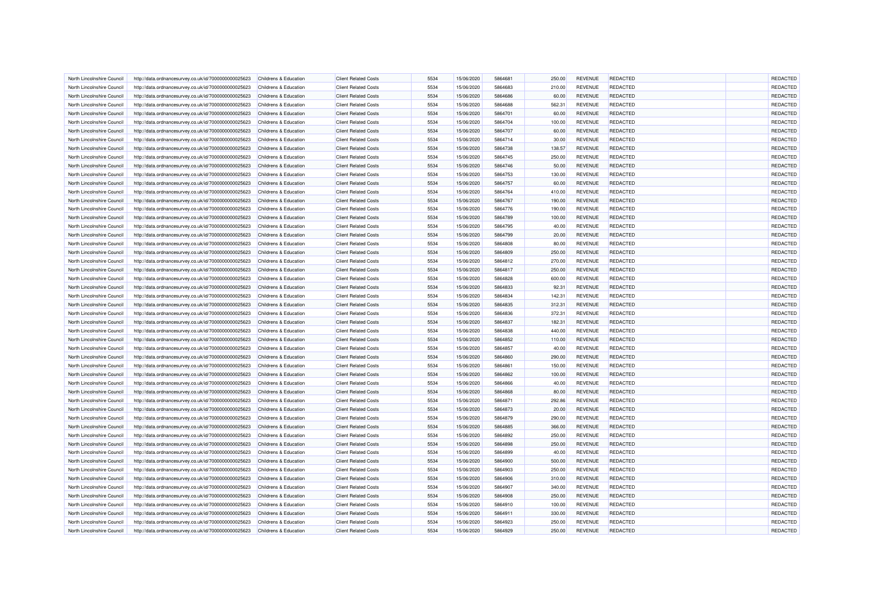| North Lincolnshire Council | http://data.ordnancesurvey.co.uk/id/7000000000025623 | Childrens & Education | <b>Client Related Costs</b> | 5534 | 15/06/2020 | 5864681 | 250.00 | <b>REVENUE</b> | REDACTED        | REDACTED        |
|----------------------------|------------------------------------------------------|-----------------------|-----------------------------|------|------------|---------|--------|----------------|-----------------|-----------------|
| North Lincolnshire Council | http://data.ordnancesurvey.co.uk/id/7000000000025623 | Childrens & Education | <b>Client Related Costs</b> | 5534 | 15/06/2020 | 5864683 | 210.00 | <b>REVENUE</b> | REDACTED        | <b>REDACTED</b> |
| North Lincolnshire Council | http://data.ordnancesurvey.co.uk/id/7000000000025623 | Childrens & Education | <b>Client Related Costs</b> | 5534 | 15/06/2020 | 5864686 | 60.00  | <b>REVENUE</b> | <b>REDACTED</b> | <b>REDACTED</b> |
| North Lincolnshire Council | http://data.ordnancesurvey.co.uk/id/7000000000025623 | Childrens & Education | <b>Client Related Costs</b> | 5534 | 15/06/2020 | 5864688 | 562.31 | <b>REVENUE</b> | REDACTED        | REDACTED        |
| North Lincolnshire Council | http://data.ordnancesurvey.co.uk/id/7000000000025623 | Childrens & Education | <b>Client Related Costs</b> | 5534 | 15/06/2020 | 5864701 | 60.00  | <b>REVENUE</b> | <b>REDACTED</b> | REDACTED        |
| North Lincolnshire Council | http://data.ordnancesurvey.co.uk/id/7000000000025623 | Childrens & Education | <b>Client Related Costs</b> | 5534 | 15/06/2020 | 5864704 | 100.00 | <b>REVENUE</b> | REDACTED        | REDACTED        |
| North Lincolnshire Council | http://data.ordnancesurvey.co.uk/id/7000000000025623 | Childrens & Education | <b>Client Related Costs</b> | 5534 | 15/06/2020 | 5864707 | 60.00  | <b>REVENUE</b> | <b>REDACTED</b> | REDACTED        |
| North Lincolnshire Council | http://data.ordnancesurvey.co.uk/id/7000000000025623 | Childrens & Education | <b>Client Related Costs</b> | 5534 | 15/06/2020 | 5864714 | 30.00  | <b>REVENUE</b> | REDACTED        | REDACTED        |
| North Lincolnshire Council | http://data.ordnancesurvey.co.uk/id/7000000000025623 | Childrens & Education | <b>Client Related Costs</b> | 5534 | 15/06/2020 | 5864738 | 138.57 | <b>REVENUE</b> | REDACTED        | REDACTED        |
| North Lincolnshire Council | http://data.ordnancesurvey.co.uk/id/7000000000025623 | Childrens & Education | <b>Client Related Costs</b> | 5534 | 15/06/2020 | 5864745 | 250.00 | <b>REVENUE</b> | <b>REDACTED</b> | REDACTED        |
| North Lincolnshire Council | http://data.ordnancesurvey.co.uk/id/7000000000025623 | Childrens & Education | <b>Client Related Costs</b> | 5534 | 15/06/2020 | 5864746 | 50.00  | <b>REVENUE</b> | REDACTED        | <b>REDACTED</b> |
| North Lincolnshire Council | http://data.ordnancesurvey.co.uk/id/7000000000025623 | Childrens & Education | <b>Client Related Costs</b> | 5534 | 15/06/2020 | 5864753 | 130.00 | <b>REVENUE</b> | REDACTED        | REDACTED        |
| North Lincolnshire Council | http://data.ordnancesurvey.co.uk/id/7000000000025623 | Childrens & Education | <b>Client Related Costs</b> | 5534 | 15/06/2020 | 5864757 | 60.00  | <b>REVENUE</b> | REDACTED        | REDACTED        |
| North Lincolnshire Council | http://data.ordnancesurvey.co.uk/id/7000000000025623 | Childrens & Education | <b>Client Related Costs</b> | 5534 | 15/06/2020 | 5864764 | 410.00 | <b>REVENUE</b> | REDACTED        | REDACTED        |
| North Lincolnshire Council | http://data.ordnancesurvey.co.uk/id/7000000000025623 | Childrens & Education | <b>Client Related Costs</b> | 5534 | 15/06/2020 | 5864767 | 190.00 | <b>REVENUE</b> | <b>REDACTED</b> | <b>REDACTED</b> |
| North Lincolnshire Council | http://data.ordnancesurvey.co.uk/id/7000000000025623 | Childrens & Education | <b>Client Related Costs</b> | 5534 | 15/06/2020 | 5864776 | 190.00 | <b>REVENUE</b> | REDACTED        | REDACTED        |
| North Lincolnshire Council | http://data.ordnancesurvey.co.uk/id/7000000000025623 | Childrens & Education | <b>Client Related Costs</b> | 5534 | 15/06/2020 | 5864789 | 100.00 | <b>REVENUE</b> | REDACTED        | REDACTED        |
| North Lincolnshire Council | http://data.ordnancesurvey.co.uk/id/7000000000025623 | Childrens & Education | <b>Client Related Costs</b> | 5534 | 15/06/2020 | 5864795 | 40.00  | <b>REVENUE</b> | <b>REDACTED</b> | REDACTED        |
| North Lincolnshire Council | http://data.ordnancesurvey.co.uk/id/7000000000025623 | Childrens & Education | <b>Client Related Costs</b> | 5534 | 15/06/2020 | 5864799 | 20.00  | <b>REVENUE</b> | REDACTED        | REDACTED        |
| North Lincolnshire Council | http://data.ordnancesurvey.co.uk/id/7000000000025623 | Childrens & Education | <b>Client Related Costs</b> | 5534 | 15/06/2020 | 5864808 | 80.00  | <b>REVENUE</b> | REDACTED        | REDACTED        |
| North Lincolnshire Council | http://data.ordnancesurvey.co.uk/id/7000000000025623 | Childrens & Education | <b>Client Related Costs</b> | 5534 | 15/06/2020 | 5864809 | 250.00 | <b>REVENUE</b> | REDACTED        | REDACTED        |
| North Lincolnshire Council |                                                      | Childrens & Education | <b>Client Related Costs</b> | 5534 | 15/06/2020 | 5864812 | 270.00 | <b>REVENUE</b> | REDACTED        | REDACTED        |
|                            | http://data.ordnancesurvey.co.uk/id/7000000000025623 |                       |                             | 5534 |            | 5864817 |        |                |                 | REDACTED        |
| North Lincolnshire Council | http://data.ordnancesurvey.co.uk/id/7000000000025623 | Childrens & Education | <b>Client Related Costs</b> |      | 15/06/2020 |         | 250.00 | <b>REVENUE</b> | REDACTED        |                 |
| North Lincolnshire Council | http://data.ordnancesurvey.co.uk/id/7000000000025623 | Childrens & Education | <b>Client Related Costs</b> | 5534 | 15/06/2020 | 5864828 | 600.00 | <b>REVENUE</b> | REDACTED        | REDACTED        |
| North Lincolnshire Council | http://data.ordnancesurvey.co.uk/id/7000000000025623 | Childrens & Education | <b>Client Related Costs</b> | 5534 | 15/06/2020 | 5864833 | 92.31  | <b>REVENUE</b> | REDACTED        | REDACTED        |
| North Lincolnshire Council | http://data.ordnancesurvey.co.uk/id/7000000000025623 | Childrens & Education | <b>Client Related Costs</b> | 5534 | 15/06/2020 | 5864834 | 142.31 | <b>REVENUE</b> | <b>REDACTED</b> | REDACTED        |
| North Lincolnshire Council | http://data.ordnancesurvey.co.uk/id/7000000000025623 | Childrens & Education | <b>Client Related Costs</b> | 5534 | 15/06/2020 | 5864835 | 312.31 | <b>REVENUE</b> | <b>REDACTED</b> | REDACTED        |
| North Lincolnshire Council | http://data.ordnancesurvey.co.uk/id/7000000000025623 | Childrens & Education | <b>Client Related Costs</b> | 5534 | 15/06/2020 | 5864836 | 372.31 | <b>REVENUE</b> | REDACTED        | REDACTED        |
| North Lincolnshire Council | http://data.ordnancesurvey.co.uk/id/7000000000025623 | Childrens & Education | <b>Client Related Costs</b> | 5534 | 15/06/2020 | 5864837 | 182.31 | <b>REVENUE</b> | REDACTED        | REDACTED        |
| North Lincolnshire Council | http://data.ordnancesurvey.co.uk/id/7000000000025623 | Childrens & Education | <b>Client Related Costs</b> | 5534 | 15/06/2020 | 5864838 | 440.00 | <b>REVENUE</b> | REDACTED        | REDACTED        |
| North Lincolnshire Council | http://data.ordnancesurvey.co.uk/id/7000000000025623 | Childrens & Education | <b>Client Related Costs</b> | 5534 | 15/06/2020 | 5864852 | 110.00 | <b>REVENUE</b> | REDACTED        | REDACTED        |
| North Lincolnshire Council | http://data.ordnancesurvey.co.uk/id/7000000000025623 | Childrens & Education | <b>Client Related Costs</b> | 5534 | 15/06/2020 | 5864857 | 40.00  | <b>REVENUE</b> | <b>REDACTED</b> | REDACTED        |
| North Lincolnshire Council | http://data.ordnancesurvey.co.uk/id/7000000000025623 | Childrens & Education | <b>Client Related Costs</b> | 5534 | 15/06/2020 | 5864860 | 290.00 | <b>REVENUE</b> | <b>REDACTED</b> | REDACTED        |
| North Lincolnshire Council | http://data.ordnancesurvey.co.uk/id/7000000000025623 | Childrens & Education | <b>Client Related Costs</b> | 5534 | 15/06/2020 | 5864861 | 150.00 | <b>REVENUE</b> | <b>REDACTED</b> | REDACTED        |
| North Lincolnshire Council | http://data.ordnancesurvey.co.uk/id/7000000000025623 | Childrens & Education | <b>Client Related Costs</b> | 5534 | 15/06/2020 | 5864862 | 100.00 | <b>REVENUE</b> | REDACTED        | REDACTED        |
| North Lincolnshire Council | http://data.ordnancesurvey.co.uk/id/7000000000025623 | Childrens & Education | <b>Client Related Costs</b> | 5534 | 15/06/2020 | 5864866 | 40.00  | <b>REVENUE</b> | REDACTED        | REDACTED        |
| North Lincolnshire Council | http://data.ordnancesurvey.co.uk/id/7000000000025623 | Childrens & Education | <b>Client Related Costs</b> | 5534 | 15/06/2020 | 5864868 | 80.00  | <b>REVENUE</b> | <b>REDACTED</b> | REDACTED        |
| North Lincolnshire Council | http://data.ordnancesurvey.co.uk/id/7000000000025623 | Childrens & Education | <b>Client Related Costs</b> | 5534 | 15/06/2020 | 5864871 | 292.86 | <b>REVENUE</b> | <b>REDACTED</b> | <b>REDACTED</b> |
| North Lincolnshire Council | http://data.ordnancesurvey.co.uk/id/7000000000025623 | Childrens & Education | <b>Client Related Costs</b> | 5534 | 15/06/2020 | 5864873 | 20.00  | <b>REVENUE</b> | REDACTED        | REDACTED        |
| North Lincolnshire Council | http://data.ordnancesurvey.co.uk/id/7000000000025623 | Childrens & Education | <b>Client Related Costs</b> | 5534 | 15/06/2020 | 5864879 | 290.00 | <b>REVENUE</b> | REDACTED        | REDACTED        |
| North Lincolnshire Council | http://data.ordnancesurvey.co.uk/id/7000000000025623 | Childrens & Education | <b>Client Related Costs</b> | 5534 | 15/06/2020 | 5864885 | 366.00 | <b>REVENUE</b> | REDACTED        | <b>REDACTED</b> |
| North Lincolnshire Council | http://data.ordnancesurvey.co.uk/id/7000000000025623 | Childrens & Education | <b>Client Related Costs</b> | 5534 | 15/06/2020 | 5864892 | 250.00 | <b>REVENUE</b> | <b>REDACTED</b> | REDACTED        |
| North Lincolnshire Council | http://data.ordnancesurvey.co.uk/id/7000000000025623 | Childrens & Education | <b>Client Related Costs</b> | 5534 | 15/06/2020 | 5864898 | 250.00 | <b>REVENUE</b> | REDACTED        | REDACTED        |
| North Lincolnshire Council | http://data.ordnancesurvey.co.uk/id/7000000000025623 | Childrens & Education | <b>Client Related Costs</b> | 5534 | 15/06/2020 | 5864899 | 40.00  | <b>REVENUE</b> | <b>REDACTED</b> | REDACTED        |
| North Lincolnshire Council | http://data.ordnancesurvey.co.uk/id/7000000000025623 | Childrens & Education | <b>Client Related Costs</b> | 5534 | 15/06/2020 | 5864900 | 500.00 | <b>REVENUE</b> | <b>REDACTED</b> | REDACTED        |
| North Lincolnshire Council | http://data.ordnancesurvey.co.uk/id/7000000000025623 | Childrens & Education | <b>Client Related Costs</b> | 5534 | 15/06/2020 | 5864903 | 250.00 | <b>REVENUE</b> | REDACTED        | <b>REDACTED</b> |
| North Lincolnshire Council | http://data.ordnancesurvey.co.uk/id/7000000000025623 | Childrens & Education | <b>Client Related Costs</b> | 5534 | 15/06/2020 | 5864906 | 310.00 | <b>REVENUE</b> | REDACTED        | REDACTED        |
| North Lincolnshire Council | http://data.ordnancesurvey.co.uk/id/7000000000025623 | Childrens & Education | <b>Client Related Costs</b> | 5534 | 15/06/2020 | 5864907 | 340.00 | <b>REVENUE</b> | REDACTED        | REDACTED        |
| North Lincolnshire Council | http://data.ordnancesurvey.co.uk/id/7000000000025623 | Childrens & Education | <b>Client Related Costs</b> | 5534 | 15/06/2020 | 5864908 | 250.00 | <b>REVENUE</b> | REDACTED        | REDACTED        |
| North Lincolnshire Council | http://data.ordnancesurvey.co.uk/id/7000000000025623 | Childrens & Education | <b>Client Related Costs</b> | 5534 | 15/06/2020 | 5864910 | 100.00 | <b>REVENUE</b> | <b>REDACTED</b> | REDACTED        |
| North Lincolnshire Council | http://data.ordnancesurvey.co.uk/id/7000000000025623 | Childrens & Education | <b>Client Related Costs</b> | 5534 | 15/06/2020 | 5864911 | 330.00 | <b>REVENUE</b> | REDACTED        | REDACTED        |
| North Lincolnshire Council | http://data.ordnancesurvey.co.uk/id/7000000000025623 | Childrens & Education | <b>Client Related Costs</b> | 5534 | 15/06/2020 | 5864923 | 250.00 | <b>REVENUE</b> | REDACTED        | REDACTED        |
| North Lincolnshire Council | http://data.ordnancesurvey.co.uk/id/7000000000025623 | Childrens & Education | <b>Client Related Costs</b> | 5534 | 15/06/2020 | 5864929 | 250.00 | <b>REVENUE</b> | <b>REDACTED</b> | REDACTED        |
|                            |                                                      |                       |                             |      |            |         |        |                |                 |                 |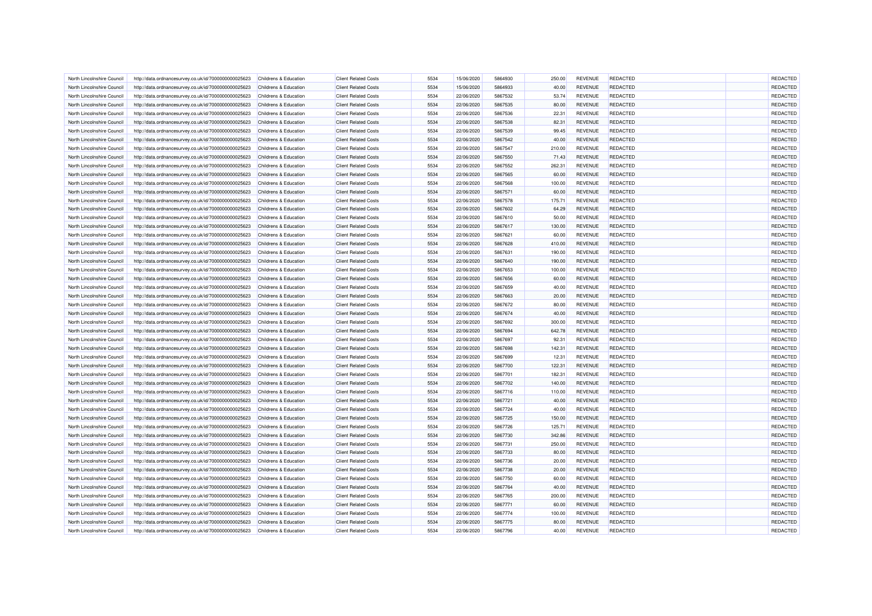| North Lincolnshire Council | http://data.ordnancesurvey.co.uk/id/7000000000025623 | Childrens & Education            | <b>Client Related Costs</b> | 5534 | 15/06/2020               | 5864930 | 250.00          | <b>REVENUE</b>                   | REDACTED        | <b>REDACTED</b> |
|----------------------------|------------------------------------------------------|----------------------------------|-----------------------------|------|--------------------------|---------|-----------------|----------------------------------|-----------------|-----------------|
| North Lincolnshire Council | http://data.ordnancesurvey.co.uk/id/7000000000025623 | Childrens & Education            | <b>Client Related Costs</b> | 5534 | 15/06/2020               | 5864933 | 40.00           | <b>REVENUE</b>                   | <b>REDACTED</b> | <b>REDACTED</b> |
| North Lincolnshire Council | http://data.ordnancesurvey.co.uk/id/7000000000025623 | Childrens & Education            | <b>Client Related Costs</b> | 5534 | 22/06/2020               | 5867532 | 53.74           | <b>REVENUE</b>                   | <b>REDACTED</b> | REDACTED        |
| North Lincolnshire Council | http://data.ordnancesurvey.co.uk/id/7000000000025623 | Childrens & Education            | <b>Client Related Costs</b> | 5534 | 22/06/2020               | 5867535 | 80.00           | <b>REVENUE</b>                   | REDACTED        | REDACTED        |
| North Lincolnshire Council | http://data.ordnancesurvey.co.uk/id/7000000000025623 | Childrens & Education            | <b>Client Related Costs</b> | 5534 | 22/06/2020               | 5867536 | 22.31           | <b>REVENUE</b>                   | <b>REDACTED</b> | REDACTED        |
| North Lincolnshire Council | http://data.ordnancesurvey.co.uk/id/7000000000025623 | <b>Childrens &amp; Education</b> | <b>Client Related Costs</b> | 5534 | 22/06/2020               | 5867538 | 82.31           | <b>REVENUE</b>                   | <b>REDACTED</b> | REDACTED        |
| North Lincolnshire Council | http://data.ordnancesurvey.co.uk/id/7000000000025623 | Childrens & Education            | <b>Client Related Costs</b> | 5534 | 22/06/2020               | 5867539 | 99.45           | <b>REVENUE</b>                   | REDACTED        | REDACTED        |
| North Lincolnshire Council | http://data.ordnancesurvey.co.uk/id/7000000000025623 | Childrens & Education            | <b>Client Related Costs</b> | 5534 | 22/06/2020               | 5867542 | 40.00           | <b>REVENUE</b>                   | <b>REDACTED</b> | REDACTED        |
| North Lincolnshire Council | http://data.ordnancesurvey.co.uk/id/7000000000025623 | Childrens & Education            | <b>Client Related Costs</b> | 5534 | 22/06/2020               | 5867547 | 210.00          | <b>REVENUE</b>                   | REDACTED        | REDACTED        |
| North Lincolnshire Council | http://data.ordnancesurvey.co.uk/id/7000000000025623 | Childrens & Education            | <b>Client Related Costs</b> | 5534 | 22/06/2020               | 5867550 | 71.43           | <b>REVENUE</b>                   | <b>REDACTED</b> | REDACTED        |
| North Lincolnshire Council | http://data.ordnancesurvey.co.uk/id/7000000000025623 | Childrens & Education            | <b>Client Related Costs</b> | 5534 | 22/06/2020               | 5867552 | 262.31          | <b>REVENUE</b>                   | REDACTED        | REDACTED        |
|                            |                                                      |                                  |                             | 5534 |                          |         |                 |                                  | REDACTED        | REDACTED        |
| North Lincolnshire Council | http://data.ordnancesurvey.co.uk/id/7000000000025623 | Childrens & Education            | <b>Client Related Costs</b> |      | 22/06/2020               | 5867565 | 60.00           | <b>REVENUE</b>                   |                 |                 |
| North Lincolnshire Council | http://data.ordnancesurvey.co.uk/id/7000000000025623 | Childrens & Education            | <b>Client Related Costs</b> | 5534 | 22/06/2020               | 5867568 | 100.00          | <b>REVENUE</b>                   | <b>REDACTED</b> | REDACTED        |
| North Lincolnshire Council | http://data.ordnancesurvey.co.uk/id/7000000000025623 | <b>Childrens &amp; Education</b> | <b>Client Related Costs</b> | 5534 | 22/06/2020               | 5867571 | 60.00           | <b>REVENUE</b>                   | REDACTED        | REDACTED        |
| North Lincolnshire Council | http://data.ordnancesurvey.co.uk/id/7000000000025623 | Childrens & Education            | <b>Client Related Costs</b> | 5534 | 22/06/2020               | 5867578 | 175.71          | <b>REVENUE</b>                   | REDACTED        | <b>REDACTED</b> |
| North Lincolnshire Council | http://data.ordnancesurvey.co.uk/id/7000000000025623 | Childrens & Education            | <b>Client Related Costs</b> | 5534 | 22/06/2020               | 5867602 | 64.29           | <b>REVENUE</b>                   | REDACTED        | <b>REDACTED</b> |
| North Lincolnshire Council | http://data.ordnancesurvey.co.uk/id/7000000000025623 | Childrens & Education            | <b>Client Related Costs</b> | 5534 | 22/06/2020               | 5867610 | 50.00           | <b>REVENUE</b>                   | REDACTED        | REDACTED        |
| North Lincolnshire Council | http://data.ordnancesurvey.co.uk/id/7000000000025623 | Childrens & Education            | <b>Client Related Costs</b> | 5534 | 22/06/2020               | 5867617 | 130.00          | <b>REVENUE</b>                   | <b>REDACTED</b> | REDACTED        |
| North Lincolnshire Council | http://data.ordnancesurvey.co.uk/id/7000000000025623 | Childrens & Education            | <b>Client Related Costs</b> | 5534 | 22/06/2020               | 5867621 | 60.00           | <b>REVENUE</b>                   | REDACTED        | REDACTED        |
| North Lincolnshire Council | http://data.ordnancesurvey.co.uk/id/7000000000025623 | Childrens & Education            | <b>Client Related Costs</b> | 5534 | 22/06/2020               | 5867628 | 410.00          | <b>REVENUE</b>                   | <b>REDACTED</b> | REDACTED        |
| North Lincolnshire Council | http://data.ordnancesurvey.co.uk/id/7000000000025623 | Childrens & Education            | <b>Client Related Costs</b> | 5534 | 22/06/2020               | 5867631 | 190.00          | <b>REVENUE</b>                   | REDACTED        | REDACTED        |
| North Lincolnshire Council | http://data.ordnancesurvey.co.uk/id/7000000000025623 | Childrens & Education            | <b>Client Related Costs</b> | 5534 | 22/06/2020               | 5867640 | 190.00          | <b>REVENUE</b>                   | <b>REDACTED</b> | REDACTED        |
| North Lincolnshire Council | http://data.ordnancesurvey.co.uk/id/7000000000025623 | Childrens & Education            | <b>Client Related Costs</b> | 5534 | 22/06/2020               | 5867653 | 100.00          | <b>REVENUE</b>                   | <b>REDACTED</b> | REDACTED        |
| North Lincolnshire Council | http://data.ordnancesurvey.co.uk/id/7000000000025623 | Childrens & Education            | <b>Client Related Costs</b> | 5534 | 22/06/2020               | 5867656 | 60.00           | <b>REVENUE</b>                   | <b>REDACTED</b> | REDACTED        |
| North Lincolnshire Council | http://data.ordnancesurvey.co.uk/id/7000000000025623 | Childrens & Education            | <b>Client Related Costs</b> | 5534 | 22/06/2020               | 5867659 | 40.00           | <b>REVENUE</b>                   | <b>REDACTED</b> | REDACTED        |
| North Lincolnshire Council | http://data.ordnancesurvey.co.uk/id/7000000000025623 | Childrens & Education            | <b>Client Related Costs</b> | 5534 | 22/06/2020               | 5867663 | 20.00           | <b>REVENUE</b>                   | REDACTED        | REDACTED        |
| North Lincolnshire Council | http://data.ordnancesurvey.co.uk/id/7000000000025623 | Childrens & Education            | <b>Client Related Costs</b> | 5534 | 22/06/2020               | 5867672 | 80.00           | <b>REVENUE</b>                   | REDACTED        | REDACTED        |
| North Lincolnshire Council | http://data.ordnancesurvey.co.uk/id/7000000000025623 | <b>Childrens &amp; Education</b> | <b>Client Related Costs</b> | 5534 | 22/06/2020               | 5867674 | 40.00           | <b>REVENUE</b>                   | <b>REDACTED</b> | REDACTED        |
| North Lincolnshire Council | http://data.ordnancesurvey.co.uk/id/7000000000025623 | Childrens & Education            | <b>Client Related Costs</b> | 5534 | 22/06/2020               | 5867692 | 300.00          | <b>REVENUE</b>                   | <b>REDACTED</b> | REDACTED        |
| North Lincolnshire Council | http://data.ordnancesurvey.co.uk/id/7000000000025623 | <b>Childrens &amp; Education</b> | <b>Client Related Costs</b> | 5534 | 22/06/2020               | 5867694 | 642.78          | <b>REVENUE</b>                   | <b>REDACTED</b> | REDACTED        |
| North Lincolnshire Council | http://data.ordnancesurvey.co.uk/id/7000000000025623 | Childrens & Education            | <b>Client Related Costs</b> | 5534 | 22/06/2020               | 5867697 | 92.31           | <b>REVENUE</b>                   | <b>REDACTED</b> | REDACTED        |
| North Lincolnshire Council | http://data.ordnancesurvey.co.uk/id/7000000000025623 | Childrens & Education            | <b>Client Related Costs</b> | 5534 | 22/06/2020               | 5867698 | 142.31          | <b>REVENUE</b>                   | <b>REDACTED</b> | REDACTED        |
| North Lincolnshire Council | http://data.ordnancesurvey.co.uk/id/7000000000025623 | Childrens & Education            | <b>Client Related Costs</b> | 5534 | 22/06/2020               | 5867699 | 12.31           | <b>REVENUE</b>                   | REDACTED        | REDACTED        |
| North Lincolnshire Council | http://data.ordnancesurvey.co.uk/id/7000000000025623 | Childrens & Education            | <b>Client Related Costs</b> | 5534 | 22/06/2020               | 5867700 | 122.31          | <b>REVENUE</b>                   | <b>REDACTED</b> | REDACTED        |
| North Lincolnshire Council | http://data.ordnancesurvey.co.uk/id/7000000000025623 | Childrens & Education            | <b>Client Related Costs</b> | 5534 | 22/06/2020               | 5867701 | 182.31          | <b>REVENUE</b>                   | <b>REDACTED</b> | REDACTED        |
| North Lincolnshire Council | http://data.ordnancesurvey.co.uk/id/7000000000025623 | <b>Childrens &amp; Education</b> | <b>Client Related Costs</b> | 5534 | 22/06/2020               | 5867702 | 140.00          | <b>REVENUE</b>                   | REDACTED        | REDACTED        |
| North Lincolnshire Council | http://data.ordnancesurvey.co.uk/id/7000000000025623 | Childrens & Education            | <b>Client Related Costs</b> | 5534 | 22/06/2020               | 5867716 | 110.00          | <b>REVENUE</b>                   | REDACTED        | REDACTED        |
| North Lincolnshire Council | http://data.ordnancesurvey.co.uk/id/7000000000025623 | Childrens & Education            | <b>Client Related Costs</b> | 5534 | 22/06/2020               | 5867721 | 40.00           | <b>REVENUE</b>                   | <b>REDACTED</b> | REDACTED        |
| North Lincolnshire Council | http://data.ordnancesurvey.co.uk/id/7000000000025623 | Childrens & Education            | <b>Client Related Costs</b> | 5534 | 22/06/2020               | 5867724 | 40.00           | <b>REVENUE</b>                   | REDACTED        | REDACTED        |
| North Lincolnshire Council | http://data.ordnancesurvey.co.uk/id/7000000000025623 | Childrens & Education            | <b>Client Related Costs</b> | 5534 | 22/06/2020               | 5867725 | 150.00          | <b>REVENUE</b>                   | <b>REDACTED</b> | REDACTED        |
| North Lincolnshire Council | http://data.ordnancesurvey.co.uk/id/7000000000025623 | Childrens & Education            | <b>Client Related Costs</b> | 5534 | 22/06/2020               | 5867726 | 125.71          | <b>REVENUE</b>                   | REDACTED        | REDACTED        |
| North Lincolnshire Council | http://data.ordnancesurvey.co.uk/id/7000000000025623 | Childrens & Education            | <b>Client Related Costs</b> | 5534 | 22/06/2020               | 5867730 | 342.86          | <b>REVENUE</b>                   | <b>REDACTED</b> | REDACTED        |
| North Lincolnshire Council | http://data.ordnancesurvey.co.uk/id/7000000000025623 | Childrens & Education            | <b>Client Related Costs</b> | 5534 | 22/06/2020               | 5867731 | 250.00          | <b>REVENUE</b>                   | REDACTED        | REDACTED        |
| North Lincolnshire Council | http://data.ordnancesurvey.co.uk/id/7000000000025623 | Childrens & Education            | <b>Client Related Costs</b> | 5534 | 22/06/2020               | 5867733 | 80.00           | <b>REVENUE</b>                   | <b>REDACTED</b> | REDACTED        |
| North Lincolnshire Council | http://data.ordnancesurvey.co.uk/id/7000000000025623 | Childrens & Education            | <b>Client Related Costs</b> | 5534 | 22/06/2020               | 5867736 | 20.00           | <b>REVENUE</b>                   | <b>REDACTED</b> | REDACTED        |
| North Lincolnshire Council | http://data.ordnancesurvey.co.uk/id/7000000000025623 | <b>Childrens &amp; Education</b> | <b>Client Related Costs</b> | 5534 | 22/06/2020               | 5867738 | 20.00           | <b>REVENUE</b>                   | <b>REDACTED</b> | REDACTED        |
| North Lincolnshire Council | http://data.ordnancesurvey.co.uk/id/7000000000025623 | Childrens & Education            | <b>Client Related Costs</b> | 5534 | 22/06/2020               | 5867750 | 60.00           | <b>REVENUE</b>                   | <b>REDACTED</b> | REDACTED        |
| North Lincolnshire Council | http://data.ordnancesurvey.co.uk/id/7000000000025623 | Childrens & Education            | <b>Client Related Costs</b> | 5534 | 22/06/2020               | 5867764 | 40.00           | <b>REVENUE</b>                   | <b>REDACTED</b> | REDACTED        |
| North Lincolnshire Council | http://data.ordnancesurvey.co.uk/id/7000000000025623 | Childrens & Education            | <b>Client Related Costs</b> | 5534 | 22/06/2020               | 5867765 | 200.00          | <b>REVENUE</b>                   | <b>REDACTED</b> | <b>REDACTED</b> |
| North Lincolnshire Council | http://data.ordnancesurvey.co.uk/id/7000000000025623 | Childrens & Education            | <b>Client Related Costs</b> | 5534 | 22/06/2020               | 5867771 | 60.00           | <b>REVENUE</b>                   | <b>REDACTED</b> | REDACTED        |
| North Lincolnshire Council |                                                      | Childrens & Education            | <b>Client Related Costs</b> | 5534 |                          | 5867774 |                 |                                  | <b>REDACTED</b> | REDACTED        |
| North Lincolnshire Council | http://data.ordnancesurvey.co.uk/id/7000000000025623 | <b>Childrens &amp; Education</b> | <b>Client Related Costs</b> | 5534 | 22/06/2020<br>22/06/2020 | 5867775 | 100.00<br>80.00 | <b>REVENUE</b><br><b>REVENUE</b> | REDACTED        | <b>REDACTED</b> |
|                            | http://data.ordnancesurvey.co.uk/id/7000000000025623 |                                  |                             | 5534 |                          |         |                 |                                  |                 | <b>REDACTED</b> |
| North Lincolnshire Council | http://data.ordnancesurvey.co.uk/id/7000000000025623 | Childrens & Education            | <b>Client Related Costs</b> |      | 22/06/2020               | 5867796 | 40.00           | <b>REVENUE</b>                   | <b>REDACTED</b> |                 |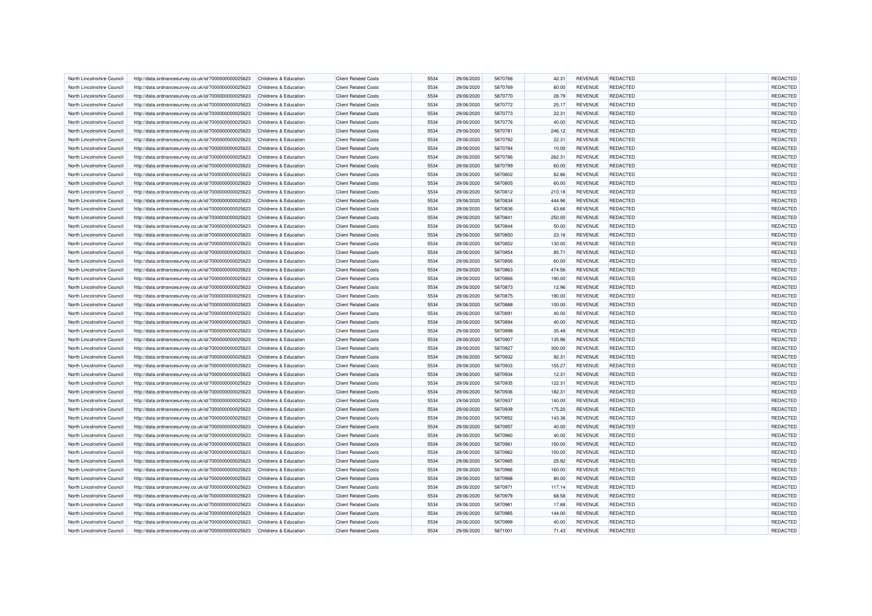| North Lincolnshire Council | http://data.ordnancesurvey.co.uk/id/7000000000025623 | Childrens & Education | <b>Client Related Costs</b> | 5534         | 29/06/2020 | 5870766 | 42.31  | <b>REVENUE</b> | REDACTED        | REDACTED        |
|----------------------------|------------------------------------------------------|-----------------------|-----------------------------|--------------|------------|---------|--------|----------------|-----------------|-----------------|
| North Lincolnshire Council | http://data.ordnancesurvey.co.uk/id/7000000000025623 | Childrens & Education | <b>Client Related Costs</b> | 5534         | 29/06/2020 | 5870769 | 80.00  | <b>REVENUE</b> | REDACTED        | <b>REDACTED</b> |
| North Lincolnshire Council | http://data.ordnancesurvey.co.uk/id/7000000000025623 | Childrens & Education | <b>Client Related Costs</b> | 5534         | 29/06/2020 | 5870770 | 28.79  | <b>REVENUE</b> | REDACTED        | <b>REDACTED</b> |
| North Lincolnshire Council | http://data.ordnancesurvey.co.uk/id/7000000000025623 | Childrens & Education | <b>Client Related Costs</b> | 5534         | 29/06/2020 | 5870772 | 25.17  | <b>REVENUE</b> | REDACTED        | REDACTED        |
| North Lincolnshire Council | http://data.ordnancesurvey.co.uk/id/7000000000025623 | Childrens & Education | <b>Client Related Costs</b> | 5534         | 29/06/2020 | 5870773 | 22.31  | <b>REVENUE</b> | <b>REDACTED</b> | REDACTED        |
| North Lincolnshire Council | http://data.ordnancesurvey.co.uk/id/7000000000025623 | Childrens & Education | <b>Client Related Costs</b> | 5534         | 29/06/2020 | 5870776 | 40.00  | <b>REVENUE</b> | REDACTED        | REDACTED        |
| North Lincolnshire Council | http://data.ordnancesurvey.co.uk/id/7000000000025623 | Childrens & Education | <b>Client Related Costs</b> | 5534         | 29/06/2020 | 5870781 | 246.12 | <b>REVENUE</b> | <b>REDACTED</b> | REDACTED        |
| North Lincolnshire Council | http://data.ordnancesurvey.co.uk/id/7000000000025623 | Childrens & Education | <b>Client Related Costs</b> | 5534         | 29/06/2020 | 5870782 | 22.31  | <b>REVENUE</b> | REDACTED        | REDACTED        |
| North Lincolnshire Council | http://data.ordnancesurvey.co.uk/id/7000000000025623 | Childrens & Education | <b>Client Related Costs</b> | 5534         | 29/06/2020 | 5870784 | 10.00  | <b>REVENUE</b> | REDACTED        | REDACTED        |
| North Lincolnshire Council | http://data.ordnancesurvey.co.uk/id/7000000000025623 | Childrens & Education | <b>Client Related Costs</b> | 5534         | 29/06/2020 | 5870786 | 262.31 | <b>REVENUE</b> | <b>REDACTED</b> | REDACTED        |
| North Lincolnshire Council | http://data.ordnancesurvey.co.uk/id/7000000000025623 | Childrens & Education | <b>Client Related Costs</b> | 5534         | 29/06/2020 | 5870799 | 60.00  | <b>REVENUE</b> | REDACTED        | <b>REDACTED</b> |
| North Lincolnshire Council | http://data.ordnancesurvey.co.uk/id/7000000000025623 | Childrens & Education | <b>Client Related Costs</b> | 5534         | 29/06/2020 | 5870802 | 82.86  | <b>REVENUE</b> | REDACTED        | REDACTED        |
| North Lincolnshire Council | http://data.ordnancesurvey.co.uk/id/7000000000025623 | Childrens & Education | <b>Client Related Costs</b> | 5534         | 29/06/2020 | 5870805 | 60.00  | <b>REVENUE</b> | REDACTED        | <b>REDACTED</b> |
| North Lincolnshire Council | http://data.ordnancesurvey.co.uk/id/7000000000025623 | Childrens & Education | <b>Client Related Costs</b> | 5534         | 29/06/2020 | 5870812 | 210.18 | <b>REVENUE</b> | REDACTED        | <b>REDACTED</b> |
| North Lincolnshire Council | http://data.ordnancesurvey.co.uk/id/7000000000025623 | Childrens & Education | <b>Client Related Costs</b> | 5534         | 29/06/2020 | 5870834 | 444.96 | <b>REVENUE</b> | <b>REDACTED</b> | REDACTED        |
| North Lincolnshire Council | http://data.ordnancesurvey.co.uk/id/7000000000025623 | Childrens & Education | <b>Client Related Costs</b> | 5534         | 29/06/2020 | 5870836 | 63.66  | <b>REVENUE</b> | REDACTED        | REDACTED        |
| North Lincolnshire Council | http://data.ordnancesurvey.co.uk/id/7000000000025623 | Childrens & Education | <b>Client Related Costs</b> | 5534         | 29/06/2020 | 5870841 | 250.00 | <b>REVENUE</b> | REDACTED        | REDACTED        |
| North Lincolnshire Council | http://data.ordnancesurvey.co.uk/id/7000000000025623 | Childrens & Education | <b>Client Related Costs</b> | 5534         | 29/06/2020 | 5870844 | 50.00  | <b>REVENUE</b> | REDACTED        | REDACTED        |
| North Lincolnshire Council | http://data.ordnancesurvey.co.uk/id/7000000000025623 | Childrens & Education | <b>Client Related Costs</b> | 5534         | 29/06/2020 | 5870850 | 23.16  | <b>REVENUE</b> | REDACTED        | <b>REDACTED</b> |
| North Lincolnshire Council | http://data.ordnancesurvey.co.uk/id/7000000000025623 | Childrens & Education | <b>Client Related Costs</b> | 5534         | 29/06/2020 | 5870852 | 130.00 | <b>REVENUE</b> | REDACTED        | REDACTED        |
| North Lincolnshire Council | http://data.ordnancesurvey.co.uk/id/7000000000025623 | Childrens & Education | <b>Client Related Costs</b> | 5534         | 29/06/2020 | 5870854 | 85.71  | <b>REVENUE</b> | REDACTED        | REDACTED        |
| North Lincolnshire Council | http://data.ordnancesurvey.co.uk/id/7000000000025623 | Childrens & Education | <b>Client Related Costs</b> | 5534         | 29/06/2020 | 5870856 | 60.00  | <b>REVENUE</b> | REDACTED        | REDACTED        |
| North Lincolnshire Council | http://data.ordnancesurvey.co.uk/id/7000000000025623 | Childrens & Education | <b>Client Related Costs</b> | 5534         | 29/06/2020 | 5870863 | 474.56 | <b>REVENUE</b> | <b>REDACTED</b> | REDACTED        |
|                            |                                                      |                       |                             |              |            |         |        |                | REDACTED        | REDACTED        |
| North Lincolnshire Council | http://data.ordnancesurvey.co.uk/id/7000000000025623 | Childrens & Education | <b>Client Related Costs</b> | 5534<br>5534 | 29/06/2020 | 5870866 | 190.00 | <b>REVENUE</b> | REDACTED        | REDACTED        |
| North Lincolnshire Council | http://data.ordnancesurvey.co.uk/id/7000000000025623 | Childrens & Education | <b>Client Related Costs</b> |              | 29/06/2020 | 5870873 | 12.96  | <b>REVENUE</b> |                 |                 |
| North Lincolnshire Council | http://data.ordnancesurvey.co.uk/id/7000000000025623 | Childrens & Education | <b>Client Related Costs</b> | 5534         | 29/06/2020 | 5870875 | 190.00 | <b>REVENUE</b> | <b>REDACTED</b> | REDACTED        |
| North Lincolnshire Council | http://data.ordnancesurvey.co.uk/id/7000000000025623 | Childrens & Education | <b>Client Related Costs</b> | 5534         | 29/06/2020 | 5870888 | 100.00 | <b>REVENUE</b> | <b>REDACTED</b> | REDACTED        |
| North Lincolnshire Council | http://data.ordnancesurvey.co.uk/id/7000000000025623 | Childrens & Education | <b>Client Related Costs</b> | 5534         | 29/06/2020 | 5870891 | 40.00  | <b>REVENUE</b> | REDACTED        | REDACTED        |
| North Lincolnshire Council | http://data.ordnancesurvey.co.uk/id/7000000000025623 | Childrens & Education | <b>Client Related Costs</b> | 5534         | 29/06/2020 | 5870894 | 40.00  | <b>REVENUE</b> | REDACTED        | <b>REDACTED</b> |
| North Lincolnshire Council | http://data.ordnancesurvey.co.uk/id/7000000000025623 | Childrens & Education | <b>Client Related Costs</b> | 5534         | 29/06/2020 | 5870898 | 35.48  | <b>REVENUE</b> | REDACTED        | REDACTED        |
| North Lincolnshire Council | http://data.ordnancesurvey.co.uk/id/7000000000025623 | Childrens & Education | <b>Client Related Costs</b> | 5534         | 29/06/2020 | 5870907 | 135.96 | <b>REVENUE</b> | REDACTED        | REDACTED        |
| North Lincolnshire Council | http://data.ordnancesurvey.co.uk/id/7000000000025623 | Childrens & Education | <b>Client Related Costs</b> | 5534         | 29/06/2020 | 5870927 | 300.00 | <b>REVENUE</b> | <b>REDACTED</b> | REDACTED        |
| North Lincolnshire Council | http://data.ordnancesurvey.co.uk/id/7000000000025623 | Childrens & Education | <b>Client Related Costs</b> | 5534         | 29/06/2020 | 5870932 | 92.31  | <b>REVENUE</b> | <b>REDACTED</b> | REDACTED        |
| North Lincolnshire Council | http://data.ordnancesurvey.co.uk/id/7000000000025623 | Childrens & Education | <b>Client Related Costs</b> | 5534         | 29/06/2020 | 5870933 | 155.27 | <b>REVENUE</b> | <b>REDACTED</b> | REDACTED        |
| North Lincolnshire Council | http://data.ordnancesurvey.co.uk/id/7000000000025623 | Childrens & Education | <b>Client Related Costs</b> | 5534         | 29/06/2020 | 5870934 | 12.31  | <b>REVENUE</b> | REDACTED        | <b>REDACTED</b> |
| North Lincolnshire Council | http://data.ordnancesurvey.co.uk/id/7000000000025623 | Childrens & Education | <b>Client Related Costs</b> | 5534         | 29/06/2020 | 5870935 | 122.31 | <b>REVENUE</b> | REDACTED        | REDACTED        |
| North Lincolnshire Council | http://data.ordnancesurvey.co.uk/id/7000000000025623 | Childrens & Education | <b>Client Related Costs</b> | 5534         | 29/06/2020 | 5870936 | 182.31 | <b>REVENUE</b> | <b>REDACTED</b> | REDACTED        |
| North Lincolnshire Council | http://data.ordnancesurvey.co.uk/id/7000000000025623 | Childrens & Education | <b>Client Related Costs</b> | 5534         | 29/06/2020 | 5870937 | 140.00 | <b>REVENUE</b> | <b>REDACTED</b> | REDACTED        |
| North Lincolnshire Council | http://data.ordnancesurvey.co.uk/id/7000000000025623 | Childrens & Education | <b>Client Related Costs</b> | 5534         | 29/06/2020 | 5870939 | 175.20 | <b>REVENUE</b> | <b>REDACTED</b> | REDACTED        |
| North Lincolnshire Council | http://data.ordnancesurvey.co.uk/id/7000000000025623 | Childrens & Education | <b>Client Related Costs</b> | 5534         | 29/06/2020 | 5870952 | 143.36 | <b>REVENUE</b> | <b>REDACTED</b> | <b>REDACTED</b> |
| North Lincolnshire Council | http://data.ordnancesurvey.co.uk/id/7000000000025623 | Childrens & Education | <b>Client Related Costs</b> | 5534         | 29/06/2020 | 5870957 | 40.00  | <b>REVENUE</b> | REDACTED        | <b>REDACTED</b> |
| North Lincolnshire Council | http://data.ordnancesurvey.co.uk/id/7000000000025623 | Childrens & Education | <b>Client Related Costs</b> | 5534         | 29/06/2020 | 5870960 | 40.00  | <b>REVENUE</b> | <b>REDACTED</b> | REDACTED        |
| North Lincolnshire Council | http://data.ordnancesurvey.co.uk/id/7000000000025623 | Childrens & Education | <b>Client Related Costs</b> | 5534         | 29/06/2020 | 5870961 | 150.00 | <b>REVENUE</b> | <b>REDACTED</b> | REDACTED        |
| North Lincolnshire Council | http://data.ordnancesurvey.co.uk/id/7000000000025623 | Childrens & Education | <b>Client Related Costs</b> | 5534         | 29/06/2020 | 5870962 | 100.00 | <b>REVENUE</b> | <b>REDACTED</b> | REDACTED        |
| North Lincolnshire Council | http://data.ordnancesurvey.co.uk/id/7000000000025623 | Childrens & Education | <b>Client Related Costs</b> | 5534         | 29/06/2020 | 5870965 | 25.92  | <b>REVENUE</b> | <b>REDACTED</b> | REDACTED        |
| North Lincolnshire Council | http://data.ordnancesurvey.co.uk/id/7000000000025623 | Childrens & Education | <b>Client Related Costs</b> | 5534         | 29/06/2020 | 5870966 | 160.00 | <b>REVENUE</b> | <b>REDACTED</b> | <b>REDACTED</b> |
| North Lincolnshire Council | http://data.ordnancesurvey.co.uk/id/7000000000025623 | Childrens & Education | <b>Client Related Costs</b> | 5534         | 29/06/2020 | 5870968 | 80.00  | <b>REVENUE</b> | <b>REDACTED</b> | REDACTED        |
| North Lincolnshire Council | http://data.ordnancesurvey.co.uk/id/7000000000025623 | Childrens & Education | <b>Client Related Costs</b> | 5534         | 29/06/2020 | 5870971 | 117.14 | <b>REVENUE</b> | <b>REDACTED</b> | REDACTED        |
| North Lincolnshire Council | http://data.ordnancesurvey.co.uk/id/7000000000025623 | Childrens & Education | <b>Client Related Costs</b> | 5534         | 29/06/2020 | 5870979 | 68.58  | <b>REVENUE</b> | <b>REDACTED</b> | REDACTED        |
| North Lincolnshire Council | http://data.ordnancesurvey.co.uk/id/7000000000025623 | Childrens & Education | <b>Client Related Costs</b> | 5534         | 29/06/2020 | 5870981 | 17.88  | <b>REVENUE</b> | <b>REDACTED</b> | REDACTED        |
| North Lincolnshire Council | http://data.ordnancesurvey.co.uk/id/7000000000025623 | Childrens & Education | <b>Client Related Costs</b> | 5534         | 29/06/2020 | 5870985 | 144.00 | <b>REVENUE</b> | <b>REDACTED</b> | REDACTED        |
| North Lincolnshire Council | http://data.ordnancesurvey.co.uk/id/7000000000025623 | Childrens & Education | <b>Client Related Costs</b> | 5534         | 29/06/2020 | 5870999 | 40.00  | <b>REVENUE</b> | <b>REDACTED</b> | REDACTED        |
| North Lincolnshire Council | http://data.ordnancesurvey.co.uk/id/7000000000025623 | Childrens & Education | <b>Client Related Costs</b> | 5534         | 29/06/2020 | 5871001 | 71.43  | <b>REVENUE</b> | <b>REDACTED</b> | REDACTED        |
|                            |                                                      |                       |                             |              |            |         |        |                |                 |                 |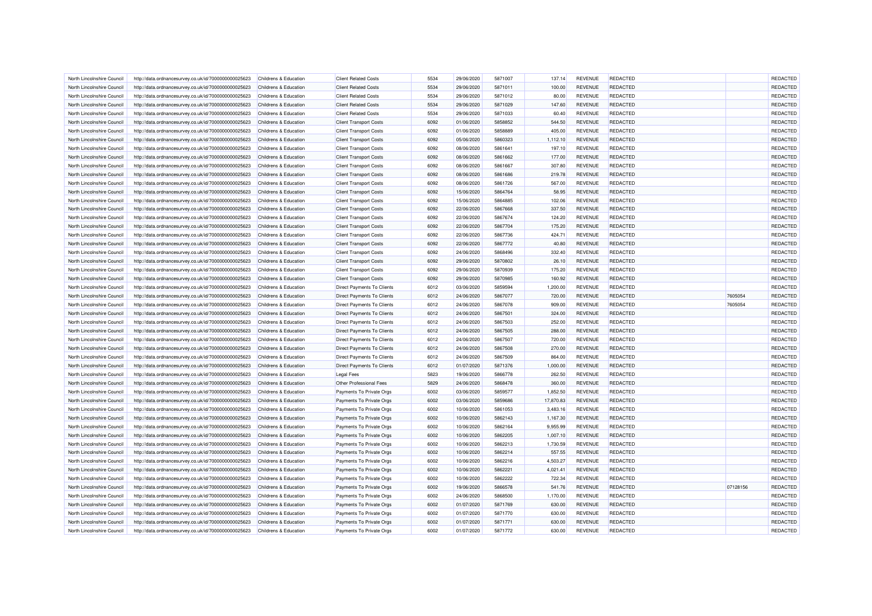| North Lincolnshire Council | http://data.ordnancesurvey.co.uk/id/7000000000025623 | Childrens & Education            | <b>Client Related Costs</b>       | 5534 | 29/06/2020 | 5871007 | 137.14    | <b>REVENUE</b> | <b>REDACTED</b> |          | REDACTED        |
|----------------------------|------------------------------------------------------|----------------------------------|-----------------------------------|------|------------|---------|-----------|----------------|-----------------|----------|-----------------|
| North Lincolnshire Council | http://data.ordnancesurvey.co.uk/id/7000000000025623 | Childrens & Education            | <b>Client Related Costs</b>       | 5534 | 29/06/2020 | 5871011 | 100.00    | <b>REVENUE</b> | <b>REDACTED</b> |          | <b>REDACTED</b> |
| North Lincolnshire Council | http://data.ordnancesurvey.co.uk/id/7000000000025623 | Childrens & Education            | <b>Client Related Costs</b>       | 5534 | 29/06/2020 | 5871012 | 80.00     | <b>REVENUE</b> | <b>REDACTED</b> |          | <b>REDACTED</b> |
| North Lincolnshire Council | http://data.ordnancesurvey.co.uk/id/7000000000025623 | <b>Childrens &amp; Education</b> | <b>Client Related Costs</b>       | 5534 | 29/06/2020 | 5871029 | 147.60    | <b>REVENUE</b> | REDACTED        |          | REDACTED        |
| North Lincolnshire Council | http://data.ordnancesurvey.co.uk/id/7000000000025623 | Childrens & Education            | <b>Client Related Costs</b>       | 5534 | 29/06/2020 | 5871033 | 60.40     | <b>REVENUE</b> | <b>REDACTED</b> |          | REDACTED        |
|                            |                                                      |                                  |                                   |      |            |         |           | <b>REVENUE</b> |                 |          | REDACTED        |
| North Lincolnshire Council | http://data.ordnancesurvey.co.uk/id/7000000000025623 | Childrens & Education            | <b>Client Transport Costs</b>     | 6092 | 01/06/2020 | 5858852 | 544.50    |                | <b>REDACTED</b> |          |                 |
| North Lincolnshire Council | http://data.ordnancesurvey.co.uk/id/7000000000025623 | Childrens & Education            | <b>Client Transport Costs</b>     | 6092 | 01/06/2020 | 5858889 | 405.00    | <b>REVENUE</b> | <b>REDACTED</b> |          | REDACTED        |
| North Lincolnshire Council | http://data.ordnancesurvey.co.uk/id/7000000000025623 | <b>Childrens &amp; Education</b> | <b>Client Transport Costs</b>     | 6092 | 05/06/2020 | 5860323 | 1,112.10  | <b>REVENUE</b> | <b>REDACTED</b> |          | REDACTED        |
| North Lincolnshire Council | http://data.ordnancesurvey.co.uk/id/7000000000025623 | Childrens & Education            | <b>Client Transport Costs</b>     | 6092 | 08/06/2020 | 5861641 | 197.10    | <b>REVENUE</b> | REDACTED        |          | REDACTED        |
| North Lincolnshire Council | http://data.ordnancesurvey.co.uk/id/7000000000025623 | Childrens & Education            | <b>Client Transport Costs</b>     | 6092 | 08/06/2020 | 5861662 | 177.00    | <b>REVENUE</b> | <b>REDACTED</b> |          | REDACTED        |
| North Lincolnshire Council | http://data.ordnancesurvey.co.uk/id/7000000000025623 | Childrens & Education            | <b>Client Transport Costs</b>     | 6092 | 08/06/2020 | 5861667 | 307.80    | <b>REVENUE</b> | REDACTED        |          | REDACTED        |
| North Lincolnshire Council | http://data.ordnancesurvey.co.uk/id/7000000000025623 | Childrens & Education            | <b>Client Transport Costs</b>     | 6092 | 08/06/2020 | 5861686 | 219.78    | <b>REVENUE</b> | REDACTED        |          | REDACTED        |
| North Lincolnshire Council | http://data.ordnancesurvey.co.uk/id/7000000000025623 | Childrens & Education            | <b>Client Transport Costs</b>     | 6092 | 08/06/2020 | 5861726 | 567.00    | <b>REVENUE</b> | <b>REDACTED</b> |          | REDACTED        |
| North Lincolnshire Council | http://data.ordnancesurvey.co.uk/id/7000000000025623 | Childrens & Education            | <b>Client Transport Costs</b>     | 6092 | 15/06/2020 | 5864764 | 58.95     | <b>REVENUE</b> | REDACTED        |          | REDACTED        |
| North Lincolnshire Council | http://data.ordnancesurvey.co.uk/id/7000000000025623 | Childrens & Education            | <b>Client Transport Costs</b>     | 6092 | 15/06/2020 | 5864885 | 102.06    | <b>REVENUE</b> | <b>REDACTED</b> |          | REDACTED        |
| North Lincolnshire Council | http://data.ordnancesurvey.co.uk/id/7000000000025623 | Childrens & Education            | <b>Client Transport Costs</b>     | 6092 | 22/06/2020 | 5867668 | 337.50    | <b>REVENUE</b> | <b>REDACTED</b> |          | REDACTED        |
| North Lincolnshire Council | http://data.ordnancesurvey.co.uk/id/7000000000025623 | Childrens & Education            | <b>Client Transport Costs</b>     | 6092 | 22/06/2020 | 5867674 | 124.20    | <b>REVENUE</b> | <b>REDACTED</b> |          | REDACTED        |
| North Lincolnshire Council | http://data.ordnancesurvey.co.uk/id/7000000000025623 | Childrens & Education            | <b>Client Transport Costs</b>     | 6092 | 22/06/2020 | 5867704 | 175.20    | <b>REVENUE</b> | <b>REDACTED</b> |          | REDACTED        |
| North Lincolnshire Council | http://data.ordnancesurvey.co.uk/id/7000000000025623 | Childrens & Education            | <b>Client Transport Costs</b>     | 6092 | 22/06/2020 | 5867736 | 424.71    | <b>REVENUE</b> | REDACTED        |          | <b>REDACTED</b> |
| North Lincolnshire Counci  | http://data.ordnancesurvey.co.uk/id/7000000000025623 | Childrens & Education            | <b>Client Transport Costs</b>     | 6092 | 22/06/2020 | 5867772 | 40.80     | <b>REVENUE</b> | <b>REDACTED</b> |          | <b>REDACTED</b> |
| North Lincolnshire Council | http://data.ordnancesurvey.co.uk/id/7000000000025623 | Childrens & Education            | <b>Client Transport Costs</b>     | 6092 | 24/06/2020 | 5868496 | 332.40    | <b>REVENUE</b> | <b>REDACTED</b> |          | REDACTED        |
| North Lincolnshire Council |                                                      | Childrens & Education            | <b>Client Transport Costs</b>     | 6092 | 29/06/2020 | 5870802 | 26.10     | <b>REVENUE</b> | REDACTED        |          | REDACTED        |
|                            | http://data.ordnancesurvey.co.uk/id/7000000000025623 |                                  |                                   |      |            |         |           |                | REDACTED        |          | REDACTED        |
| North Lincolnshire Council | http://data.ordnancesurvey.co.uk/id/7000000000025623 | Childrens & Education            | <b>Client Transport Costs</b>     | 6092 | 29/06/2020 | 5870939 | 175.20    | <b>REVENUE</b> |                 |          |                 |
| North Lincolnshire Council | http://data.ordnancesurvey.co.uk/id/7000000000025623 | Childrens & Education            | <b>Client Transport Costs</b>     | 6092 | 29/06/2020 | 5870985 | 160.92    | <b>REVENUE</b> | <b>REDACTED</b> |          | REDACTED        |
| North Lincolnshire Council | http://data.ordnancesurvey.co.uk/id/7000000000025623 | Childrens & Education            | Direct Payments To Clients        | 6012 | 03/06/2020 | 5859594 | 1,200.00  | <b>REVENUE</b> | REDACTED        |          | REDACTED        |
| North Lincolnshire Counci  | http://data.ordnancesurvey.co.uk/id/7000000000025623 | Childrens & Education            | Direct Payments To Clients        | 6012 | 24/06/2020 | 5867077 | 720.00    | <b>REVENUE</b> | <b>REDACTED</b> | 7605054  | REDACTED        |
| North Lincolnshire Council | http://data.ordnancesurvey.co.uk/id/7000000000025623 | Childrens & Education            | Direct Payments To Clients        | 6012 | 24/06/2020 | 5867078 | 909.00    | <b>REVENUE</b> | <b>REDACTED</b> | 7605054  | REDACTED        |
| North Lincolnshire Council | http://data.ordnancesurvey.co.uk/id/7000000000025623 | <b>Childrens &amp; Education</b> | <b>Direct Payments To Clients</b> | 6012 | 24/06/2020 | 5867501 | 324.00    | <b>REVENUE</b> | REDACTED        |          | REDACTED        |
| North Lincolnshire Council | http://data.ordnancesurvey.co.uk/id/7000000000025623 | Childrens & Education            | <b>Direct Payments To Clients</b> | 6012 | 24/06/2020 | 5867503 | 252.00    | <b>REVENUE</b> | <b>REDACTED</b> |          | REDACTED        |
| North Lincolnshire Council | http://data.ordnancesurvey.co.uk/id/7000000000025623 | Childrens & Education            | Direct Payments To Clients        | 6012 | 24/06/2020 | 5867505 | 288.00    | <b>REVENUE</b> | <b>REDACTED</b> |          | REDACTED        |
| North Lincolnshire Counci  | http://data.ordnancesurvey.co.uk/id/7000000000025623 | Childrens & Education            | <b>Direct Payments To Clients</b> | 6012 | 24/06/2020 | 5867507 | 720.00    | <b>REVENUE</b> | REDACTED        |          | REDACTED        |
| North Lincolnshire Council | http://data.ordnancesurvey.co.uk/id/7000000000025623 | Childrens & Education            | Direct Payments To Clients        | 6012 | 24/06/2020 | 5867508 | 270.00    | <b>REVENUE</b> | <b>REDACTED</b> |          | REDACTED        |
| North Lincolnshire Council | http://data.ordnancesurvey.co.uk/id/7000000000025623 | Childrens & Education            | Direct Payments To Clients        | 6012 | 24/06/2020 | 5867509 | 864.00    | <b>REVENUE</b> | REDACTED        |          | REDACTED        |
| North Lincolnshire Council | http://data.ordnancesurvey.co.uk/id/7000000000025623 | Childrens & Education            | Direct Payments To Clients        | 6012 | 01/07/2020 | 5871376 | 1,000.00  | <b>REVENUE</b> | <b>REDACTED</b> |          | REDACTED        |
| North Lincolnshire Council | http://data.ordnancesurvey.co.uk/id/7000000000025623 | Childrens & Education            | <b>Legal Fees</b>                 | 5823 | 19/06/2020 | 5866778 | 262.50    | <b>REVENUE</b> | REDACTED        |          | REDACTED        |
| North Lincolnshire Council | http://data.ordnancesurvey.co.uk/id/7000000000025623 | Childrens & Education            | Other Professional Fees           | 5829 | 24/06/2020 | 5868478 | 360.00    | <b>REVENUE</b> | REDACTED        |          | REDACTED        |
| North Lincolnshire Council | http://data.ordnancesurvey.co.uk/id/7000000000025623 | Childrens & Education            | Payments To Private Orgs          | 6002 | 03/06/2020 | 5859577 | 1,852.50  | <b>REVENUE</b> | <b>REDACTED</b> |          | REDACTED        |
| North Lincolnshire Council | http://data.ordnancesurvey.co.uk/id/7000000000025623 | Childrens & Education            | Payments To Private Orgs          | 6002 | 03/06/2020 | 5859686 | 17,870.83 | <b>REVENUE</b> | <b>REDACTED</b> |          | <b>REDACTED</b> |
| North Lincolnshire Council | http://data.ordnancesurvey.co.uk/id/7000000000025623 | Childrens & Education            | Payments To Private Orgs          | 6002 | 10/06/2020 | 5861053 | 3,483.16  | <b>REVENUE</b> | REDACTED        |          | REDACTED        |
| North Lincolnshire Council | http://data.ordnancesurvey.co.uk/id/7000000000025623 | Childrens & Education            | Payments To Private Orgs          | 6002 | 10/06/2020 | 5862143 | 1,167.30  | <b>REVENUE</b> | <b>REDACTED</b> |          | REDACTED        |
| North Lincolnshire Council | http://data.ordnancesurvey.co.uk/id/7000000000025623 | Childrens & Education            | Payments To Private Orgs          | 6002 | 10/06/2020 | 5862164 | 9,955.99  | <b>REVENUE</b> | REDACTED        |          | REDACTED        |
| North Lincolnshire Council |                                                      | Childrens & Education            |                                   | 6002 |            | 5862205 | 1,007.10  | <b>REVENUE</b> | <b>REDACTED</b> |          | REDACTED        |
|                            | http://data.ordnancesurvey.co.uk/id/7000000000025623 |                                  | Payments To Private Orgs          | 6002 | 10/06/2020 | 5862213 |           |                | REDACTED        |          | REDACTED        |
| North Lincolnshire Council | http://data.ordnancesurvey.co.uk/id/7000000000025623 | Childrens & Education            | Payments To Private Orgs          |      | 10/06/2020 |         | 1,730.59  | REVENUE        |                 |          |                 |
| North Lincolnshire Council | http://data.ordnancesurvey.co.uk/id/7000000000025623 | Childrens & Education            | Payments To Private Orgs          | 6002 | 10/06/2020 | 5862214 | 557.55    | <b>REVENUE</b> | REDACTED        |          | REDACTED        |
| North Lincolnshire Council | http://data.ordnancesurvey.co.uk/id/7000000000025623 | Childrens & Education            | Payments To Private Orgs          | 6002 | 10/06/2020 | 5862216 | 4,503.27  | <b>REVENUE</b> | <b>REDACTED</b> |          | REDACTED        |
| North Lincolnshire Council | http://data.ordnancesurvey.co.uk/id/7000000000025623 | Childrens & Education            | Payments To Private Orgs          | 6002 | 10/06/2020 | 5862221 | 4,021.41  | <b>REVENUE</b> | <b>REDACTED</b> |          | <b>REDACTED</b> |
| North Lincolnshire Council | http://data.ordnancesurvey.co.uk/id/7000000000025623 | Childrens & Education            | Payments To Private Orgs          | 6002 | 10/06/2020 | 5862222 | 722.34    | <b>REVENUE</b> | REDACTED        |          | REDACTED        |
| North Lincolnshire Council | http://data.ordnancesurvey.co.uk/id/7000000000025623 | Childrens & Education            | Payments To Private Orgs          | 6002 | 19/06/2020 | 5866578 | 541.76    | <b>REVENUE</b> | <b>REDACTED</b> | 07128156 | REDACTED        |
| North Lincolnshire Council | http://data.ordnancesurvey.co.uk/id/7000000000025623 | Childrens & Education            | Payments To Private Orgs          | 6002 | 24/06/2020 | 5868500 | 1,170.00  | <b>REVENUE</b> | <b>REDACTED</b> |          | REDACTED        |
| North Lincolnshire Council | http://data.ordnancesurvey.co.uk/id/7000000000025623 | <b>Childrens &amp; Education</b> | Payments To Private Orgs          | 6002 | 01/07/2020 | 5871769 | 630.00    | <b>REVENUE</b> | <b>REDACTED</b> |          | REDACTED        |
| North Lincolnshire Council | http://data.ordnancesurvey.co.uk/id/7000000000025623 | Childrens & Education            | Payments To Private Orgs          | 6002 | 01/07/2020 | 5871770 | 630.00    | <b>REVENUE</b> | <b>REDACTED</b> |          | REDACTED        |
| North Lincolnshire Council | http://data.ordnancesurvey.co.uk/id/7000000000025623 | <b>Childrens &amp; Education</b> | Payments To Private Orgs          | 6002 | 01/07/2020 | 5871771 | 630.00    | <b>REVENUE</b> | <b>REDACTED</b> |          | <b>REDACTED</b> |
| North Lincolnshire Council | http://data.ordnancesurvey.co.uk/id/7000000000025623 | Childrens & Education            | Payments To Private Orgs          | 6002 | 01/07/2020 | 5871772 | 630.00    | <b>REVENUE</b> | <b>REDACTED</b> |          | REDACTED        |
|                            |                                                      |                                  |                                   |      |            |         |           |                |                 |          |                 |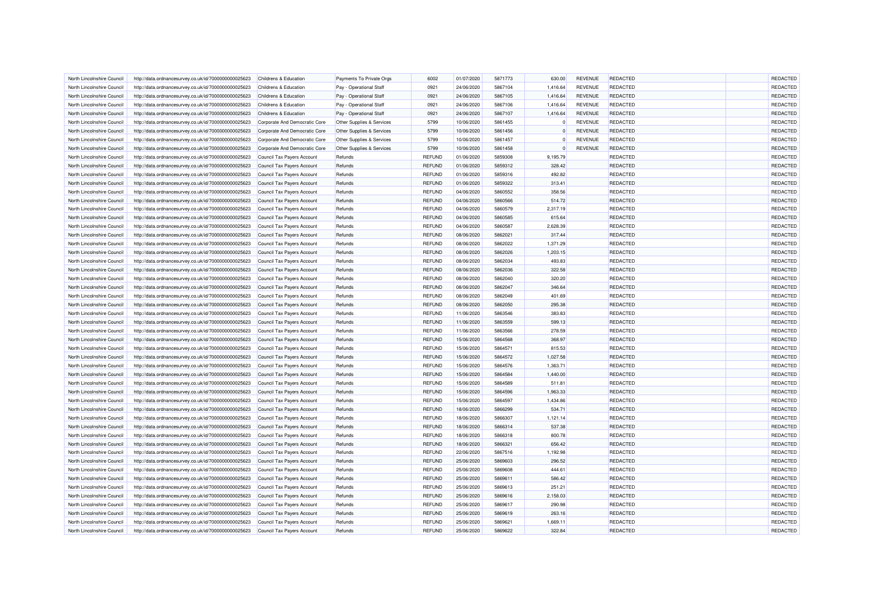| North Lincolnshire Council                               | http://data.ordnancesurvey.co.uk/id/7000000000025623 | Childrens & Education            | Payments To Private Orgs  | 6002                           | 01/07/2020 | 5871773            | 630.00   | <b>REVENUE</b> | REDACTED        | <b>REDACTED</b> |
|----------------------------------------------------------|------------------------------------------------------|----------------------------------|---------------------------|--------------------------------|------------|--------------------|----------|----------------|-----------------|-----------------|
| North Lincolnshire Council                               | http://data.ordnancesurvey.co.uk/id/7000000000025623 | Childrens & Education            | Pay - Operational Staff   | 0921                           | 24/06/2020 | 5867104            | 1,416.64 | <b>REVENUE</b> | REDACTED        | REDACTED        |
| North Lincolnshire Council                               | http://data.ordnancesurvey.co.uk/id/7000000000025623 | Childrens & Education            | Pay - Operational Staff   | 0921                           | 24/06/2020 | 5867105            | 1,416.64 | <b>REVENUE</b> | <b>REDACTED</b> | <b>REDACTED</b> |
| North Lincolnshire Council                               | http://data.ordnancesurvey.co.uk/id/7000000000025623 | <b>Childrens &amp; Education</b> | Pay - Operational Staff   | 0921                           | 24/06/2020 | 5867106            | 1,416.64 | <b>REVENUE</b> | REDACTED        | <b>REDACTED</b> |
| North Lincolnshire Council                               | http://data.ordnancesurvey.co.uk/id/7000000000025623 | Childrens & Education            | Pay - Operational Staff   | 0921                           | 24/06/2020 | 5867107            | 1,416.64 | <b>REVENUE</b> | <b>REDACTED</b> | <b>REDACTED</b> |
| North Lincolnshire Council                               | http://data.ordnancesurvey.co.uk/id/7000000000025623 | Corporate And Democratic Core    | Other Supplies & Services | 5799                           | 10/06/2020 | 5861455            | $\Omega$ | <b>REVENUE</b> | <b>REDACTED</b> | REDACTED        |
| North Lincolnshire Council                               | http://data.ordnancesurvey.co.uk/id/7000000000025623 | Corporate And Democratic Core    | Other Supplies & Services | 5799                           | 10/06/2020 | 5861456            |          | <b>REVENUE</b> | REDACTED        | REDACTED        |
| North Lincolnshire Council                               | http://data.ordnancesurvey.co.uk/id/7000000000025623 | Corporate And Democratic Core    | Other Supplies & Services | 5799                           | 10/06/2020 | 5861457            | $\Omega$ | <b>REVENUE</b> | REDACTED        | REDACTED        |
| North Lincolnshire Council                               | http://data.ordnancesurvey.co.uk/id/7000000000025623 | Corporate And Democratic Core    | Other Supplies & Services | 5799                           | 10/06/2020 | 5861458            |          | <b>REVENUE</b> | REDACTED        | REDACTED        |
| North Lincolnshire Council                               | http://data.ordnancesurvey.co.uk/id/7000000000025623 | Council Tax Payers Account       | Refunds                   | <b>REFUND</b>                  | 01/06/2020 | 5859308            | 9,195.79 |                | <b>REDACTED</b> | REDACTED        |
| North Lincolnshire Council                               | http://data.ordnancesurvey.co.uk/id/7000000000025623 | Council Tax Payers Account       | Refunds                   | <b>REFUND</b>                  | 01/06/2020 | 5859312            | 328.42   |                | REDACTED        | REDACTED        |
| North Lincolnshire Council                               | http://data.ordnancesurvey.co.uk/id/7000000000025623 | Council Tax Payers Account       | Refunds                   | REFUND                         | 01/06/2020 | 5859316            | 492.82   |                | REDACTED        | <b>REDACTED</b> |
| North Lincolnshire Council                               | http://data.ordnancesurvey.co.uk/id/7000000000025623 | Council Tax Payers Account       | Refunds                   | <b>REFUND</b>                  | 01/06/2020 | 5859322            | 313.41   |                | REDACTED        | REDACTED        |
| North Lincolnshire Council                               | http://data.ordnancesurvey.co.uk/id/7000000000025623 | Council Tax Payers Account       | Refunds                   | <b>REFUND</b>                  | 04/06/2020 | 5860552            | 358.56   |                | REDACTED        | <b>REDACTED</b> |
| North Lincolnshire Council                               | http://data.ordnancesurvey.co.uk/id/7000000000025623 | Council Tax Payers Account       | Refunds                   | <b>REFUND</b>                  | 04/06/2020 | 5860566            | 514.72   |                | REDACTED        | <b>REDACTED</b> |
| North Lincolnshire Council                               | http://data.ordnancesurvey.co.uk/id/7000000000025623 | Council Tax Payers Account       | Refunds                   | <b>REFUND</b>                  | 04/06/2020 | 5860579            | 2,317.19 |                | REDACTED        | REDACTED        |
| North Lincolnshire Council                               | http://data.ordnancesurvey.co.uk/id/7000000000025623 | Council Tax Payers Account       | Refunds                   | <b>REFUND</b>                  | 04/06/2020 | 5860585            | 615.64   |                | <b>REDACTED</b> | REDACTED        |
| North Lincolnshire Council                               | http://data.ordnancesurvey.co.uk/id/7000000000025623 | Council Tax Payers Account       | Refunds                   | <b>REFUND</b>                  | 04/06/2020 | 5860587            | 2,628.39 |                | REDACTED        | REDACTED        |
| North Lincolnshire Council                               | http://data.ordnancesurvey.co.uk/id/7000000000025623 | Council Tax Payers Account       | Refunds                   | <b>REFUND</b>                  | 08/06/2020 | 5862021            | 317.44   |                | REDACTED        | REDACTED        |
| North Lincolnshire Council                               | http://data.ordnancesurvey.co.uk/id/7000000000025623 | Council Tax Payers Account       | Refunds                   | <b>REFUND</b>                  | 08/06/2020 | 5862022            | 1,371.29 |                | REDACTED        | REDACTED        |
| North Lincolnshire Council                               | http://data.ordnancesurvey.co.uk/id/7000000000025623 | Council Tax Payers Account       | Refunds                   | REFUND                         | 08/06/2020 | 5862026            | 1,203.15 |                | <b>REDACTED</b> | REDACTED        |
| North Lincolnshire Council                               | http://data.ordnancesurvey.co.uk/id/7000000000025623 | Council Tax Payers Account       | Refunds                   | <b>REFUND</b>                  | 08/06/2020 | 5862034            | 493.83   |                | REDACTED        | <b>REDACTED</b> |
| North Lincolnshire Council                               | http://data.ordnancesurvey.co.uk/id/7000000000025623 | Council Tax Payers Account       | Refunds                   | <b>REFUND</b>                  | 08/06/2020 | 5862036            | 322.58   |                | REDACTED        | REDACTED        |
|                                                          |                                                      |                                  |                           |                                |            |                    |          |                |                 | REDACTED        |
| North Lincolnshire Council<br>North Lincolnshire Council | http://data.ordnancesurvey.co.uk/id/7000000000025623 | Council Tax Payers Account       | Refunds                   | <b>REFUND</b><br><b>REFUND</b> | 08/06/2020 | 5862040<br>5862047 | 320.20   |                | REDACTED        | REDACTED        |
|                                                          | http://data.ordnancesurvey.co.uk/id/7000000000025623 | Council Tax Payers Account       | Refunds                   |                                | 08/06/2020 |                    | 346.64   |                | REDACTED        |                 |
| North Lincolnshire Council                               | http://data.ordnancesurvey.co.uk/id/7000000000025623 | Council Tax Payers Account       | Refunds                   | <b>REFUND</b>                  | 08/06/2020 | 5862049            | 401.69   |                | REDACTED        | REDACTED        |
| North Lincolnshire Council                               | http://data.ordnancesurvey.co.uk/id/7000000000025623 | Council Tax Payers Account       | Refunds                   | <b>REFUND</b>                  | 08/06/2020 | 5862050            | 295.38   |                | REDACTED        | REDACTED        |
| North Lincolnshire Council                               | http://data.ordnancesurvey.co.uk/id/7000000000025623 | Council Tax Payers Account       | Refunds                   | <b>REFUND</b>                  | 11/06/2020 | 5863546            | 383.83   |                | REDACTED        | REDACTED        |
| North Lincolnshire Council                               | http://data.ordnancesurvey.co.uk/id/7000000000025623 | Council Tax Payers Account       | Refunds                   | <b>REFUND</b>                  | 11/06/2020 | 5863559            | 599.13   |                | REDACTED        | REDACTED        |
| North Lincolnshire Council                               | http://data.ordnancesurvey.co.uk/id/7000000000025623 | Council Tax Payers Account       | Refunds                   | <b>REFUND</b>                  | 11/06/2020 | 5863566            | 278.59   |                | REDACTED        | REDACTED        |
| North Lincolnshire Council                               | http://data.ordnancesurvey.co.uk/id/7000000000025623 | Council Tax Payers Account       | Refunds                   | <b>REFUND</b>                  | 15/06/2020 | 5864568            | 368.97   |                | REDACTED        | REDACTED        |
| North Lincolnshire Council                               | http://data.ordnancesurvey.co.uk/id/7000000000025623 | Council Tax Payers Account       | Refunds                   | <b>REFUND</b>                  | 15/06/2020 | 5864571            | 815.53   |                | REDACTED        | REDACTED        |
| North Lincolnshire Council                               | http://data.ordnancesurvey.co.uk/id/7000000000025623 | Council Tax Payers Account       | Refunds                   | <b>REFUND</b>                  | 15/06/2020 | 5864572            | 1.027.58 |                | <b>REDACTED</b> | REDACTED        |
| North Lincolnshire Council                               | http://data.ordnancesurvey.co.uk/id/7000000000025623 | Council Tax Payers Account       | Refunds                   | <b>REFUND</b>                  | 15/06/2020 | 5864576            | 1,363.71 |                | REDACTED        | REDACTED        |
| North Lincolnshire Council                               | http://data.ordnancesurvey.co.uk/id/7000000000025623 | Council Tax Payers Account       | Refunds                   | <b>REFUND</b>                  | 15/06/2020 | 5864584            | 1,440.00 |                | REDACTED        | REDACTED        |
| North Lincolnshire Council                               | http://data.ordnancesurvey.co.uk/id/7000000000025623 | Council Tax Payers Account       | Refunds                   | <b>REFUND</b>                  | 15/06/2020 | 5864589            | 511.81   |                | REDACTED        | REDACTED        |
| North Lincolnshire Council                               | http://data.ordnancesurvey.co.uk/id/7000000000025623 | Council Tax Payers Account       | Refunds                   | <b>REFUND</b>                  | 15/06/2020 | 5864596            | 1,963.33 |                | REDACTED        | REDACTED        |
| North Lincolnshire Council                               | http://data.ordnancesurvey.co.uk/id/7000000000025623 | Council Tax Payers Account       | Refunds                   | <b>REFUND</b>                  | 15/06/2020 | 5864597            | 1,434.86 |                | REDACTED        | REDACTED        |
| North Lincolnshire Council                               | http://data.ordnancesurvey.co.uk/id/7000000000025623 | Council Tax Payers Account       | Refunds                   | REFUND                         | 18/06/2020 | 5866299            | 534.71   |                | REDACTED        | REDACTED        |
| North Lincolnshire Council                               | http://data.ordnancesurvey.co.uk/id/7000000000025623 | Council Tax Payers Account       | Refunds                   | <b>REFUND</b>                  | 18/06/2020 | 5866307            | 1,121.14 |                | REDACTED        | REDACTED        |
| North Lincolnshire Council                               | http://data.ordnancesurvey.co.uk/id/7000000000025623 | Council Tax Payers Account       | Refunds                   | <b>REFUND</b>                  | 18/06/2020 | 5866314            | 537.38   |                | REDACTED        | REDACTED        |
| North Lincolnshire Council                               | http://data.ordnancesurvey.co.uk/id/7000000000025623 | Council Tax Payers Account       | Refunds                   | <b>REFUND</b>                  | 18/06/2020 | 5866318            | 800.78   |                | REDACTED        | REDACTED        |
| North Lincolnshire Council                               | http://data.ordnancesurvey.co.uk/id/7000000000025623 | Council Tax Payers Account       | Refunds                   | <b>REFUND</b>                  | 18/06/2020 | 5866321            | 656.42   |                | <b>REDACTED</b> | REDACTED        |
| North Lincolnshire Council                               | http://data.ordnancesurvey.co.uk/id/7000000000025623 | Council Tax Payers Account       | Refunds                   | REFUND                         | 22/06/2020 | 5867516            | 1.192.98 |                | REDACTED        | <b>REDACTED</b> |
| North Lincolnshire Council                               | http://data.ordnancesurvey.co.uk/id/7000000000025623 | Council Tax Payers Account       | Refunds                   | <b>REFUND</b>                  | 25/06/2020 | 5869603            | 296.52   |                | REDACTED        | REDACTED        |
| North Lincolnshire Council                               | http://data.ordnancesurvey.co.uk/id/7000000000025623 | Council Tax Payers Account       | Refunds                   | <b>REFUND</b>                  | 25/06/2020 | 5869608            | 444.61   |                | REDACTED        | <b>REDACTED</b> |
| North Lincolnshire Council                               | http://data.ordnancesurvey.co.uk/id/7000000000025623 | Council Tax Payers Account       | Refunds                   | <b>REFUND</b>                  | 25/06/2020 | 5869611            | 586.42   |                | REDACTED        | REDACTED        |
| North Lincolnshire Council                               | http://data.ordnancesurvey.co.uk/id/7000000000025623 | Council Tax Payers Account       | Refunds                   | <b>REFUND</b>                  | 25/06/2020 | 5869613            | 251.21   |                | REDACTED        | REDACTED        |
| North Lincolnshire Council                               | http://data.ordnancesurvey.co.uk/id/7000000000025623 | Council Tax Payers Account       | Refunds                   | <b>REFUND</b>                  | 25/06/2020 | 5869616            | 2,158.03 |                | REDACTED        | REDACTED        |
| North Lincolnshire Council                               | http://data.ordnancesurvey.co.uk/id/7000000000025623 | Council Tax Payers Account       | Refunds                   | <b>REFUND</b>                  | 25/06/2020 | 5869617            | 290.98   |                | REDACTED        | <b>REDACTED</b> |
| North Lincolnshire Council                               | http://data.ordnancesurvey.co.uk/id/7000000000025623 | Council Tax Payers Account       | Refunds                   | <b>REFUND</b>                  | 25/06/2020 | 5869619            | 263.16   |                | REDACTED        | REDACTED        |
| North Lincolnshire Council                               | http://data.ordnancesurvey.co.uk/id/7000000000025623 | Council Tax Payers Account       | Refunds                   | <b>REFUND</b>                  | 25/06/2020 | 5869621            | 1,669.11 |                | REDACTED        | <b>REDACTED</b> |
| North Lincolnshire Council                               | http://data.ordnancesurvey.co.uk/id/7000000000025623 | Council Tax Payers Account       | Refunds                   | <b>REFUND</b>                  | 25/06/2020 | 5869622            | 322.84   |                | <b>REDACTED</b> | REDACTED        |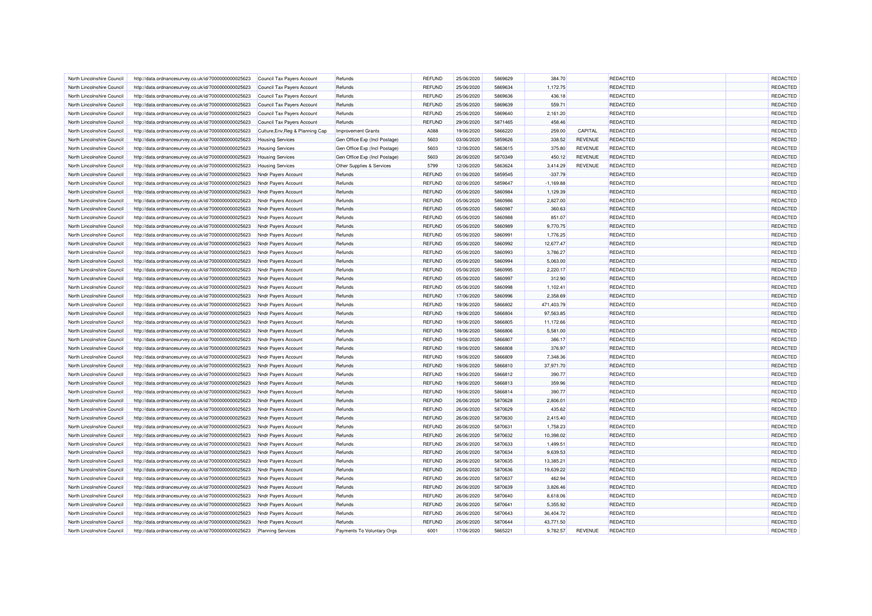| North Lincolnshire Council | http://data.ordnancesurvey.co.uk/id/7000000000025623 | Council Tax Payers Account       | Refunds                       | <b>REFUND</b>                  | 25/06/2020               | 5869629            | 384.70      |                | REDACTED        | <b>REDACTED</b> |
|----------------------------|------------------------------------------------------|----------------------------------|-------------------------------|--------------------------------|--------------------------|--------------------|-------------|----------------|-----------------|-----------------|
| North Lincolnshire Council | http://data.ordnancesurvey.co.uk/id/7000000000025623 | Council Tax Payers Account       | Refunds                       | <b>REFUND</b>                  | 25/06/2020               | 5869634            | 1,172.75    |                | REDACTED        | <b>REDACTED</b> |
| North Lincolnshire Council | http://data.ordnancesurvey.co.uk/id/7000000000025623 | Council Tax Payers Account       | Refunds                       | <b>REFUND</b>                  | 25/06/2020               | 5869636            | 436.18      |                | REDACTED        | REDACTED        |
| North Lincolnshire Council | http://data.ordnancesurvey.co.uk/id/7000000000025623 | Council Tax Payers Account       | Refunds                       | <b>REFUND</b>                  | 25/06/2020               | 5869639            | 559.71      |                | REDACTED        | REDACTED        |
| North Lincolnshire Council | http://data.ordnancesurvey.co.uk/id/7000000000025623 | Council Tax Payers Account       | Refunds                       | <b>REFUND</b>                  | 25/06/2020               | 5869640            | 2,161.20    |                | REDACTED        | REDACTED        |
| North Lincolnshire Council | http://data.ordnancesurvey.co.uk/id/7000000000025623 | Council Tax Payers Account       | Refunds                       | <b>REFUND</b>                  | 29/06/2020               | 5871465            | 458.46      |                | <b>REDACTED</b> | REDACTED        |
| North Lincolnshire Council | http://data.ordnancesurvey.co.uk/id/7000000000025623 | Culture, Env, Reg & Planning Cap | <b>Improvement Grants</b>     | A088                           | 19/06/2020               | 5866220            | 259.00      | CAPITAL        | REDACTED        | REDACTED        |
| North Lincolnshire Council | http://data.ordnancesurvey.co.uk/id/7000000000025623 | <b>Housing Services</b>          | Gen Office Exp (Incl Postage) | 5603                           | 03/06/2020               | 5859626            | 338.52      | <b>REVENUE</b> | <b>REDACTED</b> | REDACTED        |
| North Lincolnshire Counci  | http://data.ordnancesurvey.co.uk/id/7000000000025623 | <b>Housing Services</b>          | Gen Office Exp (Incl Postage  | 5603                           | 12/06/2020               | 5863615            | 375.80      | <b>REVENUE</b> | REDACTED        | REDACTED        |
| North Lincolnshire Council | http://data.ordnancesurvey.co.uk/id/7000000000025623 | <b>Housing Services</b>          | Gen Office Exp (Incl Postage) | 5603                           | 26/06/2020               | 5870349            | 450.12      | <b>REVENUE</b> | <b>REDACTED</b> | REDACTED        |
| North Lincolnshire Council | http://data.ordnancesurvey.co.uk/id/7000000000025623 | <b>Housing Services</b>          | Other Supplies & Services     | 5799                           | 12/06/2020               | 5863624            | 3,414.29    | <b>REVENUE</b> | <b>REDACTED</b> | REDACTED        |
| North Lincolnshire Council | http://data.ordnancesurvey.co.uk/id/7000000000025623 | Nndr Payers Account              | Refunds                       | <b>REFUND</b>                  | 01/06/2020               | 5859545            | $-337.79$   |                | <b>REDACTED</b> | REDACTED        |
| North Lincolnshire Council | http://data.ordnancesurvey.co.uk/id/7000000000025623 | Nndr Payers Account              | Refunds                       | <b>REFUND</b>                  | 02/06/2020               | 5859647            | $-1,169.88$ |                | REDACTED        | REDACTED        |
| North Lincolnshire Council | http://data.ordnancesurvey.co.uk/id/7000000000025623 | Nndr Payers Account              | Refunds                       | <b>REFUND</b>                  | 05/06/2020               | 5860984            | 1,129.39    |                | REDACTED        | REDACTED        |
| North Lincolnshire Council | http://data.ordnancesurvey.co.uk/id/7000000000025623 | Nndr Payers Account              | Refunds                       | REFUND                         | 05/06/2020               | 5860986            | 2,827.00    |                | REDACTED        | REDACTED        |
| North Lincolnshire Council | http://data.ordnancesurvey.co.uk/id/7000000000025623 | Nndr Payers Account              | Refunds                       | <b>REFUND</b>                  | 05/06/2020               | 5860987            | 360.63      |                | <b>REDACTED</b> | <b>REDACTED</b> |
| North Lincolnshire Council | http://data.ordnancesurvey.co.uk/id/7000000000025623 | Nndr Payers Account              | Refunds                       | REFUND                         | 05/06/2020               | 5860988            | 851.07      |                | REDACTED        | REDACTED        |
| North Lincolnshire Council | http://data.ordnancesurvey.co.uk/id/7000000000025623 | Nndr Payers Account              | Refunds                       | <b>REFUND</b>                  | 05/06/2020               | 5860989            | 9,770.75    |                | REDACTED        | REDACTED        |
| North Lincolnshire Council | http://data.ordnancesurvey.co.uk/id/7000000000025623 |                                  | Refunds                       | <b>REFUND</b>                  | 05/06/2020               | 5860991            | 1,776.25    |                | REDACTED        | REDACTED        |
|                            |                                                      | Nndr Payers Account              |                               |                                |                          |                    | 12,677.47   |                | REDACTED        | <b>REDACTED</b> |
| North Lincolnshire Council | http://data.ordnancesurvey.co.uk/id/7000000000025623 | Nndr Payers Account              | Refunds                       | <b>REFUND</b><br><b>REFUND</b> | 05/06/2020<br>05/06/2020 | 5860992<br>5860993 | 3,786.27    |                | REDACTED        | REDACTED        |
| North Lincolnshire Council | http://data.ordnancesurvey.co.uk/id/7000000000025623 | Nndr Payers Account              | Refunds                       |                                |                          |                    |             |                |                 |                 |
| North Lincolnshire Council | http://data.ordnancesurvey.co.uk/id/7000000000025623 | Nndr Payers Account              | Refunds                       | <b>REFUND</b>                  | 05/06/2020               | 5860994            | 5,063.00    |                | REDACTED        | REDACTED        |
| North Lincolnshire Council | http://data.ordnancesurvey.co.uk/id/7000000000025623 | Nndr Payers Account              | Refunds                       | <b>REFUND</b>                  | 05/06/2020               | 5860995            | 2,220.17    |                | REDACTED        | REDACTED        |
| North Lincolnshire Council | http://data.ordnancesurvey.co.uk/id/7000000000025623 | Nndr Payers Account              | Refunds                       | <b>REFUND</b>                  | 05/06/2020               | 5860997            | 312.90      |                | REDACTED        | REDACTED        |
| North Lincolnshire Council | http://data.ordnancesurvey.co.uk/id/7000000000025623 | Nndr Payers Account              | Refunds                       | <b>REFUND</b>                  | 05/06/2020               | 5860998            | 1,102.41    |                | REDACTED        | REDACTED        |
| North Lincolnshire Council | http://data.ordnancesurvey.co.uk/id/7000000000025623 | Nndr Payers Account              | Refunds                       | <b>REFUND</b>                  | 17/06/2020               | 5860996            | 2,358.69    |                | REDACTED        | REDACTED        |
| North Lincolnshire Council | http://data.ordnancesurvey.co.uk/id/7000000000025623 | Nndr Payers Account              | Refunds                       | <b>REFUND</b>                  | 19/06/2020               | 5866802            | 471,403.79  |                | REDACTED        | REDACTED        |
| North Lincolnshire Council | http://data.ordnancesurvey.co.uk/id/7000000000025623 | Nndr Payers Account              | Refunds                       | <b>REFUND</b>                  | 19/06/2020               | 5866804            | 97,563.85   |                | REDACTED        | REDACTED        |
| North Lincolnshire Council | http://data.ordnancesurvey.co.uk/id/7000000000025623 | Nndr Payers Account              | Refunds                       | <b>REFUND</b>                  | 19/06/2020               | 5866805            | 11,172.66   |                | REDACTED        | REDACTED        |
| North Lincolnshire Council | http://data.ordnancesurvey.co.uk/id/7000000000025623 | Nndr Payers Account              | Refunds                       | <b>REFUND</b>                  | 19/06/2020               | 5866806            | 5,581.00    |                | REDACTED        | REDACTED        |
| North Lincolnshire Council | http://data.ordnancesurvey.co.uk/id/7000000000025623 | Nndr Payers Account              | Refunds                       | REFUND                         | 19/06/2020               | 5866807            | 386.17      |                | REDACTED        | REDACTED        |
| North Lincolnshire Council | http://data.ordnancesurvey.co.uk/id/7000000000025623 | Nndr Payers Account              | Refunds                       | <b>REFUND</b>                  | 19/06/2020               | 5866808            | 376.97      |                | REDACTED        | REDACTED        |
| North Lincolnshire Council | http://data.ordnancesurvey.co.uk/id/7000000000025623 | Nndr Payers Account              | Refunds                       | <b>REFUND</b>                  | 19/06/2020               | 5866809            | 7,348.36    |                | REDACTED        | REDACTED        |
| North Lincolnshire Council | http://data.ordnancesurvey.co.uk/id/7000000000025623 | Nndr Payers Account              | Refunds                       | <b>REFUND</b>                  | 19/06/2020               | 5866810            | 37,971.70   |                | REDACTED        | REDACTED        |
| North Lincolnshire Council | http://data.ordnancesurvey.co.uk/id/7000000000025623 | Nndr Payers Account              | Refunds                       | <b>REFUND</b>                  | 19/06/2020               | 5866812            | 390.77      |                | REDACTED        | REDACTED        |
| North Lincolnshire Council | http://data.ordnancesurvey.co.uk/id/7000000000025623 | Nndr Payers Account              | Refunds                       | <b>REFUND</b>                  | 19/06/2020               | 5866813            | 359.96      |                | REDACTED        | REDACTED        |
| North Lincolnshire Council | http://data.ordnancesurvey.co.uk/id/7000000000025623 | Nndr Payers Account              | Refunds                       | REFUND                         | 19/06/2020               | 5866814            | 390.77      |                | REDACTED        | REDACTED        |
| North Lincolnshire Council | http://data.ordnancesurvey.co.uk/id/7000000000025623 | Nndr Payers Account              | Refunds                       | <b>REFUND</b>                  | 26/06/2020               | 5870628            | 2,806.01    |                | <b>REDACTED</b> | REDACTED        |
| North Lincolnshire Council | http://data.ordnancesurvey.co.uk/id/7000000000025623 | Nndr Payers Account              | Refunds                       | REFUND                         | 26/06/2020               | 5870629            | 435.62      |                | REDACTED        | REDACTED        |
| North Lincolnshire Council | http://data.ordnancesurvey.co.uk/id/7000000000025623 | Nndr Payers Account              | Refunds                       | <b>REFUND</b>                  | 26/06/2020               | 5870630            | 2,415.40    |                | <b>REDACTED</b> | <b>REDACTED</b> |
| North Lincolnshire Council | http://data.ordnancesurvey.co.uk/id/7000000000025623 | Nndr Payers Account              | Refunds                       | <b>REFUND</b>                  | 26/06/2020               | 5870631            | 1,758.23    |                | REDACTED        | REDACTED        |
| North Lincolnshire Council | http://data.ordnancesurvey.co.uk/id/7000000000025623 | Nndr Payers Account              | Refunds                       | <b>REFUND</b>                  | 26/06/2020               | 5870632            | 10,398.02   |                | REDACTED        | REDACTED        |
| North Lincolnshire Council | http://data.ordnancesurvey.co.uk/id/7000000000025623 | Nndr Payers Account              | Refunds                       | <b>REFUND</b>                  | 26/06/2020               | 5870633            | 1,499.51    |                | REDACTED        | REDACTED        |
| North Lincolnshire Council | http://data.ordnancesurvey.co.uk/id/7000000000025623 | Nndr Payers Account              | Refunds                       | REFUND                         | 26/06/2020               | 5870634            | 9,639.53    |                | REDACTED        | REDACTED        |
| North Lincolnshire Council | http://data.ordnancesurvey.co.uk/id/7000000000025623 | Nndr Payers Account              | Refunds                       | <b>REFUND</b>                  | 26/06/2020               | 5870635            | 13,385.21   |                | REDACTED        | REDACTED        |
| North Lincolnshire Council | http://data.ordnancesurvey.co.uk/id/7000000000025623 | Nndr Payers Account              | Refunds                       | <b>REFUND</b>                  | 26/06/2020               | 5870636            | 19,639.22   |                | REDACTED        | REDACTED        |
| North Lincolnshire Council | http://data.ordnancesurvey.co.uk/id/7000000000025623 | Nndr Payers Account              | Refunds                       | <b>REFUND</b>                  | 26/06/2020               | 5870637            | 462.94      |                | REDACTED        | <b>REDACTED</b> |
| North Lincolnshire Council | http://data.ordnancesurvey.co.uk/id/7000000000025623 | Nndr Payers Account              | Refunds                       | <b>REFUND</b>                  | 26/06/2020               | 5870639            | 3,826.46    |                | REDACTED        | <b>REDACTED</b> |
| North Lincolnshire Council | http://data.ordnancesurvey.co.uk/id/7000000000025623 | Nndr Payers Account              | Refunds                       | <b>REFUND</b>                  | 26/06/2020               | 5870640            | 8.618.06    |                | REDACTED        | REDACTED        |
| North Lincolnshire Council | http://data.ordnancesurvey.co.uk/id/7000000000025623 | Nndr Payers Account              | Refunds                       | <b>REFUND</b>                  | 26/06/2020               | 5870641            | 5,355.92    |                | <b>REDACTED</b> | REDACTED        |
| North Lincolnshire Council | http://data.ordnancesurvey.co.uk/id/7000000000025623 | Nndr Payers Account              | Refunds                       | <b>REFUND</b>                  | 26/06/2020               | 5870643            | 36,404.72   |                | REDACTED        | <b>REDACTED</b> |
| North Lincolnshire Council | http://data.ordnancesurvey.co.uk/id/7000000000025623 | Nndr Payers Account              | Refunds                       | REFUND                         | 26/06/2020               | 5870644            | 43,771.50   |                | <b>REDACTED</b> | <b>REDACTED</b> |
| North Lincolnshire Council | http://data.ordnancesurvey.co.uk/id/7000000000025623 | <b>Planning Services</b>         | Payments To Voluntary Orgs    | 6001                           | 17/06/2020               | 5865221            | 9,782.57    | <b>REVENUE</b> | REDACTED        | REDACTED        |
|                            |                                                      |                                  |                               |                                |                          |                    |             |                |                 |                 |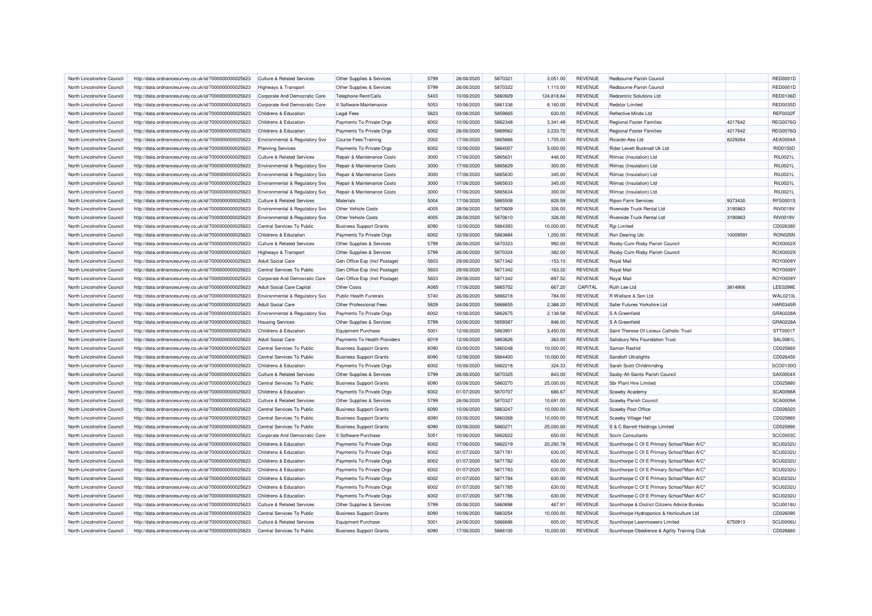| North Lincolnshire Council | http://data.ordnancesurvey.co.uk/id/7000000000025623 | Culture & Related Services                | Other Supplies & Services      | 5799 | 26/06/2020 | 5870321 | 3.051.00   | <b>REVENUE</b> | Redbourne Parish Council                                                                   |          | RED0001D        |
|----------------------------|------------------------------------------------------|-------------------------------------------|--------------------------------|------|------------|---------|------------|----------------|--------------------------------------------------------------------------------------------|----------|-----------------|
| North Lincolnshire Council | http://data.ordnancesurvey.co.uk/id/7000000000025623 | <b>Highways &amp; Transport</b>           | Other Supplies & Services      | 5799 | 26/06/2020 | 5870322 | 1,115.00   | <b>REVENUE</b> | Redbourne Parish Council                                                                   |          | RED0001D        |
| North Lincolnshire Council | http://data.ordnancesurvey.co.uk/id/7000000000025623 | Corporate And Democratic Core             | Telephone Rent/Calls           | 5403 | 10/06/2020 | 5860929 | 124,818.84 | <b>REVENUE</b> | Redcentric Solutions Ltd                                                                   |          | <b>RED0136D</b> |
| North Lincolnshire Council | http://data.ordnancesurvey.co.uk/id/7000000000025623 | Corporate And Democratic Core             | It Software-Maintenance        | 5053 | 10/06/2020 | 5861336 | 8,160.00   | <b>REVENUE</b> | <b>Redstor Limited</b>                                                                     |          | <b>RED0035D</b> |
| North Lincolnshire Council | http://data.ordnancesurvey.co.uk/id/7000000000025623 | Childrens & Education                     | <b>Legal Fees</b>              | 5823 | 03/06/2020 | 5859665 | 630.00     | <b>REVENUE</b> | Reflective Minds Ltd                                                                       |          | <b>REF0032F</b> |
| North Lincolnshire Council | http://data.ordnancesurvey.co.uk/id/7000000000025623 | Childrens & Education                     | Payments To Private Orgs       | 6002 | 10/06/2020 | 5862348 | 3,341.49   | <b>REVENUE</b> | <b>Regional Foster Families</b>                                                            | 4217642  | <b>REG0076G</b> |
| North Lincolnshire Council | http://data.ordnancesurvey.co.uk/id/7000000000025623 | Childrens & Education                     | Payments To Private Orgs       | 6002 | 26/06/2020 | 5869562 | 3,233.70   | <b>REVENUE</b> | <b>Regional Foster Families</b>                                                            | 4217642  | <b>REG0076G</b> |
| North Lincolnshire Council | http://data.ordnancesurvey.co.uk/id/7000000000025623 | Environmental & Regulatory Svs            | Course Fees/Training           | 2002 | 17/06/2020 | 5865666 | 1,705.00   | <b>REVENUE</b> | Ricardo-Aea Ltd                                                                            | 8229264  | AEA0004/        |
| North Lincolnshire Council | http://data.ordnancesurvey.co.uk/id/7000000000025623 | <b>Planning Services</b>                  | Payments To Private Orgs       | 6002 | 12/06/2020 | 5864007 | 5,000.00   | <b>REVENUE</b> | Rider Levett Bucknall Uk Ltd                                                               |          | RID0150D        |
| North Lincolnshire Council | http://data.ordnancesurvey.co.uk/id/7000000000025623 | <b>Culture &amp; Related Services</b>     | Repair & Maintenance Costs     | 3000 | 17/06/2020 | 5865631 | 446.00     | <b>REVENUE</b> | Rilmac (Insulation) Ltd                                                                    |          | RIL0021L        |
| North Lincolnshire Council | http://data.ordnancesurvey.co.uk/id/7000000000025623 | Environmental & Regulatory Svs            | Repair & Maintenance Costs     | 3000 | 17/06/2020 | 5865629 | 300.00     | <b>REVENUE</b> | Rilmac (Insulation) Ltd                                                                    |          | RIL0021L        |
| North Lincolnshire Council | http://data.ordnancesurvey.co.uk/id/7000000000025623 | Environmental & Regulatory Svs            | Repair & Maintenance Costs     | 3000 | 17/06/2020 | 5865630 | 345.00     | <b>REVENUE</b> | Rilmac (Insulation) Ltd                                                                    |          | RIL0021L        |
| North Lincolnshire Council | http://data.ordnancesurvey.co.uk/id/7000000000025623 | Environmental & Regulatory Svs            | Repair & Maintenance Costs     | 3000 | 17/06/2020 | 5865633 | 345.00     | <b>REVENUE</b> | Rilmac (Insulation) Ltd                                                                    |          | RIL0021L        |
| North Lincolnshire Council | http://data.ordnancesurvey.co.uk/id/7000000000025623 | Environmental & Regulatory Svs            | Repair & Maintenance Costs     | 3000 | 17/06/2020 | 5865634 | 300.00     | <b>REVENUE</b> | Rilmac (Insulation) Ltd                                                                    |          | RIL0021L        |
| North Lincolnshire Council | http://data.ordnancesurvey.co.uk/id/7000000000025623 |                                           | Materials                      | 5004 | 17/06/2020 | 5865508 | 828.59     | <b>REVENUE</b> | <b>Ripon Farm Services</b>                                                                 | 9373430  | RFS00019        |
| North Lincolnshire Council | http://data.ordnancesurvey.co.uk/id/7000000000025623 | <b>Culture &amp; Related Services</b>     | Other Vehicle Costs            | 4005 | 28/06/2020 | 5870609 | 326.00     | <b>REVENUE</b> | <b>Riverside Truck Rental Ltd</b>                                                          | 3190863  | <b>RIV0019V</b> |
|                            |                                                      | <b>Environmental &amp; Regulatory Svs</b> |                                |      |            |         |            |                |                                                                                            |          |                 |
| North Lincolnshire Council | http://data.ordnancesurvey.co.uk/id/7000000000025623 | Environmental & Regulatory Svs            | Other Vehicle Costs            | 4005 | 28/06/2020 | 5870610 | 326.00     | <b>REVENUE</b> | Riverside Truck Rental Ltd                                                                 | 3190863  | <b>RIV0019V</b> |
| North Lincolnshire Council | http://data.ordnancesurvey.co.uk/id/7000000000025623 | Central Services To Public                | <b>Business Support Grants</b> | 6090 | 12/06/2020 | 5864393 | 10,000.00  | <b>REVENUE</b> | <b>Rjp Limited</b>                                                                         |          | CD026380        |
| North Lincolnshire Council | http://data.ordnancesurvey.co.uk/id/7000000000025623 | Childrens & Education                     | Payments To Private Orgs       | 6002 | 12/06/2020 | 5863684 | 1,250.00   | <b>REVENUE</b> | Ron Dearing Utc                                                                            | 10009591 | RON025N         |
| North Lincolnshire Council | http://data.ordnancesurvey.co.uk/id/7000000000025623 | Culture & Related Services                | Other Supplies & Services      | 5799 | 26/06/2020 | 5870323 | 992.00     | <b>REVENUE</b> | Roxby-Cum-Risby Parish Council                                                             |          | ROX0002X        |
| North Lincolnshire Council | http://data.ordnancesurvey.co.uk/id/7000000000025623 | Highways & Transport                      | Other Supplies & Services      | 5799 | 26/06/2020 | 5870324 | 382.00     | <b>REVENUE</b> | Roxby-Cum-Risby Parish Council                                                             |          | ROX0002X        |
| North Lincolnshire Council | http://data.ordnancesurvey.co.uk/id/7000000000025623 | <b>Adult Social Care</b>                  | Gen Office Exp (Incl Postage)  | 5603 | 29/06/2020 | 5871342 | $-153.10$  | <b>REVENUE</b> | Royal Mail                                                                                 |          | ROY0009Y        |
| North Lincolnshire Council | http://data.ordnancesurvey.co.uk/id/7000000000025623 | Central Services To Public                | Gen Office Exp (Incl Postage)  | 5603 | 29/06/2020 | 5871342 | $-163.32$  | <b>REVENUE</b> | Royal Mail                                                                                 |          | <b>ROY0009Y</b> |
| North Lincolnshire Council | http://data.ordnancesurvey.co.uk/id/7000000000025623 | Corporate And Democratic Core             | Gen Office Exp (Incl Postage)  | 5603 | 29/06/2020 | 5871342 | $-897.52$  | <b>REVENUE</b> | Royal Mail                                                                                 |          | ROY0009Y        |
| North Lincolnshire Council | http://data.ordnancesurvey.co.uk/id/7000000000025623 | <b>Adult Social Care Capital</b>          | <b>Other Costs</b>             | A085 | 17/06/2020 | 5865752 | 667.20     | CAPITAL        | Ruth Lee Ltd                                                                               | 3814906  | <b>LEE0299E</b> |
| North Lincolnshire Council | http://data.ordnancesurvey.co.uk/id/7000000000025623 | Environmental & Regulatory Svs            | Public Health Funerals         | 5740 | 26/06/2020 | 5866218 | 784.00     | <b>REVENUE</b> | R Wallace & Son Ltd                                                                        |          | <b>WAL0210L</b> |
| North Lincolnshire Council | http://data.ordnancesurvey.co.uk/id/7000000000025623 | <b>Adult Social Care</b>                  | Other Professional Fees        | 5829 | 24/06/2020 | 5868655 | 2.388.20   | <b>REVENUE</b> | Safer Futures Yorkshire Ltd                                                                |          | <b>HAR0345R</b> |
| North Lincolnshire Council | http://data.ordnancesurvey.co.uk/id/7000000000025623 | Environmental & Regulatory Svs            | Payments To Private Orgs       | 6002 | 10/06/2020 | 5862675 | 2,138.58   | <b>REVENUE</b> | S A Greenfield                                                                             |          | GRA0228A        |
| North Lincolnshire Council | http://data.ordnancesurvey.co.uk/id/7000000000025623 | <b>Housing Services</b>                   | Other Supplies & Services      | 5799 | 03/06/2020 | 5859387 | 846.00     | <b>REVENUE</b> | S A Greenfield                                                                             |          | GRA0228A        |
| North Lincolnshire Council | http://data.ordnancesurvey.co.uk/id/7000000000025623 | Childrens & Education                     | <b>Equipment Purchase</b>      | 5001 | 12/06/2020 | 5863901 | 3,450.00   | <b>REVENUE</b> | Saint Therese Of Lisieux Catholic Trust                                                    |          | STT0001T        |
| North Lincolnshire Council | http://data.ordnancesurvey.co.uk/id/7000000000025623 | <b>Adult Social Care</b>                  | Payments To Health Providers   | 6019 | 12/06/2020 | 5863626 | 363.00     | <b>REVENUE</b> | Salisbury Nhs Foundation Trust                                                             |          | <b>SAL0081L</b> |
| North Lincolnshire Council | http://data.ordnancesurvey.co.uk/id/7000000000025623 | Central Services To Public                | <b>Business Support Grants</b> | 6090 | 03/06/2020 | 5860248 | 10,000.00  | <b>REVENUE</b> | Saman Rashid                                                                               |          | CD025660        |
| North Lincolnshire Council | http://data.ordnancesurvey.co.uk/id/7000000000025623 | Central Services To Public                | <b>Business Support Grants</b> | 6090 | 12/06/2020 | 5864400 | 10,000.00  | <b>REVENUE</b> | Sandtoft Ultralights                                                                       |          | CD026450        |
| North Lincolnshire Council | http://data.ordnancesurvey.co.uk/id/7000000000025623 | Childrens & Education                     | Payments To Private Orgs       | 6002 | 10/06/2020 | 5862218 | 324.33     | <b>REVENUE</b> | Sarah Scott Childminding                                                                   |          | SCO0130O        |
| North Lincolnshire Council | http://data.ordnancesurvey.co.uk/id/7000000000025623 | <b>Culture &amp; Related Services</b>     | Other Supplies & Services      | 5799 | 26/06/2020 | 5870325 | 843.00     | <b>REVENUE</b> | Saxby-All-Saints Parish Council                                                            |          | SAX0004X        |
| North Lincolnshire Council | http://data.ordnancesurvey.co.uk/id/7000000000025623 | Central Services To Public                | <b>Business Support Grants</b> | 6090 | 03/06/2020 | 5860270 | 25,000.00  | <b>REVENUE</b> | Sbr Plant Hire Limited                                                                     |          | CD025880        |
| North Lincolnshire Council | http://data.ordnancesurvey.co.uk/id/7000000000025623 | Childrens & Education                     | Payments To Private Orgs       | 6002 | 01/07/2020 | 5870707 | 666.67     | <b>REVENUE</b> | Scawby Academy                                                                             |          | SCA0098/        |
| North Lincolnshire Council | http://data.ordnancesurvey.co.uk/id/7000000000025623 | <b>Culture &amp; Related Services</b>     | Other Supplies & Services      | 5799 | 26/06/2020 | 5870327 | 10.691.00  | <b>REVENUE</b> | Scawby Parish Council                                                                      |          | <b>SCA0009A</b> |
| North Lincolnshire Council | http://data.ordnancesurvey.co.uk/id/7000000000025623 | Central Services To Public                | <b>Business Support Grants</b> | 6090 | 10/06/2020 | 5863247 | 10,000.00  | <b>REVENUE</b> | Scawby Post Office                                                                         |          | CD026020        |
| North Lincolnshire Council | http://data.ordnancesurvey.co.uk/id/7000000000025623 | Central Services To Public                | <b>Business Support Grants</b> | 6090 | 03/06/2020 | 5860268 | 10,000.00  | <b>REVENUE</b> | Scawby Village Hall                                                                        |          | CD025860        |
| North Lincolnshire Council | http://data.ordnancesurvey.co.uk/id/7000000000025623 | Central Services To Public                | <b>Business Support Grants</b> | 6090 | 03/06/2020 | 5860271 | 25,000.00  | <b>REVENUE</b> | S & C Barrett Holdings Limited                                                             |          | CD025890        |
| North Lincolnshire Council | http://data.ordnancesurvey.co.uk/id/7000000000025623 | Corporate And Democratic Core             | It Software-Purchase           | 5051 | 10/06/2020 | 5862622 | 650.00     | <b>REVENUE</b> | <b>Sccm Consultants</b>                                                                    |          | <b>SCC0003C</b> |
| North Lincolnshire Council | http://data.ordnancesurvey.co.uk/id/7000000000025623 | Childrens & Education                     | Payments To Private Orgs       | 6002 | 17/06/2020 | 5862219 | 20,292.78  | <b>REVENUE</b> | Scunthorpe C Of E Primary School"Main A/C"                                                 |          | <b>SCU0232U</b> |
| North Lincolnshire Council | http://data.ordnancesurvey.co.uk/id/7000000000025623 | Childrens & Education                     | Payments To Private Orgs       | 6002 | 01/07/2020 | 5871781 | 630.00     | <b>REVENUE</b> | Scunthorpe C Of E Primary School"Main A/C"                                                 |          | SCU0232U        |
| North Lincolnshire Council | http://data.ordnancesurvey.co.uk/id/7000000000025623 | Childrens & Education                     | Payments To Private Orgs       | 6002 | 01/07/2020 | 5871782 | 630.00     | <b>REVENUE</b> | Scunthorpe C Of E Primary School"Main A/C"                                                 |          | <b>SCU0232U</b> |
| North Lincolnshire Council | http://data.ordnancesurvey.co.uk/id/7000000000025623 | Childrens & Education                     | Payments To Private Orgs       | 6002 | 01/07/2020 | 5871783 | 630.00     | <b>REVENUE</b> | Scunthorpe C Of E Primary School"Main A/C"                                                 |          | <b>SCU0232U</b> |
| North Lincolnshire Council | http://data.ordnancesurvey.co.uk/id/7000000000025623 | Childrens & Education                     | Payments To Private Orgs       | 6002 | 01/07/2020 | 5871784 | 630.00     | REVENUE        | Scunthorpe C Of E Primary School"Main A/C"                                                 |          | <b>SCU0232U</b> |
| North Lincolnshire Council | http://data.ordnancesurvey.co.uk/id/7000000000025623 | Childrens & Education                     | Payments To Private Orgs       | 6002 | 01/07/2020 | 5871785 | 630.00     | <b>REVENUE</b> | Scunthorpe C Of E Primary School"Main A/C"                                                 |          | <b>SCU0232U</b> |
|                            |                                                      |                                           |                                | 6002 | 01/07/2020 | 5871786 | 630.00     | <b>REVENUE</b> |                                                                                            |          | <b>SCU0232U</b> |
| North Lincolnshire Council | http://data.ordnancesurvey.co.uk/id/7000000000025623 | Childrens & Education                     | Payments To Private Orgs       | 5799 | 05/06/2020 | 5860898 | 467.91     | <b>REVENUE</b> | Scunthorpe C Of E Primary School"Main A/C"<br>Scunthorpe & District Citizens Advice Bureau |          | SCU0018U        |
| North Lincolnshire Council | http://data.ordnancesurvey.co.uk/id/7000000000025623 | <b>Culture &amp; Related Services</b>     | Other Supplies & Services      |      |            |         |            |                |                                                                                            |          |                 |
| North Lincolnshire Council | http://data.ordnancesurvey.co.uk/id/7000000000025623 | Central Services To Public                | <b>Business Support Grants</b> | 6090 | 10/06/2020 | 5863254 | 10,000.00  | <b>REVENUE</b> | Scunthorpe Hydroponics & Horticulture Ltd                                                  |          | CD026090        |
| North Lincolnshire Council | http://data.ordnancesurvey.co.uk/id/7000000000025623 | <b>Culture &amp; Related Services</b>     | <b>Equipment Purchase</b>      | 5001 | 24/06/2020 | 5866686 | 605.00     | <b>REVENUE</b> | Scunthorpe Lawnmowers Limited                                                              | 6750913  | SCU0006U        |
| North Lincolnshire Council | http://data.ordnancesurvey.co.uk/id/7000000000025623 | Central Services To Public                | <b>Business Support Grants</b> | 6090 | 17/06/2020 | 5866100 | 10,000.00  | <b>REVENUE</b> | Scunthorpe Obedience & Agility Training Club                                               |          | CD026660        |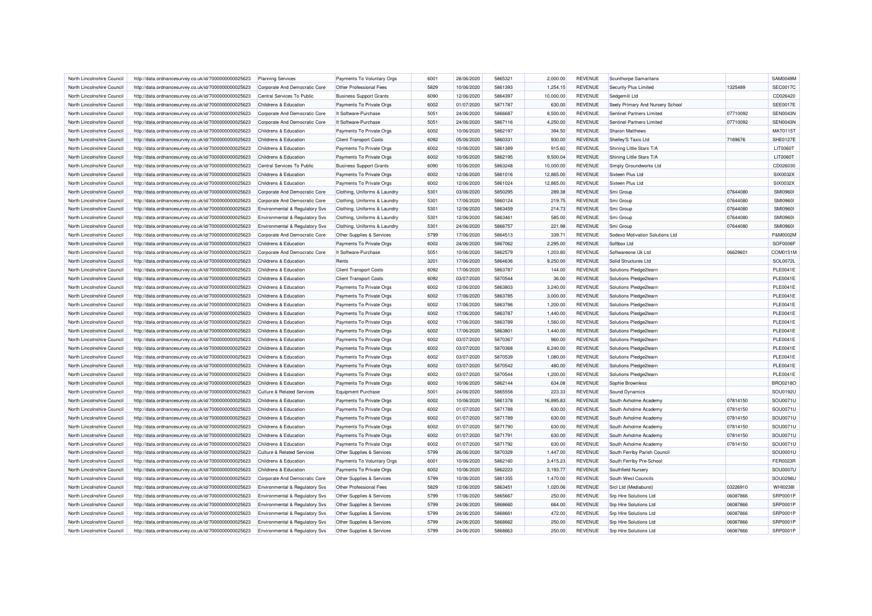| North Lincolnshire Council | http://data.ordnancesurvey.co.uk/id/7000000000025623 | <b>Planning Services</b>                  | Payments To Voluntary Orgs     | 6001 | 26/06/2020 | 5865321 | 2,000.00  | <b>REVENUE</b> | <b>Scunthorpe Samaritans</b>     |          | SAM0049M        |
|----------------------------|------------------------------------------------------|-------------------------------------------|--------------------------------|------|------------|---------|-----------|----------------|----------------------------------|----------|-----------------|
| North Lincolnshire Council | http://data.ordnancesurvey.co.uk/id/7000000000025623 | Corporate And Democratic Core             | Other Professional Fees        | 5829 | 10/06/2020 | 5861393 | 1,254.15  | <b>REVENUE</b> | Security Plus Limited            | 1325489  | <b>SEC0017C</b> |
| North Lincolnshire Council | http://data.ordnancesurvey.co.uk/id/7000000000025623 | Central Services To Public                | <b>Business Support Grants</b> | 6090 | 12/06/2020 | 5864397 | 10,000.00 | <b>REVENUE</b> | Sedgemill Ltd                    |          | CD026420        |
| North Lincolnshire Council | http://data.ordnancesurvey.co.uk/id/7000000000025623 | <b>Childrens &amp; Education</b>          | Payments To Private Orgs       | 6002 | 01/07/2020 | 5871787 | 630.00    | <b>REVENUE</b> | Seely Primary And Nursery School |          | <b>SEE0017E</b> |
| North Lincolnshire Council | http://data.ordnancesurvey.co.uk/id/7000000000025623 | Corporate And Democratic Core             | It Software-Purchase           | 5051 | 24/06/2020 | 5866687 | 8,500.00  | <b>REVENUE</b> | Sentinel Partners Limited        | 07710092 | SEN0043N        |
| North Lincolnshire Council | http://data.ordnancesurvey.co.uk/id/7000000000025623 | Corporate And Democratic Core             | It Software-Purchase           | 5051 | 24/06/2020 | 5867116 | 4.250.00  | <b>REVENUE</b> | Sentinel Partners Limited        | 07710092 | <b>SEN0043N</b> |
| North Lincolnshire Council | http://data.ordnancesurvey.co.uk/id/7000000000025623 | Childrens & Education                     | Payments To Private Orgs       | 6002 | 10/06/2020 | 5862197 | 394.50    | <b>REVENUE</b> | Sharon Matthews                  |          | MAT0115T        |
| North Lincolnshire Council | http://data.ordnancesurvey.co.uk/id/7000000000025623 | Childrens & Education                     | <b>Client Transport Costs</b>  | 6092 | 05/06/2020 | 5860331 | 930.00    | <b>REVENUE</b> | Shelley'S Taxis Ltd              | 7169676  | <b>SHE0127E</b> |
| North Lincolnshire Council | http://data.ordnancesurvey.co.uk/id/7000000000025623 |                                           |                                | 6002 | 10/06/2020 | 5861389 |           | <b>REVENUE</b> | Shining Little Stars T/A         |          | <b>LIT0060T</b> |
|                            |                                                      | Childrens & Education                     | Payments To Private Orgs       |      |            |         | 915.60    |                |                                  |          |                 |
| North Lincolnshire Council | http://data.ordnancesurvey.co.uk/id/7000000000025623 | Childrens & Education                     | Payments To Private Orgs       | 6002 | 10/06/2020 | 5862195 | 9,500.04  | <b>REVENUE</b> | Shining Little Stars T/A         |          | <b>LIT0060T</b> |
| North Lincolnshire Council | http://data.ordnancesurvey.co.uk/id/7000000000025623 | Central Services To Public                | <b>Business Support Grants</b> | 6090 | 10/06/2020 | 5863248 | 10,000.00 | <b>REVENUE</b> | Simply Groundworks Ltd           |          | CD026030        |
| North Lincolnshire Council | http://data.ordnancesurvey.co.uk/id/7000000000025623 | Childrens & Education                     | Payments To Private Orgs       | 6002 | 12/06/2020 | 5861016 | 12.865.00 | <b>REVENUE</b> | Sixteen Plus Ltd                 |          | SIX0032X        |
| North Lincolnshire Council | http://data.ordnancesurvey.co.uk/id/7000000000025623 | Childrens & Education                     | Payments To Private Orgs       | 6002 | 12/06/2020 | 5861024 | 12,865.00 | <b>REVENUE</b> | Sixteen Plus Ltd                 |          | SIX0032X        |
| North Lincolnshire Council | http://data.ordnancesurvey.co.uk/id/7000000000025623 | Corporate And Democratic Core             | Clothing, Uniforms & Laundry   | 5301 | 03/06/2020 | 5850295 | 289.38    | <b>REVENUE</b> | Smi Group                        | 07644080 | <b>SMI0960I</b> |
| North Lincolnshire Council | http://data.ordnancesurvey.co.uk/id/7000000000025623 | Corporate And Democratic Core             | Clothing, Uniforms & Laundry   | 5301 | 17/06/2020 | 5860124 | 219.75    | <b>REVENUE</b> | Smi Group                        | 07644080 | <b>SMI09601</b> |
| North Lincolnshire Council | http://data.ordnancesurvey.co.uk/id/7000000000025623 | Environmental & Regulatory Svs            | Clothing, Uniforms & Laundry   | 5301 | 12/06/2020 | 5863459 | 214.73    | <b>REVENUE</b> | Smi Group                        | 07644080 | <b>SMI0960I</b> |
| North Lincolnshire Council | http://data.ordnancesurvey.co.uk/id/7000000000025623 | Environmental & Regulatory Svs            | Clothing, Uniforms & Laundry   | 5301 | 12/06/2020 | 5863461 | 585.00    | <b>REVENUE</b> | Smi Group                        | 07644080 | <b>SMI09601</b> |
| North Lincolnshire Council | http://data.ordnancesurvey.co.uk/id/7000000000025623 | <b>Environmental &amp; Regulatory Svs</b> | Clothing, Uniforms & Laundry   | 5301 | 24/06/2020 | 5866757 | 221.98    | <b>REVENUE</b> | Smi Group                        | 07644080 | <b>SMI0960I</b> |
| North Lincolnshire Council | http://data.ordnancesurvey.co.uk/id/7000000000025623 | Corporate And Democratic Core             | Other Supplies & Services      | 5799 | 17/06/2020 | 5864513 | 339.71    | <b>REVENUE</b> | Sodexo Motivation Solutions Ltd  |          | P&M0002M        |
| North Lincolnshire Council | http://data.ordnancesurvey.co.uk/id/7000000000025623 | Childrens & Education                     | Payments To Private Orgs       | 6002 | 24/06/2020 | 5867062 | 2.295.00  | <b>REVENUE</b> | Softbox Ltd                      |          | SOF0006F        |
| North Lincolnshire Council | http://data.ordnancesurvey.co.uk/id/7000000000025623 | Corporate And Democratic Core             | It Software-Purchase           | 5051 | 10/06/2020 | 5862579 | 1,203.80  | <b>REVENUE</b> | Softwareone Uk Ltd               | 06629601 | COM0151M        |
| North Lincolnshire Council | http://data.ordnancesurvey.co.uk/id/7000000000025623 | Childrens & Education                     | Rents                          | 3201 | 17/06/2020 | 5864636 | 9,250.00  | <b>REVENUE</b> | Solid Structures Ltd             |          | SOL0072L        |
| North Lincolnshire Council | http://data.ordnancesurvey.co.uk/id/7000000000025623 | Childrens & Education                     | <b>Client Transport Costs</b>  | 6092 | 17/06/2020 | 5863787 | 144.00    | <b>REVENUE</b> | Solutions Pledge2learn           |          | <b>PLE0041E</b> |
| North Lincolnshire Council | http://data.ordnancesurvey.co.uk/id/7000000000025623 | Childrens & Education                     | <b>Client Transport Costs</b>  | 6092 | 03/07/2020 | 5870544 | 36.00     | <b>REVENUE</b> | Solutions Pledge2learn           |          | <b>PLE0041E</b> |
| North Lincolnshire Council | http://data.ordnancesurvey.co.uk/id/7000000000025623 | Childrens & Education                     | Payments To Private Orgs       | 6002 | 12/06/2020 | 5863803 | 3,240.00  | <b>REVENUE</b> | Solutions Pledge2learn           |          | <b>PLE0041E</b> |
| North Lincolnshire Council | http://data.ordnancesurvey.co.uk/id/7000000000025623 | Childrens & Education                     | Payments To Private Orgs       | 6002 | 17/06/2020 | 5863785 | 3,000.00  | <b>REVENUE</b> | Solutions Pledge2learn           |          | <b>PLE0041E</b> |
| North Lincolnshire Council | http://data.ordnancesurvey.co.uk/id/7000000000025623 | Childrens & Education                     | Payments To Private Orgs       | 6002 | 17/06/2020 | 5863786 | 1,200.00  | <b>REVENUE</b> | Solutions Pledge2learn           |          | <b>PLE0041E</b> |
| North Lincolnshire Council | http://data.ordnancesurvey.co.uk/id/7000000000025623 | Childrens & Education                     | Payments To Private Orgs       | 6002 | 17/06/2020 | 5863787 | 1,440.00  | <b>REVENUE</b> | Solutions Pledge2learn           |          | <b>PLE0041E</b> |
| North Lincolnshire Council | http://data.ordnancesurvey.co.uk/id/7000000000025623 | Childrens & Education                     | Payments To Private Orgs       | 6002 | 17/06/2020 | 5863789 | 1,560.00  | <b>REVENUE</b> | Solutions Pledge2learn           |          | <b>PLE0041E</b> |
| North Lincolnshire Council | http://data.ordnancesurvey.co.uk/id/7000000000025623 | Childrens & Education                     | Payments To Private Orgs       | 6002 | 17/06/2020 | 5863801 | 1,440.00  | <b>REVENUE</b> | Solutions Pledge2learn           |          | <b>PLE0041E</b> |
| North Lincolnshire Council | http://data.ordnancesurvey.co.uk/id/7000000000025623 | Childrens & Education                     | Payments To Private Orgs       | 6002 | 03/07/2020 | 5870367 | 960.00    | <b>REVENUE</b> | Solutions Pledge2learn           |          | <b>PLE0041E</b> |
| North Lincolnshire Council | http://data.ordnancesurvey.co.uk/id/7000000000025623 | <b>Childrens &amp; Education</b>          | Payments To Private Orgs       | 6002 | 03/07/2020 | 5870368 | 6,240.00  | <b>REVENUE</b> | Solutions Pledge2learn           |          | <b>PLE0041E</b> |
| North Lincolnshire Council | http://data.ordnancesurvey.co.uk/id/7000000000025623 | Childrens & Education                     | Payments To Private Orgs       | 6002 | 03/07/2020 | 5870539 | 1,080.00  | <b>REVENUE</b> | Solutions Pledge2learn           |          | <b>PLE0041E</b> |
|                            |                                                      |                                           |                                | 6002 | 03/07/2020 | 5870542 |           | <b>REVENUE</b> |                                  |          | <b>PLE0041E</b> |
| North Lincolnshire Council | http://data.ordnancesurvey.co.uk/id/7000000000025623 | Childrens & Education                     | Payments To Private Orgs       |      |            |         | 480.00    |                | Solutions Pledge2learn           |          |                 |
| North Lincolnshire Council | http://data.ordnancesurvey.co.uk/id/7000000000025623 | Childrens & Education                     | Payments To Private Orgs       | 6002 | 03/07/2020 | 5870544 | 1,200.00  | <b>REVENUE</b> | Solutions Pledge2learn           |          | <b>PLE0041E</b> |
| North Lincolnshire Council | http://data.ordnancesurvey.co.uk/id/7000000000025623 | Childrens & Education                     | Payments To Private Orgs       | 6002 | 10/06/2020 | 5862144 | 634.08    | <b>REVENUE</b> | Sophie Brownless                 |          | BRO0218O        |
| North Lincolnshire Council | http://data.ordnancesurvey.co.uk/id/7000000000025623 | <b>Culture &amp; Related Services</b>     | <b>Equipment Purchase</b>      | 5001 | 24/06/2020 | 5865558 | 223.33    | <b>REVENUE</b> | <b>Sound Dynamics</b>            |          | SOU0192L        |
| North Lincolnshire Council | http://data.ordnancesurvey.co.uk/id/7000000000025623 | Childrens & Education                     | Payments To Private Orgs       | 6002 | 10/06/2020 | 5861378 | 16,895.83 | <b>REVENUE</b> | South Axholme Academy            | 07814150 | SOU0071L        |
| North Lincolnshire Council | http://data.ordnancesurvey.co.uk/id/7000000000025623 | Childrens & Education                     | Payments To Private Orgs       | 6002 | 01/07/2020 | 5871788 | 630.00    | <b>REVENUE</b> | South Axholme Academy            | 07814150 | SOU0071L        |
| North Lincolnshire Council | http://data.ordnancesurvey.co.uk/id/7000000000025623 | Childrens & Education                     | Payments To Private Orgs       | 6002 | 01/07/2020 | 5871789 | 630.00    | <b>REVENUE</b> | South Axholme Academy            | 07814150 | SOU0071U        |
| North Lincolnshire Council | http://data.ordnancesurvey.co.uk/id/7000000000025623 | Childrens & Education                     | Payments To Private Orgs       | 6002 | 01/07/2020 | 5871790 | 630.00    | <b>REVENUE</b> | South Axholme Academy            | 07814150 | SOU0071L        |
| North Lincolnshire Council | http://data.ordnancesurvey.co.uk/id/7000000000025623 | Childrens & Education                     | Payments To Private Orgs       | 6002 | 01/07/2020 | 5871791 | 630.00    | <b>REVENUE</b> | South Axholme Academy            | 07814150 | SOU0071L        |
| North Lincolnshire Council | http://data.ordnancesurvey.co.uk/id/7000000000025623 | Childrens & Education                     | Payments To Private Orgs       | 6002 | 01/07/2020 | 5871792 | 630.00    | <b>REVENUE</b> | South Axholme Academy            | 07814150 | SOU0071L        |
| North Lincolnshire Council | http://data.ordnancesurvey.co.uk/id/7000000000025623 | <b>Culture &amp; Related Services</b>     | Other Supplies & Services      | 5799 | 26/06/2020 | 5870329 | 1,447.00  | <b>REVENUE</b> | South Ferriby Parish Council     |          | SOU0001L        |
| North Lincolnshire Council | http://data.ordnancesurvey.co.uk/id/7000000000025623 | Childrens & Education                     | Payments To Voluntary Orgs     | 6001 | 10/06/2020 | 5862160 | 3,415.23  | <b>REVENUE</b> | South Ferriby Pre-School         |          | <b>FER0023R</b> |
| North Lincolnshire Council | http://data.ordnancesurvey.co.uk/id/7000000000025623 | Childrens & Education                     | Payments To Private Orgs       | 6002 | 10/06/2020 | 5862223 | 3,193.77  | <b>REVENUE</b> | Southfield Nursery               |          | <b>SOU0007L</b> |
| North Lincolnshire Council | http://data.ordnancesurvey.co.uk/id/7000000000025623 | Corporate And Democratic Core             | Other Supplies & Services      | 5799 | 10/06/2020 | 5861355 | 1,470.00  | <b>REVENUE</b> | South West Councils              |          | SOU0298L        |
| North Lincolnshire Council | http://data.ordnancesurvey.co.uk/id/7000000000025623 | <b>Environmental &amp; Regulatory Svs</b> | Other Professional Fees        | 5829 | 12/06/2020 | 5863451 | 1.020.06  | <b>REVENUE</b> | Srcl Ltd (Mediaburst)            | 03226910 | <b>WHI0238I</b> |
| North Lincolnshire Council | http://data.ordnancesurvey.co.uk/id/7000000000025623 | <b>Environmental &amp; Regulatory Svs</b> | Other Supplies & Services      | 5799 | 17/06/2020 | 5865667 | 250.00    | <b>REVENUE</b> | <b>Srp Hire Solutions Ltd</b>    | 06087866 | SRP0001P        |
| North Lincolnshire Council | http://data.ordnancesurvey.co.uk/id/7000000000025623 | Environmental & Regulatory Svs            | Other Supplies & Services      | 5799 | 24/06/2020 | 5868660 | 664.00    | <b>REVENUE</b> | <b>Srp Hire Solutions Ltd</b>    | 06087866 | SRP0001P        |
| North Lincolnshire Council | http://data.ordnancesurvey.co.uk/id/7000000000025623 | Environmental & Regulatory Svs            | Other Supplies & Services      | 5799 | 24/06/2020 | 5868661 | 472.00    | <b>REVENUE</b> | <b>Srp Hire Solutions Ltd</b>    | 06087866 | SRP0001P        |
| North Lincolnshire Council | http://data.ordnancesurvey.co.uk/id/7000000000025623 | Environmental & Regulatory Svs            | Other Supplies & Services      | 5799 | 24/06/2020 | 5868662 | 250.00    | <b>REVENUE</b> | <b>Srp Hire Solutions Ltd</b>    | 06087866 | SRP0001P        |
| North Lincolnshire Council | http://data.ordnancesurvey.co.uk/id/7000000000025623 | Environmental & Regulatory Svs            | Other Supplies & Services      | 5799 | 24/06/2020 | 5868663 | 250.00    | <b>REVENUE</b> | <b>Srp Hire Solutions Ltd</b>    | 06087866 | SRP0001P        |
|                            |                                                      |                                           |                                |      |            |         |           |                |                                  |          |                 |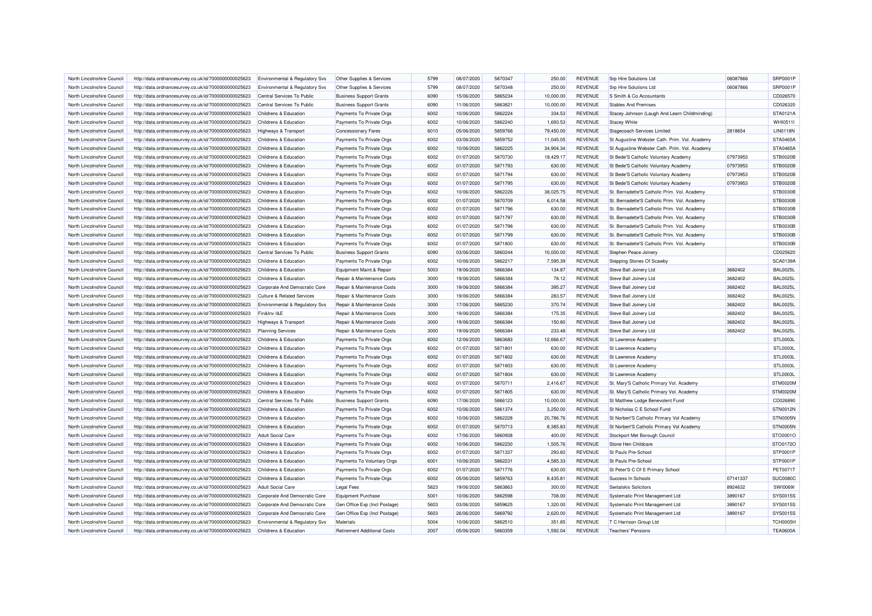| North Lincolnshire Council | http://data.ordnancesurvey.co.uk/id/7000000000025623 | Environmental & Regulatory Svs            | Other Supplies & Services          | 5799 | 08/07/2020 | 5870347 | 250.00    | <b>REVENUE</b> | <b>Srp Hire Solutions Ltd</b>                 | 06087866 | <b>SRP0001P</b> |
|----------------------------|------------------------------------------------------|-------------------------------------------|------------------------------------|------|------------|---------|-----------|----------------|-----------------------------------------------|----------|-----------------|
| North Lincolnshire Council | http://data.ordnancesurvey.co.uk/id/7000000000025623 | Environmental & Regulatory Svs            | Other Supplies & Services          | 5799 | 08/07/2020 | 5870348 | 250.00    | <b>REVENUE</b> | Srp Hire Solutions Ltd                        | 06087866 | SRP0001P        |
| North Lincolnshire Council | http://data.ordnancesurvey.co.uk/id/7000000000025623 | Central Services To Public                | <b>Business Support Grants</b>     | 6090 | 15/06/2020 | 5865234 | 10,000.00 | <b>REVENUE</b> | S Smith & Co Accountants                      |          | CD026570        |
| North Lincolnshire Council | http://data.ordnancesurvey.co.uk/id/7000000000025623 | Central Services To Public                | <b>Business Support Grants</b>     | 6090 | 11/06/2020 | 5863821 | 10,000.00 | <b>REVENUE</b> | <b>Stables And Premises</b>                   |          | CD026320        |
| North Lincolnshire Council | http://data.ordnancesurvey.co.uk/id/7000000000025623 | Childrens & Education                     | Payments To Private Orgs           | 6002 | 10/06/2020 | 5862224 | 334.53    | <b>REVENUE</b> | Stacey Johnson (Laugh And Learn Childminding) |          | STA0121A        |
| North Lincolnshire Council | http://data.ordnancesurvey.co.uk/id/7000000000025623 | Childrens & Education                     | Payments To Private Orgs           | 6002 | 10/06/2020 | 5862240 | 1,693.53  | <b>REVENUE</b> | <b>Stacey White</b>                           |          | WHI0511I        |
| North Lincolnshire Council | http://data.ordnancesurvey.co.uk/id/7000000000025623 | Highways & Transport                      | <b>Concessionary Fares</b>         | 6010 | 05/06/2020 | 5859766 | 79,450.00 | <b>REVENUE</b> | Stagecoach Services Limited                   | 2818654  | <b>LIN0118N</b> |
| North Lincolnshire Council | http://data.ordnancesurvey.co.uk/id/7000000000025623 | Childrens & Education                     | Payments To Private Orgs           | 6002 | 03/06/2020 | 5859752 | 11,045.05 | <b>REVENUE</b> | St Augustine Webster Cath. Prim. Vol. Academy |          | STA0465A        |
| North Lincolnshire Council | http://data.ordnancesurvey.co.uk/id/7000000000025623 | Childrens & Education                     | Payments To Private Orgs           | 6002 | 10/06/2020 | 5862225 | 34,904.34 | <b>REVENUE</b> | St Augustine Webster Cath. Prim. Vol. Academy |          | <b>STA0465A</b> |
| North Lincolnshire Council | http://data.ordnancesurvey.co.uk/id/7000000000025623 | Childrens & Education                     | Payments To Private Orgs           | 6002 | 01/07/2020 | 5870730 | 18,429.17 | <b>REVENUE</b> | St Bede'S Catholic Voluntary Academy          | 07973953 | <b>STB0020B</b> |
| North Lincolnshire Council | http://data.ordnancesurvey.co.uk/id/7000000000025623 | Childrens & Education                     | Payments To Private Orgs           | 6002 | 01/07/2020 | 5871793 | 630.00    | <b>REVENUE</b> | St Bede'S Catholic Voluntary Academy          | 07973953 | <b>STB0020B</b> |
| North Lincolnshire Council | http://data.ordnancesurvey.co.uk/id/7000000000025623 | Childrens & Education                     | Payments To Private Orgs           | 6002 | 01/07/2020 | 5871794 | 630.00    | <b>REVENUE</b> | St Bede'S Catholic Voluntary Academy          | 07973953 | <b>STB0020B</b> |
| North Lincolnshire Council | http://data.ordnancesurvey.co.uk/id/7000000000025623 | Childrens & Education                     | Payments To Private Orgs           | 6002 | 01/07/2020 | 5871795 | 630.00    | <b>REVENUE</b> | St Bede'S Catholic Voluntary Academy          | 07973953 | <b>STB0020B</b> |
| North Lincolnshire Council | http://data.ordnancesurvey.co.uk/id/7000000000025623 | Childrens & Education                     | Payments To Private Orgs           | 6002 | 10/06/2020 | 5862226 | 38,025.75 | <b>REVENUE</b> | St. Bernadette'S Catholic Prim. Vol. Academy  |          | <b>STB0030B</b> |
| North Lincolnshire Council | http://data.ordnancesurvey.co.uk/id/7000000000025623 | Childrens & Education                     | Payments To Private Orgs           | 6002 | 01/07/2020 | 5870709 | 6,014.58  | <b>REVENUE</b> | St. Bernadette'S Catholic Prim. Vol. Academy  |          | <b>STB0030B</b> |
| North Lincolnshire Council | http://data.ordnancesurvey.co.uk/id/7000000000025623 | Childrens & Education                     | Payments To Private Orgs           | 6002 | 01/07/2020 | 5871796 | 630.00    | <b>REVENUE</b> | St. Bernadette'S Catholic Prim. Vol. Academy  |          | <b>STB0030B</b> |
| North Lincolnshire Council | http://data.ordnancesurvey.co.uk/id/7000000000025623 | Childrens & Education                     | Payments To Private Orgs           | 6002 | 01/07/2020 | 5871797 | 630.00    | <b>REVENUE</b> | St. Bernadette'S Catholic Prim. Vol. Academy  |          | <b>STB0030B</b> |
| North Lincolnshire Council | http://data.ordnancesurvey.co.uk/id/7000000000025623 | Childrens & Education                     | Payments To Private Orgs           | 6002 | 01/07/2020 | 5871798 | 630.00    | <b>REVENUE</b> | St. Bernadette'S Catholic Prim. Vol. Academy  |          | <b>STB0030B</b> |
| North Lincolnshire Council | http://data.ordnancesurvey.co.uk/id/7000000000025623 | Childrens & Education                     | Payments To Private Orgs           | 6002 | 01/07/2020 | 5871799 | 630.00    | <b>REVENUE</b> | St. Bernadette'S Catholic Prim. Vol. Academy  |          | <b>STB0030B</b> |
| North Lincolnshire Council | http://data.ordnancesurvey.co.uk/id/7000000000025623 | Childrens & Education                     | Payments To Private Orgs           | 6002 | 01/07/2020 | 5871800 | 630.00    | <b>REVENUE</b> | St. Bernadette'S Catholic Prim. Vol. Academy  |          | <b>STB0030B</b> |
| North Lincolnshire Council | http://data.ordnancesurvey.co.uk/id/7000000000025623 | Central Services To Public                | <b>Business Support Grants</b>     | 6090 | 03/06/2020 | 5860244 | 10,000.00 | <b>REVENUE</b> | Stephen Peace Joinery                         |          | CD025620        |
| North Lincolnshire Council | http://data.ordnancesurvey.co.uk/id/7000000000025623 | Childrens & Education                     | Payments To Private Orgs           | 6002 | 10/06/2020 | 5862217 | 7,595.39  | <b>REVENUE</b> | Stepping Stones Of Scawby                     |          | SCA0139A        |
| North Lincolnshire Council | http://data.ordnancesurvey.co.uk/id/7000000000025623 | <b>Childrens &amp; Education</b>          | Equipment Maint.& Repair           | 5003 | 19/06/2020 | 5866384 | 134.87    | <b>REVENUE</b> | Steve Ball Joinery Ltd                        | 3682402  | <b>BAL0025L</b> |
| North Lincolnshire Council | http://data.ordnancesurvey.co.uk/id/7000000000025623 | Childrens & Education                     | Repair & Maintenance Costs         | 3000 | 19/06/2020 | 5866384 | 78.12     | <b>REVENUE</b> | Steve Ball Joinery Ltd                        | 3682402  | <b>BAL0025L</b> |
| North Lincolnshire Council | http://data.ordnancesurvey.co.uk/id/7000000000025623 | Corporate And Democratic Core             | Repair & Maintenance Costs         | 3000 | 19/06/2020 | 5866384 | 395.27    | <b>REVENUE</b> | Steve Ball Joinery Ltd                        | 3682402  | <b>BAL0025L</b> |
| North Lincolnshire Council | http://data.ordnancesurvey.co.uk/id/7000000000025623 | <b>Culture &amp; Related Services</b>     | Repair & Maintenance Costs         | 3000 | 19/06/2020 | 5866384 | 283.57    | <b>REVENUE</b> | Steve Ball Joinery Ltd                        | 3682402  | <b>BAL0025L</b> |
| North Lincolnshire Council | http://data.ordnancesurvey.co.uk/id/7000000000025623 | <b>Environmental &amp; Regulatory Svs</b> | Repair & Maintenance Costs         | 3000 | 17/06/2020 | 5865230 | 370.74    | <b>REVENUE</b> | Steve Ball Joinery Ltd                        | 3682402  | <b>BAL0025L</b> |
| North Lincolnshire Council | http://data.ordnancesurvey.co.uk/id/7000000000025623 | Fin&Inv I&E                               | Repair & Maintenance Costs         | 3000 | 19/06/2020 | 5866384 | 175.35    | <b>REVENUE</b> | Steve Ball Joinery Ltd                        | 3682402  | <b>BAL0025L</b> |
| North Lincolnshire Council | http://data.ordnancesurvey.co.uk/id/7000000000025623 | Highways & Transport                      | Repair & Maintenance Costs         | 3000 | 19/06/2020 | 5866384 | 150.80    | <b>REVENUE</b> | Steve Ball Joinery Ltd                        | 3682402  | <b>BAL0025L</b> |
| North Lincolnshire Council | http://data.ordnancesurvey.co.uk/id/7000000000025623 | <b>Planning Services</b>                  | Repair & Maintenance Costs         | 3000 | 19/06/2020 | 5866384 | 233.48    | <b>REVENUE</b> | Steve Ball Joinery Ltd                        | 3682402  | <b>BAL0025I</b> |
| North Lincolnshire Council | http://data.ordnancesurvey.co.uk/id/7000000000025623 | Childrens & Education                     | Payments To Private Orgs           | 6002 | 12/06/2020 | 5863683 | 12,666.67 | <b>REVENUE</b> | St Lawrence Academy                           |          | STL0003L        |
| North Lincolnshire Council | http://data.ordnancesurvey.co.uk/id/7000000000025623 | Childrens & Education                     | Payments To Private Orgs           | 6002 | 01/07/2020 | 5871801 | 630.00    | <b>REVENUE</b> | St Lawrence Academy                           |          | STL0003L        |
| North Lincolnshire Council | http://data.ordnancesurvey.co.uk/id/7000000000025623 | Childrens & Education                     | Payments To Private Orgs           | 6002 | 01/07/2020 | 5871802 | 630.00    | <b>REVENUE</b> | St Lawrence Academy                           |          | STL0003L        |
| North Lincolnshire Council | http://data.ordnancesurvey.co.uk/id/7000000000025623 | Childrens & Education                     | Payments To Private Orgs           | 6002 | 01/07/2020 | 5871803 | 630.00    | <b>REVENUE</b> | St Lawrence Academy                           |          | STL0003L        |
| North Lincolnshire Council | http://data.ordnancesurvey.co.uk/id/7000000000025623 | Childrens & Education                     | Payments To Private Orgs           | 6002 | 01/07/2020 | 5871804 | 630.00    | <b>REVENUE</b> | St Lawrence Academy                           |          | STL0003L        |
| North Lincolnshire Council | http://data.ordnancesurvey.co.uk/id/7000000000025623 | Childrens & Education                     | Payments To Private Orgs           | 6002 | 01/07/2020 | 5870711 | 2,416.67  | <b>REVENUE</b> | St. Mary'S Catholic Primary Vol. Academy      |          | STM0020M        |
| North Lincolnshire Council | http://data.ordnancesurvey.co.uk/id/7000000000025623 | Childrens & Education                     | Payments To Private Orgs           | 6002 | 01/07/2020 | 5871805 | 630.00    | <b>REVENUE</b> | St. Mary'S Catholic Primary Vol. Academy      |          | STM0020M        |
| North Lincolnshire Council | http://data.ordnancesurvey.co.uk/id/7000000000025623 | Central Services To Public                | <b>Business Support Grants</b>     | 6090 | 17/06/2020 | 5866123 | 10,000.00 | <b>REVENUE</b> | St Matthew Lodge Benevolent Fund              |          | CD026890        |
| North Lincolnshire Council | http://data.ordnancesurvey.co.uk/id/7000000000025623 | Childrens & Education                     | Payments To Private Orgs           | 6002 | 10/06/2020 | 5861374 | 3.250.00  | <b>REVENUE</b> | St Nicholas C E School Fund                   |          | <b>STN0012N</b> |
| North Lincolnshire Council | http://data.ordnancesurvey.co.uk/id/7000000000025623 | Childrens & Education                     | Payments To Private Orgs           | 6002 | 10/06/2020 | 5862228 | 20,786.76 | <b>REVENUE</b> | St Norbert'S Catholic Primary Vol Academy     |          | STN0005N        |
| North Lincolnshire Council | http://data.ordnancesurvey.co.uk/id/7000000000025623 | Childrens & Education                     | Payments To Private Orgs           | 6002 | 01/07/2020 | 5870713 | 8,385.83  | <b>REVENUE</b> | St Norbert'S Catholic Primary Vol Academy     |          | STN0005N        |
| North Lincolnshire Council | http://data.ordnancesurvey.co.uk/id/7000000000025623 | Adult Social Care                         | Payments To Private Orgs           | 6002 | 17/06/2020 | 5860938 | 400.00    | <b>REVENUE</b> | Stockport Met Borough Council                 |          | STO0001C        |
| North Lincolnshire Council | http://data.ordnancesurvey.co.uk/id/7000000000025623 | Childrens & Education                     | Payments To Private Orgs           | 6002 | 10/06/2020 | 5862230 | 1,505.76  | <b>REVENUE</b> | Stone Hen Childcare                           |          | STO0172C        |
| North Lincolnshire Council | http://data.ordnancesurvey.co.uk/id/7000000000025623 | Childrens & Education                     | Payments To Private Orgs           | 6002 | 01/07/2020 | 5871337 | 293.60    | <b>REVENUE</b> | St Pauls Pre-School                           |          | STP0001P        |
| North Lincolnshire Council | http://data.ordnancesurvey.co.uk/id/7000000000025623 | Childrens & Education                     | Payments To Voluntary Orgs         | 6001 | 10/06/2020 | 5862231 | 4,585.33  | <b>REVENUE</b> | St Pauls Pre-School                           |          | STP0001P        |
| North Lincolnshire Council | http://data.ordnancesurvey.co.uk/id/7000000000025623 | Childrens & Education                     | Payments To Private Orgs           | 6002 | 01/07/2020 | 5871776 | 630.00    | <b>REVENUE</b> | St Peter'S C Of E Primary School              |          | <b>PET0071T</b> |
| North Lincolnshire Council | http://data.ordnancesurvey.co.uk/id/7000000000025623 | Childrens & Education                     | Payments To Private Orgs           | 6002 | 05/06/2020 | 5859763 | 8.435.81  | <b>REVENUE</b> | Success In Schools                            | 07141337 | <b>SUC0080C</b> |
| North Lincolnshire Council | http://data.ordnancesurvey.co.uk/id/7000000000025623 | <b>Adult Social Care</b>                  | <b>Legal Fees</b>                  | 5823 | 19/06/2020 | 5863863 | 300.00    | <b>REVENUE</b> | Switalskis Solicitors                         | 8924632  | <b>SWI00691</b> |
| North Lincolnshire Council | http://data.ordnancesurvey.co.uk/id/7000000000025623 | Corporate And Democratic Core             | <b>Equipment Purchase</b>          | 5001 | 10/06/2020 | 5862598 | 708.00    | <b>REVENUE</b> | Systematic Print Management Ltd               | 3890167  | SYS0015S        |
| North Lincolnshire Council | http://data.ordnancesurvey.co.uk/id/7000000000025623 | Corporate And Democratic Core             | Gen Office Exp (Incl Postage)      | 5603 | 03/06/2020 | 5859625 | 1.320.00  | <b>REVENUE</b> | Systematic Print Management Ltd               | 3890167  | SYS0015S        |
| North Lincolnshire Council | http://data.ordnancesurvey.co.uk/id/7000000000025623 | Corporate And Democratic Core             | Gen Office Exp (Incl Postage)      | 5603 | 26/06/2020 | 5869792 | 2,620.00  | <b>REVENUE</b> | Systematic Print Management Ltd               | 3890167  | SYS0015S        |
| North Lincolnshire Council | http://data.ordnancesurvey.co.uk/id/7000000000025623 | Environmental & Regulatory Svs            | Materials                          | 5004 | 10/06/2020 | 5862510 | 351.85    | <b>REVENUE</b> | T C Harrison Group Ltd                        |          | <b>TCH0005H</b> |
| North Lincolnshire Council | http://data.ordnancesurvey.co.uk/id/7000000000025623 | Childrens & Education                     | <b>Retirement Additional Costs</b> | 2007 | 05/06/2020 | 5860359 | 1,592.04  | <b>REVENUE</b> | <b>Teachers' Pensions</b>                     |          | <b>TEA0600A</b> |
|                            |                                                      |                                           |                                    |      |            |         |           |                |                                               |          |                 |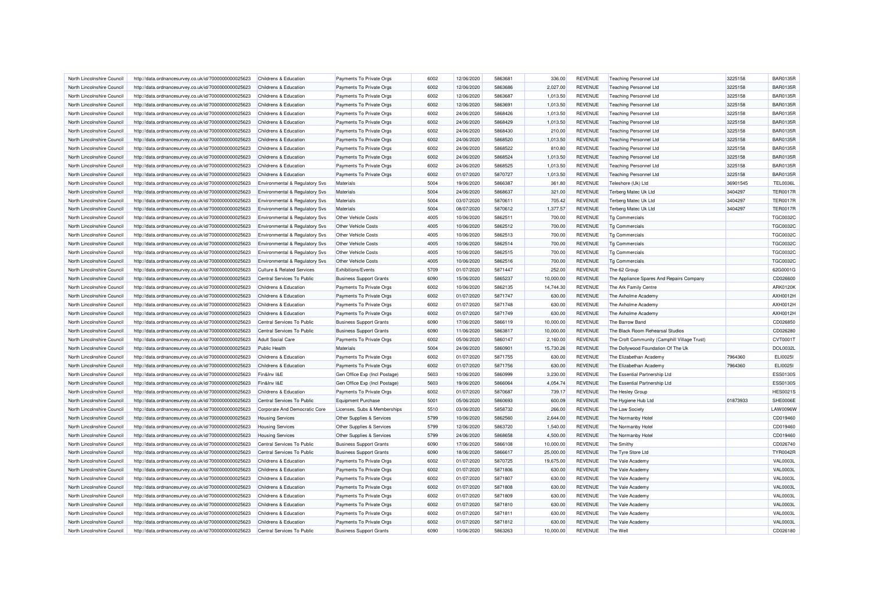| North Lincolnshire Council | http://data.ordnancesurvey.co.uk/id/7000000000025623 | Childrens & Education                 | Payments To Private Orgs       | 6002 | 12/06/2020 | 5863681 | 336.00    | <b>REVENUE</b> | <b>Teaching Personnel Ltd</b>                | 3225158  | <b>BAR0135R</b> |
|----------------------------|------------------------------------------------------|---------------------------------------|--------------------------------|------|------------|---------|-----------|----------------|----------------------------------------------|----------|-----------------|
| North Lincolnshire Council | http://data.ordnancesurvey.co.uk/id/7000000000025623 | Childrens & Education                 | Payments To Private Orgs       | 6002 | 12/06/2020 | 5863686 | 2,027.00  | <b>REVENUE</b> | <b>Teaching Personnel Ltd</b>                | 3225158  | <b>BAR0135R</b> |
| North Lincolnshire Council | http://data.ordnancesurvey.co.uk/id/7000000000025623 | Childrens & Education                 | Payments To Private Orgs       | 6002 | 12/06/2020 | 5863687 | 1,013.50  | <b>REVENUE</b> | <b>Teaching Personnel Ltd</b>                | 3225158  | <b>BAR0135R</b> |
| North Lincolnshire Council | http://data.ordnancesurvey.co.uk/id/7000000000025623 | Childrens & Education                 | Payments To Private Orgs       | 6002 | 12/06/2020 | 5863691 | 1,013.50  | <b>REVENUE</b> | <b>Teaching Personnel Ltd</b>                | 3225158  | <b>BAR0135R</b> |
| North Lincolnshire Council | http://data.ordnancesurvey.co.uk/id/7000000000025623 | Childrens & Education                 | Payments To Private Orgs       | 6002 | 24/06/2020 | 5868426 | 1,013.50  | <b>REVENUE</b> | <b>Teaching Personnel Ltd</b>                | 3225158  | <b>BAR0135R</b> |
| North Lincolnshire Council | http://data.ordnancesurvey.co.uk/id/7000000000025623 | Childrens & Education                 | Payments To Private Orgs       | 6002 | 24/06/2020 | 5868429 | 1,013.50  | <b>REVENUE</b> | <b>Teaching Personnel Ltd</b>                | 3225158  | <b>BAR0135R</b> |
| North Lincolnshire Council | http://data.ordnancesurvey.co.uk/id/7000000000025623 | Childrens & Education                 | Payments To Private Orgs       | 6002 | 24/06/2020 | 5868430 | 210.00    | <b>REVENUE</b> | <b>Teaching Personnel Ltd</b>                | 3225158  | <b>BAR0135R</b> |
| North Lincolnshire Council | http://data.ordnancesurvey.co.uk/id/7000000000025623 | Childrens & Education                 | Payments To Private Orgs       | 6002 | 24/06/2020 | 5868520 | 1,013.50  | <b>REVENUE</b> | <b>Teaching Personnel Ltd</b>                | 3225158  | <b>BAR0135R</b> |
| North Lincolnshire Council | http://data.ordnancesurvey.co.uk/id/7000000000025623 | Childrens & Education                 | Payments To Private Orgs       | 6002 | 24/06/2020 | 5868522 | 810.80    | <b>REVENUE</b> | <b>Teaching Personnel Ltd</b>                | 3225158  | <b>BAR0135R</b> |
| North Lincolnshire Council | http://data.ordnancesurvey.co.uk/id/7000000000025623 | <b>Childrens &amp; Education</b>      | Payments To Private Orgs       | 6002 | 24/06/2020 | 5868524 | 1,013.50  | <b>REVENUE</b> | <b>Teaching Personnel Ltd</b>                | 3225158  | <b>BAR0135R</b> |
| North Lincolnshire Council | http://data.ordnancesurvey.co.uk/id/7000000000025623 | Childrens & Education                 | Payments To Private Orgs       | 6002 | 24/06/2020 | 5868525 | 1,013.50  | <b>REVENUE</b> | <b>Teaching Personnel Ltd</b>                | 3225158  | <b>BAR0135R</b> |
| North Lincolnshire Council | http://data.ordnancesurvey.co.uk/id/7000000000025623 | Childrens & Education                 | Payments To Private Orgs       | 6002 | 01/07/2020 | 5870727 | 1,013.50  | <b>REVENUE</b> | <b>Teaching Personnel Ltd</b>                | 3225158  | <b>BAR0135R</b> |
| North Lincolnshire Council | http://data.ordnancesurvey.co.uk/id/7000000000025623 | Environmental & Regulatory Svs        | Materials                      | 5004 | 19/06/2020 | 5866387 | 361.80    | <b>REVENUE</b> | Teleshore (Uk) Ltd                           | 36901545 | <b>TEL0036L</b> |
| North Lincolnshire Council | http://data.ordnancesurvey.co.uk/id/7000000000025623 | Environmental & Regulatory Svs        | Materials                      | 5004 | 24/06/2020 | 5868637 | 321.00    | <b>REVENUE</b> | <b>Terberg Matec Uk Ltd</b>                  | 3404297  | <b>TER0017R</b> |
| North Lincolnshire Council | http://data.ordnancesurvey.co.uk/id/7000000000025623 | Environmental & Regulatory Svs        | Materials                      | 5004 | 03/07/2020 | 5870611 | 705.42    | <b>REVENUE</b> | Terberg Matec Uk Ltd                         | 3404297  | <b>TER0017R</b> |
| North Lincolnshire Council | http://data.ordnancesurvey.co.uk/id/7000000000025623 | Environmental & Regulatory Svs        | Materials                      | 5004 | 08/07/2020 | 5870612 | 1,377.57  | <b>REVENUE</b> | <b>Terberg Matec Uk Ltd</b>                  | 3404297  | <b>TER0017R</b> |
| North Lincolnshire Council | http://data.ordnancesurvey.co.uk/id/7000000000025623 | Environmental & Regulatory Svs        | <b>Other Vehicle Costs</b>     | 4005 | 10/06/2020 | 5862511 | 700.00    | <b>REVENUE</b> | Tg Commercials                               |          | <b>TGC0032C</b> |
| North Lincolnshire Council | http://data.ordnancesurvey.co.uk/id/7000000000025623 | Environmental & Regulatory Svs        | <b>Other Vehicle Costs</b>     | 4005 | 10/06/2020 | 5862512 | 700.00    | <b>REVENUE</b> | Tg Commercials                               |          | <b>TGC0032C</b> |
| North Lincolnshire Council | http://data.ordnancesurvey.co.uk/id/7000000000025623 | Environmental & Regulatory Svs        | <b>Other Vehicle Costs</b>     | 4005 | 10/06/2020 | 5862513 | 700.00    | <b>REVENUE</b> | <b>Tg Commercials</b>                        |          | <b>TGC0032C</b> |
| North Lincolnshire Council | http://data.ordnancesurvey.co.uk/id/7000000000025623 | Environmental & Regulatory Svs        | Other Vehicle Costs            | 4005 | 10/06/2020 | 5862514 | 700.00    | <b>REVENUE</b> | Tg Commercials                               |          | <b>TGC0032C</b> |
| North Lincolnshire Council | http://data.ordnancesurvey.co.uk/id/7000000000025623 | Environmental & Regulatory Svs        | Other Vehicle Costs            | 4005 | 10/06/2020 | 5862515 | 700.00    | <b>REVENUE</b> | <b>Tg Commercials</b>                        |          | <b>TGC0032C</b> |
| North Lincolnshire Council | http://data.ordnancesurvey.co.uk/id/7000000000025623 | Environmental & Regulatory Svs        | <b>Other Vehicle Costs</b>     | 4005 | 10/06/2020 | 5862516 | 700.00    | <b>REVENUE</b> | Tg Commercials                               |          | <b>TGC0032C</b> |
| North Lincolnshire Council | http://data.ordnancesurvey.co.uk/id/7000000000025623 | <b>Culture &amp; Related Services</b> | <b>Exhibitions/Events</b>      | 5709 | 01/07/2020 | 5871447 | 252.00    | <b>REVENUE</b> | The 62 Group                                 |          | 62G0001G        |
| North Lincolnshire Council |                                                      | Central Services To Public            | <b>Business Support Grants</b> | 6090 | 15/06/2020 | 5865237 | 10,000.00 | <b>REVENUE</b> |                                              |          | CD026600        |
|                            | http://data.ordnancesurvey.co.uk/id/7000000000025623 |                                       |                                | 6002 | 10/06/2020 | 5862135 | 14,744.30 | <b>REVENUE</b> | The Appliance Spares And Repairs Company     |          | ARK0120K        |
| North Lincolnshire Council | http://data.ordnancesurvey.co.uk/id/7000000000025623 | Childrens & Education                 | Payments To Private Orgs       |      |            |         |           |                | The Ark Family Centre                        |          |                 |
| North Lincolnshire Council | http://data.ordnancesurvey.co.uk/id/7000000000025623 | Childrens & Education                 | Payments To Private Orgs       | 6002 | 01/07/2020 | 5871747 | 630.00    | <b>REVENUE</b> | The Axholme Academy                          |          | AXH0012H        |
| North Lincolnshire Council | http://data.ordnancesurvey.co.uk/id/7000000000025623 | Childrens & Education                 | Payments To Private Orgs       | 6002 | 01/07/2020 | 5871748 | 630.00    | <b>REVENUE</b> | The Axholme Academy                          |          | AXH0012H        |
| North Lincolnshire Council | http://data.ordnancesurvey.co.uk/id/7000000000025623 | Childrens & Education                 | Payments To Private Orgs       | 6002 | 01/07/2020 | 5871749 | 630.00    | <b>REVENUE</b> | The Axholme Academy                          |          | AXH0012H        |
| North Lincolnshire Council | http://data.ordnancesurvey.co.uk/id/7000000000025623 | Central Services To Public            | <b>Business Support Grants</b> | 6090 | 17/06/2020 | 5866119 | 10.000.00 | <b>REVENUE</b> | The Barrow Band                              |          | CD026850        |
| North Lincolnshire Council | http://data.ordnancesurvey.co.uk/id/7000000000025623 | Central Services To Public            | <b>Business Support Grants</b> | 6090 | 11/06/2020 | 5863817 | 10,000.00 | <b>REVENUE</b> | The Black Room Rehearsal Studios             |          | CD026280        |
| North Lincolnshire Council | http://data.ordnancesurvey.co.uk/id/7000000000025623 | <b>Adult Social Care</b>              | Payments To Private Orgs       | 6002 | 05/06/2020 | 5860147 | 2,160.00  | <b>REVENUE</b> | The Croft Community (Camphill Village Trust) |          | CVT0001T        |
| North Lincolnshire Council | http://data.ordnancesurvey.co.uk/id/7000000000025623 | <b>Public Health</b>                  | Materials                      | 5004 | 24/06/2020 | 5860901 | 15,730.26 | <b>REVENUE</b> | The Dollywood Foundation Of The Uk           |          | <b>DOL0032L</b> |
| North Lincolnshire Council | http://data.ordnancesurvey.co.uk/id/7000000000025623 | Childrens & Education                 | Payments To Private Orgs       | 6002 | 01/07/2020 | 5871755 | 630.00    | <b>REVENUE</b> | The Elizabethan Academy                      | 7964360  | ELI00251        |
| North Lincolnshire Council | http://data.ordnancesurvey.co.uk/id/7000000000025623 | Childrens & Education                 | Payments To Private Orgs       | 6002 | 01/07/2020 | 5871756 | 630.00    | <b>REVENUE</b> | The Elizabethan Academy                      | 7964360  | ELI0025I        |
| North Lincolnshire Council | http://data.ordnancesurvey.co.uk/id/7000000000025623 | Fin&Inv I&E                           | Gen Office Exp (Incl Postage)  | 5603 | 10/06/2020 | 5860999 | 3,230.00  | <b>REVENUE</b> | The Essential Partnership Ltd                |          | <b>ESS0130S</b> |
| North Lincolnshire Council | http://data.ordnancesurvey.co.uk/id/7000000000025623 | Fin&Inv I&E                           | Gen Office Exp (Incl Postage)  | 5603 | 19/06/2020 | 5866064 | 4,054.74  | <b>REVENUE</b> | The Essential Partnership Ltd                |          | <b>ESS0130S</b> |
| North Lincolnshire Council | http://data.ordnancesurvey.co.uk/id/7000000000025623 | Childrens & Education                 | Payments To Private Orgs       | 6002 | 01/07/2020 | 5870687 | 739.17    | <b>REVENUE</b> | The Hesley Group                             |          | <b>HES0021S</b> |
| North Lincolnshire Council | http://data.ordnancesurvey.co.uk/id/7000000000025623 | Central Services To Public            | <b>Equipment Purchase</b>      | 5001 | 05/06/2020 | 5860693 | 600.09    | <b>REVENUE</b> | The Hygiene Hub Ltd                          | 01873933 | SHE0006E        |
| North Lincolnshire Council | http://data.ordnancesurvey.co.uk/id/7000000000025623 | Corporate And Democratic Core         | Licenses, Subs & Memberships   | 5510 | 03/06/2020 | 5858732 | 266.00    | <b>REVENUE</b> | The Law Society                              |          | LAW0096W        |
| North Lincolnshire Council | http://data.ordnancesurvey.co.uk/id/7000000000025623 | <b>Housing Services</b>               | Other Supplies & Services      | 5799 | 10/06/2020 | 5862560 | 2.644.00  | <b>REVENUE</b> | The Normanby Hotel                           |          | CD019460        |
| North Lincolnshire Council | http://data.ordnancesurvey.co.uk/id/7000000000025623 | <b>Housing Services</b>               | Other Supplies & Services      | 5799 | 12/06/2020 | 5863720 | 1,540.00  | <b>REVENUE</b> | The Normanby Hotel                           |          | CD019460        |
| North Lincolnshire Council | http://data.ordnancesurvey.co.uk/id/7000000000025623 | <b>Housing Services</b>               | Other Supplies & Services      | 5799 | 24/06/2020 | 5868658 | 4,500.00  | <b>REVENUE</b> | The Normanby Hotel                           |          | CD019460        |
| North Lincolnshire Council | http://data.ordnancesurvey.co.uk/id/7000000000025623 | Central Services To Public            | <b>Business Support Grants</b> | 6090 | 17/06/2020 | 5866108 | 10,000.00 | <b>REVENUE</b> | The Smithy                                   |          | CD026740        |
| North Lincolnshire Council | http://data.ordnancesurvey.co.uk/id/7000000000025623 | Central Services To Public            | <b>Business Support Grants</b> | 6090 | 18/06/2020 | 5866617 | 25,000.00 | <b>REVENUE</b> | The Tyre Store Ltd                           |          | <b>TYR0042R</b> |
| North Lincolnshire Council | http://data.ordnancesurvey.co.uk/id/7000000000025623 | Childrens & Education                 | Payments To Private Orgs       | 6002 | 01/07/2020 | 5870725 | 19,675.00 | <b>REVENUE</b> | The Vale Academy                             |          | <b>VAL0003L</b> |
| North Lincolnshire Council | http://data.ordnancesurvey.co.uk/id/7000000000025623 | Childrens & Education                 | Payments To Private Orgs       | 6002 | 01/07/2020 | 5871806 | 630.00    | <b>REVENUE</b> | The Vale Academy                             |          | <b>VAL0003L</b> |
| North Lincolnshire Council | http://data.ordnancesurvey.co.uk/id/7000000000025623 | Childrens & Education                 | Payments To Private Orgs       | 6002 | 01/07/2020 | 5871807 | 630.00    | <b>REVENUE</b> | The Vale Academ                              |          | <b>VAL0003L</b> |
| North Lincolnshire Council | http://data.ordnancesurvey.co.uk/id/7000000000025623 | Childrens & Education                 | Payments To Private Orgs       | 6002 | 01/07/2020 | 5871808 | 630.00    | <b>REVENUE</b> | The Vale Academy                             |          | <b>VAL0003L</b> |
| North Lincolnshire Council | http://data.ordnancesurvey.co.uk/id/7000000000025623 | Childrens & Education                 | Payments To Private Orgs       | 6002 | 01/07/2020 | 5871809 | 630.00    | <b>REVENUE</b> | The Vale Academy                             |          | <b>VAL0003L</b> |
| North Lincolnshire Council | http://data.ordnancesurvey.co.uk/id/7000000000025623 | Childrens & Education                 | Payments To Private Orgs       | 6002 | 01/07/2020 | 5871810 | 630.00    | <b>REVENUE</b> | The Vale Academy                             |          | <b>VAL0003L</b> |
| North Lincolnshire Council | http://data.ordnancesurvey.co.uk/id/7000000000025623 | Childrens & Education                 | Payments To Private Orgs       | 6002 | 01/07/2020 | 5871811 | 630.00    | <b>REVENUE</b> | The Vale Academy                             |          | <b>VAL0003L</b> |
| North Lincolnshire Council | http://data.ordnancesurvey.co.uk/id/7000000000025623 | Childrens & Education                 | Payments To Private Orgs       | 6002 | 01/07/2020 | 5871812 | 630.00    | <b>REVENUE</b> | The Vale Academy                             |          | <b>VAL0003L</b> |
| North Lincolnshire Council | http://data.ordnancesurvey.co.uk/id/7000000000025623 | Central Services To Public            | <b>Business Support Grants</b> | 6090 | 10/06/2020 | 5863263 | 10.000.00 | <b>REVENUE</b> | The Well                                     |          | CD026180        |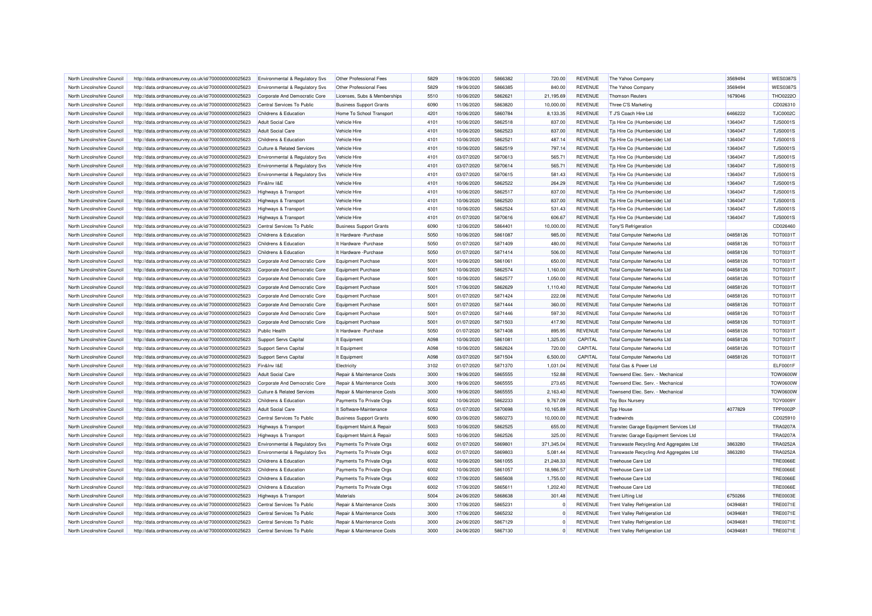| North Lincolnshire Council | http://data.ordnancesurvey.co.uk/id/7000000000025623 | Environmental & Regulatory Svs        | Other Professional Fees        | 5829         | 19/06/2020 | 5866382            | 720.00     | <b>REVENUE</b> | The Yahoo Company                       | 3569494  | <b>WES03879</b> |
|----------------------------|------------------------------------------------------|---------------------------------------|--------------------------------|--------------|------------|--------------------|------------|----------------|-----------------------------------------|----------|-----------------|
| North Lincolnshire Council | http://data.ordnancesurvey.co.uk/id/7000000000025623 | Environmental & Regulatory Svs        | Other Professional Fees        | 5829         | 19/06/2020 | 5866385            | 840.00     | <b>REVENUE</b> | The Yahoo Company                       | 3569494  | <b>WES0387S</b> |
| North Lincolnshire Council | http://data.ordnancesurvey.co.uk/id/7000000000025623 | Corporate And Democratic Core         | Licenses, Subs & Memberships   | 5510         | 10/06/2020 | 5862621            | 21,195.69  | <b>REVENUE</b> | <b>Thomson Reuters</b>                  | 1679046  | THO0222O        |
| North Lincolnshire Council | http://data.ordnancesurvey.co.uk/id/7000000000025623 | Central Services To Public            | <b>Business Support Grants</b> | 6090         | 11/06/2020 | 5863820            | 10,000.00  | <b>REVENUE</b> | Three C'S Marketing                     |          | CD026310        |
|                            |                                                      |                                       |                                |              |            |                    |            |                |                                         |          |                 |
| North Lincolnshire Council | http://data.ordnancesurvey.co.uk/id/7000000000025623 | Childrens & Education                 | Home To School Transport       | 4201         | 10/06/2020 | 5860784            | 8,133.35   | <b>REVENUE</b> | T J'S Coach Hire Ltd                    | 6466222  | <b>TJC0002C</b> |
| North Lincolnshire Council | http://data.ordnancesurvey.co.uk/id/7000000000025623 | Adult Social Care                     | Vehicle Hire                   | 4101         | 10/06/2020 | 5862518            | 837.00     | <b>REVENUE</b> | Tis Hire Co (Humberside) Ltd            | 1364047  | <b>TJS0001S</b> |
| North Lincolnshire Council | http://data.ordnancesurvey.co.uk/id/7000000000025623 | <b>Adult Social Care</b>              | Vehicle Hire                   | 4101         | 10/06/2020 | 5862523            | 837.00     | <b>REVENUE</b> | Tis Hire Co (Humberside) Ltd            | 1364047  | <b>TJS0001S</b> |
| North Lincolnshire Council | http://data.ordnancesurvey.co.uk/id/7000000000025623 | Childrens & Education                 | Vehicle Hire                   | 4101         | 10/06/2020 | 5862521            | 487.14     | <b>REVENUE</b> | Tjs Hire Co (Humberside) Ltd            | 1364047  | <b>TJS0001S</b> |
| North Lincolnshire Council | http://data.ordnancesurvey.co.uk/id/7000000000025623 | Culture & Related Services            | Vehicle Hire                   | 4101         | 10/06/2020 | 5862519            | 797.14     | <b>REVENUE</b> | Tjs Hire Co (Humberside) Ltd            | 1364047  | <b>TJS0001S</b> |
| North Lincolnshire Council | http://data.ordnancesurvey.co.uk/id/7000000000025623 | Environmental & Regulatory Svs        | Vehicle Hire                   | 4101         | 03/07/2020 | 5870613            | 565.71     | <b>REVENUE</b> | Tis Hire Co (Humberside) Ltd            | 1364047  | <b>TJS0001S</b> |
| North Lincolnshire Council | http://data.ordnancesurvey.co.uk/id/7000000000025623 | Environmental & Regulatory Svs        | Vehicle Hire                   | 4101         | 03/07/2020 | 5870614            | 565.71     | <b>REVENUE</b> | Tjs Hire Co (Humberside) Ltd            | 1364047  | <b>TJS0001S</b> |
| North Lincolnshire Council | http://data.ordnancesurvey.co.uk/id/7000000000025623 | Environmental & Regulatory Svs        | Vehicle Hire                   | 4101         | 03/07/2020 | 5870615            | 581.43     | <b>REVENUE</b> | Tis Hire Co (Humberside) Ltd            | 1364047  | <b>TJS0001S</b> |
| North Lincolnshire Council | http://data.ordnancesurvey.co.uk/id/7000000000025623 | Fin&Inv I&E                           | Vehicle Hire                   | 4101         | 10/06/2020 | 5862522            | 264.29     | <b>REVENUE</b> | Tis Hire Co (Humberside) Ltd            | 1364047  | <b>TJS0001S</b> |
| North Lincolnshire Council | http://data.ordnancesurvey.co.uk/id/7000000000025623 | Highways & Transport                  | Vehicle Hire                   | 4101         | 10/06/2020 | 5862517            | 837.00     | <b>REVENUE</b> | Tis Hire Co (Humberside) Ltd            | 1364047  | <b>TJS0001S</b> |
| North Lincolnshire Council | http://data.ordnancesurvey.co.uk/id/7000000000025623 | Highways & Transport                  | Vehicle Hire                   | 4101         | 10/06/2020 | 5862520            | 837.00     | <b>REVENUE</b> | Tis Hire Co (Humberside) Ltd            | 1364047  | <b>TJS0001S</b> |
| North Lincolnshire Council | http://data.ordnancesurvey.co.uk/id/7000000000025623 | Highways & Transport                  | Vehicle Hire                   | 4101         | 10/06/2020 | 5862524            | 531.43     | <b>REVENUE</b> | Tjs Hire Co (Humberside) Ltd            | 1364047  | <b>TJS0001S</b> |
| North Lincolnshire Council | http://data.ordnancesurvey.co.uk/id/7000000000025623 | Highways & Transport                  | Vehicle Hire                   | 4101         | 01/07/2020 | 5870616            | 606.67     | <b>REVENUE</b> | Tjs Hire Co (Humberside) Ltd            | 1364047  | <b>TJS0001S</b> |
| North Lincolnshire Council | http://data.ordnancesurvey.co.uk/id/7000000000025623 | Central Services To Public            | <b>Business Support Grants</b> | 6090         | 12/06/2020 | 5864401            | 10,000.00  | <b>REVENUE</b> | Tony'S Refrigeration                    |          | CD026460        |
| North Lincolnshire Council | http://data.ordnancesurvey.co.uk/id/7000000000025623 | Childrens & Education                 | It Hardware - Purchase         | 5050         | 10/06/2020 | 5861087            | 985.00     | <b>REVENUE</b> | <b>Total Computer Networks Ltd</b>      | 04858126 | <b>TOT0031T</b> |
| North Lincolnshire Council | http://data.ordnancesurvey.co.uk/id/7000000000025623 | Childrens & Education                 | It Hardware - Purchase         | 5050         | 01/07/2020 | 5871409            | 480.00     | <b>REVENUE</b> | <b>Total Computer Networks Ltd</b>      | 04858126 | TOT0031T        |
| North Lincolnshire Council | http://data.ordnancesurvey.co.uk/id/7000000000025623 | Childrens & Education                 | It Hardware - Purchase         | 5050         | 01/07/2020 | 5871414            | 506.00     | <b>REVENUE</b> | <b>Total Computer Networks Ltd</b>      | 04858126 | <b>TOT0031T</b> |
| North Lincolnshire Council | http://data.ordnancesurvey.co.uk/id/7000000000025623 | Corporate And Democratic Core         | Equipment Purchase             | 5001         | 10/06/2020 | 5861061            | 650.00     | <b>REVENUE</b> | <b>Total Computer Networks Ltd</b>      | 04858126 | <b>TOT0031T</b> |
| North Lincolnshire Council | http://data.ordnancesurvey.co.uk/id/7000000000025623 | Corporate And Democratic Core         | <b>Equipment Purchase</b>      | 5001         | 10/06/2020 | 5862574            | 1,160.00   | <b>REVENUE</b> | <b>Total Computer Networks Ltd</b>      | 04858126 | <b>TOT0031T</b> |
| North Lincolnshire Council | http://data.ordnancesurvey.co.uk/id/7000000000025623 | Corporate And Democratic Core         | <b>Equipment Purchase</b>      | 5001         | 10/06/2020 | 5862577            | 1,050.00   | <b>REVENUE</b> | <b>Total Computer Networks Ltd</b>      | 04858126 | <b>TOT0031T</b> |
| North Lincolnshire Council | http://data.ordnancesurvey.co.uk/id/7000000000025623 | Corporate And Democratic Core         | <b>Equipment Purchase</b>      | 5001         | 17/06/2020 | 5862629            | 1,110.40   | <b>REVENUE</b> | <b>Total Computer Networks Ltd</b>      | 04858126 | <b>TOT0031T</b> |
| North Lincolnshire Council | http://data.ordnancesurvey.co.uk/id/7000000000025623 | Corporate And Democratic Core         |                                | 5001         | 01/07/2020 | 5871424            | 222.08     | <b>REVENUE</b> | <b>Total Computer Networks Ltd</b>      | 04858126 | <b>TOT0031T</b> |
|                            |                                                      |                                       | <b>Equipment Purchase</b>      |              |            |                    |            |                |                                         |          |                 |
| North Lincolnshire Council | http://data.ordnancesurvey.co.uk/id/7000000000025623 | Corporate And Democratic Core         | <b>Equipment Purchase</b>      | 5001<br>5001 | 01/07/2020 | 5871444<br>5871446 | 360.00     | <b>REVENUE</b> | <b>Total Computer Networks Ltd</b>      | 04858126 | <b>TOT0031T</b> |
| North Lincolnshire Council | http://data.ordnancesurvey.co.uk/id/7000000000025623 | Corporate And Democratic Core         | Equipment Purchase             |              | 01/07/2020 |                    | 597.30     | <b>REVENUE</b> | <b>Total Computer Networks Ltd</b>      | 04858126 | <b>TOT0031T</b> |
| North Lincolnshire Council | http://data.ordnancesurvey.co.uk/id/7000000000025623 | Corporate And Democratic Core         | <b>Equipment Purchase</b>      | 5001         | 01/07/2020 | 5871503            | 417.90     | <b>REVENUE</b> | <b>Total Computer Networks Ltd</b>      | 04858126 | <b>TOT0031T</b> |
| North Lincolnshire Council | http://data.ordnancesurvey.co.uk/id/7000000000025623 | <b>Public Health</b>                  | It Hardware - Purchase         | 5050         | 01/07/2020 | 5871408            | 895.95     | <b>REVENUE</b> | Total Computer Networks Ltd             | 04858126 | <b>TOT0031T</b> |
| North Lincolnshire Council | http://data.ordnancesurvey.co.uk/id/7000000000025623 | Support Servs Capital                 | It Equipment                   | A098         | 10/06/2020 | 5861081            | 1,325.00   | CAPITAL        | <b>Total Computer Networks Ltd</b>      | 04858126 | <b>TOT0031T</b> |
| North Lincolnshire Council | http://data.ordnancesurvey.co.uk/id/7000000000025623 | Support Servs Capital                 | It Equipment                   | A098         | 10/06/2020 | 5862624            | 720.00     | CAPITAL        | <b>Total Computer Networks Ltd</b>      | 04858126 | <b>TOT0031T</b> |
| North Lincolnshire Council | http://data.ordnancesurvey.co.uk/id/7000000000025623 | Support Servs Capital                 | It Equipment                   | A098         | 03/07/2020 | 5871504            | 6,500.00   | CAPITAL        | <b>Total Computer Networks Ltd</b>      | 04858126 | <b>TOT0031T</b> |
| North Lincolnshire Council | http://data.ordnancesurvey.co.uk/id/7000000000025623 | Fin&Inv I&E                           | Electricity                    | 3102         | 01/07/2020 | 5871370            | 1,031.04   | <b>REVENUE</b> | Total Gas & Power Ltd                   |          | ELF0001F        |
| North Lincolnshire Council | http://data.ordnancesurvey.co.uk/id/7000000000025623 | <b>Adult Social Care</b>              | Repair & Maintenance Costs     | 3000         | 19/06/2020 | 5865555            | 152.88     | <b>REVENUE</b> | Townsend Elec. Serv. - Mechanica        |          | <b>TOW0600W</b> |
| North Lincolnshire Council | http://data.ordnancesurvey.co.uk/id/7000000000025623 | Corporate And Democratic Core         | Repair & Maintenance Costs     | 3000         | 19/06/2020 | 5865555            | 273.65     | <b>REVENUE</b> | Townsend Elec. Serv. - Mechanical       |          | <b>TOW0600W</b> |
| North Lincolnshire Council | http://data.ordnancesurvey.co.uk/id/7000000000025623 | <b>Culture &amp; Related Services</b> | Repair & Maintenance Costs     | 3000         | 19/06/2020 | 5865555            | 2,163.40   | <b>REVENUE</b> | Townsend Elec. Serv. - Mechanica        |          | <b>TOW0600W</b> |
| North Lincolnshire Council | http://data.ordnancesurvey.co.uk/id/7000000000025623 | Childrens & Education                 | Payments To Private Orgs       | 6002         | 10/06/2020 | 5862233            | 9,767.09   | <b>REVENUE</b> | <b>Toy Box Nursery</b>                  |          | <b>TOY0009Y</b> |
| North Lincolnshire Council | http://data.ordnancesurvey.co.uk/id/7000000000025623 | <b>Adult Social Care</b>              | It Software-Maintenance        | 5053         | 01/07/2020 | 5870698            | 10,165.89  | <b>REVENUE</b> | <b>Tpp House</b>                        | 4077829  | <b>TPP0002P</b> |
| North Lincolnshire Council | http://data.ordnancesurvey.co.uk/id/7000000000025623 | Central Services To Public            | <b>Business Support Grants</b> | 6090         | 03/06/2020 | 5860273            | 10,000.00  | <b>REVENUE</b> | Tradewinds                              |          | CD025910        |
| North Lincolnshire Council | http://data.ordnancesurvey.co.uk/id/7000000000025623 | Highways & Transport                  | Equipment Maint.& Repair       | 5003         | 10/06/2020 | 5862525            | 655.00     | <b>REVENUE</b> | Transtec Garage Equipment Services Ltd  |          | <b>TRA0207A</b> |
| North Lincolnshire Council | http://data.ordnancesurvey.co.uk/id/7000000000025623 | Highways & Transport                  | Equipment Maint.& Repair       | 5003         | 10/06/2020 | 5862526            | 325.00     | <b>REVENUE</b> | Transtec Garage Equipment Services Ltd  |          | <b>TRA0207A</b> |
| North Lincolnshire Council | http://data.ordnancesurvey.co.uk/id/7000000000025623 | Environmental & Regulatory Svs        | Payments To Private Orgs       | 6002         | 01/07/2020 | 5869801            | 371,345.04 | <b>REVENUE</b> | Transwaste Recycling And Aggregates Ltd | 3863280  | <b>TRA0252A</b> |
| North Lincolnshire Council | http://data.ordnancesurvey.co.uk/id/7000000000025623 | Environmental & Regulatory Svs        | Payments To Private Orgs       | 6002         | 01/07/2020 | 5869803            | 5,081.44   | <b>REVENUE</b> | Transwaste Recycling And Aggregates Ltd | 3863280  | <b>TRA0252A</b> |
| North Lincolnshire Council | http://data.ordnancesurvey.co.uk/id/7000000000025623 | Childrens & Education                 | Payments To Private Orgs       | 6002         | 10/06/2020 | 5861055            | 21,248.33  | <b>REVENUE</b> | Treehouse Care Ltd                      |          | <b>TRE0066E</b> |
| North Lincolnshire Council | http://data.ordnancesurvey.co.uk/id/7000000000025623 | Childrens & Education                 | Payments To Private Orgs       | 6002         | 10/06/2020 | 5861057            | 18,986.57  | <b>REVENUE</b> | Treehouse Care Ltd                      |          | <b>TRE0066E</b> |
| North Lincolnshire Council | http://data.ordnancesurvey.co.uk/id/7000000000025623 | Childrens & Education                 | Payments To Private Orgs       | 6002         | 17/06/2020 | 5865608            | 1,755.00   | <b>REVENUE</b> | Treehouse Care Ltd                      |          | <b>TRE0066E</b> |
| North Lincolnshire Council | http://data.ordnancesurvey.co.uk/id/7000000000025623 | Childrens & Education                 | Payments To Private Orgs       | 6002         | 17/06/2020 | 5865611            | 1.202.40   | <b>REVENUE</b> | <b>Treehouse Care Ltd</b>               |          | <b>TRE0066E</b> |
| North Lincolnshire Council | http://data.ordnancesurvey.co.uk/id/7000000000025623 | <b>Highways &amp; Transport</b>       | Materials                      | 5004         | 24/06/2020 | 5868638            | 301.48     | <b>REVENUE</b> | <b>Trent Lifting Ltd</b>                | 6750266  | <b>TRE0003E</b> |
| North Lincolnshire Council | http://data.ordnancesurvey.co.uk/id/7000000000025623 | Central Services To Public            | Repair & Maintenance Costs     | 3000         | 17/06/2020 | 5865231            |            | <b>REVENUE</b> | Trent Valley Refrigeration Ltd          | 04394681 | <b>TRE0071E</b> |
| North Lincolnshire Council | http://data.ordnancesurvey.co.uk/id/7000000000025623 | Central Services To Public            | Repair & Maintenance Costs     | 3000         | 17/06/2020 | 5865232            |            | <b>REVENUE</b> | <b>Trent Valley Refrigeration Ltd</b>   | 04394681 | <b>TRE0071E</b> |
| North Lincolnshire Council | http://data.ordnancesurvey.co.uk/id/7000000000025623 | Central Services To Public            | Repair & Maintenance Costs     | 3000         | 24/06/2020 | 5867129            | $\Omega$   | <b>REVENUE</b> | Trent Valley Refrigeration Ltd          | 04394681 | <b>TRE0071E</b> |
| North Lincolnshire Council |                                                      | Central Services To Public            | Repair & Maintenance Costs     | 3000         | 24/06/2020 | 5867130            | $\Omega$   | <b>REVENUE</b> | <b>Trent Valley Refrigeration Ltd</b>   | 04394681 | <b>TRE0071E</b> |
|                            | http://data.ordnancesurvey.co.uk/id/7000000000025623 |                                       |                                |              |            |                    |            |                |                                         |          |                 |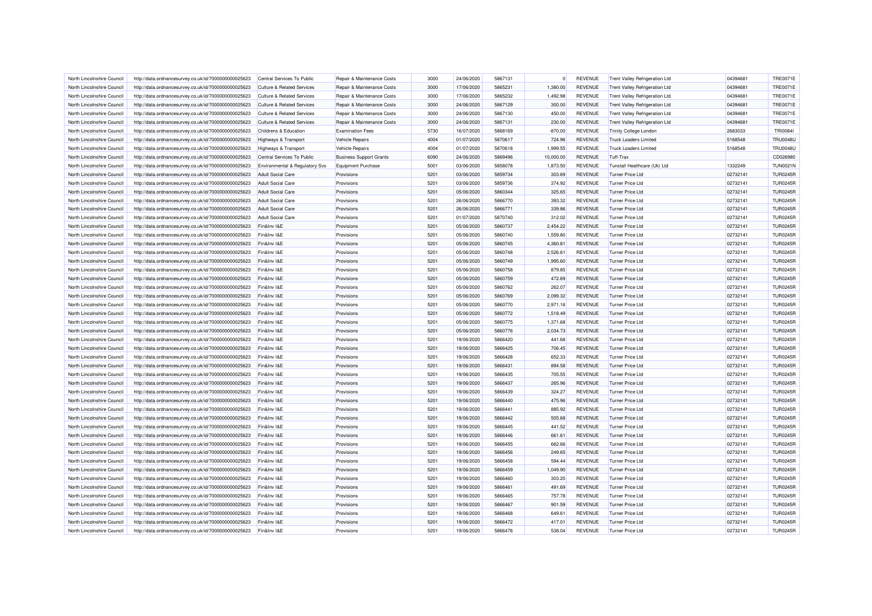| North Lincolnshire Council | http://data.ordnancesurvey.co.uk/id/7000000000025623 | Central Services To Public            | Repair & Maintenance Costs     | 3000 | 24/06/2020 | 5867131 | $\Omega$  | <b>REVENUE</b> | <b>Trent Valley Refrigeration Ltd</b>        | 04394681 | <b>TRE0071E</b> |
|----------------------------|------------------------------------------------------|---------------------------------------|--------------------------------|------|------------|---------|-----------|----------------|----------------------------------------------|----------|-----------------|
| North Lincolnshire Council | http://data.ordnancesurvey.co.uk/id/7000000000025623 | <b>Culture &amp; Related Services</b> | Repair & Maintenance Costs     | 3000 | 17/06/2020 | 5865231 | 1,380.00  | <b>REVENUE</b> | <b>Trent Valley Refrigeration Ltd</b>        | 04394681 | <b>TRE0071E</b> |
| North Lincolnshire Council | http://data.ordnancesurvey.co.uk/id/7000000000025623 | <b>Culture &amp; Related Services</b> | Repair & Maintenance Costs     | 3000 | 17/06/2020 | 5865232 | 1,492.98  | <b>REVENUE</b> | <b>Trent Valley Refrigeration Ltd</b>        | 04394681 | <b>TRE0071E</b> |
| North Lincolnshire Council | http://data.ordnancesurvey.co.uk/id/7000000000025623 | <b>Culture &amp; Related Services</b> | Repair & Maintenance Costs     | 3000 | 24/06/2020 | 5867129 | 300.00    | <b>REVENUE</b> | Trent Valley Refrigeration Ltd               | 04394681 | <b>TRE0071E</b> |
| North Lincolnshire Council | http://data.ordnancesurvey.co.uk/id/7000000000025623 | <b>Culture &amp; Related Services</b> | Repair & Maintenance Costs     | 3000 | 24/06/2020 | 5867130 | 450.00    | <b>REVENUE</b> | <b>Trent Valley Refrigeration Ltd</b>        | 04394681 | <b>TRE0071E</b> |
| North Lincolnshire Council | http://data.ordnancesurvey.co.uk/id/7000000000025623 | <b>Culture &amp; Related Services</b> | Repair & Maintenance Costs     | 3000 | 24/06/2020 | 5867131 | 230.00    | <b>REVENUE</b> | Trent Valley Refrigeration Ltd               | 04394681 | <b>TRE0071E</b> |
| North Lincolnshire Council | http://data.ordnancesurvey.co.uk/id/7000000000025623 | Childrens & Education                 | <b>Examination Fees</b>        | 5730 | 16/07/2020 | 5868169 | $-870.00$ | <b>REVENUE</b> | <b>Trinity College London</b>                | 2683033  | <b>TRI00641</b> |
| North Lincolnshire Council | http://data.ordnancesurvey.co.uk/id/7000000000025623 | Highways & Transport                  | Vehicle Repairs                | 4004 | 01/07/2020 | 5870617 | 724.96    | <b>REVENUE</b> | <b>Truck Loaders Limited</b>                 | 5168548  | <b>TRU0048U</b> |
| North Lincolnshire Council | http://data.ordnancesurvey.co.uk/id/7000000000025623 | Highways & Transport                  | <b>Vehicle Repairs</b>         | 4004 | 01/07/2020 | 5870618 | 1,999.55  | <b>REVENUE</b> | <b>Truck Loaders Limited</b>                 | 5168548  | <b>TRU0048U</b> |
| North Lincolnshire Council | http://data.ordnancesurvey.co.uk/id/7000000000025623 | Central Services To Public            | <b>Business Support Grants</b> | 6090 | 24/06/2020 | 5869496 | 10,000.00 | <b>REVENUE</b> | Tuff-Trax                                    |          | CD026980        |
| North Lincolnshire Council | http://data.ordnancesurvey.co.uk/id/7000000000025623 | Environmental & Regulatory Svs        | Equipment Purchase             | 5001 | 03/06/2020 | 5858078 | 1,873.50  | <b>REVENUE</b> | Tunstall Healthcare (Uk) Ltd                 | 1332249  | <b>TUN0021N</b> |
| North Lincolnshire Council | http://data.ordnancesurvey.co.uk/id/7000000000025623 | <b>Adult Social Care</b>              | Provisions                     | 5201 | 03/06/2020 | 5859734 | 303.69    | <b>REVENUE</b> | Turner Price Ltd                             | 02732141 | <b>TUR0245R</b> |
| North Lincolnshire Council | http://data.ordnancesurvey.co.uk/id/7000000000025623 | <b>Adult Social Care</b>              | Provisions                     | 5201 | 03/06/2020 | 5859736 | 374.92    | <b>REVENUE</b> | <b>Turner Price Ltd</b>                      | 02732141 | <b>TUR0245R</b> |
| North Lincolnshire Council | http://data.ordnancesurvey.co.uk/id/7000000000025623 | <b>Adult Social Care</b>              | Provisions                     | 5201 | 05/06/2020 | 5860344 | 325.65    | <b>REVENUE</b> | Turner Price Ltd                             | 02732141 | <b>TUR0245R</b> |
| North Lincolnshire Council | http://data.ordnancesurvey.co.uk/id/7000000000025623 | <b>Adult Social Care</b>              | Provisions                     | 5201 | 26/06/2020 | 5866770 | 393.32    | <b>REVENUE</b> | Turner Price Ltd                             | 02732141 | <b>TUR0245R</b> |
| North Lincolnshire Council | http://data.ordnancesurvey.co.uk/id/7000000000025623 | <b>Adult Social Care</b>              | Provisions                     | 5201 | 26/06/2020 | 5866771 | 339.86    | <b>REVENUE</b> | Turner Price I to                            | 02732141 | <b>TUR0245R</b> |
| North Lincolnshire Council | http://data.ordnancesurvey.co.uk/id/7000000000025623 | Adult Social Care                     | Provisions                     | 5201 | 01/07/2020 | 5870740 | 312.02    | <b>REVENUE</b> | <b>Turner Price Ltd</b>                      | 02732141 | <b>TUR0245R</b> |
| North Lincolnshire Council | http://data.ordnancesurvey.co.uk/id/7000000000025623 | Fin&Inv I&E                           | Provisions                     | 5201 | 05/06/2020 | 5860737 | 2,454.22  | <b>REVENUE</b> | <b>Turner Price Ltd</b>                      | 02732141 | <b>TUR0245R</b> |
|                            |                                                      | Fin&Inv I&E                           |                                | 5201 |            | 5860740 | 1,559.80  | <b>REVENUE</b> | Turner Price Ltd                             | 02732141 | <b>TUR0245R</b> |
| North Lincolnshire Council | http://data.ordnancesurvey.co.uk/id/7000000000025623 |                                       | Provisions                     | 5201 | 05/06/2020 |         |           |                |                                              | 02732141 | <b>TUR0245R</b> |
| North Lincolnshire Council | http://data.ordnancesurvey.co.uk/id/7000000000025623 | Fin&Inv I&E                           | Provisions                     | 5201 | 05/06/2020 | 5860745 | 4,360.81  | <b>REVENUE</b> | <b>Turner Price Ltd</b><br>Turner Price I to |          | <b>TUR0245R</b> |
| North Lincolnshire Council | http://data.ordnancesurvey.co.uk/id/7000000000025623 | Fin&Inv I&E                           | Provisions                     |      | 05/06/2020 | 5860748 | 2,526.61  | <b>REVENUE</b> |                                              | 02732141 |                 |
| North Lincolnshire Council | http://data.ordnancesurvey.co.uk/id/7000000000025623 | Fin&Inv I&E                           | Provisions                     | 5201 | 05/06/2020 | 5860749 | 1,995.60  | <b>REVENUE</b> | Turner Price Ltd                             | 02732141 | <b>TUR0245R</b> |
| North Lincolnshire Council | http://data.ordnancesurvey.co.uk/id/7000000000025623 | Fin&Inv I&E                           | Provisions                     | 5201 | 05/06/2020 | 5860758 | 879.85    | <b>REVENUE</b> | Turner Price Ltd                             | 02732141 | <b>TUR0245R</b> |
| North Lincolnshire Council | http://data.ordnancesurvey.co.uk/id/7000000000025623 | Fin&Inv I&E                           | Provisions                     | 5201 | 05/06/2020 | 5860759 | 472.69    | <b>REVENUE</b> | <b>Turner Price Ltd</b>                      | 02732141 | <b>TUR0245R</b> |
| North Lincolnshire Council | http://data.ordnancesurvey.co.uk/id/7000000000025623 | Fin&Inv I&E                           | Provisions                     | 5201 | 05/06/2020 | 5860762 | 262.07    | <b>REVENUE</b> | Turner Price Ltd                             | 02732141 | <b>TUR0245R</b> |
| North Lincolnshire Council | http://data.ordnancesurvey.co.uk/id/7000000000025623 | Fin&Inv I&E                           | Provisions                     | 5201 | 05/06/2020 | 5860769 | 2,099.32  | <b>REVENUE</b> | Turner Price Ltd                             | 02732141 | <b>TUR0245R</b> |
| North Lincolnshire Council | http://data.ordnancesurvey.co.uk/id/7000000000025623 | Fin&Inv I&E                           | Provisions                     | 5201 | 05/06/2020 | 5860770 | 2,971.16  | <b>REVENUE</b> | <b>Turner Price Ltd</b>                      | 02732141 | <b>TUR0245R</b> |
| North Lincolnshire Council | http://data.ordnancesurvey.co.uk/id/7000000000025623 | Fin&Inv I&E                           | Provisions                     | 5201 | 05/06/2020 | 5860772 | 1.518.49  | <b>REVENUE</b> | <b>Turner Price Ltd</b>                      | 02732141 | <b>TUR0245R</b> |
| North Lincolnshire Council | http://data.ordnancesurvey.co.uk/id/7000000000025623 | Fin&Inv I&E                           | Provisions                     | 5201 | 05/06/2020 | 5860775 | 1,371.68  | <b>REVENUE</b> | <b>Turner Price Ltd</b>                      | 02732141 | <b>TUR0245R</b> |
| North Lincolnshire Council | http://data.ordnancesurvey.co.uk/id/7000000000025623 | Fin&Inv I&E                           | Provisions                     | 5201 | 05/06/2020 | 5860776 | 2,034.73  | <b>REVENUE</b> | <b>Turner Price Ltd</b>                      | 02732141 | <b>TUR0245R</b> |
| North Lincolnshire Council | http://data.ordnancesurvey.co.uk/id/7000000000025623 | Fin&Inv I&E                           | Provisions                     | 5201 | 19/06/2020 | 5866420 | 441.68    | <b>REVENUE</b> | <b>Turner Price Ltd</b>                      | 02732141 | <b>TUR0245R</b> |
| North Lincolnshire Council | http://data.ordnancesurvey.co.uk/id/7000000000025623 | Fin&Inv I&E                           | Provisions                     | 5201 | 19/06/2020 | 5866425 | 706.45    | <b>REVENUE</b> | <b>Turner Price Ltd</b>                      | 02732141 | <b>TUR0245R</b> |
| North Lincolnshire Council | http://data.ordnancesurvey.co.uk/id/7000000000025623 | Fin&Inv I&E                           | Provisions                     | 5201 | 19/06/2020 | 5866428 | 652.33    | <b>REVENUE</b> | Turner Price Ltd                             | 02732141 | <b>TUR0245R</b> |
| North Lincolnshire Council | http://data.ordnancesurvey.co.uk/id/7000000000025623 | Fin&Inv I&E                           | Provisions                     | 5201 | 19/06/2020 | 5866431 | 894.58    | <b>REVENUE</b> | <b>Turner Price Ltd</b>                      | 02732141 | <b>TUR0245R</b> |
| North Lincolnshire Council | http://data.ordnancesurvey.co.uk/id/7000000000025623 | Fin&Inv I&E                           | Provisions                     | 5201 | 19/06/2020 | 5866435 | 705.55    | <b>REVENUE</b> | Turner Price Ltd                             | 02732141 | <b>TUR0245R</b> |
| North Lincolnshire Council | http://data.ordnancesurvey.co.uk/id/7000000000025623 | Fin&Inv I&E                           | Provisions                     | 5201 | 19/06/2020 | 5866437 | 265.96    | <b>REVENUE</b> | <b>Turner Price Ltd</b>                      | 02732141 | <b>TUR0245R</b> |
| North Lincolnshire Council | http://data.ordnancesurvey.co.uk/id/7000000000025623 | Fin&Inv I&E                           | Provisions                     | 5201 | 19/06/2020 | 5866439 | 324.27    | <b>REVENUE</b> | Turner Price Ltd                             | 02732141 | <b>TUR0245R</b> |
| North Lincolnshire Council | http://data.ordnancesurvey.co.uk/id/7000000000025623 | Fin&Inv I&E                           | Provisions                     | 5201 | 19/06/2020 | 5866440 | 475.96    | <b>REVENUE</b> | <b>Turner Price Ltd</b>                      | 02732141 | <b>TUR0245R</b> |
| North Lincolnshire Council | http://data.ordnancesurvey.co.uk/id/7000000000025623 | Fin&Inv I&E                           | Provisions                     | 5201 | 19/06/2020 | 5866441 | 885.92    | <b>REVENUE</b> | <b>Turner Price Ltd</b>                      | 02732141 | <b>TUR0245R</b> |
| North Lincolnshire Council | http://data.ordnancesurvey.co.uk/id/7000000000025623 | Fin&Inv I&E                           | Provisions                     | 5201 | 19/06/2020 | 5866442 | 505.68    | <b>REVENUE</b> | <b>Turner Price Ltd</b>                      | 02732141 | <b>TUR0245R</b> |
| North Lincolnshire Council | http://data.ordnancesurvey.co.uk/id/7000000000025623 | Fin&Inv I&F                           | Provisions                     | 5201 | 19/06/2020 | 5866445 | 441.52    | <b>REVENUE</b> | Turner Price I to                            | 02732141 | <b>TUR0245R</b> |
| North Lincolnshire Council | http://data.ordnancesurvey.co.uk/id/7000000000025623 | Fin&Inv I&E                           | Provisions                     | 5201 | 19/06/2020 | 5866446 | 661.61    | <b>REVENUE</b> | Turner Price Ltd                             | 02732141 | <b>TUR0245R</b> |
| North Lincolnshire Council | http://data.ordnancesurvey.co.uk/id/7000000000025623 | Fin&Inv I&E                           | Provisions                     | 5201 | 19/06/2020 | 5866455 | 662.66    | <b>REVENUE</b> | Turner Price Ltd                             | 02732141 | <b>TUR0245R</b> |
| North Lincolnshire Council |                                                      | Fin&Inv I&E                           | Provisions                     | 5201 | 19/06/2020 | 5866456 | 249.65    | <b>REVENUE</b> | <b>Turner Price Ltd</b>                      | 02732141 | <b>TUR0245R</b> |
|                            | http://data.ordnancesurvey.co.uk/id/7000000000025623 |                                       |                                | 5201 |            |         |           |                |                                              | 02732141 | <b>TUR0245R</b> |
| North Lincolnshire Council | http://data.ordnancesurvey.co.uk/id/7000000000025623 | Fin&Inv I&E                           | Provisions                     |      | 19/06/2020 | 5866458 | 594.44    | <b>REVENUE</b> | <b>Turner Price Ltd</b>                      |          |                 |
| North Lincolnshire Council | http://data.ordnancesurvey.co.uk/id/7000000000025623 | Fin&Inv I&E                           | Provisions                     | 5201 | 19/06/2020 | 5866459 | 1,049.90  | <b>REVENUE</b> | Turner Price Ltd                             | 02732141 | <b>TUR0245R</b> |
| North Lincolnshire Council | http://data.ordnancesurvey.co.uk/id/7000000000025623 | Fin&Inv I&E                           | Provisions                     | 5201 | 19/06/2020 | 5866460 | 303.20    | <b>REVENUE</b> | <b>Turner Price Ltd</b>                      | 02732141 | <b>TUR0245R</b> |
| North Lincolnshire Council | http://data.ordnancesurvey.co.uk/id/7000000000025623 | Fin&Inv I&E                           | Provisions                     | 5201 | 19/06/2020 | 5866461 | 491.69    | <b>REVENUE</b> | <b>Turner Price Ltd</b>                      | 02732141 | <b>TUR0245R</b> |
| North Lincolnshire Council | http://data.ordnancesurvey.co.uk/id/7000000000025623 | Fin&Inv I&E                           | Provisions                     | 5201 | 19/06/2020 | 5866465 | 757.78    | <b>REVENUE</b> | Turner Price Ltd                             | 02732141 | <b>TUR0245R</b> |
| North Lincolnshire Council | http://data.ordnancesurvey.co.uk/id/7000000000025623 | Fin&Inv I&E                           | Provisions                     | 5201 | 19/06/2020 | 5866467 | 901.59    | <b>REVENUE</b> | Turner Price I to                            | 02732141 | <b>TUR0245R</b> |
| North Lincolnshire Council | http://data.ordnancesurvey.co.uk/id/7000000000025623 | Fin&Inv I&E                           | Provisions                     | 5201 | 19/06/2020 | 5866468 | 649.61    | <b>REVENUE</b> | Turner Price Ltd                             | 02732141 | <b>TUR0245R</b> |
| North Lincolnshire Council | http://data.ordnancesurvey.co.uk/id/7000000000025623 | Fin&Inv I&E                           | Provisions                     | 5201 | 19/06/2020 | 5866472 | 417.01    | <b>REVENUE</b> | Turner Price Ltd                             | 02732141 | <b>TUR0245R</b> |
| North Lincolnshire Council | http://data.ordnancesurvey.co.uk/id/7000000000025623 | Fin&Inv I&E                           | Provisions                     | 5201 | 19/06/2020 | 5866476 | 538.04    | <b>REVENUE</b> | Turner Price Ltd                             | 02732141 | <b>TUR0245R</b> |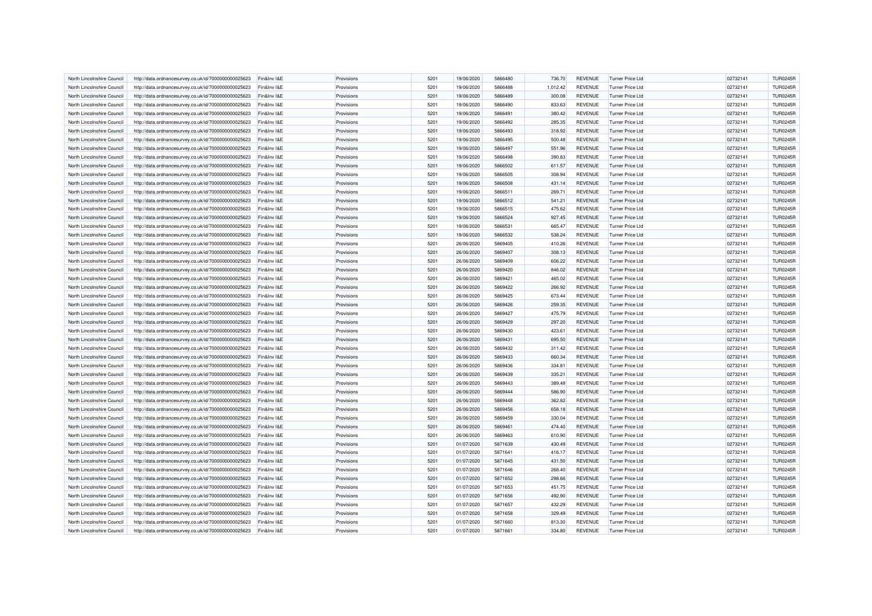| North Lincolnshire Council | http://data.ordnancesurvey.co.uk/id/7000000000025623 | Fin&Inv I&E | Provisions | 5201 | 19/06/2020 | 5866480 | 736.70   | <b>REVENUE</b> | <b>Turner Price Ltd</b> | 02732141 | <b>TUR0245R</b> |
|----------------------------|------------------------------------------------------|-------------|------------|------|------------|---------|----------|----------------|-------------------------|----------|-----------------|
| North Lincolnshire Council | http://data.ordnancesurvey.co.uk/id/7000000000025623 | Fin&Inv I&E | Provisions | 5201 | 19/06/2020 | 5866488 | 1,012.42 | <b>REVENUE</b> | <b>Turner Price Ltd</b> | 02732141 | <b>TUR0245R</b> |
| North Lincolnshire Council | http://data.ordnancesurvey.co.uk/id/7000000000025623 | Fin&Inv I&E | Provisions | 5201 | 19/06/2020 | 5866489 | 300.08   | <b>REVENUE</b> | <b>Turner Price Ltd</b> | 02732141 | <b>TUR0245R</b> |
| North Lincolnshire Council | http://data.ordnancesurvey.co.uk/id/7000000000025623 | Fin&Inv I&E | Provisions | 5201 | 19/06/2020 | 5866490 | 833.63   | <b>REVENUE</b> | <b>Turner Price Ltd</b> | 02732141 | <b>TUR0245R</b> |
| North Lincolnshire Council | http://data.ordnancesurvey.co.uk/id/7000000000025623 | Fin&Inv I&E | Provisions | 5201 | 19/06/2020 | 5866491 | 380.42   | <b>REVENUE</b> | <b>Turner Price Ltd</b> | 02732141 | <b>TUR0245R</b> |
| North Lincolnshire Council | http://data.ordnancesurvey.co.uk/id/7000000000025623 | Fin&Inv I&E | Provisions | 5201 | 19/06/2020 | 5866492 | 285.35   | <b>REVENUE</b> | <b>Turner Price Ltd</b> | 02732141 | <b>TUR0245R</b> |
| North Lincolnshire Council | http://data.ordnancesurvey.co.uk/id/7000000000025623 | Fin&Inv I&E | Provisions | 5201 | 19/06/2020 | 5866493 | 318.92   | <b>REVENUE</b> | <b>Turner Price Ltd</b> | 02732141 | <b>TUR0245R</b> |
| North Lincolnshire Council | http://data.ordnancesurvey.co.uk/id/7000000000025623 | Fin&Inv I&E | Provisions | 5201 | 19/06/2020 | 5866495 | 500.48   | <b>REVENUE</b> | Turner Price Ltd        | 02732141 | <b>TUR0245R</b> |
| North Lincolnshire Council | http://data.ordnancesurvey.co.uk/id/7000000000025623 | Fin&Inv I&E | Provisions | 5201 | 19/06/2020 | 5866497 | 551.96   | <b>REVENUE</b> | <b>Turner Price Ltd</b> | 02732141 | <b>TUR0245R</b> |
| North Lincolnshire Council | http://data.ordnancesurvey.co.uk/id/7000000000025623 | Fin&Inv I&E | Provisions | 5201 | 19/06/2020 | 5866498 | 390.83   | <b>REVENUE</b> | <b>Turner Price Ltd</b> | 02732141 | <b>TUR0245R</b> |
| North Lincolnshire Council | http://data.ordnancesurvey.co.uk/id/7000000000025623 | Fin&Inv I&E | Provisions | 5201 | 19/06/2020 | 5866502 | 611.57   | <b>REVENUE</b> | <b>Turner Price Ltd</b> | 02732141 | <b>TUR0245R</b> |
| North Lincolnshire Council | http://data.ordnancesurvey.co.uk/id/7000000000025623 | Fin&Inv I&E | Provisions | 5201 | 19/06/2020 | 5866505 | 308.94   | <b>REVENUE</b> | <b>Turner Price Ltd</b> | 02732141 | <b>TUR0245R</b> |
| North Lincolnshire Council | http://data.ordnancesurvey.co.uk/id/7000000000025623 | Fin&Inv I&E | Provisions | 5201 | 19/06/2020 | 5866508 | 431.14   | <b>REVENUE</b> | <b>Turner Price Ltd</b> | 02732141 | <b>TUR0245R</b> |
| North Lincolnshire Council | http://data.ordnancesurvey.co.uk/id/7000000000025623 | Fin&Inv I&E | Provisions | 5201 | 19/06/2020 | 5866511 | 269.71   | <b>REVENUE</b> | <b>Turner Price Ltd</b> | 02732141 | <b>TUR0245R</b> |
| North Lincolnshire Council | http://data.ordnancesurvey.co.uk/id/7000000000025623 | Fin&Inv I&E | Provisions | 5201 | 19/06/2020 | 5866512 | 541.21   | <b>REVENUE</b> | <b>Turner Price Ltd</b> | 02732141 | <b>TUR0245R</b> |
| North Lincolnshire Council | http://data.ordnancesurvey.co.uk/id/7000000000025623 | Fin&Inv I&E | Provisions | 5201 | 19/06/2020 | 5866515 | 475.62   | <b>REVENUE</b> | <b>Turner Price Ltd</b> | 02732141 | <b>TUR0245R</b> |
| North Lincolnshire Council | http://data.ordnancesurvey.co.uk/id/7000000000025623 | Fin&Inv I&E | Provisions | 5201 | 19/06/2020 | 5866524 | 927.45   | <b>REVENUE</b> | <b>Turner Price Ltd</b> | 02732141 | <b>TUR0245R</b> |
| North Lincolnshire Council | http://data.ordnancesurvey.co.uk/id/7000000000025623 | Fin&Inv I&E | Provisions | 5201 | 19/06/2020 | 5866531 | 665.47   | <b>REVENUE</b> | <b>Turner Price Ltd</b> | 02732141 | <b>TUR0245R</b> |
| North Lincolnshire Council | http://data.ordnancesurvey.co.uk/id/7000000000025623 | Fin&Inv I&E | Provisions | 5201 | 19/06/2020 | 5866532 | 538.24   | <b>REVENUE</b> | Turner Price I td       | 02732141 | <b>TUR0245R</b> |
| North Lincolnshire Council | http://data.ordnancesurvey.co.uk/id/7000000000025623 | Fin&Inv I&E | Provisions | 5201 | 26/06/2020 | 5869405 | 410.26   | <b>REVENUE</b> | <b>Turner Price Ltd</b> | 02732141 | <b>TUR0245R</b> |
| North Lincolnshire Council | http://data.ordnancesurvey.co.uk/id/7000000000025623 | Fin&Inv I&E | Provisions | 5201 | 26/06/2020 | 5869407 | 308.13   | <b>REVENUE</b> | <b>Turner Price Ltd</b> | 02732141 | <b>TUR0245R</b> |
| North Lincolnshire Council | http://data.ordnancesurvey.co.uk/id/7000000000025623 | Fin&Inv I&E | Provisions | 5201 | 26/06/2020 | 5869409 | 606.22   | <b>REVENUE</b> | Turner Price Ltd        | 02732141 | <b>TUR0245R</b> |
| North Lincolnshire Council | http://data.ordnancesurvey.co.uk/id/7000000000025623 | Fin&Inv I&E | Provisions | 5201 | 26/06/2020 | 5869420 | 846.02   | <b>REVENUE</b> | <b>Turner Price Ltd</b> | 02732141 | <b>TUR0245R</b> |
| North Lincolnshire Council | http://data.ordnancesurvey.co.uk/id/7000000000025623 | Fin&Inv I&E | Provisions | 5201 | 26/06/2020 | 5869421 | 465.02   | <b>REVENUE</b> | <b>Turner Price Ltd</b> | 02732141 | <b>TUR0245R</b> |
| North Lincolnshire Council | http://data.ordnancesurvey.co.uk/id/7000000000025623 | Fin&Inv I&E | Provisions | 5201 | 26/06/2020 | 5869422 | 266.92   | <b>REVENUE</b> | <b>Turner Price Ltd</b> | 02732141 | <b>TUR0245R</b> |
| North Lincolnshire Council | http://data.ordnancesurvey.co.uk/id/7000000000025623 | Fin&Inv I&E | Provisions | 5201 | 26/06/2020 | 5869425 | 673.44   | <b>REVENUE</b> | <b>Turner Price Ltd</b> | 02732141 | <b>TUR0245R</b> |
| North Lincolnshire Council | http://data.ordnancesurvey.co.uk/id/7000000000025623 | Fin&Inv I&E | Provisions | 5201 | 26/06/2020 | 5869426 | 259.35   | <b>REVENUE</b> | <b>Turner Price Ltd</b> | 02732141 | <b>TUR0245R</b> |
| North Lincolnshire Council | http://data.ordnancesurvey.co.uk/id/7000000000025623 | Fin&Inv I&E | Provisions | 5201 | 26/06/2020 | 5869427 | 475.79   | <b>REVENUE</b> | <b>Turner Price Ltd</b> | 02732141 | <b>TUR0245R</b> |
| North Lincolnshire Council | http://data.ordnancesurvey.co.uk/id/7000000000025623 | Fin&Inv I&E | Provisions | 5201 | 26/06/2020 | 5869429 | 297.20   | <b>REVENUE</b> | <b>Turner Price Ltd</b> | 02732141 | <b>TUR0245R</b> |
| North Lincolnshire Council | http://data.ordnancesurvey.co.uk/id/7000000000025623 | Fin&Inv I&E | Provisions | 5201 | 26/06/2020 | 5869430 | 423.61   | <b>REVENUE</b> | Turner Price Ltd        | 02732141 | <b>TUR0245R</b> |
| North Lincolnshire Council | http://data.ordnancesurvey.co.uk/id/7000000000025623 | Fin&Inv I&E | Provisions | 5201 | 26/06/2020 | 5869431 | 695.50   | <b>REVENUE</b> | <b>Turner Price Ltd</b> | 02732141 | <b>TUR0245R</b> |
| North Lincolnshire Council | http://data.ordnancesurvey.co.uk/id/7000000000025623 | Fin&Inv I&E | Provisions | 5201 | 26/06/2020 | 5869432 | 311.42   | <b>REVENUE</b> | <b>Turner Price Ltd</b> | 02732141 | <b>TUR0245R</b> |
| North Lincolnshire Council | http://data.ordnancesurvey.co.uk/id/7000000000025623 | Fin&Inv I&E | Provisions | 5201 | 26/06/2020 | 5869433 | 660.34   | <b>REVENUE</b> | <b>Turner Price Ltd</b> | 02732141 | <b>TUR0245R</b> |
| North Lincolnshire Council | http://data.ordnancesurvey.co.uk/id/7000000000025623 | Fin&Inv I&E | Provisions | 5201 | 26/06/2020 | 5869436 | 334.81   | <b>REVENUE</b> | <b>Turner Price Ltd</b> | 02732141 | <b>TUR0245R</b> |
| North Lincolnshire Council | http://data.ordnancesurvey.co.uk/id/7000000000025623 | Fin&Inv I&E | Provisions | 5201 | 26/06/2020 | 5869439 | 335.21   | <b>REVENUE</b> | <b>Turner Price Ltd</b> | 02732141 | <b>TUR0245R</b> |
| North Lincolnshire Council | http://data.ordnancesurvey.co.uk/id/7000000000025623 | Fin&Inv I&E | Provisions | 5201 | 26/06/2020 | 5869443 | 389.48   | <b>REVENUE</b> | <b>Turner Price Ltd</b> | 02732141 | <b>TUR0245R</b> |
| North Lincolnshire Council | http://data.ordnancesurvey.co.uk/id/7000000000025623 | Fin&Inv I&E | Provisions | 5201 | 26/06/2020 | 5869444 | 586.90   | <b>REVENUE</b> | <b>Turner Price Ltd</b> | 02732141 | <b>TUR0245R</b> |
| North Lincolnshire Council | http://data.ordnancesurvey.co.uk/id/7000000000025623 | Fin&Inv I&E | Provisions | 5201 | 26/06/2020 | 5869448 | 362.82   | <b>REVENUE</b> | Turner Price Ltd        | 02732141 | <b>TUR0245R</b> |
| North Lincolnshire Council | http://data.ordnancesurvey.co.uk/id/7000000000025623 | Fin&Inv I&E | Provisions | 5201 | 26/06/2020 | 5869456 | 658.18   | <b>REVENUE</b> | <b>Turner Price Ltd</b> | 02732141 | <b>TUR0245R</b> |
| North Lincolnshire Council | http://data.ordnancesurvey.co.uk/id/7000000000025623 | Fin&Inv I&E | Provisions | 5201 | 26/06/2020 | 5869459 | 330.04   | <b>REVENUE</b> | <b>Turner Price Ltd</b> | 02732141 | <b>TUR0245R</b> |
| North Lincolnshire Council | http://data.ordnancesurvey.co.uk/id/7000000000025623 | Fin&Inv I&E | Provisions | 5201 | 26/06/2020 | 5869461 | 474.40   | <b>REVENUE</b> | <b>Turner Price Ltd</b> | 02732141 | <b>TUR0245R</b> |
| North Lincolnshire Council | http://data.ordnancesurvey.co.uk/id/7000000000025623 | Fin&Inv I&E | Provisions | 5201 | 26/06/2020 | 5869463 | 610.90   | <b>REVENUE</b> | Turner Price Ltd        | 02732141 | <b>TUR0245R</b> |
| North Lincolnshire Council | http://data.ordnancesurvey.co.uk/id/7000000000025623 | Fin&Inv I&E | Provisions | 5201 | 01/07/2020 | 5871639 | 430.49   | <b>REVENUE</b> | <b>Turner Price Ltd</b> | 02732141 | <b>TUR0245R</b> |
| North Lincolnshire Council | http://data.ordnancesurvey.co.uk/id/7000000000025623 | Fin&Inv I&E | Provisions | 5201 | 01/07/2020 | 5871641 | 416.17   | <b>REVENUE</b> | Turner Price Ltd        | 02732141 | <b>TUR0245R</b> |
| North Lincolnshire Council | http://data.ordnancesurvey.co.uk/id/7000000000025623 | Fin&Inv I&E | Provisions | 5201 | 01/07/2020 | 5871645 | 431.50   | <b>REVENUE</b> | <b>Turner Price Ltd</b> | 02732141 | <b>TUR0245R</b> |
| North Lincolnshire Council | http://data.ordnancesurvey.co.uk/id/7000000000025623 | Fin&Inv I&E | Provisions | 5201 | 01/07/2020 | 5871646 | 268.40   | <b>REVENUE</b> | <b>Turner Price Ltd</b> | 02732141 | <b>TUR0245R</b> |
| North Lincolnshire Council | http://data.ordnancesurvey.co.uk/id/7000000000025623 | Fin&Inv I&E | Provisions | 5201 | 01/07/2020 | 5871652 | 298.66   | <b>REVENUE</b> | <b>Turner Price Ltd</b> | 02732141 | <b>TUR0245R</b> |
| North Lincolnshire Council | http://data.ordnancesurvey.co.uk/id/7000000000025623 | Fin&Inv I&E | Provisions | 5201 | 01/07/2020 | 5871653 | 451.75   | <b>REVENUE</b> | <b>Turner Price Ltd</b> | 02732141 | <b>TUR0245R</b> |
| North Lincolnshire Council | http://data.ordnancesurvey.co.uk/id/7000000000025623 | Fin&Inv I&E | Provisions | 5201 | 01/07/2020 | 5871656 | 492.90   | <b>REVENUE</b> | <b>Turner Price Ltd</b> | 02732141 | <b>TUR0245R</b> |
| North Lincolnshire Council | http://data.ordnancesurvey.co.uk/id/7000000000025623 | Fin&Inv I&E | Provisions | 5201 | 01/07/2020 | 5871657 | 432.29   | <b>REVENUE</b> | Turner Price Ltd        | 02732141 | <b>TUR0245R</b> |
| North Lincolnshire Council | http://data.ordnancesurvey.co.uk/id/7000000000025623 | Fin&Inv I&E | Provisions | 5201 | 01/07/2020 | 5871658 | 329.49   | <b>REVENUE</b> | <b>Turner Price Ltd</b> | 02732141 | <b>TUR0245R</b> |
| North Lincolnshire Council | http://data.ordnancesurvey.co.uk/id/7000000000025623 | Fin&Inv I&E | Provisions | 5201 | 01/07/2020 | 5871660 | 813.30   | <b>REVENUE</b> | Turner Price Ltd        | 02732141 | <b>TUR0245R</b> |
| North Lincolnshire Council | http://data.ordnancesurvey.co.uk/id/7000000000025623 | Fin&Inv I&E | Provisions | 5201 | 01/07/2020 | 5871661 | 334.80   | <b>REVENUE</b> | <b>Turner Price Ltd</b> | 02732141 | <b>TUR0245R</b> |
|                            |                                                      |             |            |      |            |         |          |                |                         |          |                 |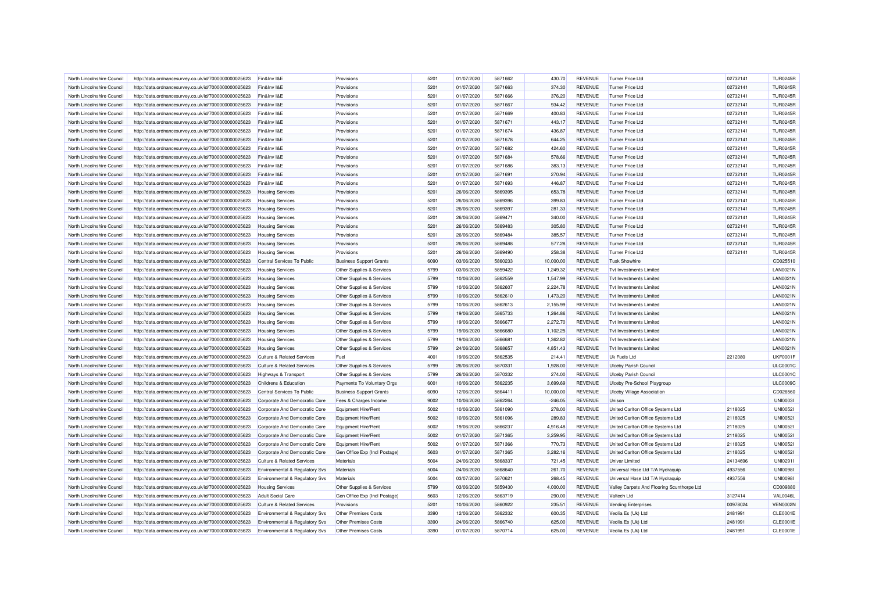| North Lincolnshire Council                               | http://data.ordnancesurvey.co.uk/id/7000000000025623 | Fin&Inv I&E                           | Provisions                        | 5201 | 01/07/2020 | 5871662            | 430.70    | <b>REVENUE</b> | Turner Price Ltd                               | 02732141 | <b>TUR0245R</b> |
|----------------------------------------------------------|------------------------------------------------------|---------------------------------------|-----------------------------------|------|------------|--------------------|-----------|----------------|------------------------------------------------|----------|-----------------|
| North Lincolnshire Council                               | http://data.ordnancesurvey.co.uk/id/7000000000025623 | Fin&Inv I&E                           | Provisions                        | 5201 | 01/07/2020 | 5871663            | 374.30    | <b>REVENUE</b> | Turner Price Ltd                               | 02732141 | <b>TUR0245R</b> |
| North Lincolnshire Council                               | http://data.ordnancesurvey.co.uk/id/7000000000025623 | Fin&Inv I&E                           | Provisions                        | 5201 | 01/07/2020 | 5871666            | 376.20    | <b>REVENUE</b> | Turner Price Ltd                               | 02732141 | <b>TUR0245R</b> |
| North Lincolnshire Council                               | http://data.ordnancesurvey.co.uk/id/7000000000025623 | Fin&Inv I&E                           | Provisions                        | 5201 | 01/07/2020 | 5871667            | 934.42    | <b>REVENUE</b> | <b>Turner Price Ltd</b>                        | 02732141 | <b>TUR0245R</b> |
| North Lincolnshire Council                               | http://data.ordnancesurvey.co.uk/id/7000000000025623 | Fin&Inv I&E                           | Provisions                        | 5201 | 01/07/2020 | 5871669            | 400.83    | <b>REVENUE</b> | Turner Price Ltd                               | 02732141 | <b>TUR0245R</b> |
| North Lincolnshire Council                               | http://data.ordnancesurvey.co.uk/id/7000000000025623 | Fin&Inv I&E                           | Provisions                        | 5201 | 01/07/2020 | 5871671            | 443.17    | <b>REVENUE</b> | <b>Turner Price Ltd</b>                        | 02732141 | <b>TUR0245R</b> |
|                                                          |                                                      | Fin&Inv I&E                           | Provisions                        | 5201 | 01/07/2020 | 5871674            | 436.87    | <b>REVENUE</b> | <b>Turner Price Ltd</b>                        | 02732141 | <b>TUR0245R</b> |
| North Lincolnshire Council<br>North Lincolnshire Council | http://data.ordnancesurvey.co.uk/id/7000000000025623 | Fin&Inv I&E                           | Provisions                        | 5201 | 01/07/2020 | 5871678            |           | <b>REVENUE</b> | Turner Price Ltd                               |          | <b>TUR0245R</b> |
|                                                          | http://data.ordnancesurvey.co.uk/id/7000000000025623 |                                       |                                   |      |            |                    | 644.25    |                |                                                | 02732141 |                 |
| North Lincolnshire Council                               | http://data.ordnancesurvey.co.uk/id/7000000000025623 | Fin&Inv I&E                           | Provisions                        | 5201 | 01/07/2020 | 5871682            | 424.60    | <b>REVENUE</b> | <b>Turner Price Ltd</b>                        | 02732141 | <b>TUR0245R</b> |
| North Lincolnshire Council                               | http://data.ordnancesurvey.co.uk/id/7000000000025623 | Fin&Inv I&E                           | Provisions                        | 5201 | 01/07/2020 | 5871684            | 578.66    | <b>REVENUE</b> | Turner Price Ltd                               | 02732141 | <b>TUR0245R</b> |
| North Lincolnshire Council                               | http://data.ordnancesurvey.co.uk/id/7000000000025623 | Fin&Inv I&E                           | Provisions                        | 5201 | 01/07/2020 | 5871686            | 383.13    | <b>REVENUE</b> | <b>Turner Price Ltd</b>                        | 02732141 | <b>TUR0245R</b> |
| North Lincolnshire Council                               | http://data.ordnancesurvey.co.uk/id/7000000000025623 | Fin&Inv I&E                           | Provisions                        | 5201 | 01/07/2020 | 5871691            | 270.94    | <b>REVENUE</b> | <b>Turner Price Ltd</b>                        | 02732141 | <b>TUR0245R</b> |
| North Lincolnshire Council                               | http://data.ordnancesurvey.co.uk/id/7000000000025623 | Fin&Inv I&E                           | Provisions                        | 5201 | 01/07/2020 | 5871693            | 446.87    | <b>REVENUE</b> | Turner Price Ltd                               | 02732141 | <b>TUR0245R</b> |
| North Lincolnshire Council                               | http://data.ordnancesurvey.co.uk/id/7000000000025623 | <b>Housing Services</b>               | Provisions                        | 5201 | 26/06/2020 | 5869395            | 653.78    | <b>REVENUE</b> | <b>Turner Price Ltd</b>                        | 02732141 | <b>TUR0245R</b> |
| North Lincolnshire Council                               | http://data.ordnancesurvey.co.uk/id/7000000000025623 | <b>Housing Services</b>               | Provisions                        | 5201 | 26/06/2020 | 5869396            | 399.83    | <b>REVENUE</b> | <b>Turner Price Ltd</b>                        | 02732141 | <b>TUR0245R</b> |
| North Lincolnshire Council                               | http://data.ordnancesurvey.co.uk/id/7000000000025623 | <b>Housing Services</b>               | Provisions                        | 5201 | 26/06/2020 | 5869397            | 281.33    | <b>REVENUE</b> | Turner Price Ltd                               | 02732141 | <b>TUR0245R</b> |
| North Lincolnshire Council                               | http://data.ordnancesurvey.co.uk/id/7000000000025623 | <b>Housing Services</b>               | Provisions                        | 5201 | 26/06/2020 | 5869471            | 340.00    | <b>REVENUE</b> | <b>Turner Price Ltd</b>                        | 02732141 | <b>TUR0245R</b> |
| North Lincolnshire Council                               | http://data.ordnancesurvey.co.uk/id/7000000000025623 | <b>Housing Services</b>               | Provisions                        | 5201 | 26/06/2020 | 5869483            | 305.80    | <b>REVENUE</b> | <b>Turner Price Ltd</b>                        | 02732141 | <b>TUR0245R</b> |
| North Lincolnshire Council                               | http://data.ordnancesurvey.co.uk/id/7000000000025623 | <b>Housing Services</b>               | Provisions                        | 5201 | 26/06/2020 | 5869484            | 385.57    | <b>REVENUE</b> | Turner Price Ltd                               | 02732141 | <b>TUR0245R</b> |
| North Lincolnshire Council                               | http://data.ordnancesurvey.co.uk/id/7000000000025623 | <b>Housing Services</b>               | Provisions                        | 5201 | 26/06/2020 | 5869488            | 577.28    | <b>REVENUE</b> | <b>Turner Price Ltd</b>                        | 02732141 | <b>TUR0245R</b> |
| North Lincolnshire Council                               | http://data.ordnancesurvey.co.uk/id/7000000000025623 | <b>Housing Services</b>               | Provisions                        | 5201 | 26/06/2020 | 5869490            | 258.38    | <b>REVENUE</b> | <b>Turner Price Ltd</b>                        | 02732141 | <b>TUR0245R</b> |
| North Lincolnshire Council                               | http://data.ordnancesurvey.co.uk/id/7000000000025623 | Central Services To Public            | <b>Business Support Grants</b>    | 6090 | 03/06/2020 | 5860233            | 10,000.00 | <b>REVENUE</b> | <b>Tusk Showhire</b>                           |          | CD025510        |
| North Lincolnshire Council                               | http://data.ordnancesurvey.co.uk/id/7000000000025623 | <b>Housing Services</b>               | Other Supplies & Services         | 5799 | 03/06/2020 | 5859422            | 1,249.32  | <b>REVENUE</b> | <b>Tvt Investments Limited</b>                 |          | <b>LAN0021N</b> |
| North Lincolnshire Council                               | http://data.ordnancesurvey.co.uk/id/7000000000025623 | <b>Housing Services</b>               | Other Supplies & Services         | 5799 | 10/06/2020 | 5862559            | 1,547.99  | <b>REVENUE</b> | Tyt Investments I imited                       |          | <b>LAN0021N</b> |
| North Lincolnshire Council                               | http://data.ordnancesurvey.co.uk/id/7000000000025623 | <b>Housing Services</b>               | Other Supplies & Services         | 5799 | 10/06/2020 | 5862607            | 2.224.78  | <b>REVENUE</b> | <b>Tvt Investments Limited</b>                 |          | <b>LAN0021N</b> |
| North Lincolnshire Council                               | http://data.ordnancesurvey.co.uk/id/7000000000025623 | <b>Housing Services</b>               | Other Supplies & Services         | 5799 | 10/06/2020 | 5862610            | 1,473.20  | <b>REVENUE</b> | <b>Tvt Investments Limited</b>                 |          | <b>LAN0021N</b> |
| North Lincolnshire Council                               | http://data.ordnancesurvey.co.uk/id/7000000000025623 | <b>Housing Services</b>               | Other Supplies & Services         | 5799 | 10/06/2020 | 5862613            | 2,155.99  | <b>REVENUE</b> | <b>Tvt Investments Limited</b>                 |          | <b>LAN0021N</b> |
| North Lincolnshire Council                               | http://data.ordnancesurvey.co.uk/id/7000000000025623 | <b>Housing Services</b>               | Other Supplies & Services         | 5799 | 19/06/2020 | 5865733            | 1,264.86  | <b>REVENUE</b> | <b>Tvt Investments Limited</b>                 |          | <b>LAN0021N</b> |
| North Lincolnshire Council                               | http://data.ordnancesurvey.co.uk/id/7000000000025623 | <b>Housing Services</b>               | Other Supplies & Services         | 5799 | 19/06/2020 | 5866677            | 2,272.70  | <b>REVENUE</b> | <b>Tvt Investments Limited</b>                 |          | <b>LAN0021N</b> |
| North Lincolnshire Council                               | http://data.ordnancesurvey.co.uk/id/7000000000025623 | <b>Housing Services</b>               | Other Supplies & Services         | 5799 | 19/06/2020 | 5866680            | 1,102.25  | <b>REVENUE</b> | <b>Tvt Investments Limited</b>                 |          | <b>LAN0021N</b> |
| North Lincolnshire Council                               | http://data.ordnancesurvey.co.uk/id/7000000000025623 | <b>Housing Services</b>               | Other Supplies & Services         | 5799 | 19/06/2020 | 5866681            | 1.362.82  | <b>REVENUE</b> | <b>Tvt Investments Limited</b>                 |          | <b>LAN0021N</b> |
|                                                          |                                                      |                                       |                                   | 5799 |            |                    |           | <b>REVENUE</b> |                                                |          | <b>LAN0021N</b> |
| North Lincolnshire Council<br>North Lincolnshire Council | http://data.ordnancesurvey.co.uk/id/7000000000025623 | <b>Housing Services</b>               | Other Supplies & Services<br>Fuel | 4001 | 24/06/2020 | 5868657<br>5862535 | 4,851.43  |                | <b>Tvt Investments Limited</b><br>Uk Fuels Ltd |          | <b>UKF0001F</b> |
|                                                          | http://data.ordnancesurvey.co.uk/id/7000000000025623 | <b>Culture &amp; Related Services</b> |                                   |      | 19/06/2020 |                    | 214.41    | <b>REVENUE</b> |                                                | 2212080  |                 |
| North Lincolnshire Council                               | http://data.ordnancesurvey.co.uk/id/7000000000025623 | <b>Culture &amp; Related Services</b> | Other Supplies & Services         | 5799 | 26/06/2020 | 5870331            | 1,928.00  | <b>REVENUE</b> | <b>Ulceby Parish Council</b>                   |          | <b>ULC0001C</b> |
| North Lincolnshire Council                               | http://data.ordnancesurvey.co.uk/id/7000000000025623 | Highways & Transport                  | Other Supplies & Services         | 5799 | 26/06/2020 | 5870332            | 274.00    | <b>REVENUE</b> | <b>Ulceby Parish Council</b>                   |          | <b>ULC0001C</b> |
| North Lincolnshire Council                               | http://data.ordnancesurvey.co.uk/id/7000000000025623 | Childrens & Education                 | Payments To Voluntary Orgs        | 6001 | 10/06/2020 | 5862235            | 3,699.69  | <b>REVENUE</b> | Ulceby Pre-School Playgroup                    |          | <b>ULC0009C</b> |
| North Lincolnshire Council                               | http://data.ordnancesurvey.co.uk/id/7000000000025623 | Central Services To Public            | <b>Business Support Grants</b>    | 6090 | 12/06/2020 | 5864411            | 10,000.00 | <b>REVENUE</b> | <b>Ulceby Village Association</b>              |          | CD026560        |
| North Lincolnshire Council                               | http://data.ordnancesurvey.co.uk/id/7000000000025623 | Corporate And Democratic Core         | Fees & Charges Income             | 9002 | 10/06/2020 | 5862264            | $-246.05$ | <b>REVENUE</b> | Unison                                         |          | <b>UNI0003</b>  |
| North Lincolnshire Council                               | http://data.ordnancesurvey.co.uk/id/7000000000025623 | Corporate And Democratic Core         | Equipment Hire/Rent               | 5002 | 10/06/2020 | 5861090            | 278.00    | <b>REVENUE</b> | United Carlton Office Systems Ltd              | 2118025  | <b>UNI0052I</b> |
| North Lincolnshire Council                               | http://data.ordnancesurvey.co.uk/id/7000000000025623 | Corporate And Democratic Core         | Equipment Hire/Rent               | 5002 | 10/06/2020 | 5861096            | 289.83    | <b>REVENUE</b> | United Carlton Office Systems Ltd              | 2118025  | <b>UNI00521</b> |
| North Lincolnshire Council                               | http://data.ordnancesurvey.co.uk/id/7000000000025623 | Corporate And Democratic Core         | Equipment Hire/Rent               | 5002 | 19/06/2020 | 5866237            | 4,916.48  | <b>REVENUE</b> | United Carlton Office Systems Ltd              | 2118025  | <b>UNI0052I</b> |
| North Lincolnshire Council                               | http://data.ordnancesurvey.co.uk/id/7000000000025623 | Corporate And Democratic Core         | Equipment Hire/Rent               | 5002 | 01/07/2020 | 5871365            | 3.259.95  | <b>REVENUE</b> | United Carlton Office Systems Ltd              | 2118025  | <b>UNI00521</b> |
| North Lincolnshire Council                               | http://data.ordnancesurvey.co.uk/id/7000000000025623 | Corporate And Democratic Core         | Equipment Hire/Rent               | 5002 | 01/07/2020 | 5871366            | 770.73    | <b>REVENUE</b> | United Carlton Office Systems Ltd              | 2118025  | <b>UNI00521</b> |
| North Lincolnshire Council                               | http://data.ordnancesurvey.co.uk/id/7000000000025623 | Corporate And Democratic Core         | Gen Office Exp (Incl Postage)     | 5603 | 01/07/2020 | 5871365            | 3,282.16  | <b>REVENUE</b> | United Carlton Office Systems Ltd              | 2118025  | <b>UNI00521</b> |
| North Lincolnshire Council                               | http://data.ordnancesurvey.co.uk/id/7000000000025623 | <b>Culture &amp; Related Services</b> | Materials                         | 5004 | 24/06/2020 | 5868337            | 721.45    | <b>REVENUE</b> | Univar Limited                                 | 24134696 | UNI0291I        |
| North Lincolnshire Council                               | http://data.ordnancesurvey.co.uk/id/7000000000025623 | Environmental & Regulatory Svs        | Materials                         | 5004 | 24/06/2020 | 5868640            | 261.70    | <b>REVENUE</b> | Universal Hose Ltd T/A Hydraquip               | 4937556  | <b>UNI0098I</b> |
| North Lincolnshire Council                               | http://data.ordnancesurvey.co.uk/id/7000000000025623 | Environmental & Regulatory Svs        | <b>Materials</b>                  | 5004 | 03/07/2020 | 5870621            | 268.45    | <b>REVENUE</b> | Universal Hose Ltd T/A Hydraquip               | 4937556  | <b>UNI0098I</b> |
| North Lincolnshire Council                               | http://data.ordnancesurvey.co.uk/id/7000000000025623 | <b>Housing Services</b>               | Other Supplies & Services         | 5799 | 03/06/2020 | 5859430            | 4,000.00  | <b>REVENUE</b> | Valley Carpets And Flooring Scunthorpe Ltd     |          | CD009880        |
| North Lincolnshire Council                               | http://data.ordnancesurvey.co.uk/id/7000000000025623 | <b>Adult Social Care</b>              | Gen Office Exp (Incl Postage)     | 5603 | 12/06/2020 | 5863719            | 290.00    | <b>REVENUE</b> | Valtech Ltd                                    | 3127414  | <b>VAL0046L</b> |
| North Lincolnshire Council                               | http://data.ordnancesurvey.co.uk/id/7000000000025623 | <b>Culture &amp; Related Services</b> | Provisions                        | 5201 | 10/06/2020 | 5860922            | 235.51    | <b>REVENUE</b> | <b>Vending Enterprises</b>                     | 00978024 | <b>VEN0002N</b> |
| North Lincolnshire Council                               | http://data.ordnancesurvey.co.uk/id/7000000000025623 | Environmental & Regulatory Svs        | Other Premises Costs              | 3390 | 12/06/2020 | 5862332            | 600.35    | <b>REVENUE</b> | Veolia Es (Uk) Ltd                             | 2481991  | <b>CLE0001E</b> |
| North Lincolnshire Council                               | http://data.ordnancesurvey.co.uk/id/7000000000025623 | Environmental & Regulatory Svs        | <b>Other Premises Costs</b>       | 3390 | 24/06/2020 | 5866740            | 625.00    | <b>REVENUE</b> | Veolia Es (Uk) Ltd                             | 2481991  | <b>CLE0001E</b> |
| North Lincolnshire Council                               | http://data.ordnancesurvey.co.uk/id/7000000000025623 | Environmental & Regulatory Svs        | <b>Other Premises Costs</b>       | 3390 | 01/07/2020 | 5870714            | 625.00    | <b>REVENUE</b> | Veolia Es (Uk) Ltd                             | 2481991  | <b>CLE0001E</b> |
|                                                          |                                                      |                                       |                                   |      |            |                    |           |                |                                                |          |                 |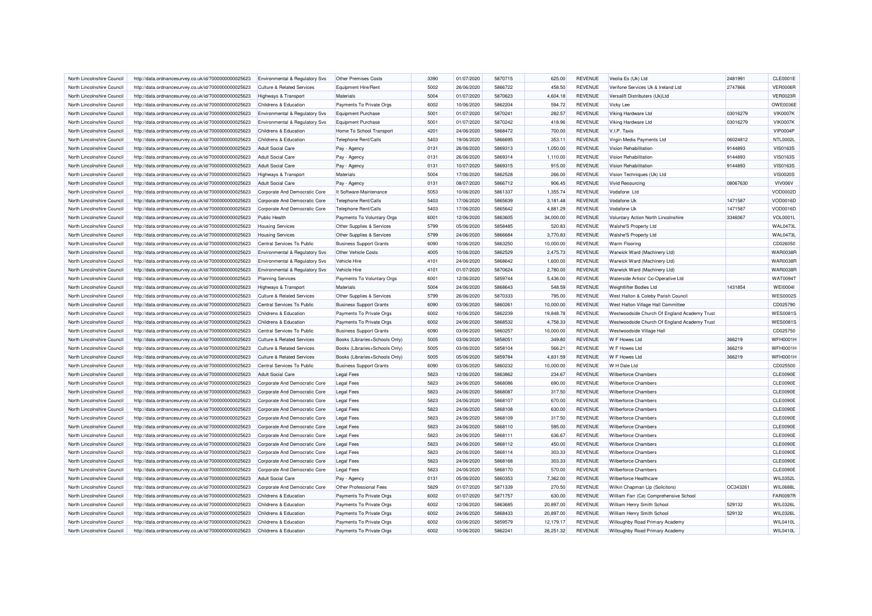| North Lincolnshire Council | http://data.ordnancesurvey.co.uk/id/7000000000025623 | Environmental & Regulatory Svs        | Other Premises Costs           | 3390 | 01/07/2020 | 5870715            | 625.00    | <b>REVENUE</b> | Veolia Es (Uk) Ltd                           | 2481991  | CLE0001E        |
|----------------------------|------------------------------------------------------|---------------------------------------|--------------------------------|------|------------|--------------------|-----------|----------------|----------------------------------------------|----------|-----------------|
| North Lincolnshire Council | http://data.ordnancesurvey.co.uk/id/7000000000025623 | <b>Culture &amp; Related Services</b> | <b>Equipment Hire/Rent</b>     | 5002 | 26/06/2020 | 5866722            | 458.50    | <b>REVENUE</b> | Verifone Services Uk & Ireland Ltd           | 2747866  | <b>VER0006R</b> |
| North Lincolnshire Council | http://data.ordnancesurvey.co.uk/id/7000000000025623 | <b>Highways &amp; Transport</b>       | Materials                      | 5004 | 01/07/2020 | 5870623            | 4,604.18  | <b>REVENUE</b> | Versalift Distributers (Uk)Ltd               |          | <b>VER0023R</b> |
| North Lincolnshire Council | http://data.ordnancesurvey.co.uk/id/7000000000025623 | Childrens & Education                 | Payments To Private Orgs       | 6002 | 10/06/2020 | 5862204            | 594.72    | <b>REVENUE</b> | Vicky Lee                                    |          | OWE0036E        |
| North Lincolnshire Council | http://data.ordnancesurvey.co.uk/id/7000000000025623 | Environmental & Regulatory Svs        | <b>Equipment Purchase</b>      | 5001 | 01/07/2020 | 5870241            | 282.57    | <b>REVENUE</b> | Viking Hardware Ltd                          | 03016279 | <b>VIK0007K</b> |
| North Lincolnshire Council | http://data.ordnancesurvey.co.uk/id/7000000000025623 | Environmental & Regulatory Svs        | <b>Equipment Purchase</b>      | 5001 | 01/07/2020 | 5870242            | 418.96    | <b>REVENUE</b> | Viking Hardware Ltd                          | 03016279 | <b>VIK0007K</b> |
| North Lincolnshire Council | http://data.ordnancesurvey.co.uk/id/7000000000025623 | Childrens & Education                 | Home To School Transport       | 4201 | 24/06/2020 | 5868472            | 700.00    | <b>REVENUE</b> | V.I.P. Taxis                                 |          | <b>VIP0004P</b> |
| North Lincolnshire Council | http://data.ordnancesurvey.co.uk/id/7000000000025623 | Childrens & Education                 | Telephone Rent/Calls           | 5403 | 19/06/2020 | 5866695            | 353.11    | <b>REVENUE</b> | Virgin Media Payments Ltd                    | 06024812 | NTL0002L        |
| North Lincolnshire Council | http://data.ordnancesurvey.co.uk/id/7000000000025623 | <b>Adult Social Care</b>              | Pay - Agency                   | 0131 | 26/06/2020 | 5869313            | 1,050.00  | <b>REVENUE</b> | <b>Vision Rehabilitation</b>                 | 9144893  | <b>VIS0163S</b> |
| North Lincolnshire Council | http://data.ordnancesurvey.co.uk/id/7000000000025623 | <b>Adult Social Care</b>              | Pay - Agency                   | 0131 | 26/06/2020 | 5869314            | 1,110.00  | <b>REVENUE</b> | <b>Vision Rehabilitation</b>                 | 9144893  | <b>VIS0163S</b> |
| North Lincolnshire Council | http://data.ordnancesurvey.co.uk/id/7000000000025623 | <b>Adult Social Care</b>              | Pay - Agency                   | 0131 | 10/07/2020 | 5869315            | 915.00    | <b>REVENUE</b> | <b>Vision Rehabilitation</b>                 | 9144893  | <b>VIS0163S</b> |
| North Lincolnshire Council | http://data.ordnancesurvey.co.uk/id/7000000000025623 | <b>Highways &amp; Transport</b>       | Materials                      | 5004 | 17/06/2020 | 5862528            | 266.00    | <b>REVENUE</b> | Vision Techniques (Uk) Ltd                   |          | <b>VIS0020S</b> |
| North Lincolnshire Council | http://data.ordnancesurvey.co.uk/id/7000000000025623 | <b>Adult Social Care</b>              | Pay - Agency                   | 0131 | 08/07/2020 | 5866712            | 906.45    | <b>REVENUE</b> | <b>Vivid Resourcing</b>                      | 08067630 | <b>VIV006V</b>  |
| North Lincolnshire Council | http://data.ordnancesurvey.co.uk/id/7000000000025623 | Corporate And Democratic Core         | It Software-Maintenance        | 5053 | 10/06/2020 | 5861337            | 1,355.74  | <b>REVENUE</b> | Vodafone Ltd                                 |          | VOD0002D        |
| North Lincolnshire Council | http://data.ordnancesurvey.co.uk/id/7000000000025623 | Corporate And Democratic Core         | Telephone Rent/Calls           | 5403 | 17/06/2020 | 5865639            | 3,181.48  | <b>REVENUE</b> | Vodafone Uk                                  | 1471587  | VOD0016D        |
| North Lincolnshire Council | http://data.ordnancesurvey.co.uk/id/7000000000025623 | Corporate And Democratic Core         | Telephone Rent/Calls           | 5403 | 17/06/2020 | 5865642            | 4,881.29  | <b>REVENUE</b> | Vodafone Uk                                  | 1471587  | VOD0016D        |
| North Lincolnshire Council | http://data.ordnancesurvey.co.uk/id/7000000000025623 | <b>Public Health</b>                  | Payments To Voluntary Orgs     | 6001 | 12/06/2020 | 5863605            | 34,000.00 | <b>REVENUE</b> | Voluntary Action North Lincolnshire          | 3346067  | <b>VOL0001L</b> |
| North Lincolnshire Council | http://data.ordnancesurvey.co.uk/id/7000000000025623 | <b>Housing Services</b>               | Other Supplies & Services      | 5799 | 05/06/2020 | 5858485            | 520.83    | <b>REVENUE</b> | <b>Walshe'S Property Ltd</b>                 |          | <b>WAL0473I</b> |
|                            |                                                      |                                       |                                | 5799 |            |                    |           |                |                                              |          | <b>WAL0473I</b> |
| North Lincolnshire Council | http://data.ordnancesurvey.co.uk/id/7000000000025623 | <b>Housing Services</b>               | Other Supplies & Services      | 6090 | 24/06/2020 | 5866684<br>5863250 | 3,770.83  | <b>REVENUE</b> | Walshe'S Property Ltd                        |          |                 |
| North Lincolnshire Council | http://data.ordnancesurvey.co.uk/id/7000000000025623 | Central Services To Public            | <b>Business Support Grants</b> |      | 10/06/2020 |                    | 10,000.00 | <b>REVENUE</b> | <b>Warm Flooring</b>                         |          | CD026050        |
| North Lincolnshire Council | http://data.ordnancesurvey.co.uk/id/7000000000025623 | Environmental & Regulatory Svs        | Other Vehicle Costs            | 4005 | 10/06/2020 | 5862529            | 2,475.73  | <b>REVENUE</b> | Warwick Ward (Machinery Ltd)                 |          | <b>WAR0038R</b> |
| North Lincolnshire Council | http://data.ordnancesurvey.co.uk/id/7000000000025623 | Environmental & Regulatory Svs        | Vehicle Hire                   | 4101 | 24/06/2020 | 5868642            | 1,600.00  | <b>REVENUE</b> | Warwick Ward (Machinery Ltd)                 |          | <b>WAR0038R</b> |
| North Lincolnshire Council | http://data.ordnancesurvey.co.uk/id/7000000000025623 | Environmental & Regulatory Svs        | Vehicle Hire                   | 4101 | 01/07/2020 | 5870624            | 2,780.00  | <b>REVENUE</b> | Warwick Ward (Machinery Ltd)                 |          | <b>WAR0038R</b> |
| North Lincolnshire Council | http://data.ordnancesurvey.co.uk/id/7000000000025623 | <b>Planning Services</b>              | Payments To Voluntary Orgs     | 6001 | 12/06/2020 | 5859744            | 5,436.00  | <b>REVENUE</b> | Waterside Artists' Co-Operative Ltd          |          | WAT0094T        |
| North Lincolnshire Council | http://data.ordnancesurvey.co.uk/id/7000000000025623 | <b>Highways &amp; Transport</b>       | Materials                      | 5004 | 24/06/2020 | 5868643            | 548.59    | <b>REVENUE</b> | Weightlifter Bodies Ltd                      | 1431854  | <b>WEI0004I</b> |
| North Lincolnshire Council | http://data.ordnancesurvey.co.uk/id/7000000000025623 | Culture & Related Services            | Other Supplies & Services      | 5799 | 26/06/2020 | 5870333            | 795.00    | <b>REVENUE</b> | West Halton & Coleby Parish Council          |          | <b>WES0002S</b> |
| North Lincolnshire Council | http://data.ordnancesurvey.co.uk/id/7000000000025623 | Central Services To Public            | <b>Business Support Grants</b> | 6090 | 03/06/2020 | 5860261            | 10,000.00 | <b>REVENUE</b> | West Halton Village Hall Committee           |          | CD025790        |
| North Lincolnshire Council | http://data.ordnancesurvey.co.uk/id/7000000000025623 | Childrens & Education                 | Payments To Private Orgs       | 6002 | 10/06/2020 | 5862239            | 19,848.78 | <b>REVENUE</b> | Westwoodside Church Of England Academy Trust |          | <b>WES00819</b> |
| North Lincolnshire Council | http://data.ordnancesurvey.co.uk/id/7000000000025623 | Childrens & Education                 | Payments To Private Orgs       | 6002 | 24/06/2020 | 5868532            | 4,758.33  | <b>REVENUE</b> | Westwoodside Church Of England Academy Trust |          | <b>WES0081S</b> |
| North Lincolnshire Council | http://data.ordnancesurvey.co.uk/id/7000000000025623 | Central Services To Public            | <b>Business Support Grants</b> | 6090 | 03/06/2020 | 5860257            | 10,000.00 | <b>REVENUE</b> | Westwoodside Village Hall                    |          | CD025750        |
| North Lincolnshire Council | http://data.ordnancesurvey.co.uk/id/7000000000025623 | Culture & Related Services            | Books (Libraries+Schools Only) | 5005 | 03/06/2020 | 5858051            | 349.80    | <b>REVENUE</b> | W F Howes Ltd                                | 366219   | <b>WFH0001H</b> |
| North Lincolnshire Council | http://data.ordnancesurvey.co.uk/id/7000000000025623 | <b>Culture &amp; Related Services</b> | Books (Libraries+Schools Only) | 5005 | 03/06/2020 | 5858104            | 566.21    | <b>REVENUE</b> | W F Howes Ltd                                | 366219   | WFH0001H        |
| North Lincolnshire Council | http://data.ordnancesurvey.co.uk/id/7000000000025623 | <b>Culture &amp; Related Services</b> | Books (Libraries+Schools Only) | 5005 | 05/06/2020 | 5859784            | 4,831.59  | <b>REVENUE</b> | W F Howes Ltd                                | 366219   | <b>WFH0001H</b> |
| North Lincolnshire Council | http://data.ordnancesurvey.co.uk/id/7000000000025623 | Central Services To Public            | <b>Business Support Grants</b> | 6090 | 03/06/2020 | 5860232            | 10,000.00 | <b>REVENUE</b> | W H Dale Ltd                                 |          | CD025500        |
| North Lincolnshire Council | http://data.ordnancesurvey.co.uk/id/7000000000025623 | <b>Adult Social Care</b>              | <b>Legal Fees</b>              | 5823 | 12/06/2020 | 5863862            | 234.67    | <b>REVENUE</b> | <b>Wilberforce Chambers</b>                  |          | <b>CLE0090E</b> |
| North Lincolnshire Council | http://data.ordnancesurvey.co.uk/id/7000000000025623 | Corporate And Democratic Core         | <b>Legal Fees</b>              | 5823 | 24/06/2020 | 5868086            | 690.00    | <b>REVENUE</b> | <b>Wilberforce Chambers</b>                  |          | CLE0090E        |
| North Lincolnshire Council | http://data.ordnancesurvey.co.uk/id/7000000000025623 | Corporate And Democratic Core         | <b>Legal Fees</b>              | 5823 | 24/06/2020 | 5868087            | 317.50    | <b>REVENUE</b> | <b>Wilberforce Chambers</b>                  |          | <b>CLE0090E</b> |
| North Lincolnshire Council | http://data.ordnancesurvey.co.uk/id/7000000000025623 | Corporate And Democratic Core         | Legal Fees                     | 5823 | 24/06/2020 | 5868107            | 670.00    | <b>REVENUE</b> | <b>Wilberforce Chambers</b>                  |          | <b>CLE0090E</b> |
| North Lincolnshire Council | http://data.ordnancesurvey.co.uk/id/7000000000025623 | Corporate And Democratic Core         | <b>Legal Fees</b>              | 5823 | 24/06/2020 | 5868108            | 630.00    | <b>REVENUE</b> | <b>Wilberforce Chambers</b>                  |          | CLE0090E        |
| North Lincolnshire Council | http://data.ordnancesurvey.co.uk/id/7000000000025623 | Corporate And Democratic Core         | <b>Legal Fees</b>              | 5823 | 24/06/2020 | 5868109            | 317.50    | <b>REVENUE</b> | <b>Wilberforce Chambers</b>                  |          | <b>CLE0090E</b> |
| North Lincolnshire Council | http://data.ordnancesurvey.co.uk/id/7000000000025623 | Corporate And Democratic Core         | <b>Legal Fees</b>              | 5823 | 24/06/2020 | 5868110            | 595.00    | <b>REVENUE</b> | <b>Wilberforce Chambers</b>                  |          | CLE0090E        |
| North Lincolnshire Council | http://data.ordnancesurvey.co.uk/id/7000000000025623 | Corporate And Democratic Core         | <b>Legal Fees</b>              | 5823 | 24/06/2020 | 5868111            | 636.67    | <b>REVENUE</b> | <b>Wilberforce Chambers</b>                  |          | CLE0090E        |
| North Lincolnshire Council | http://data.ordnancesurvey.co.uk/id/7000000000025623 | Corporate And Democratic Core         | <b>Legal Fees</b>              | 5823 | 24/06/2020 | 5868112            | 450.00    | <b>REVENUE</b> | <b>Wilberforce Chambers</b>                  |          | <b>CLE0090E</b> |
| North Lincolnshire Council | http://data.ordnancesurvey.co.uk/id/7000000000025623 | Corporate And Democratic Core         | <b>Legal Fees</b>              | 5823 | 24/06/2020 | 5868114            | 303.33    | <b>REVENUE</b> | <b>Wilberforce Chambers</b>                  |          | <b>CLE0090E</b> |
| North Lincolnshire Council | http://data.ordnancesurvey.co.uk/id/7000000000025623 | Corporate And Democratic Core         | <b>Legal Fees</b>              | 5823 | 24/06/2020 | 5868168            | 303.33    | <b>REVENUE</b> | <b>Wilberforce Chambers</b>                  |          | <b>CLE0090E</b> |
| North Lincolnshire Council | http://data.ordnancesurvey.co.uk/id/7000000000025623 | Corporate And Democratic Core         | <b>Legal Fees</b>              | 5823 | 24/06/2020 | 5868170            | 570.00    | <b>REVENUE</b> | <b>Wilberforce Chambers</b>                  |          | <b>CLE0090E</b> |
| North Lincolnshire Council | http://data.ordnancesurvey.co.uk/id/7000000000025623 | <b>Adult Social Care</b>              | Pay - Agency                   | 0131 | 05/06/2020 | 5860353            | 7,362.00  | <b>REVENUE</b> | Wilberforce Healthcare                       |          | WIL0352L        |
| North Lincolnshire Council | http://data.ordnancesurvey.co.uk/id/7000000000025623 | Corporate And Democratic Core         | Other Professional Fees        | 5829 | 01/07/2020 | 5871339            | 270.50    | <b>REVENUE</b> | Wilkin Chapman Llp (Solicitors)              | OC343261 | <b>WIL0688L</b> |
| North Lincolnshire Council | http://data.ordnancesurvey.co.uk/id/7000000000025623 | Childrens & Education                 | Payments To Private Orgs       | 6002 | 01/07/2020 | 5871757            | 630.00    | <b>REVENUE</b> | William Farr (Ce) Comprehensive School       |          | <b>FAR0097F</b> |
| North Lincolnshire Council | http://data.ordnancesurvey.co.uk/id/7000000000025623 | Childrens & Education                 | Payments To Private Orgs       | 6002 | 12/06/2020 | 5863685            | 20,897.00 | <b>REVENUE</b> | William Henry Smith School                   | 529132   | WIL0326L        |
| North Lincolnshire Council | http://data.ordnancesurvey.co.uk/id/7000000000025623 | Childrens & Education                 | Payments To Private Orgs       | 6002 | 24/06/2020 | 5868433            | 20,897.00 | <b>REVENUE</b> | William Henry Smith School                   | 529132   | WIL0326L        |
| North Lincolnshire Council | http://data.ordnancesurvey.co.uk/id/7000000000025623 | Childrens & Education                 | Payments To Private Orgs       | 6002 | 03/06/2020 | 5859579            | 12,179.17 | <b>REVENUE</b> | Willoughby Road Primary Academy              |          | <b>WIL0410L</b> |
| North Lincolnshire Council | http://data.ordnancesurvey.co.uk/id/7000000000025623 | Childrens & Education                 | Payments To Private Orgs       | 6002 | 10/06/2020 | 5862241            | 26,251.32 | <b>REVENUE</b> | Willoughby Road Primary Academy              |          | <b>WIL0410L</b> |
|                            |                                                      |                                       |                                |      |            |                    |           |                |                                              |          |                 |